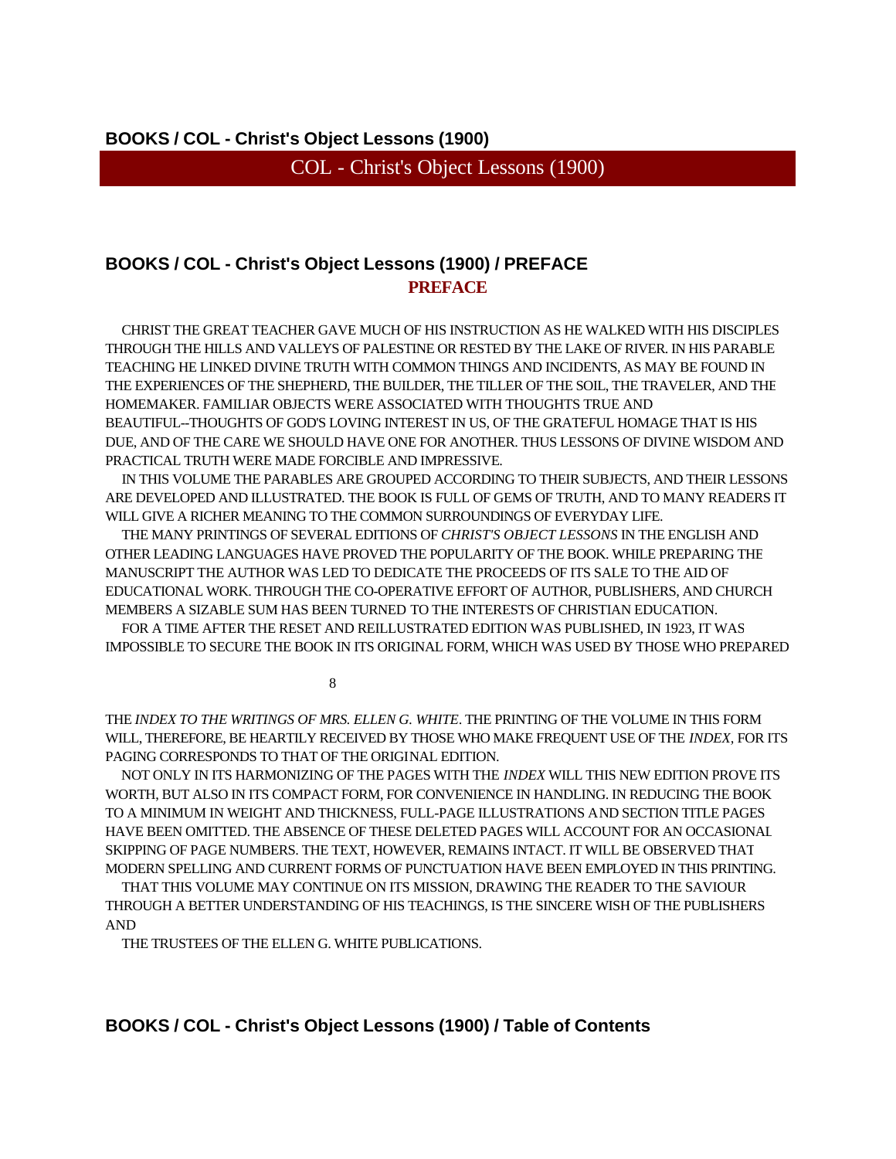**BOOKS / COL - Christ's Object Lessons (1900)**

COL - Christ's Object Lessons (1900)

# **BOOKS / COL - Christ's Object Lessons (1900) / PREFACE PREFACE**

 CHRIST THE GREAT TEACHER GAVE MUCH OF HIS INSTRUCTION AS HE WALKED WITH HIS DISCIPLES THROUGH THE HILLS AND VALLEYS OF PALESTINE OR RESTED BY THE LAKE OF RIVER. IN HIS PARABLE TEACHING HE LINKED DIVINE TRUTH WITH COMMON THINGS AND INCIDENTS, AS MAY BE FOUND IN THE EXPERIENCES OF THE SHEPHERD, THE BUILDER, THE TILLER OF THE SOIL, THE TRAVELER, AND THE HOMEMAKER. FAMILIAR OBJECTS WERE ASSOCIATED WITH THOUGHTS TRUE AND BEAUTIFUL--THOUGHTS OF GOD'S LOVING INTEREST IN US, OF THE GRATEFUL HOMAGE THAT IS HIS DUE, AND OF THE CARE WE SHOULD HAVE ONE FOR ANOTHER. THUS LESSONS OF DIVINE WISDOM AND PRACTICAL TRUTH WERE MADE FORCIBLE AND IMPRESSIVE.

 IN THIS VOLUME THE PARABLES ARE GROUPED ACCORDING TO THEIR SUBJECTS, AND THEIR LESSONS ARE DEVELOPED AND ILLUSTRATED. THE BOOK IS FULL OF GEMS OF TRUTH, AND TO MANY READERS IT WILL GIVE A RICHER MEANING TO THE COMMON SURROUNDINGS OF EVERYDAY LIFE.

 THE MANY PRINTINGS OF SEVERAL EDITIONS OF *CHRIST'S OBJECT LESSONS* IN THE ENGLISH AND OTHER LEADING LANGUAGES HAVE PROVED THE POPULARITY OF THE BOOK. WHILE PREPARING THE MANUSCRIPT THE AUTHOR WAS LED TO DEDICATE THE PROCEEDS OF ITS SALE TO THE AID OF EDUCATIONAL WORK. THROUGH THE CO-OPERATIVE EFFORT OF AUTHOR, PUBLISHERS, AND CHURCH MEMBERS A SIZABLE SUM HAS BEEN TURNED TO THE INTERESTS OF CHRISTIAN EDUCATION.

 FOR A TIME AFTER THE RESET AND REILLUSTRATED EDITION WAS PUBLISHED, IN 1923, IT WAS IMPOSSIBLE TO SECURE THE BOOK IN ITS ORIGINAL FORM, WHICH WAS USED BY THOSE WHO PREPARED

8 and 20 and 20 and 30 and 30 and 30 and 30 and 30 and 30 and 30 and 30 and 30 and 30 and 30 and 30 and 30 and

THE *INDEX TO THE WRITINGS OF MRS. ELLEN G. WHITE*. THE PRINTING OF THE VOLUME IN THIS FORM WILL, THEREFORE, BE HEARTILY RECEIVED BY THOSE WHO MAKE FREQUENT USE OF THE *INDEX,* FOR ITS PAGING CORRESPONDS TO THAT OF THE ORIGINAL EDITION.

 NOT ONLY IN ITS HARMONIZING OF THE PAGES WITH THE *INDEX* WILL THIS NEW EDITION PROVE ITS WORTH, BUT ALSO IN ITS COMPACT FORM, FOR CONVENIENCE IN HANDLING. IN REDUCING THE BOOK TO A MINIMUM IN WEIGHT AND THICKNESS, FULL-PAGE ILLUSTRATIONS AND SECTION TITLE PAGES HAVE BEEN OMITTED. THE ABSENCE OF THESE DELETED PAGES WILL ACCOUNT FOR AN OCCASIONAL SKIPPING OF PAGE NUMBERS. THE TEXT, HOWEVER, REMAINS INTACT. IT WILL BE OBSERVED THAT MODERN SPELLING AND CURRENT FORMS OF PUNCTUATION HAVE BEEN EMPLOYED IN THIS PRINTING.

 THAT THIS VOLUME MAY CONTINUE ON ITS MISSION, DRAWING THE READER TO THE SAVIOUR THROUGH A BETTER UNDERSTANDING OF HIS TEACHINGS, IS THE SINCERE WISH OF THE PUBLISHERS AND

THE TRUSTEES OF THE ELLEN G. WHITE PUBLICATIONS.

**BOOKS / COL - Christ's Object Lessons (1900) / Table of Contents**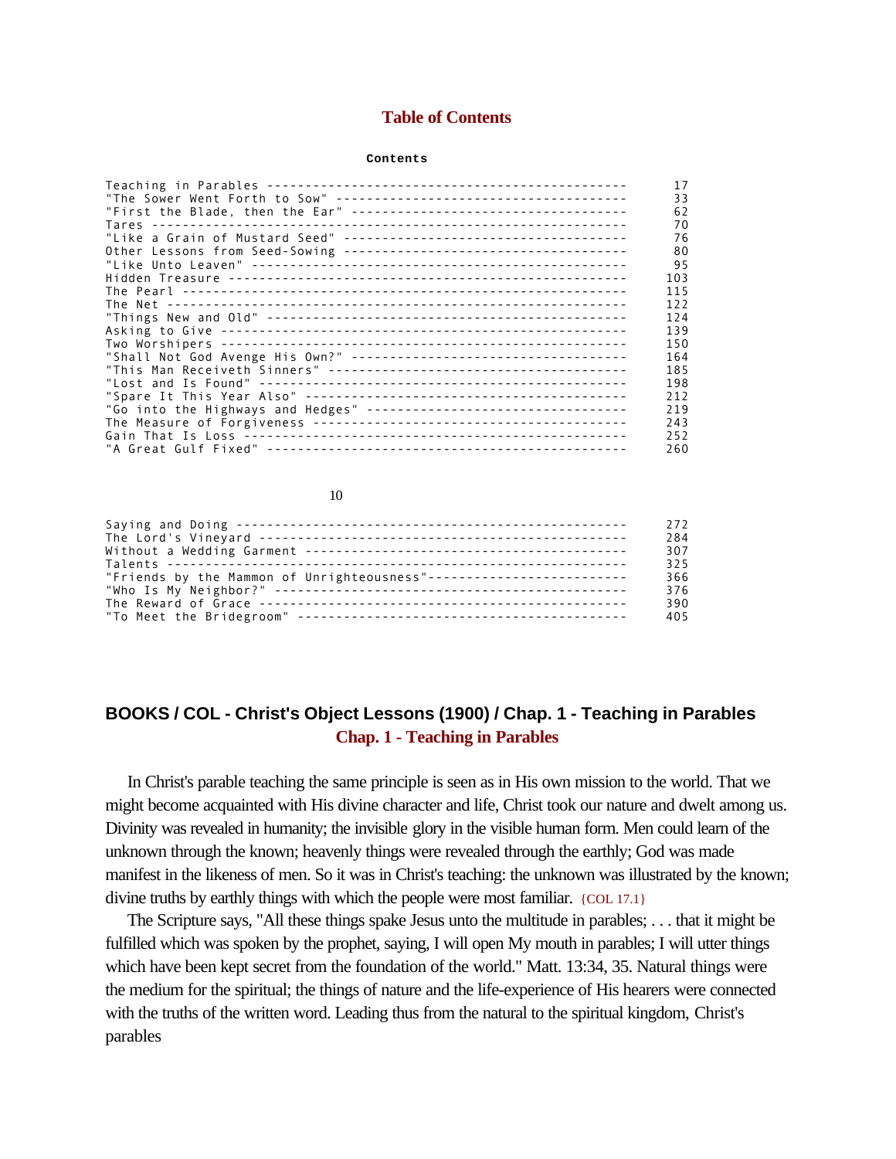### **Table of Contents**

#### **Contents**

|                                                                      | 17  |
|----------------------------------------------------------------------|-----|
|                                                                      | 33  |
|                                                                      | 62  |
|                                                                      | 70  |
|                                                                      | 76  |
|                                                                      | 80  |
|                                                                      | 95  |
|                                                                      | 103 |
|                                                                      | 115 |
|                                                                      | 122 |
|                                                                      | 124 |
|                                                                      | 139 |
|                                                                      | 150 |
|                                                                      | 164 |
|                                                                      | 185 |
|                                                                      | 198 |
|                                                                      | 212 |
| "Go into the Highways and Hedges" ---------------------------------- | 219 |
|                                                                      | 243 |
|                                                                      | 252 |
|                                                                      | 260 |

10

|                                                                      | 272 |
|----------------------------------------------------------------------|-----|
|                                                                      | 284 |
|                                                                      | 307 |
|                                                                      | 325 |
| "Friends by the Mammon of Unrighteousness"-------------------------- | 366 |
|                                                                      | 376 |
|                                                                      | 390 |
|                                                                      | 405 |

# **BOOKS / COL - Christ's Object Lessons (1900) / Chap. 1 - Teaching in Parables Chap. 1 - Teaching in Parables**

 In Christ's parable teaching the same principle is seen as in His own mission to the world. That we might become acquainted with His divine character and life, Christ took our nature and dwelt among us. Divinity was revealed in humanity; the invisible glory in the visible human form. Men could learn of the unknown through the known; heavenly things were revealed through the earthly; God was made manifest in the likeness of men. So it was in Christ's teaching: the unknown was illustrated by the known; divine truths by earthly things with which the people were most familiar. {COL 17.1}

 The Scripture says, "All these things spake Jesus unto the multitude in parables; . . . that it might be fulfilled which was spoken by the prophet, saying, I will open My mouth in parables; I will utter things which have been kept secret from the foundation of the world." Matt. 13:34, 35. Natural things were the medium for the spiritual; the things of nature and the life-experience of His hearers were connected with the truths of the written word. Leading thus from the natural to the spiritual kingdom, Christ's parables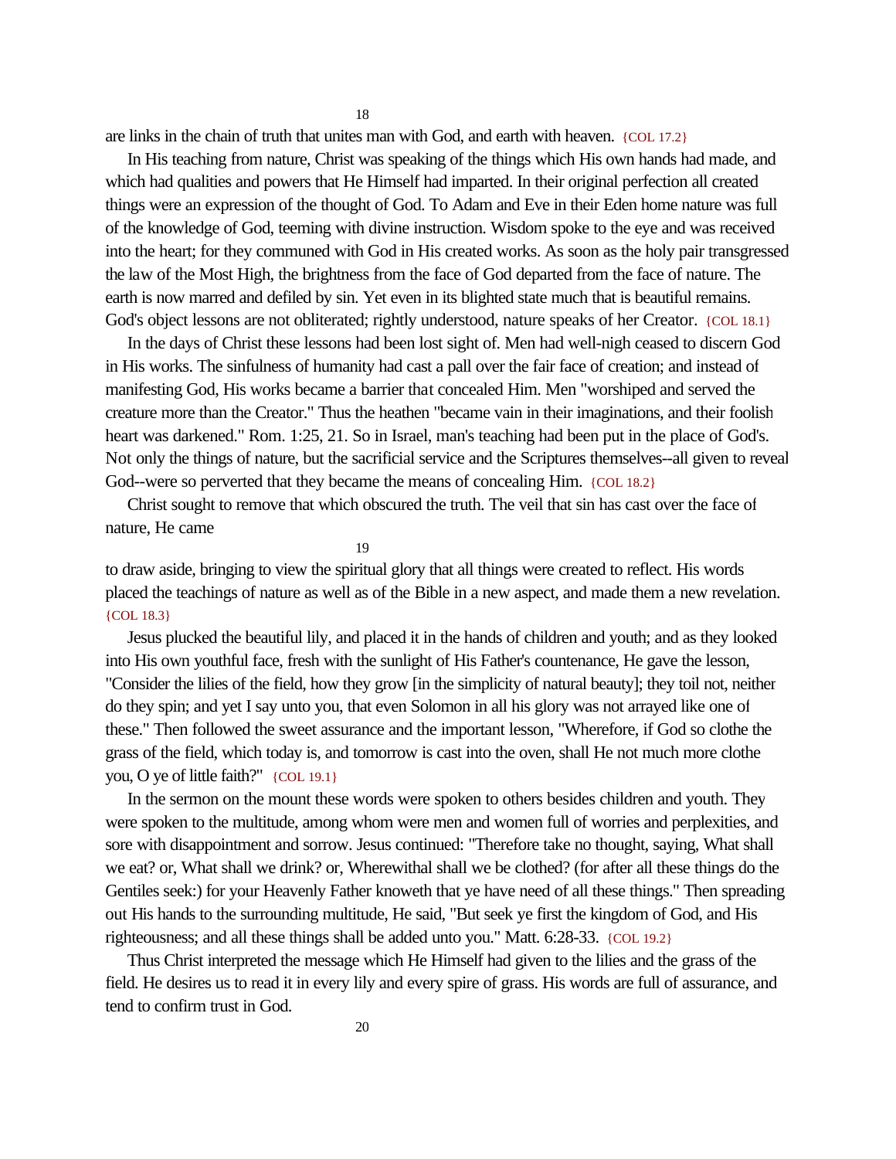18

are links in the chain of truth that unites man with God, and earth with heaven. {COL 17.2}

 In His teaching from nature, Christ was speaking of the things which His own hands had made, and which had qualities and powers that He Himself had imparted. In their original perfection all created things were an expression of the thought of God. To Adam and Eve in their Eden home nature was full of the knowledge of God, teeming with divine instruction. Wisdom spoke to the eye and was received into the heart; for they communed with God in His created works. As soon as the holy pair transgressed the law of the Most High, the brightness from the face of God departed from the face of nature. The earth is now marred and defiled by sin. Yet even in its blighted state much that is beautiful remains. God's object lessons are not obliterated; rightly understood, nature speaks of her Creator. {COL 18.1}

 In the days of Christ these lessons had been lost sight of. Men had well-nigh ceased to discern God in His works. The sinfulness of humanity had cast a pall over the fair face of creation; and instead of manifesting God, His works became a barrier that concealed Him. Men "worshiped and served the creature more than the Creator." Thus the heathen "became vain in their imaginations, and their foolish heart was darkened." Rom. 1:25, 21. So in Israel, man's teaching had been put in the place of God's. Not only the things of nature, but the sacrificial service and the Scriptures themselves--all given to reveal God--were so perverted that they became the means of concealing Him. {COL 18.2}

 Christ sought to remove that which obscured the truth. The veil that sin has cast over the face of nature, He came

19

to draw aside, bringing to view the spiritual glory that all things were created to reflect. His words placed the teachings of nature as well as of the Bible in a new aspect, and made them a new revelation. {COL 18.3}

 Jesus plucked the beautiful lily, and placed it in the hands of children and youth; and as they looked into His own youthful face, fresh with the sunlight of His Father's countenance, He gave the lesson, "Consider the lilies of the field, how they grow [in the simplicity of natural beauty]; they toil not, neither do they spin; and yet I say unto you, that even Solomon in all his glory was not arrayed like one of these." Then followed the sweet assurance and the important lesson, "Wherefore, if God so clothe the grass of the field, which today is, and tomorrow is cast into the oven, shall He not much more clothe you, O ye of little faith?" {COL 19.1}

 In the sermon on the mount these words were spoken to others besides children and youth. They were spoken to the multitude, among whom were men and women full of worries and perplexities, and sore with disappointment and sorrow. Jesus continued: "Therefore take no thought, saying, What shall we eat? or, What shall we drink? or, Wherewithal shall we be clothed? (for after all these things do the Gentiles seek:) for your Heavenly Father knoweth that ye have need of all these things." Then spreading out His hands to the surrounding multitude, He said, "But seek ye first the kingdom of God, and His righteousness; and all these things shall be added unto you." Matt. 6:28-33. {COL 19.2}

 Thus Christ interpreted the message which He Himself had given to the lilies and the grass of the field. He desires us to read it in every lily and every spire of grass. His words are full of assurance, and tend to confirm trust in God.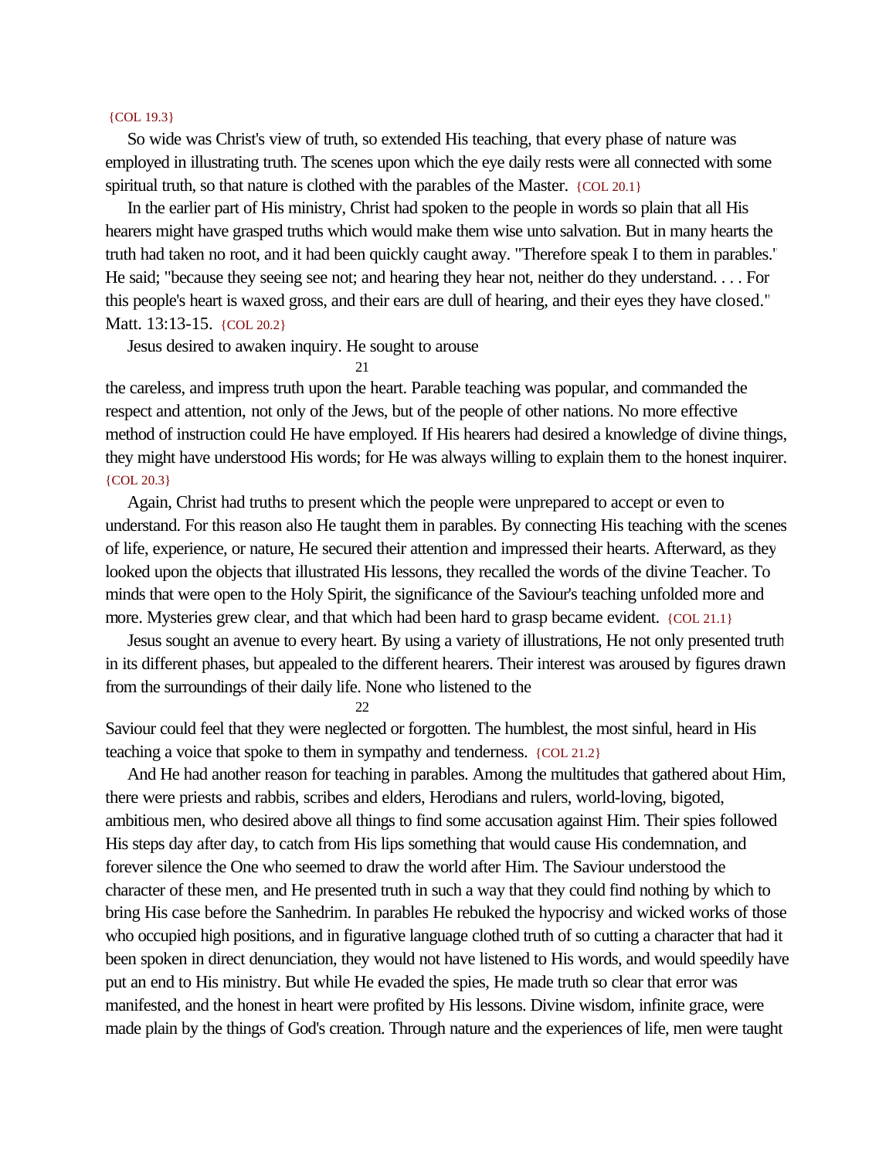### {COL 19.3}

 So wide was Christ's view of truth, so extended His teaching, that every phase of nature was employed in illustrating truth. The scenes upon which the eye daily rests were all connected with some spiritual truth, so that nature is clothed with the parables of the Master. {COL 20.1}

 In the earlier part of His ministry, Christ had spoken to the people in words so plain that all His hearers might have grasped truths which would make them wise unto salvation. But in many hearts the truth had taken no root, and it had been quickly caught away. "Therefore speak I to them in parables." He said; "because they seeing see not; and hearing they hear not, neither do they understand. . . . For this people's heart is waxed gross, and their ears are dull of hearing, and their eyes they have closed." Matt. 13:13-15. {COL 20.2}

Jesus desired to awaken inquiry. He sought to arouse

21

the careless, and impress truth upon the heart. Parable teaching was popular, and commanded the respect and attention, not only of the Jews, but of the people of other nations. No more effective method of instruction could He have employed. If His hearers had desired a knowledge of divine things, they might have understood His words; for He was always willing to explain them to the honest inquirer. {COL 20.3}

 Again, Christ had truths to present which the people were unprepared to accept or even to understand. For this reason also He taught them in parables. By connecting His teaching with the scenes of life, experience, or nature, He secured their attention and impressed their hearts. Afterward, as they looked upon the objects that illustrated His lessons, they recalled the words of the divine Teacher. To minds that were open to the Holy Spirit, the significance of the Saviour's teaching unfolded more and more. Mysteries grew clear, and that which had been hard to grasp became evident. {COL 21.1}

 Jesus sought an avenue to every heart. By using a variety of illustrations, He not only presented truth in its different phases, but appealed to the different hearers. Their interest was aroused by figures drawn from the surroundings of their daily life. None who listened to the

<u>22</u>

Saviour could feel that they were neglected or forgotten. The humblest, the most sinful, heard in His teaching a voice that spoke to them in sympathy and tenderness. {COL 21.2}

 And He had another reason for teaching in parables. Among the multitudes that gathered about Him, there were priests and rabbis, scribes and elders, Herodians and rulers, world-loving, bigoted, ambitious men, who desired above all things to find some accusation against Him. Their spies followed His steps day after day, to catch from His lips something that would cause His condemnation, and forever silence the One who seemed to draw the world after Him. The Saviour understood the character of these men, and He presented truth in such a way that they could find nothing by which to bring His case before the Sanhedrim. In parables He rebuked the hypocrisy and wicked works of those who occupied high positions, and in figurative language clothed truth of so cutting a character that had it been spoken in direct denunciation, they would not have listened to His words, and would speedily have put an end to His ministry. But while He evaded the spies, He made truth so clear that error was manifested, and the honest in heart were profited by His lessons. Divine wisdom, infinite grace, were made plain by the things of God's creation. Through nature and the experiences of life, men were taught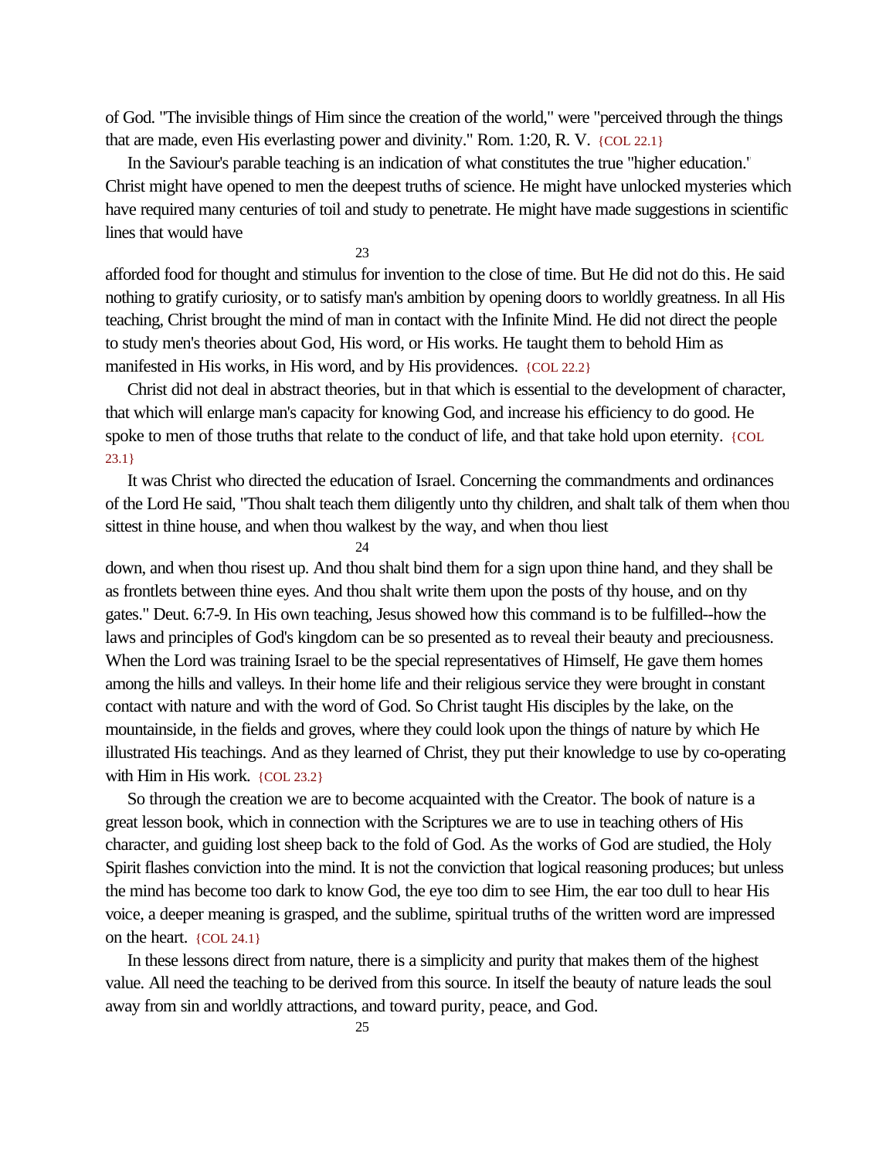of God. "The invisible things of Him since the creation of the world," were "perceived through the things that are made, even His everlasting power and divinity." Rom. 1:20, R. V. {COL 22.1}

 In the Saviour's parable teaching is an indication of what constitutes the true "higher education." Christ might have opened to men the deepest truths of science. He might have unlocked mysteries which have required many centuries of toil and study to penetrate. He might have made suggestions in scientific lines that would have

23

afforded food for thought and stimulus for invention to the close of time. But He did not do this. He said nothing to gratify curiosity, or to satisfy man's ambition by opening doors to worldly greatness. In all His teaching, Christ brought the mind of man in contact with the Infinite Mind. He did not direct the people to study men's theories about God, His word, or His works. He taught them to behold Him as manifested in His works, in His word, and by His providences. {COL 22.2}

 Christ did not deal in abstract theories, but in that which is essential to the development of character, that which will enlarge man's capacity for knowing God, and increase his efficiency to do good. He spoke to men of those truths that relate to the conduct of life, and that take hold upon eternity. {COL} 23.1}

 It was Christ who directed the education of Israel. Concerning the commandments and ordinances of the Lord He said, "Thou shalt teach them diligently unto thy children, and shalt talk of them when thou sittest in thine house, and when thou walkest by the way, and when thou liest

24

down, and when thou risest up. And thou shalt bind them for a sign upon thine hand, and they shall be as frontlets between thine eyes. And thou shalt write them upon the posts of thy house, and on thy gates." Deut. 6:7-9. In His own teaching, Jesus showed how this command is to be fulfilled--how the laws and principles of God's kingdom can be so presented as to reveal their beauty and preciousness. When the Lord was training Israel to be the special representatives of Himself, He gave them homes among the hills and valleys. In their home life and their religious service they were brought in constant contact with nature and with the word of God. So Christ taught His disciples by the lake, on the mountainside, in the fields and groves, where they could look upon the things of nature by which He illustrated His teachings. And as they learned of Christ, they put their knowledge to use by co-operating with Him in His work. {COL 23.2}

 So through the creation we are to become acquainted with the Creator. The book of nature is a great lesson book, which in connection with the Scriptures we are to use in teaching others of His character, and guiding lost sheep back to the fold of God. As the works of God are studied, the Holy Spirit flashes conviction into the mind. It is not the conviction that logical reasoning produces; but unless the mind has become too dark to know God, the eye too dim to see Him, the ear too dull to hear His voice, a deeper meaning is grasped, and the sublime, spiritual truths of the written word are impressed on the heart. {COL 24.1}

 In these lessons direct from nature, there is a simplicity and purity that makes them of the highest value. All need the teaching to be derived from this source. In itself the beauty of nature leads the soul away from sin and worldly attractions, and toward purity, peace, and God.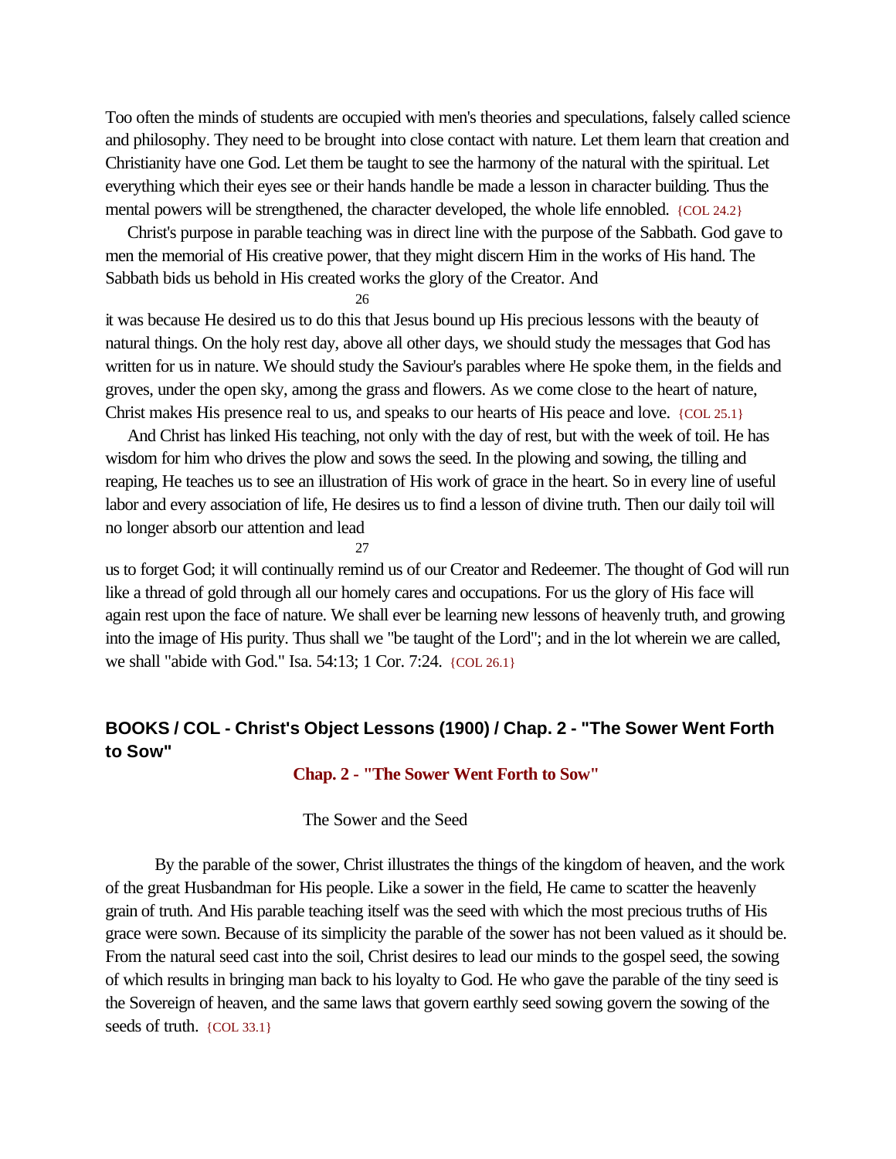Too often the minds of students are occupied with men's theories and speculations, falsely called science and philosophy. They need to be brought into close contact with nature. Let them learn that creation and Christianity have one God. Let them be taught to see the harmony of the natural with the spiritual. Let everything which their eyes see or their hands handle be made a lesson in character building. Thus the mental powers will be strengthened, the character developed, the whole life ennobled. {COL 24.2}

 Christ's purpose in parable teaching was in direct line with the purpose of the Sabbath. God gave to men the memorial of His creative power, that they might discern Him in the works of His hand. The Sabbath bids us behold in His created works the glory of the Creator. And

26

it was because He desired us to do this that Jesus bound up His precious lessons with the beauty of natural things. On the holy rest day, above all other days, we should study the messages that God has written for us in nature. We should study the Saviour's parables where He spoke them, in the fields and groves, under the open sky, among the grass and flowers. As we come close to the heart of nature, Christ makes His presence real to us, and speaks to our hearts of His peace and love. {COL 25.1}

 And Christ has linked His teaching, not only with the day of rest, but with the week of toil. He has wisdom for him who drives the plow and sows the seed. In the plowing and sowing, the tilling and reaping, He teaches us to see an illustration of His work of grace in the heart. So in every line of useful labor and every association of life, He desires us to find a lesson of divine truth. Then our daily toil will no longer absorb our attention and lead

<u>27 and 27</u>

us to forget God; it will continually remind us of our Creator and Redeemer. The thought of God will run like a thread of gold through all our homely cares and occupations. For us the glory of His face will again rest upon the face of nature. We shall ever be learning new lessons of heavenly truth, and growing into the image of His purity. Thus shall we "be taught of the Lord"; and in the lot wherein we are called, we shall "abide with God." Isa. 54:13; 1 Cor. 7:24. {COL 26.1}

# **BOOKS / COL - Christ's Object Lessons (1900) / Chap. 2 - "The Sower Went Forth to Sow"**

**Chap. 2 - "The Sower Went Forth to Sow"**

The Sower and the Seed

 By the parable of the sower, Christ illustrates the things of the kingdom of heaven, and the work of the great Husbandman for His people. Like a sower in the field, He came to scatter the heavenly grain of truth. And His parable teaching itself was the seed with which the most precious truths of His grace were sown. Because of its simplicity the parable of the sower has not been valued as it should be. From the natural seed cast into the soil, Christ desires to lead our minds to the gospel seed, the sowing of which results in bringing man back to his loyalty to God. He who gave the parable of the tiny seed is the Sovereign of heaven, and the same laws that govern earthly seed sowing govern the sowing of the seeds of truth. {COL 33.1}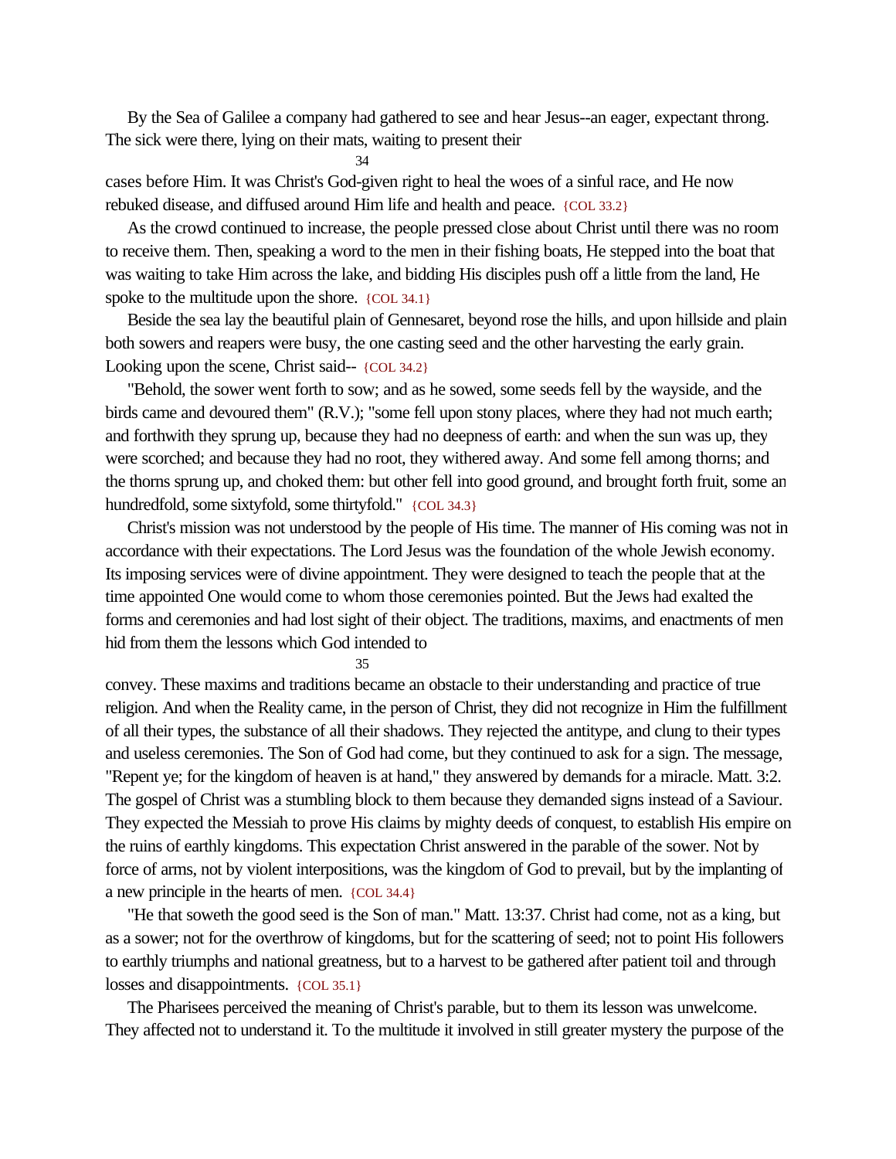By the Sea of Galilee a company had gathered to see and hear Jesus--an eager, expectant throng. The sick were there, lying on their mats, waiting to present their

34

cases before Him. It was Christ's God-given right to heal the woes of a sinful race, and He now rebuked disease, and diffused around Him life and health and peace. {COL 33.2}

 As the crowd continued to increase, the people pressed close about Christ until there was no room to receive them. Then, speaking a word to the men in their fishing boats, He stepped into the boat that was waiting to take Him across the lake, and bidding His disciples push off a little from the land, He spoke to the multitude upon the shore. {COL 34.1}

 Beside the sea lay the beautiful plain of Gennesaret, beyond rose the hills, and upon hillside and plain both sowers and reapers were busy, the one casting seed and the other harvesting the early grain. Looking upon the scene, Christ said-- {COL 34.2}

 "Behold, the sower went forth to sow; and as he sowed, some seeds fell by the wayside, and the birds came and devoured them" (R.V.); "some fell upon stony places, where they had not much earth; and forthwith they sprung up, because they had no deepness of earth: and when the sun was up, they were scorched; and because they had no root, they withered away. And some fell among thorns; and the thorns sprung up, and choked them: but other fell into good ground, and brought forth fruit, some an hundredfold, some sixtyfold, some thirtyfold." {COL 34.3}

 Christ's mission was not understood by the people of His time. The manner of His coming was not in accordance with their expectations. The Lord Jesus was the foundation of the whole Jewish economy. Its imposing services were of divine appointment. They were designed to teach the people that at the time appointed One would come to whom those ceremonies pointed. But the Jews had exalted the forms and ceremonies and had lost sight of their object. The traditions, maxims, and enactments of men hid from them the lessons which God intended to

### 35

convey. These maxims and traditions became an obstacle to their understanding and practice of true religion. And when the Reality came, in the person of Christ, they did not recognize in Him the fulfillment of all their types, the substance of all their shadows. They rejected the antitype, and clung to their types and useless ceremonies. The Son of God had come, but they continued to ask for a sign. The message, "Repent ye; for the kingdom of heaven is at hand," they answered by demands for a miracle. Matt. 3:2. The gospel of Christ was a stumbling block to them because they demanded signs instead of a Saviour. They expected the Messiah to prove His claims by mighty deeds of conquest, to establish His empire on the ruins of earthly kingdoms. This expectation Christ answered in the parable of the sower. Not by force of arms, not by violent interpositions, was the kingdom of God to prevail, but by the implanting of a new principle in the hearts of men. {COL 34.4}

 "He that soweth the good seed is the Son of man." Matt. 13:37. Christ had come, not as a king, but as a sower; not for the overthrow of kingdoms, but for the scattering of seed; not to point His followers to earthly triumphs and national greatness, but to a harvest to be gathered after patient toil and through losses and disappointments. {COL 35.1}

 The Pharisees perceived the meaning of Christ's parable, but to them its lesson was unwelcome. They affected not to understand it. To the multitude it involved in still greater mystery the purpose of the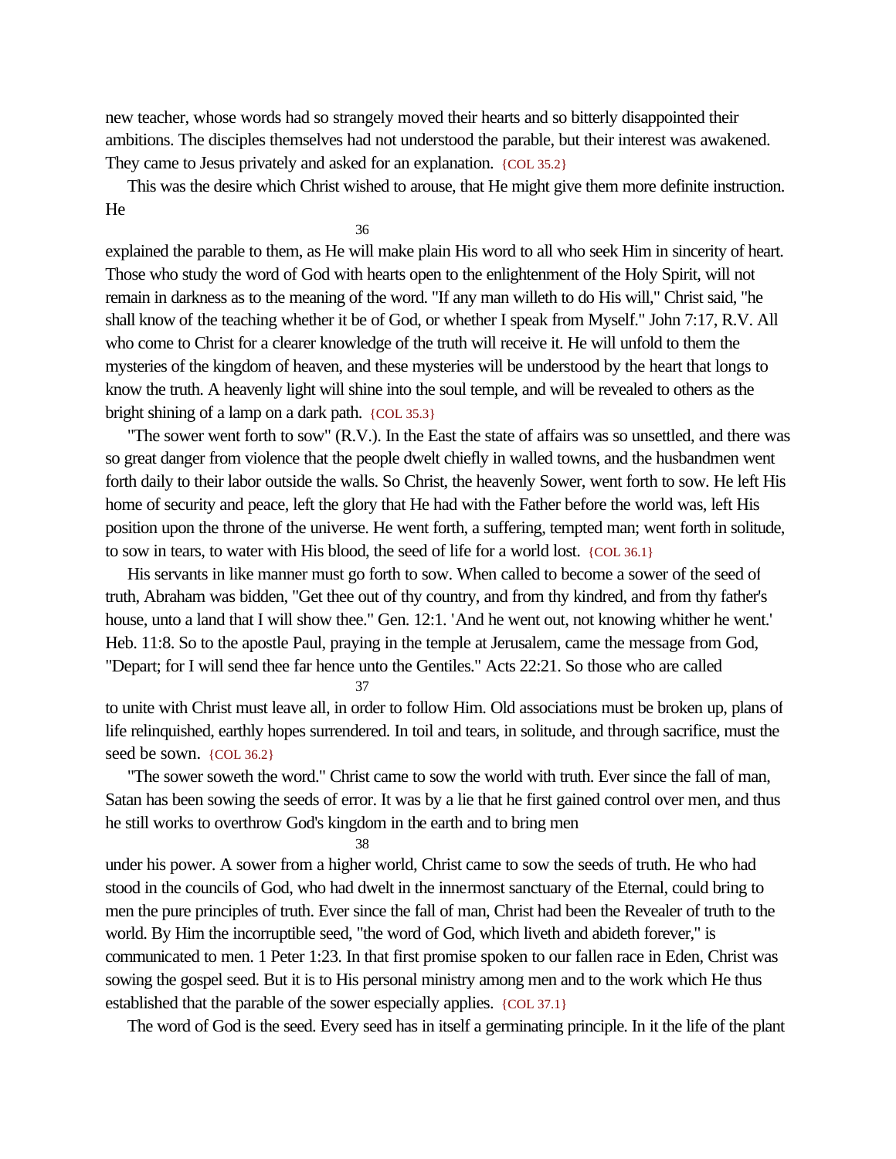new teacher, whose words had so strangely moved their hearts and so bitterly disappointed their ambitions. The disciples themselves had not understood the parable, but their interest was awakened. They came to Jesus privately and asked for an explanation. {COL 35.2}

 This was the desire which Christ wished to arouse, that He might give them more definite instruction. He

36

explained the parable to them, as He will make plain His word to all who seek Him in sincerity of heart. Those who study the word of God with hearts open to the enlightenment of the Holy Spirit, will not remain in darkness as to the meaning of the word. "If any man willeth to do His will," Christ said, "he shall know of the teaching whether it be of God, or whether I speak from Myself." John 7:17, R.V. All who come to Christ for a clearer knowledge of the truth will receive it. He will unfold to them the mysteries of the kingdom of heaven, and these mysteries will be understood by the heart that longs to know the truth. A heavenly light will shine into the soul temple, and will be revealed to others as the bright shining of a lamp on a dark path. {COL 35.3}

 "The sower went forth to sow" (R.V.). In the East the state of affairs was so unsettled, and there was so great danger from violence that the people dwelt chiefly in walled towns, and the husbandmen went forth daily to their labor outside the walls. So Christ, the heavenly Sower, went forth to sow. He left His home of security and peace, left the glory that He had with the Father before the world was, left His position upon the throne of the universe. He went forth, a suffering, tempted man; went forth in solitude, to sow in tears, to water with His blood, the seed of life for a world lost. {COL 36.1}

 His servants in like manner must go forth to sow. When called to become a sower of the seed of truth, Abraham was bidden, "Get thee out of thy country, and from thy kindred, and from thy father's house, unto a land that I will show thee." Gen. 12:1. 'And he went out, not knowing whither he went.' Heb. 11:8. So to the apostle Paul, praying in the temple at Jerusalem, came the message from God, "Depart; for I will send thee far hence unto the Gentiles." Acts 22:21. So those who are called

37

to unite with Christ must leave all, in order to follow Him. Old associations must be broken up, plans of life relinquished, earthly hopes surrendered. In toil and tears, in solitude, and through sacrifice, must the seed be sown. {COL 36.2}

 "The sower soweth the word." Christ came to sow the world with truth. Ever since the fall of man, Satan has been sowing the seeds of error. It was by a lie that he first gained control over men, and thus he still works to overthrow God's kingdom in the earth and to bring men

38

under his power. A sower from a higher world, Christ came to sow the seeds of truth. He who had stood in the councils of God, who had dwelt in the innermost sanctuary of the Eternal, could bring to men the pure principles of truth. Ever since the fall of man, Christ had been the Revealer of truth to the world. By Him the incorruptible seed, "the word of God, which liveth and abideth forever," is communicated to men. 1 Peter 1:23. In that first promise spoken to our fallen race in Eden, Christ was sowing the gospel seed. But it is to His personal ministry among men and to the work which He thus established that the parable of the sower especially applies. {COL 37.1}

The word of God is the seed. Every seed has in itself a germinating principle. In it the life of the plant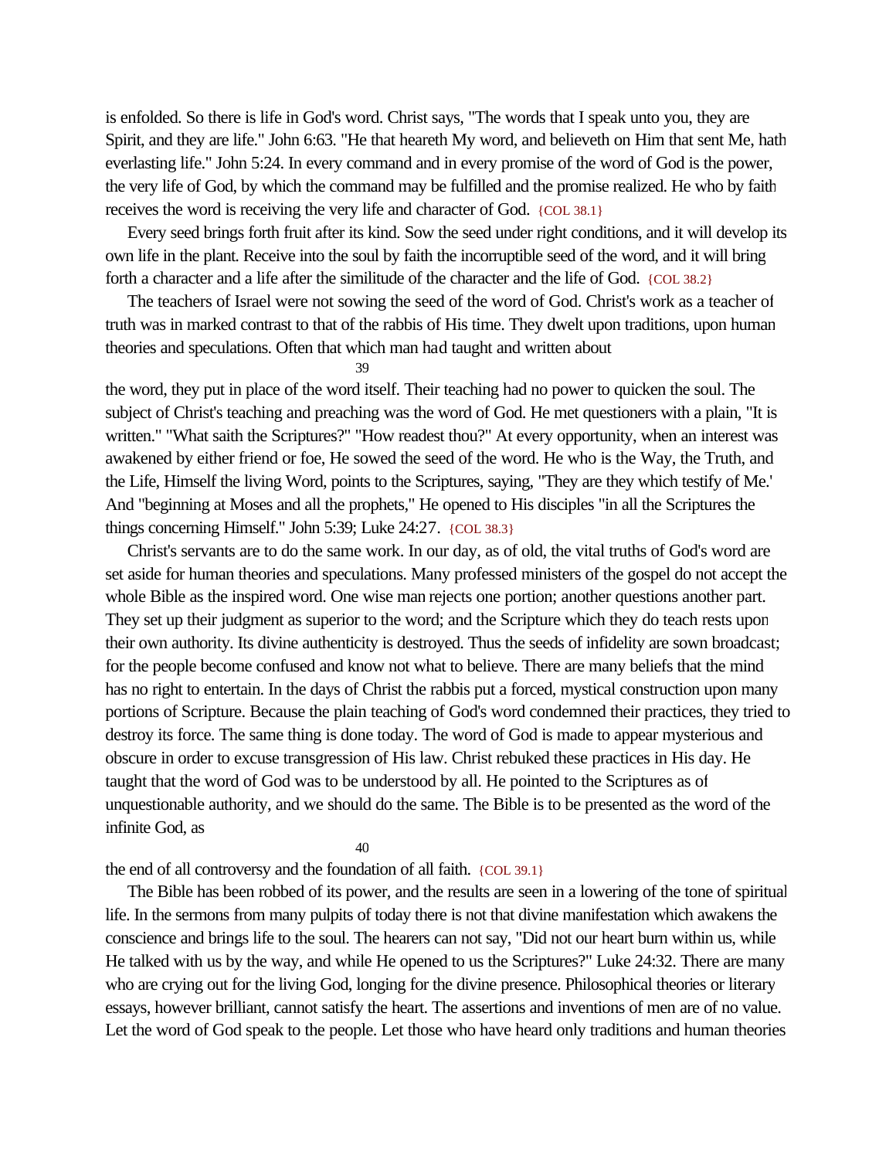is enfolded. So there is life in God's word. Christ says, "The words that I speak unto you, they are Spirit, and they are life." John 6:63. "He that heareth My word, and believeth on Him that sent Me, hath everlasting life." John 5:24. In every command and in every promise of the word of God is the power, the very life of God, by which the command may be fulfilled and the promise realized. He who by faith receives the word is receiving the very life and character of God. {COL 38.1}

 Every seed brings forth fruit after its kind. Sow the seed under right conditions, and it will develop its own life in the plant. Receive into the soul by faith the incorruptible seed of the word, and it will bring forth a character and a life after the similitude of the character and the life of God. {COL 38.2}

 The teachers of Israel were not sowing the seed of the word of God. Christ's work as a teacher of truth was in marked contrast to that of the rabbis of His time. They dwelt upon traditions, upon human theories and speculations. Often that which man had taught and written about

39

the word, they put in place of the word itself. Their teaching had no power to quicken the soul. The subject of Christ's teaching and preaching was the word of God. He met questioners with a plain, "It is written." "What saith the Scriptures?" "How readest thou?" At every opportunity, when an interest was awakened by either friend or foe, He sowed the seed of the word. He who is the Way, the Truth, and the Life, Himself the living Word, points to the Scriptures, saying, "They are they which testify of Me." And "beginning at Moses and all the prophets," He opened to His disciples "in all the Scriptures the things concerning Himself." John 5:39; Luke 24:27. {COL 38.3}

 Christ's servants are to do the same work. In our day, as of old, the vital truths of God's word are set aside for human theories and speculations. Many professed ministers of the gospel do not accept the whole Bible as the inspired word. One wise man rejects one portion; another questions another part. They set up their judgment as superior to the word; and the Scripture which they do teach rests upon their own authority. Its divine authenticity is destroyed. Thus the seeds of infidelity are sown broadcast; for the people become confused and know not what to believe. There are many beliefs that the mind has no right to entertain. In the days of Christ the rabbis put a forced, mystical construction upon many portions of Scripture. Because the plain teaching of God's word condemned their practices, they tried to destroy its force. The same thing is done today. The word of God is made to appear mysterious and obscure in order to excuse transgression of His law. Christ rebuked these practices in His day. He taught that the word of God was to be understood by all. He pointed to the Scriptures as of unquestionable authority, and we should do the same. The Bible is to be presented as the word of the infinite God, as

40

the end of all controversy and the foundation of all faith. {COL 39.1}

 The Bible has been robbed of its power, and the results are seen in a lowering of the tone of spiritual life. In the sermons from many pulpits of today there is not that divine manifestation which awakens the conscience and brings life to the soul. The hearers can not say, "Did not our heart burn within us, while He talked with us by the way, and while He opened to us the Scriptures?" Luke 24:32. There are many who are crying out for the living God, longing for the divine presence. Philosophical theories or literary essays, however brilliant, cannot satisfy the heart. The assertions and inventions of men are of no value. Let the word of God speak to the people. Let those who have heard only traditions and human theories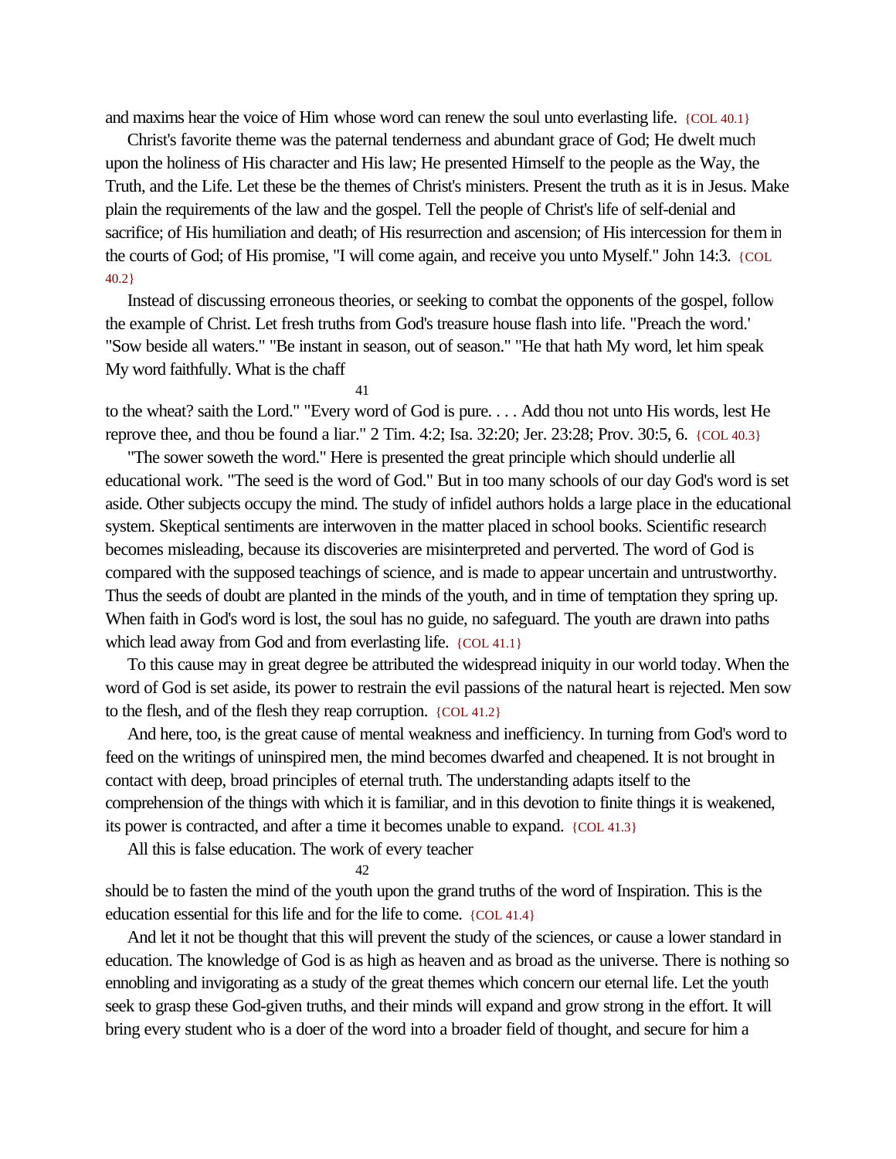and maxims hear the voice of Him whose word can renew the soul unto everlasting life. {COL 40.1}

 Christ's favorite theme was the paternal tenderness and abundant grace of God; He dwelt much upon the holiness of His character and His law; He presented Himself to the people as the Way, the Truth, and the Life. Let these be the themes of Christ's ministers. Present the truth as it is in Jesus. Make plain the requirements of the law and the gospel. Tell the people of Christ's life of self-denial and sacrifice; of His humiliation and death; of His resurrection and ascension; of His intercession for them in the courts of God; of His promise, "I will come again, and receive you unto Myself." John 14:3. {COL 40.2}

 Instead of discussing erroneous theories, or seeking to combat the opponents of the gospel, follow the example of Christ. Let fresh truths from God's treasure house flash into life. "Preach the word." "Sow beside all waters." "Be instant in season, out of season." "He that hath My word, let him speak My word faithfully. What is the chaff

41

to the wheat? saith the Lord." "Every word of God is pure. . . . Add thou not unto His words, lest He reprove thee, and thou be found a liar." 2 Tim. 4:2; Isa. 32:20; Jer. 23:28; Prov. 30:5, 6. {COL 40.3}

 "The sower soweth the word." Here is presented the great principle which should underlie all educational work. "The seed is the word of God." But in too many schools of our day God's word is set aside. Other subjects occupy the mind. The study of infidel authors holds a large place in the educational system. Skeptical sentiments are interwoven in the matter placed in school books. Scientific research becomes misleading, because its discoveries are misinterpreted and perverted. The word of God is compared with the supposed teachings of science, and is made to appear uncertain and untrustworthy. Thus the seeds of doubt are planted in the minds of the youth, and in time of temptation they spring up. When faith in God's word is lost, the soul has no guide, no safeguard. The youth are drawn into paths which lead away from God and from everlasting life. {COL 41.1}

 To this cause may in great degree be attributed the widespread iniquity in our world today. When the word of God is set aside, its power to restrain the evil passions of the natural heart is rejected. Men sow to the flesh, and of the flesh they reap corruption. {COL 41.2}

 And here, too, is the great cause of mental weakness and inefficiency. In turning from God's word to feed on the writings of uninspired men, the mind becomes dwarfed and cheapened. It is not brought in contact with deep, broad principles of eternal truth. The understanding adapts itself to the comprehension of the things with which it is familiar, and in this devotion to finite things it is weakened, its power is contracted, and after a time it becomes unable to expand. {COL 41.3}

All this is false education. The work of every teacher

42

should be to fasten the mind of the youth upon the grand truths of the word of Inspiration. This is the education essential for this life and for the life to come. {COL 41.4}

 And let it not be thought that this will prevent the study of the sciences, or cause a lower standard in education. The knowledge of God is as high as heaven and as broad as the universe. There is nothing so ennobling and invigorating as a study of the great themes which concern our eternal life. Let the youth seek to grasp these God-given truths, and their minds will expand and grow strong in the effort. It will bring every student who is a doer of the word into a broader field of thought, and secure for him a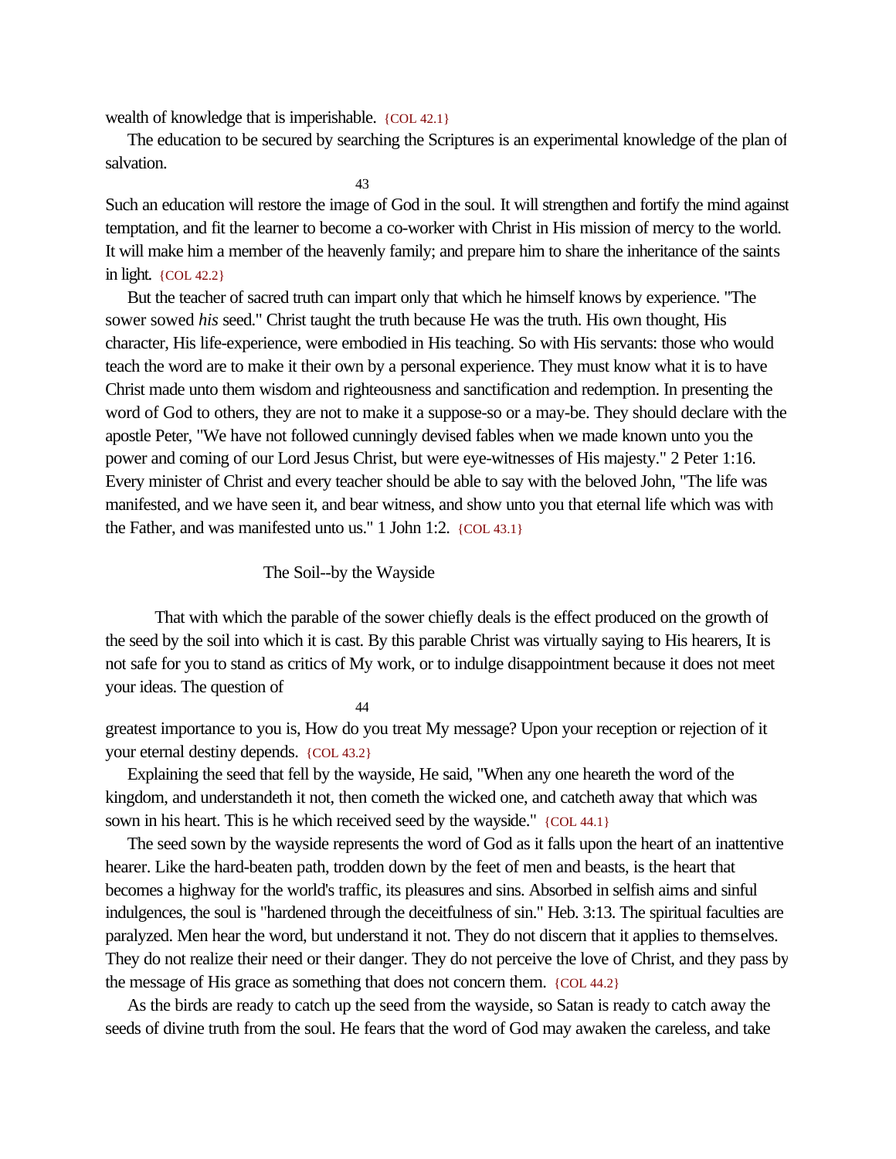wealth of knowledge that is imperishable. {COL 42.1}

43

 The education to be secured by searching the Scriptures is an experimental knowledge of the plan of salvation.

Such an education will restore the image of God in the soul. It will strengthen and fortify the mind against temptation, and fit the learner to become a co-worker with Christ in His mission of mercy to the world. It will make him a member of the heavenly family; and prepare him to share the inheritance of the saints in light.  $\{COL\ 42.2\}$ 

 But the teacher of sacred truth can impart only that which he himself knows by experience. "The sower sowed *his* seed." Christ taught the truth because He was the truth. His own thought, His character, His life-experience, were embodied in His teaching. So with His servants: those who would teach the word are to make it their own by a personal experience. They must know what it is to have Christ made unto them wisdom and righteousness and sanctification and redemption. In presenting the word of God to others, they are not to make it a suppose-so or a may-be. They should declare with the apostle Peter, "We have not followed cunningly devised fables when we made known unto you the power and coming of our Lord Jesus Christ, but were eye-witnesses of His majesty." 2 Peter 1:16. Every minister of Christ and every teacher should be able to say with the beloved John, "The life was manifested, and we have seen it, and bear witness, and show unto you that eternal life which was with the Father, and was manifested unto us." 1 John 1:2. {COL 43.1}

The Soil--by the Wayside

 That with which the parable of the sower chiefly deals is the effect produced on the growth of the seed by the soil into which it is cast. By this parable Christ was virtually saying to His hearers, It is not safe for you to stand as critics of My work, or to indulge disappointment because it does not meet your ideas. The question of

44

greatest importance to you is, How do you treat My message? Upon your reception or rejection of it your eternal destiny depends. {COL 43.2}

 Explaining the seed that fell by the wayside, He said, "When any one heareth the word of the kingdom, and understandeth it not, then cometh the wicked one, and catcheth away that which was sown in his heart. This is he which received seed by the wayside." {COL 44.1}

 The seed sown by the wayside represents the word of God as it falls upon the heart of an inattentive hearer. Like the hard-beaten path, trodden down by the feet of men and beasts, is the heart that becomes a highway for the world's traffic, its pleasures and sins. Absorbed in selfish aims and sinful indulgences, the soul is "hardened through the deceitfulness of sin." Heb. 3:13. The spiritual faculties are paralyzed. Men hear the word, but understand it not. They do not discern that it applies to themselves. They do not realize their need or their danger. They do not perceive the love of Christ, and they pass by the message of His grace as something that does not concern them. {COL 44.2}

 As the birds are ready to catch up the seed from the wayside, so Satan is ready to catch away the seeds of divine truth from the soul. He fears that the word of God may awaken the careless, and take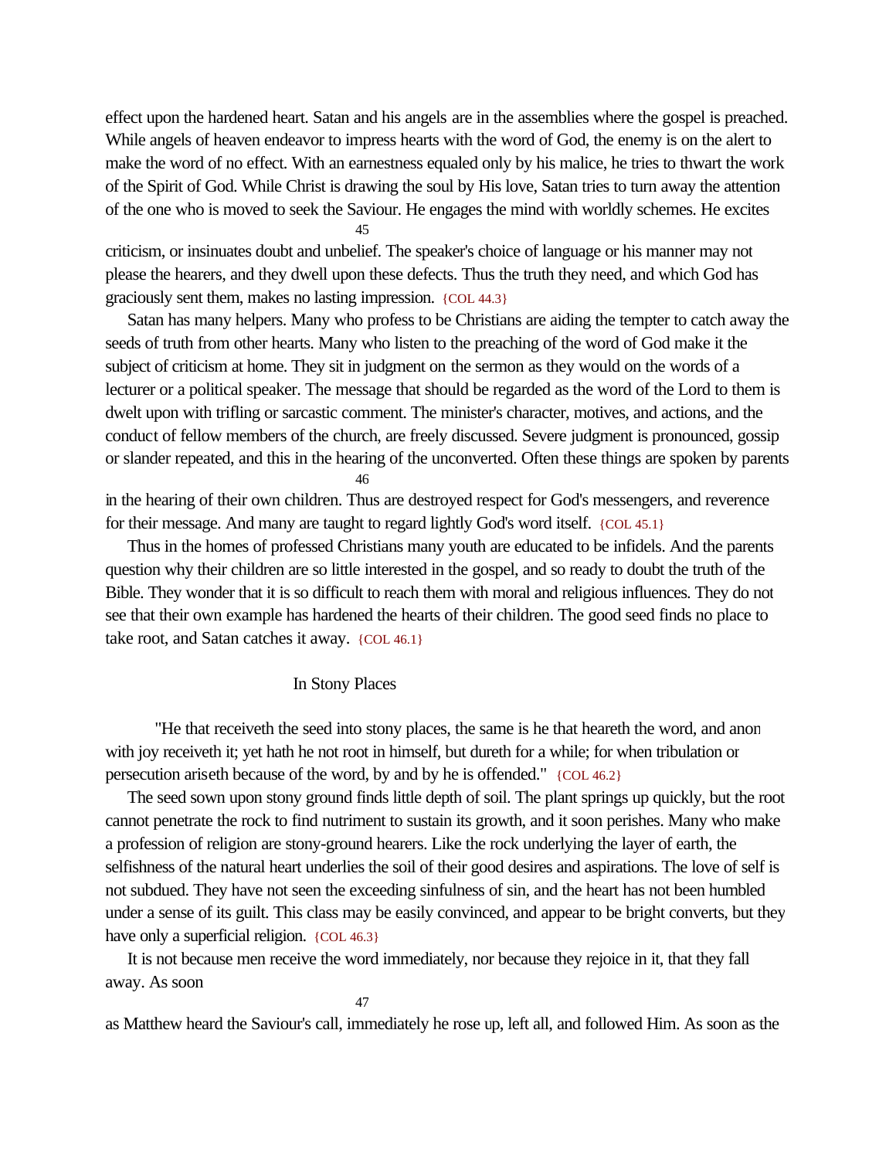effect upon the hardened heart. Satan and his angels are in the assemblies where the gospel is preached. While angels of heaven endeavor to impress hearts with the word of God, the enemy is on the alert to make the word of no effect. With an earnestness equaled only by his malice, he tries to thwart the work of the Spirit of God. While Christ is drawing the soul by His love, Satan tries to turn away the attention of the one who is moved to seek the Saviour. He engages the mind with worldly schemes. He excites

45

criticism, or insinuates doubt and unbelief. The speaker's choice of language or his manner may not please the hearers, and they dwell upon these defects. Thus the truth they need, and which God has graciously sent them, makes no lasting impression. {COL 44.3}

 Satan has many helpers. Many who profess to be Christians are aiding the tempter to catch away the seeds of truth from other hearts. Many who listen to the preaching of the word of God make it the subject of criticism at home. They sit in judgment on the sermon as they would on the words of a lecturer or a political speaker. The message that should be regarded as the word of the Lord to them is dwelt upon with trifling or sarcastic comment. The minister's character, motives, and actions, and the conduct of fellow members of the church, are freely discussed. Severe judgment is pronounced, gossip or slander repeated, and this in the hearing of the unconverted. Often these things are spoken by parents 46

in the hearing of their own children. Thus are destroyed respect for God's messengers, and reverence for their message. And many are taught to regard lightly God's word itself. {COL 45.1}

 Thus in the homes of professed Christians many youth are educated to be infidels. And the parents question why their children are so little interested in the gospel, and so ready to doubt the truth of the Bible. They wonder that it is so difficult to reach them with moral and religious influences. They do not see that their own example has hardened the hearts of their children. The good seed finds no place to take root, and Satan catches it away. {COL 46.1}

## In Stony Places

 "He that receiveth the seed into stony places, the same is he that heareth the word, and anon with joy receiveth it; yet hath he not root in himself, but dureth for a while; for when tribulation or persecution ariseth because of the word, by and by he is offended."  ${COL}$  46.2}

 The seed sown upon stony ground finds little depth of soil. The plant springs up quickly, but the root cannot penetrate the rock to find nutriment to sustain its growth, and it soon perishes. Many who make a profession of religion are stony-ground hearers. Like the rock underlying the layer of earth, the selfishness of the natural heart underlies the soil of their good desires and aspirations. The love of self is not subdued. They have not seen the exceeding sinfulness of sin, and the heart has not been humbled under a sense of its guilt. This class may be easily convinced, and appear to be bright converts, but they have only a superficial religion. {COL 46.3}

 It is not because men receive the word immediately, nor because they rejoice in it, that they fall away. As soon

47

as Matthew heard the Saviour's call, immediately he rose up, left all, and followed Him. As soon as the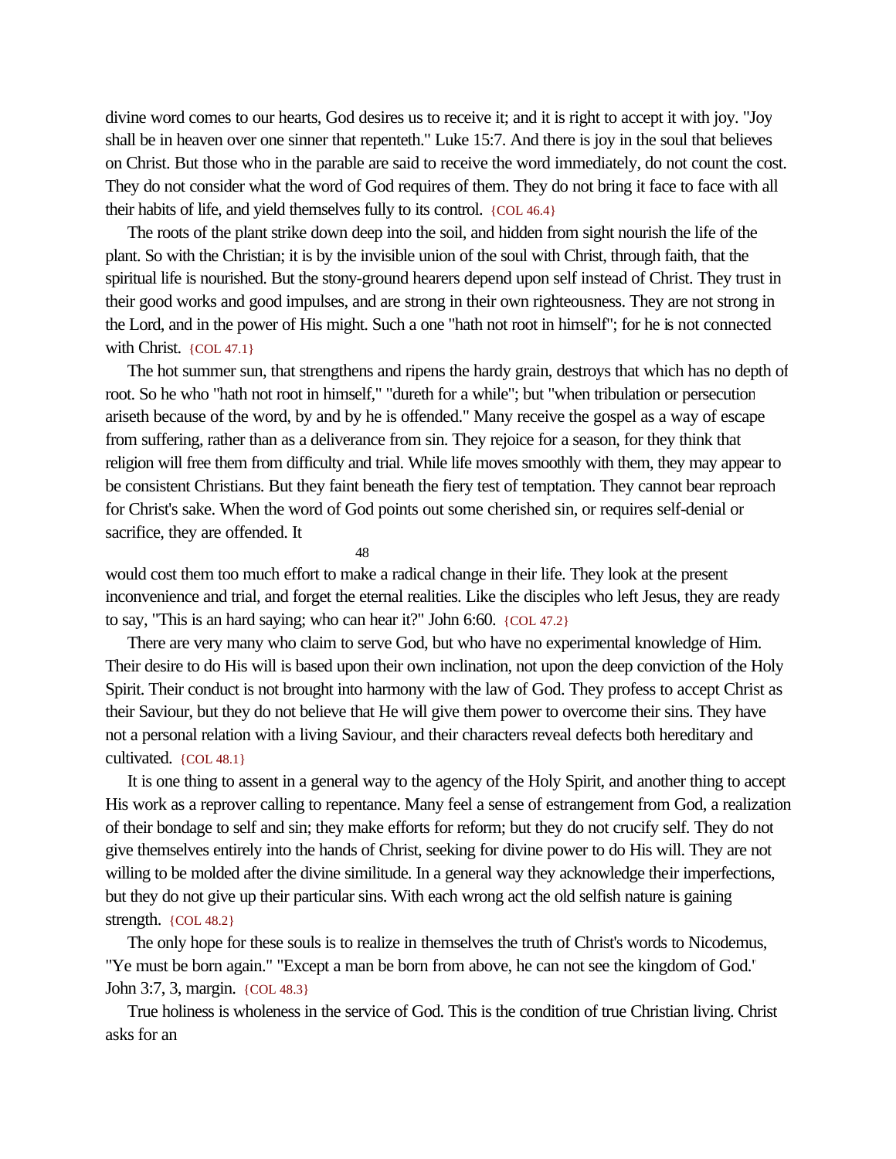divine word comes to our hearts, God desires us to receive it; and it is right to accept it with joy. "Joy shall be in heaven over one sinner that repenteth." Luke 15:7. And there is joy in the soul that believes on Christ. But those who in the parable are said to receive the word immediately, do not count the cost. They do not consider what the word of God requires of them. They do not bring it face to face with all their habits of life, and yield themselves fully to its control. {COL 46.4}

 The roots of the plant strike down deep into the soil, and hidden from sight nourish the life of the plant. So with the Christian; it is by the invisible union of the soul with Christ, through faith, that the spiritual life is nourished. But the stony-ground hearers depend upon self instead of Christ. They trust in their good works and good impulses, and are strong in their own righteousness. They are not strong in the Lord, and in the power of His might. Such a one "hath not root in himself"; for he is not connected with Christ. {COL 47.1}

 The hot summer sun, that strengthens and ripens the hardy grain, destroys that which has no depth of root. So he who "hath not root in himself," "dureth for a while"; but "when tribulation or persecution ariseth because of the word, by and by he is offended." Many receive the gospel as a way of escape from suffering, rather than as a deliverance from sin. They rejoice for a season, for they think that religion will free them from difficulty and trial. While life moves smoothly with them, they may appear to be consistent Christians. But they faint beneath the fiery test of temptation. They cannot bear reproach for Christ's sake. When the word of God points out some cherished sin, or requires self-denial or sacrifice, they are offended. It

48

would cost them too much effort to make a radical change in their life. They look at the present inconvenience and trial, and forget the eternal realities. Like the disciples who left Jesus, they are ready to say, "This is an hard saying; who can hear it?" John 6:60. {COL 47.2}

 There are very many who claim to serve God, but who have no experimental knowledge of Him. Their desire to do His will is based upon their own inclination, not upon the deep conviction of the Holy Spirit. Their conduct is not brought into harmony with the law of God. They profess to accept Christ as their Saviour, but they do not believe that He will give them power to overcome their sins. They have not a personal relation with a living Saviour, and their characters reveal defects both hereditary and cultivated. {COL 48.1}

 It is one thing to assent in a general way to the agency of the Holy Spirit, and another thing to accept His work as a reprover calling to repentance. Many feel a sense of estrangement from God, a realization of their bondage to self and sin; they make efforts for reform; but they do not crucify self. They do not give themselves entirely into the hands of Christ, seeking for divine power to do His will. They are not willing to be molded after the divine similitude. In a general way they acknowledge their imperfections, but they do not give up their particular sins. With each wrong act the old selfish nature is gaining strength. {COL 48.2}

 The only hope for these souls is to realize in themselves the truth of Christ's words to Nicodemus, "Ye must be born again." "Except a man be born from above, he can not see the kingdom of God." John 3:7, 3, margin. {COL 48.3}

 True holiness is wholeness in the service of God. This is the condition of true Christian living. Christ asks for an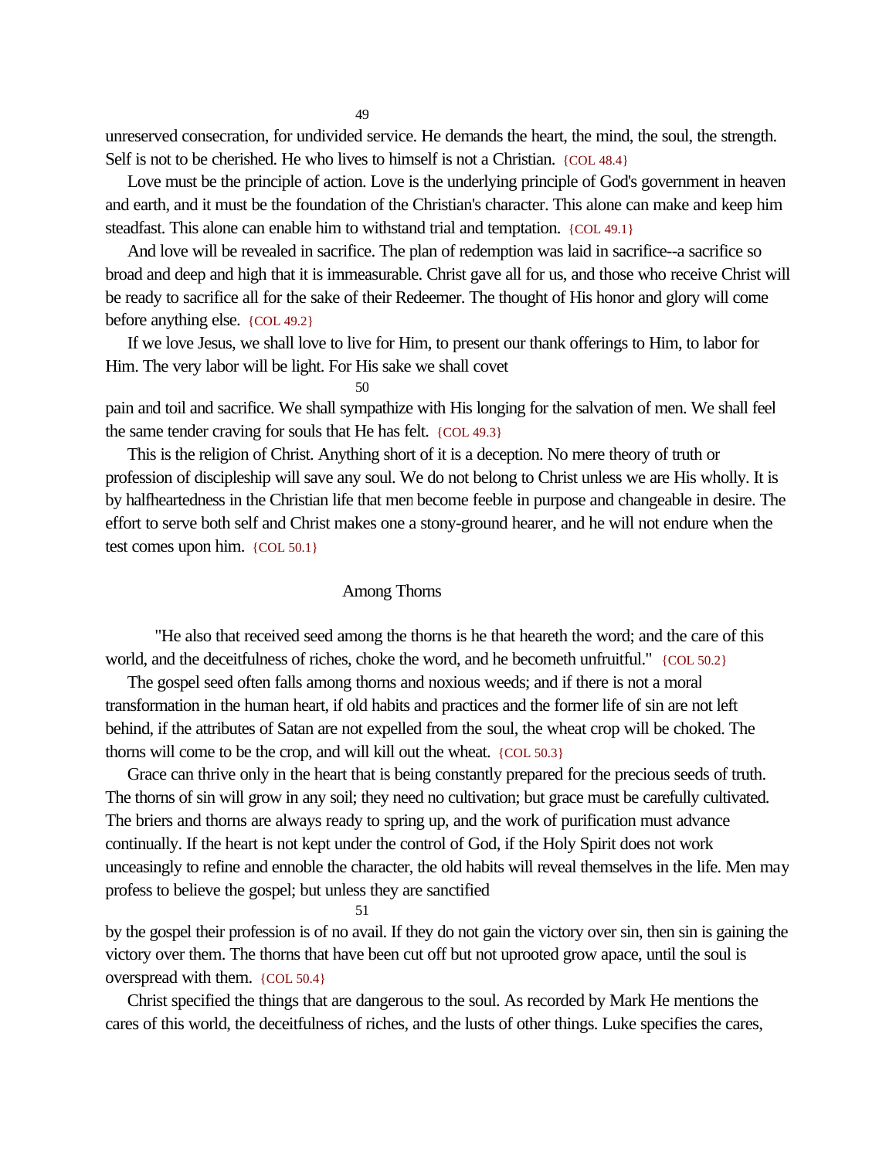unreserved consecration, for undivided service. He demands the heart, the mind, the soul, the strength. Self is not to be cherished. He who lives to himself is not a Christian. {COL 48.4}

 Love must be the principle of action. Love is the underlying principle of God's government in heaven and earth, and it must be the foundation of the Christian's character. This alone can make and keep him steadfast. This alone can enable him to withstand trial and temptation. {COL 49.1}

 And love will be revealed in sacrifice. The plan of redemption was laid in sacrifice--a sacrifice so broad and deep and high that it is immeasurable. Christ gave all for us, and those who receive Christ will be ready to sacrifice all for the sake of their Redeemer. The thought of His honor and glory will come before anything else. {COL 49.2}

 If we love Jesus, we shall love to live for Him, to present our thank offerings to Him, to labor for Him. The very labor will be light. For His sake we shall covet

50

pain and toil and sacrifice. We shall sympathize with His longing for the salvation of men. We shall feel the same tender craving for souls that He has felt. {COL 49.3}

 This is the religion of Christ. Anything short of it is a deception. No mere theory of truth or profession of discipleship will save any soul. We do not belong to Christ unless we are His wholly. It is by halfheartedness in the Christian life that men become feeble in purpose and changeable in desire. The effort to serve both self and Christ makes one a stony-ground hearer, and he will not endure when the test comes upon him. {COL 50.1}

### Among Thorns

 "He also that received seed among the thorns is he that heareth the word; and the care of this world, and the deceitfulness of riches, choke the word, and he becometh unfruitful." {COL 50.2}

 The gospel seed often falls among thorns and noxious weeds; and if there is not a moral transformation in the human heart, if old habits and practices and the former life of sin are not left behind, if the attributes of Satan are not expelled from the soul, the wheat crop will be choked. The thorns will come to be the crop, and will kill out the wheat. {COL 50.3}

 Grace can thrive only in the heart that is being constantly prepared for the precious seeds of truth. The thorns of sin will grow in any soil; they need no cultivation; but grace must be carefully cultivated. The briers and thorns are always ready to spring up, and the work of purification must advance continually. If the heart is not kept under the control of God, if the Holy Spirit does not work unceasingly to refine and ennoble the character, the old habits will reveal themselves in the life. Men may profess to believe the gospel; but unless they are sanctified

51

by the gospel their profession is of no avail. If they do not gain the victory over sin, then sin is gaining the victory over them. The thorns that have been cut off but not uprooted grow apace, until the soul is overspread with them. {COL 50.4}

 Christ specified the things that are dangerous to the soul. As recorded by Mark He mentions the cares of this world, the deceitfulness of riches, and the lusts of other things. Luke specifies the cares,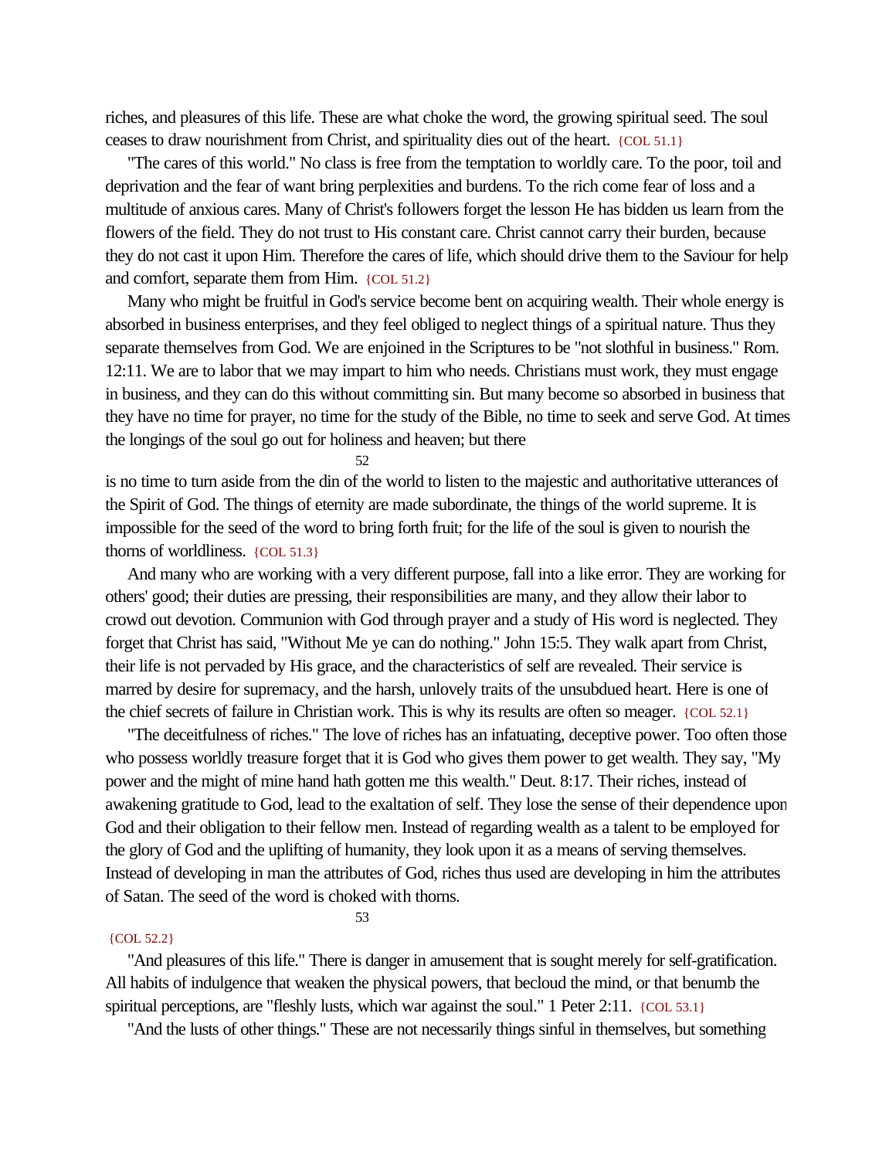riches, and pleasures of this life. These are what choke the word, the growing spiritual seed. The soul ceases to draw nourishment from Christ, and spirituality dies out of the heart. {COL 51.1}

 "The cares of this world." No class is free from the temptation to worldly care. To the poor, toil and deprivation and the fear of want bring perplexities and burdens. To the rich come fear of loss and a multitude of anxious cares. Many of Christ's followers forget the lesson He has bidden us learn from the flowers of the field. They do not trust to His constant care. Christ cannot carry their burden, because they do not cast it upon Him. Therefore the cares of life, which should drive them to the Saviour for help and comfort, separate them from Him. {COL 51.2}

 Many who might be fruitful in God's service become bent on acquiring wealth. Their whole energy is absorbed in business enterprises, and they feel obliged to neglect things of a spiritual nature. Thus they separate themselves from God. We are enjoined in the Scriptures to be "not slothful in business." Rom. 12:11. We are to labor that we may impart to him who needs. Christians must work, they must engage in business, and they can do this without committing sin. But many become so absorbed in business that they have no time for prayer, no time for the study of the Bible, no time to seek and serve God. At times the longings of the soul go out for holiness and heaven; but there

is no time to turn aside from the din of the world to listen to the majestic and authoritative utterances of the Spirit of God. The things of eternity are made subordinate, the things of the world supreme. It is impossible for the seed of the word to bring forth fruit; for the life of the soul is given to nourish the thorns of worldliness. {COL 51.3}

 And many who are working with a very different purpose, fall into a like error. They are working for others' good; their duties are pressing, their responsibilities are many, and they allow their labor to crowd out devotion. Communion with God through prayer and a study of His word is neglected. They forget that Christ has said, "Without Me ye can do nothing." John 15:5. They walk apart from Christ, their life is not pervaded by His grace, and the characteristics of self are revealed. Their service is marred by desire for supremacy, and the harsh, unlovely traits of the unsubdued heart. Here is one of the chief secrets of failure in Christian work. This is why its results are often so meager. {COL 52.1}

 "The deceitfulness of riches." The love of riches has an infatuating, deceptive power. Too often those who possess worldly treasure forget that it is God who gives them power to get wealth. They say, "My power and the might of mine hand hath gotten me this wealth." Deut. 8:17. Their riches, instead of awakening gratitude to God, lead to the exaltation of self. They lose the sense of their dependence upon God and their obligation to their fellow men. Instead of regarding wealth as a talent to be employed for the glory of God and the uplifting of humanity, they look upon it as a means of serving themselves. Instead of developing in man the attributes of God, riches thus used are developing in him the attributes of Satan. The seed of the word is choked with thorns.

### {COL 52.2}

52

53

 "And pleasures of this life." There is danger in amusement that is sought merely for self-gratification. All habits of indulgence that weaken the physical powers, that becloud the mind, or that benumb the spiritual perceptions, are "fleshly lusts, which war against the soul." 1 Peter 2:11. {COL 53.1}

"And the lusts of other things." These are not necessarily things sinful in themselves, but something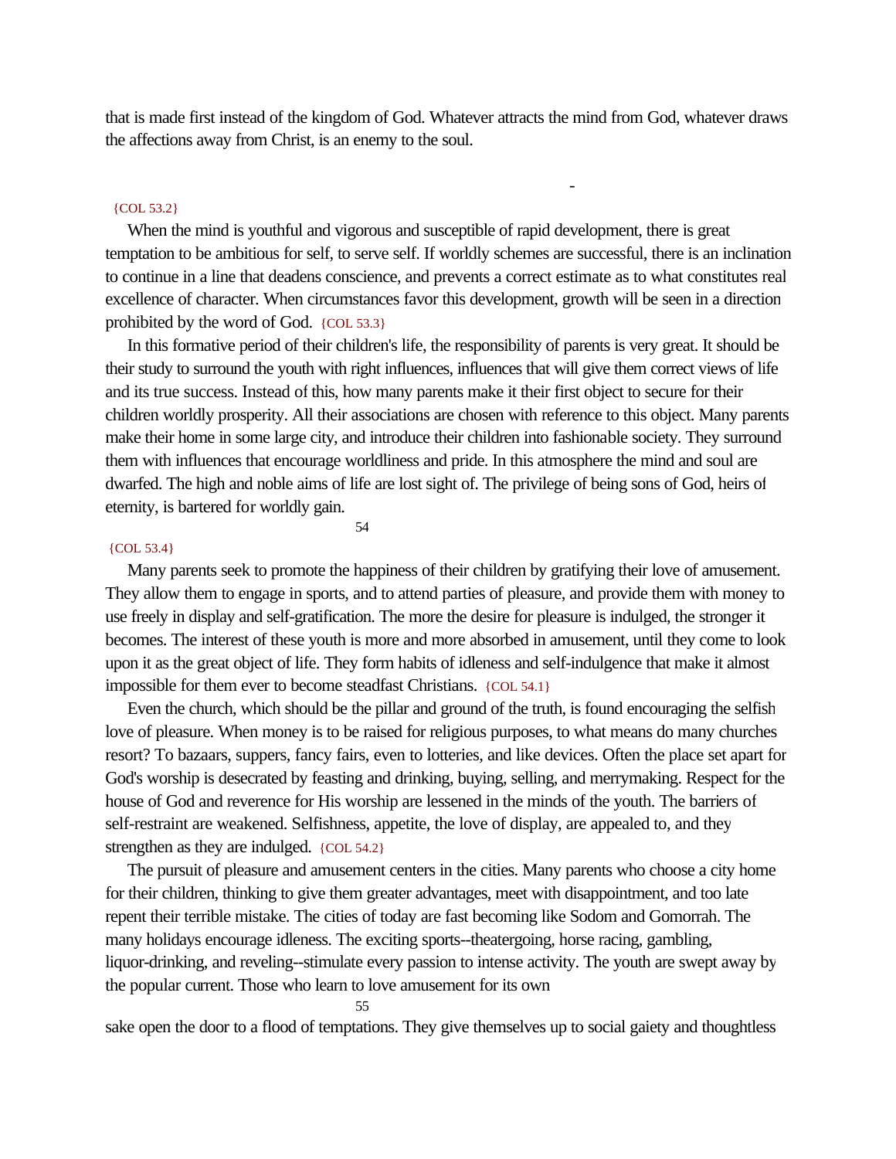that is made first instead of the kingdom of God. Whatever attracts the mind from God, whatever draws the affections away from Christ, is an enemy to the soul.

### {COL 53.2}

 When the mind is youthful and vigorous and susceptible of rapid development, there is great temptation to be ambitious for self, to serve self. If worldly schemes are successful, there is an inclination to continue in a line that deadens conscience, and prevents a correct estimate as to what constitutes real excellence of character. When circumstances favor this development, growth will be seen in a direction prohibited by the word of God. {COL 53.3}

 In this formative period of their children's life, the responsibility of parents is very great. It should be their study to surround the youth with right influences, influences that will give them correct views of life and its true success. Instead of this, how many parents make it their first object to secure for their children worldly prosperity. All their associations are chosen with reference to this object. Many parents make their home in some large city, and introduce their children into fashionable society. They surround them with influences that encourage worldliness and pride. In this atmosphere the mind and soul are dwarfed. The high and noble aims of life are lost sight of. The privilege of being sons of God, heirs of eternity, is bartered for worldly gain.

#### 54

and the state of the state of the state of the state of the state of the state of the state of the state of th

### {COL 53.4}

 Many parents seek to promote the happiness of their children by gratifying their love of amusement. They allow them to engage in sports, and to attend parties of pleasure, and provide them with money to use freely in display and self-gratification. The more the desire for pleasure is indulged, the stronger it becomes. The interest of these youth is more and more absorbed in amusement, until they come to look upon it as the great object of life. They form habits of idleness and self-indulgence that make it almost impossible for them ever to become steadfast Christians. {COL 54.1}

 Even the church, which should be the pillar and ground of the truth, is found encouraging the selfish love of pleasure. When money is to be raised for religious purposes, to what means do many churches resort? To bazaars, suppers, fancy fairs, even to lotteries, and like devices. Often the place set apart for God's worship is desecrated by feasting and drinking, buying, selling, and merrymaking. Respect for the house of God and reverence for His worship are lessened in the minds of the youth. The barriers of self-restraint are weakened. Selfishness, appetite, the love of display, are appealed to, and they strengthen as they are indulged. {COL 54.2}

 The pursuit of pleasure and amusement centers in the cities. Many parents who choose a city home for their children, thinking to give them greater advantages, meet with disappointment, and too late repent their terrible mistake. The cities of today are fast becoming like Sodom and Gomorrah. The many holidays encourage idleness. The exciting sports--theatergoing, horse racing, gambling, liquor-drinking, and reveling--stimulate every passion to intense activity. The youth are swept away by the popular current. Those who learn to love amusement for its own

 $55$ 

sake open the door to a flood of temptations. They give themselves up to social gaiety and thoughtless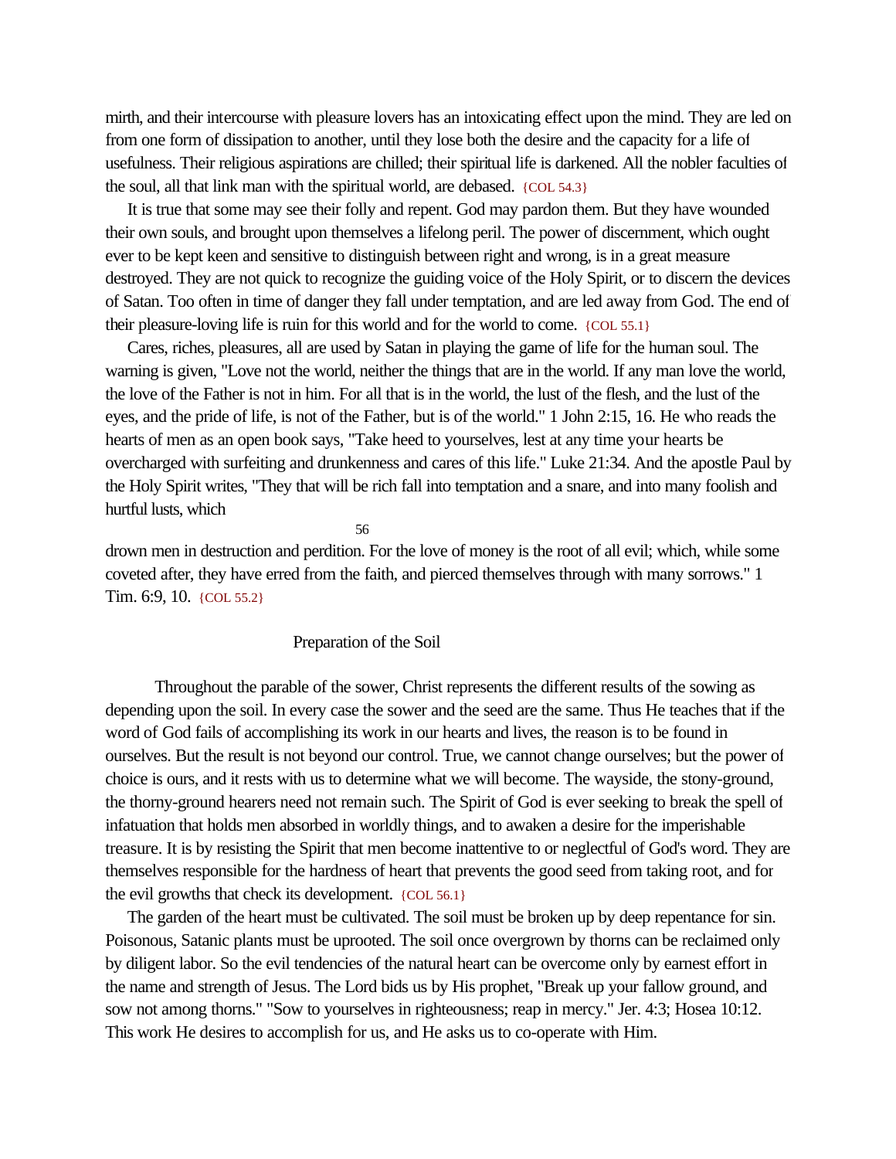mirth, and their intercourse with pleasure lovers has an intoxicating effect upon the mind. They are led on from one form of dissipation to another, until they lose both the desire and the capacity for a life of usefulness. Their religious aspirations are chilled; their spiritual life is darkened. All the nobler faculties of the soul, all that link man with the spiritual world, are debased. {COL 54.3}

 It is true that some may see their folly and repent. God may pardon them. But they have wounded their own souls, and brought upon themselves a lifelong peril. The power of discernment, which ought ever to be kept keen and sensitive to distinguish between right and wrong, is in a great measure destroyed. They are not quick to recognize the guiding voice of the Holy Spirit, or to discern the devices of Satan. Too often in time of danger they fall under temptation, and are led away from God. The end of their pleasure-loving life is ruin for this world and for the world to come. {COL 55.1}

 Cares, riches, pleasures, all are used by Satan in playing the game of life for the human soul. The warning is given, "Love not the world, neither the things that are in the world. If any man love the world, the love of the Father is not in him. For all that is in the world, the lust of the flesh, and the lust of the eyes, and the pride of life, is not of the Father, but is of the world." 1 John 2:15, 16. He who reads the hearts of men as an open book says, "Take heed to yourselves, lest at any time your hearts be overcharged with surfeiting and drunkenness and cares of this life." Luke 21:34. And the apostle Paul by the Holy Spirit writes, "They that will be rich fall into temptation and a snare, and into many foolish and hurtful lusts, which

 $56$ 

drown men in destruction and perdition. For the love of money is the root of all evil; which, while some coveted after, they have erred from the faith, and pierced themselves through with many sorrows." 1 Tim. 6:9, 10. {COL 55.2}

### Preparation of the Soil

 Throughout the parable of the sower, Christ represents the different results of the sowing as depending upon the soil. In every case the sower and the seed are the same. Thus He teaches that if the word of God fails of accomplishing its work in our hearts and lives, the reason is to be found in ourselves. But the result is not beyond our control. True, we cannot change ourselves; but the power of choice is ours, and it rests with us to determine what we will become. The wayside, the stony-ground, the thorny-ground hearers need not remain such. The Spirit of God is ever seeking to break the spell of infatuation that holds men absorbed in worldly things, and to awaken a desire for the imperishable treasure. It is by resisting the Spirit that men become inattentive to or neglectful of God's word. They are themselves responsible for the hardness of heart that prevents the good seed from taking root, and for the evil growths that check its development. {COL 56.1}

 The garden of the heart must be cultivated. The soil must be broken up by deep repentance for sin. Poisonous, Satanic plants must be uprooted. The soil once overgrown by thorns can be reclaimed only by diligent labor. So the evil tendencies of the natural heart can be overcome only by earnest effort in the name and strength of Jesus. The Lord bids us by His prophet, "Break up your fallow ground, and sow not among thorns." "Sow to yourselves in righteousness; reap in mercy." Jer. 4:3; Hosea 10:12. This work He desires to accomplish for us, and He asks us to co-operate with Him.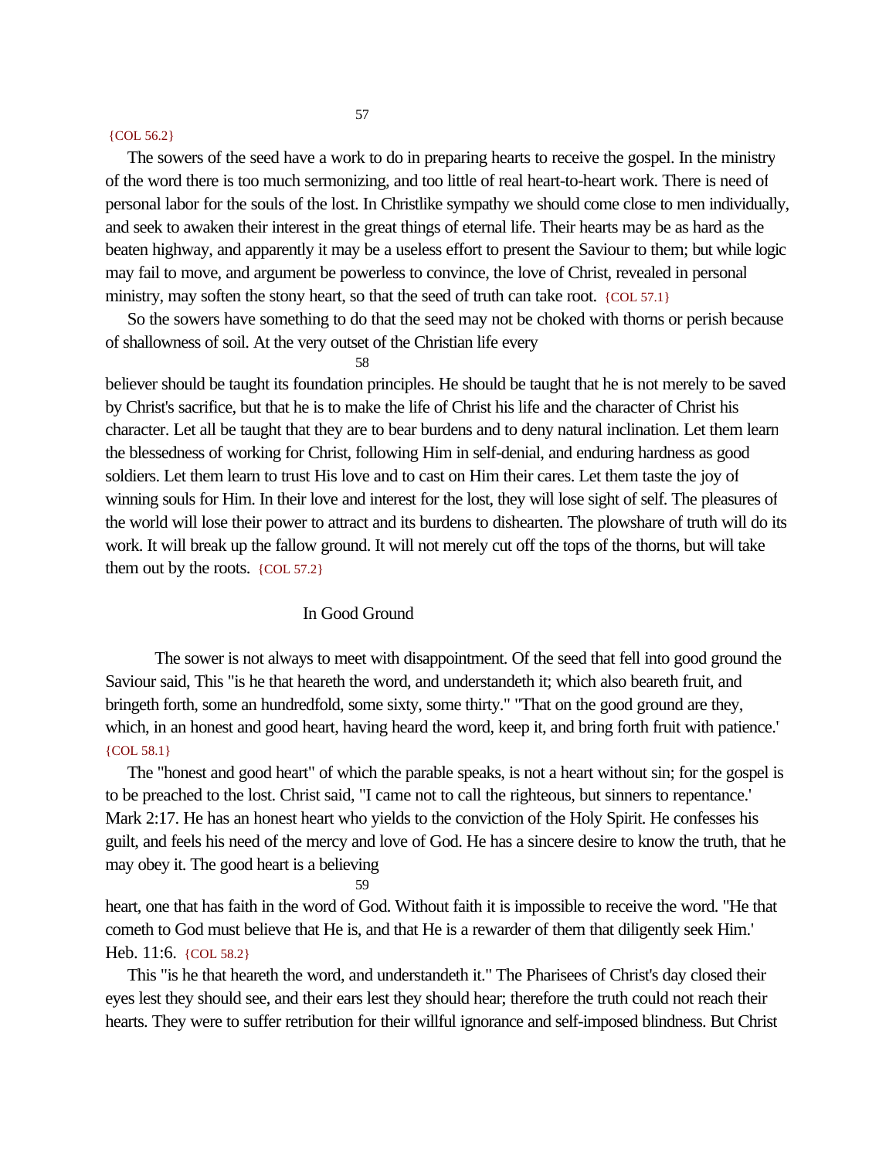### {COL 56.2}

 The sowers of the seed have a work to do in preparing hearts to receive the gospel. In the ministry of the word there is too much sermonizing, and too little of real heart-to-heart work. There is need of personal labor for the souls of the lost. In Christlike sympathy we should come close to men individually, and seek to awaken their interest in the great things of eternal life. Their hearts may be as hard as the beaten highway, and apparently it may be a useless effort to present the Saviour to them; but while logic may fail to move, and argument be powerless to convince, the love of Christ, revealed in personal ministry, may soften the stony heart, so that the seed of truth can take root. {COL 57.1}

 So the sowers have something to do that the seed may not be choked with thorns or perish because of shallowness of soil. At the very outset of the Christian life every

#### 58

believer should be taught its foundation principles. He should be taught that he is not merely to be saved by Christ's sacrifice, but that he is to make the life of Christ his life and the character of Christ his character. Let all be taught that they are to bear burdens and to deny natural inclination. Let them learn the blessedness of working for Christ, following Him in self-denial, and enduring hardness as good soldiers. Let them learn to trust His love and to cast on Him their cares. Let them taste the joy of winning souls for Him. In their love and interest for the lost, they will lose sight of self. The pleasures of the world will lose their power to attract and its burdens to dishearten. The plowshare of truth will do its work. It will break up the fallow ground. It will not merely cut off the tops of the thorns, but will take them out by the roots.  ${COL 57.2}$ 

### In Good Ground

 The sower is not always to meet with disappointment. Of the seed that fell into good ground the Saviour said, This "is he that heareth the word, and understandeth it; which also beareth fruit, and bringeth forth, some an hundredfold, some sixty, some thirty." "That on the good ground are they, which, in an honest and good heart, having heard the word, keep it, and bring forth fruit with patience." {COL 58.1}

 The "honest and good heart" of which the parable speaks, is not a heart without sin; for the gospel is to be preached to the lost. Christ said, "I came not to call the righteous, but sinners to repentance." Mark 2:17. He has an honest heart who yields to the conviction of the Holy Spirit. He confesses his guilt, and feels his need of the mercy and love of God. He has a sincere desire to know the truth, that he may obey it. The good heart is a believing

$$
59\overline{)
$$

heart, one that has faith in the word of God. Without faith it is impossible to receive the word. "He that cometh to God must believe that He is, and that He is a rewarder of them that diligently seek Him." Heb. 11:6. {COL 58.2}

 This "is he that heareth the word, and understandeth it." The Pharisees of Christ's day closed their eyes lest they should see, and their ears lest they should hear; therefore the truth could not reach their hearts. They were to suffer retribution for their willful ignorance and self-imposed blindness. But Christ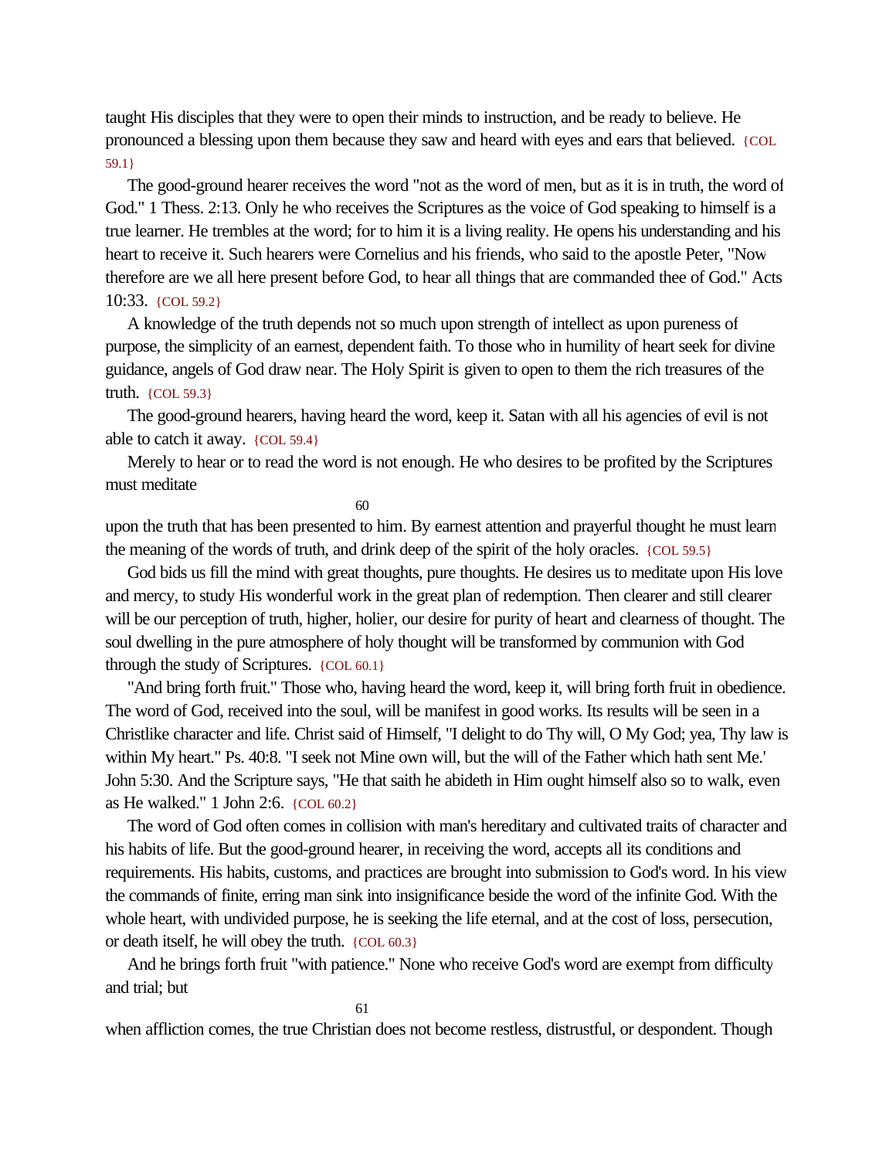taught His disciples that they were to open their minds to instruction, and be ready to believe. He pronounced a blessing upon them because they saw and heard with eyes and ears that believed. {COL 59.1}

 The good-ground hearer receives the word "not as the word of men, but as it is in truth, the word of God." 1 Thess. 2:13. Only he who receives the Scriptures as the voice of God speaking to himself is a true learner. He trembles at the word; for to him it is a living reality. He opens his understanding and his heart to receive it. Such hearers were Cornelius and his friends, who said to the apostle Peter, "Now therefore are we all here present before God, to hear all things that are commanded thee of God." Acts 10:33. {COL 59.2}

 A knowledge of the truth depends not so much upon strength of intellect as upon pureness of purpose, the simplicity of an earnest, dependent faith. To those who in humility of heart seek for divine guidance, angels of God draw near. The Holy Spirit is given to open to them the rich treasures of the truth.  $\{COL 59.3\}$ 

 The good-ground hearers, having heard the word, keep it. Satan with all his agencies of evil is not able to catch it away. {COL 59.4}

 Merely to hear or to read the word is not enough. He who desires to be profited by the Scriptures must meditate

60

upon the truth that has been presented to him. By earnest attention and prayerful thought he must learn the meaning of the words of truth, and drink deep of the spirit of the holy oracles. {COL 59.5}

 God bids us fill the mind with great thoughts, pure thoughts. He desires us to meditate upon His love and mercy, to study His wonderful work in the great plan of redemption. Then clearer and still clearer will be our perception of truth, higher, holier, our desire for purity of heart and clearness of thought. The soul dwelling in the pure atmosphere of holy thought will be transformed by communion with God through the study of Scriptures. {COL 60.1}

 "And bring forth fruit." Those who, having heard the word, keep it, will bring forth fruit in obedience. The word of God, received into the soul, will be manifest in good works. Its results will be seen in a Christlike character and life. Christ said of Himself, "I delight to do Thy will, O My God; yea, Thy law is within My heart." Ps. 40:8. "I seek not Mine own will, but the will of the Father which hath sent Me." John 5:30. And the Scripture says, "He that saith he abideth in Him ought himself also so to walk, even as He walked." 1 John 2:6. {COL 60.2}

 The word of God often comes in collision with man's hereditary and cultivated traits of character and his habits of life. But the good-ground hearer, in receiving the word, accepts all its conditions and requirements. His habits, customs, and practices are brought into submission to God's word. In his view the commands of finite, erring man sink into insignificance beside the word of the infinite God. With the whole heart, with undivided purpose, he is seeking the life eternal, and at the cost of loss, persecution, or death itself, he will obey the truth. {COL 60.3}

 And he brings forth fruit "with patience." None who receive God's word are exempt from difficulty and trial; but

61

when affliction comes, the true Christian does not become restless, distrustful, or despondent. Though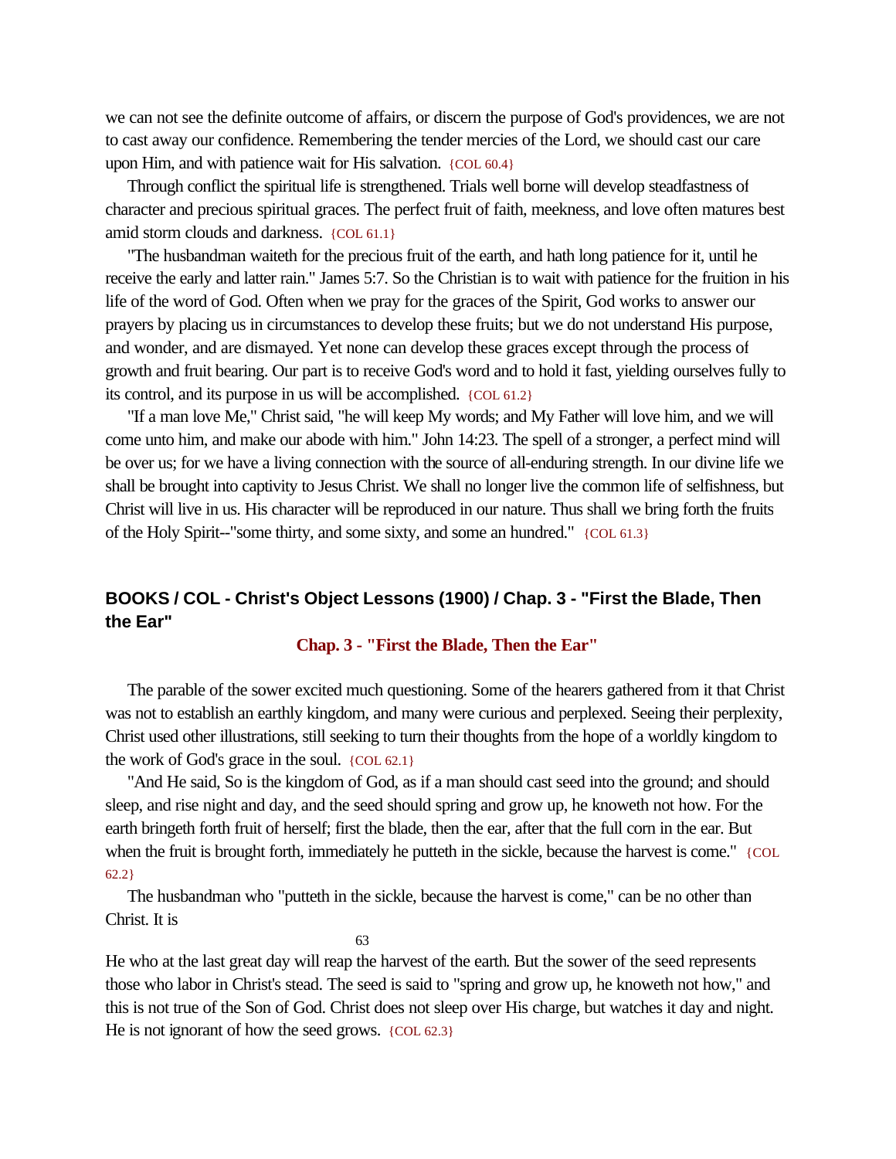we can not see the definite outcome of affairs, or discern the purpose of God's providences, we are not to cast away our confidence. Remembering the tender mercies of the Lord, we should cast our care upon Him, and with patience wait for His salvation. {COL 60.4}

 Through conflict the spiritual life is strengthened. Trials well borne will develop steadfastness of character and precious spiritual graces. The perfect fruit of faith, meekness, and love often matures best amid storm clouds and darkness. {COL 61.1}

 "The husbandman waiteth for the precious fruit of the earth, and hath long patience for it, until he receive the early and latter rain." James 5:7. So the Christian is to wait with patience for the fruition in his life of the word of God. Often when we pray for the graces of the Spirit, God works to answer our prayers by placing us in circumstances to develop these fruits; but we do not understand His purpose, and wonder, and are dismayed. Yet none can develop these graces except through the process of growth and fruit bearing. Our part is to receive God's word and to hold it fast, yielding ourselves fully to its control, and its purpose in us will be accomplished. {COL 61.2}

 "If a man love Me," Christ said, "he will keep My words; and My Father will love him, and we will come unto him, and make our abode with him." John 14:23. The spell of a stronger, a perfect mind will be over us; for we have a living connection with the source of all-enduring strength. In our divine life we shall be brought into captivity to Jesus Christ. We shall no longer live the common life of selfishness, but Christ will live in us. His character will be reproduced in our nature. Thus shall we bring forth the fruits of the Holy Spirit--"some thirty, and some sixty, and some an hundred." {COL 61.3}

# **BOOKS / COL - Christ's Object Lessons (1900) / Chap. 3 - "First the Blade, Then the Ear"**

## **Chap. 3 - "First the Blade, Then the Ear"**

 The parable of the sower excited much questioning. Some of the hearers gathered from it that Christ was not to establish an earthly kingdom, and many were curious and perplexed. Seeing their perplexity, Christ used other illustrations, still seeking to turn their thoughts from the hope of a worldly kingdom to the work of God's grace in the soul.  $\{COL 62.1\}$ 

 "And He said, So is the kingdom of God, as if a man should cast seed into the ground; and should sleep, and rise night and day, and the seed should spring and grow up, he knoweth not how. For the earth bringeth forth fruit of herself; first the blade, then the ear, after that the full corn in the ear. But when the fruit is brought forth, immediately he putteth in the sickle, because the harvest is come." {COL} 62.2}

 The husbandman who "putteth in the sickle, because the harvest is come," can be no other than Christ. It is

63

He who at the last great day will reap the harvest of the earth. But the sower of the seed represents those who labor in Christ's stead. The seed is said to "spring and grow up, he knoweth not how," and this is not true of the Son of God. Christ does not sleep over His charge, but watches it day and night. He is not ignorant of how the seed grows. {COL 62.3}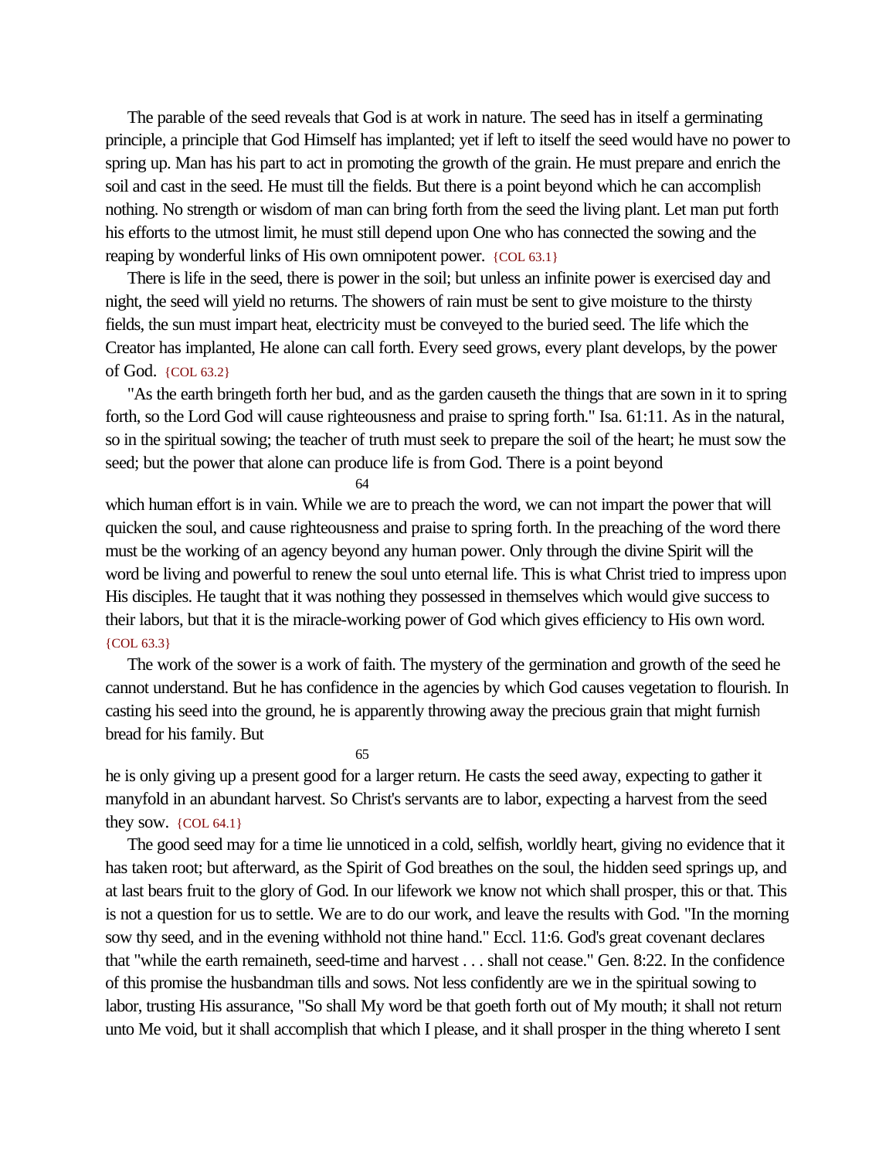The parable of the seed reveals that God is at work in nature. The seed has in itself a germinating principle, a principle that God Himself has implanted; yet if left to itself the seed would have no power to spring up. Man has his part to act in promoting the growth of the grain. He must prepare and enrich the soil and cast in the seed. He must till the fields. But there is a point beyond which he can accomplish nothing. No strength or wisdom of man can bring forth from the seed the living plant. Let man put forth his efforts to the utmost limit, he must still depend upon One who has connected the sowing and the reaping by wonderful links of His own omnipotent power. {COL 63.1}

 There is life in the seed, there is power in the soil; but unless an infinite power is exercised day and night, the seed will yield no returns. The showers of rain must be sent to give moisture to the thirsty fields, the sun must impart heat, electricity must be conveyed to the buried seed. The life which the Creator has implanted, He alone can call forth. Every seed grows, every plant develops, by the power of God.  ${COL 63.2}$ 

 "As the earth bringeth forth her bud, and as the garden causeth the things that are sown in it to spring forth, so the Lord God will cause righteousness and praise to spring forth." Isa. 61:11. As in the natural, so in the spiritual sowing; the teacher of truth must seek to prepare the soil of the heart; he must sow the seed; but the power that alone can produce life is from God. There is a point beyond

which human effort is in vain. While we are to preach the word, we can not impart the power that will quicken the soul, and cause righteousness and praise to spring forth. In the preaching of the word there must be the working of an agency beyond any human power. Only through the divine Spirit will the word be living and powerful to renew the soul unto eternal life. This is what Christ tried to impress upon His disciples. He taught that it was nothing they possessed in themselves which would give success to their labors, but that it is the miracle-working power of God which gives efficiency to His own word. {COL 63.3}

 The work of the sower is a work of faith. The mystery of the germination and growth of the seed he cannot understand. But he has confidence in the agencies by which God causes vegetation to flourish. In casting his seed into the ground, he is apparently throwing away the precious grain that might furnish bread for his family. But

 $65$ 

64

he is only giving up a present good for a larger return. He casts the seed away, expecting to gather it manyfold in an abundant harvest. So Christ's servants are to labor, expecting a harvest from the seed they sow.  $\{COL 64.1\}$ 

 The good seed may for a time lie unnoticed in a cold, selfish, worldly heart, giving no evidence that it has taken root; but afterward, as the Spirit of God breathes on the soul, the hidden seed springs up, and at last bears fruit to the glory of God. In our lifework we know not which shall prosper, this or that. This is not a question for us to settle. We are to do our work, and leave the results with God. "In the morning sow thy seed, and in the evening withhold not thine hand." Eccl. 11:6. God's great covenant declares that "while the earth remaineth, seed-time and harvest . . . shall not cease." Gen. 8:22. In the confidence of this promise the husbandman tills and sows. Not less confidently are we in the spiritual sowing to labor, trusting His assurance, "So shall My word be that goeth forth out of My mouth; it shall not return unto Me void, but it shall accomplish that which I please, and it shall prosper in the thing whereto I sent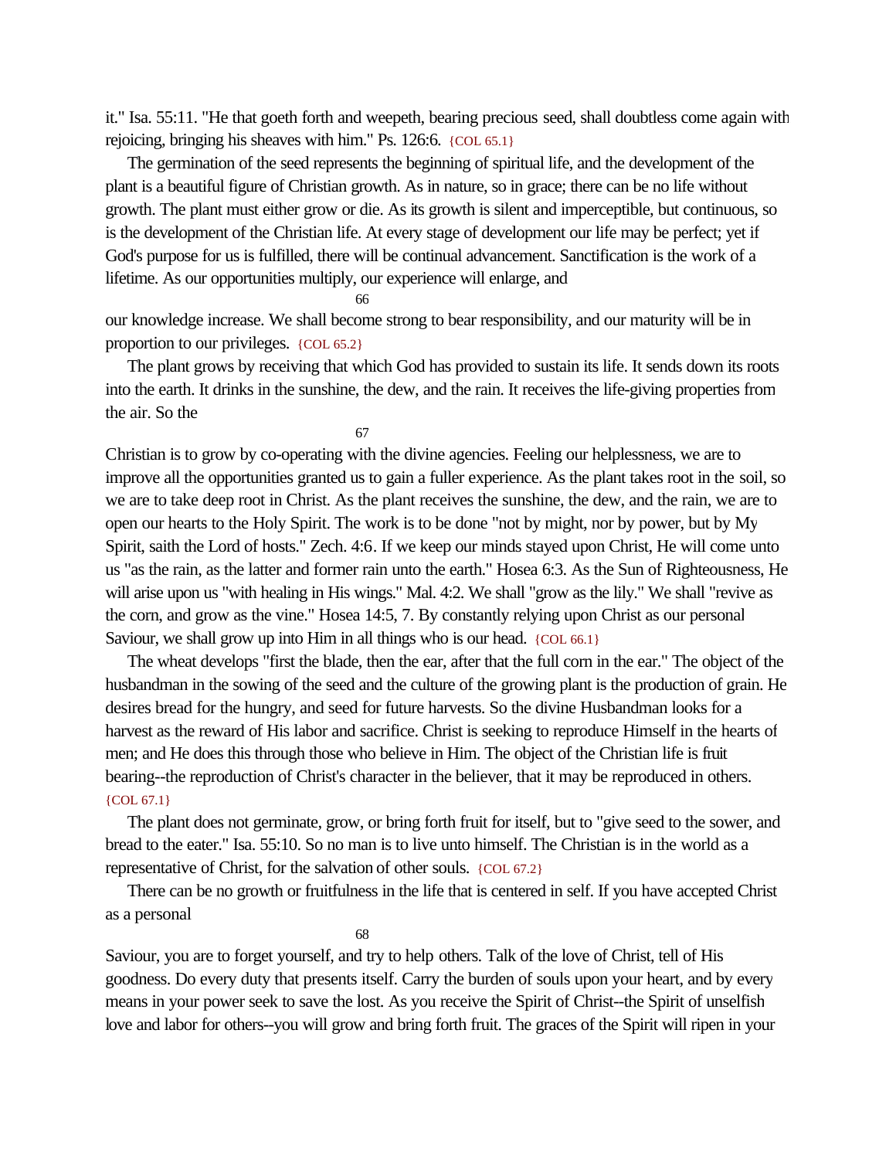it." Isa. 55:11. "He that goeth forth and weepeth, bearing precious seed, shall doubtless come again with rejoicing, bringing his sheaves with him." Ps. 126:6. {COL 65.1}

 The germination of the seed represents the beginning of spiritual life, and the development of the plant is a beautiful figure of Christian growth. As in nature, so in grace; there can be no life without growth. The plant must either grow or die. As its growth is silent and imperceptible, but continuous, so is the development of the Christian life. At every stage of development our life may be perfect; yet if God's purpose for us is fulfilled, there will be continual advancement. Sanctification is the work of a lifetime. As our opportunities multiply, our experience will enlarge, and

 $\sim$  66

67

our knowledge increase. We shall become strong to bear responsibility, and our maturity will be in proportion to our privileges. {COL 65.2}

 The plant grows by receiving that which God has provided to sustain its life. It sends down its roots into the earth. It drinks in the sunshine, the dew, and the rain. It receives the life-giving properties from the air. So the

Christian is to grow by co-operating with the divine agencies. Feeling our helplessness, we are to improve all the opportunities granted us to gain a fuller experience. As the plant takes root in the soil, so we are to take deep root in Christ. As the plant receives the sunshine, the dew, and the rain, we are to open our hearts to the Holy Spirit. The work is to be done "not by might, nor by power, but by My Spirit, saith the Lord of hosts." Zech. 4:6. If we keep our minds stayed upon Christ, He will come unto us "as the rain, as the latter and former rain unto the earth." Hosea 6:3. As the Sun of Righteousness, He will arise upon us "with healing in His wings." Mal. 4:2. We shall "grow as the lily." We shall "revive as the corn, and grow as the vine." Hosea 14:5, 7. By constantly relying upon Christ as our personal Saviour, we shall grow up into Him in all things who is our head. {COL 66.1}

 The wheat develops "first the blade, then the ear, after that the full corn in the ear." The object of the husbandman in the sowing of the seed and the culture of the growing plant is the production of grain. He desires bread for the hungry, and seed for future harvests. So the divine Husbandman looks for a harvest as the reward of His labor and sacrifice. Christ is seeking to reproduce Himself in the hearts of men; and He does this through those who believe in Him. The object of the Christian life is fruit bearing--the reproduction of Christ's character in the believer, that it may be reproduced in others. {COL 67.1}

 The plant does not germinate, grow, or bring forth fruit for itself, but to "give seed to the sower, and bread to the eater." Isa. 55:10. So no man is to live unto himself. The Christian is in the world as a representative of Christ, for the salvation of other souls. {COL 67.2}

 There can be no growth or fruitfulness in the life that is centered in self. If you have accepted Christ as a personal

68

Saviour, you are to forget yourself, and try to help others. Talk of the love of Christ, tell of His goodness. Do every duty that presents itself. Carry the burden of souls upon your heart, and by every means in your power seek to save the lost. As you receive the Spirit of Christ--the Spirit of unselfish love and labor for others--you will grow and bring forth fruit. The graces of the Spirit will ripen in your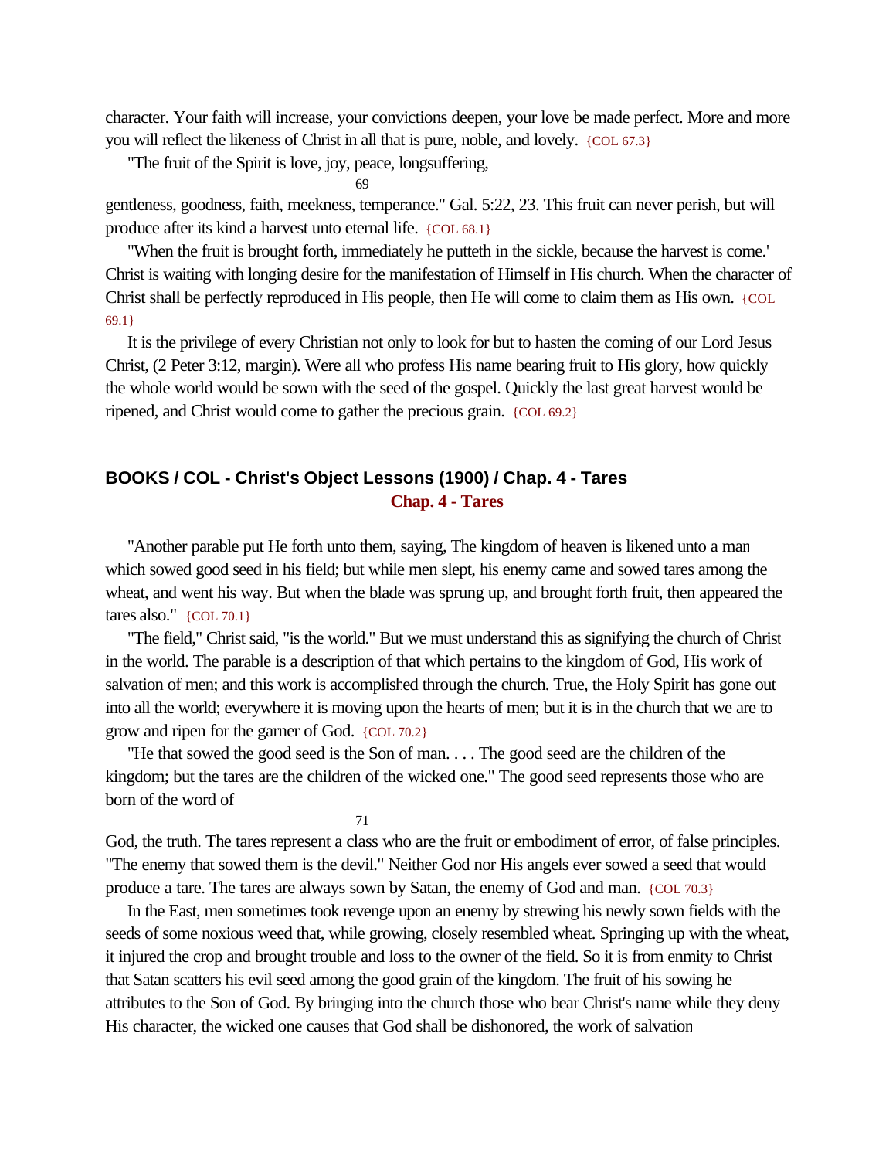character. Your faith will increase, your convictions deepen, your love be made perfect. More and more you will reflect the likeness of Christ in all that is pure, noble, and lovely. {COL 67.3}

"The fruit of the Spirit is love, joy, peace, longsuffering,

69

gentleness, goodness, faith, meekness, temperance." Gal. 5:22, 23. This fruit can never perish, but will produce after its kind a harvest unto eternal life. {COL 68.1}

 "When the fruit is brought forth, immediately he putteth in the sickle, because the harvest is come." Christ is waiting with longing desire for the manifestation of Himself in His church. When the character of Christ shall be perfectly reproduced in His people, then He will come to claim them as His own. {COL 69.1}

 It is the privilege of every Christian not only to look for but to hasten the coming of our Lord Jesus Christ, (2 Peter 3:12, margin). Were all who profess His name bearing fruit to His glory, how quickly the whole world would be sown with the seed of the gospel. Quickly the last great harvest would be ripened, and Christ would come to gather the precious grain. {COL 69.2}

# **BOOKS / COL - Christ's Object Lessons (1900) / Chap. 4 - Tares Chap. 4 - Tares**

 "Another parable put He forth unto them, saying, The kingdom of heaven is likened unto a man which sowed good seed in his field; but while men slept, his enemy came and sowed tares among the wheat, and went his way. But when the blade was sprung up, and brought forth fruit, then appeared the tares also."  $\{COL 70.1\}$ 

 "The field," Christ said, "is the world." But we must understand this as signifying the church of Christ in the world. The parable is a description of that which pertains to the kingdom of God, His work of salvation of men; and this work is accomplished through the church. True, the Holy Spirit has gone out into all the world; everywhere it is moving upon the hearts of men; but it is in the church that we are to grow and ripen for the garner of God. {COL 70.2}

 "He that sowed the good seed is the Son of man. . . . The good seed are the children of the kingdom; but the tares are the children of the wicked one." The good seed represents those who are born of the word of

71

God, the truth. The tares represent a class who are the fruit or embodiment of error, of false principles. "The enemy that sowed them is the devil." Neither God nor His angels ever sowed a seed that would produce a tare. The tares are always sown by Satan, the enemy of God and man. {COL 70.3}

 In the East, men sometimes took revenge upon an enemy by strewing his newly sown fields with the seeds of some noxious weed that, while growing, closely resembled wheat. Springing up with the wheat, it injured the crop and brought trouble and loss to the owner of the field. So it is from enmity to Christ that Satan scatters his evil seed among the good grain of the kingdom. The fruit of his sowing he attributes to the Son of God. By bringing into the church those who bear Christ's name while they deny His character, the wicked one causes that God shall be dishonored, the work of salvation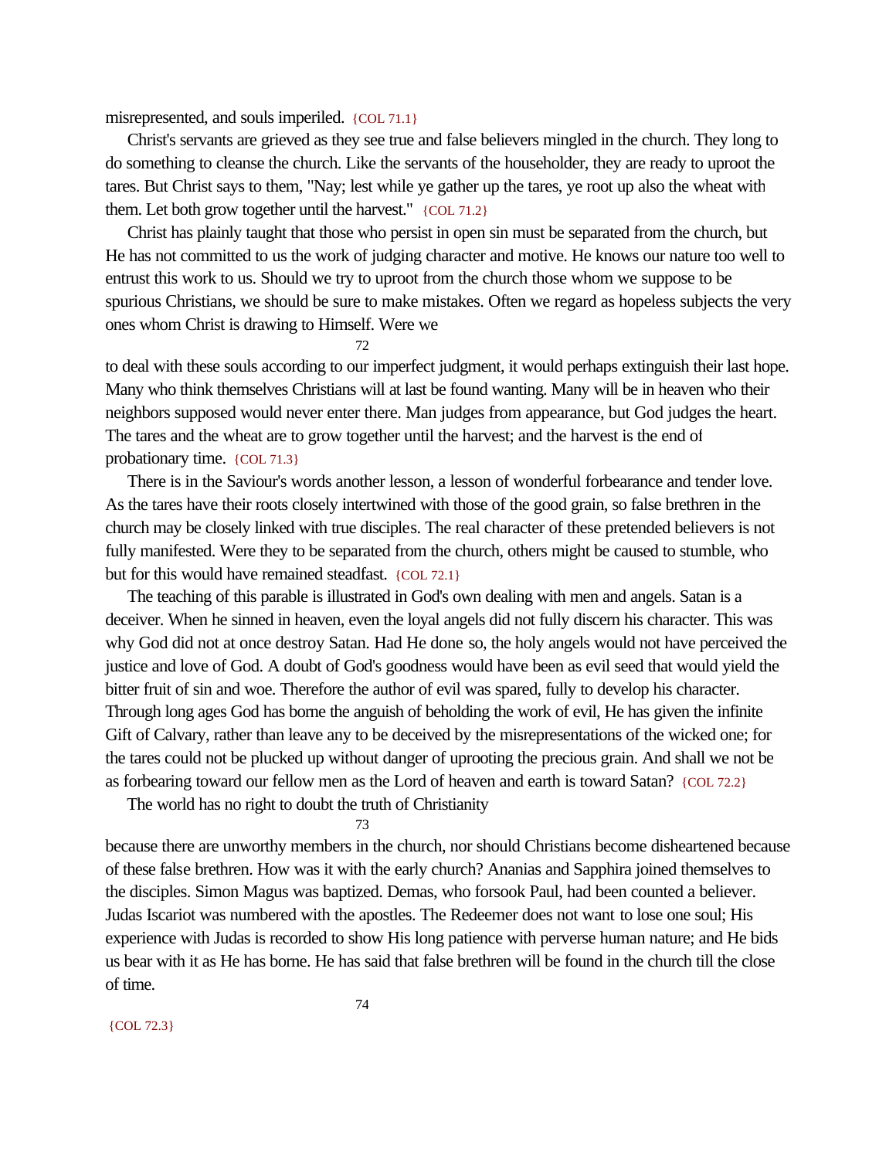misrepresented, and souls imperiled. {COL 71.1}

 Christ's servants are grieved as they see true and false believers mingled in the church. They long to do something to cleanse the church. Like the servants of the householder, they are ready to uproot the tares. But Christ says to them, "Nay; lest while ye gather up the tares, ye root up also the wheat with them. Let both grow together until the harvest." {COL 71.2}

 Christ has plainly taught that those who persist in open sin must be separated from the church, but He has not committed to us the work of judging character and motive. He knows our nature too well to entrust this work to us. Should we try to uproot from the church those whom we suppose to be spurious Christians, we should be sure to make mistakes. Often we regard as hopeless subjects the very ones whom Christ is drawing to Himself. Were we

72

to deal with these souls according to our imperfect judgment, it would perhaps extinguish their last hope. Many who think themselves Christians will at last be found wanting. Many will be in heaven who their neighbors supposed would never enter there. Man judges from appearance, but God judges the heart. The tares and the wheat are to grow together until the harvest; and the harvest is the end of probationary time. {COL 71.3}

 There is in the Saviour's words another lesson, a lesson of wonderful forbearance and tender love. As the tares have their roots closely intertwined with those of the good grain, so false brethren in the church may be closely linked with true disciples. The real character of these pretended believers is not fully manifested. Were they to be separated from the church, others might be caused to stumble, who but for this would have remained steadfast. {COL 72.1}

 The teaching of this parable is illustrated in God's own dealing with men and angels. Satan is a deceiver. When he sinned in heaven, even the loyal angels did not fully discern his character. This was why God did not at once destroy Satan. Had He done so, the holy angels would not have perceived the justice and love of God. A doubt of God's goodness would have been as evil seed that would yield the bitter fruit of sin and woe. Therefore the author of evil was spared, fully to develop his character. Through long ages God has borne the anguish of beholding the work of evil, He has given the infinite Gift of Calvary, rather than leave any to be deceived by the misrepresentations of the wicked one; for the tares could not be plucked up without danger of uprooting the precious grain. And shall we not be as forbearing toward our fellow men as the Lord of heaven and earth is toward Satan? {COL 72.2}

The world has no right to doubt the truth of Christianity

73

because there are unworthy members in the church, nor should Christians become disheartened because of these false brethren. How was it with the early church? Ananias and Sapphira joined themselves to the disciples. Simon Magus was baptized. Demas, who forsook Paul, had been counted a believer. Judas Iscariot was numbered with the apostles. The Redeemer does not want to lose one soul; His experience with Judas is recorded to show His long patience with perverse human nature; and He bids us bear with it as He has borne. He has said that false brethren will be found in the church till the close of time.

{COL 72.3}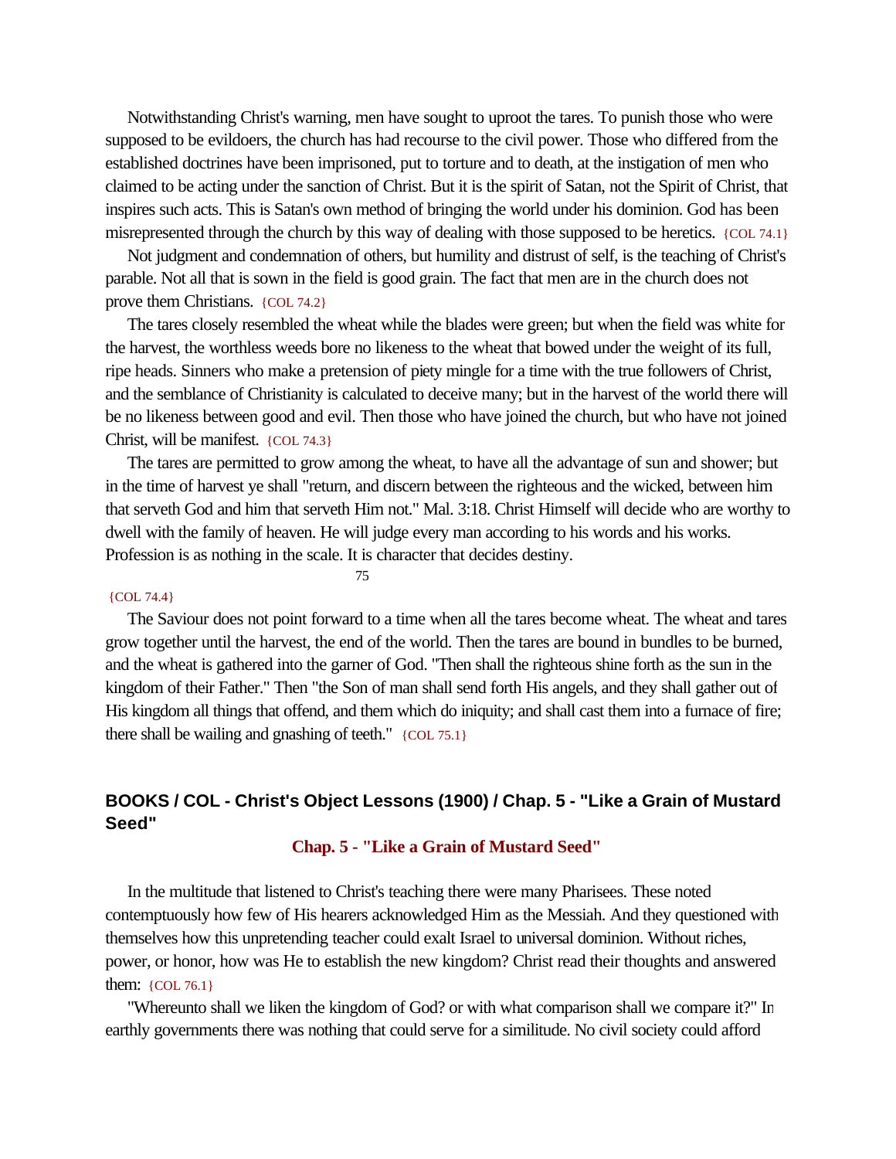Notwithstanding Christ's warning, men have sought to uproot the tares. To punish those who were supposed to be evildoers, the church has had recourse to the civil power. Those who differed from the established doctrines have been imprisoned, put to torture and to death, at the instigation of men who claimed to be acting under the sanction of Christ. But it is the spirit of Satan, not the Spirit of Christ, that inspires such acts. This is Satan's own method of bringing the world under his dominion. God has been misrepresented through the church by this way of dealing with those supposed to be heretics. {COL 74.1}

 Not judgment and condemnation of others, but humility and distrust of self, is the teaching of Christ's parable. Not all that is sown in the field is good grain. The fact that men are in the church does not prove them Christians. {COL 74.2}

 The tares closely resembled the wheat while the blades were green; but when the field was white for the harvest, the worthless weeds bore no likeness to the wheat that bowed under the weight of its full, ripe heads. Sinners who make a pretension of piety mingle for a time with the true followers of Christ, and the semblance of Christianity is calculated to deceive many; but in the harvest of the world there will be no likeness between good and evil. Then those who have joined the church, but who have not joined Christ, will be manifest. {COL 74.3}

 The tares are permitted to grow among the wheat, to have all the advantage of sun and shower; but in the time of harvest ye shall "return, and discern between the righteous and the wicked, between him that serveth God and him that serveth Him not." Mal. 3:18. Christ Himself will decide who are worthy to dwell with the family of heaven. He will judge every man according to his words and his works. Profession is as nothing in the scale. It is character that decides destiny.

### {COL 74.4}

75

 The Saviour does not point forward to a time when all the tares become wheat. The wheat and tares grow together until the harvest, the end of the world. Then the tares are bound in bundles to be burned, and the wheat is gathered into the garner of God. "Then shall the righteous shine forth as the sun in the kingdom of their Father." Then "the Son of man shall send forth His angels, and they shall gather out of His kingdom all things that offend, and them which do iniquity; and shall cast them into a furnace of fire; there shall be wailing and gnashing of teeth."  ${COL}$  75.1}

# **BOOKS / COL - Christ's Object Lessons (1900) / Chap. 5 - "Like a Grain of Mustard Seed"**

## **Chap. 5 - "Like a Grain of Mustard Seed"**

 In the multitude that listened to Christ's teaching there were many Pharisees. These noted contemptuously how few of His hearers acknowledged Him as the Messiah. And they questioned with themselves how this unpretending teacher could exalt Israel to universal dominion. Without riches, power, or honor, how was He to establish the new kingdom? Christ read their thoughts and answered them: {COL 76.1}

 "Whereunto shall we liken the kingdom of God? or with what comparison shall we compare it?" In earthly governments there was nothing that could serve for a similitude. No civil society could afford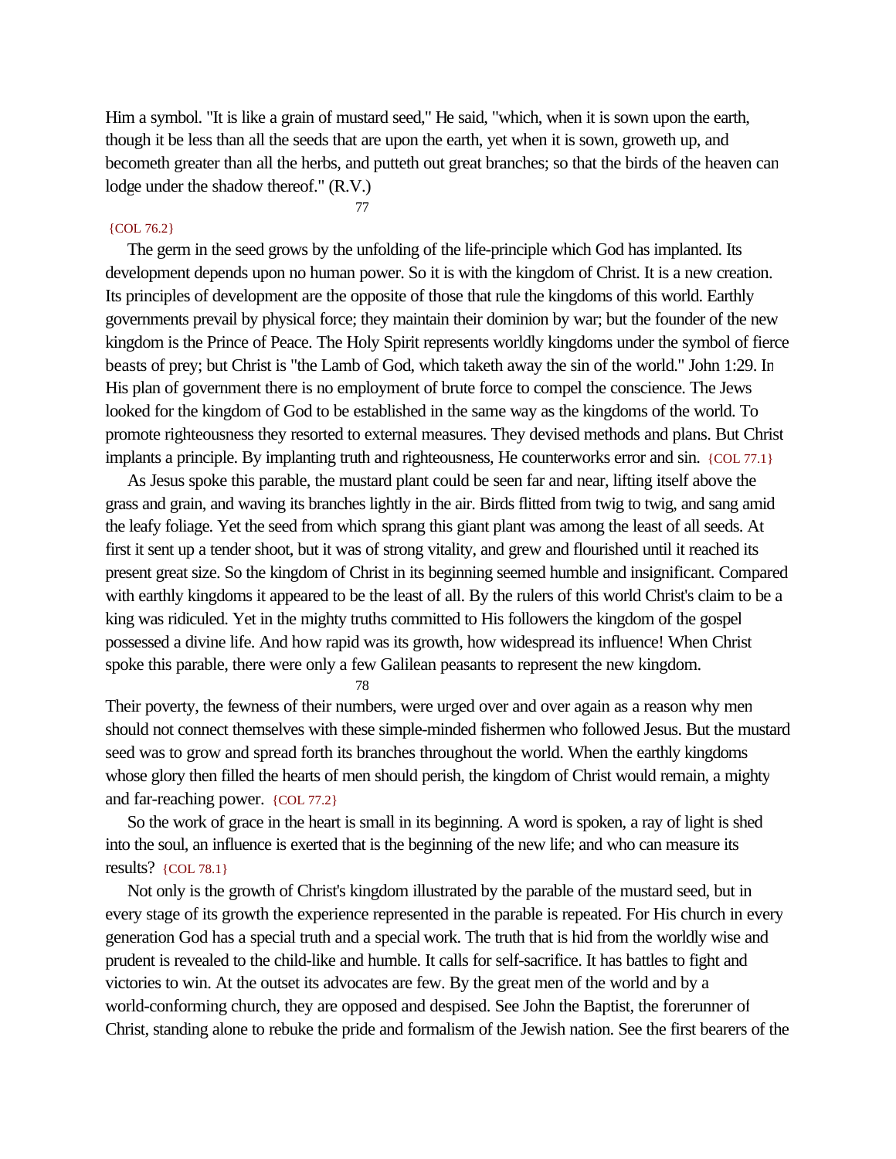Him a symbol. "It is like a grain of mustard seed," He said, "which, when it is sown upon the earth, though it be less than all the seeds that are upon the earth, yet when it is sown, groweth up, and becometh greater than all the herbs, and putteth out great branches; so that the birds of the heaven can lodge under the shadow thereof." (R.V.)

ли в село в село в село во 177 година в 177 година в 177 година в 177 година в 177 година в 177 година в 177 г<br>В 177 година в 177 година в 177 година в 177 година в 177 година в 177 година в 177 година в 177 година в 177

### {COL 76.2}

 The germ in the seed grows by the unfolding of the life-principle which God has implanted. Its development depends upon no human power. So it is with the kingdom of Christ. It is a new creation. Its principles of development are the opposite of those that rule the kingdoms of this world. Earthly governments prevail by physical force; they maintain their dominion by war; but the founder of the new kingdom is the Prince of Peace. The Holy Spirit represents worldly kingdoms under the symbol of fierce beasts of prey; but Christ is "the Lamb of God, which taketh away the sin of the world." John 1:29. In His plan of government there is no employment of brute force to compel the conscience. The Jews looked for the kingdom of God to be established in the same way as the kingdoms of the world. To promote righteousness they resorted to external measures. They devised methods and plans. But Christ implants a principle. By implanting truth and righteousness, He counterworks error and sin. {COL 77.1}

 As Jesus spoke this parable, the mustard plant could be seen far and near, lifting itself above the grass and grain, and waving its branches lightly in the air. Birds flitted from twig to twig, and sang amid the leafy foliage. Yet the seed from which sprang this giant plant was among the least of all seeds. At first it sent up a tender shoot, but it was of strong vitality, and grew and flourished until it reached its present great size. So the kingdom of Christ in its beginning seemed humble and insignificant. Compared with earthly kingdoms it appeared to be the least of all. By the rulers of this world Christ's claim to be a king was ridiculed. Yet in the mighty truths committed to His followers the kingdom of the gospel possessed a divine life. And how rapid was its growth, how widespread its influence! When Christ spoke this parable, there were only a few Galilean peasants to represent the new kingdom.

78

Their poverty, the fewness of their numbers, were urged over and over again as a reason why men should not connect themselves with these simple-minded fishermen who followed Jesus. But the mustard seed was to grow and spread forth its branches throughout the world. When the earthly kingdoms whose glory then filled the hearts of men should perish, the kingdom of Christ would remain, a mighty and far-reaching power. {COL 77.2}

 So the work of grace in the heart is small in its beginning. A word is spoken, a ray of light is shed into the soul, an influence is exerted that is the beginning of the new life; and who can measure its results? {COL 78.1}

 Not only is the growth of Christ's kingdom illustrated by the parable of the mustard seed, but in every stage of its growth the experience represented in the parable is repeated. For His church in every generation God has a special truth and a special work. The truth that is hid from the worldly wise and prudent is revealed to the child-like and humble. It calls for self-sacrifice. It has battles to fight and victories to win. At the outset its advocates are few. By the great men of the world and by a world-conforming church, they are opposed and despised. See John the Baptist, the forerunner of Christ, standing alone to rebuke the pride and formalism of the Jewish nation. See the first bearers of the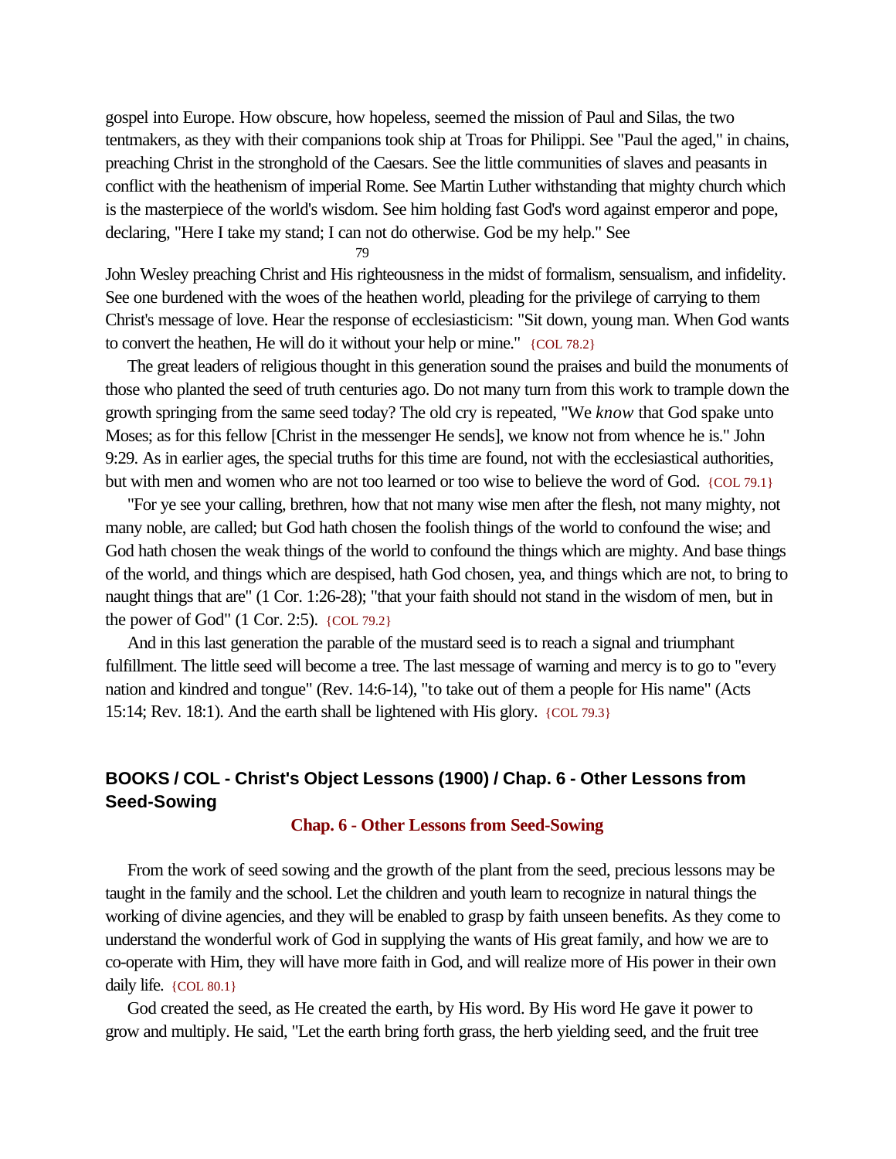gospel into Europe. How obscure, how hopeless, seemed the mission of Paul and Silas, the two tentmakers, as they with their companions took ship at Troas for Philippi. See "Paul the aged," in chains, preaching Christ in the stronghold of the Caesars. See the little communities of slaves and peasants in conflict with the heathenism of imperial Rome. See Martin Luther withstanding that mighty church which is the masterpiece of the world's wisdom. See him holding fast God's word against emperor and pope, declaring, "Here I take my stand; I can not do otherwise. God be my help." See

79

John Wesley preaching Christ and His righteousness in the midst of formalism, sensualism, and infidelity. See one burdened with the woes of the heathen world, pleading for the privilege of carrying to them Christ's message of love. Hear the response of ecclesiasticism: "Sit down, young man. When God wants to convert the heathen, He will do it without your help or mine." {COL 78.2}

 The great leaders of religious thought in this generation sound the praises and build the monuments of those who planted the seed of truth centuries ago. Do not many turn from this work to trample down the growth springing from the same seed today? The old cry is repeated, "We *know* that God spake unto Moses; as for this fellow [Christ in the messenger He sends], we know not from whence he is." John 9:29. As in earlier ages, the special truths for this time are found, not with the ecclesiastical authorities, but with men and women who are not too learned or too wise to believe the word of God. {COL 79.1}

 "For ye see your calling, brethren, how that not many wise men after the flesh, not many mighty, not many noble, are called; but God hath chosen the foolish things of the world to confound the wise; and God hath chosen the weak things of the world to confound the things which are mighty. And base things of the world, and things which are despised, hath God chosen, yea, and things which are not, to bring to naught things that are" (1 Cor. 1:26-28); "that your faith should not stand in the wisdom of men, but in the power of God" (1 Cor. 2:5). {COL 79.2}

 And in this last generation the parable of the mustard seed is to reach a signal and triumphant fulfillment. The little seed will become a tree. The last message of warning and mercy is to go to "every nation and kindred and tongue" (Rev. 14:6-14), "to take out of them a people for His name" (Acts 15:14; Rev. 18:1). And the earth shall be lightened with His glory. {COL 79.3}

# **BOOKS / COL - Christ's Object Lessons (1900) / Chap. 6 - Other Lessons from Seed-Sowing**

## **Chap. 6 - Other Lessons from Seed-Sowing**

 From the work of seed sowing and the growth of the plant from the seed, precious lessons may be taught in the family and the school. Let the children and youth learn to recognize in natural things the working of divine agencies, and they will be enabled to grasp by faith unseen benefits. As they come to understand the wonderful work of God in supplying the wants of His great family, and how we are to co-operate with Him, they will have more faith in God, and will realize more of His power in their own daily life. {COL 80.1}

 God created the seed, as He created the earth, by His word. By His word He gave it power to grow and multiply. He said, "Let the earth bring forth grass, the herb yielding seed, and the fruit tree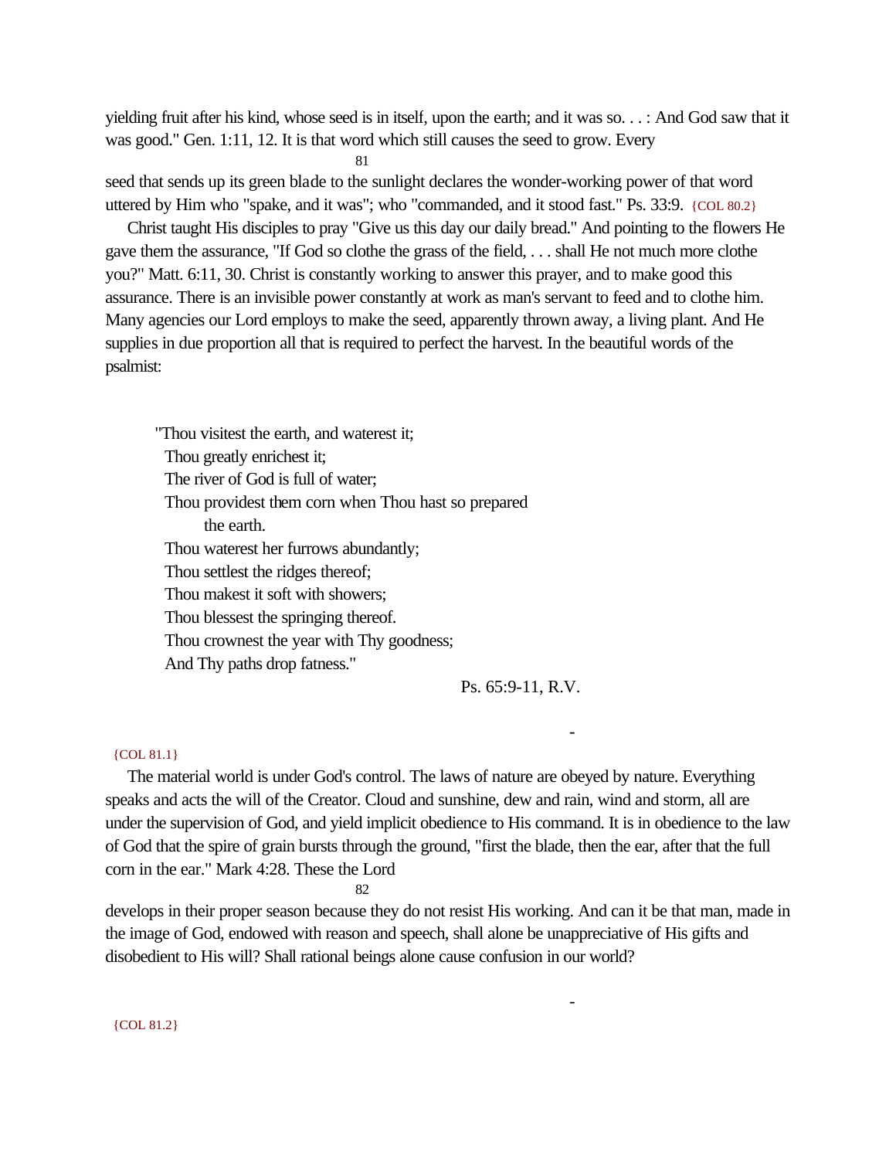yielding fruit after his kind, whose seed is in itself, upon the earth; and it was so. . . : And God saw that it was good." Gen. 1:11, 12. It is that word which still causes the seed to grow. Every

81

seed that sends up its green blade to the sunlight declares the wonder-working power of that word uttered by Him who "spake, and it was"; who "commanded, and it stood fast." Ps. 33:9. {COL 80.2}

 Christ taught His disciples to pray "Give us this day our daily bread." And pointing to the flowers He gave them the assurance, "If God so clothe the grass of the field, . . . shall He not much more clothe you?" Matt. 6:11, 30. Christ is constantly working to answer this prayer, and to make good this assurance. There is an invisible power constantly at work as man's servant to feed and to clothe him. Many agencies our Lord employs to make the seed, apparently thrown away, a living plant. And He supplies in due proportion all that is required to perfect the harvest. In the beautiful words of the psalmist:

 "Thou visitest the earth, and waterest it; Thou greatly enrichest it; The river of God is full of water; Thou providest them corn when Thou hast so prepared the earth. Thou waterest her furrows abundantly; Thou settlest the ridges thereof; Thou makest it soft with showers; Thou blessest the springing thereof. Thou crownest the year with Thy goodness; And Thy paths drop fatness."

and the state of the state of the state of the state of the state of the state of the state of the state of th

Ps. 65:9-11, R.V.

### {COL 81.1}

 The material world is under God's control. The laws of nature are obeyed by nature. Everything speaks and acts the will of the Creator. Cloud and sunshine, dew and rain, wind and storm, all are under the supervision of God, and yield implicit obedience to His command. It is in obedience to the law of God that the spire of grain bursts through the ground, "first the blade, then the ear, after that the full corn in the ear." Mark 4:28. These the Lord

82

and the state of the state of the state of the state of the state of the state of the state of the state of th

develops in their proper season because they do not resist His working. And can it be that man, made in the image of God, endowed with reason and speech, shall alone be unappreciative of His gifts and disobedient to His will? Shall rational beings alone cause confusion in our world?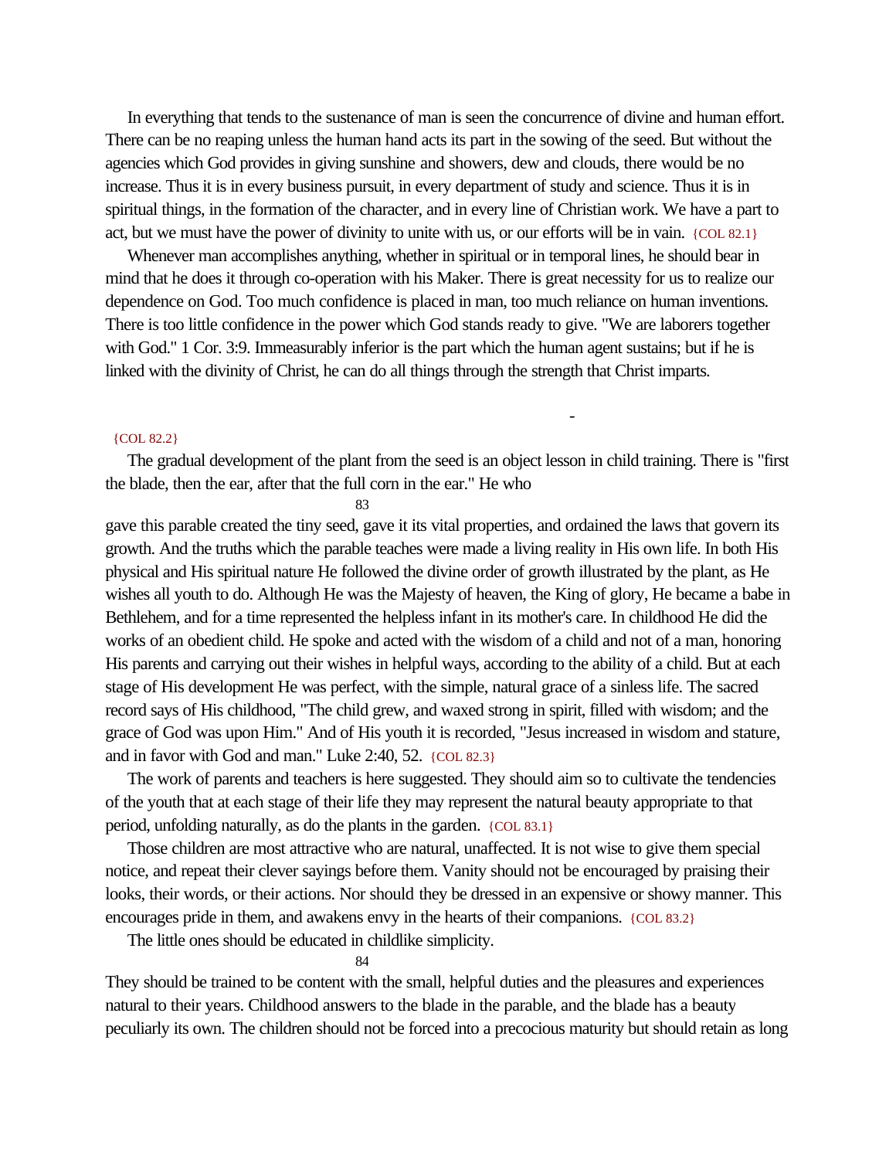In everything that tends to the sustenance of man is seen the concurrence of divine and human effort. There can be no reaping unless the human hand acts its part in the sowing of the seed. But without the agencies which God provides in giving sunshine and showers, dew and clouds, there would be no increase. Thus it is in every business pursuit, in every department of study and science. Thus it is in spiritual things, in the formation of the character, and in every line of Christian work. We have a part to act, but we must have the power of divinity to unite with us, or our efforts will be in vain. {COL 82.1}

 Whenever man accomplishes anything, whether in spiritual or in temporal lines, he should bear in mind that he does it through co-operation with his Maker. There is great necessity for us to realize our dependence on God. Too much confidence is placed in man, too much reliance on human inventions. There is too little confidence in the power which God stands ready to give. "We are laborers together with God." 1 Cor. 3:9. Immeasurably inferior is the part which the human agent sustains; but if he is linked with the divinity of Christ, he can do all things through the strength that Christ imparts.

### {COL 82.2}

 The gradual development of the plant from the seed is an object lesson in child training. There is "first the blade, then the ear, after that the full corn in the ear." He who

external contracts and the second second second second second second second second second second second second

and the state of the state of the state of the state of the state of the state of the state of the state of th

gave this parable created the tiny seed, gave it its vital properties, and ordained the laws that govern its growth. And the truths which the parable teaches were made a living reality in His own life. In both His physical and His spiritual nature He followed the divine order of growth illustrated by the plant, as He wishes all youth to do. Although He was the Majesty of heaven, the King of glory, He became a babe in Bethlehem, and for a time represented the helpless infant in its mother's care. In childhood He did the works of an obedient child. He spoke and acted with the wisdom of a child and not of a man, honoring His parents and carrying out their wishes in helpful ways, according to the ability of a child. But at each stage of His development He was perfect, with the simple, natural grace of a sinless life. The sacred record says of His childhood, "The child grew, and waxed strong in spirit, filled with wisdom; and the grace of God was upon Him." And of His youth it is recorded, "Jesus increased in wisdom and stature, and in favor with God and man." Luke 2:40, 52. {COL 82.3}

 The work of parents and teachers is here suggested. They should aim so to cultivate the tendencies of the youth that at each stage of their life they may represent the natural beauty appropriate to that period, unfolding naturally, as do the plants in the garden. {COL 83.1}

 Those children are most attractive who are natural, unaffected. It is not wise to give them special notice, and repeat their clever sayings before them. Vanity should not be encouraged by praising their looks, their words, or their actions. Nor should they be dressed in an expensive or showy manner. This encourages pride in them, and awakens envy in the hearts of their companions. {COL 83.2}

The little ones should be educated in childlike simplicity.

84

They should be trained to be content with the small, helpful duties and the pleasures and experiences natural to their years. Childhood answers to the blade in the parable, and the blade has a beauty peculiarly its own. The children should not be forced into a precocious maturity but should retain as long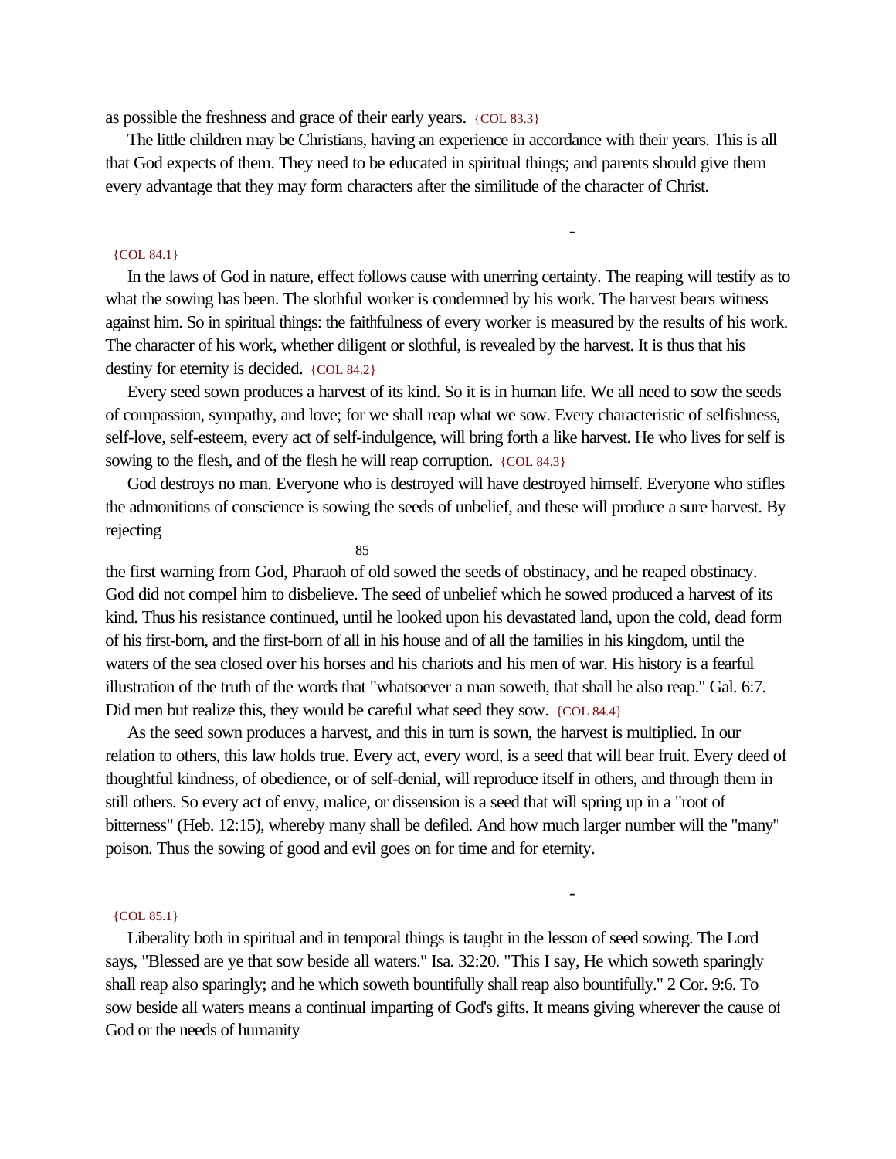as possible the freshness and grace of their early years. {COL 83.3}

and the state of the state of the state of the state of the state of the state of the state of the state of th

 The little children may be Christians, having an experience in accordance with their years. This is all that God expects of them. They need to be educated in spiritual things; and parents should give them every advantage that they may form characters after the similitude of the character of Christ.

### {COL 84.1}

 In the laws of God in nature, effect follows cause with unerring certainty. The reaping will testify as to what the sowing has been. The slothful worker is condemned by his work. The harvest bears witness against him. So in spiritual things: the faithfulness of every worker is measured by the results of his work. The character of his work, whether diligent or slothful, is revealed by the harvest. It is thus that his destiny for eternity is decided. {COL 84.2}

 Every seed sown produces a harvest of its kind. So it is in human life. We all need to sow the seeds of compassion, sympathy, and love; for we shall reap what we sow. Every characteristic of selfishness, self-love, self-esteem, every act of self-indulgence, will bring forth a like harvest. He who lives for self is sowing to the flesh, and of the flesh he will reap corruption. {COL 84.3}

 God destroys no man. Everyone who is destroyed will have destroyed himself. Everyone who stifles the admonitions of conscience is sowing the seeds of unbelief, and these will produce a sure harvest. By rejecting

85 and 2012 and 2013 and 2014 and 2014 and 2014 and 2014 and 2014 and 2014 and 2014 and 2014 and 2014 and 2014

and the state of the state of the state of the state of the state of the state of the state of the state of th

the first warning from God, Pharaoh of old sowed the seeds of obstinacy, and he reaped obstinacy. God did not compel him to disbelieve. The seed of unbelief which he sowed produced a harvest of its kind. Thus his resistance continued, until he looked upon his devastated land, upon the cold, dead form of his first-born, and the first-born of all in his house and of all the families in his kingdom, until the waters of the sea closed over his horses and his chariots and his men of war. His history is a fearful illustration of the truth of the words that "whatsoever a man soweth, that shall he also reap." Gal. 6:7. Did men but realize this, they would be careful what seed they sow. {COL 84.4}

 As the seed sown produces a harvest, and this in turn is sown, the harvest is multiplied. In our relation to others, this law holds true. Every act, every word, is a seed that will bear fruit. Every deed of thoughtful kindness, of obedience, or of self-denial, will reproduce itself in others, and through them in still others. So every act of envy, malice, or dissension is a seed that will spring up in a "root of bitterness" (Heb. 12:15), whereby many shall be defiled. And how much larger number will the "many" poison. Thus the sowing of good and evil goes on for time and for eternity.

### {COL 85.1}

 Liberality both in spiritual and in temporal things is taught in the lesson of seed sowing. The Lord says, "Blessed are ye that sow beside all waters." Isa. 32:20. "This I say, He which soweth sparingly shall reap also sparingly; and he which soweth bountifully shall reap also bountifully." 2 Cor. 9:6. To sow beside all waters means a continual imparting of God's gifts. It means giving wherever the cause of God or the needs of humanity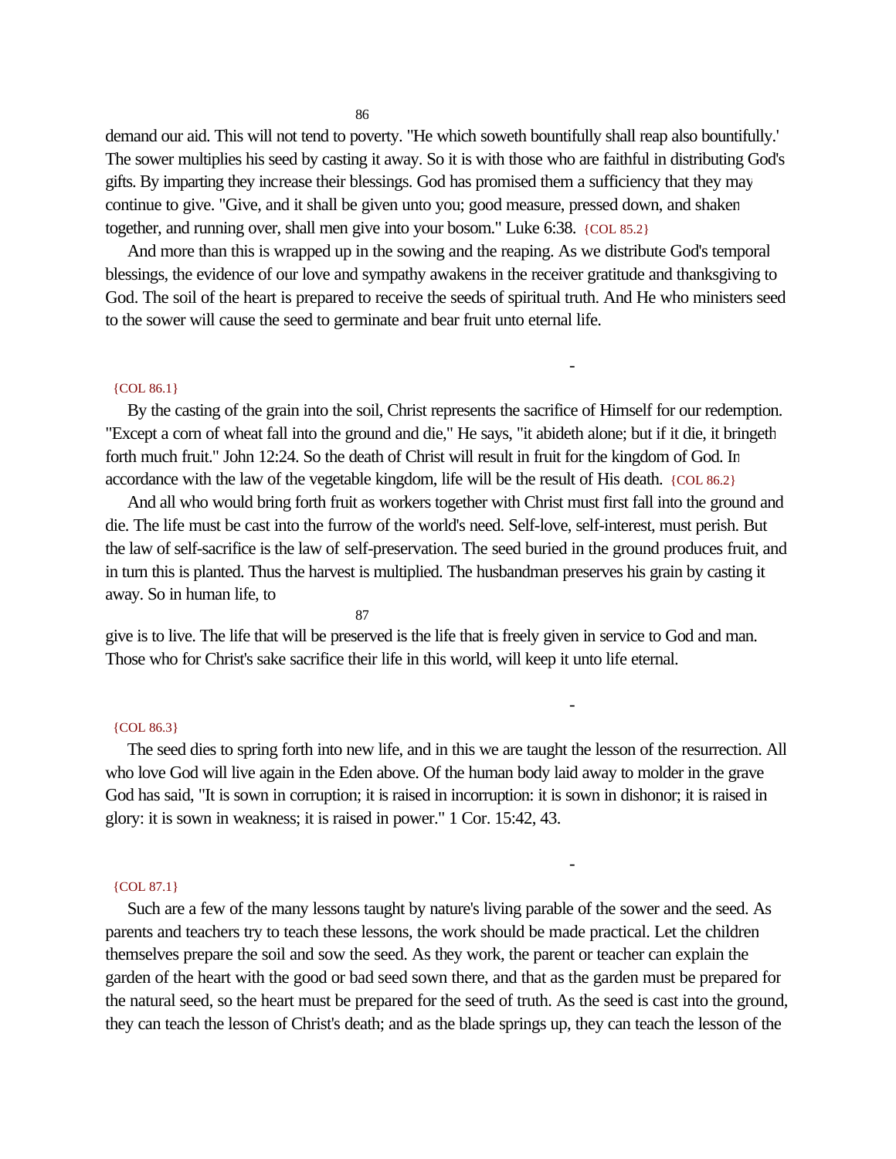demand our aid. This will not tend to poverty. "He which soweth bountifully shall reap also bountifully." The sower multiplies his seed by casting it away. So it is with those who are faithful in distributing God's gifts. By imparting they increase their blessings. God has promised them a sufficiency that they may continue to give. "Give, and it shall be given unto you; good measure, pressed down, and shaken together, and running over, shall men give into your bosom." Luke 6:38. {COL 85.2}

 And more than this is wrapped up in the sowing and the reaping. As we distribute God's temporal blessings, the evidence of our love and sympathy awakens in the receiver gratitude and thanksgiving to God. The soil of the heart is prepared to receive the seeds of spiritual truth. And He who ministers seed to the sower will cause the seed to germinate and bear fruit unto eternal life.

### {COL 86.1}

 By the casting of the grain into the soil, Christ represents the sacrifice of Himself for our redemption. "Except a corn of wheat fall into the ground and die," He says, "it abideth alone; but if it die, it bringeth forth much fruit." John 12:24. So the death of Christ will result in fruit for the kingdom of God. In accordance with the law of the vegetable kingdom, life will be the result of His death. {COL 86.2}

 And all who would bring forth fruit as workers together with Christ must first fall into the ground and die. The life must be cast into the furrow of the world's need. Self-love, self-interest, must perish. But the law of self-sacrifice is the law of self-preservation. The seed buried in the ground produces fruit, and in turn this is planted. Thus the harvest is multiplied. The husbandman preserves his grain by casting it away. So in human life, to

87

and the state of the state of the state of the state of the state of the state of the state of the state of th

and the state of the state of the state of the state of the state of the state of the state of the state of th

and the state of the state of the state of the state of the state of the state of the state of the state of th

give is to live. The life that will be preserved is the life that is freely given in service to God and man. Those who for Christ's sake sacrifice their life in this world, will keep it unto life eternal.

#### {COL 86.3}

 The seed dies to spring forth into new life, and in this we are taught the lesson of the resurrection. All who love God will live again in the Eden above. Of the human body laid away to molder in the grave God has said, "It is sown in corruption; it is raised in incorruption: it is sown in dishonor; it is raised in glory: it is sown in weakness; it is raised in power." 1 Cor. 15:42, 43.

### {COL 87.1}

 Such are a few of the many lessons taught by nature's living parable of the sower and the seed. As parents and teachers try to teach these lessons, the work should be made practical. Let the children themselves prepare the soil and sow the seed. As they work, the parent or teacher can explain the garden of the heart with the good or bad seed sown there, and that as the garden must be prepared for the natural seed, so the heart must be prepared for the seed of truth. As the seed is cast into the ground, they can teach the lesson of Christ's death; and as the blade springs up, they can teach the lesson of the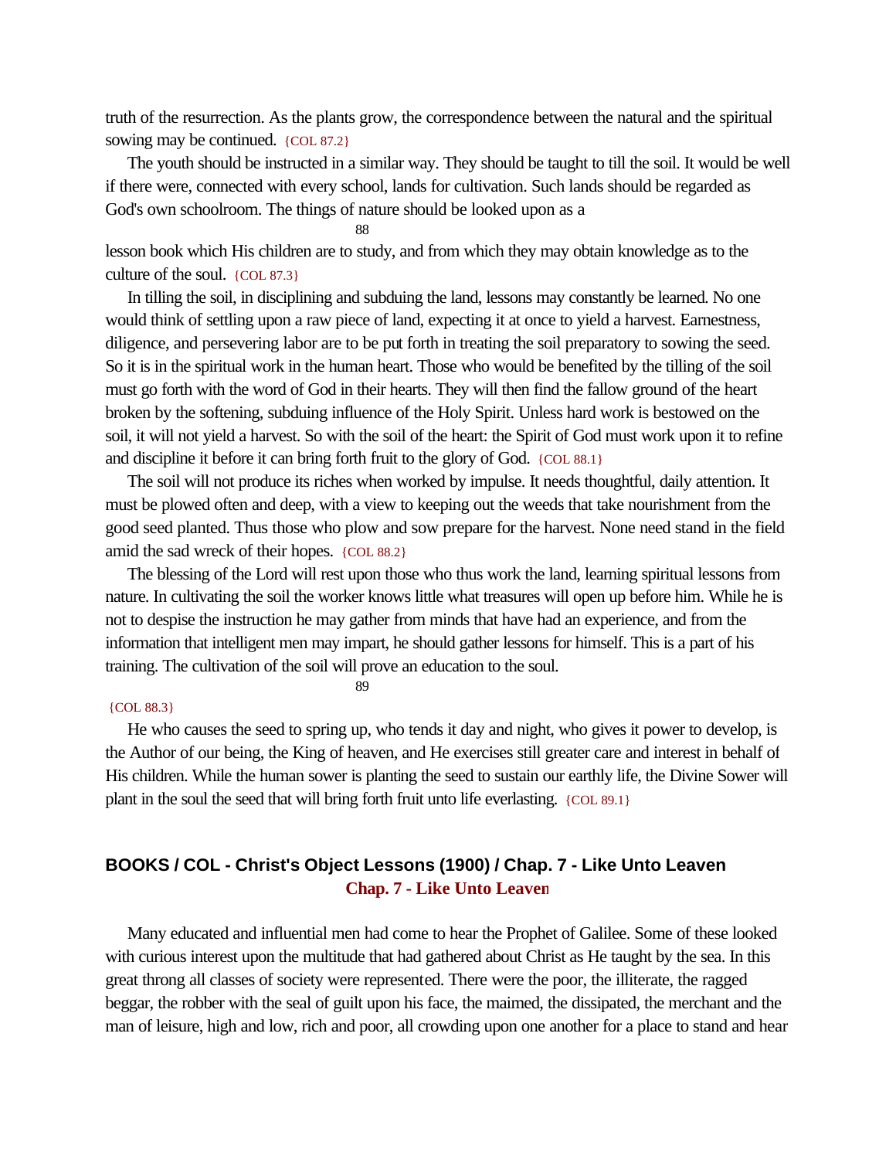truth of the resurrection. As the plants grow, the correspondence between the natural and the spiritual sowing may be continued.  $\{COL 87.2\}$ 

 The youth should be instructed in a similar way. They should be taught to till the soil. It would be well if there were, connected with every school, lands for cultivation. Such lands should be regarded as God's own schoolroom. The things of nature should be looked upon as a

#### <u>88 and 200 and 200 and 200 and 200 and 200 and 200 and 200 and 200 and 200 and 200 and 200 and 200 and 200 and 200 and 200 and 200 and 200 and 200 and 200 and 200 and 200 and 200 and 200 and 200 and 200 and 200 and 200 an</u>

lesson book which His children are to study, and from which they may obtain knowledge as to the culture of the soul. {COL 87.3}

 In tilling the soil, in disciplining and subduing the land, lessons may constantly be learned. No one would think of settling upon a raw piece of land, expecting it at once to yield a harvest. Earnestness, diligence, and persevering labor are to be put forth in treating the soil preparatory to sowing the seed. So it is in the spiritual work in the human heart. Those who would be benefited by the tilling of the soil must go forth with the word of God in their hearts. They will then find the fallow ground of the heart broken by the softening, subduing influence of the Holy Spirit. Unless hard work is bestowed on the soil, it will not yield a harvest. So with the soil of the heart: the Spirit of God must work upon it to refine and discipline it before it can bring forth fruit to the glory of God. {COL 88.1}

 The soil will not produce its riches when worked by impulse. It needs thoughtful, daily attention. It must be plowed often and deep, with a view to keeping out the weeds that take nourishment from the good seed planted. Thus those who plow and sow prepare for the harvest. None need stand in the field amid the sad wreck of their hopes. {COL 88.2}

 The blessing of the Lord will rest upon those who thus work the land, learning spiritual lessons from nature. In cultivating the soil the worker knows little what treasures will open up before him. While he is not to despise the instruction he may gather from minds that have had an experience, and from the information that intelligent men may impart, he should gather lessons for himself. This is a part of his training. The cultivation of the soil will prove an education to the soul.

89

### {COL 88.3}

 He who causes the seed to spring up, who tends it day and night, who gives it power to develop, is the Author of our being, the King of heaven, and He exercises still greater care and interest in behalf of His children. While the human sower is planting the seed to sustain our earthly life, the Divine Sower will plant in the soul the seed that will bring forth fruit unto life everlasting. {COL 89.1}

# **BOOKS / COL - Christ's Object Lessons (1900) / Chap. 7 - Like Unto Leaven Chap. 7 - Like Unto Leaven**

 Many educated and influential men had come to hear the Prophet of Galilee. Some of these looked with curious interest upon the multitude that had gathered about Christ as He taught by the sea. In this great throng all classes of society were represented. There were the poor, the illiterate, the ragged beggar, the robber with the seal of guilt upon his face, the maimed, the dissipated, the merchant and the man of leisure, high and low, rich and poor, all crowding upon one another for a place to stand and hear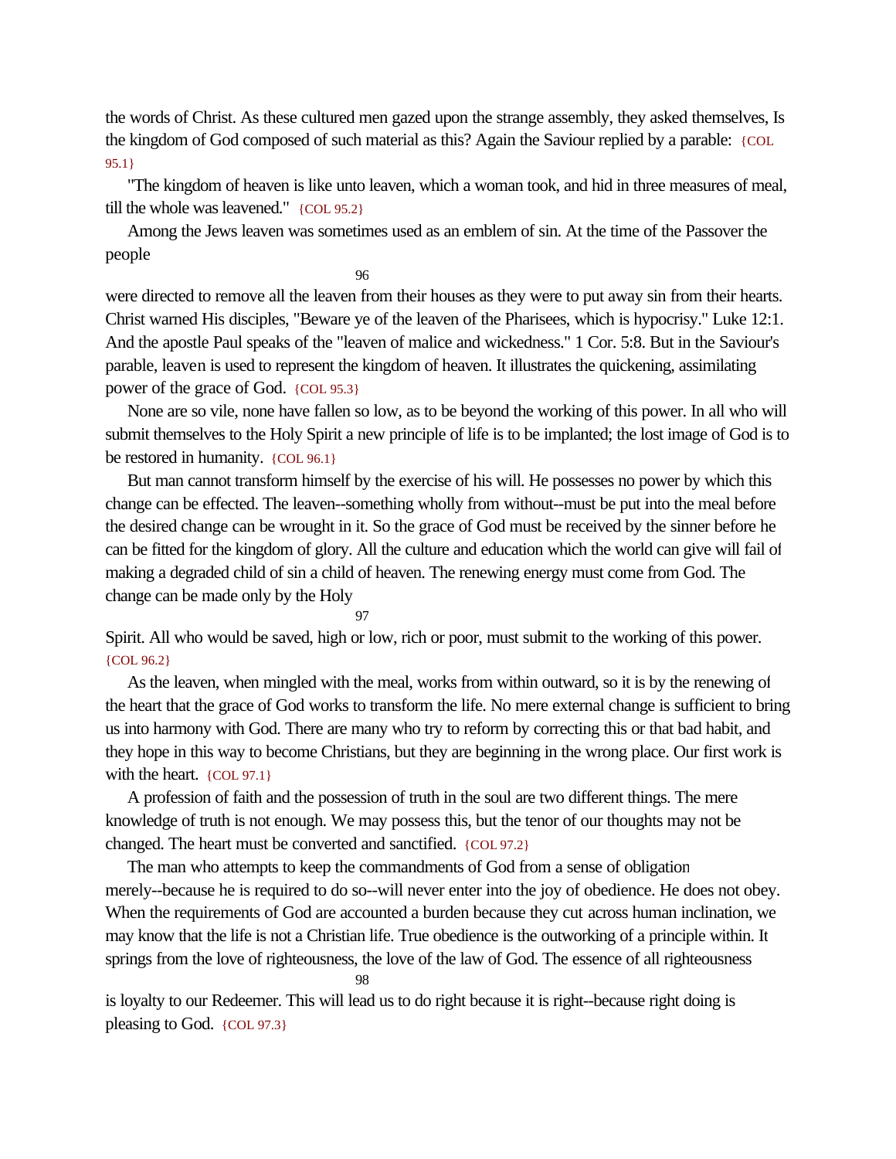the words of Christ. As these cultured men gazed upon the strange assembly, they asked themselves, Is the kingdom of God composed of such material as this? Again the Saviour replied by a parable: {COL 95.1}

 "The kingdom of heaven is like unto leaven, which a woman took, and hid in three measures of meal, till the whole was leavened." {COL 95.2}

 Among the Jews leaven was sometimes used as an emblem of sin. At the time of the Passover the people

<u>96 and 200 and 200 and 200 and 200 and 200 and 200 and 200 and 200 and 200 and 200 and 200 and 200 and 200 and 200 and 200 and 200 and 200 and 200 and 200 and 200 and 200 and 200 and 200 and 200 and 200 and 200 and 200 an</u>

were directed to remove all the leaven from their houses as they were to put away sin from their hearts. Christ warned His disciples, "Beware ye of the leaven of the Pharisees, which is hypocrisy." Luke 12:1. And the apostle Paul speaks of the "leaven of malice and wickedness." 1 Cor. 5:8. But in the Saviour's parable, leaven is used to represent the kingdom of heaven. It illustrates the quickening, assimilating power of the grace of God. {COL 95.3}

 None are so vile, none have fallen so low, as to be beyond the working of this power. In all who will submit themselves to the Holy Spirit a new principle of life is to be implanted; the lost image of God is to be restored in humanity. {COL 96.1}

 But man cannot transform himself by the exercise of his will. He possesses no power by which this change can be effected. The leaven--something wholly from without--must be put into the meal before the desired change can be wrought in it. So the grace of God must be received by the sinner before he can be fitted for the kingdom of glory. All the culture and education which the world can give will fail of making a degraded child of sin a child of heaven. The renewing energy must come from God. The change can be made only by the Holy

## 97

Spirit. All who would be saved, high or low, rich or poor, must submit to the working of this power. {COL 96.2}

 As the leaven, when mingled with the meal, works from within outward, so it is by the renewing of the heart that the grace of God works to transform the life. No mere external change is sufficient to bring us into harmony with God. There are many who try to reform by correcting this or that bad habit, and they hope in this way to become Christians, but they are beginning in the wrong place. Our first work is with the heart. {COL 97.1}

 A profession of faith and the possession of truth in the soul are two different things. The mere knowledge of truth is not enough. We may possess this, but the tenor of our thoughts may not be changed. The heart must be converted and sanctified. {COL 97.2}

 The man who attempts to keep the commandments of God from a sense of obligation merely--because he is required to do so--will never enter into the joy of obedience. He does not obey. When the requirements of God are accounted a burden because they cut across human inclination, we may know that the life is not a Christian life. True obedience is the outworking of a principle within. It springs from the love of righteousness, the love of the law of God. The essence of all righteousness

98

is loyalty to our Redeemer. This will lead us to do right because it is right--because right doing is pleasing to God. {COL 97.3}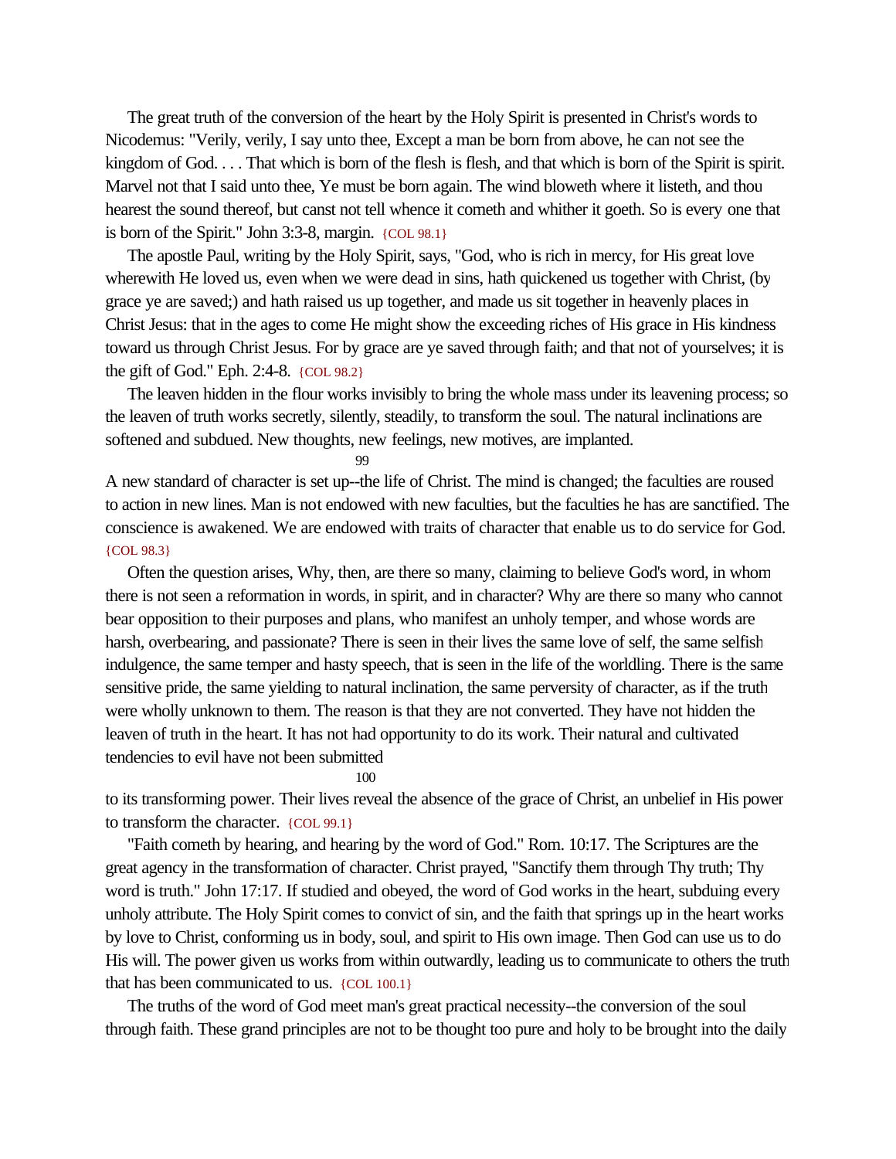The great truth of the conversion of the heart by the Holy Spirit is presented in Christ's words to Nicodemus: "Verily, verily, I say unto thee, Except a man be born from above, he can not see the kingdom of God. . . . That which is born of the flesh is flesh, and that which is born of the Spirit is spirit. Marvel not that I said unto thee, Ye must be born again. The wind bloweth where it listeth, and thou hearest the sound thereof, but canst not tell whence it cometh and whither it goeth. So is every one that is born of the Spirit." John 3:3-8, margin. {COL 98.1}

 The apostle Paul, writing by the Holy Spirit, says, "God, who is rich in mercy, for His great love wherewith He loved us, even when we were dead in sins, hath quickened us together with Christ, (by grace ye are saved;) and hath raised us up together, and made us sit together in heavenly places in Christ Jesus: that in the ages to come He might show the exceeding riches of His grace in His kindness toward us through Christ Jesus. For by grace are ye saved through faith; and that not of yourselves; it is the gift of God." Eph. 2:4-8. {COL 98.2}

 The leaven hidden in the flour works invisibly to bring the whole mass under its leavening process; so the leaven of truth works secretly, silently, steadily, to transform the soul. The natural inclinations are softened and subdued. New thoughts, new feelings, new motives, are implanted.

99

A new standard of character is set up--the life of Christ. The mind is changed; the faculties are roused to action in new lines. Man is not endowed with new faculties, but the faculties he has are sanctified. The conscience is awakened. We are endowed with traits of character that enable us to do service for God. {COL 98.3}

 Often the question arises, Why, then, are there so many, claiming to believe God's word, in whom there is not seen a reformation in words, in spirit, and in character? Why are there so many who cannot bear opposition to their purposes and plans, who manifest an unholy temper, and whose words are harsh, overbearing, and passionate? There is seen in their lives the same love of self, the same selfish indulgence, the same temper and hasty speech, that is seen in the life of the worldling. There is the same sensitive pride, the same yielding to natural inclination, the same perversity of character, as if the truth were wholly unknown to them. The reason is that they are not converted. They have not hidden the leaven of truth in the heart. It has not had opportunity to do its work. Their natural and cultivated tendencies to evil have not been submitted

### 100

to its transforming power. Their lives reveal the absence of the grace of Christ, an unbelief in His power to transform the character. {COL 99.1}

 "Faith cometh by hearing, and hearing by the word of God." Rom. 10:17. The Scriptures are the great agency in the transformation of character. Christ prayed, "Sanctify them through Thy truth; Thy word is truth." John 17:17. If studied and obeyed, the word of God works in the heart, subduing every unholy attribute. The Holy Spirit comes to convict of sin, and the faith that springs up in the heart works by love to Christ, conforming us in body, soul, and spirit to His own image. Then God can use us to do His will. The power given us works from within outwardly, leading us to communicate to others the truth that has been communicated to us. {COL 100.1}

 The truths of the word of God meet man's great practical necessity--the conversion of the soul through faith. These grand principles are not to be thought too pure and holy to be brought into the daily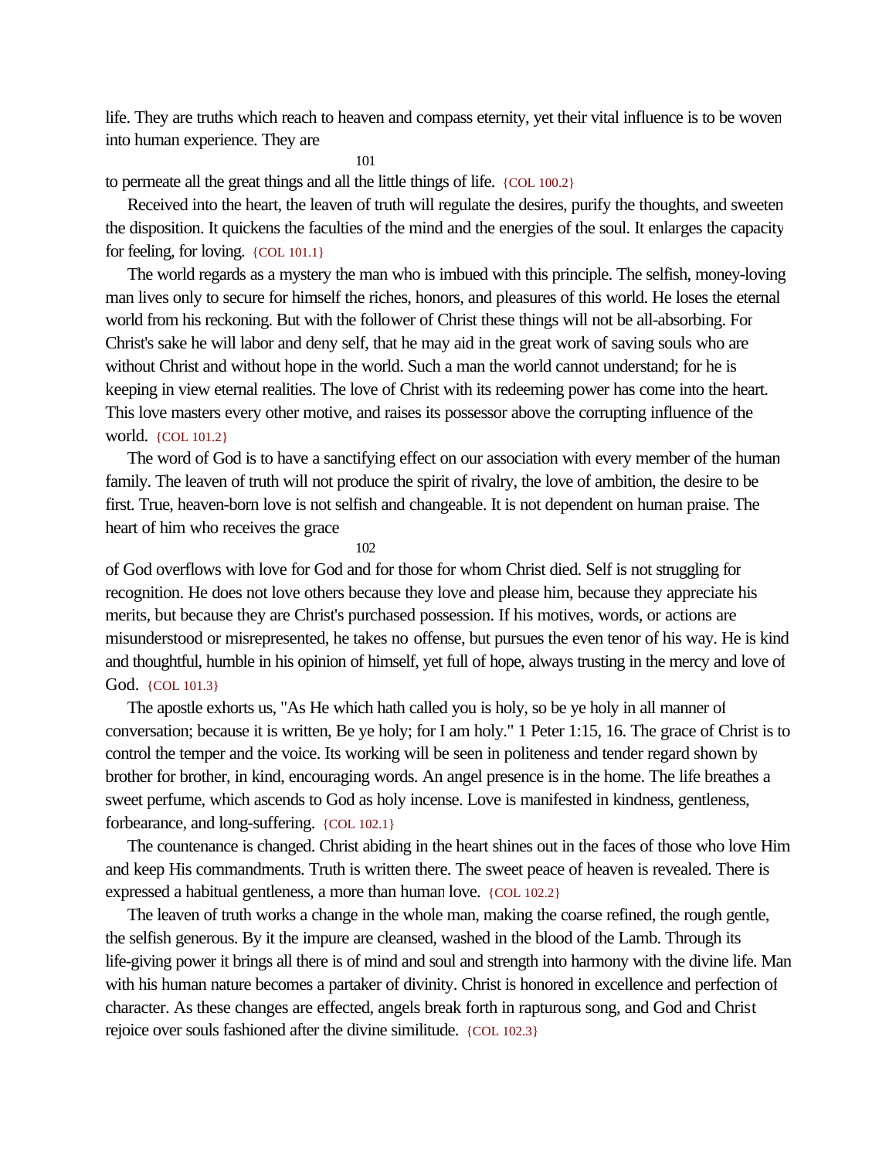life. They are truths which reach to heaven and compass eternity, yet their vital influence is to be woven into human experience. They are

101

to permeate all the great things and all the little things of life. {COL 100.2}

 Received into the heart, the leaven of truth will regulate the desires, purify the thoughts, and sweeten the disposition. It quickens the faculties of the mind and the energies of the soul. It enlarges the capacity for feeling, for loving. {COL 101.1}

 The world regards as a mystery the man who is imbued with this principle. The selfish, money-loving man lives only to secure for himself the riches, honors, and pleasures of this world. He loses the eternal world from his reckoning. But with the follower of Christ these things will not be all-absorbing. For Christ's sake he will labor and deny self, that he may aid in the great work of saving souls who are without Christ and without hope in the world. Such a man the world cannot understand; for he is keeping in view eternal realities. The love of Christ with its redeeming power has come into the heart. This love masters every other motive, and raises its possessor above the corrupting influence of the world. {COL 101.2}

 The word of God is to have a sanctifying effect on our association with every member of the human family. The leaven of truth will not produce the spirit of rivalry, the love of ambition, the desire to be first. True, heaven-born love is not selfish and changeable. It is not dependent on human praise. The heart of him who receives the grace

102

of God overflows with love for God and for those for whom Christ died. Self is not struggling for recognition. He does not love others because they love and please him, because they appreciate his merits, but because they are Christ's purchased possession. If his motives, words, or actions are misunderstood or misrepresented, he takes no offense, but pursues the even tenor of his way. He is kind and thoughtful, humble in his opinion of himself, yet full of hope, always trusting in the mercy and love of God. {COL 101.3}

 The apostle exhorts us, "As He which hath called you is holy, so be ye holy in all manner of conversation; because it is written, Be ye holy; for I am holy." 1 Peter 1:15, 16. The grace of Christ is to control the temper and the voice. Its working will be seen in politeness and tender regard shown by brother for brother, in kind, encouraging words. An angel presence is in the home. The life breathes a sweet perfume, which ascends to God as holy incense. Love is manifested in kindness, gentleness, forbearance, and long-suffering. {COL 102.1}

 The countenance is changed. Christ abiding in the heart shines out in the faces of those who love Him and keep His commandments. Truth is written there. The sweet peace of heaven is revealed. There is expressed a habitual gentleness, a more than human love. {COL 102.2}

 The leaven of truth works a change in the whole man, making the coarse refined, the rough gentle, the selfish generous. By it the impure are cleansed, washed in the blood of the Lamb. Through its life-giving power it brings all there is of mind and soul and strength into harmony with the divine life. Man with his human nature becomes a partaker of divinity. Christ is honored in excellence and perfection of character. As these changes are effected, angels break forth in rapturous song, and God and Christ rejoice over souls fashioned after the divine similitude. {COL 102.3}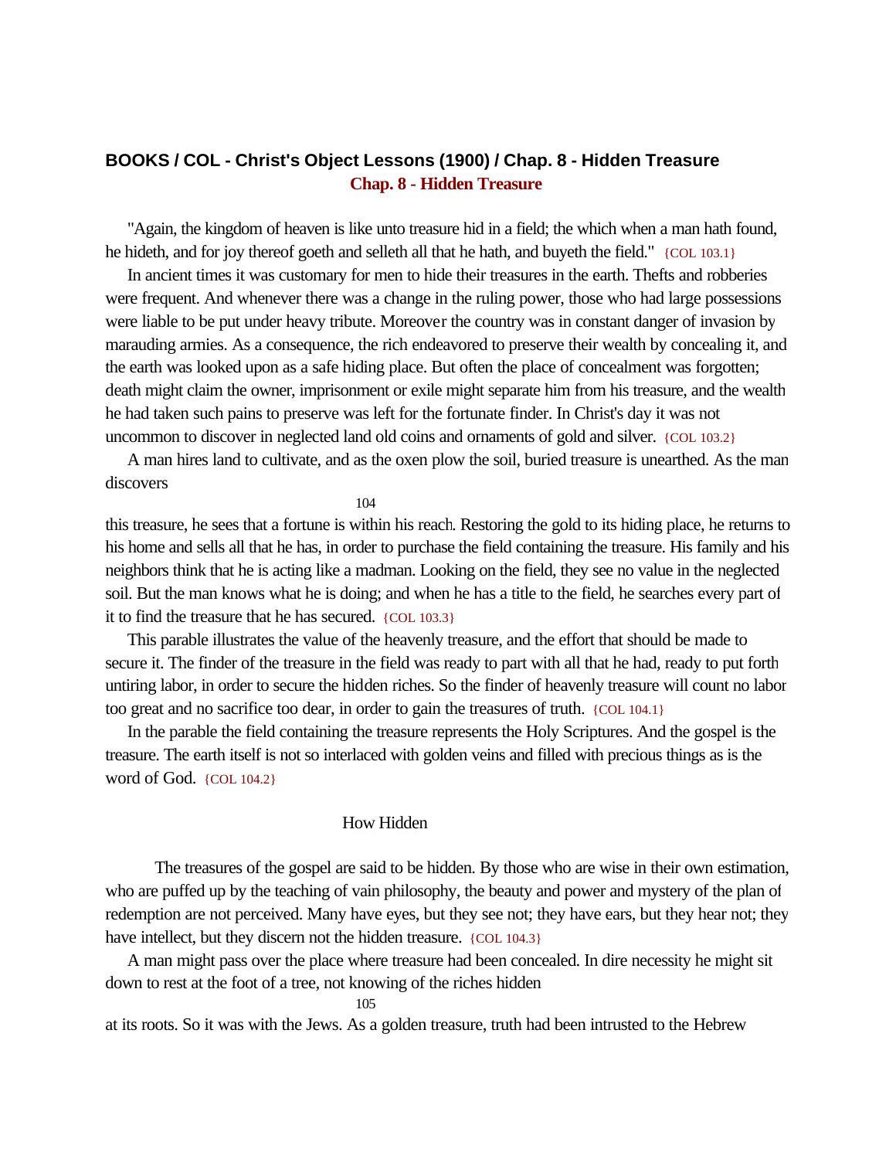# **BOOKS / COL - Christ's Object Lessons (1900) / Chap. 8 - Hidden Treasure Chap. 8 - Hidden Treasure**

 "Again, the kingdom of heaven is like unto treasure hid in a field; the which when a man hath found, he hideth, and for joy thereof goeth and selleth all that he hath, and buyeth the field." {COL 103.1}

 In ancient times it was customary for men to hide their treasures in the earth. Thefts and robberies were frequent. And whenever there was a change in the ruling power, those who had large possessions were liable to be put under heavy tribute. Moreover the country was in constant danger of invasion by marauding armies. As a consequence, the rich endeavored to preserve their wealth by concealing it, and the earth was looked upon as a safe hiding place. But often the place of concealment was forgotten; death might claim the owner, imprisonment or exile might separate him from his treasure, and the wealth he had taken such pains to preserve was left for the fortunate finder. In Christ's day it was not uncommon to discover in neglected land old coins and ornaments of gold and silver. {COL 103.2}

 A man hires land to cultivate, and as the oxen plow the soil, buried treasure is unearthed. As the man discovers

104

this treasure, he sees that a fortune is within his reach. Restoring the gold to its hiding place, he returns to his home and sells all that he has, in order to purchase the field containing the treasure. His family and his neighbors think that he is acting like a madman. Looking on the field, they see no value in the neglected soil. But the man knows what he is doing; and when he has a title to the field, he searches every part of it to find the treasure that he has secured. {COL 103.3}

 This parable illustrates the value of the heavenly treasure, and the effort that should be made to secure it. The finder of the treasure in the field was ready to part with all that he had, ready to put forth untiring labor, in order to secure the hidden riches. So the finder of heavenly treasure will count no labor too great and no sacrifice too dear, in order to gain the treasures of truth. {COL 104.1}

 In the parable the field containing the treasure represents the Holy Scriptures. And the gospel is the treasure. The earth itself is not so interlaced with golden veins and filled with precious things as is the word of God. {COL 104.2}

### How Hidden

 The treasures of the gospel are said to be hidden. By those who are wise in their own estimation, who are puffed up by the teaching of vain philosophy, the beauty and power and mystery of the plan of redemption are not perceived. Many have eyes, but they see not; they have ears, but they hear not; they have intellect, but they discern not the hidden treasure. {COL 104.3}

 A man might pass over the place where treasure had been concealed. In dire necessity he might sit down to rest at the foot of a tree, not knowing of the riches hidden

105

at its roots. So it was with the Jews. As a golden treasure, truth had been intrusted to the Hebrew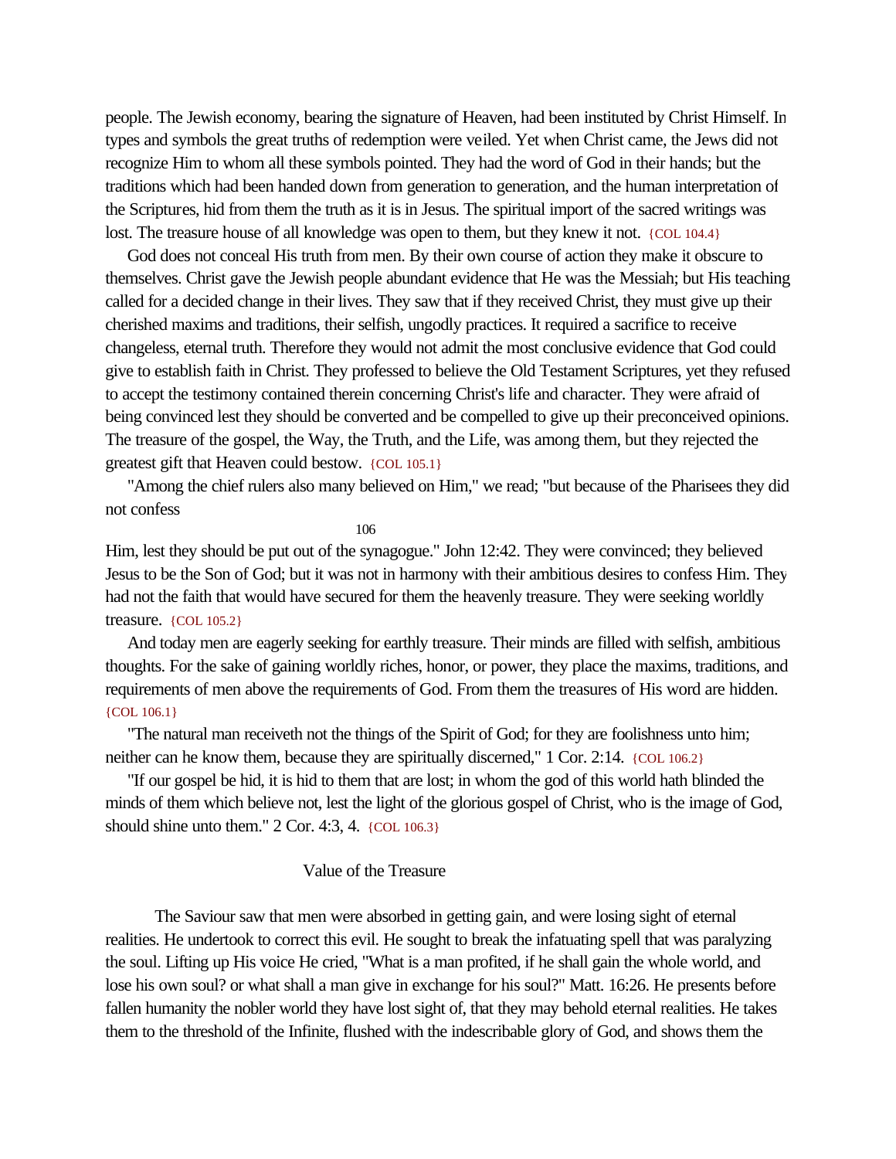people. The Jewish economy, bearing the signature of Heaven, had been instituted by Christ Himself. In types and symbols the great truths of redemption were veiled. Yet when Christ came, the Jews did not recognize Him to whom all these symbols pointed. They had the word of God in their hands; but the traditions which had been handed down from generation to generation, and the human interpretation of the Scriptures, hid from them the truth as it is in Jesus. The spiritual import of the sacred writings was lost. The treasure house of all knowledge was open to them, but they knew it not. {COL 104.4}

 God does not conceal His truth from men. By their own course of action they make it obscure to themselves. Christ gave the Jewish people abundant evidence that He was the Messiah; but His teaching called for a decided change in their lives. They saw that if they received Christ, they must give up their cherished maxims and traditions, their selfish, ungodly practices. It required a sacrifice to receive changeless, eternal truth. Therefore they would not admit the most conclusive evidence that God could give to establish faith in Christ. They professed to believe the Old Testament Scriptures, yet they refused to accept the testimony contained therein concerning Christ's life and character. They were afraid of being convinced lest they should be converted and be compelled to give up their preconceived opinions. The treasure of the gospel, the Way, the Truth, and the Life, was among them, but they rejected the greatest gift that Heaven could bestow. {COL 105.1}

 "Among the chief rulers also many believed on Him," we read; "but because of the Pharisees they did not confess

106

Him, lest they should be put out of the synagogue." John 12:42. They were convinced; they believed Jesus to be the Son of God; but it was not in harmony with their ambitious desires to confess Him. They had not the faith that would have secured for them the heavenly treasure. They were seeking worldly treasure. {COL 105.2}

 And today men are eagerly seeking for earthly treasure. Their minds are filled with selfish, ambitious thoughts. For the sake of gaining worldly riches, honor, or power, they place the maxims, traditions, and requirements of men above the requirements of God. From them the treasures of His word are hidden. {COL 106.1}

 "The natural man receiveth not the things of the Spirit of God; for they are foolishness unto him; neither can he know them, because they are spiritually discerned,"  $1 \text{ Cor. } 2:14. \text{ } \{ \text{COL } 106.2 \}$ 

 "If our gospel be hid, it is hid to them that are lost; in whom the god of this world hath blinded the minds of them which believe not, lest the light of the glorious gospel of Christ, who is the image of God, should shine unto them."  $2 \text{ Cor. } 4:3, 4$ . {COL 106.3}

# Value of the Treasure

 The Saviour saw that men were absorbed in getting gain, and were losing sight of eternal realities. He undertook to correct this evil. He sought to break the infatuating spell that was paralyzing the soul. Lifting up His voice He cried, "What is a man profited, if he shall gain the whole world, and lose his own soul? or what shall a man give in exchange for his soul?" Matt. 16:26. He presents before fallen humanity the nobler world they have lost sight of, that they may behold eternal realities. He takes them to the threshold of the Infinite, flushed with the indescribable glory of God, and shows them the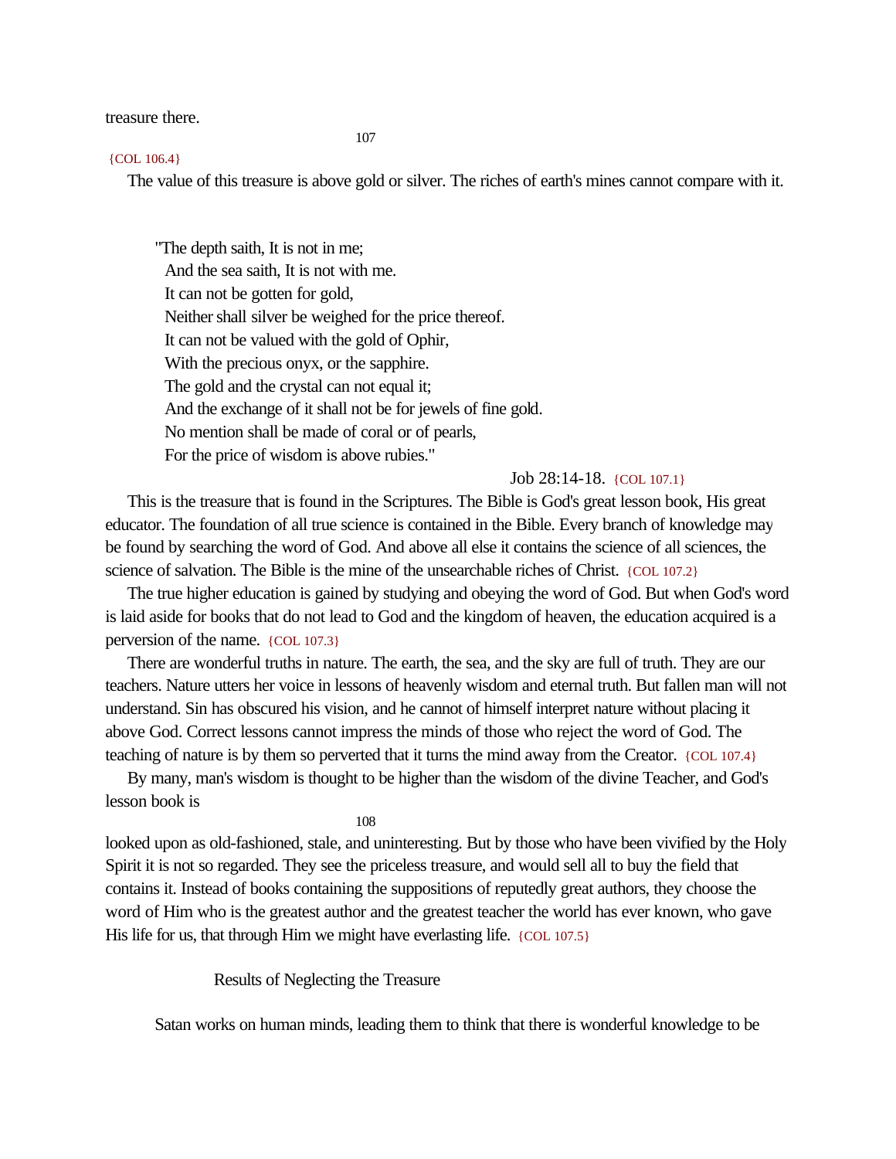treasure there.

107

# {COL 106.4}

The value of this treasure is above gold or silver. The riches of earth's mines cannot compare with it.

 "The depth saith, It is not in me; And the sea saith, It is not with me. It can not be gotten for gold, Neither shall silver be weighed for the price thereof. It can not be valued with the gold of Ophir, With the precious onyx, or the sapphire. The gold and the crystal can not equal it; And the exchange of it shall not be for jewels of fine gold. No mention shall be made of coral or of pearls, For the price of wisdom is above rubies."

# Job 28:14-18. {COL 107.1}

 This is the treasure that is found in the Scriptures. The Bible is God's great lesson book, His great educator. The foundation of all true science is contained in the Bible. Every branch of knowledge may be found by searching the word of God. And above all else it contains the science of all sciences, the science of salvation. The Bible is the mine of the unsearchable riches of Christ. {COL 107.2}

 The true higher education is gained by studying and obeying the word of God. But when God's word is laid aside for books that do not lead to God and the kingdom of heaven, the education acquired is a perversion of the name. {COL 107.3}

 There are wonderful truths in nature. The earth, the sea, and the sky are full of truth. They are our teachers. Nature utters her voice in lessons of heavenly wisdom and eternal truth. But fallen man will not understand. Sin has obscured his vision, and he cannot of himself interpret nature without placing it above God. Correct lessons cannot impress the minds of those who reject the word of God. The teaching of nature is by them so perverted that it turns the mind away from the Creator. {COL 107.4}

 By many, man's wisdom is thought to be higher than the wisdom of the divine Teacher, and God's lesson book is

108

looked upon as old-fashioned, stale, and uninteresting. But by those who have been vivified by the Holy Spirit it is not so regarded. They see the priceless treasure, and would sell all to buy the field that contains it. Instead of books containing the suppositions of reputedly great authors, they choose the word of Him who is the greatest author and the greatest teacher the world has ever known, who gave His life for us, that through Him we might have everlasting life. {COL 107.5}

Results of Neglecting the Treasure

Satan works on human minds, leading them to think that there is wonderful knowledge to be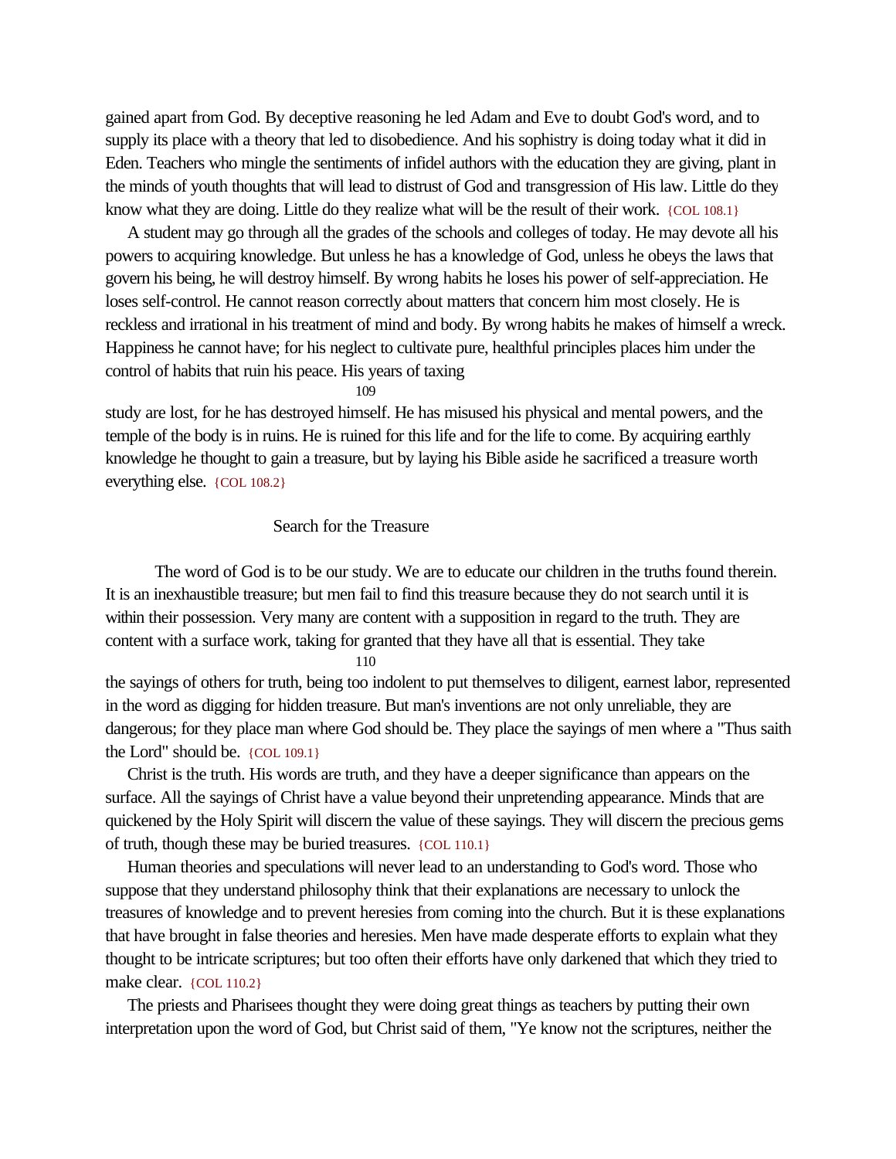gained apart from God. By deceptive reasoning he led Adam and Eve to doubt God's word, and to supply its place with a theory that led to disobedience. And his sophistry is doing today what it did in Eden. Teachers who mingle the sentiments of infidel authors with the education they are giving, plant in the minds of youth thoughts that will lead to distrust of God and transgression of His law. Little do they know what they are doing. Little do they realize what will be the result of their work. {COL 108.1}

 A student may go through all the grades of the schools and colleges of today. He may devote all his powers to acquiring knowledge. But unless he has a knowledge of God, unless he obeys the laws that govern his being, he will destroy himself. By wrong habits he loses his power of self-appreciation. He loses self-control. He cannot reason correctly about matters that concern him most closely. He is reckless and irrational in his treatment of mind and body. By wrong habits he makes of himself a wreck. Happiness he cannot have; for his neglect to cultivate pure, healthful principles places him under the control of habits that ruin his peace. His years of taxing

109

study are lost, for he has destroyed himself. He has misused his physical and mental powers, and the temple of the body is in ruins. He is ruined for this life and for the life to come. By acquiring earthly knowledge he thought to gain a treasure, but by laying his Bible aside he sacrificed a treasure worth everything else. {COL 108.2}

# Search for the Treasure

 The word of God is to be our study. We are to educate our children in the truths found therein. It is an inexhaustible treasure; but men fail to find this treasure because they do not search until it is within their possession. Very many are content with a supposition in regard to the truth. They are content with a surface work, taking for granted that they have all that is essential. They take

110

the sayings of others for truth, being too indolent to put themselves to diligent, earnest labor, represented in the word as digging for hidden treasure. But man's inventions are not only unreliable, they are dangerous; for they place man where God should be. They place the sayings of men where a "Thus saith the Lord" should be. {COL 109.1}

 Christ is the truth. His words are truth, and they have a deeper significance than appears on the surface. All the sayings of Christ have a value beyond their unpretending appearance. Minds that are quickened by the Holy Spirit will discern the value of these sayings. They will discern the precious gems of truth, though these may be buried treasures. {COL 110.1}

 Human theories and speculations will never lead to an understanding to God's word. Those who suppose that they understand philosophy think that their explanations are necessary to unlock the treasures of knowledge and to prevent heresies from coming into the church. But it is these explanations that have brought in false theories and heresies. Men have made desperate efforts to explain what they thought to be intricate scriptures; but too often their efforts have only darkened that which they tried to make clear. {COL 110.2}

 The priests and Pharisees thought they were doing great things as teachers by putting their own interpretation upon the word of God, but Christ said of them, "Ye know not the scriptures, neither the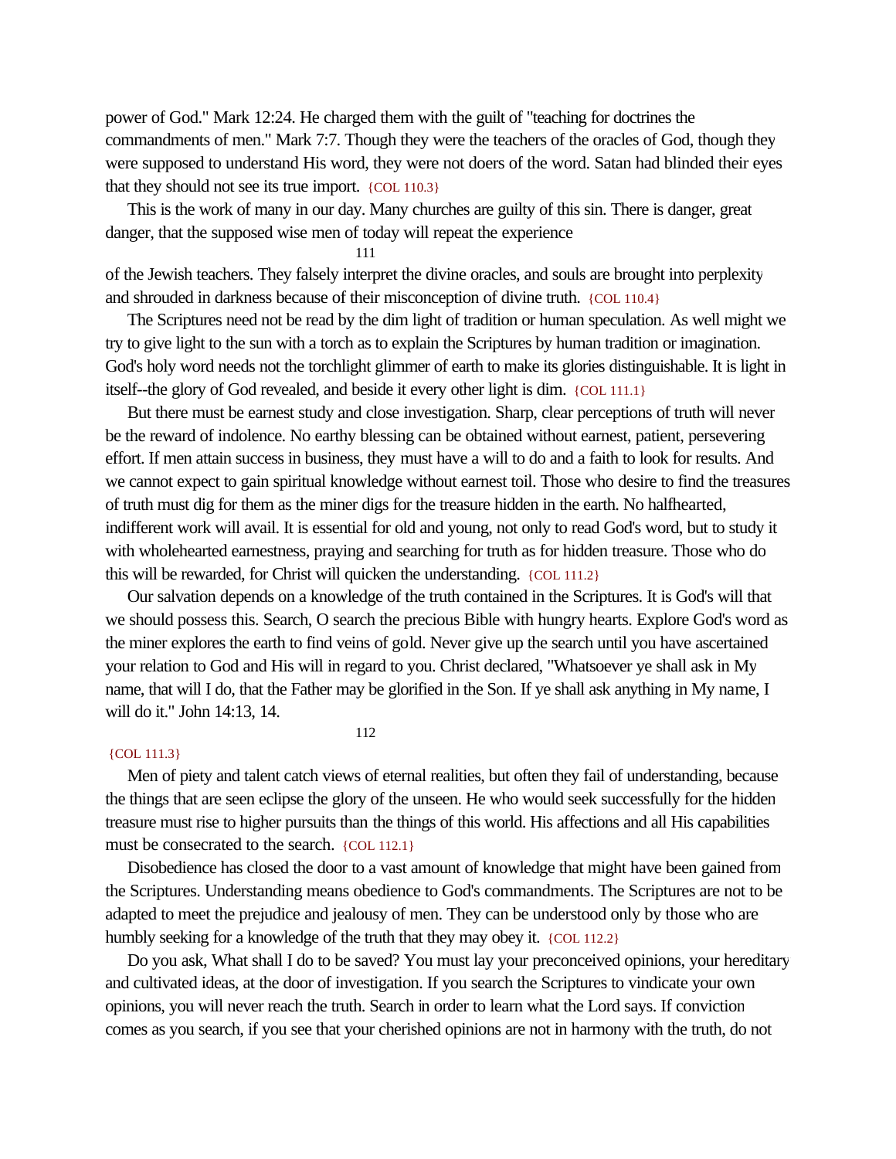power of God." Mark 12:24. He charged them with the guilt of "teaching for doctrines the commandments of men." Mark 7:7. Though they were the teachers of the oracles of God, though they were supposed to understand His word, they were not doers of the word. Satan had blinded their eyes that they should not see its true import. {COL 110.3}

 This is the work of many in our day. Many churches are guilty of this sin. There is danger, great danger, that the supposed wise men of today will repeat the experience

#### 111

of the Jewish teachers. They falsely interpret the divine oracles, and souls are brought into perplexity and shrouded in darkness because of their misconception of divine truth. {COL 110.4}

 The Scriptures need not be read by the dim light of tradition or human speculation. As well might we try to give light to the sun with a torch as to explain the Scriptures by human tradition or imagination. God's holy word needs not the torchlight glimmer of earth to make its glories distinguishable. It is light in itself--the glory of God revealed, and beside it every other light is dim. {COL 111.1}

 But there must be earnest study and close investigation. Sharp, clear perceptions of truth will never be the reward of indolence. No earthy blessing can be obtained without earnest, patient, persevering effort. If men attain success in business, they must have a will to do and a faith to look for results. And we cannot expect to gain spiritual knowledge without earnest toil. Those who desire to find the treasures of truth must dig for them as the miner digs for the treasure hidden in the earth. No halfhearted, indifferent work will avail. It is essential for old and young, not only to read God's word, but to study it with wholehearted earnestness, praying and searching for truth as for hidden treasure. Those who do this will be rewarded, for Christ will quicken the understanding. {COL 111.2}

 Our salvation depends on a knowledge of the truth contained in the Scriptures. It is God's will that we should possess this. Search, O search the precious Bible with hungry hearts. Explore God's word as the miner explores the earth to find veins of gold. Never give up the search until you have ascertained your relation to God and His will in regard to you. Christ declared, "Whatsoever ye shall ask in My name, that will I do, that the Father may be glorified in the Son. If ye shall ask anything in My name, I will do it." John 14:13, 14.

### {COL 111.3}

112

 Men of piety and talent catch views of eternal realities, but often they fail of understanding, because the things that are seen eclipse the glory of the unseen. He who would seek successfully for the hidden treasure must rise to higher pursuits than the things of this world. His affections and all His capabilities must be consecrated to the search. {COL 112.1}

 Disobedience has closed the door to a vast amount of knowledge that might have been gained from the Scriptures. Understanding means obedience to God's commandments. The Scriptures are not to be adapted to meet the prejudice and jealousy of men. They can be understood only by those who are humbly seeking for a knowledge of the truth that they may obey it. {COL 112.2}

 Do you ask, What shall I do to be saved? You must lay your preconceived opinions, your hereditary and cultivated ideas, at the door of investigation. If you search the Scriptures to vindicate your own opinions, you will never reach the truth. Search in order to learn what the Lord says. If conviction comes as you search, if you see that your cherished opinions are not in harmony with the truth, do not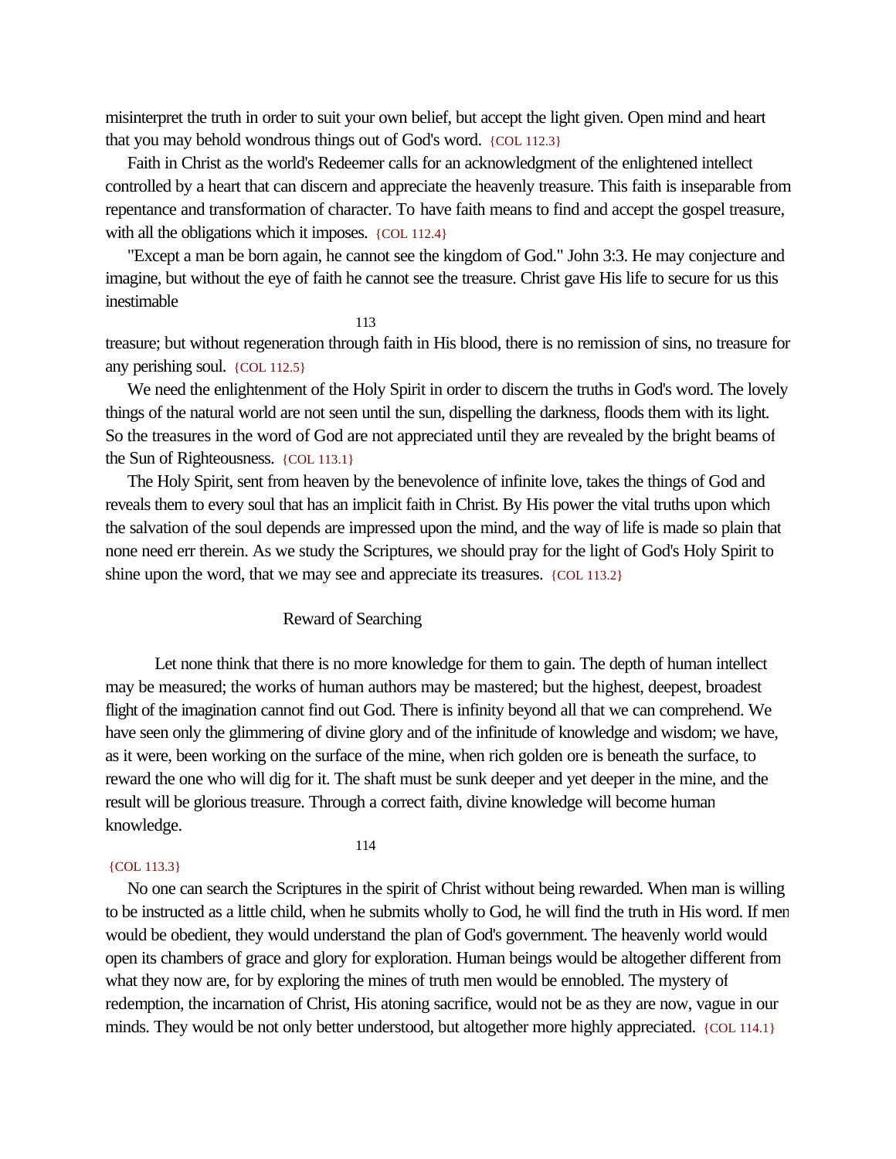misinterpret the truth in order to suit your own belief, but accept the light given. Open mind and heart that you may behold wondrous things out of God's word. {COL 112.3}

 Faith in Christ as the world's Redeemer calls for an acknowledgment of the enlightened intellect controlled by a heart that can discern and appreciate the heavenly treasure. This faith is inseparable from repentance and transformation of character. To have faith means to find and accept the gospel treasure, with all the obligations which it imposes. {COL 112.4}

 "Except a man be born again, he cannot see the kingdom of God." John 3:3. He may conjecture and imagine, but without the eye of faith he cannot see the treasure. Christ gave His life to secure for us this inestimable

113

treasure; but without regeneration through faith in His blood, there is no remission of sins, no treasure for any perishing soul. {COL 112.5}

 We need the enlightenment of the Holy Spirit in order to discern the truths in God's word. The lovely things of the natural world are not seen until the sun, dispelling the darkness, floods them with its light. So the treasures in the word of God are not appreciated until they are revealed by the bright beams of the Sun of Righteousness. {COL 113.1}

 The Holy Spirit, sent from heaven by the benevolence of infinite love, takes the things of God and reveals them to every soul that has an implicit faith in Christ. By His power the vital truths upon which the salvation of the soul depends are impressed upon the mind, and the way of life is made so plain that none need err therein. As we study the Scriptures, we should pray for the light of God's Holy Spirit to shine upon the word, that we may see and appreciate its treasures. {COL 113.2}

# Reward of Searching

 Let none think that there is no more knowledge for them to gain. The depth of human intellect may be measured; the works of human authors may be mastered; but the highest, deepest, broadest flight of the imagination cannot find out God. There is infinity beyond all that we can comprehend. We have seen only the glimmering of divine glory and of the infinitude of knowledge and wisdom; we have, as it were, been working on the surface of the mine, when rich golden ore is beneath the surface, to reward the one who will dig for it. The shaft must be sunk deeper and yet deeper in the mine, and the result will be glorious treasure. Through a correct faith, divine knowledge will become human knowledge.

### {COL 113.3}

114

 No one can search the Scriptures in the spirit of Christ without being rewarded. When man is willing to be instructed as a little child, when he submits wholly to God, he will find the truth in His word. If men would be obedient, they would understand the plan of God's government. The heavenly world would open its chambers of grace and glory for exploration. Human beings would be altogether different from what they now are, for by exploring the mines of truth men would be ennobled. The mystery of redemption, the incarnation of Christ, His atoning sacrifice, would not be as they are now, vague in our minds. They would be not only better understood, but altogether more highly appreciated. {COL 114.1}}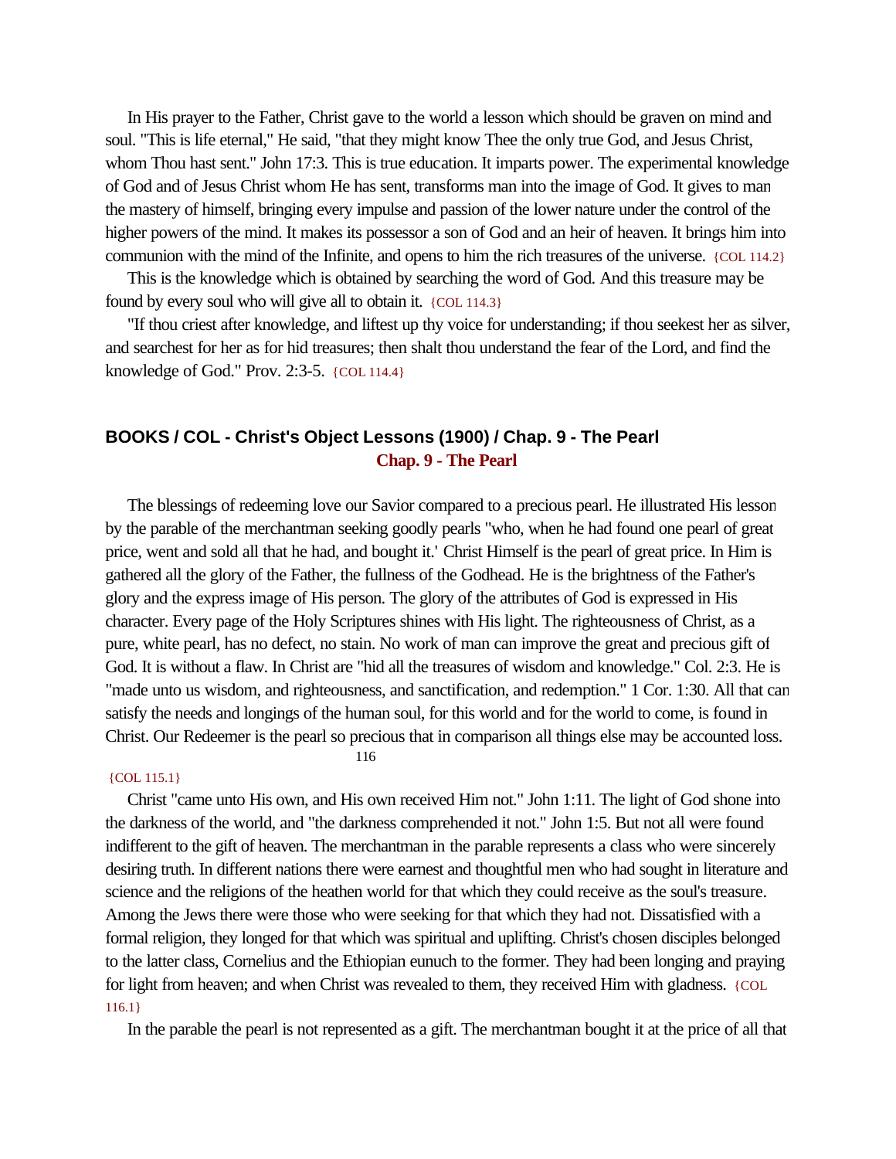In His prayer to the Father, Christ gave to the world a lesson which should be graven on mind and soul. "This is life eternal," He said, "that they might know Thee the only true God, and Jesus Christ, whom Thou hast sent." John 17:3. This is true education. It imparts power. The experimental knowledge of God and of Jesus Christ whom He has sent, transforms man into the image of God. It gives to man the mastery of himself, bringing every impulse and passion of the lower nature under the control of the higher powers of the mind. It makes its possessor a son of God and an heir of heaven. It brings him into communion with the mind of the Infinite, and opens to him the rich treasures of the universe. {COL 114.2}

 This is the knowledge which is obtained by searching the word of God. And this treasure may be found by every soul who will give all to obtain it. {COL 114.3}

 "If thou criest after knowledge, and liftest up thy voice for understanding; if thou seekest her as silver, and searchest for her as for hid treasures; then shalt thou understand the fear of the Lord, and find the knowledge of God." Prov. 2:3-5. {COL 114.4}

# **BOOKS / COL - Christ's Object Lessons (1900) / Chap. 9 - The Pearl Chap. 9 - The Pearl**

 The blessings of redeeming love our Savior compared to a precious pearl. He illustrated His lesson by the parable of the merchantman seeking goodly pearls "who, when he had found one pearl of great price, went and sold all that he had, and bought it." Christ Himself is the pearl of great price. In Him is gathered all the glory of the Father, the fullness of the Godhead. He is the brightness of the Father's glory and the express image of His person. The glory of the attributes of God is expressed in His character. Every page of the Holy Scriptures shines with His light. The righteousness of Christ, as a pure, white pearl, has no defect, no stain. No work of man can improve the great and precious gift of God. It is without a flaw. In Christ are "hid all the treasures of wisdom and knowledge." Col. 2:3. He is "made unto us wisdom, and righteousness, and sanctification, and redemption." 1 Cor. 1:30. All that can satisfy the needs and longings of the human soul, for this world and for the world to come, is found in Christ. Our Redeemer is the pearl so precious that in comparison all things else may be accounted loss. 116

#### {COL 115.1}

 Christ "came unto His own, and His own received Him not." John 1:11. The light of God shone into the darkness of the world, and "the darkness comprehended it not." John 1:5. But not all were found indifferent to the gift of heaven. The merchantman in the parable represents a class who were sincerely desiring truth. In different nations there were earnest and thoughtful men who had sought in literature and science and the religions of the heathen world for that which they could receive as the soul's treasure. Among the Jews there were those who were seeking for that which they had not. Dissatisfied with a formal religion, they longed for that which was spiritual and uplifting. Christ's chosen disciples belonged to the latter class, Cornelius and the Ethiopian eunuch to the former. They had been longing and praying for light from heaven; and when Christ was revealed to them, they received Him with gladness. {COL 116.1}

In the parable the pearl is not represented as a gift. The merchantman bought it at the price of all that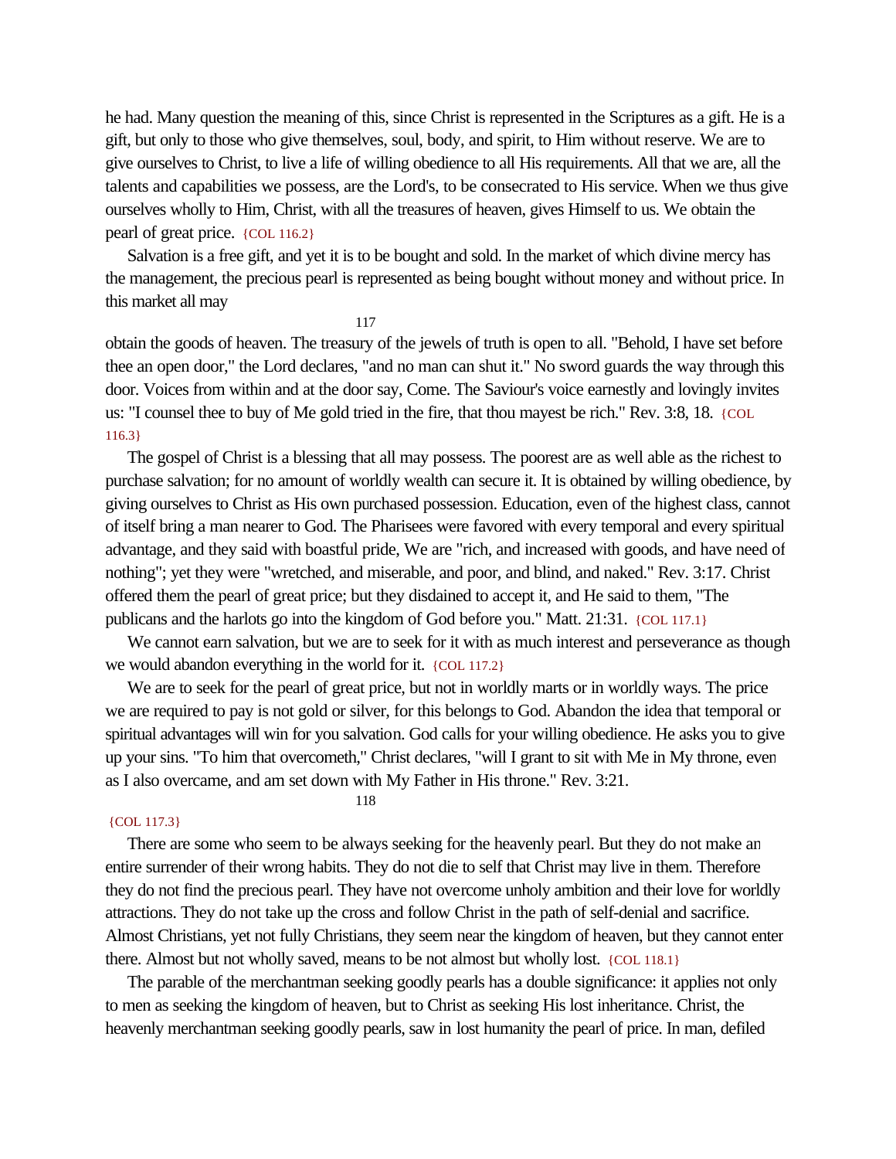he had. Many question the meaning of this, since Christ is represented in the Scriptures as a gift. He is a gift, but only to those who give themselves, soul, body, and spirit, to Him without reserve. We are to give ourselves to Christ, to live a life of willing obedience to all His requirements. All that we are, all the talents and capabilities we possess, are the Lord's, to be consecrated to His service. When we thus give ourselves wholly to Him, Christ, with all the treasures of heaven, gives Himself to us. We obtain the pearl of great price. {COL 116.2}

 Salvation is a free gift, and yet it is to be bought and sold. In the market of which divine mercy has the management, the precious pearl is represented as being bought without money and without price. In this market all may

117

obtain the goods of heaven. The treasury of the jewels of truth is open to all. "Behold, I have set before thee an open door," the Lord declares, "and no man can shut it." No sword guards the way through this door. Voices from within and at the door say, Come. The Saviour's voice earnestly and lovingly invites us: "I counsel thee to buy of Me gold tried in the fire, that thou mayest be rich." Rev. 3:8, 18. {COL 116.3}

 The gospel of Christ is a blessing that all may possess. The poorest are as well able as the richest to purchase salvation; for no amount of worldly wealth can secure it. It is obtained by willing obedience, by giving ourselves to Christ as His own purchased possession. Education, even of the highest class, cannot of itself bring a man nearer to God. The Pharisees were favored with every temporal and every spiritual advantage, and they said with boastful pride, We are "rich, and increased with goods, and have need of nothing"; yet they were "wretched, and miserable, and poor, and blind, and naked." Rev. 3:17. Christ offered them the pearl of great price; but they disdained to accept it, and He said to them, "The publicans and the harlots go into the kingdom of God before you." Matt. 21:31. {COL 117.1}

We cannot earn salvation, but we are to seek for it with as much interest and perseverance as though we would abandon everything in the world for it. {COL 117.2}

 We are to seek for the pearl of great price, but not in worldly marts or in worldly ways. The price we are required to pay is not gold or silver, for this belongs to God. Abandon the idea that temporal or spiritual advantages will win for you salvation. God calls for your willing obedience. He asks you to give up your sins. "To him that overcometh," Christ declares, "will I grant to sit with Me in My throne, even as I also overcame, and am set down with My Father in His throne." Rev. 3:21.

## {COL 117.3}

118

 There are some who seem to be always seeking for the heavenly pearl. But they do not make an entire surrender of their wrong habits. They do not die to self that Christ may live in them. Therefore they do not find the precious pearl. They have not overcome unholy ambition and their love for worldly attractions. They do not take up the cross and follow Christ in the path of self-denial and sacrifice. Almost Christians, yet not fully Christians, they seem near the kingdom of heaven, but they cannot enter there. Almost but not wholly saved, means to be not almost but wholly lost. {COL 118.1}

 The parable of the merchantman seeking goodly pearls has a double significance: it applies not only to men as seeking the kingdom of heaven, but to Christ as seeking His lost inheritance. Christ, the heavenly merchantman seeking goodly pearls, saw in lost humanity the pearl of price. In man, defiled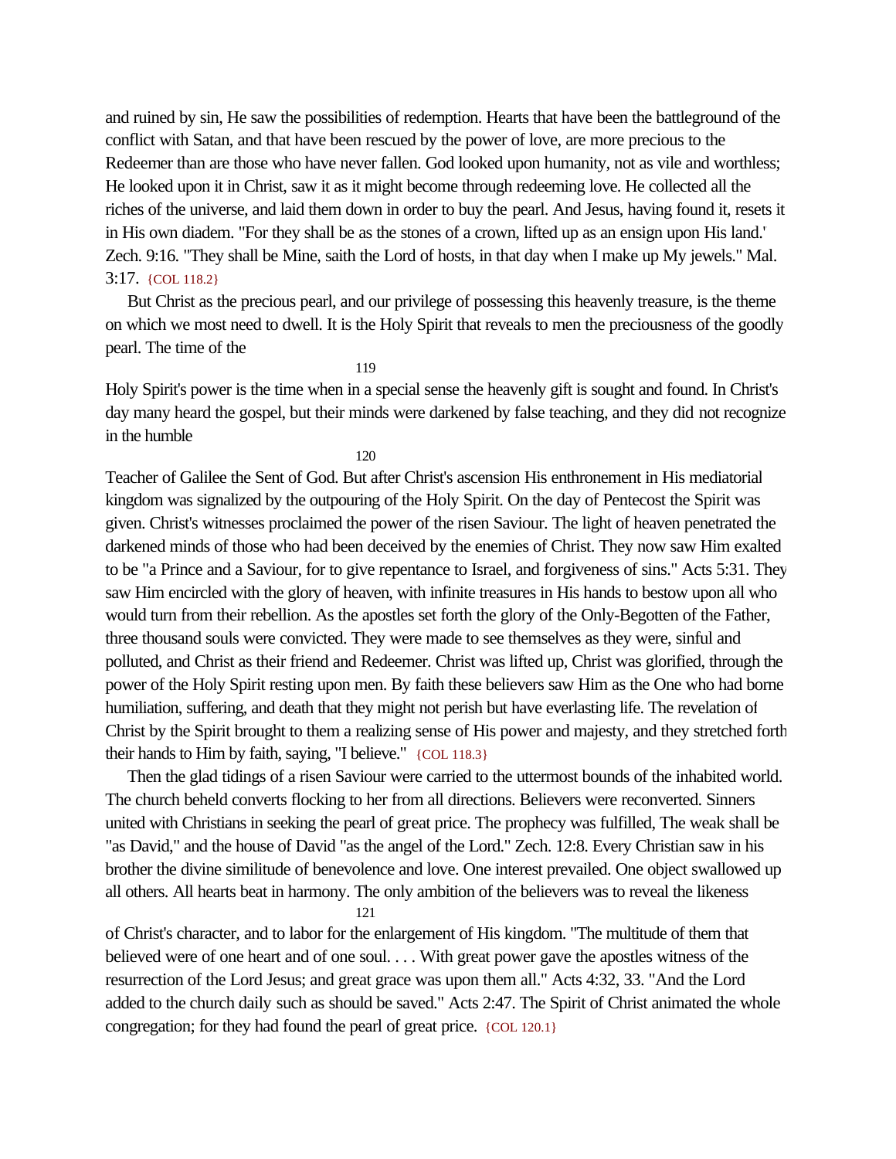and ruined by sin, He saw the possibilities of redemption. Hearts that have been the battleground of the conflict with Satan, and that have been rescued by the power of love, are more precious to the Redeemer than are those who have never fallen. God looked upon humanity, not as vile and worthless; He looked upon it in Christ, saw it as it might become through redeeming love. He collected all the riches of the universe, and laid them down in order to buy the pearl. And Jesus, having found it, resets it in His own diadem. "For they shall be as the stones of a crown, lifted up as an ensign upon His land." Zech. 9:16. "They shall be Mine, saith the Lord of hosts, in that day when I make up My jewels." Mal. 3:17. {COL 118.2}

 But Christ as the precious pearl, and our privilege of possessing this heavenly treasure, is the theme on which we most need to dwell. It is the Holy Spirit that reveals to men the preciousness of the goodly pearl. The time of the

119

Holy Spirit's power is the time when in a special sense the heavenly gift is sought and found. In Christ's day many heard the gospel, but their minds were darkened by false teaching, and they did not recognize in the humble

#### 120

Teacher of Galilee the Sent of God. But after Christ's ascension His enthronement in His mediatorial kingdom was signalized by the outpouring of the Holy Spirit. On the day of Pentecost the Spirit was given. Christ's witnesses proclaimed the power of the risen Saviour. The light of heaven penetrated the darkened minds of those who had been deceived by the enemies of Christ. They now saw Him exalted to be "a Prince and a Saviour, for to give repentance to Israel, and forgiveness of sins." Acts 5:31. They saw Him encircled with the glory of heaven, with infinite treasures in His hands to bestow upon all who would turn from their rebellion. As the apostles set forth the glory of the Only-Begotten of the Father, three thousand souls were convicted. They were made to see themselves as they were, sinful and polluted, and Christ as their friend and Redeemer. Christ was lifted up, Christ was glorified, through the power of the Holy Spirit resting upon men. By faith these believers saw Him as the One who had borne humiliation, suffering, and death that they might not perish but have everlasting life. The revelation of Christ by the Spirit brought to them a realizing sense of His power and majesty, and they stretched forth their hands to Him by faith, saying, "I believe." {COL 118.3}

 Then the glad tidings of a risen Saviour were carried to the uttermost bounds of the inhabited world. The church beheld converts flocking to her from all directions. Believers were reconverted. Sinners united with Christians in seeking the pearl of great price. The prophecy was fulfilled, The weak shall be "as David," and the house of David "as the angel of the Lord." Zech. 12:8. Every Christian saw in his brother the divine similitude of benevolence and love. One interest prevailed. One object swallowed up all others. All hearts beat in harmony. The only ambition of the believers was to reveal the likeness 121

of Christ's character, and to labor for the enlargement of His kingdom. "The multitude of them that believed were of one heart and of one soul. . . . With great power gave the apostles witness of the resurrection of the Lord Jesus; and great grace was upon them all." Acts 4:32, 33. "And the Lord added to the church daily such as should be saved." Acts 2:47. The Spirit of Christ animated the whole congregation; for they had found the pearl of great price. {COL 120.1}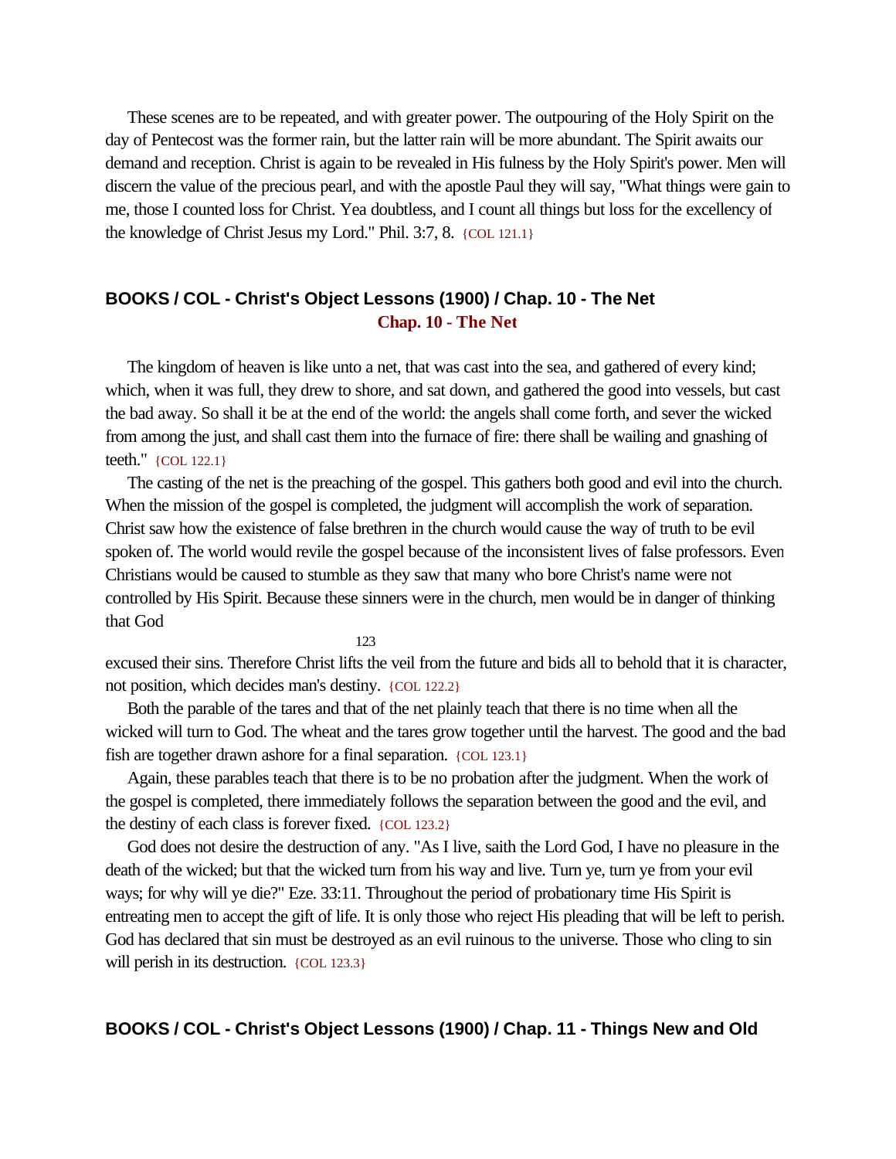These scenes are to be repeated, and with greater power. The outpouring of the Holy Spirit on the day of Pentecost was the former rain, but the latter rain will be more abundant. The Spirit awaits our demand and reception. Christ is again to be revealed in His fulness by the Holy Spirit's power. Men will discern the value of the precious pearl, and with the apostle Paul they will say, "What things were gain to me, those I counted loss for Christ. Yea doubtless, and I count all things but loss for the excellency of the knowledge of Christ Jesus my Lord." Phil. 3:7, 8. {COL 121.1}

# **BOOKS / COL - Christ's Object Lessons (1900) / Chap. 10 - The Net Chap. 10 - The Net**

 The kingdom of heaven is like unto a net, that was cast into the sea, and gathered of every kind; which, when it was full, they drew to shore, and sat down, and gathered the good into vessels, but cast the bad away. So shall it be at the end of the world: the angels shall come forth, and sever the wicked from among the just, and shall cast them into the furnace of fire: there shall be wailing and gnashing of teeth." {COL 122.1}

 The casting of the net is the preaching of the gospel. This gathers both good and evil into the church. When the mission of the gospel is completed, the judgment will accomplish the work of separation. Christ saw how the existence of false brethren in the church would cause the way of truth to be evil spoken of. The world would revile the gospel because of the inconsistent lives of false professors. Even Christians would be caused to stumble as they saw that many who bore Christ's name were not controlled by His Spirit. Because these sinners were in the church, men would be in danger of thinking that God

123

excused their sins. Therefore Christ lifts the veil from the future and bids all to behold that it is character, not position, which decides man's destiny. {COL 122.2}

 Both the parable of the tares and that of the net plainly teach that there is no time when all the wicked will turn to God. The wheat and the tares grow together until the harvest. The good and the bad fish are together drawn ashore for a final separation. {COL 123.1}

 Again, these parables teach that there is to be no probation after the judgment. When the work of the gospel is completed, there immediately follows the separation between the good and the evil, and the destiny of each class is forever fixed. {COL 123.2}

 God does not desire the destruction of any. "As I live, saith the Lord God, I have no pleasure in the death of the wicked; but that the wicked turn from his way and live. Turn ye, turn ye from your evil ways; for why will ye die?" Eze. 33:11. Throughout the period of probationary time His Spirit is entreating men to accept the gift of life. It is only those who reject His pleading that will be left to perish. God has declared that sin must be destroyed as an evil ruinous to the universe. Those who cling to sin will perish in its destruction. {COL 123.3}

# **BOOKS / COL - Christ's Object Lessons (1900) / Chap. 11 - Things New and Old**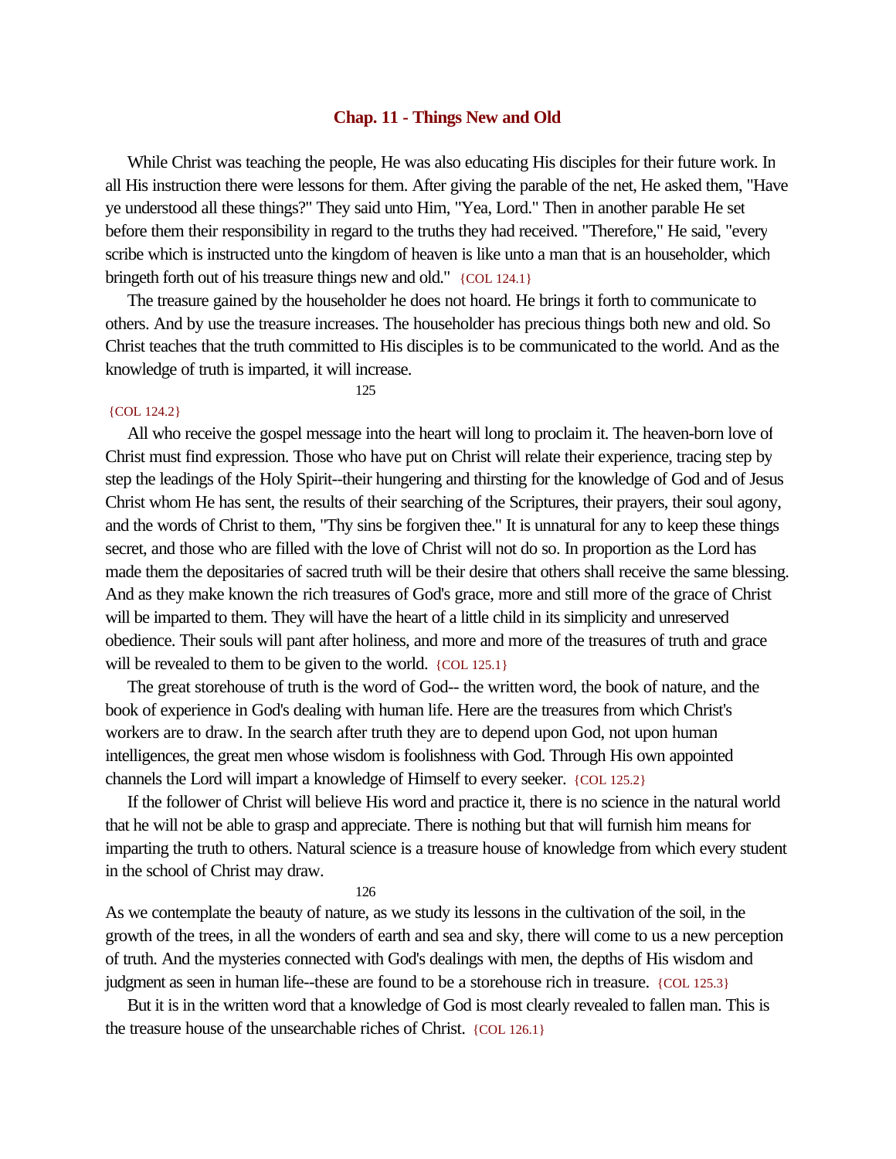### **Chap. 11 - Things New and Old**

 While Christ was teaching the people, He was also educating His disciples for their future work. In all His instruction there were lessons for them. After giving the parable of the net, He asked them, "Have ye understood all these things?" They said unto Him, "Yea, Lord." Then in another parable He set before them their responsibility in regard to the truths they had received. "Therefore," He said, "every scribe which is instructed unto the kingdom of heaven is like unto a man that is an householder, which bringeth forth out of his treasure things new and old." {COL 124.1}

 The treasure gained by the householder he does not hoard. He brings it forth to communicate to others. And by use the treasure increases. The householder has precious things both new and old. So Christ teaches that the truth committed to His disciples is to be communicated to the world. And as the knowledge of truth is imparted, it will increase.

## {COL 124.2}

125

 All who receive the gospel message into the heart will long to proclaim it. The heaven-born love of Christ must find expression. Those who have put on Christ will relate their experience, tracing step by step the leadings of the Holy Spirit--their hungering and thirsting for the knowledge of God and of Jesus Christ whom He has sent, the results of their searching of the Scriptures, their prayers, their soul agony, and the words of Christ to them, "Thy sins be forgiven thee." It is unnatural for any to keep these things secret, and those who are filled with the love of Christ will not do so. In proportion as the Lord has made them the depositaries of sacred truth will be their desire that others shall receive the same blessing. And as they make known the rich treasures of God's grace, more and still more of the grace of Christ will be imparted to them. They will have the heart of a little child in its simplicity and unreserved obedience. Their souls will pant after holiness, and more and more of the treasures of truth and grace will be revealed to them to be given to the world. {COL 125.1}

 The great storehouse of truth is the word of God-- the written word, the book of nature, and the book of experience in God's dealing with human life. Here are the treasures from which Christ's workers are to draw. In the search after truth they are to depend upon God, not upon human intelligences, the great men whose wisdom is foolishness with God. Through His own appointed channels the Lord will impart a knowledge of Himself to every seeker. {COL 125.2}

 If the follower of Christ will believe His word and practice it, there is no science in the natural world that he will not be able to grasp and appreciate. There is nothing but that will furnish him means for imparting the truth to others. Natural science is a treasure house of knowledge from which every student in the school of Christ may draw.

#### 126

As we contemplate the beauty of nature, as we study its lessons in the cultivation of the soil, in the growth of the trees, in all the wonders of earth and sea and sky, there will come to us a new perception of truth. And the mysteries connected with God's dealings with men, the depths of His wisdom and judgment as seen in human life--these are found to be a storehouse rich in treasure. {COL 125.3}

 But it is in the written word that a knowledge of God is most clearly revealed to fallen man. This is the treasure house of the unsearchable riches of Christ. {COL 126.1}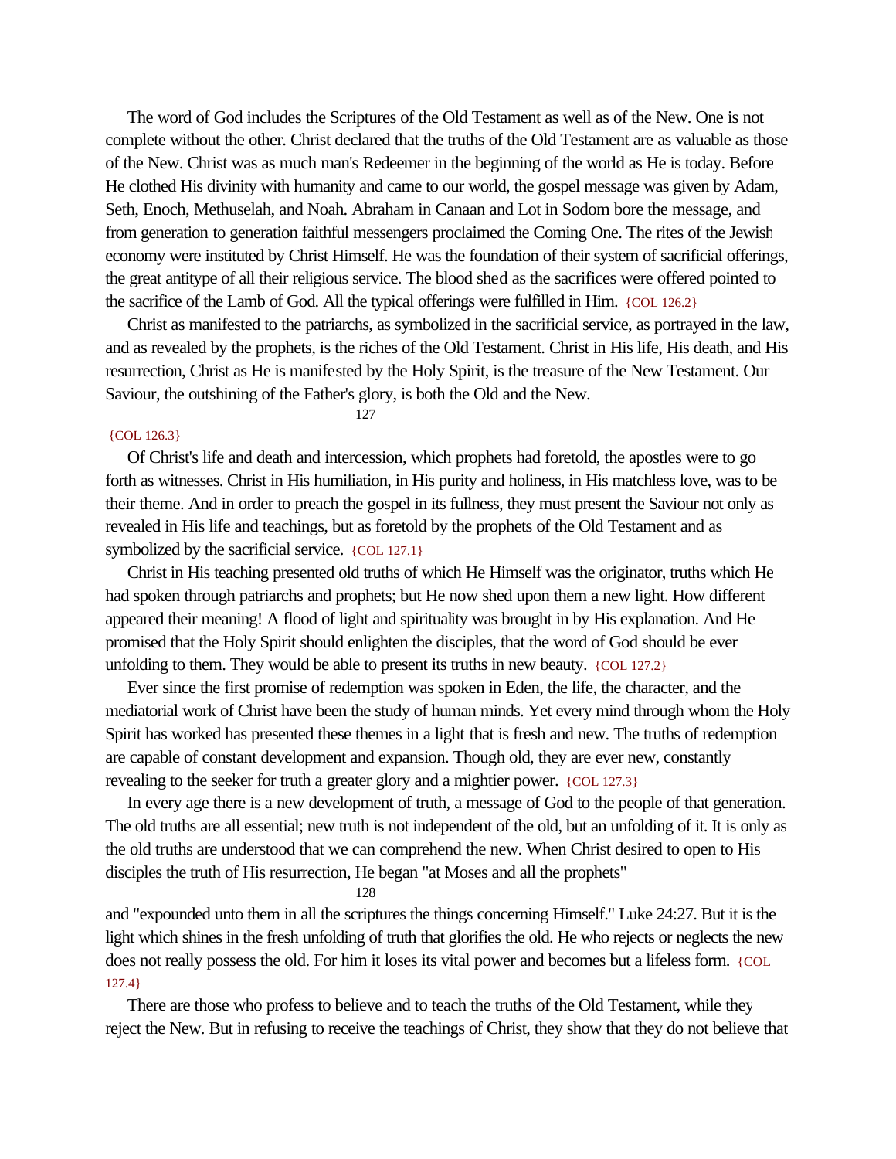The word of God includes the Scriptures of the Old Testament as well as of the New. One is not complete without the other. Christ declared that the truths of the Old Testament are as valuable as those of the New. Christ was as much man's Redeemer in the beginning of the world as He is today. Before He clothed His divinity with humanity and came to our world, the gospel message was given by Adam, Seth, Enoch, Methuselah, and Noah. Abraham in Canaan and Lot in Sodom bore the message, and from generation to generation faithful messengers proclaimed the Coming One. The rites of the Jewish economy were instituted by Christ Himself. He was the foundation of their system of sacrificial offerings, the great antitype of all their religious service. The blood shed as the sacrifices were offered pointed to the sacrifice of the Lamb of God. All the typical offerings were fulfilled in Him. {COL 126.2}

 Christ as manifested to the patriarchs, as symbolized in the sacrificial service, as portrayed in the law, and as revealed by the prophets, is the riches of the Old Testament. Christ in His life, His death, and His resurrection, Christ as He is manifested by the Holy Spirit, is the treasure of the New Testament. Our Saviour, the outshining of the Father's glory, is both the Old and the New.

#### {COL 126.3}

127

 Of Christ's life and death and intercession, which prophets had foretold, the apostles were to go forth as witnesses. Christ in His humiliation, in His purity and holiness, in His matchless love, was to be their theme. And in order to preach the gospel in its fullness, they must present the Saviour not only as revealed in His life and teachings, but as foretold by the prophets of the Old Testament and as symbolized by the sacrificial service. {COL 127.1}

 Christ in His teaching presented old truths of which He Himself was the originator, truths which He had spoken through patriarchs and prophets; but He now shed upon them a new light. How different appeared their meaning! A flood of light and spirituality was brought in by His explanation. And He promised that the Holy Spirit should enlighten the disciples, that the word of God should be ever unfolding to them. They would be able to present its truths in new beauty. {COL 127.2}

 Ever since the first promise of redemption was spoken in Eden, the life, the character, and the mediatorial work of Christ have been the study of human minds. Yet every mind through whom the Holy Spirit has worked has presented these themes in a light that is fresh and new. The truths of redemption are capable of constant development and expansion. Though old, they are ever new, constantly revealing to the seeker for truth a greater glory and a mightier power. {COL 127.3}

 In every age there is a new development of truth, a message of God to the people of that generation. The old truths are all essential; new truth is not independent of the old, but an unfolding of it. It is only as the old truths are understood that we can comprehend the new. When Christ desired to open to His disciples the truth of His resurrection, He began "at Moses and all the prophets"

128

and "expounded unto them in all the scriptures the things concerning Himself." Luke 24:27. But it is the light which shines in the fresh unfolding of truth that glorifies the old. He who rejects or neglects the new does not really possess the old. For him it loses its vital power and becomes but a lifeless form. {COL 127.4}

 There are those who profess to believe and to teach the truths of the Old Testament, while they reject the New. But in refusing to receive the teachings of Christ, they show that they do not believe that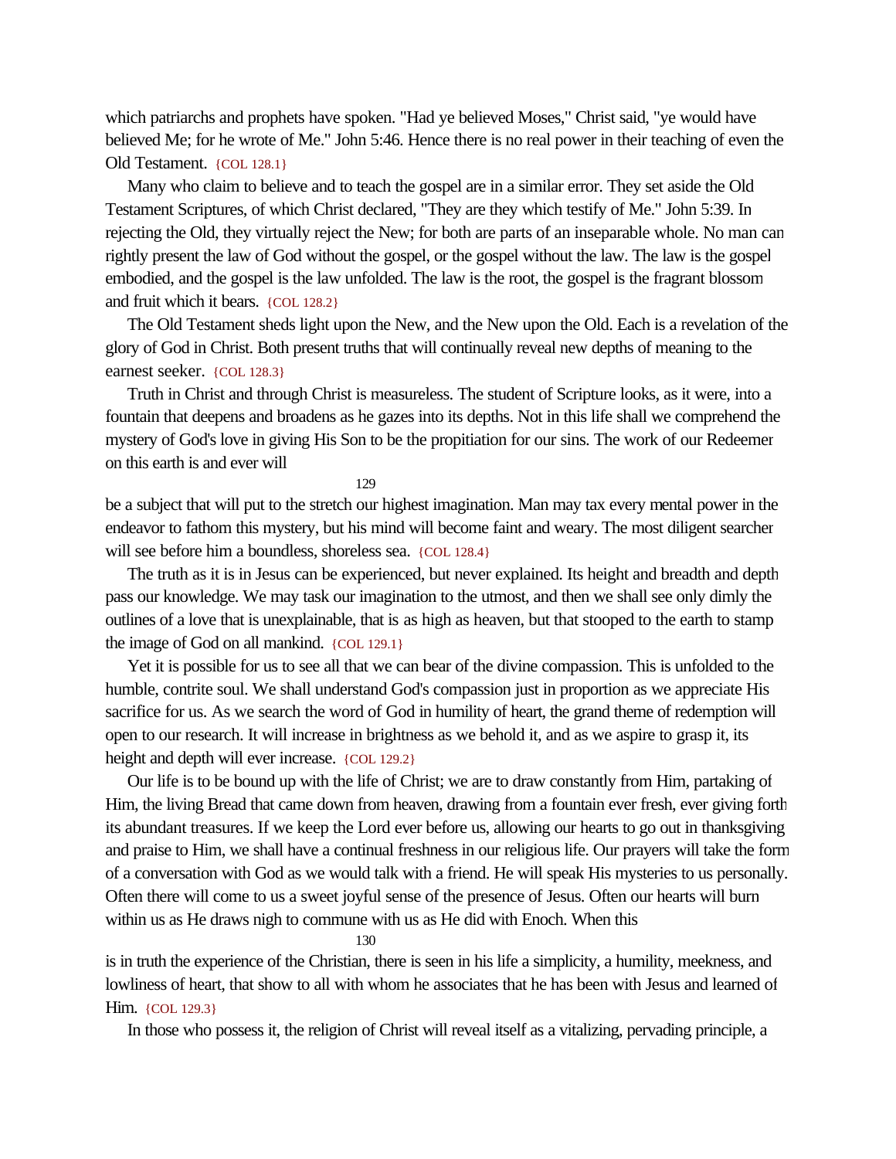which patriarchs and prophets have spoken. "Had ye believed Moses," Christ said, "ye would have believed Me; for he wrote of Me." John 5:46. Hence there is no real power in their teaching of even the Old Testament. {COL 128.1}

 Many who claim to believe and to teach the gospel are in a similar error. They set aside the Old Testament Scriptures, of which Christ declared, "They are they which testify of Me." John 5:39. In rejecting the Old, they virtually reject the New; for both are parts of an inseparable whole. No man can rightly present the law of God without the gospel, or the gospel without the law. The law is the gospel embodied, and the gospel is the law unfolded. The law is the root, the gospel is the fragrant blossom and fruit which it bears. {COL 128.2}

 The Old Testament sheds light upon the New, and the New upon the Old. Each is a revelation of the glory of God in Christ. Both present truths that will continually reveal new depths of meaning to the earnest seeker. {COL 128.3}

 Truth in Christ and through Christ is measureless. The student of Scripture looks, as it were, into a fountain that deepens and broadens as he gazes into its depths. Not in this life shall we comprehend the mystery of God's love in giving His Son to be the propitiation for our sins. The work of our Redeemer on this earth is and ever will

129

be a subject that will put to the stretch our highest imagination. Man may tax every mental power in the endeavor to fathom this mystery, but his mind will become faint and weary. The most diligent searcher will see before him a boundless, shoreless sea. {COL 128.4}

 The truth as it is in Jesus can be experienced, but never explained. Its height and breadth and depth pass our knowledge. We may task our imagination to the utmost, and then we shall see only dimly the outlines of a love that is unexplainable, that is as high as heaven, but that stooped to the earth to stamp the image of God on all mankind. {COL 129.1}

 Yet it is possible for us to see all that we can bear of the divine compassion. This is unfolded to the humble, contrite soul. We shall understand God's compassion just in proportion as we appreciate His sacrifice for us. As we search the word of God in humility of heart, the grand theme of redemption will open to our research. It will increase in brightness as we behold it, and as we aspire to grasp it, its height and depth will ever increase. {COL 129.2}

 Our life is to be bound up with the life of Christ; we are to draw constantly from Him, partaking of Him, the living Bread that came down from heaven, drawing from a fountain ever fresh, ever giving forth its abundant treasures. If we keep the Lord ever before us, allowing our hearts to go out in thanksgiving and praise to Him, we shall have a continual freshness in our religious life. Our prayers will take the form of a conversation with God as we would talk with a friend. He will speak His mysteries to us personally. Often there will come to us a sweet joyful sense of the presence of Jesus. Often our hearts will burn within us as He draws nigh to commune with us as He did with Enoch. When this

130

is in truth the experience of the Christian, there is seen in his life a simplicity, a humility, meekness, and lowliness of heart, that show to all with whom he associates that he has been with Jesus and learned of Him. {COL 129.3}

In those who possess it, the religion of Christ will reveal itself as a vitalizing, pervading principle, a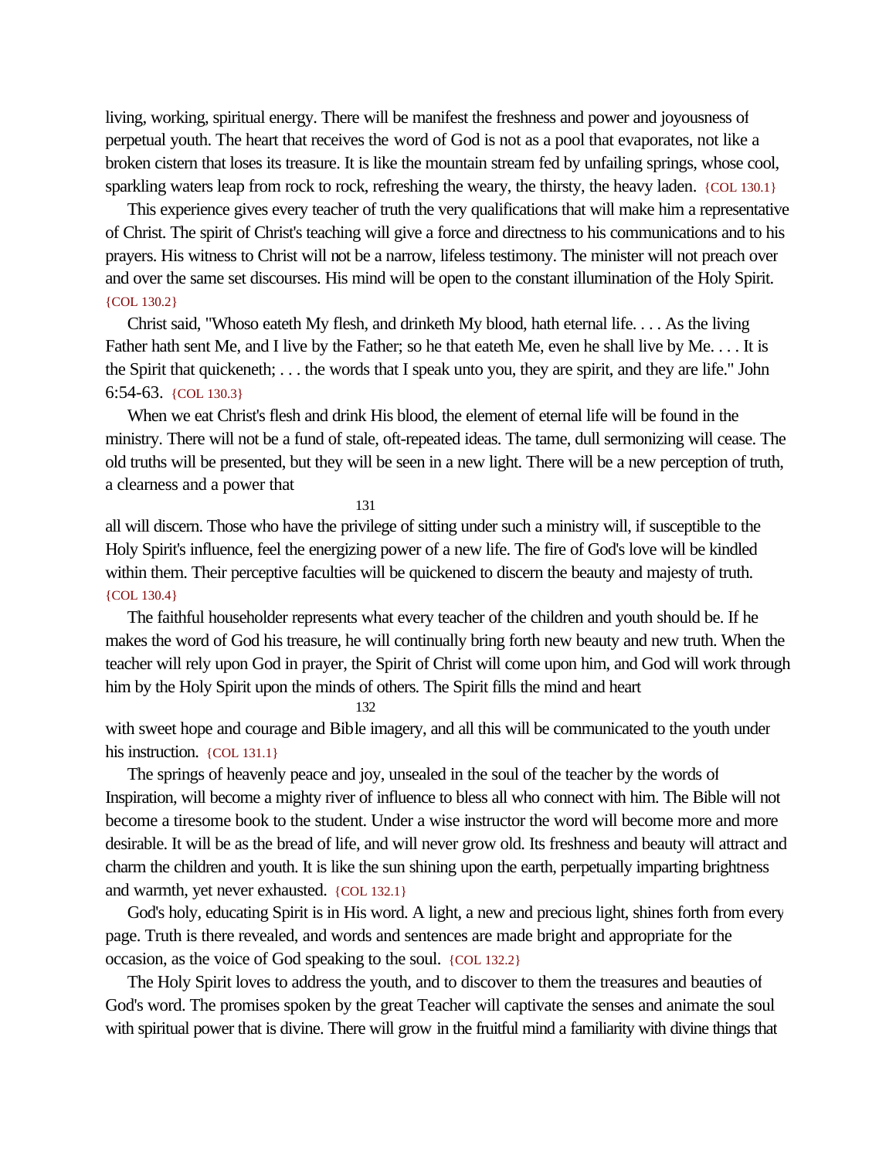living, working, spiritual energy. There will be manifest the freshness and power and joyousness of perpetual youth. The heart that receives the word of God is not as a pool that evaporates, not like a broken cistern that loses its treasure. It is like the mountain stream fed by unfailing springs, whose cool, sparkling waters leap from rock to rock, refreshing the weary, the thirsty, the heavy laden. {COL 130.1}

 This experience gives every teacher of truth the very qualifications that will make him a representative of Christ. The spirit of Christ's teaching will give a force and directness to his communications and to his prayers. His witness to Christ will not be a narrow, lifeless testimony. The minister will not preach over and over the same set discourses. His mind will be open to the constant illumination of the Holy Spirit. {COL 130.2}

 Christ said, "Whoso eateth My flesh, and drinketh My blood, hath eternal life. . . . As the living Father hath sent Me, and I live by the Father; so he that eateth Me, even he shall live by Me. . . . It is the Spirit that quickeneth; . . . the words that I speak unto you, they are spirit, and they are life." John 6:54-63. {COL 130.3}

 When we eat Christ's flesh and drink His blood, the element of eternal life will be found in the ministry. There will not be a fund of stale, oft-repeated ideas. The tame, dull sermonizing will cease. The old truths will be presented, but they will be seen in a new light. There will be a new perception of truth, a clearness and a power that

131

all will discern. Those who have the privilege of sitting under such a ministry will, if susceptible to the Holy Spirit's influence, feel the energizing power of a new life. The fire of God's love will be kindled within them. Their perceptive faculties will be quickened to discern the beauty and majesty of truth. {COL 130.4}

 The faithful householder represents what every teacher of the children and youth should be. If he makes the word of God his treasure, he will continually bring forth new beauty and new truth. When the teacher will rely upon God in prayer, the Spirit of Christ will come upon him, and God will work through him by the Holy Spirit upon the minds of others. The Spirit fills the mind and heart

132

with sweet hope and courage and Bible imagery, and all this will be communicated to the youth under his instruction. {COL 131.1}

 The springs of heavenly peace and joy, unsealed in the soul of the teacher by the words of Inspiration, will become a mighty river of influence to bless all who connect with him. The Bible will not become a tiresome book to the student. Under a wise instructor the word will become more and more desirable. It will be as the bread of life, and will never grow old. Its freshness and beauty will attract and charm the children and youth. It is like the sun shining upon the earth, perpetually imparting brightness and warmth, yet never exhausted. {COL 132.1}

 God's holy, educating Spirit is in His word. A light, a new and precious light, shines forth from every page. Truth is there revealed, and words and sentences are made bright and appropriate for the occasion, as the voice of God speaking to the soul. {COL 132.2}

 The Holy Spirit loves to address the youth, and to discover to them the treasures and beauties of God's word. The promises spoken by the great Teacher will captivate the senses and animate the soul with spiritual power that is divine. There will grow in the fruitful mind a familiarity with divine things that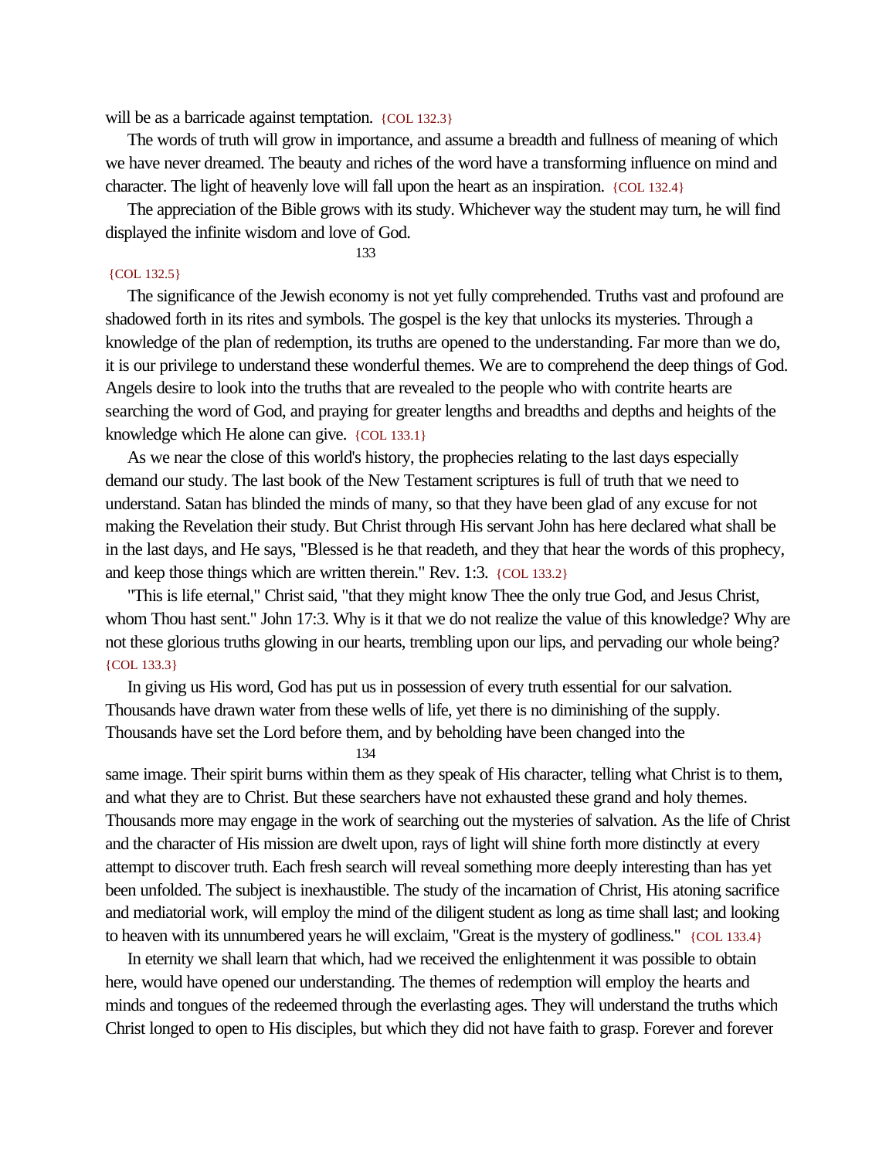will be as a barricade against temptation. {COL 132.3}

 The words of truth will grow in importance, and assume a breadth and fullness of meaning of which we have never dreamed. The beauty and riches of the word have a transforming influence on mind and character. The light of heavenly love will fall upon the heart as an inspiration. {COL 132.4}

 The appreciation of the Bible grows with its study. Whichever way the student may turn, he will find displayed the infinite wisdom and love of God.

133

## {COL 132.5}

 The significance of the Jewish economy is not yet fully comprehended. Truths vast and profound are shadowed forth in its rites and symbols. The gospel is the key that unlocks its mysteries. Through a knowledge of the plan of redemption, its truths are opened to the understanding. Far more than we do, it is our privilege to understand these wonderful themes. We are to comprehend the deep things of God. Angels desire to look into the truths that are revealed to the people who with contrite hearts are searching the word of God, and praying for greater lengths and breadths and depths and heights of the knowledge which He alone can give. {COL 133.1}

 As we near the close of this world's history, the prophecies relating to the last days especially demand our study. The last book of the New Testament scriptures is full of truth that we need to understand. Satan has blinded the minds of many, so that they have been glad of any excuse for not making the Revelation their study. But Christ through His servant John has here declared what shall be in the last days, and He says, "Blessed is he that readeth, and they that hear the words of this prophecy, and keep those things which are written therein." Rev. 1:3. {COL 133.2}

 "This is life eternal," Christ said, "that they might know Thee the only true God, and Jesus Christ, whom Thou hast sent." John 17:3. Why is it that we do not realize the value of this knowledge? Why are not these glorious truths glowing in our hearts, trembling upon our lips, and pervading our whole being? {COL 133.3}

 In giving us His word, God has put us in possession of every truth essential for our salvation. Thousands have drawn water from these wells of life, yet there is no diminishing of the supply. Thousands have set the Lord before them, and by beholding have been changed into the

#### 134

same image. Their spirit burns within them as they speak of His character, telling what Christ is to them, and what they are to Christ. But these searchers have not exhausted these grand and holy themes. Thousands more may engage in the work of searching out the mysteries of salvation. As the life of Christ and the character of His mission are dwelt upon, rays of light will shine forth more distinctly at every attempt to discover truth. Each fresh search will reveal something more deeply interesting than has yet been unfolded. The subject is inexhaustible. The study of the incarnation of Christ, His atoning sacrifice and mediatorial work, will employ the mind of the diligent student as long as time shall last; and looking to heaven with its unnumbered years he will exclaim, "Great is the mystery of godliness." {COL 133.4}

 In eternity we shall learn that which, had we received the enlightenment it was possible to obtain here, would have opened our understanding. The themes of redemption will employ the hearts and minds and tongues of the redeemed through the everlasting ages. They will understand the truths which Christ longed to open to His disciples, but which they did not have faith to grasp. Forever and forever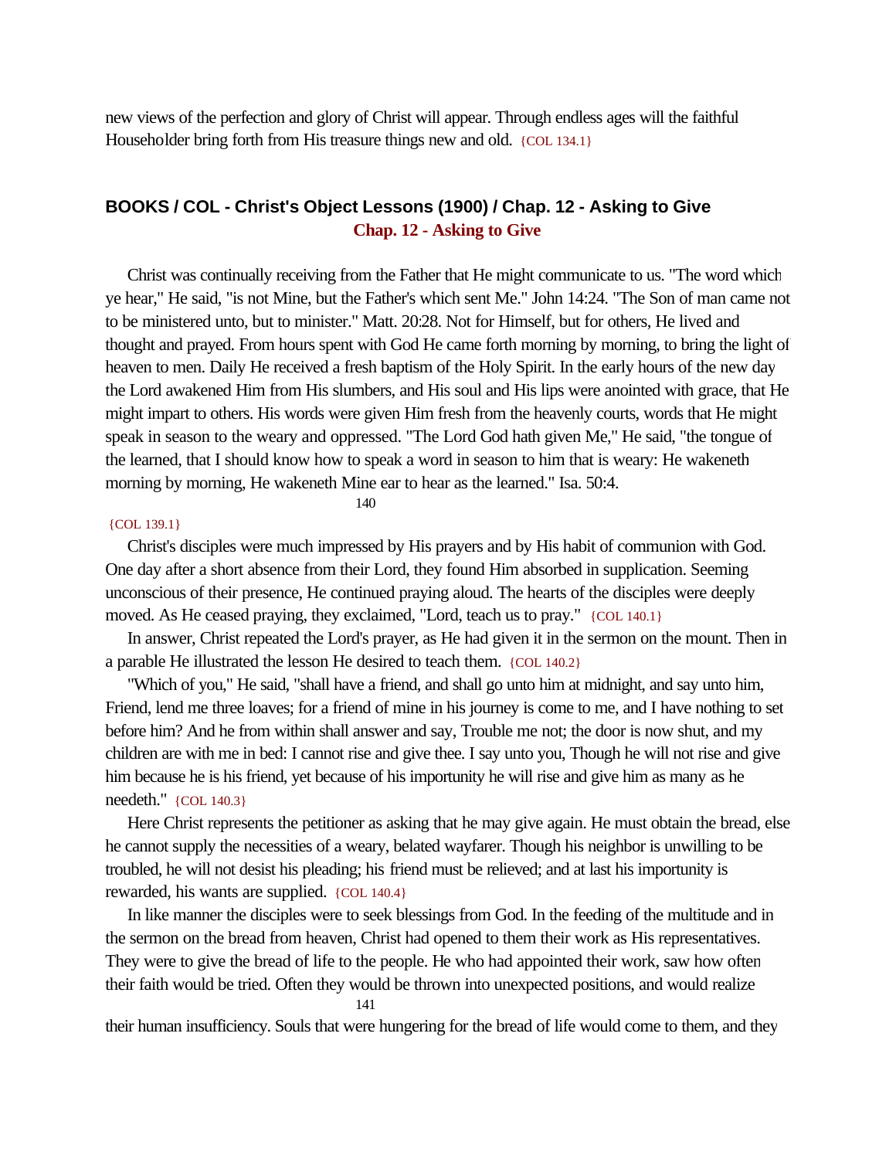new views of the perfection and glory of Christ will appear. Through endless ages will the faithful Householder bring forth from His treasure things new and old. {COL 134.1}

# **BOOKS / COL - Christ's Object Lessons (1900) / Chap. 12 - Asking to Give Chap. 12 - Asking to Give**

 Christ was continually receiving from the Father that He might communicate to us. "The word which ye hear," He said, "is not Mine, but the Father's which sent Me." John 14:24. "The Son of man came not to be ministered unto, but to minister." Matt. 20:28. Not for Himself, but for others, He lived and thought and prayed. From hours spent with God He came forth morning by morning, to bring the light of heaven to men. Daily He received a fresh baptism of the Holy Spirit. In the early hours of the new day the Lord awakened Him from His slumbers, and His soul and His lips were anointed with grace, that He might impart to others. His words were given Him fresh from the heavenly courts, words that He might speak in season to the weary and oppressed. "The Lord God hath given Me," He said, "the tongue of the learned, that I should know how to speak a word in season to him that is weary: He wakeneth morning by morning, He wakeneth Mine ear to hear as the learned." Isa. 50:4.

#### {COL 139.1}

140

 Christ's disciples were much impressed by His prayers and by His habit of communion with God. One day after a short absence from their Lord, they found Him absorbed in supplication. Seeming unconscious of their presence, He continued praying aloud. The hearts of the disciples were deeply moved. As He ceased praying, they exclaimed, "Lord, teach us to pray." {COL 140.1}

 In answer, Christ repeated the Lord's prayer, as He had given it in the sermon on the mount. Then in a parable He illustrated the lesson He desired to teach them. {COL 140.2}

 "Which of you," He said, "shall have a friend, and shall go unto him at midnight, and say unto him, Friend, lend me three loaves; for a friend of mine in his journey is come to me, and I have nothing to set before him? And he from within shall answer and say, Trouble me not; the door is now shut, and my children are with me in bed: I cannot rise and give thee. I say unto you, Though he will not rise and give him because he is his friend, yet because of his importunity he will rise and give him as many as he needeth." {COL 140.3}

 Here Christ represents the petitioner as asking that he may give again. He must obtain the bread, else he cannot supply the necessities of a weary, belated wayfarer. Though his neighbor is unwilling to be troubled, he will not desist his pleading; his friend must be relieved; and at last his importunity is rewarded, his wants are supplied. {COL 140.4}

 In like manner the disciples were to seek blessings from God. In the feeding of the multitude and in the sermon on the bread from heaven, Christ had opened to them their work as His representatives. They were to give the bread of life to the people. He who had appointed their work, saw how often their faith would be tried. Often they would be thrown into unexpected positions, and would realize

141

their human insufficiency. Souls that were hungering for the bread of life would come to them, and they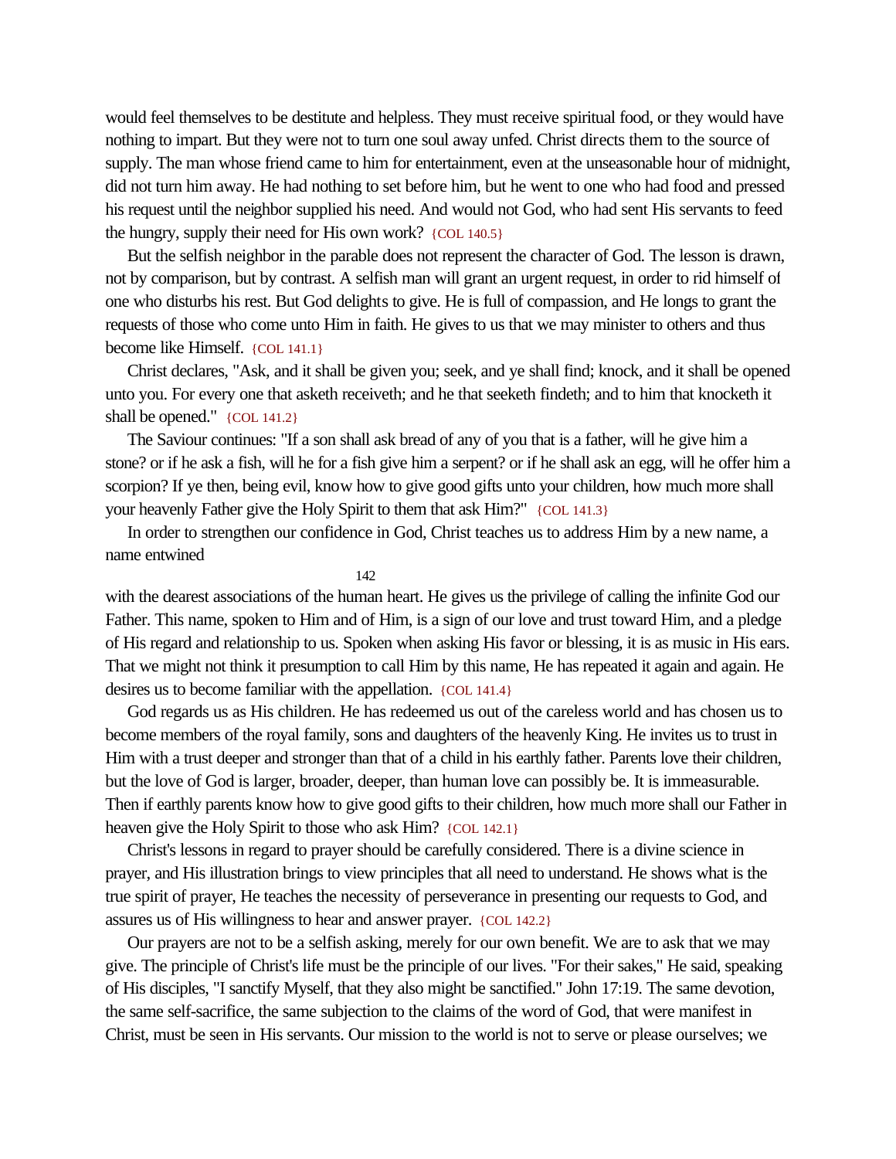would feel themselves to be destitute and helpless. They must receive spiritual food, or they would have nothing to impart. But they were not to turn one soul away unfed. Christ directs them to the source of supply. The man whose friend came to him for entertainment, even at the unseasonable hour of midnight, did not turn him away. He had nothing to set before him, but he went to one who had food and pressed his request until the neighbor supplied his need. And would not God, who had sent His servants to feed the hungry, supply their need for His own work? {COL 140.5}

 But the selfish neighbor in the parable does not represent the character of God. The lesson is drawn, not by comparison, but by contrast. A selfish man will grant an urgent request, in order to rid himself of one who disturbs his rest. But God delights to give. He is full of compassion, and He longs to grant the requests of those who come unto Him in faith. He gives to us that we may minister to others and thus become like Himself. {COL 141.1}

 Christ declares, "Ask, and it shall be given you; seek, and ye shall find; knock, and it shall be opened unto you. For every one that asketh receiveth; and he that seeketh findeth; and to him that knocketh it shall be opened." {COL 141.2}

 The Saviour continues: "If a son shall ask bread of any of you that is a father, will he give him a stone? or if he ask a fish, will he for a fish give him a serpent? or if he shall ask an egg, will he offer him a scorpion? If ye then, being evil, know how to give good gifts unto your children, how much more shall your heavenly Father give the Holy Spirit to them that ask Him?" {COL 141.3}

 In order to strengthen our confidence in God, Christ teaches us to address Him by a new name, a name entwined

142

with the dearest associations of the human heart. He gives us the privilege of calling the infinite God our Father. This name, spoken to Him and of Him, is a sign of our love and trust toward Him, and a pledge of His regard and relationship to us. Spoken when asking His favor or blessing, it is as music in His ears. That we might not think it presumption to call Him by this name, He has repeated it again and again. He desires us to become familiar with the appellation. {COL 141.4}

 God regards us as His children. He has redeemed us out of the careless world and has chosen us to become members of the royal family, sons and daughters of the heavenly King. He invites us to trust in Him with a trust deeper and stronger than that of a child in his earthly father. Parents love their children, but the love of God is larger, broader, deeper, than human love can possibly be. It is immeasurable. Then if earthly parents know how to give good gifts to their children, how much more shall our Father in heaven give the Holy Spirit to those who ask Him? {COL 142.1}

 Christ's lessons in regard to prayer should be carefully considered. There is a divine science in prayer, and His illustration brings to view principles that all need to understand. He shows what is the true spirit of prayer, He teaches the necessity of perseverance in presenting our requests to God, and assures us of His willingness to hear and answer prayer. {COL 142.2}

 Our prayers are not to be a selfish asking, merely for our own benefit. We are to ask that we may give. The principle of Christ's life must be the principle of our lives. "For their sakes," He said, speaking of His disciples, "I sanctify Myself, that they also might be sanctified." John 17:19. The same devotion, the same self-sacrifice, the same subjection to the claims of the word of God, that were manifest in Christ, must be seen in His servants. Our mission to the world is not to serve or please ourselves; we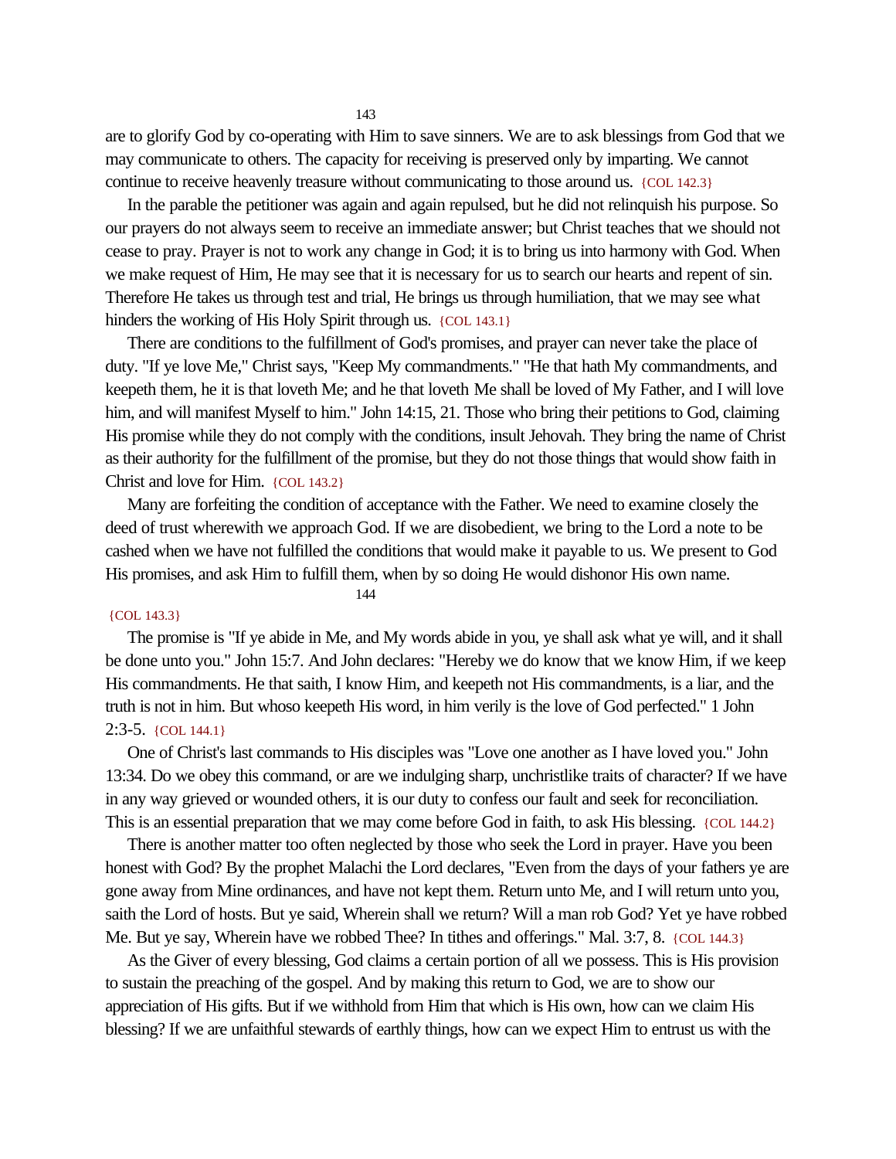are to glorify God by co-operating with Him to save sinners. We are to ask blessings from God that we may communicate to others. The capacity for receiving is preserved only by imparting. We cannot continue to receive heavenly treasure without communicating to those around us. {COL 142.3}

 In the parable the petitioner was again and again repulsed, but he did not relinquish his purpose. So our prayers do not always seem to receive an immediate answer; but Christ teaches that we should not cease to pray. Prayer is not to work any change in God; it is to bring us into harmony with God. When we make request of Him, He may see that it is necessary for us to search our hearts and repent of sin. Therefore He takes us through test and trial, He brings us through humiliation, that we may see what hinders the working of His Holy Spirit through us. {COL 143.1}

 There are conditions to the fulfillment of God's promises, and prayer can never take the place of duty. "If ye love Me," Christ says, "Keep My commandments." "He that hath My commandments, and keepeth them, he it is that loveth Me; and he that loveth Me shall be loved of My Father, and I will love him, and will manifest Myself to him." John 14:15, 21. Those who bring their petitions to God, claiming His promise while they do not comply with the conditions, insult Jehovah. They bring the name of Christ as their authority for the fulfillment of the promise, but they do not those things that would show faith in Christ and love for Him. {COL 143.2}

 Many are forfeiting the condition of acceptance with the Father. We need to examine closely the deed of trust wherewith we approach God. If we are disobedient, we bring to the Lord a note to be cashed when we have not fulfilled the conditions that would make it payable to us. We present to God His promises, and ask Him to fulfill them, when by so doing He would dishonor His own name.

144

#### {COL 143.3}

 The promise is "If ye abide in Me, and My words abide in you, ye shall ask what ye will, and it shall be done unto you." John 15:7. And John declares: "Hereby we do know that we know Him, if we keep His commandments. He that saith, I know Him, and keepeth not His commandments, is a liar, and the truth is not in him. But whoso keepeth His word, in him verily is the love of God perfected." 1 John 2:3-5.  $\{COL 144.1\}$ 

 One of Christ's last commands to His disciples was "Love one another as I have loved you." John 13:34. Do we obey this command, or are we indulging sharp, unchristlike traits of character? If we have in any way grieved or wounded others, it is our duty to confess our fault and seek for reconciliation. This is an essential preparation that we may come before God in faith, to ask His blessing. {COL 144.2}

 There is another matter too often neglected by those who seek the Lord in prayer. Have you been honest with God? By the prophet Malachi the Lord declares, "Even from the days of your fathers ye are gone away from Mine ordinances, and have not kept them. Return unto Me, and I will return unto you, saith the Lord of hosts. But ye said, Wherein shall we return? Will a man rob God? Yet ye have robbed Me. But ye say, Wherein have we robbed Thee? In tithes and offerings." Mal. 3:7, 8. {COL 144.3}

 As the Giver of every blessing, God claims a certain portion of all we possess. This is His provision to sustain the preaching of the gospel. And by making this return to God, we are to show our appreciation of His gifts. But if we withhold from Him that which is His own, how can we claim His blessing? If we are unfaithful stewards of earthly things, how can we expect Him to entrust us with the

143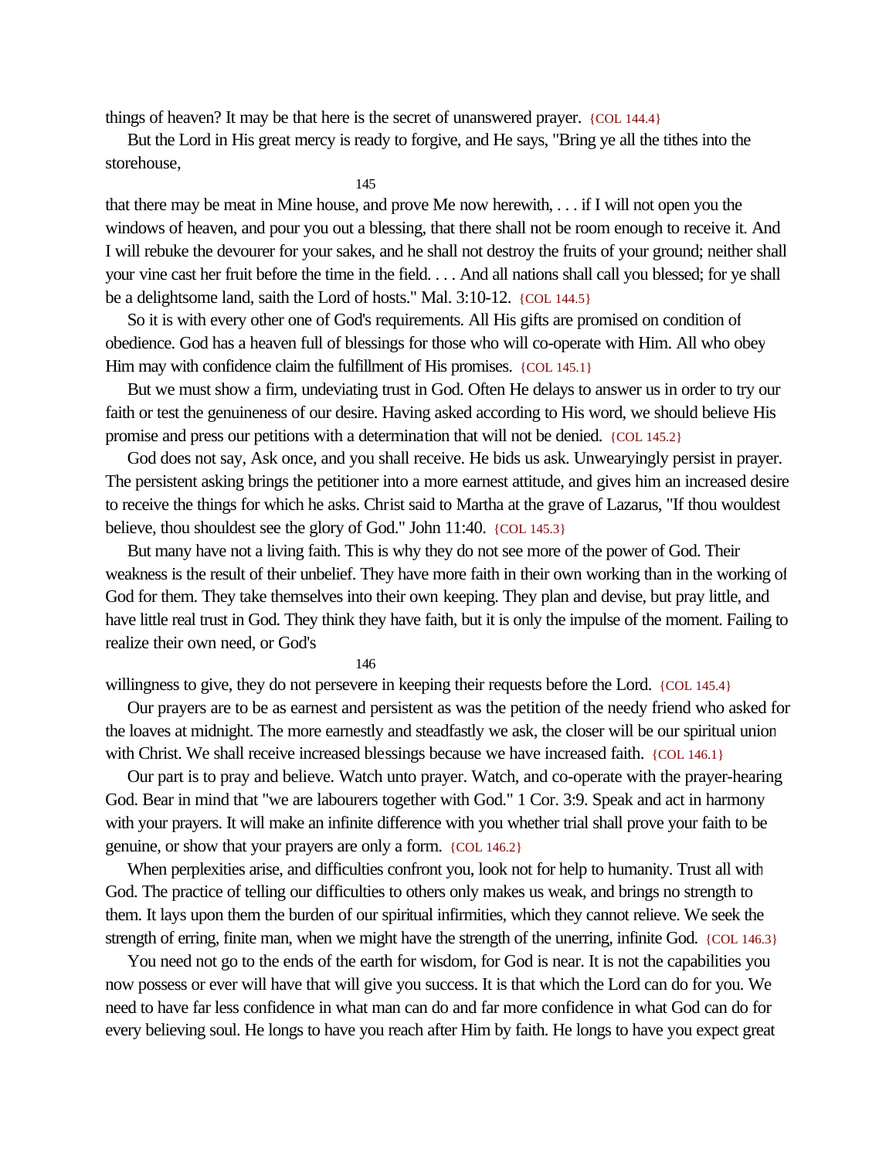things of heaven? It may be that here is the secret of unanswered prayer. {COL 144.4}

 But the Lord in His great mercy is ready to forgive, and He says, "Bring ye all the tithes into the storehouse,

145

that there may be meat in Mine house, and prove Me now herewith, . . . if I will not open you the windows of heaven, and pour you out a blessing, that there shall not be room enough to receive it. And I will rebuke the devourer for your sakes, and he shall not destroy the fruits of your ground; neither shall your vine cast her fruit before the time in the field. . . . And all nations shall call you blessed; for ye shall be a delightsome land, saith the Lord of hosts." Mal. 3:10-12. {COL 144.5}

 So it is with every other one of God's requirements. All His gifts are promised on condition of obedience. God has a heaven full of blessings for those who will co-operate with Him. All who obey Him may with confidence claim the fulfillment of His promises. {COL 145.1}

 But we must show a firm, undeviating trust in God. Often He delays to answer us in order to try our faith or test the genuineness of our desire. Having asked according to His word, we should believe His promise and press our petitions with a determination that will not be denied. {COL 145.2}

 God does not say, Ask once, and you shall receive. He bids us ask. Unwearyingly persist in prayer. The persistent asking brings the petitioner into a more earnest attitude, and gives him an increased desire to receive the things for which he asks. Christ said to Martha at the grave of Lazarus, "If thou wouldest believe, thou shouldest see the glory of God." John 11:40. {COL 145.3}

 But many have not a living faith. This is why they do not see more of the power of God. Their weakness is the result of their unbelief. They have more faith in their own working than in the working of God for them. They take themselves into their own keeping. They plan and devise, but pray little, and have little real trust in God. They think they have faith, but it is only the impulse of the moment. Failing to realize their own need, or God's

#### 146

willingness to give, they do not persevere in keeping their requests before the Lord. {COL 145.4}

 Our prayers are to be as earnest and persistent as was the petition of the needy friend who asked for the loaves at midnight. The more earnestly and steadfastly we ask, the closer will be our spiritual union with Christ. We shall receive increased blessings because we have increased faith. {COL 146.1}

 Our part is to pray and believe. Watch unto prayer. Watch, and co-operate with the prayer-hearing God. Bear in mind that "we are labourers together with God." 1 Cor. 3:9. Speak and act in harmony with your prayers. It will make an infinite difference with you whether trial shall prove your faith to be genuine, or show that your prayers are only a form. {COL 146.2}

 When perplexities arise, and difficulties confront you, look not for help to humanity. Trust all with God. The practice of telling our difficulties to others only makes us weak, and brings no strength to them. It lays upon them the burden of our spiritual infirmities, which they cannot relieve. We seek the strength of erring, finite man, when we might have the strength of the unerring, infinite God. {COL 146.3}

 You need not go to the ends of the earth for wisdom, for God is near. It is not the capabilities you now possess or ever will have that will give you success. It is that which the Lord can do for you. We need to have far less confidence in what man can do and far more confidence in what God can do for every believing soul. He longs to have you reach after Him by faith. He longs to have you expect great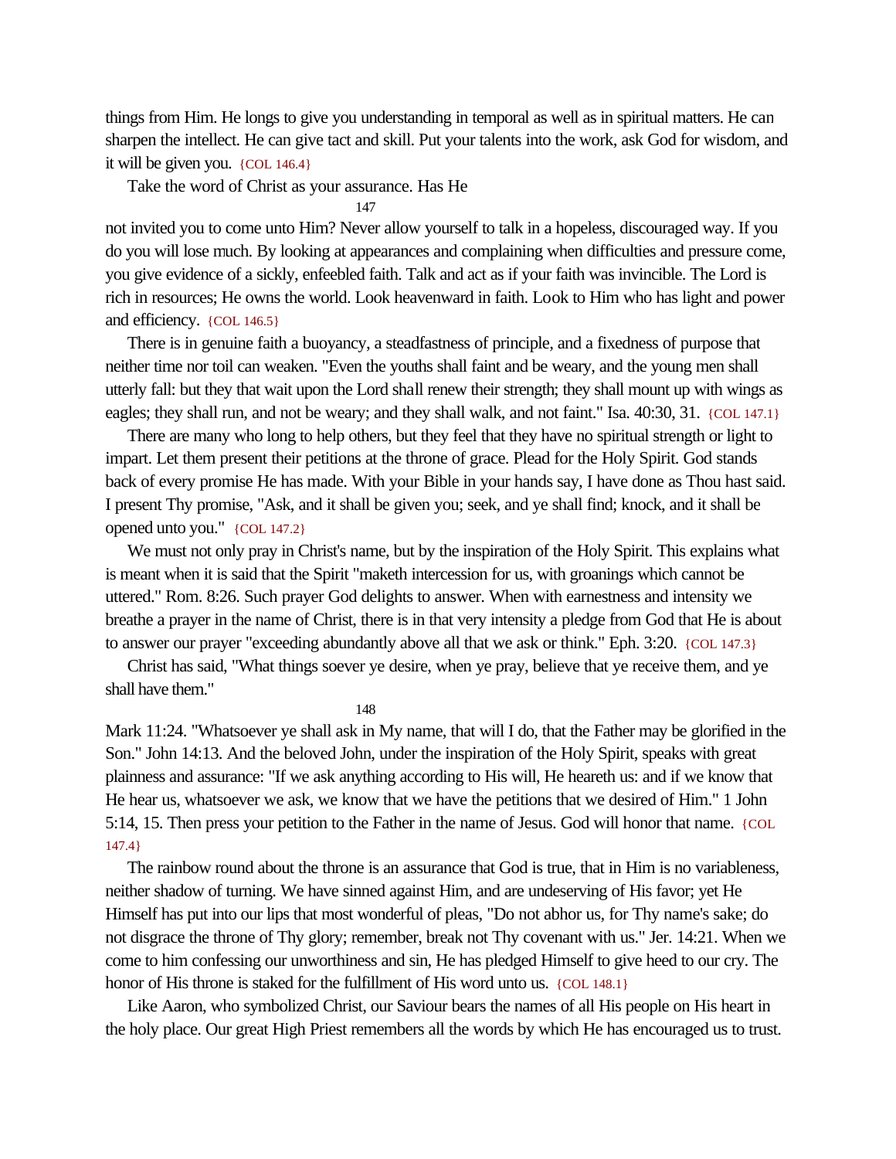things from Him. He longs to give you understanding in temporal as well as in spiritual matters. He can sharpen the intellect. He can give tact and skill. Put your talents into the work, ask God for wisdom, and it will be given you. {COL 146.4}

Take the word of Christ as your assurance. Has He

147

not invited you to come unto Him? Never allow yourself to talk in a hopeless, discouraged way. If you do you will lose much. By looking at appearances and complaining when difficulties and pressure come, you give evidence of a sickly, enfeebled faith. Talk and act as if your faith was invincible. The Lord is rich in resources; He owns the world. Look heavenward in faith. Look to Him who has light and power and efficiency. {COL 146.5}

There is in genuine faith a buoyancy, a steadfastness of principle, and a fixedness of purpose that neither time nor toil can weaken. "Even the youths shall faint and be weary, and the young men shall utterly fall: but they that wait upon the Lord shall renew their strength; they shall mount up with wings as eagles; they shall run, and not be weary; and they shall walk, and not faint." Isa. 40:30, 31. {COL 147.1}

 There are many who long to help others, but they feel that they have no spiritual strength or light to impart. Let them present their petitions at the throne of grace. Plead for the Holy Spirit. God stands back of every promise He has made. With your Bible in your hands say, I have done as Thou hast said. I present Thy promise, "Ask, and it shall be given you; seek, and ye shall find; knock, and it shall be opened unto you." {COL 147.2}

 We must not only pray in Christ's name, but by the inspiration of the Holy Spirit. This explains what is meant when it is said that the Spirit "maketh intercession for us, with groanings which cannot be uttered." Rom. 8:26. Such prayer God delights to answer. When with earnestness and intensity we breathe a prayer in the name of Christ, there is in that very intensity a pledge from God that He is about to answer our prayer "exceeding abundantly above all that we ask or think." Eph. 3:20. {COL 147.3}

 Christ has said, "What things soever ye desire, when ye pray, believe that ye receive them, and ye shall have them."

148

Mark 11:24. "Whatsoever ye shall ask in My name, that will I do, that the Father may be glorified in the Son." John 14:13. And the beloved John, under the inspiration of the Holy Spirit, speaks with great plainness and assurance: "If we ask anything according to His will, He heareth us: and if we know that He hear us, whatsoever we ask, we know that we have the petitions that we desired of Him." 1 John 5:14, 15. Then press your petition to the Father in the name of Jesus. God will honor that name. {COL 147.4}

 The rainbow round about the throne is an assurance that God is true, that in Him is no variableness, neither shadow of turning. We have sinned against Him, and are undeserving of His favor; yet He Himself has put into our lips that most wonderful of pleas, "Do not abhor us, for Thy name's sake; do not disgrace the throne of Thy glory; remember, break not Thy covenant with us." Jer. 14:21. When we come to him confessing our unworthiness and sin, He has pledged Himself to give heed to our cry. The honor of His throne is staked for the fulfillment of His word unto us. {COL 148.1}

 Like Aaron, who symbolized Christ, our Saviour bears the names of all His people on His heart in the holy place. Our great High Priest remembers all the words by which He has encouraged us to trust.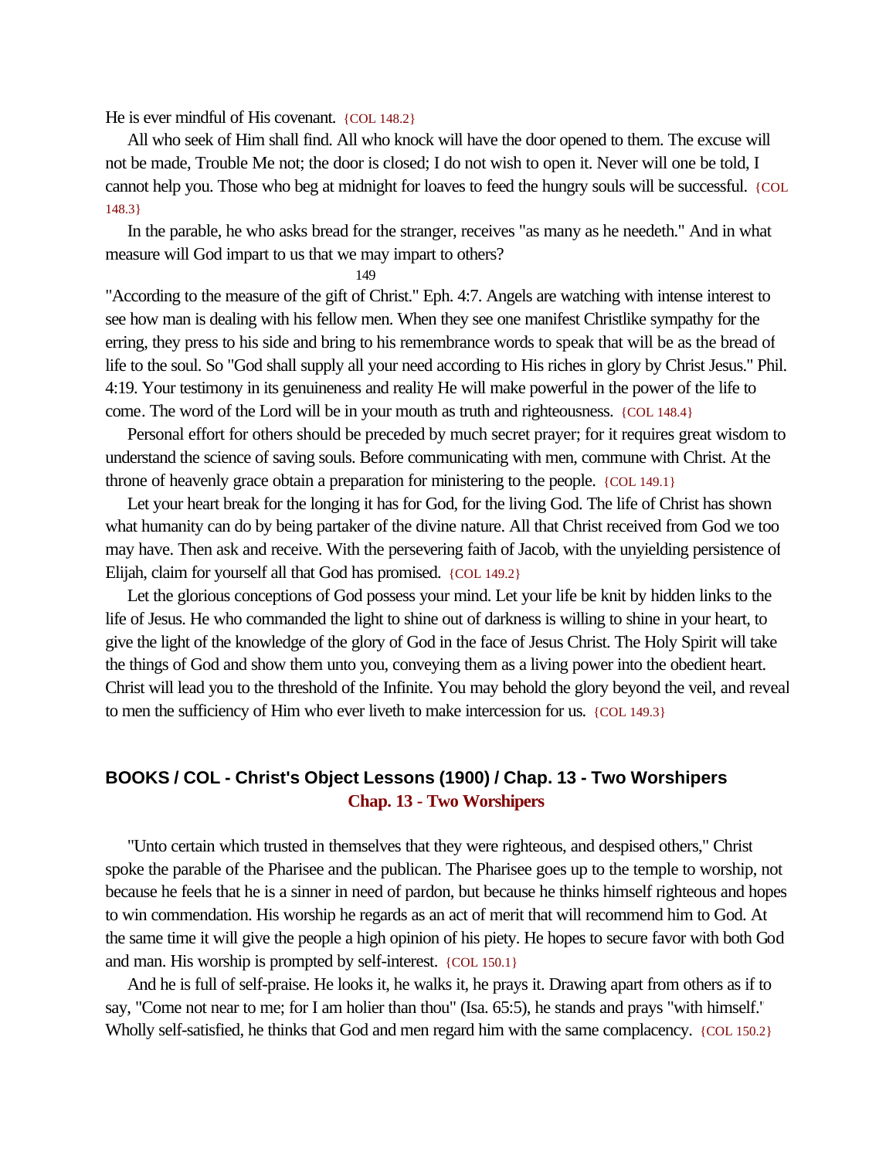He is ever mindful of His covenant. {COL 148.2}

 All who seek of Him shall find. All who knock will have the door opened to them. The excuse will not be made, Trouble Me not; the door is closed; I do not wish to open it. Never will one be told, I cannot help you. Those who beg at midnight for loaves to feed the hungry souls will be successful. {COL 148.3}

 In the parable, he who asks bread for the stranger, receives "as many as he needeth." And in what measure will God impart to us that we may impart to others?

149

"According to the measure of the gift of Christ." Eph. 4:7. Angels are watching with intense interest to see how man is dealing with his fellow men. When they see one manifest Christlike sympathy for the erring, they press to his side and bring to his remembrance words to speak that will be as the bread of life to the soul. So "God shall supply all your need according to His riches in glory by Christ Jesus." Phil. 4:19. Your testimony in its genuineness and reality He will make powerful in the power of the life to come. The word of the Lord will be in your mouth as truth and righteousness. {COL 148.4}

 Personal effort for others should be preceded by much secret prayer; for it requires great wisdom to understand the science of saving souls. Before communicating with men, commune with Christ. At the throne of heavenly grace obtain a preparation for ministering to the people. {COL 149.1}

 Let your heart break for the longing it has for God, for the living God. The life of Christ has shown what humanity can do by being partaker of the divine nature. All that Christ received from God we too may have. Then ask and receive. With the persevering faith of Jacob, with the unyielding persistence of Elijah, claim for yourself all that God has promised. {COL 149.2}

 Let the glorious conceptions of God possess your mind. Let your life be knit by hidden links to the life of Jesus. He who commanded the light to shine out of darkness is willing to shine in your heart, to give the light of the knowledge of the glory of God in the face of Jesus Christ. The Holy Spirit will take the things of God and show them unto you, conveying them as a living power into the obedient heart. Christ will lead you to the threshold of the Infinite. You may behold the glory beyond the veil, and reveal to men the sufficiency of Him who ever liveth to make intercession for us. {COL 149.3}

# **BOOKS / COL - Christ's Object Lessons (1900) / Chap. 13 - Two Worshipers Chap. 13 - Two Worshipers**

 "Unto certain which trusted in themselves that they were righteous, and despised others," Christ spoke the parable of the Pharisee and the publican. The Pharisee goes up to the temple to worship, not because he feels that he is a sinner in need of pardon, but because he thinks himself righteous and hopes to win commendation. His worship he regards as an act of merit that will recommend him to God. At the same time it will give the people a high opinion of his piety. He hopes to secure favor with both God and man. His worship is prompted by self-interest. {COL 150.1}

 And he is full of self-praise. He looks it, he walks it, he prays it. Drawing apart from others as if to say, "Come not near to me; for I am holier than thou" (Isa. 65:5), he stands and prays "with himself." Wholly self-satisfied, he thinks that God and men regard him with the same complacency. {COL 150.2}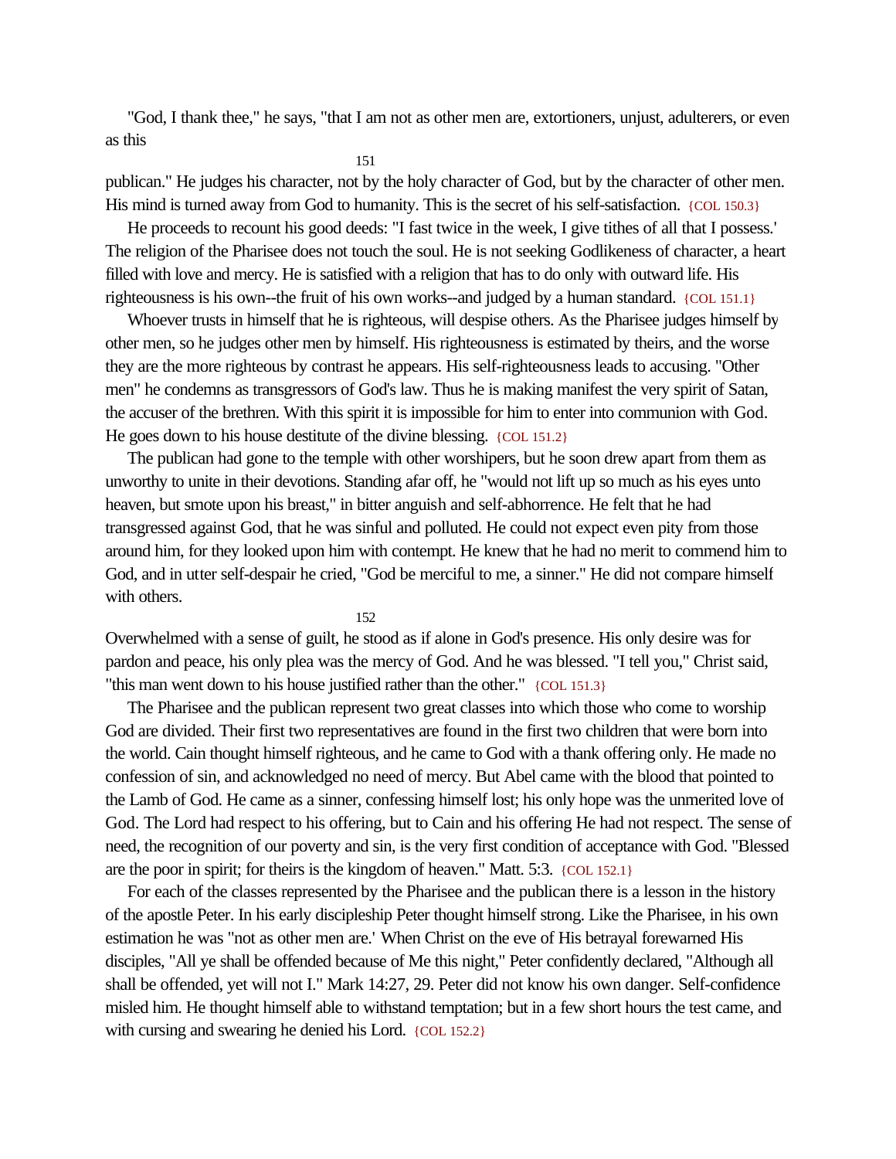"God, I thank thee," he says, "that I am not as other men are, extortioners, unjust, adulterers, or even as this

151

publican." He judges his character, not by the holy character of God, but by the character of other men. His mind is turned away from God to humanity. This is the secret of his self-satisfaction. {COL 150.3}

He proceeds to recount his good deeds: "I fast twice in the week, I give tithes of all that I possess." The religion of the Pharisee does not touch the soul. He is not seeking Godlikeness of character, a heart filled with love and mercy. He is satisfied with a religion that has to do only with outward life. His righteousness is his own--the fruit of his own works--and judged by a human standard. {COL 151.1}

 Whoever trusts in himself that he is righteous, will despise others. As the Pharisee judges himself by other men, so he judges other men by himself. His righteousness is estimated by theirs, and the worse they are the more righteous by contrast he appears. His self-righteousness leads to accusing. "Other men" he condemns as transgressors of God's law. Thus he is making manifest the very spirit of Satan, the accuser of the brethren. With this spirit it is impossible for him to enter into communion with God. He goes down to his house destitute of the divine blessing. {COL 151.2}

 The publican had gone to the temple with other worshipers, but he soon drew apart from them as unworthy to unite in their devotions. Standing afar off, he "would not lift up so much as his eyes unto heaven, but smote upon his breast," in bitter anguish and self-abhorrence. He felt that he had transgressed against God, that he was sinful and polluted. He could not expect even pity from those around him, for they looked upon him with contempt. He knew that he had no merit to commend him to God, and in utter self-despair he cried, "God be merciful to me, a sinner." He did not compare himself with others.

152

Overwhelmed with a sense of guilt, he stood as if alone in God's presence. His only desire was for pardon and peace, his only plea was the mercy of God. And he was blessed. "I tell you," Christ said, "this man went down to his house justified rather than the other." {COL 151.3}

 The Pharisee and the publican represent two great classes into which those who come to worship God are divided. Their first two representatives are found in the first two children that were born into the world. Cain thought himself righteous, and he came to God with a thank offering only. He made no confession of sin, and acknowledged no need of mercy. But Abel came with the blood that pointed to the Lamb of God. He came as a sinner, confessing himself lost; his only hope was the unmerited love of God. The Lord had respect to his offering, but to Cain and his offering He had not respect. The sense of need, the recognition of our poverty and sin, is the very first condition of acceptance with God. "Blessed are the poor in spirit; for theirs is the kingdom of heaven." Matt. 5:3. {COL 152.1}

 For each of the classes represented by the Pharisee and the publican there is a lesson in the history of the apostle Peter. In his early discipleship Peter thought himself strong. Like the Pharisee, in his own estimation he was "not as other men are." When Christ on the eve of His betrayal forewarned His disciples, "All ye shall be offended because of Me this night," Peter confidently declared, "Although all shall be offended, yet will not I." Mark 14:27, 29. Peter did not know his own danger. Self-confidence misled him. He thought himself able to withstand temptation; but in a few short hours the test came, and with cursing and swearing he denied his Lord. {COL 152.2}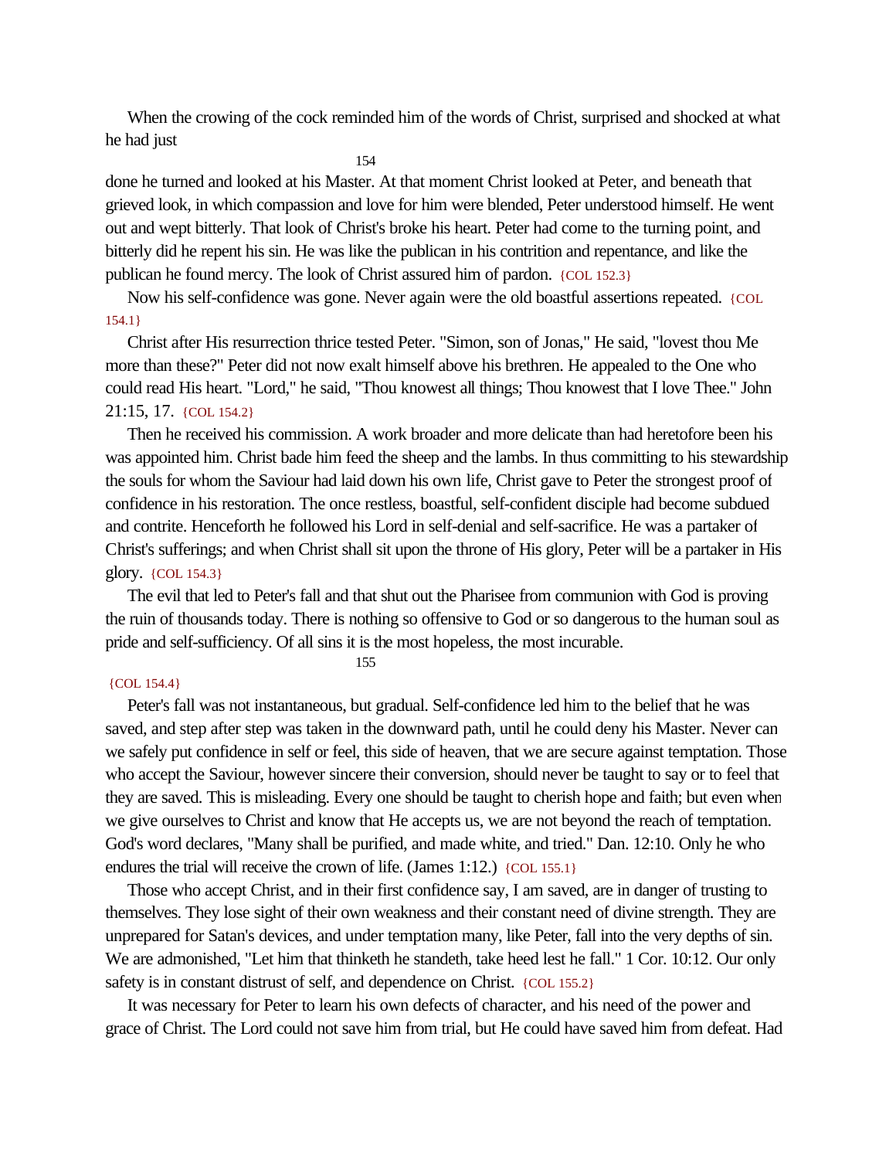When the crowing of the cock reminded him of the words of Christ, surprised and shocked at what he had just

154

done he turned and looked at his Master. At that moment Christ looked at Peter, and beneath that grieved look, in which compassion and love for him were blended, Peter understood himself. He went out and wept bitterly. That look of Christ's broke his heart. Peter had come to the turning point, and bitterly did he repent his sin. He was like the publican in his contrition and repentance, and like the publican he found mercy. The look of Christ assured him of pardon. {COL 152.3}

 Now his self-confidence was gone. Never again were the old boastful assertions repeated. {COL 154.1}

 Christ after His resurrection thrice tested Peter. "Simon, son of Jonas," He said, "lovest thou Me more than these?" Peter did not now exalt himself above his brethren. He appealed to the One who could read His heart. "Lord," he said, "Thou knowest all things; Thou knowest that I love Thee." John 21:15, 17. {COL 154.2}

 Then he received his commission. A work broader and more delicate than had heretofore been his was appointed him. Christ bade him feed the sheep and the lambs. In thus committing to his stewardship the souls for whom the Saviour had laid down his own life, Christ gave to Peter the strongest proof of confidence in his restoration. The once restless, boastful, self-confident disciple had become subdued and contrite. Henceforth he followed his Lord in self-denial and self-sacrifice. He was a partaker of Christ's sufferings; and when Christ shall sit upon the throne of His glory, Peter will be a partaker in His glory. {COL 154.3}

 The evil that led to Peter's fall and that shut out the Pharisee from communion with God is proving the ruin of thousands today. There is nothing so offensive to God or so dangerous to the human soul as pride and self-sufficiency. Of all sins it is the most hopeless, the most incurable.

155

### {COL 154.4}

 Peter's fall was not instantaneous, but gradual. Self-confidence led him to the belief that he was saved, and step after step was taken in the downward path, until he could deny his Master. Never can we safely put confidence in self or feel, this side of heaven, that we are secure against temptation. Those who accept the Saviour, however sincere their conversion, should never be taught to say or to feel that they are saved. This is misleading. Every one should be taught to cherish hope and faith; but even when we give ourselves to Christ and know that He accepts us, we are not beyond the reach of temptation. God's word declares, "Many shall be purified, and made white, and tried." Dan. 12:10. Only he who endures the trial will receive the crown of life. (James 1:12.) {COL 155.1}

 Those who accept Christ, and in their first confidence say, I am saved, are in danger of trusting to themselves. They lose sight of their own weakness and their constant need of divine strength. They are unprepared for Satan's devices, and under temptation many, like Peter, fall into the very depths of sin. We are admonished, "Let him that thinketh he standeth, take heed lest he fall." 1 Cor. 10:12. Our only safety is in constant distrust of self, and dependence on Christ. {COL 155.2}

 It was necessary for Peter to learn his own defects of character, and his need of the power and grace of Christ. The Lord could not save him from trial, but He could have saved him from defeat. Had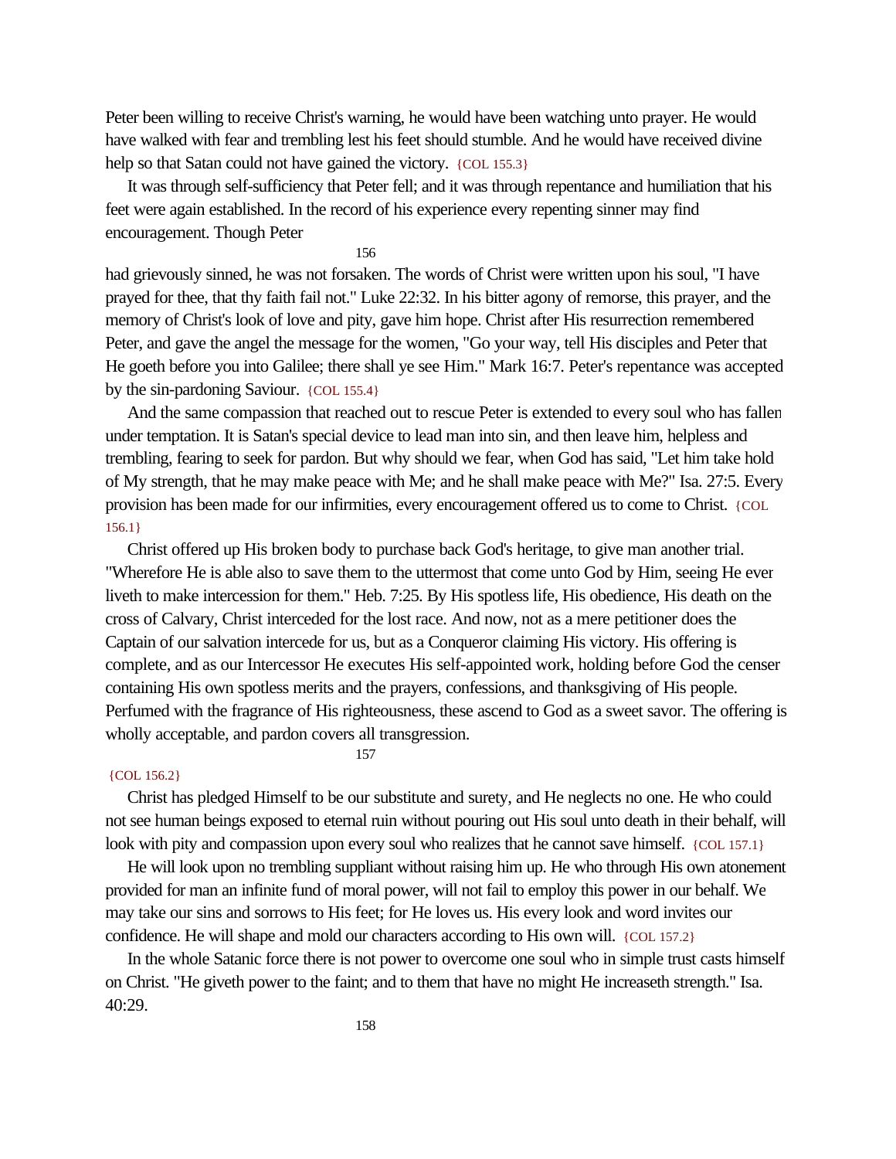Peter been willing to receive Christ's warning, he would have been watching unto prayer. He would have walked with fear and trembling lest his feet should stumble. And he would have received divine help so that Satan could not have gained the victory. {COL 155.3}

 It was through self-sufficiency that Peter fell; and it was through repentance and humiliation that his feet were again established. In the record of his experience every repenting sinner may find encouragement. Though Peter

#### 156

had grievously sinned, he was not forsaken. The words of Christ were written upon his soul, "I have prayed for thee, that thy faith fail not." Luke 22:32. In his bitter agony of remorse, this prayer, and the memory of Christ's look of love and pity, gave him hope. Christ after His resurrection remembered Peter, and gave the angel the message for the women, "Go your way, tell His disciples and Peter that He goeth before you into Galilee; there shall ye see Him." Mark 16:7. Peter's repentance was accepted by the sin-pardoning Saviour. {COL 155.4}

 And the same compassion that reached out to rescue Peter is extended to every soul who has fallen under temptation. It is Satan's special device to lead man into sin, and then leave him, helpless and trembling, fearing to seek for pardon. But why should we fear, when God has said, "Let him take hold of My strength, that he may make peace with Me; and he shall make peace with Me?" Isa. 27:5. Every provision has been made for our infirmities, every encouragement offered us to come to Christ. {COL 156.1}

 Christ offered up His broken body to purchase back God's heritage, to give man another trial. "Wherefore He is able also to save them to the uttermost that come unto God by Him, seeing He ever liveth to make intercession for them." Heb. 7:25. By His spotless life, His obedience, His death on the cross of Calvary, Christ interceded for the lost race. And now, not as a mere petitioner does the Captain of our salvation intercede for us, but as a Conqueror claiming His victory. His offering is complete, and as our Intercessor He executes His self-appointed work, holding before God the censer containing His own spotless merits and the prayers, confessions, and thanksgiving of His people. Perfumed with the fragrance of His righteousness, these ascend to God as a sweet savor. The offering is wholly acceptable, and pardon covers all transgression.

#### 157

#### {COL 156.2}

 Christ has pledged Himself to be our substitute and surety, and He neglects no one. He who could not see human beings exposed to eternal ruin without pouring out His soul unto death in their behalf, will look with pity and compassion upon every soul who realizes that he cannot save himself. {COL 157.1}

 He will look upon no trembling suppliant without raising him up. He who through His own atonement provided for man an infinite fund of moral power, will not fail to employ this power in our behalf. We may take our sins and sorrows to His feet; for He loves us. His every look and word invites our confidence. He will shape and mold our characters according to His own will.  $\{COL 157.2\}$ 

 In the whole Satanic force there is not power to overcome one soul who in simple trust casts himself on Christ. "He giveth power to the faint; and to them that have no might He increaseth strength." Isa. 40:29.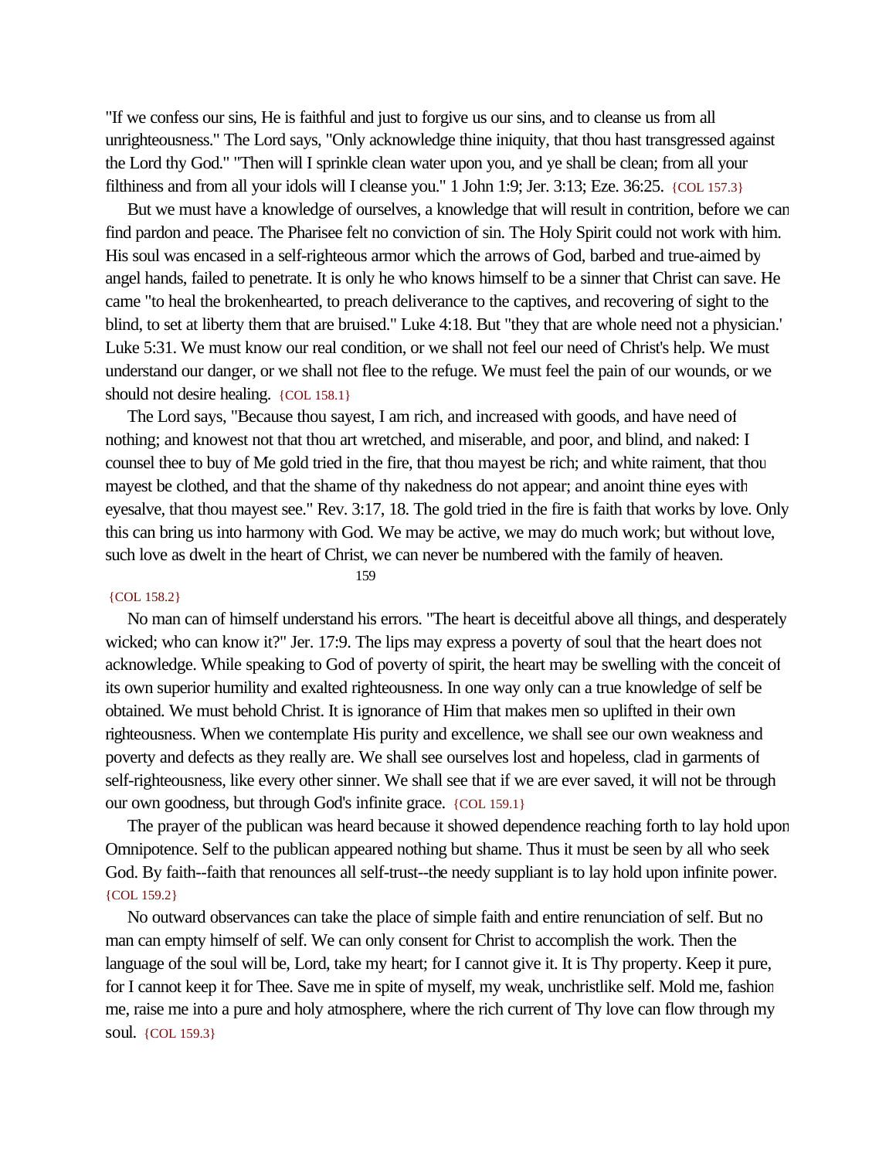"If we confess our sins, He is faithful and just to forgive us our sins, and to cleanse us from all unrighteousness." The Lord says, "Only acknowledge thine iniquity, that thou hast transgressed against the Lord thy God." "Then will I sprinkle clean water upon you, and ye shall be clean; from all your filthiness and from all your idols will I cleanse you." 1 John 1:9; Jer. 3:13; Eze. 36:25. {COL 157.3}

 But we must have a knowledge of ourselves, a knowledge that will result in contrition, before we can find pardon and peace. The Pharisee felt no conviction of sin. The Holy Spirit could not work with him. His soul was encased in a self-righteous armor which the arrows of God, barbed and true-aimed by angel hands, failed to penetrate. It is only he who knows himself to be a sinner that Christ can save. He came "to heal the brokenhearted, to preach deliverance to the captives, and recovering of sight to the blind, to set at liberty them that are bruised." Luke 4:18. But "they that are whole need not a physician." Luke 5:31. We must know our real condition, or we shall not feel our need of Christ's help. We must understand our danger, or we shall not flee to the refuge. We must feel the pain of our wounds, or we should not desire healing. {COL 158.1}

 The Lord says, "Because thou sayest, I am rich, and increased with goods, and have need of nothing; and knowest not that thou art wretched, and miserable, and poor, and blind, and naked: I counsel thee to buy of Me gold tried in the fire, that thou mayest be rich; and white raiment, that thou mayest be clothed, and that the shame of thy nakedness do not appear; and anoint thine eyes with eyesalve, that thou mayest see." Rev. 3:17, 18. The gold tried in the fire is faith that works by love. Only this can bring us into harmony with God. We may be active, we may do much work; but without love, such love as dwelt in the heart of Christ, we can never be numbered with the family of heaven.

# {COL 158.2}

159

 No man can of himself understand his errors. "The heart is deceitful above all things, and desperately wicked; who can know it?" Jer. 17:9. The lips may express a poverty of soul that the heart does not acknowledge. While speaking to God of poverty of spirit, the heart may be swelling with the conceit of its own superior humility and exalted righteousness. In one way only can a true knowledge of self be obtained. We must behold Christ. It is ignorance of Him that makes men so uplifted in their own righteousness. When we contemplate His purity and excellence, we shall see our own weakness and poverty and defects as they really are. We shall see ourselves lost and hopeless, clad in garments of self-righteousness, like every other sinner. We shall see that if we are ever saved, it will not be through our own goodness, but through God's infinite grace. {COL 159.1}

 The prayer of the publican was heard because it showed dependence reaching forth to lay hold upon Omnipotence. Self to the publican appeared nothing but shame. Thus it must be seen by all who seek God. By faith--faith that renounces all self-trust--the needy suppliant is to lay hold upon infinite power. {COL 159.2}

 No outward observances can take the place of simple faith and entire renunciation of self. But no man can empty himself of self. We can only consent for Christ to accomplish the work. Then the language of the soul will be, Lord, take my heart; for I cannot give it. It is Thy property. Keep it pure, for I cannot keep it for Thee. Save me in spite of myself, my weak, unchristlike self. Mold me, fashion me, raise me into a pure and holy atmosphere, where the rich current of Thy love can flow through my soul. {COL 159.3}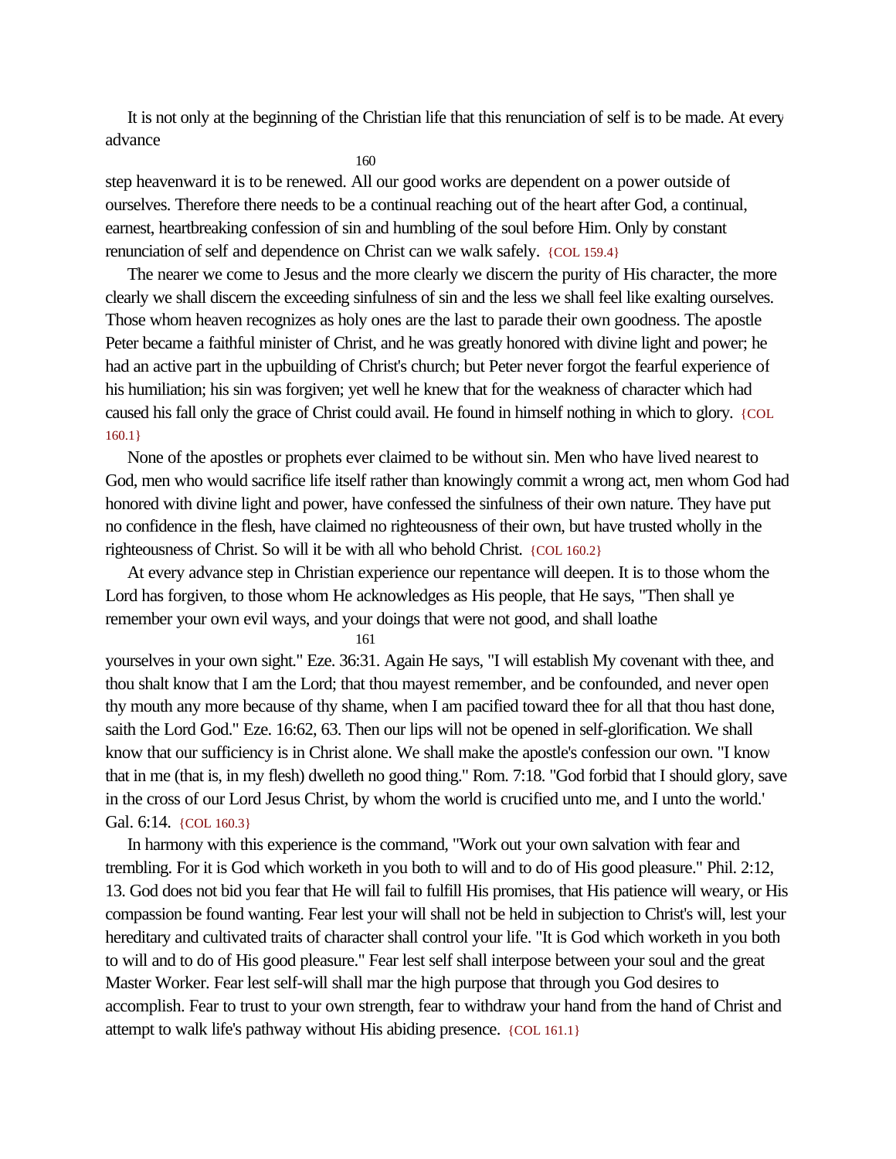It is not only at the beginning of the Christian life that this renunciation of self is to be made. At every advance

160

step heavenward it is to be renewed. All our good works are dependent on a power outside of ourselves. Therefore there needs to be a continual reaching out of the heart after God, a continual, earnest, heartbreaking confession of sin and humbling of the soul before Him. Only by constant renunciation of self and dependence on Christ can we walk safely. {COL 159.4}

 The nearer we come to Jesus and the more clearly we discern the purity of His character, the more clearly we shall discern the exceeding sinfulness of sin and the less we shall feel like exalting ourselves. Those whom heaven recognizes as holy ones are the last to parade their own goodness. The apostle Peter became a faithful minister of Christ, and he was greatly honored with divine light and power; he had an active part in the upbuilding of Christ's church; but Peter never forgot the fearful experience of his humiliation; his sin was forgiven; yet well he knew that for the weakness of character which had caused his fall only the grace of Christ could avail. He found in himself nothing in which to glory. {COL 160.1}

 None of the apostles or prophets ever claimed to be without sin. Men who have lived nearest to God, men who would sacrifice life itself rather than knowingly commit a wrong act, men whom God had honored with divine light and power, have confessed the sinfulness of their own nature. They have put no confidence in the flesh, have claimed no righteousness of their own, but have trusted wholly in the righteousness of Christ. So will it be with all who behold Christ. {COL 160.2}

 At every advance step in Christian experience our repentance will deepen. It is to those whom the Lord has forgiven, to those whom He acknowledges as His people, that He says, "Then shall ye remember your own evil ways, and your doings that were not good, and shall loathe

161

yourselves in your own sight." Eze. 36:31. Again He says, "I will establish My covenant with thee, and thou shalt know that I am the Lord; that thou mayest remember, and be confounded, and never open thy mouth any more because of thy shame, when I am pacified toward thee for all that thou hast done, saith the Lord God." Eze. 16:62, 63. Then our lips will not be opened in self-glorification. We shall know that our sufficiency is in Christ alone. We shall make the apostle's confession our own. "I know that in me (that is, in my flesh) dwelleth no good thing." Rom. 7:18. "God forbid that I should glory, save in the cross of our Lord Jesus Christ, by whom the world is crucified unto me, and I unto the world." Gal. 6:14. {COL 160.3}

 In harmony with this experience is the command, "Work out your own salvation with fear and trembling. For it is God which worketh in you both to will and to do of His good pleasure." Phil. 2:12, 13. God does not bid you fear that He will fail to fulfill His promises, that His patience will weary, or His compassion be found wanting. Fear lest your will shall not be held in subjection to Christ's will, lest your hereditary and cultivated traits of character shall control your life. "It is God which worketh in you both to will and to do of His good pleasure." Fear lest self shall interpose between your soul and the great Master Worker. Fear lest self-will shall mar the high purpose that through you God desires to accomplish. Fear to trust to your own strength, fear to withdraw your hand from the hand of Christ and attempt to walk life's pathway without His abiding presence. {COL 161.1}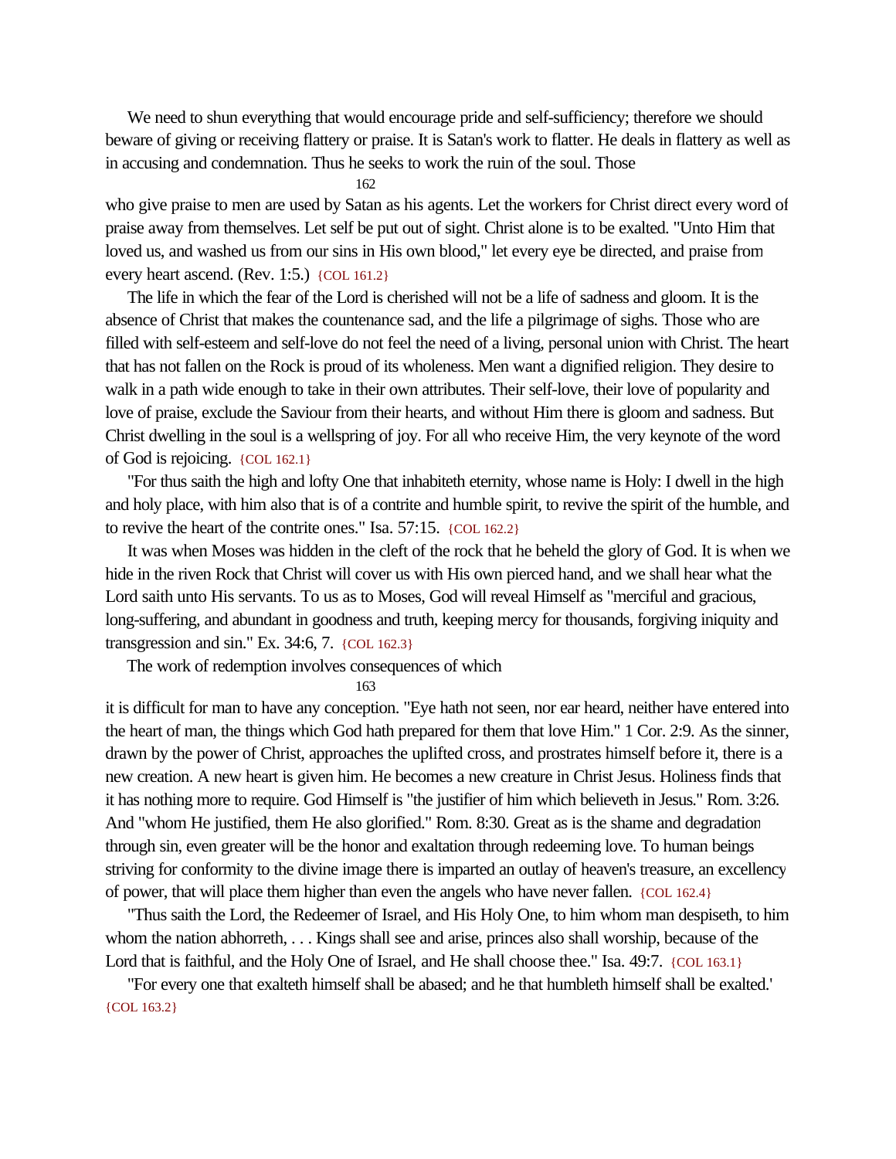We need to shun everything that would encourage pride and self-sufficiency; therefore we should beware of giving or receiving flattery or praise. It is Satan's work to flatter. He deals in flattery as well as in accusing and condemnation. Thus he seeks to work the ruin of the soul. Those

#### 162

who give praise to men are used by Satan as his agents. Let the workers for Christ direct every word of praise away from themselves. Let self be put out of sight. Christ alone is to be exalted. "Unto Him that loved us, and washed us from our sins in His own blood," let every eye be directed, and praise from every heart ascend. (Rev. 1:5.)  $\{COL 161.2\}$ 

 The life in which the fear of the Lord is cherished will not be a life of sadness and gloom. It is the absence of Christ that makes the countenance sad, and the life a pilgrimage of sighs. Those who are filled with self-esteem and self-love do not feel the need of a living, personal union with Christ. The heart that has not fallen on the Rock is proud of its wholeness. Men want a dignified religion. They desire to walk in a path wide enough to take in their own attributes. Their self-love, their love of popularity and love of praise, exclude the Saviour from their hearts, and without Him there is gloom and sadness. But Christ dwelling in the soul is a wellspring of joy. For all who receive Him, the very keynote of the word of God is rejoicing. {COL 162.1}

 "For thus saith the high and lofty One that inhabiteth eternity, whose name is Holy: I dwell in the high and holy place, with him also that is of a contrite and humble spirit, to revive the spirit of the humble, and to revive the heart of the contrite ones." Isa. 57:15. {COL 162.2}

 It was when Moses was hidden in the cleft of the rock that he beheld the glory of God. It is when we hide in the riven Rock that Christ will cover us with His own pierced hand, and we shall hear what the Lord saith unto His servants. To us as to Moses, God will reveal Himself as "merciful and gracious, long-suffering, and abundant in goodness and truth, keeping mercy for thousands, forgiving iniquity and transgression and sin." Ex. 34:6, 7. {COL 162.3}

The work of redemption involves consequences of which

163

it is difficult for man to have any conception. "Eye hath not seen, nor ear heard, neither have entered into the heart of man, the things which God hath prepared for them that love Him." 1 Cor. 2:9. As the sinner, drawn by the power of Christ, approaches the uplifted cross, and prostrates himself before it, there is a new creation. A new heart is given him. He becomes a new creature in Christ Jesus. Holiness finds that it has nothing more to require. God Himself is "the justifier of him which believeth in Jesus." Rom. 3:26. And "whom He justified, them He also glorified." Rom. 8:30. Great as is the shame and degradation through sin, even greater will be the honor and exaltation through redeeming love. To human beings striving for conformity to the divine image there is imparted an outlay of heaven's treasure, an excellency of power, that will place them higher than even the angels who have never fallen. {COL 162.4}

 "Thus saith the Lord, the Redeemer of Israel, and His Holy One, to him whom man despiseth, to him whom the nation abhorreth, . . . Kings shall see and arise, princes also shall worship, because of the Lord that is faithful, and the Holy One of Israel, and He shall choose thee." Isa. 49:7. {COL 163.1}

 "For every one that exalteth himself shall be abased; and he that humbleth himself shall be exalted." {COL 163.2}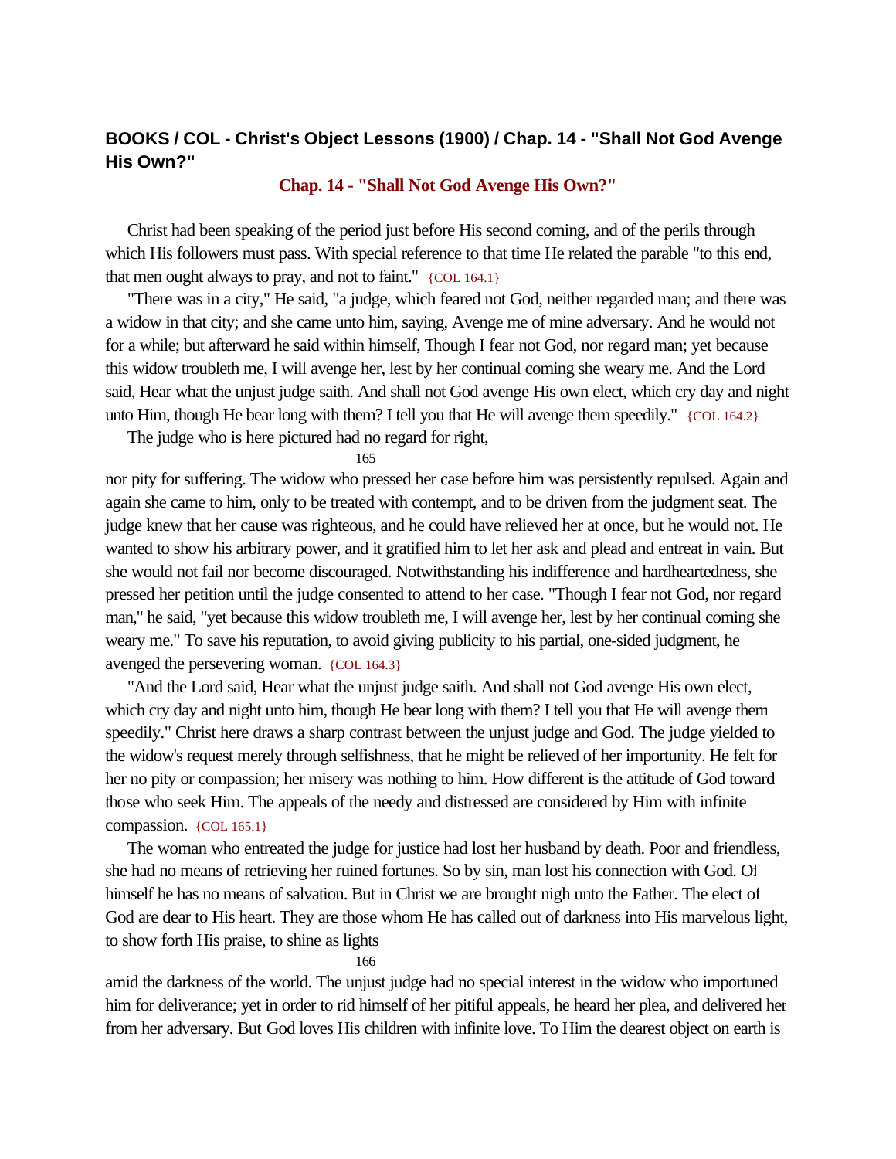# **BOOKS / COL - Christ's Object Lessons (1900) / Chap. 14 - "Shall Not God Avenge His Own?"**

# **Chap. 14 - "Shall Not God Avenge His Own?"**

 Christ had been speaking of the period just before His second coming, and of the perils through which His followers must pass. With special reference to that time He related the parable "to this end, that men ought always to pray, and not to faint."  ${COL}$  164.1}

 "There was in a city," He said, "a judge, which feared not God, neither regarded man; and there was a widow in that city; and she came unto him, saying, Avenge me of mine adversary. And he would not for a while; but afterward he said within himself, Though I fear not God, nor regard man; yet because this widow troubleth me, I will avenge her, lest by her continual coming she weary me. And the Lord said, Hear what the unjust judge saith. And shall not God avenge His own elect, which cry day and night unto Him, though He bear long with them? I tell you that He will avenge them speedily." {COL 164.2}

The judge who is here pictured had no regard for right,

166

165

nor pity for suffering. The widow who pressed her case before him was persistently repulsed. Again and again she came to him, only to be treated with contempt, and to be driven from the judgment seat. The judge knew that her cause was righteous, and he could have relieved her at once, but he would not. He wanted to show his arbitrary power, and it gratified him to let her ask and plead and entreat in vain. But she would not fail nor become discouraged. Notwithstanding his indifference and hardheartedness, she pressed her petition until the judge consented to attend to her case. "Though I fear not God, nor regard man," he said, "yet because this widow troubleth me, I will avenge her, lest by her continual coming she weary me." To save his reputation, to avoid giving publicity to his partial, one-sided judgment, he avenged the persevering woman. {COL 164.3}

 "And the Lord said, Hear what the unjust judge saith. And shall not God avenge His own elect, which cry day and night unto him, though He bear long with them? I tell you that He will avenge them speedily." Christ here draws a sharp contrast between the unjust judge and God. The judge yielded to the widow's request merely through selfishness, that he might be relieved of her importunity. He felt for her no pity or compassion; her misery was nothing to him. How different is the attitude of God toward those who seek Him. The appeals of the needy and distressed are considered by Him with infinite compassion. {COL 165.1}

 The woman who entreated the judge for justice had lost her husband by death. Poor and friendless, she had no means of retrieving her ruined fortunes. So by sin, man lost his connection with God. Of himself he has no means of salvation. But in Christ we are brought nigh unto the Father. The elect of God are dear to His heart. They are those whom He has called out of darkness into His marvelous light, to show forth His praise, to shine as lights

amid the darkness of the world. The unjust judge had no special interest in the widow who importuned him for deliverance; yet in order to rid himself of her pitiful appeals, he heard her plea, and delivered her from her adversary. But God loves His children with infinite love. To Him the dearest object on earth is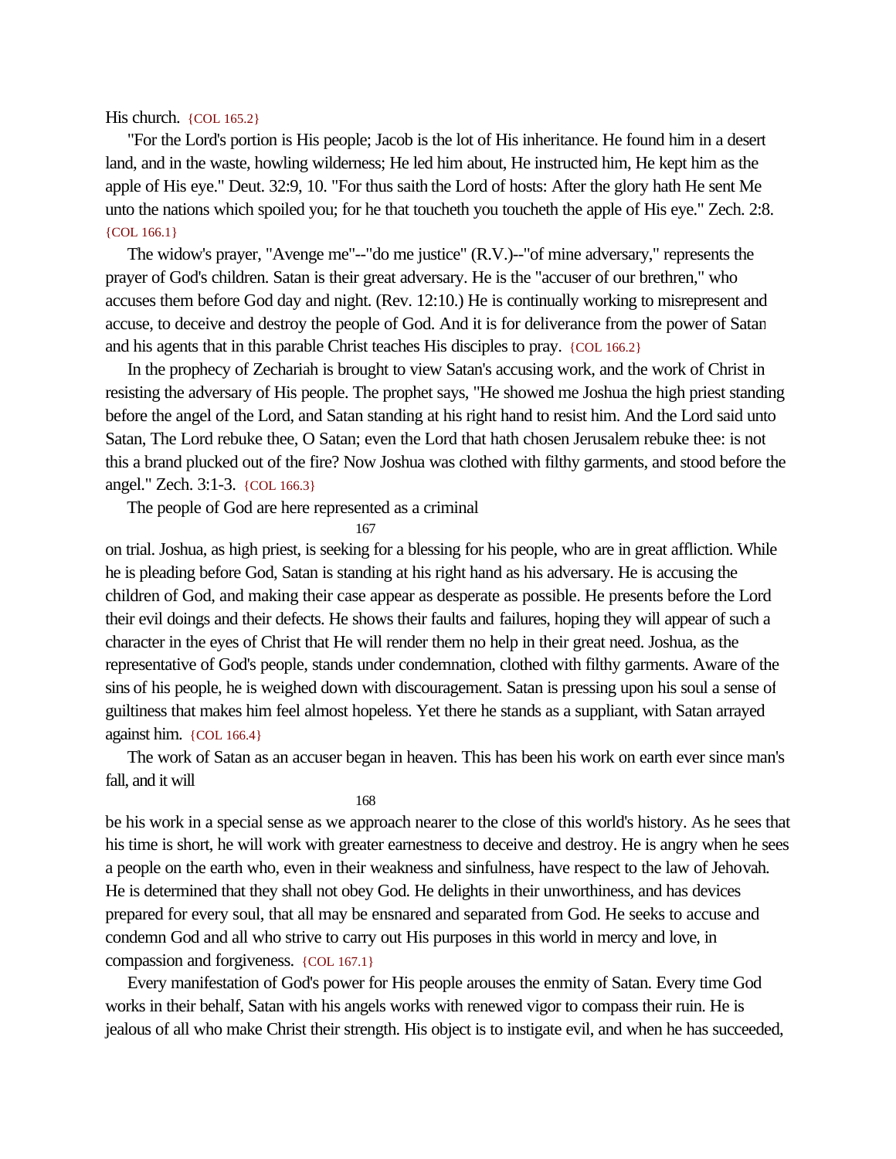His church.  $\{COL 165.2\}$ 

 "For the Lord's portion is His people; Jacob is the lot of His inheritance. He found him in a desert land, and in the waste, howling wilderness; He led him about, He instructed him, He kept him as the apple of His eye." Deut. 32:9, 10. "For thus saith the Lord of hosts: After the glory hath He sent Me unto the nations which spoiled you; for he that toucheth you toucheth the apple of His eye." Zech. 2:8. {COL 166.1}

 The widow's prayer, "Avenge me"--"do me justice" (R.V.)--"of mine adversary," represents the prayer of God's children. Satan is their great adversary. He is the "accuser of our brethren," who accuses them before God day and night. (Rev. 12:10.) He is continually working to misrepresent and accuse, to deceive and destroy the people of God. And it is for deliverance from the power of Satan and his agents that in this parable Christ teaches His disciples to pray. {COL 166.2}

 In the prophecy of Zechariah is brought to view Satan's accusing work, and the work of Christ in resisting the adversary of His people. The prophet says, "He showed me Joshua the high priest standing before the angel of the Lord, and Satan standing at his right hand to resist him. And the Lord said unto Satan, The Lord rebuke thee, O Satan; even the Lord that hath chosen Jerusalem rebuke thee: is not this a brand plucked out of the fire? Now Joshua was clothed with filthy garments, and stood before the angel." Zech. 3:1-3. {COL 166.3}

The people of God are here represented as a criminal

167

on trial. Joshua, as high priest, is seeking for a blessing for his people, who are in great affliction. While he is pleading before God, Satan is standing at his right hand as his adversary. He is accusing the children of God, and making their case appear as desperate as possible. He presents before the Lord their evil doings and their defects. He shows their faults and failures, hoping they will appear of such a character in the eyes of Christ that He will render them no help in their great need. Joshua, as the representative of God's people, stands under condemnation, clothed with filthy garments. Aware of the sins of his people, he is weighed down with discouragement. Satan is pressing upon his soul a sense of guiltiness that makes him feel almost hopeless. Yet there he stands as a suppliant, with Satan arrayed against him.  $\{COL\ 166.4\}$ 

 The work of Satan as an accuser began in heaven. This has been his work on earth ever since man's fall, and it will

168

be his work in a special sense as we approach nearer to the close of this world's history. As he sees that his time is short, he will work with greater earnestness to deceive and destroy. He is angry when he sees a people on the earth who, even in their weakness and sinfulness, have respect to the law of Jehovah. He is determined that they shall not obey God. He delights in their unworthiness, and has devices prepared for every soul, that all may be ensnared and separated from God. He seeks to accuse and condemn God and all who strive to carry out His purposes in this world in mercy and love, in compassion and forgiveness. {COL 167.1}

 Every manifestation of God's power for His people arouses the enmity of Satan. Every time God works in their behalf, Satan with his angels works with renewed vigor to compass their ruin. He is jealous of all who make Christ their strength. His object is to instigate evil, and when he has succeeded,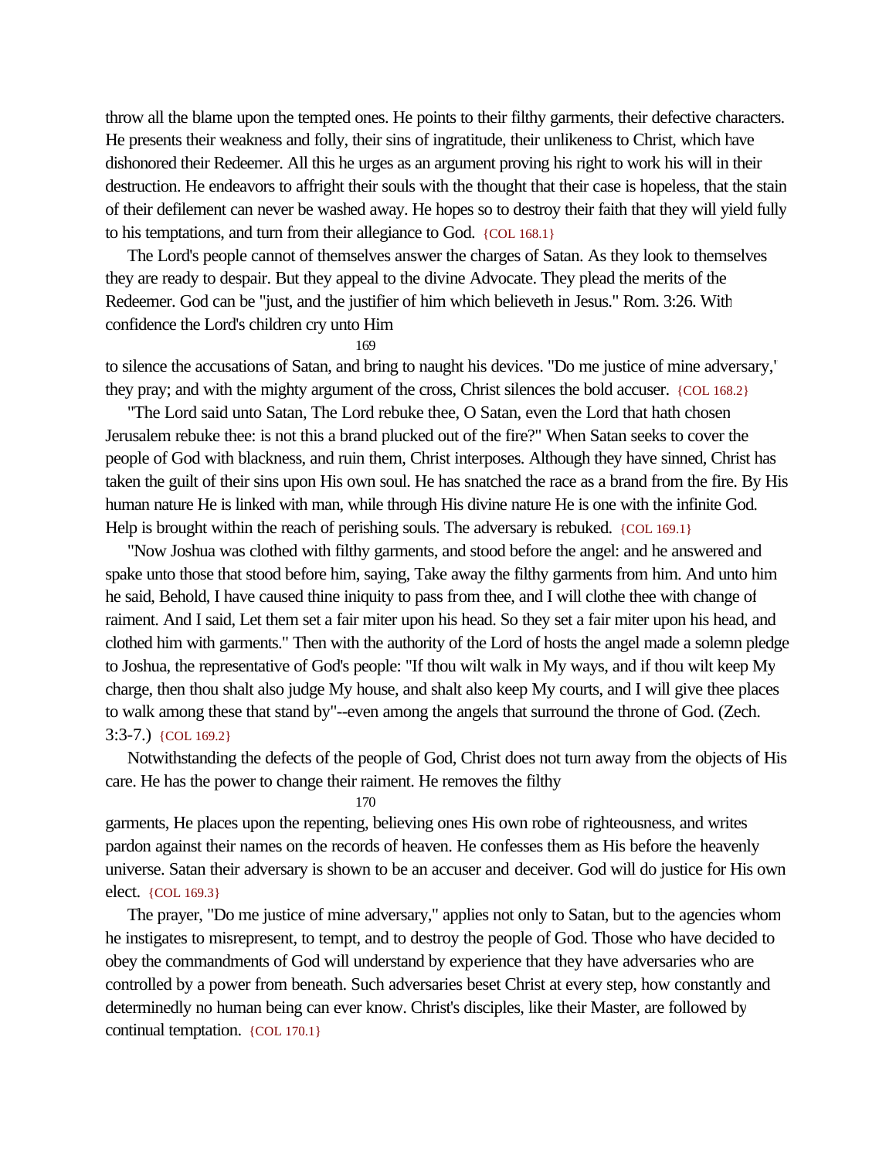throw all the blame upon the tempted ones. He points to their filthy garments, their defective characters. He presents their weakness and folly, their sins of ingratitude, their unlikeness to Christ, which have dishonored their Redeemer. All this he urges as an argument proving his right to work his will in their destruction. He endeavors to affright their souls with the thought that their case is hopeless, that the stain of their defilement can never be washed away. He hopes so to destroy their faith that they will yield fully to his temptations, and turn from their allegiance to God. {COL 168.1}

 The Lord's people cannot of themselves answer the charges of Satan. As they look to themselves they are ready to despair. But they appeal to the divine Advocate. They plead the merits of the Redeemer. God can be "just, and the justifier of him which believeth in Jesus." Rom. 3:26. With confidence the Lord's children cry unto Him

169

to silence the accusations of Satan, and bring to naught his devices. "Do me justice of mine adversary," they pray; and with the mighty argument of the cross, Christ silences the bold accuser. {COL 168.2}

 "The Lord said unto Satan, The Lord rebuke thee, O Satan, even the Lord that hath chosen Jerusalem rebuke thee: is not this a brand plucked out of the fire?" When Satan seeks to cover the people of God with blackness, and ruin them, Christ interposes. Although they have sinned, Christ has taken the guilt of their sins upon His own soul. He has snatched the race as a brand from the fire. By His human nature He is linked with man, while through His divine nature He is one with the infinite God. Help is brought within the reach of perishing souls. The adversary is rebuked. {COL 169.1}

 "Now Joshua was clothed with filthy garments, and stood before the angel: and he answered and spake unto those that stood before him, saying, Take away the filthy garments from him. And unto him he said, Behold, I have caused thine iniquity to pass from thee, and I will clothe thee with change of raiment. And I said, Let them set a fair miter upon his head. So they set a fair miter upon his head, and clothed him with garments." Then with the authority of the Lord of hosts the angel made a solemn pledge to Joshua, the representative of God's people: "If thou wilt walk in My ways, and if thou wilt keep My charge, then thou shalt also judge My house, and shalt also keep My courts, and I will give thee places to walk among these that stand by"--even among the angels that surround the throne of God. (Zech. 3:3-7.) {COL 169.2}

 Notwithstanding the defects of the people of God, Christ does not turn away from the objects of His care. He has the power to change their raiment. He removes the filthy

### 170

garments, He places upon the repenting, believing ones His own robe of righteousness, and writes pardon against their names on the records of heaven. He confesses them as His before the heavenly universe. Satan their adversary is shown to be an accuser and deceiver. God will do justice for His own elect. {COL 169.3}

 The prayer, "Do me justice of mine adversary," applies not only to Satan, but to the agencies whom he instigates to misrepresent, to tempt, and to destroy the people of God. Those who have decided to obey the commandments of God will understand by experience that they have adversaries who are controlled by a power from beneath. Such adversaries beset Christ at every step, how constantly and determinedly no human being can ever know. Christ's disciples, like their Master, are followed by continual temptation. {COL 170.1}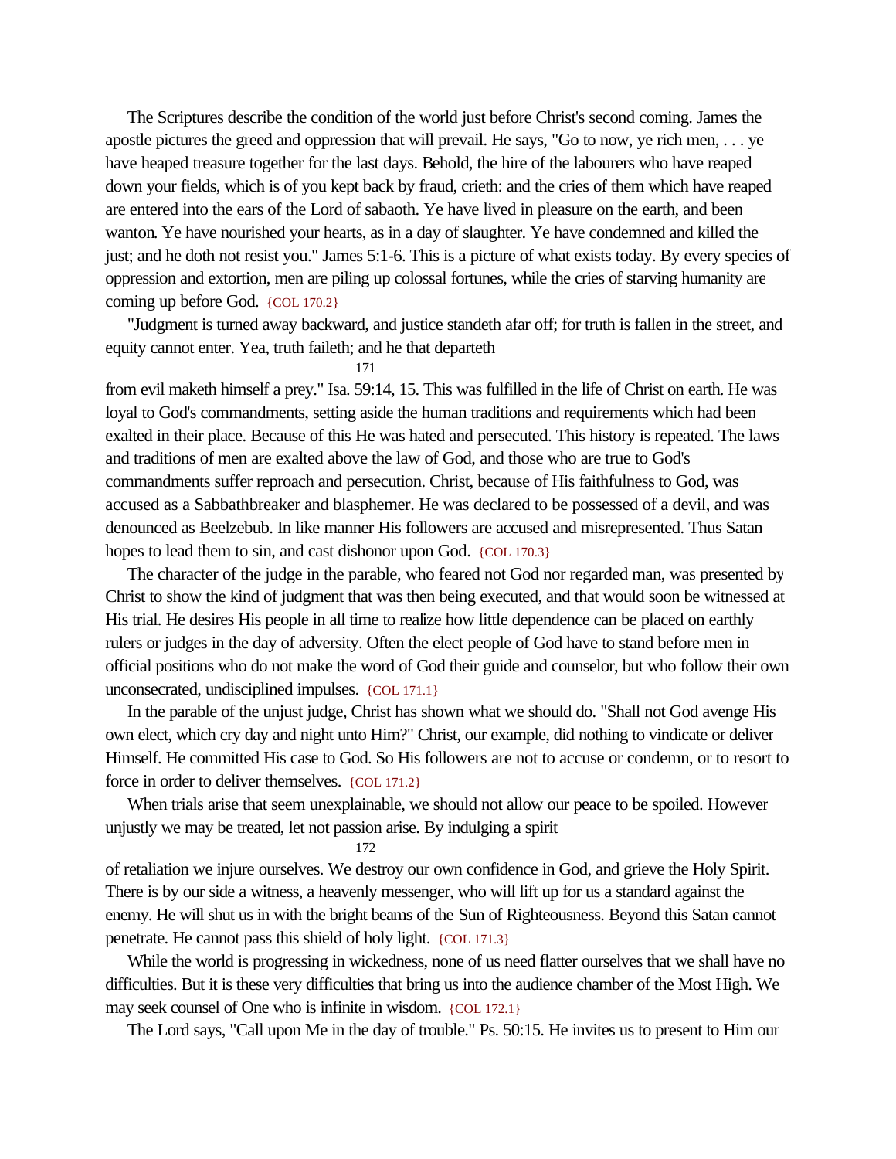The Scriptures describe the condition of the world just before Christ's second coming. James the apostle pictures the greed and oppression that will prevail. He says, "Go to now, ye rich men, . . . ye have heaped treasure together for the last days. Behold, the hire of the labourers who have reaped down your fields, which is of you kept back by fraud, crieth: and the cries of them which have reaped are entered into the ears of the Lord of sabaoth. Ye have lived in pleasure on the earth, and been wanton. Ye have nourished your hearts, as in a day of slaughter. Ye have condemned and killed the just; and he doth not resist you." James 5:1-6. This is a picture of what exists today. By every species of oppression and extortion, men are piling up colossal fortunes, while the cries of starving humanity are coming up before God. {COL 170.2}

 "Judgment is turned away backward, and justice standeth afar off; for truth is fallen in the street, and equity cannot enter. Yea, truth faileth; and he that departeth

#### 171

from evil maketh himself a prey." Isa. 59:14, 15. This was fulfilled in the life of Christ on earth. He was loyal to God's commandments, setting aside the human traditions and requirements which had been exalted in their place. Because of this He was hated and persecuted. This history is repeated. The laws and traditions of men are exalted above the law of God, and those who are true to God's commandments suffer reproach and persecution. Christ, because of His faithfulness to God, was accused as a Sabbathbreaker and blasphemer. He was declared to be possessed of a devil, and was denounced as Beelzebub. In like manner His followers are accused and misrepresented. Thus Satan hopes to lead them to sin, and cast dishonor upon God. {COL 170.3}

 The character of the judge in the parable, who feared not God nor regarded man, was presented by Christ to show the kind of judgment that was then being executed, and that would soon be witnessed at His trial. He desires His people in all time to realize how little dependence can be placed on earthly rulers or judges in the day of adversity. Often the elect people of God have to stand before men in official positions who do not make the word of God their guide and counselor, but who follow their own unconsecrated, undisciplined impulses. {COL 171.1}

 In the parable of the unjust judge, Christ has shown what we should do. "Shall not God avenge His own elect, which cry day and night unto Him?" Christ, our example, did nothing to vindicate or deliver Himself. He committed His case to God. So His followers are not to accuse or condemn, or to resort to force in order to deliver themselves. {COL 171.2}

 When trials arise that seem unexplainable, we should not allow our peace to be spoiled. However unjustly we may be treated, let not passion arise. By indulging a spirit

#### 172

of retaliation we injure ourselves. We destroy our own confidence in God, and grieve the Holy Spirit. There is by our side a witness, a heavenly messenger, who will lift up for us a standard against the enemy. He will shut us in with the bright beams of the Sun of Righteousness. Beyond this Satan cannot penetrate. He cannot pass this shield of holy light. {COL 171.3}

 While the world is progressing in wickedness, none of us need flatter ourselves that we shall have no difficulties. But it is these very difficulties that bring us into the audience chamber of the Most High. We may seek counsel of One who is infinite in wisdom. {COL 172.1}

The Lord says, "Call upon Me in the day of trouble." Ps. 50:15. He invites us to present to Him our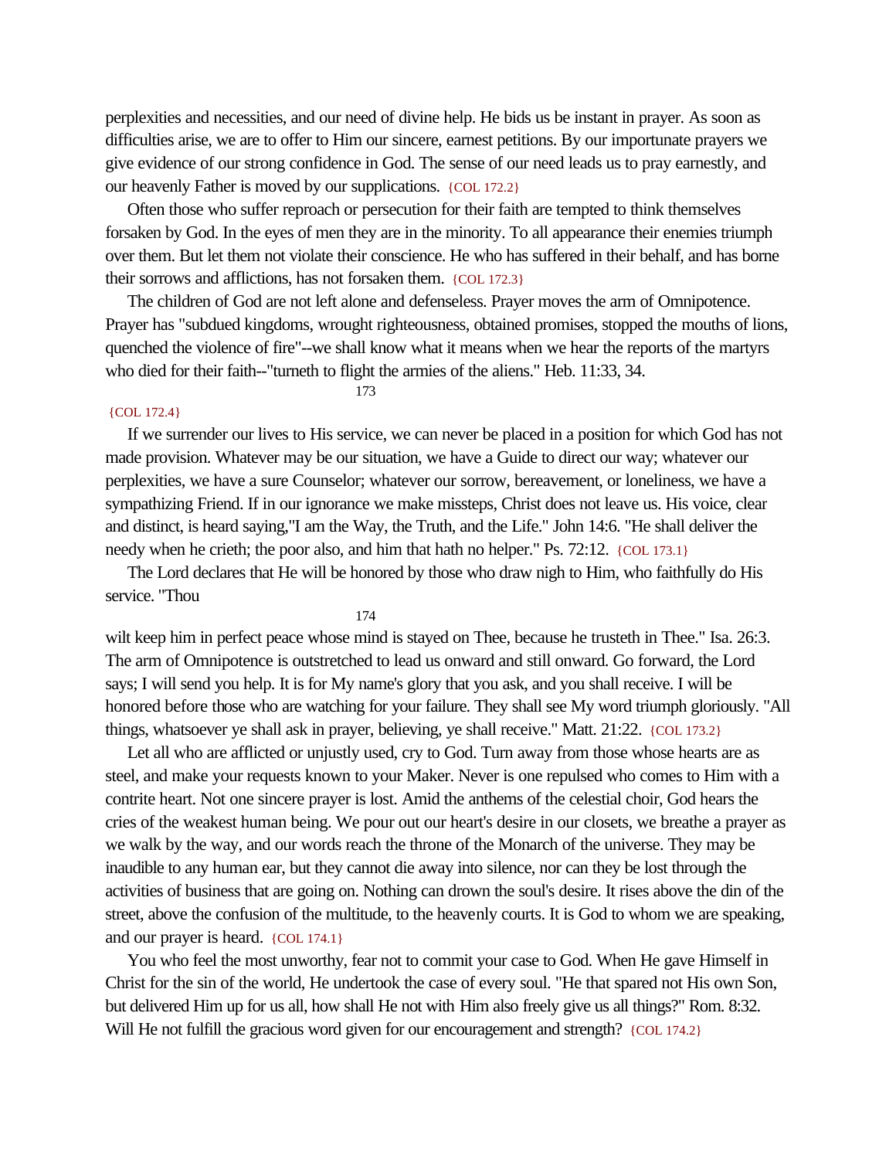perplexities and necessities, and our need of divine help. He bids us be instant in prayer. As soon as difficulties arise, we are to offer to Him our sincere, earnest petitions. By our importunate prayers we give evidence of our strong confidence in God. The sense of our need leads us to pray earnestly, and our heavenly Father is moved by our supplications. {COL 172.2}

 Often those who suffer reproach or persecution for their faith are tempted to think themselves forsaken by God. In the eyes of men they are in the minority. To all appearance their enemies triumph over them. But let them not violate their conscience. He who has suffered in their behalf, and has borne their sorrows and afflictions, has not forsaken them. {COL 172.3}

 The children of God are not left alone and defenseless. Prayer moves the arm of Omnipotence. Prayer has "subdued kingdoms, wrought righteousness, obtained promises, stopped the mouths of lions, quenched the violence of fire"--we shall know what it means when we hear the reports of the martyrs who died for their faith--"turneth to flight the armies of the aliens." Heb. 11:33, 34.

#### {COL 172.4}

173

 If we surrender our lives to His service, we can never be placed in a position for which God has not made provision. Whatever may be our situation, we have a Guide to direct our way; whatever our perplexities, we have a sure Counselor; whatever our sorrow, bereavement, or loneliness, we have a sympathizing Friend. If in our ignorance we make missteps, Christ does not leave us. His voice, clear and distinct, is heard saying,"I am the Way, the Truth, and the Life." John 14:6. "He shall deliver the needy when he crieth; the poor also, and him that hath no helper." Ps. 72:12. {COL 173.1}

 The Lord declares that He will be honored by those who draw nigh to Him, who faithfully do His service. "Thou

#### 174

wilt keep him in perfect peace whose mind is stayed on Thee, because he trusteth in Thee." Isa. 26:3. The arm of Omnipotence is outstretched to lead us onward and still onward. Go forward, the Lord says; I will send you help. It is for My name's glory that you ask, and you shall receive. I will be honored before those who are watching for your failure. They shall see My word triumph gloriously. "All things, whatsoever ye shall ask in prayer, believing, ye shall receive." Matt. 21:22. {COL 173.2}

 Let all who are afflicted or unjustly used, cry to God. Turn away from those whose hearts are as steel, and make your requests known to your Maker. Never is one repulsed who comes to Him with a contrite heart. Not one sincere prayer is lost. Amid the anthems of the celestial choir, God hears the cries of the weakest human being. We pour out our heart's desire in our closets, we breathe a prayer as we walk by the way, and our words reach the throne of the Monarch of the universe. They may be inaudible to any human ear, but they cannot die away into silence, nor can they be lost through the activities of business that are going on. Nothing can drown the soul's desire. It rises above the din of the street, above the confusion of the multitude, to the heavenly courts. It is God to whom we are speaking, and our prayer is heard. {COL 174.1}

 You who feel the most unworthy, fear not to commit your case to God. When He gave Himself in Christ for the sin of the world, He undertook the case of every soul. "He that spared not His own Son, but delivered Him up for us all, how shall He not with Him also freely give us all things?" Rom. 8:32. Will He not fulfill the gracious word given for our encouragement and strength? {COL 174.2}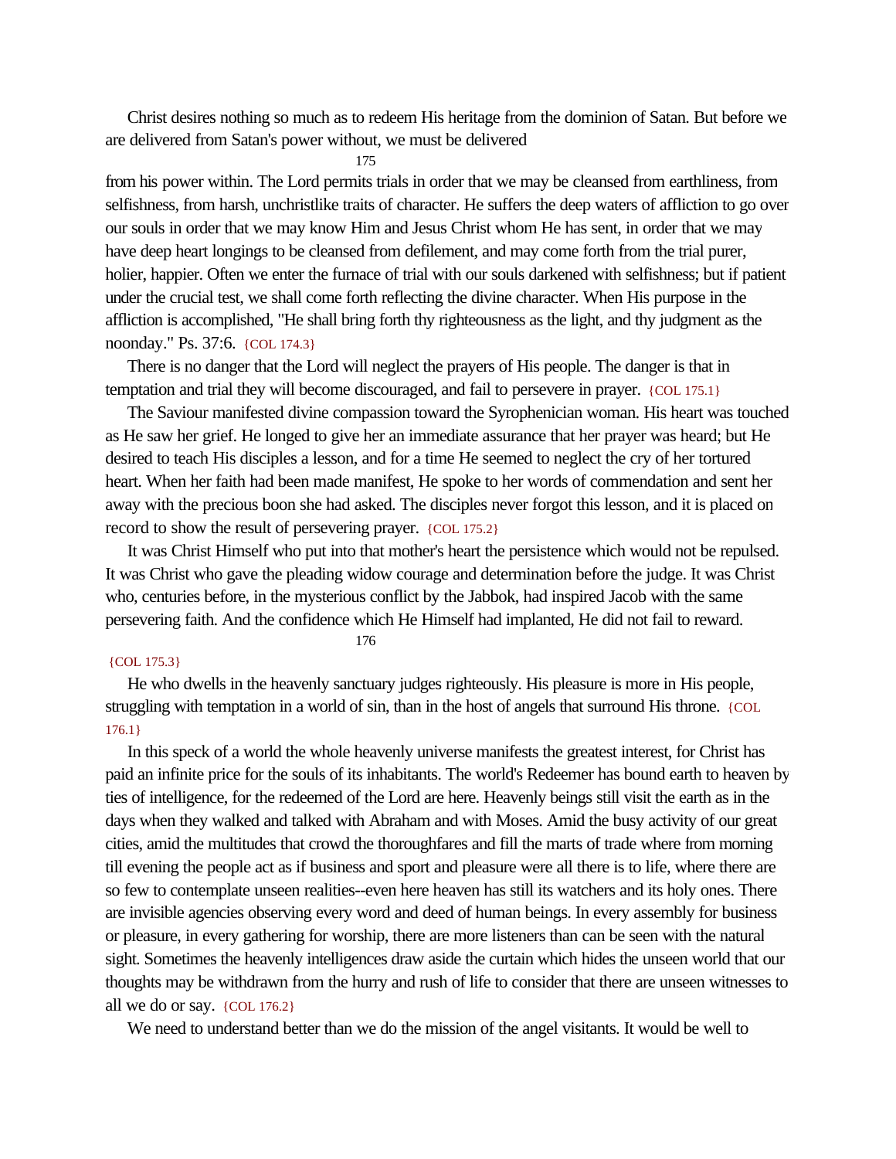Christ desires nothing so much as to redeem His heritage from the dominion of Satan. But before we are delivered from Satan's power without, we must be delivered

175

from his power within. The Lord permits trials in order that we may be cleansed from earthliness, from selfishness, from harsh, unchristlike traits of character. He suffers the deep waters of affliction to go over our souls in order that we may know Him and Jesus Christ whom He has sent, in order that we may have deep heart longings to be cleansed from defilement, and may come forth from the trial purer, holier, happier. Often we enter the furnace of trial with our souls darkened with selfishness; but if patient under the crucial test, we shall come forth reflecting the divine character. When His purpose in the affliction is accomplished, "He shall bring forth thy righteousness as the light, and thy judgment as the noonday." Ps. 37:6. {COL 174.3}

 There is no danger that the Lord will neglect the prayers of His people. The danger is that in temptation and trial they will become discouraged, and fail to persevere in prayer. {COL 175.1}

 The Saviour manifested divine compassion toward the Syrophenician woman. His heart was touched as He saw her grief. He longed to give her an immediate assurance that her prayer was heard; but He desired to teach His disciples a lesson, and for a time He seemed to neglect the cry of her tortured heart. When her faith had been made manifest, He spoke to her words of commendation and sent her away with the precious boon she had asked. The disciples never forgot this lesson, and it is placed on record to show the result of persevering prayer. {COL 175.2}

 It was Christ Himself who put into that mother's heart the persistence which would not be repulsed. It was Christ who gave the pleading widow courage and determination before the judge. It was Christ who, centuries before, in the mysterious conflict by the Jabbok, had inspired Jacob with the same persevering faith. And the confidence which He Himself had implanted, He did not fail to reward.

176

## {COL 175.3}

 He who dwells in the heavenly sanctuary judges righteously. His pleasure is more in His people, struggling with temptation in a world of sin, than in the host of angels that surround His throne. {COL 176.1}

 In this speck of a world the whole heavenly universe manifests the greatest interest, for Christ has paid an infinite price for the souls of its inhabitants. The world's Redeemer has bound earth to heaven by ties of intelligence, for the redeemed of the Lord are here. Heavenly beings still visit the earth as in the days when they walked and talked with Abraham and with Moses. Amid the busy activity of our great cities, amid the multitudes that crowd the thoroughfares and fill the marts of trade where from morning till evening the people act as if business and sport and pleasure were all there is to life, where there are so few to contemplate unseen realities--even here heaven has still its watchers and its holy ones. There are invisible agencies observing every word and deed of human beings. In every assembly for business or pleasure, in every gathering for worship, there are more listeners than can be seen with the natural sight. Sometimes the heavenly intelligences draw aside the curtain which hides the unseen world that our thoughts may be withdrawn from the hurry and rush of life to consider that there are unseen witnesses to all we do or say. {COL 176.2}

We need to understand better than we do the mission of the angel visitants. It would be well to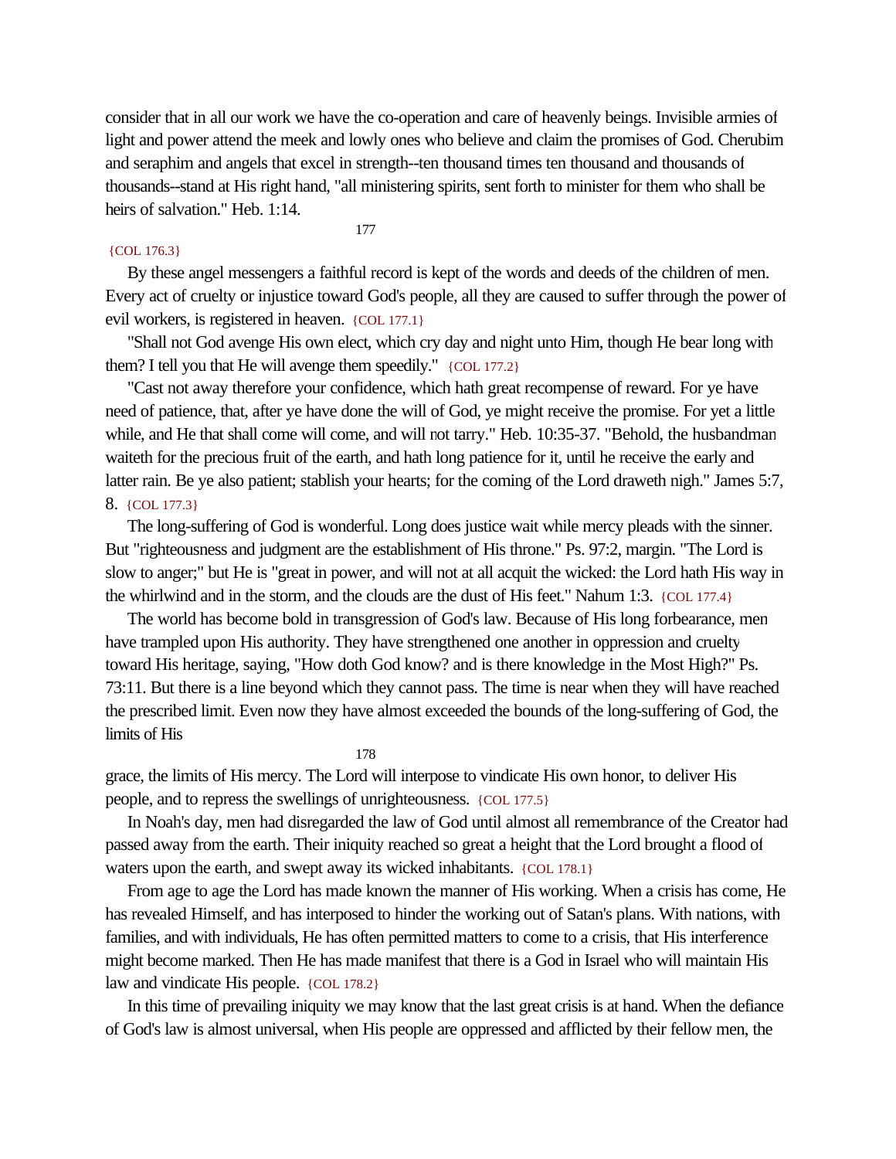consider that in all our work we have the co-operation and care of heavenly beings. Invisible armies of light and power attend the meek and lowly ones who believe and claim the promises of God. Cherubim and seraphim and angels that excel in strength--ten thousand times ten thousand and thousands of thousands--stand at His right hand, "all ministering spirits, sent forth to minister for them who shall be heirs of salvation." Heb. 1:14.

177

# {COL 176.3}

 By these angel messengers a faithful record is kept of the words and deeds of the children of men. Every act of cruelty or injustice toward God's people, all they are caused to suffer through the power of evil workers, is registered in heaven. {COL 177.1}

 "Shall not God avenge His own elect, which cry day and night unto Him, though He bear long with them? I tell you that He will avenge them speedily."  ${COL}$  177.2}

 "Cast not away therefore your confidence, which hath great recompense of reward. For ye have need of patience, that, after ye have done the will of God, ye might receive the promise. For yet a little while, and He that shall come will come, and will not tarry." Heb. 10:35-37. "Behold, the husbandman waiteth for the precious fruit of the earth, and hath long patience for it, until he receive the early and latter rain. Be ye also patient; stablish your hearts; for the coming of the Lord draweth nigh." James 5:7, 8. {COL 177.3}

 The long-suffering of God is wonderful. Long does justice wait while mercy pleads with the sinner. But "righteousness and judgment are the establishment of His throne." Ps. 97:2, margin. "The Lord is slow to anger;" but He is "great in power, and will not at all acquit the wicked: the Lord hath His way in the whirlwind and in the storm, and the clouds are the dust of His feet." Nahum 1:3. {COL 177.4}

 The world has become bold in transgression of God's law. Because of His long forbearance, men have trampled upon His authority. They have strengthened one another in oppression and cruelty toward His heritage, saying, "How doth God know? and is there knowledge in the Most High?" Ps. 73:11. But there is a line beyond which they cannot pass. The time is near when they will have reached the prescribed limit. Even now they have almost exceeded the bounds of the long-suffering of God, the limits of His

178

grace, the limits of His mercy. The Lord will interpose to vindicate His own honor, to deliver His people, and to repress the swellings of unrighteousness. {COL 177.5}

 In Noah's day, men had disregarded the law of God until almost all remembrance of the Creator had passed away from the earth. Their iniquity reached so great a height that the Lord brought a flood of waters upon the earth, and swept away its wicked inhabitants. {COL 178.1}

 From age to age the Lord has made known the manner of His working. When a crisis has come, He has revealed Himself, and has interposed to hinder the working out of Satan's plans. With nations, with families, and with individuals, He has often permitted matters to come to a crisis, that His interference might become marked. Then He has made manifest that there is a God in Israel who will maintain His law and vindicate His people. {COL 178.2}

 In this time of prevailing iniquity we may know that the last great crisis is at hand. When the defiance of God's law is almost universal, when His people are oppressed and afflicted by their fellow men, the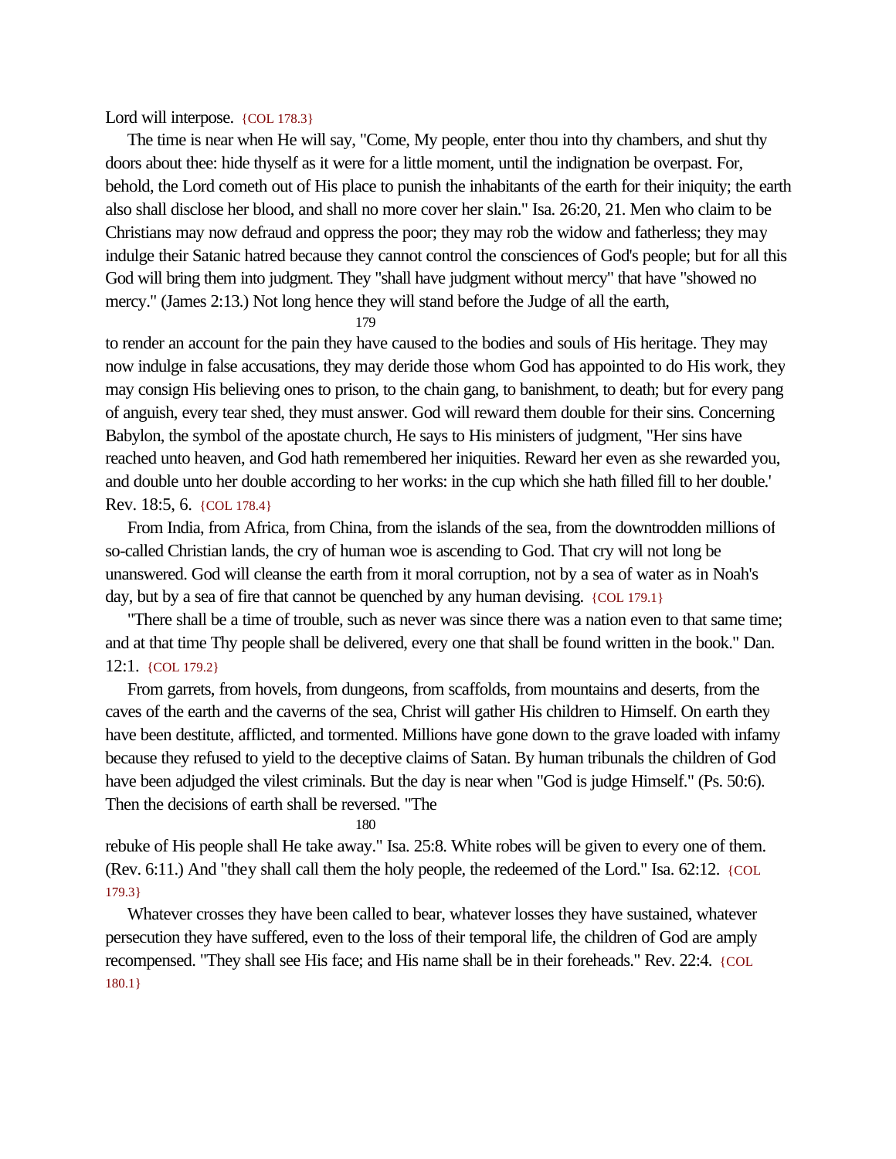# Lord will interpose. {COL 178.3}

 The time is near when He will say, "Come, My people, enter thou into thy chambers, and shut thy doors about thee: hide thyself as it were for a little moment, until the indignation be overpast. For, behold, the Lord cometh out of His place to punish the inhabitants of the earth for their iniquity; the earth also shall disclose her blood, and shall no more cover her slain." Isa. 26:20, 21. Men who claim to be Christians may now defraud and oppress the poor; they may rob the widow and fatherless; they may indulge their Satanic hatred because they cannot control the consciences of God's people; but for all this God will bring them into judgment. They "shall have judgment without mercy" that have "showed no mercy." (James 2:13.) Not long hence they will stand before the Judge of all the earth,

179

to render an account for the pain they have caused to the bodies and souls of His heritage. They may now indulge in false accusations, they may deride those whom God has appointed to do His work, they may consign His believing ones to prison, to the chain gang, to banishment, to death; but for every pang of anguish, every tear shed, they must answer. God will reward them double for their sins. Concerning Babylon, the symbol of the apostate church, He says to His ministers of judgment, "Her sins have reached unto heaven, and God hath remembered her iniquities. Reward her even as she rewarded you, and double unto her double according to her works: in the cup which she hath filled fill to her double." Rev. 18:5, 6. {COL 178.4}

 From India, from Africa, from China, from the islands of the sea, from the downtrodden millions of so-called Christian lands, the cry of human woe is ascending to God. That cry will not long be unanswered. God will cleanse the earth from it moral corruption, not by a sea of water as in Noah's day, but by a sea of fire that cannot be quenched by any human devising. {COL 179.1}

 "There shall be a time of trouble, such as never was since there was a nation even to that same time; and at that time Thy people shall be delivered, every one that shall be found written in the book." Dan. 12:1. {COL 179.2}

 From garrets, from hovels, from dungeons, from scaffolds, from mountains and deserts, from the caves of the earth and the caverns of the sea, Christ will gather His children to Himself. On earth they have been destitute, afflicted, and tormented. Millions have gone down to the grave loaded with infamy because they refused to yield to the deceptive claims of Satan. By human tribunals the children of God have been adjudged the vilest criminals. But the day is near when "God is judge Himself." (Ps. 50:6). Then the decisions of earth shall be reversed. "The

## 180

rebuke of His people shall He take away." Isa. 25:8. White robes will be given to every one of them. (Rev. 6:11.) And "they shall call them the holy people, the redeemed of the Lord." Isa. 62:12. {COL 179.3}

 Whatever crosses they have been called to bear, whatever losses they have sustained, whatever persecution they have suffered, even to the loss of their temporal life, the children of God are amply recompensed. "They shall see His face; and His name shall be in their foreheads." Rev. 22:4. {COL 180.1}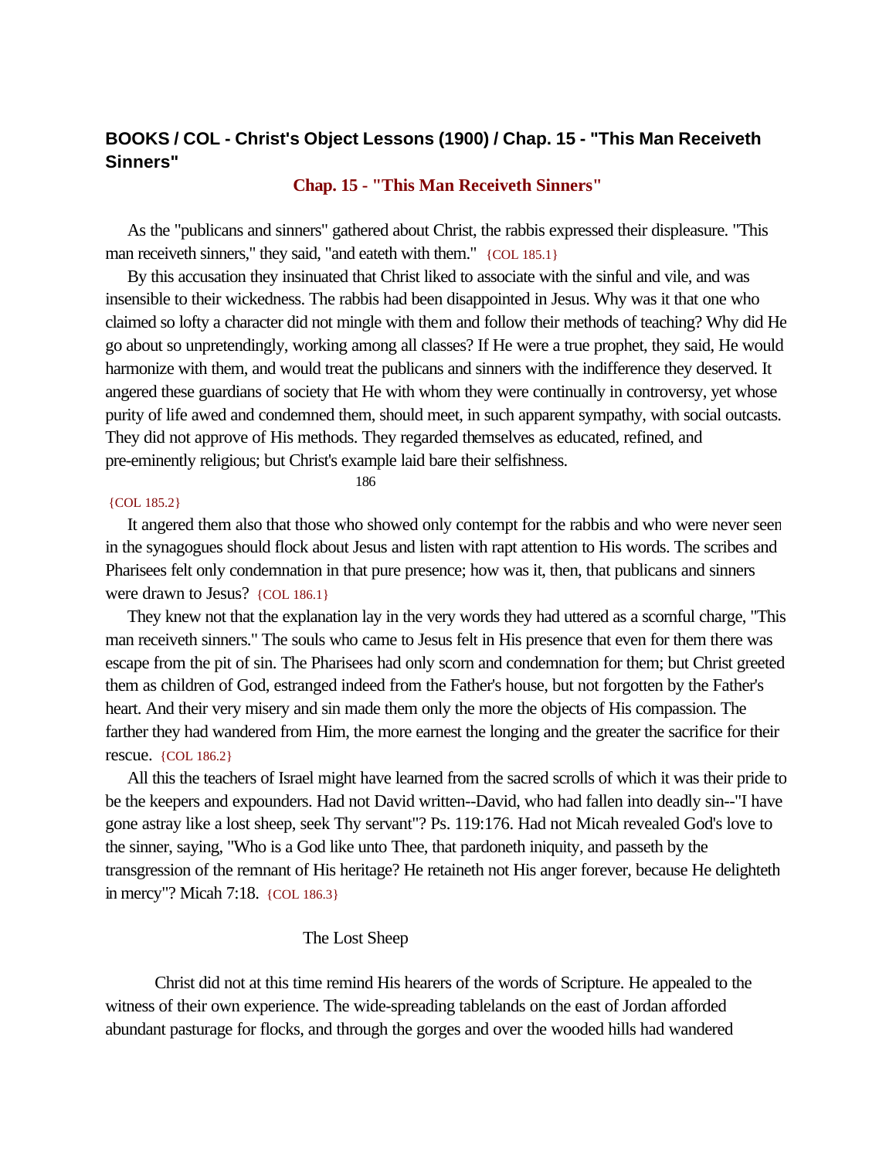# **BOOKS / COL - Christ's Object Lessons (1900) / Chap. 15 - "This Man Receiveth Sinners"**

# **Chap. 15 - "This Man Receiveth Sinners"**

 As the "publicans and sinners" gathered about Christ, the rabbis expressed their displeasure. "This man receiveth sinners," they said, "and eateth with them." {COL 185.1}

 By this accusation they insinuated that Christ liked to associate with the sinful and vile, and was insensible to their wickedness. The rabbis had been disappointed in Jesus. Why was it that one who claimed so lofty a character did not mingle with them and follow their methods of teaching? Why did He go about so unpretendingly, working among all classes? If He were a true prophet, they said, He would harmonize with them, and would treat the publicans and sinners with the indifference they deserved. It angered these guardians of society that He with whom they were continually in controversy, yet whose purity of life awed and condemned them, should meet, in such apparent sympathy, with social outcasts. They did not approve of His methods. They regarded themselves as educated, refined, and pre-eminently religious; but Christ's example laid bare their selfishness.

### {COL 185.2}

186

 It angered them also that those who showed only contempt for the rabbis and who were never seen in the synagogues should flock about Jesus and listen with rapt attention to His words. The scribes and Pharisees felt only condemnation in that pure presence; how was it, then, that publicans and sinners were drawn to Jesus? {COL 186.1}

 They knew not that the explanation lay in the very words they had uttered as a scornful charge, "This man receiveth sinners." The souls who came to Jesus felt in His presence that even for them there was escape from the pit of sin. The Pharisees had only scorn and condemnation for them; but Christ greeted them as children of God, estranged indeed from the Father's house, but not forgotten by the Father's heart. And their very misery and sin made them only the more the objects of His compassion. The farther they had wandered from Him, the more earnest the longing and the greater the sacrifice for their rescue. {COL 186.2}

 All this the teachers of Israel might have learned from the sacred scrolls of which it was their pride to be the keepers and expounders. Had not David written--David, who had fallen into deadly sin--"I have gone astray like a lost sheep, seek Thy servant"? Ps. 119:176. Had not Micah revealed God's love to the sinner, saying, "Who is a God like unto Thee, that pardoneth iniquity, and passeth by the transgression of the remnant of His heritage? He retaineth not His anger forever, because He delighteth in mercy"? Micah 7:18. {COL 186.3}

# The Lost Sheep

 Christ did not at this time remind His hearers of the words of Scripture. He appealed to the witness of their own experience. The wide-spreading tablelands on the east of Jordan afforded abundant pasturage for flocks, and through the gorges and over the wooded hills had wandered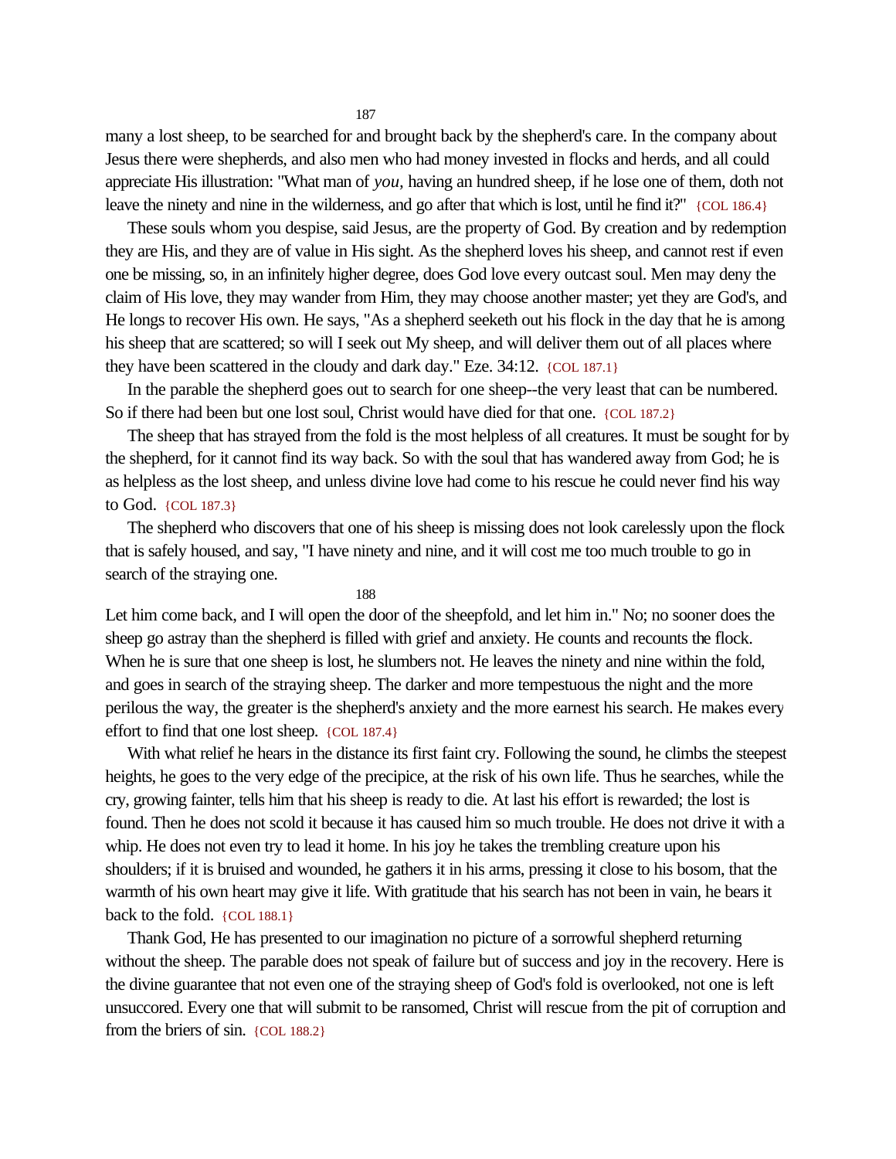many a lost sheep, to be searched for and brought back by the shepherd's care. In the company about Jesus there were shepherds, and also men who had money invested in flocks and herds, and all could appreciate His illustration: "What man of *you,* having an hundred sheep, if he lose one of them, doth not leave the ninety and nine in the wilderness, and go after that which is lost, until he find it?" {COL 186.4}

 These souls whom you despise, said Jesus, are the property of God. By creation and by redemption they are His, and they are of value in His sight. As the shepherd loves his sheep, and cannot rest if even one be missing, so, in an infinitely higher degree, does God love every outcast soul. Men may deny the claim of His love, they may wander from Him, they may choose another master; yet they are God's, and He longs to recover His own. He says, "As a shepherd seeketh out his flock in the day that he is among his sheep that are scattered; so will I seek out My sheep, and will deliver them out of all places where they have been scattered in the cloudy and dark day." Eze. 34:12. {COL 187.1}

 In the parable the shepherd goes out to search for one sheep--the very least that can be numbered. So if there had been but one lost soul, Christ would have died for that one. {COL 187.2}

 The sheep that has strayed from the fold is the most helpless of all creatures. It must be sought for by the shepherd, for it cannot find its way back. So with the soul that has wandered away from God; he is as helpless as the lost sheep, and unless divine love had come to his rescue he could never find his way to God. {COL 187.3}

 The shepherd who discovers that one of his sheep is missing does not look carelessly upon the flock that is safely housed, and say, "I have ninety and nine, and it will cost me too much trouble to go in search of the straying one.

#### 188

Let him come back, and I will open the door of the sheepfold, and let him in." No; no sooner does the sheep go astray than the shepherd is filled with grief and anxiety. He counts and recounts the flock. When he is sure that one sheep is lost, he slumbers not. He leaves the ninety and nine within the fold, and goes in search of the straying sheep. The darker and more tempestuous the night and the more perilous the way, the greater is the shepherd's anxiety and the more earnest his search. He makes every effort to find that one lost sheep. {COL 187.4}

With what relief he hears in the distance its first faint cry. Following the sound, he climbs the steepest heights, he goes to the very edge of the precipice, at the risk of his own life. Thus he searches, while the cry, growing fainter, tells him that his sheep is ready to die. At last his effort is rewarded; the lost is found. Then he does not scold it because it has caused him so much trouble. He does not drive it with a whip. He does not even try to lead it home. In his joy he takes the trembling creature upon his shoulders; if it is bruised and wounded, he gathers it in his arms, pressing it close to his bosom, that the warmth of his own heart may give it life. With gratitude that his search has not been in vain, he bears it back to the fold. {COL 188.1}

 Thank God, He has presented to our imagination no picture of a sorrowful shepherd returning without the sheep. The parable does not speak of failure but of success and joy in the recovery. Here is the divine guarantee that not even one of the straying sheep of God's fold is overlooked, not one is left unsuccored. Every one that will submit to be ransomed, Christ will rescue from the pit of corruption and from the briers of sin. {COL 188.2}

187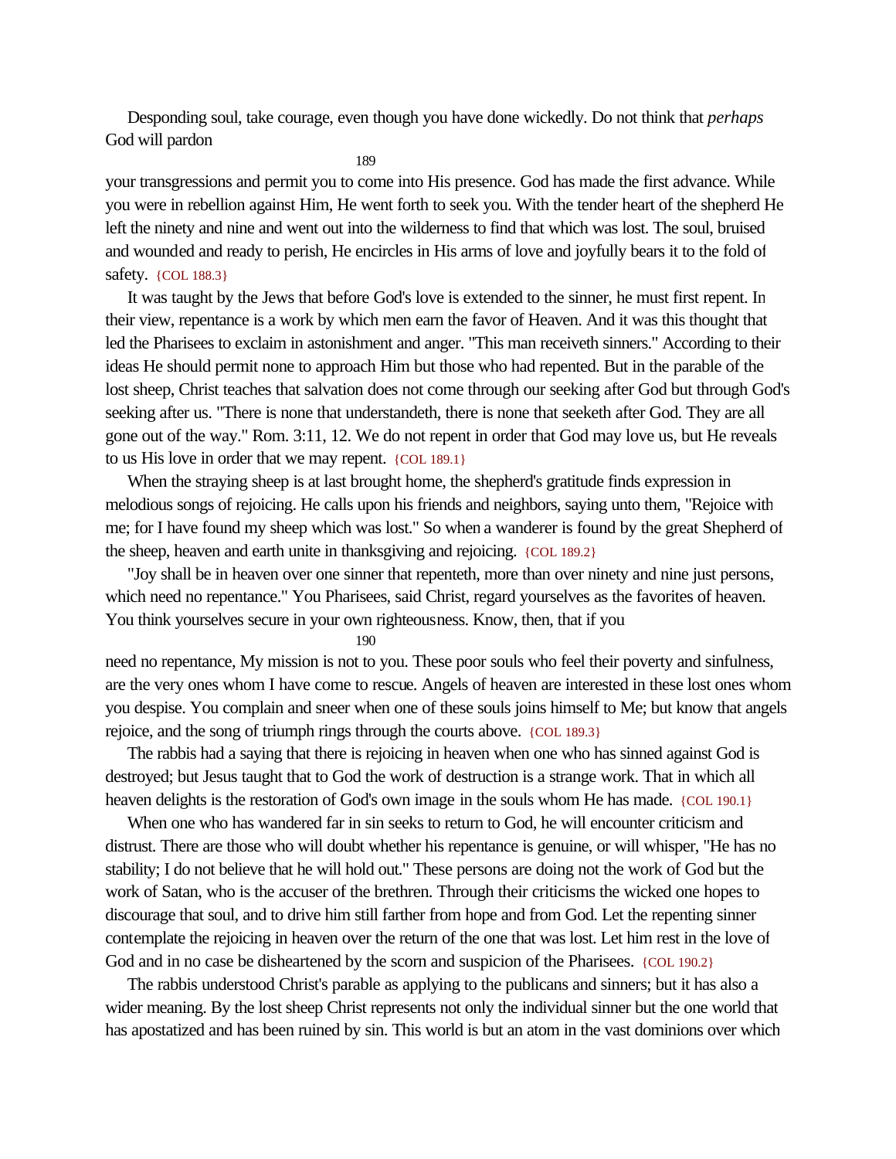Desponding soul, take courage, even though you have done wickedly. Do not think that *perhaps* God will pardon

189

your transgressions and permit you to come into His presence. God has made the first advance. While you were in rebellion against Him, He went forth to seek you. With the tender heart of the shepherd He left the ninety and nine and went out into the wilderness to find that which was lost. The soul, bruised and wounded and ready to perish, He encircles in His arms of love and joyfully bears it to the fold of safety. {COL 188.3}

 It was taught by the Jews that before God's love is extended to the sinner, he must first repent. In their view, repentance is a work by which men earn the favor of Heaven. And it was this thought that led the Pharisees to exclaim in astonishment and anger. "This man receiveth sinners." According to their ideas He should permit none to approach Him but those who had repented. But in the parable of the lost sheep, Christ teaches that salvation does not come through our seeking after God but through God's seeking after us. "There is none that understandeth, there is none that seeketh after God. They are all gone out of the way." Rom. 3:11, 12. We do not repent in order that God may love us, but He reveals to us His love in order that we may repent. {COL 189.1}

 When the straying sheep is at last brought home, the shepherd's gratitude finds expression in melodious songs of rejoicing. He calls upon his friends and neighbors, saying unto them, "Rejoice with me; for I have found my sheep which was lost." So when a wanderer is found by the great Shepherd of the sheep, heaven and earth unite in thanksgiving and rejoicing. {COL 189.2}

 "Joy shall be in heaven over one sinner that repenteth, more than over ninety and nine just persons, which need no repentance." You Pharisees, said Christ, regard yourselves as the favorites of heaven. You think yourselves secure in your own righteousness. Know, then, that if you

190

need no repentance, My mission is not to you. These poor souls who feel their poverty and sinfulness, are the very ones whom I have come to rescue. Angels of heaven are interested in these lost ones whom you despise. You complain and sneer when one of these souls joins himself to Me; but know that angels rejoice, and the song of triumph rings through the courts above. {COL 189.3}

 The rabbis had a saying that there is rejoicing in heaven when one who has sinned against God is destroyed; but Jesus taught that to God the work of destruction is a strange work. That in which all heaven delights is the restoration of God's own image in the souls whom He has made. {COL 190.1}

 When one who has wandered far in sin seeks to return to God, he will encounter criticism and distrust. There are those who will doubt whether his repentance is genuine, or will whisper, "He has no stability; I do not believe that he will hold out." These persons are doing not the work of God but the work of Satan, who is the accuser of the brethren. Through their criticisms the wicked one hopes to discourage that soul, and to drive him still farther from hope and from God. Let the repenting sinner contemplate the rejoicing in heaven over the return of the one that was lost. Let him rest in the love of God and in no case be disheartened by the scorn and suspicion of the Pharisees. {COL 190.2}

 The rabbis understood Christ's parable as applying to the publicans and sinners; but it has also a wider meaning. By the lost sheep Christ represents not only the individual sinner but the one world that has apostatized and has been ruined by sin. This world is but an atom in the vast dominions over which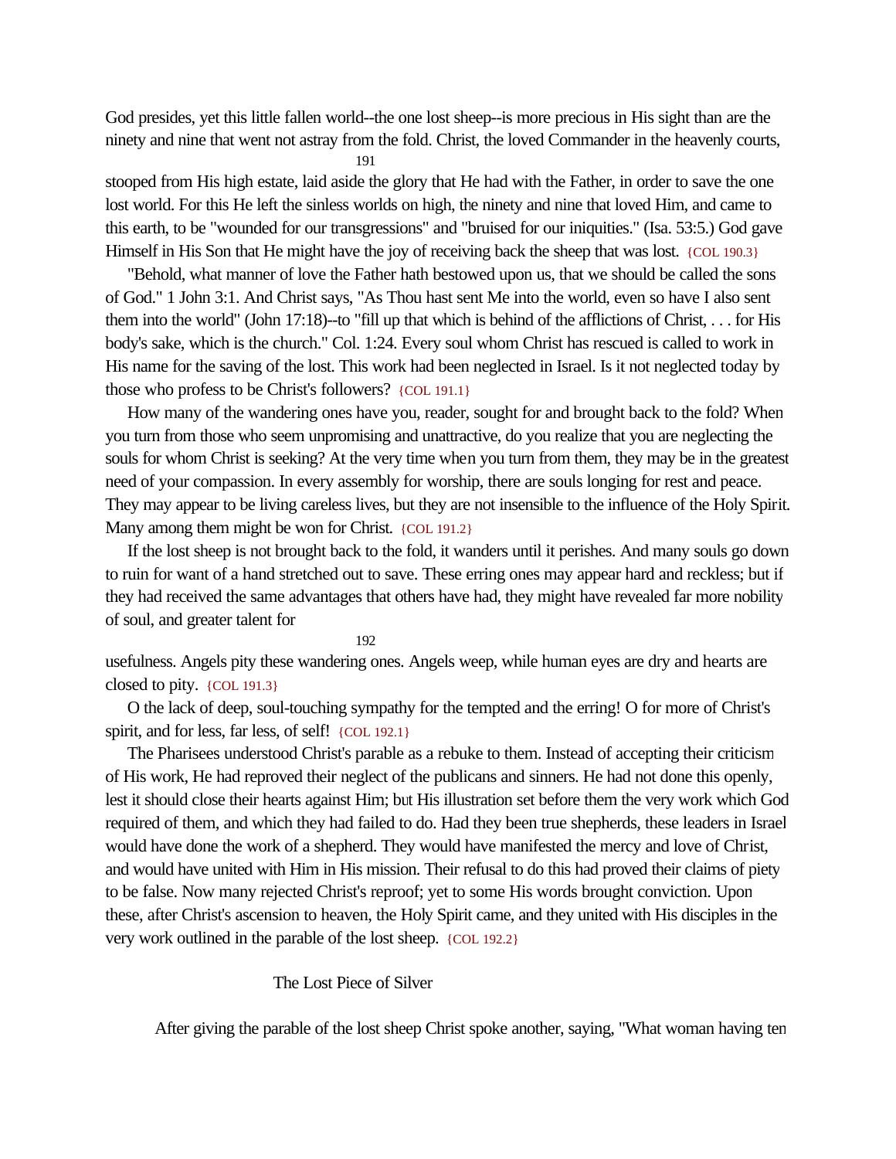God presides, yet this little fallen world--the one lost sheep--is more precious in His sight than are the ninety and nine that went not astray from the fold. Christ, the loved Commander in the heavenly courts,

#### 191

stooped from His high estate, laid aside the glory that He had with the Father, in order to save the one lost world. For this He left the sinless worlds on high, the ninety and nine that loved Him, and came to this earth, to be "wounded for our transgressions" and "bruised for our iniquities." (Isa. 53:5.) God gave Himself in His Son that He might have the joy of receiving back the sheep that was lost. {COL 190.3}

 "Behold, what manner of love the Father hath bestowed upon us, that we should be called the sons of God." 1 John 3:1. And Christ says, "As Thou hast sent Me into the world, even so have I also sent them into the world" (John 17:18)--to "fill up that which is behind of the afflictions of Christ, . . . for His body's sake, which is the church." Col. 1:24. Every soul whom Christ has rescued is called to work in His name for the saving of the lost. This work had been neglected in Israel. Is it not neglected today by those who profess to be Christ's followers? {COL 191.1}

 How many of the wandering ones have you, reader, sought for and brought back to the fold? When you turn from those who seem unpromising and unattractive, do you realize that you are neglecting the souls for whom Christ is seeking? At the very time when you turn from them, they may be in the greatest need of your compassion. In every assembly for worship, there are souls longing for rest and peace. They may appear to be living careless lives, but they are not insensible to the influence of the Holy Spirit. Many among them might be won for Christ. {COL 191.2}

 If the lost sheep is not brought back to the fold, it wanders until it perishes. And many souls go down to ruin for want of a hand stretched out to save. These erring ones may appear hard and reckless; but if they had received the same advantages that others have had, they might have revealed far more nobility of soul, and greater talent for

192

usefulness. Angels pity these wandering ones. Angels weep, while human eyes are dry and hearts are closed to pity. {COL 191.3}

 O the lack of deep, soul-touching sympathy for the tempted and the erring! O for more of Christ's spirit, and for less, far less, of self! {COL 192.1}

 The Pharisees understood Christ's parable as a rebuke to them. Instead of accepting their criticism of His work, He had reproved their neglect of the publicans and sinners. He had not done this openly, lest it should close their hearts against Him; but His illustration set before them the very work which God required of them, and which they had failed to do. Had they been true shepherds, these leaders in Israel would have done the work of a shepherd. They would have manifested the mercy and love of Christ, and would have united with Him in His mission. Their refusal to do this had proved their claims of piety to be false. Now many rejected Christ's reproof; yet to some His words brought conviction. Upon these, after Christ's ascension to heaven, the Holy Spirit came, and they united with His disciples in the very work outlined in the parable of the lost sheep. {COL 192.2}

# The Lost Piece of Silver

After giving the parable of the lost sheep Christ spoke another, saying, "What woman having ten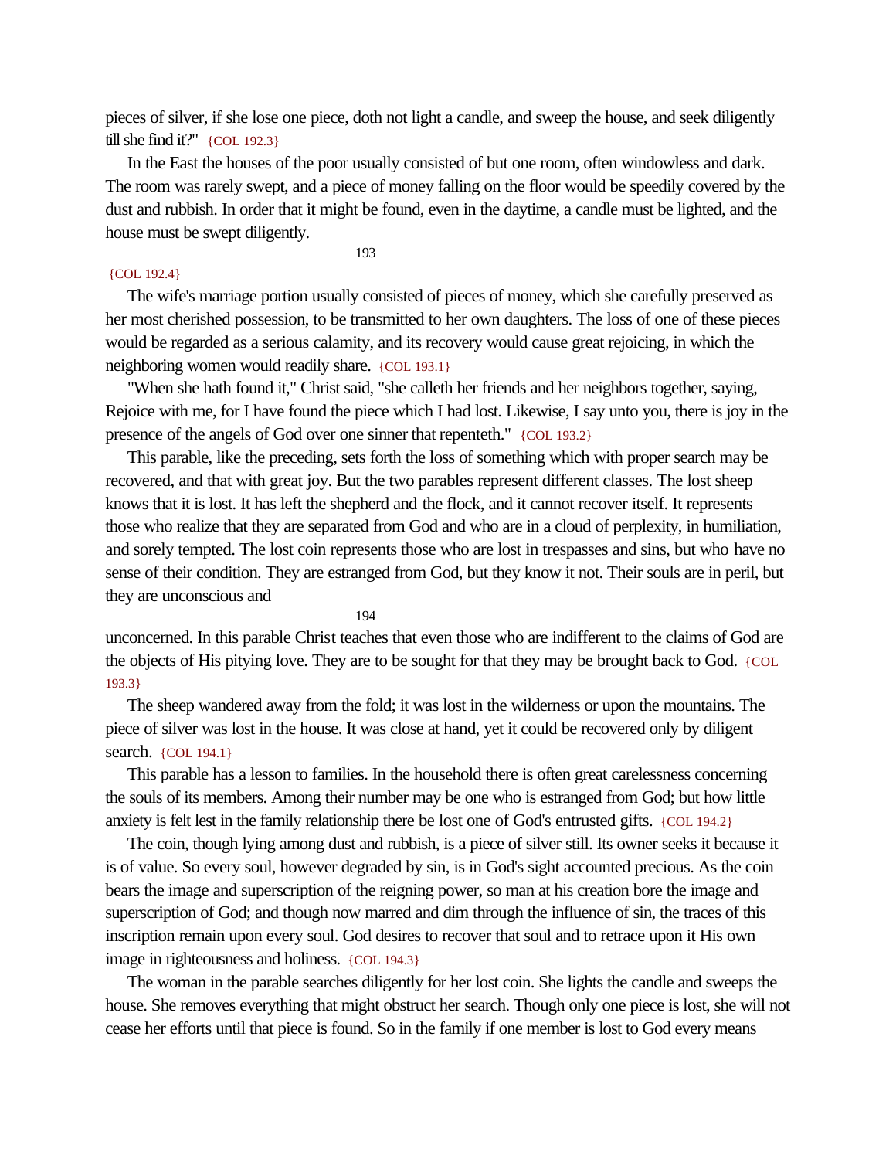pieces of silver, if she lose one piece, doth not light a candle, and sweep the house, and seek diligently till she find it?"  ${COL}$  192.3}

 In the East the houses of the poor usually consisted of but one room, often windowless and dark. The room was rarely swept, and a piece of money falling on the floor would be speedily covered by the dust and rubbish. In order that it might be found, even in the daytime, a candle must be lighted, and the house must be swept diligently.

193

# {COL 192.4}

 The wife's marriage portion usually consisted of pieces of money, which she carefully preserved as her most cherished possession, to be transmitted to her own daughters. The loss of one of these pieces would be regarded as a serious calamity, and its recovery would cause great rejoicing, in which the neighboring women would readily share. {COL 193.1}

 "When she hath found it," Christ said, "she calleth her friends and her neighbors together, saying, Rejoice with me, for I have found the piece which I had lost. Likewise, I say unto you, there is joy in the presence of the angels of God over one sinner that repenteth." {COL 193.2}

 This parable, like the preceding, sets forth the loss of something which with proper search may be recovered, and that with great joy. But the two parables represent different classes. The lost sheep knows that it is lost. It has left the shepherd and the flock, and it cannot recover itself. It represents those who realize that they are separated from God and who are in a cloud of perplexity, in humiliation, and sorely tempted. The lost coin represents those who are lost in trespasses and sins, but who have no sense of their condition. They are estranged from God, but they know it not. Their souls are in peril, but they are unconscious and

194

unconcerned. In this parable Christ teaches that even those who are indifferent to the claims of God are the objects of His pitying love. They are to be sought for that they may be brought back to God. {COL 193.3}

 The sheep wandered away from the fold; it was lost in the wilderness or upon the mountains. The piece of silver was lost in the house. It was close at hand, yet it could be recovered only by diligent search. {COL 194.1}

 This parable has a lesson to families. In the household there is often great carelessness concerning the souls of its members. Among their number may be one who is estranged from God; but how little anxiety is felt lest in the family relationship there be lost one of God's entrusted gifts. {COL 194.2}

 The coin, though lying among dust and rubbish, is a piece of silver still. Its owner seeks it because it is of value. So every soul, however degraded by sin, is in God's sight accounted precious. As the coin bears the image and superscription of the reigning power, so man at his creation bore the image and superscription of God; and though now marred and dim through the influence of sin, the traces of this inscription remain upon every soul. God desires to recover that soul and to retrace upon it His own image in righteousness and holiness. {COL 194.3}

 The woman in the parable searches diligently for her lost coin. She lights the candle and sweeps the house. She removes everything that might obstruct her search. Though only one piece is lost, she will not cease her efforts until that piece is found. So in the family if one member is lost to God every means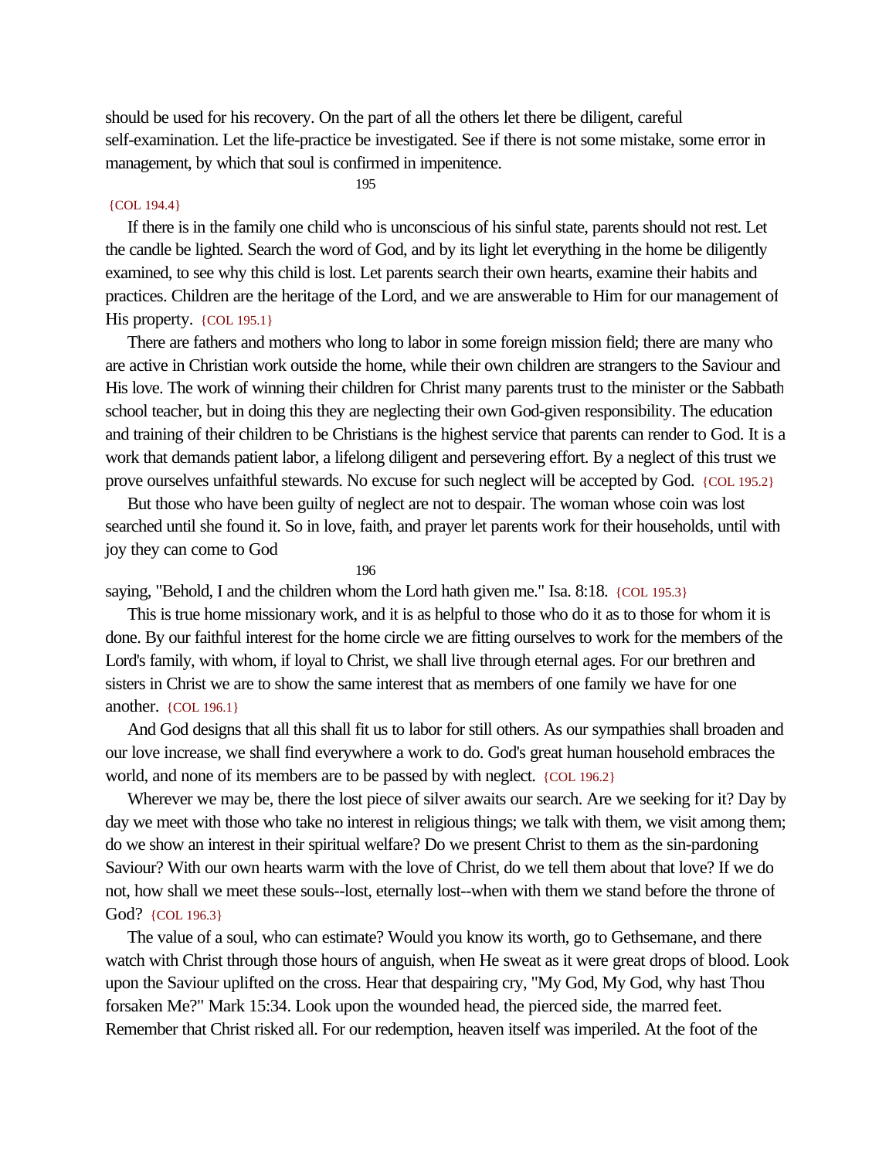should be used for his recovery. On the part of all the others let there be diligent, careful self-examination. Let the life-practice be investigated. See if there is not some mistake, some error in management, by which that soul is confirmed in impenitence.

195

## {COL 194.4}

 If there is in the family one child who is unconscious of his sinful state, parents should not rest. Let the candle be lighted. Search the word of God, and by its light let everything in the home be diligently examined, to see why this child is lost. Let parents search their own hearts, examine their habits and practices. Children are the heritage of the Lord, and we are answerable to Him for our management of His property. {COL 195.1}

 There are fathers and mothers who long to labor in some foreign mission field; there are many who are active in Christian work outside the home, while their own children are strangers to the Saviour and His love. The work of winning their children for Christ many parents trust to the minister or the Sabbath school teacher, but in doing this they are neglecting their own God-given responsibility. The education and training of their children to be Christians is the highest service that parents can render to God. It is a work that demands patient labor, a lifelong diligent and persevering effort. By a neglect of this trust we prove ourselves unfaithful stewards. No excuse for such neglect will be accepted by God. {COL 195.2}

 But those who have been guilty of neglect are not to despair. The woman whose coin was lost searched until she found it. So in love, faith, and prayer let parents work for their households, until with joy they can come to God

196

saying, "Behold, I and the children whom the Lord hath given me." Isa. 8:18. {COL 195.3}

 This is true home missionary work, and it is as helpful to those who do it as to those for whom it is done. By our faithful interest for the home circle we are fitting ourselves to work for the members of the Lord's family, with whom, if loyal to Christ, we shall live through eternal ages. For our brethren and sisters in Christ we are to show the same interest that as members of one family we have for one another. {COL 196.1}

 And God designs that all this shall fit us to labor for still others. As our sympathies shall broaden and our love increase, we shall find everywhere a work to do. God's great human household embraces the world, and none of its members are to be passed by with neglect. {COL 196.2}

 Wherever we may be, there the lost piece of silver awaits our search. Are we seeking for it? Day by day we meet with those who take no interest in religious things; we talk with them, we visit among them; do we show an interest in their spiritual welfare? Do we present Christ to them as the sin-pardoning Saviour? With our own hearts warm with the love of Christ, do we tell them about that love? If we do not, how shall we meet these souls--lost, eternally lost--when with them we stand before the throne of God? {COL 196.3}

 The value of a soul, who can estimate? Would you know its worth, go to Gethsemane, and there watch with Christ through those hours of anguish, when He sweat as it were great drops of blood. Look upon the Saviour uplifted on the cross. Hear that despairing cry, "My God, My God, why hast Thou forsaken Me?" Mark 15:34. Look upon the wounded head, the pierced side, the marred feet. Remember that Christ risked all. For our redemption, heaven itself was imperiled. At the foot of the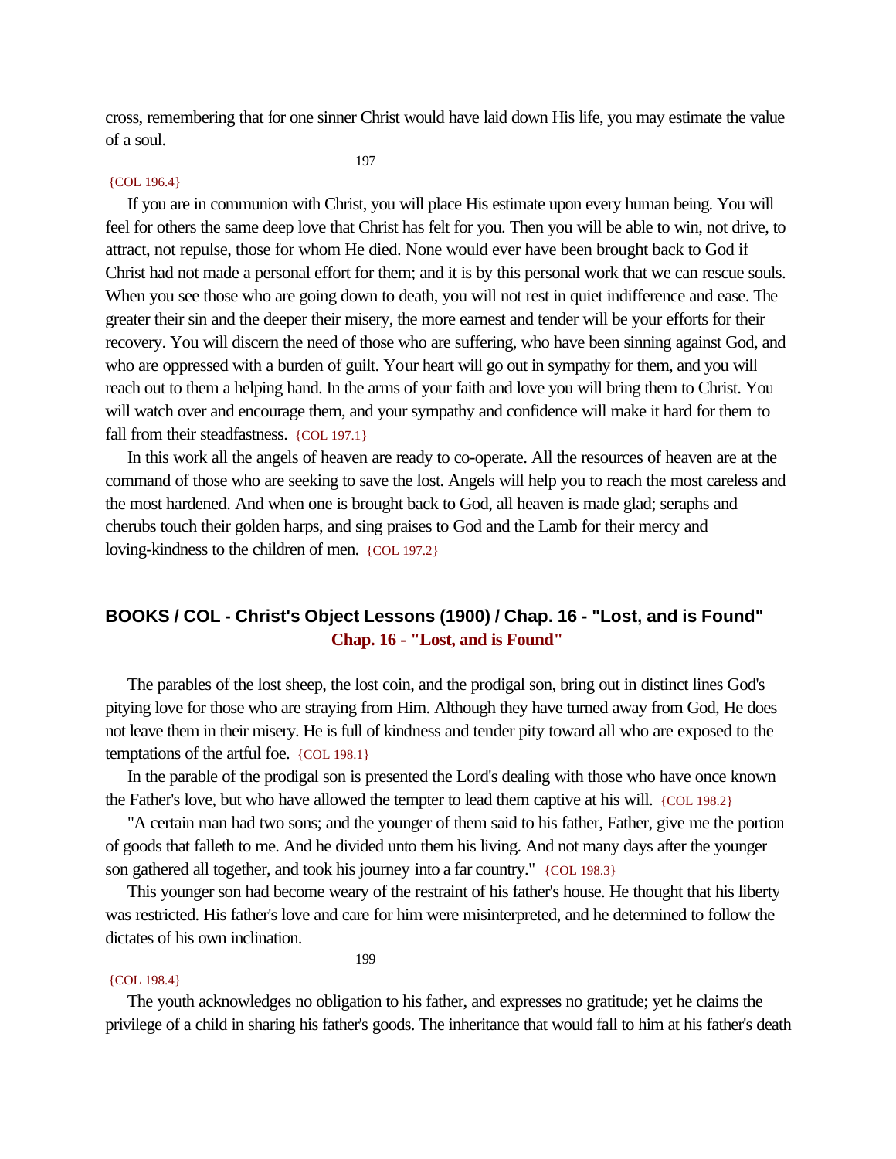cross, remembering that for one sinner Christ would have laid down His life, you may estimate the value of a soul.

### {COL 196.4}

197

 If you are in communion with Christ, you will place His estimate upon every human being. You will feel for others the same deep love that Christ has felt for you. Then you will be able to win, not drive, to attract, not repulse, those for whom He died. None would ever have been brought back to God if Christ had not made a personal effort for them; and it is by this personal work that we can rescue souls. When you see those who are going down to death, you will not rest in quiet indifference and ease. The greater their sin and the deeper their misery, the more earnest and tender will be your efforts for their recovery. You will discern the need of those who are suffering, who have been sinning against God, and who are oppressed with a burden of guilt. Your heart will go out in sympathy for them, and you will reach out to them a helping hand. In the arms of your faith and love you will bring them to Christ. You will watch over and encourage them, and your sympathy and confidence will make it hard for them to fall from their steadfastness. {COL 197.1}

 In this work all the angels of heaven are ready to co-operate. All the resources of heaven are at the command of those who are seeking to save the lost. Angels will help you to reach the most careless and the most hardened. And when one is brought back to God, all heaven is made glad; seraphs and cherubs touch their golden harps, and sing praises to God and the Lamb for their mercy and loving-kindness to the children of men. {COL 197.2}

# **BOOKS / COL - Christ's Object Lessons (1900) / Chap. 16 - "Lost, and is Found" Chap. 16 - "Lost, and is Found"**

 The parables of the lost sheep, the lost coin, and the prodigal son, bring out in distinct lines God's pitying love for those who are straying from Him. Although they have turned away from God, He does not leave them in their misery. He is full of kindness and tender pity toward all who are exposed to the temptations of the artful foe. {COL 198.1}

 In the parable of the prodigal son is presented the Lord's dealing with those who have once known the Father's love, but who have allowed the tempter to lead them captive at his will. {COL 198.2}

 "A certain man had two sons; and the younger of them said to his father, Father, give me the portion of goods that falleth to me. And he divided unto them his living. And not many days after the younger son gathered all together, and took his journey into a far country." {COL 198.3}

 This younger son had become weary of the restraint of his father's house. He thought that his liberty was restricted. His father's love and care for him were misinterpreted, and he determined to follow the dictates of his own inclination.

199

# {COL 198.4}

 The youth acknowledges no obligation to his father, and expresses no gratitude; yet he claims the privilege of a child in sharing his father's goods. The inheritance that would fall to him at his father's death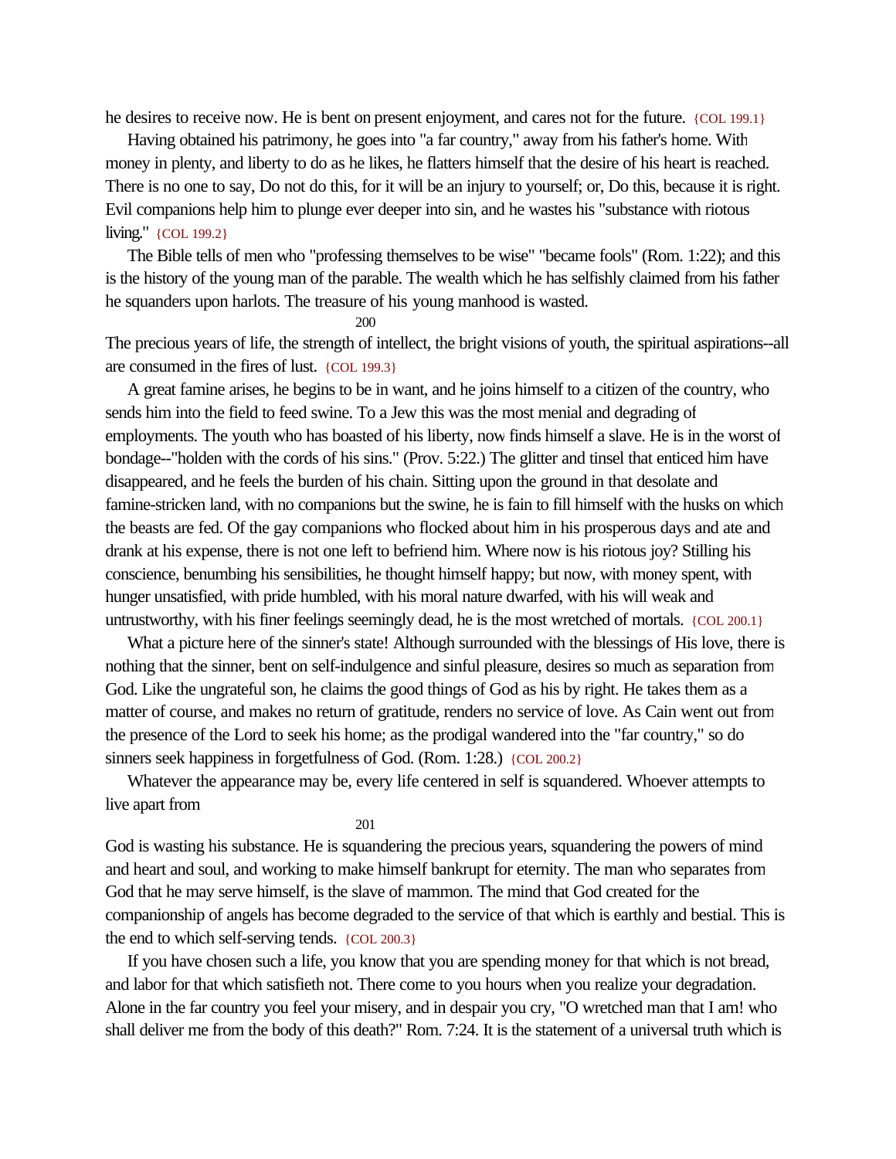he desires to receive now. He is bent on present enjoyment, and cares not for the future. {COL 199.1}

 Having obtained his patrimony, he goes into "a far country," away from his father's home. With money in plenty, and liberty to do as he likes, he flatters himself that the desire of his heart is reached. There is no one to say, Do not do this, for it will be an injury to yourself; or, Do this, because it is right. Evil companions help him to plunge ever deeper into sin, and he wastes his "substance with riotous living." {COL 199.2}

 The Bible tells of men who "professing themselves to be wise" "became fools" (Rom. 1:22); and this is the history of the young man of the parable. The wealth which he has selfishly claimed from his father he squanders upon harlots. The treasure of his young manhood is wasted.

200

The precious years of life, the strength of intellect, the bright visions of youth, the spiritual aspirations--all are consumed in the fires of lust. {COL 199.3}

 A great famine arises, he begins to be in want, and he joins himself to a citizen of the country, who sends him into the field to feed swine. To a Jew this was the most menial and degrading of employments. The youth who has boasted of his liberty, now finds himself a slave. He is in the worst of bondage--"holden with the cords of his sins." (Prov. 5:22.) The glitter and tinsel that enticed him have disappeared, and he feels the burden of his chain. Sitting upon the ground in that desolate and famine-stricken land, with no companions but the swine, he is fain to fill himself with the husks on which the beasts are fed. Of the gay companions who flocked about him in his prosperous days and ate and drank at his expense, there is not one left to befriend him. Where now is his riotous joy? Stilling his conscience, benumbing his sensibilities, he thought himself happy; but now, with money spent, with hunger unsatisfied, with pride humbled, with his moral nature dwarfed, with his will weak and untrustworthy, with his finer feelings seemingly dead, he is the most wretched of mortals. {COL 200.1}

 What a picture here of the sinner's state! Although surrounded with the blessings of His love, there is nothing that the sinner, bent on self-indulgence and sinful pleasure, desires so much as separation from God. Like the ungrateful son, he claims the good things of God as his by right. He takes them as a matter of course, and makes no return of gratitude, renders no service of love. As Cain went out from the presence of the Lord to seek his home; as the prodigal wandered into the "far country," so do sinners seek happiness in forgetfulness of God. (Rom. 1:28.) {COL 200.2}

 Whatever the appearance may be, every life centered in self is squandered. Whoever attempts to live apart from

201

God is wasting his substance. He is squandering the precious years, squandering the powers of mind and heart and soul, and working to make himself bankrupt for eternity. The man who separates from God that he may serve himself, is the slave of mammon. The mind that God created for the companionship of angels has become degraded to the service of that which is earthly and bestial. This is the end to which self-serving tends. {COL 200.3}

 If you have chosen such a life, you know that you are spending money for that which is not bread, and labor for that which satisfieth not. There come to you hours when you realize your degradation. Alone in the far country you feel your misery, and in despair you cry, "O wretched man that I am! who shall deliver me from the body of this death?" Rom. 7:24. It is the statement of a universal truth which is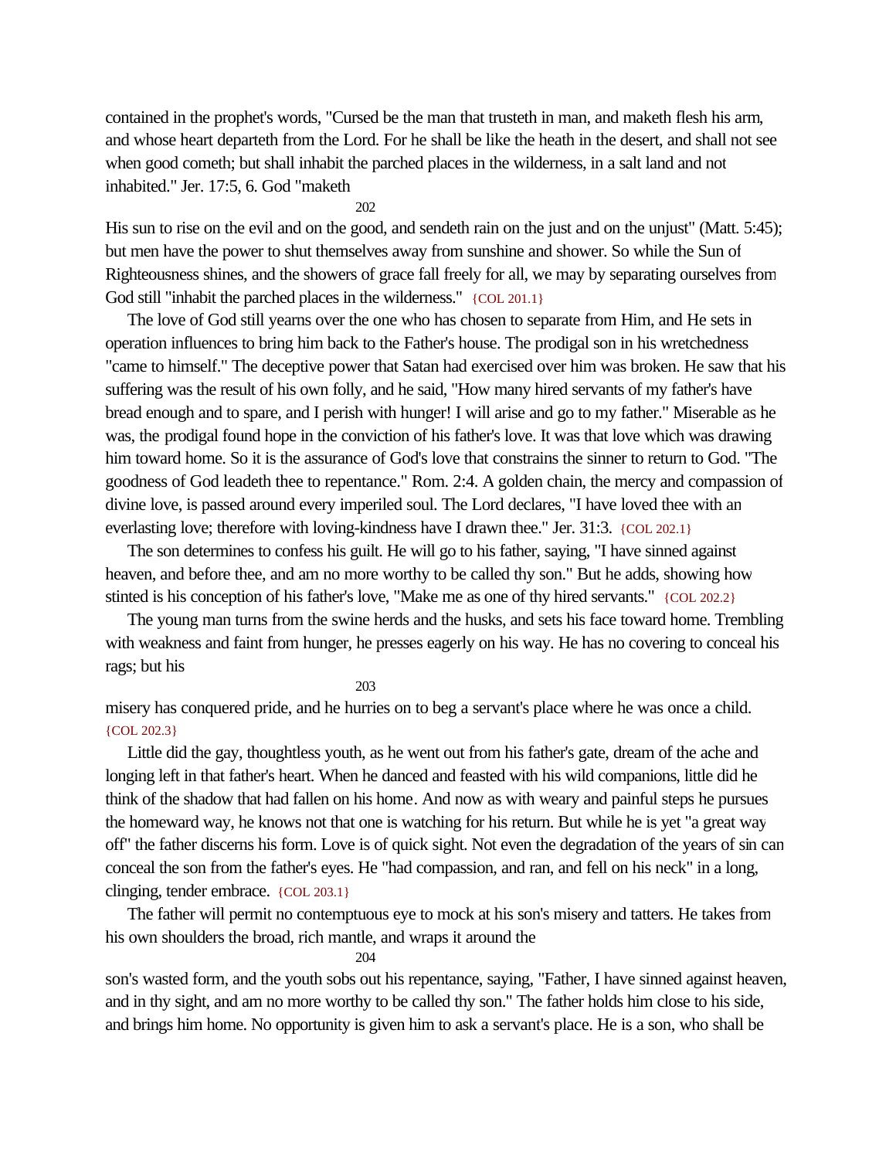contained in the prophet's words, "Cursed be the man that trusteth in man, and maketh flesh his arm, and whose heart departeth from the Lord. For he shall be like the heath in the desert, and shall not see when good cometh; but shall inhabit the parched places in the wilderness, in a salt land and not inhabited." Jer. 17:5, 6. God "maketh

#### 202

His sun to rise on the evil and on the good, and sendeth rain on the just and on the unjust" (Matt. 5:45); but men have the power to shut themselves away from sunshine and shower. So while the Sun of Righteousness shines, and the showers of grace fall freely for all, we may by separating ourselves from God still "inhabit the parched places in the wilderness." {COL 201.1}

 The love of God still yearns over the one who has chosen to separate from Him, and He sets in operation influences to bring him back to the Father's house. The prodigal son in his wretchedness "came to himself." The deceptive power that Satan had exercised over him was broken. He saw that his suffering was the result of his own folly, and he said, "How many hired servants of my father's have bread enough and to spare, and I perish with hunger! I will arise and go to my father." Miserable as he was, the prodigal found hope in the conviction of his father's love. It was that love which was drawing him toward home. So it is the assurance of God's love that constrains the sinner to return to God. "The goodness of God leadeth thee to repentance." Rom. 2:4. A golden chain, the mercy and compassion of divine love, is passed around every imperiled soul. The Lord declares, "I have loved thee with an everlasting love; therefore with loving-kindness have I drawn thee." Jer. 31:3. {COL 202.1}

 The son determines to confess his guilt. He will go to his father, saying, "I have sinned against heaven, and before thee, and am no more worthy to be called thy son." But he adds, showing how stinted is his conception of his father's love, "Make me as one of thy hired servants." {COL 202.2}

 The young man turns from the swine herds and the husks, and sets his face toward home. Trembling with weakness and faint from hunger, he presses eagerly on his way. He has no covering to conceal his rags; but his

# 203

misery has conquered pride, and he hurries on to beg a servant's place where he was once a child. {COL 202.3}

 Little did the gay, thoughtless youth, as he went out from his father's gate, dream of the ache and longing left in that father's heart. When he danced and feasted with his wild companions, little did he think of the shadow that had fallen on his home. And now as with weary and painful steps he pursues the homeward way, he knows not that one is watching for his return. But while he is yet "a great way off" the father discerns his form. Love is of quick sight. Not even the degradation of the years of sin can conceal the son from the father's eyes. He "had compassion, and ran, and fell on his neck" in a long, clinging, tender embrace. {COL 203.1}

 The father will permit no contemptuous eye to mock at his son's misery and tatters. He takes from his own shoulders the broad, rich mantle, and wraps it around the

### 204

son's wasted form, and the youth sobs out his repentance, saying, "Father, I have sinned against heaven, and in thy sight, and am no more worthy to be called thy son." The father holds him close to his side, and brings him home. No opportunity is given him to ask a servant's place. He is a son, who shall be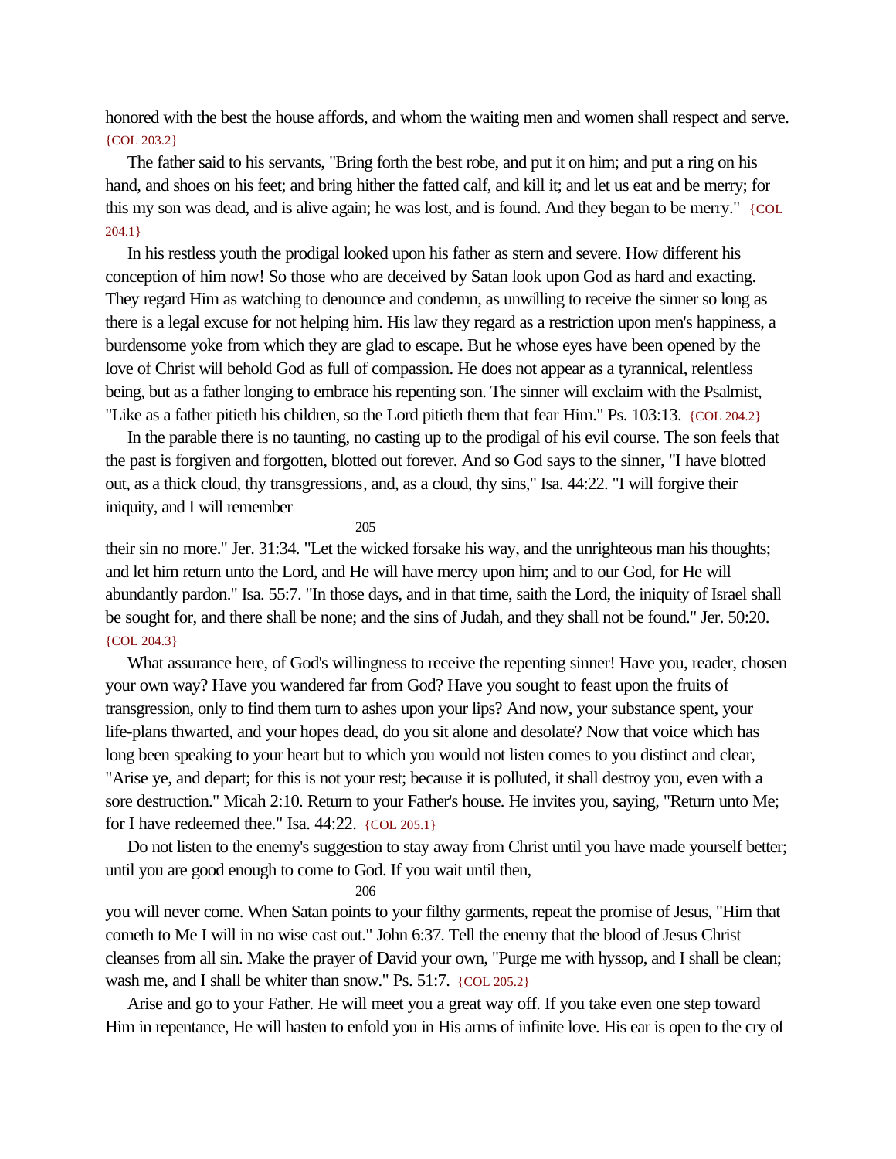honored with the best the house affords, and whom the waiting men and women shall respect and serve. {COL 203.2}

 The father said to his servants, "Bring forth the best robe, and put it on him; and put a ring on his hand, and shoes on his feet; and bring hither the fatted calf, and kill it; and let us eat and be merry; for this my son was dead, and is alive again; he was lost, and is found. And they began to be merry." {COL 204.1}

 In his restless youth the prodigal looked upon his father as stern and severe. How different his conception of him now! So those who are deceived by Satan look upon God as hard and exacting. They regard Him as watching to denounce and condemn, as unwilling to receive the sinner so long as there is a legal excuse for not helping him. His law they regard as a restriction upon men's happiness, a burdensome yoke from which they are glad to escape. But he whose eyes have been opened by the love of Christ will behold God as full of compassion. He does not appear as a tyrannical, relentless being, but as a father longing to embrace his repenting son. The sinner will exclaim with the Psalmist, "Like as a father pitieth his children, so the Lord pitieth them that fear Him." Ps. 103:13. {COL 204.2}

 In the parable there is no taunting, no casting up to the prodigal of his evil course. The son feels that the past is forgiven and forgotten, blotted out forever. And so God says to the sinner, "I have blotted out, as a thick cloud, thy transgressions, and, as a cloud, thy sins," Isa. 44:22. "I will forgive their iniquity, and I will remember

205

their sin no more." Jer. 31:34. "Let the wicked forsake his way, and the unrighteous man his thoughts; and let him return unto the Lord, and He will have mercy upon him; and to our God, for He will abundantly pardon." Isa. 55:7. "In those days, and in that time, saith the Lord, the iniquity of Israel shall be sought for, and there shall be none; and the sins of Judah, and they shall not be found." Jer. 50:20. {COL 204.3}

What assurance here, of God's willingness to receive the repenting sinner! Have you, reader, chosen your own way? Have you wandered far from God? Have you sought to feast upon the fruits of transgression, only to find them turn to ashes upon your lips? And now, your substance spent, your life-plans thwarted, and your hopes dead, do you sit alone and desolate? Now that voice which has long been speaking to your heart but to which you would not listen comes to you distinct and clear, "Arise ye, and depart; for this is not your rest; because it is polluted, it shall destroy you, even with a sore destruction." Micah 2:10. Return to your Father's house. He invites you, saying, "Return unto Me; for I have redeemed thee." Isa.  $44:22.$  {COL 205.1}

 Do not listen to the enemy's suggestion to stay away from Christ until you have made yourself better; until you are good enough to come to God. If you wait until then,

206

you will never come. When Satan points to your filthy garments, repeat the promise of Jesus, "Him that cometh to Me I will in no wise cast out." John 6:37. Tell the enemy that the blood of Jesus Christ cleanses from all sin. Make the prayer of David your own, "Purge me with hyssop, and I shall be clean; wash me, and I shall be whiter than snow." Ps. 51:7. {COL 205.2}

 Arise and go to your Father. He will meet you a great way off. If you take even one step toward Him in repentance, He will hasten to enfold you in His arms of infinite love. His ear is open to the cry of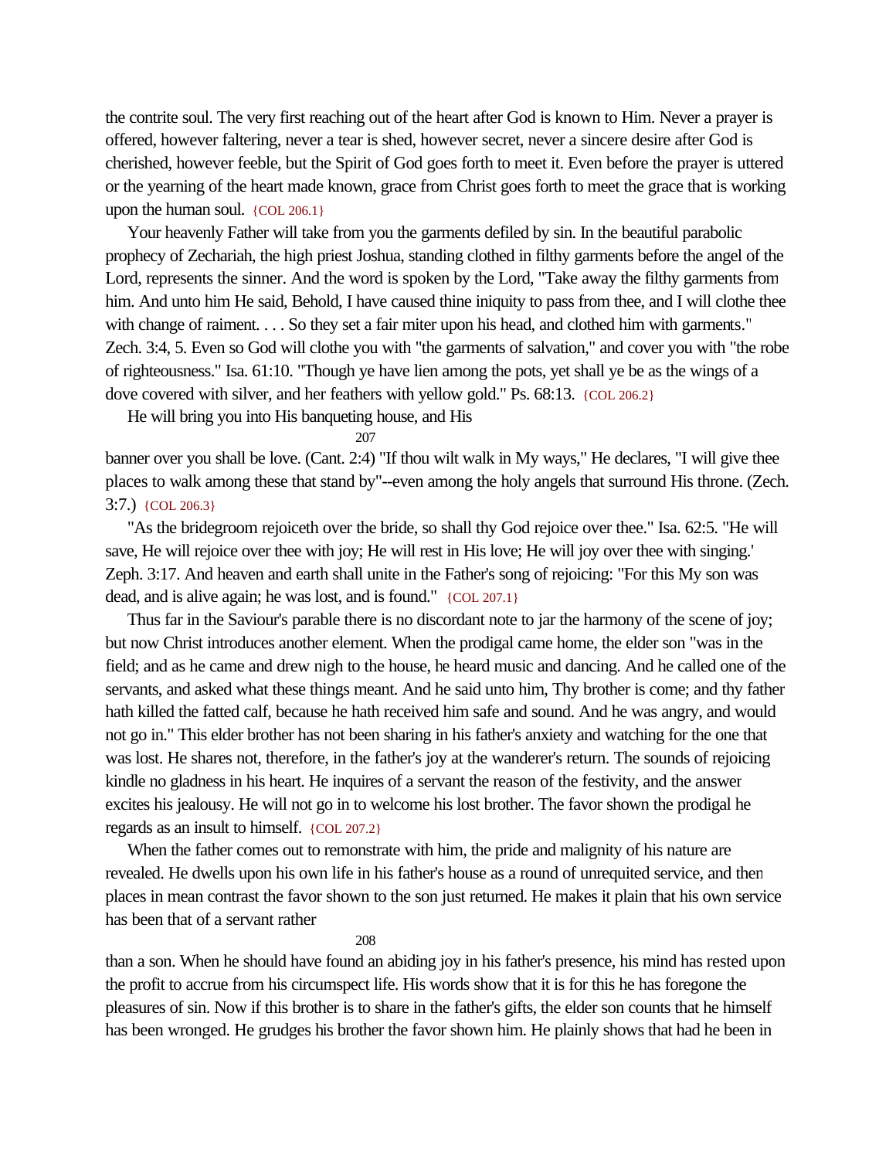the contrite soul. The very first reaching out of the heart after God is known to Him. Never a prayer is offered, however faltering, never a tear is shed, however secret, never a sincere desire after God is cherished, however feeble, but the Spirit of God goes forth to meet it. Even before the prayer is uttered or the yearning of the heart made known, grace from Christ goes forth to meet the grace that is working upon the human soul. {COL 206.1}

 Your heavenly Father will take from you the garments defiled by sin. In the beautiful parabolic prophecy of Zechariah, the high priest Joshua, standing clothed in filthy garments before the angel of the Lord, represents the sinner. And the word is spoken by the Lord, "Take away the filthy garments from him. And unto him He said, Behold, I have caused thine iniquity to pass from thee, and I will clothe thee with change of raiment. . . . So they set a fair miter upon his head, and clothed him with garments." Zech. 3:4, 5. Even so God will clothe you with "the garments of salvation," and cover you with "the robe of righteousness." Isa. 61:10. "Though ye have lien among the pots, yet shall ye be as the wings of a dove covered with silver, and her feathers with yellow gold." Ps. 68:13. {COL 206.2}

He will bring you into His banqueting house, and His

207

banner over you shall be love. (Cant. 2:4) "If thou wilt walk in My ways," He declares, "I will give thee places to walk among these that stand by"--even among the holy angels that surround His throne. (Zech. 3:7.) {COL 206.3}

 "As the bridegroom rejoiceth over the bride, so shall thy God rejoice over thee." Isa. 62:5. "He will save, He will rejoice over thee with joy; He will rest in His love; He will joy over thee with singing." Zeph. 3:17. And heaven and earth shall unite in the Father's song of rejoicing: "For this My son was dead, and is alive again; he was lost, and is found." {COL 207.1}

 Thus far in the Saviour's parable there is no discordant note to jar the harmony of the scene of joy; but now Christ introduces another element. When the prodigal came home, the elder son "was in the field; and as he came and drew nigh to the house, he heard music and dancing. And he called one of the servants, and asked what these things meant. And he said unto him, Thy brother is come; and thy father hath killed the fatted calf, because he hath received him safe and sound. And he was angry, and would not go in." This elder brother has not been sharing in his father's anxiety and watching for the one that was lost. He shares not, therefore, in the father's joy at the wanderer's return. The sounds of rejoicing kindle no gladness in his heart. He inquires of a servant the reason of the festivity, and the answer excites his jealousy. He will not go in to welcome his lost brother. The favor shown the prodigal he regards as an insult to himself. {COL 207.2}

 When the father comes out to remonstrate with him, the pride and malignity of his nature are revealed. He dwells upon his own life in his father's house as a round of unrequited service, and then places in mean contrast the favor shown to the son just returned. He makes it plain that his own service has been that of a servant rather

208

than a son. When he should have found an abiding joy in his father's presence, his mind has rested upon the profit to accrue from his circumspect life. His words show that it is for this he has foregone the pleasures of sin. Now if this brother is to share in the father's gifts, the elder son counts that he himself has been wronged. He grudges his brother the favor shown him. He plainly shows that had he been in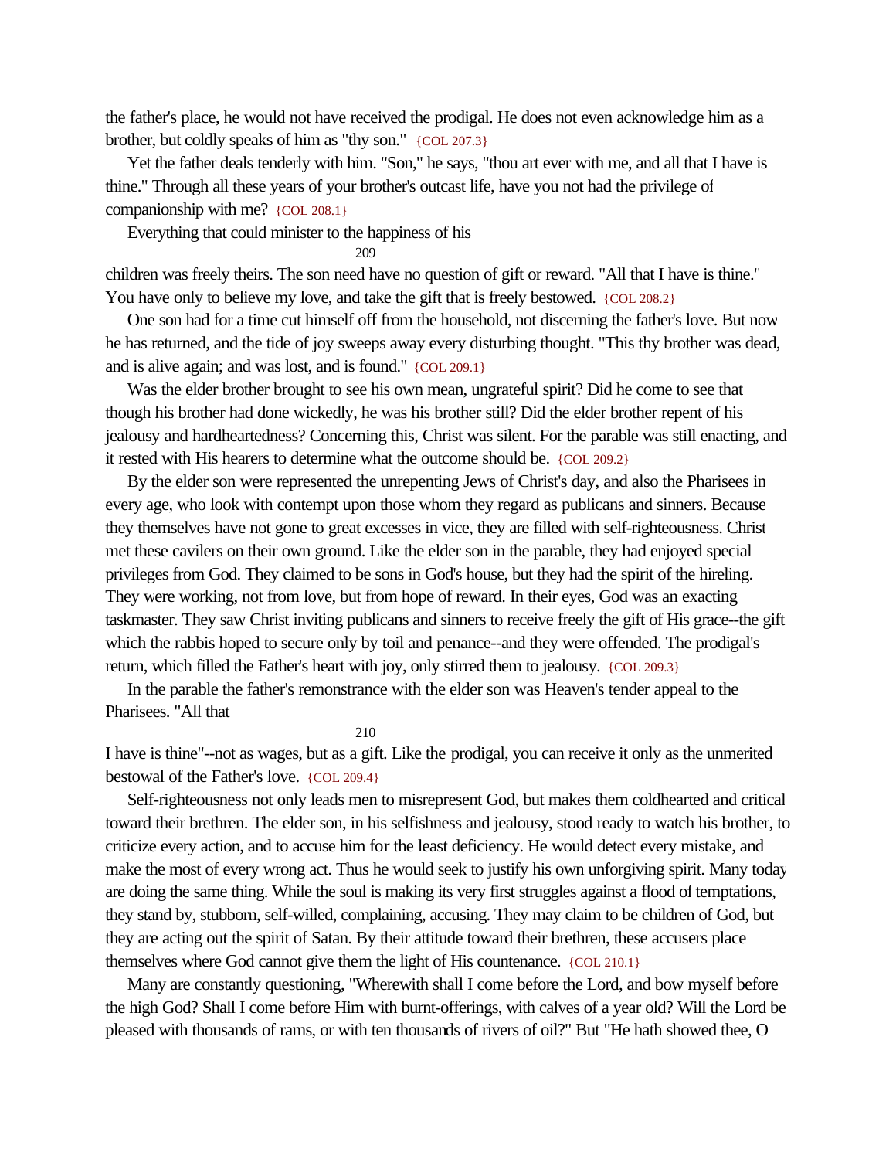the father's place, he would not have received the prodigal. He does not even acknowledge him as a brother, but coldly speaks of him as "thy son." {COL 207.3}

 Yet the father deals tenderly with him. "Son," he says, "thou art ever with me, and all that I have is thine." Through all these years of your brother's outcast life, have you not had the privilege of companionship with me? {COL 208.1}

Everything that could minister to the happiness of his

209

children was freely theirs. The son need have no question of gift or reward. "All that I have is thine." You have only to believe my love, and take the gift that is freely bestowed. {COL 208.2}

 One son had for a time cut himself off from the household, not discerning the father's love. But now he has returned, and the tide of joy sweeps away every disturbing thought. "This thy brother was dead, and is alive again; and was lost, and is found." {COL 209.1}

 Was the elder brother brought to see his own mean, ungrateful spirit? Did he come to see that though his brother had done wickedly, he was his brother still? Did the elder brother repent of his jealousy and hardheartedness? Concerning this, Christ was silent. For the parable was still enacting, and it rested with His hearers to determine what the outcome should be. {COL 209.2}

 By the elder son were represented the unrepenting Jews of Christ's day, and also the Pharisees in every age, who look with contempt upon those whom they regard as publicans and sinners. Because they themselves have not gone to great excesses in vice, they are filled with self-righteousness. Christ met these cavilers on their own ground. Like the elder son in the parable, they had enjoyed special privileges from God. They claimed to be sons in God's house, but they had the spirit of the hireling. They were working, not from love, but from hope of reward. In their eyes, God was an exacting taskmaster. They saw Christ inviting publicans and sinners to receive freely the gift of His grace--the gift which the rabbis hoped to secure only by toil and penance--and they were offended. The prodigal's return, which filled the Father's heart with joy, only stirred them to jealousy. {COL 209.3}

 In the parable the father's remonstrance with the elder son was Heaven's tender appeal to the Pharisees. "All that

210

I have is thine"--not as wages, but as a gift. Like the prodigal, you can receive it only as the unmerited bestowal of the Father's love. {COL 209.4}

 Self-righteousness not only leads men to misrepresent God, but makes them coldhearted and critical toward their brethren. The elder son, in his selfishness and jealousy, stood ready to watch his brother, to criticize every action, and to accuse him for the least deficiency. He would detect every mistake, and make the most of every wrong act. Thus he would seek to justify his own unforgiving spirit. Many today are doing the same thing. While the soul is making its very first struggles against a flood of temptations, they stand by, stubborn, self-willed, complaining, accusing. They may claim to be children of God, but they are acting out the spirit of Satan. By their attitude toward their brethren, these accusers place themselves where God cannot give them the light of His countenance. {COL 210.1}

 Many are constantly questioning, "Wherewith shall I come before the Lord, and bow myself before the high God? Shall I come before Him with burnt-offerings, with calves of a year old? Will the Lord be pleased with thousands of rams, or with ten thousands of rivers of oil?" But "He hath showed thee, O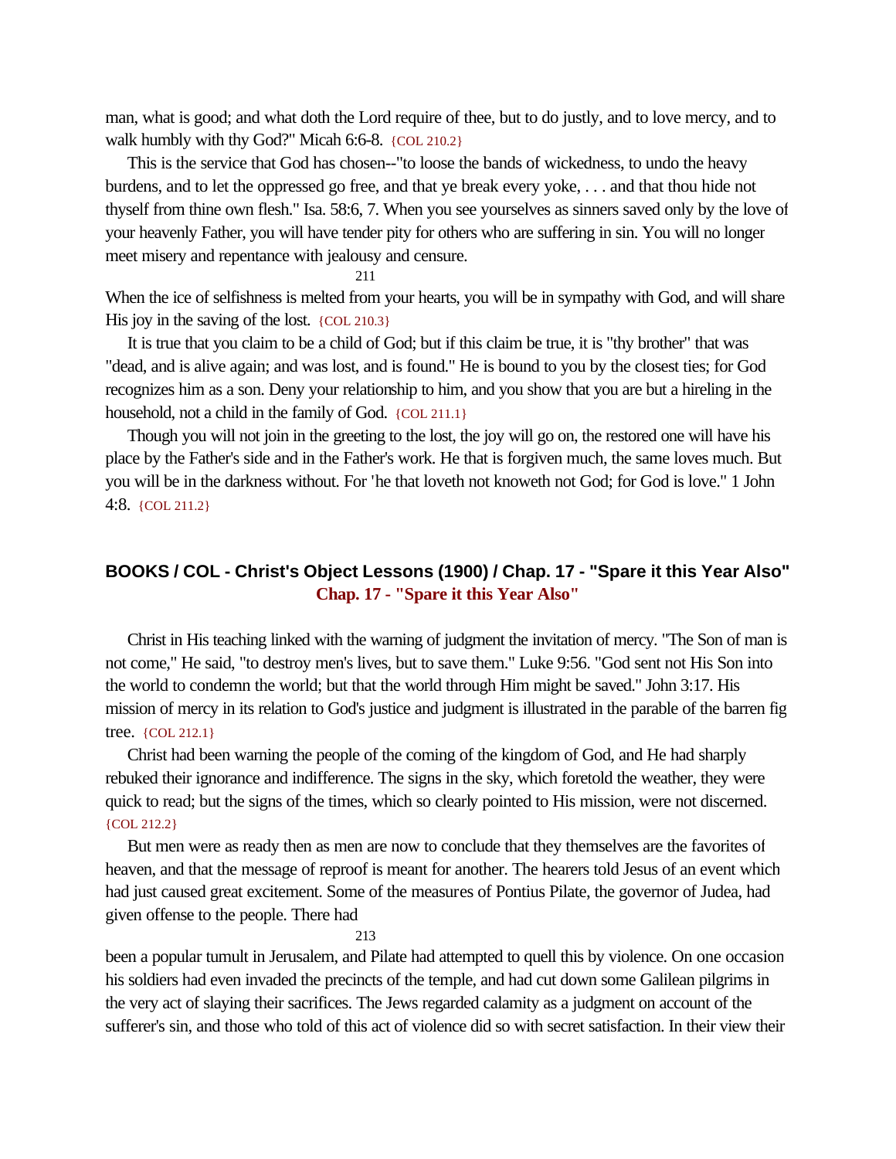man, what is good; and what doth the Lord require of thee, but to do justly, and to love mercy, and to walk humbly with thy God?" Micah 6:6-8. {COL 210.2}

 This is the service that God has chosen--"to loose the bands of wickedness, to undo the heavy burdens, and to let the oppressed go free, and that ye break every yoke, . . . and that thou hide not thyself from thine own flesh." Isa. 58:6, 7. When you see yourselves as sinners saved only by the love of your heavenly Father, you will have tender pity for others who are suffering in sin. You will no longer meet misery and repentance with jealousy and censure.

211

When the ice of selfishness is melted from your hearts, you will be in sympathy with God, and will share His joy in the saving of the lost. {COL 210.3}

 It is true that you claim to be a child of God; but if this claim be true, it is "thy brother" that was "dead, and is alive again; and was lost, and is found." He is bound to you by the closest ties; for God recognizes him as a son. Deny your relationship to him, and you show that you are but a hireling in the household, not a child in the family of God. {COL 211.1}

 Though you will not join in the greeting to the lost, the joy will go on, the restored one will have his place by the Father's side and in the Father's work. He that is forgiven much, the same loves much. But you will be in the darkness without. For "he that loveth not knoweth not God; for God is love." 1 John 4:8. {COL 211.2}

# **BOOKS / COL - Christ's Object Lessons (1900) / Chap. 17 - "Spare it this Year Also" Chap. 17 - "Spare it this Year Also"**

 Christ in His teaching linked with the warning of judgment the invitation of mercy. "The Son of man is not come," He said, "to destroy men's lives, but to save them." Luke 9:56. "God sent not His Son into the world to condemn the world; but that the world through Him might be saved." John 3:17. His mission of mercy in its relation to God's justice and judgment is illustrated in the parable of the barren fig tree. {COL 212.1}

 Christ had been warning the people of the coming of the kingdom of God, and He had sharply rebuked their ignorance and indifference. The signs in the sky, which foretold the weather, they were quick to read; but the signs of the times, which so clearly pointed to His mission, were not discerned. {COL 212.2}

 But men were as ready then as men are now to conclude that they themselves are the favorites of heaven, and that the message of reproof is meant for another. The hearers told Jesus of an event which had just caused great excitement. Some of the measures of Pontius Pilate, the governor of Judea, had given offense to the people. There had

213

been a popular tumult in Jerusalem, and Pilate had attempted to quell this by violence. On one occasion his soldiers had even invaded the precincts of the temple, and had cut down some Galilean pilgrims in the very act of slaying their sacrifices. The Jews regarded calamity as a judgment on account of the sufferer's sin, and those who told of this act of violence did so with secret satisfaction. In their view their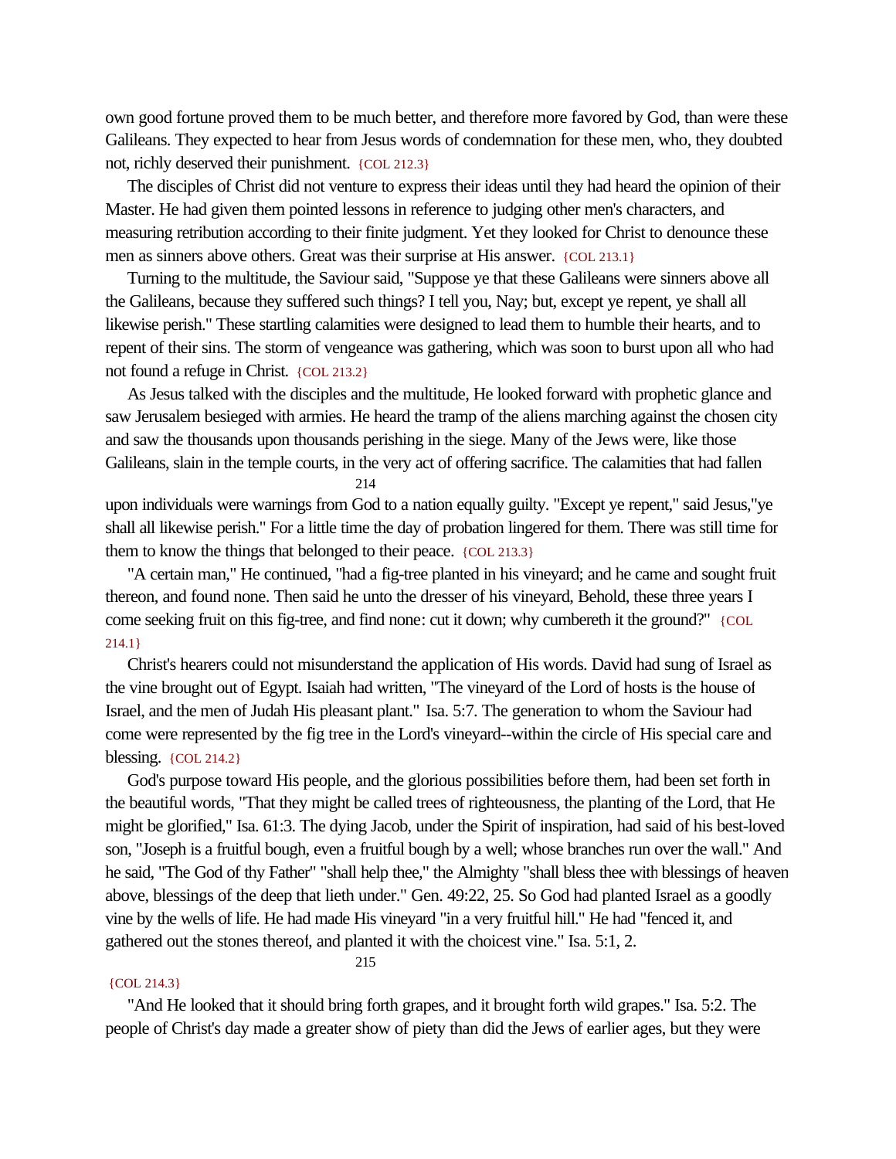own good fortune proved them to be much better, and therefore more favored by God, than were these Galileans. They expected to hear from Jesus words of condemnation for these men, who, they doubted not, richly deserved their punishment. {COL 212.3}

 The disciples of Christ did not venture to express their ideas until they had heard the opinion of their Master. He had given them pointed lessons in reference to judging other men's characters, and measuring retribution according to their finite judgment. Yet they looked for Christ to denounce these men as sinners above others. Great was their surprise at His answer. {COL 213.1}

 Turning to the multitude, the Saviour said, "Suppose ye that these Galileans were sinners above all the Galileans, because they suffered such things? I tell you, Nay; but, except ye repent, ye shall all likewise perish." These startling calamities were designed to lead them to humble their hearts, and to repent of their sins. The storm of vengeance was gathering, which was soon to burst upon all who had not found a refuge in Christ. {COL 213.2}

 As Jesus talked with the disciples and the multitude, He looked forward with prophetic glance and saw Jerusalem besieged with armies. He heard the tramp of the aliens marching against the chosen city and saw the thousands upon thousands perishing in the siege. Many of the Jews were, like those Galileans, slain in the temple courts, in the very act of offering sacrifice. The calamities that had fallen 214

upon individuals were warnings from God to a nation equally guilty. "Except ye repent," said Jesus,"ye shall all likewise perish." For a little time the day of probation lingered for them. There was still time for them to know the things that belonged to their peace. {COL 213.3}

 "A certain man," He continued, "had a fig-tree planted in his vineyard; and he came and sought fruit thereon, and found none. Then said he unto the dresser of his vineyard, Behold, these three years I come seeking fruit on this fig-tree, and find none: cut it down; why cumbereth it the ground?" {COL 214.1}

 Christ's hearers could not misunderstand the application of His words. David had sung of Israel as the vine brought out of Egypt. Isaiah had written, "The vineyard of the Lord of hosts is the house of Israel, and the men of Judah His pleasant plant." Isa. 5:7. The generation to whom the Saviour had come were represented by the fig tree in the Lord's vineyard--within the circle of His special care and blessing.  $\{COL\ 214.2\}$ 

 God's purpose toward His people, and the glorious possibilities before them, had been set forth in the beautiful words, "That they might be called trees of righteousness, the planting of the Lord, that He might be glorified," Isa. 61:3. The dying Jacob, under the Spirit of inspiration, had said of his best-loved son, "Joseph is a fruitful bough, even a fruitful bough by a well; whose branches run over the wall." And he said, "The God of thy Father" "shall help thee," the Almighty "shall bless thee with blessings of heaven above, blessings of the deep that lieth under." Gen. 49:22, 25. So God had planted Israel as a goodly vine by the wells of life. He had made His vineyard "in a very fruitful hill." He had "fenced it, and gathered out the stones thereof, and planted it with the choicest vine." Isa. 5:1, 2.

# {COL 214.3}

215

 "And He looked that it should bring forth grapes, and it brought forth wild grapes." Isa. 5:2. The people of Christ's day made a greater show of piety than did the Jews of earlier ages, but they were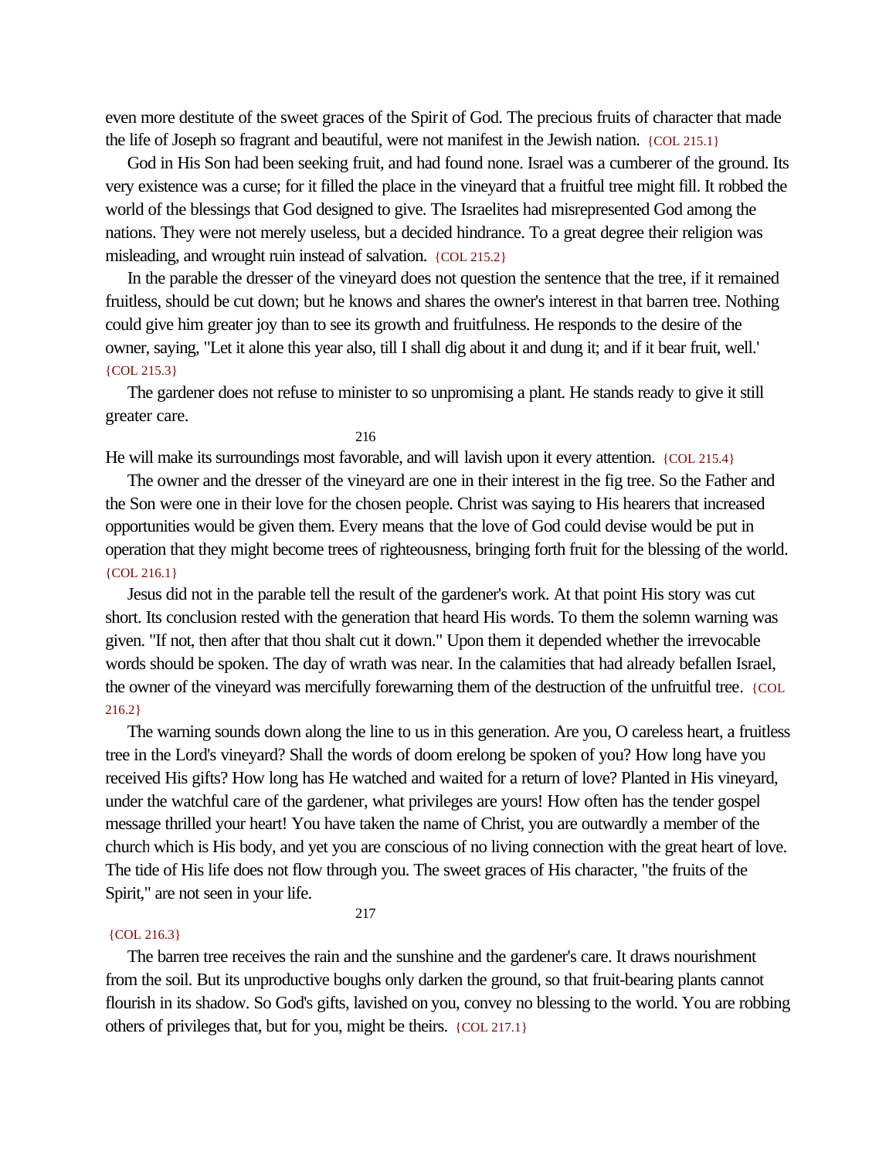even more destitute of the sweet graces of the Spirit of God. The precious fruits of character that made the life of Joseph so fragrant and beautiful, were not manifest in the Jewish nation. {COL 215.1}

 God in His Son had been seeking fruit, and had found none. Israel was a cumberer of the ground. Its very existence was a curse; for it filled the place in the vineyard that a fruitful tree might fill. It robbed the world of the blessings that God designed to give. The Israelites had misrepresented God among the nations. They were not merely useless, but a decided hindrance. To a great degree their religion was misleading, and wrought ruin instead of salvation. {COL 215.2}

 In the parable the dresser of the vineyard does not question the sentence that the tree, if it remained fruitless, should be cut down; but he knows and shares the owner's interest in that barren tree. Nothing could give him greater joy than to see its growth and fruitfulness. He responds to the desire of the owner, saying, "Let it alone this year also, till I shall dig about it and dung it; and if it bear fruit, well." {COL 215.3}

 The gardener does not refuse to minister to so unpromising a plant. He stands ready to give it still greater care.

216

He will make its surroundings most favorable, and will lavish upon it every attention. {COL 215.4}

 The owner and the dresser of the vineyard are one in their interest in the fig tree. So the Father and the Son were one in their love for the chosen people. Christ was saying to His hearers that increased opportunities would be given them. Every means that the love of God could devise would be put in operation that they might become trees of righteousness, bringing forth fruit for the blessing of the world. {COL 216.1}

 Jesus did not in the parable tell the result of the gardener's work. At that point His story was cut short. Its conclusion rested with the generation that heard His words. To them the solemn warning was given. "If not, then after that thou shalt cut it down." Upon them it depended whether the irrevocable words should be spoken. The day of wrath was near. In the calamities that had already befallen Israel, the owner of the vineyard was mercifully forewarning them of the destruction of the unfruitful tree. {COL 216.2}

 The warning sounds down along the line to us in this generation. Are you, O careless heart, a fruitless tree in the Lord's vineyard? Shall the words of doom erelong be spoken of you? How long have you received His gifts? How long has He watched and waited for a return of love? Planted in His vineyard, under the watchful care of the gardener, what privileges are yours! How often has the tender gospel message thrilled your heart! You have taken the name of Christ, you are outwardly a member of the church which is His body, and yet you are conscious of no living connection with the great heart of love. The tide of His life does not flow through you. The sweet graces of His character, "the fruits of the Spirit," are not seen in your life.

# {COL 216.3}

217

 The barren tree receives the rain and the sunshine and the gardener's care. It draws nourishment from the soil. But its unproductive boughs only darken the ground, so that fruit-bearing plants cannot flourish in its shadow. So God's gifts, lavished on you, convey no blessing to the world. You are robbing others of privileges that, but for you, might be theirs. {COL 217.1}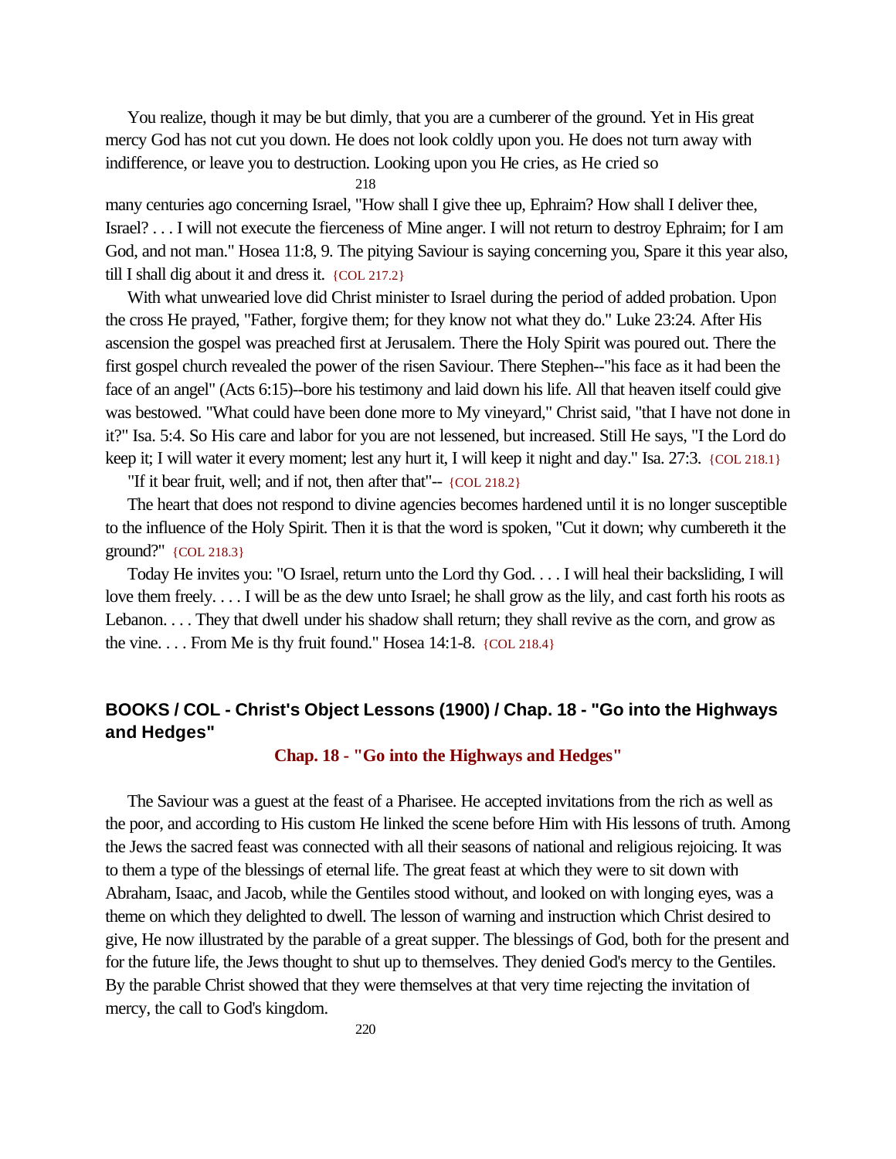You realize, though it may be but dimly, that you are a cumberer of the ground. Yet in His great mercy God has not cut you down. He does not look coldly upon you. He does not turn away with indifference, or leave you to destruction. Looking upon you He cries, as He cried so

### 218

many centuries ago concerning Israel, "How shall I give thee up, Ephraim? How shall I deliver thee, Israel? . . . I will not execute the fierceness of Mine anger. I will not return to destroy Ephraim; for I am God, and not man." Hosea 11:8, 9. The pitying Saviour is saying concerning you, Spare it this year also, till I shall dig about it and dress it. {COL 217.2}

 With what unwearied love did Christ minister to Israel during the period of added probation. Upon the cross He prayed, "Father, forgive them; for they know not what they do." Luke 23:24. After His ascension the gospel was preached first at Jerusalem. There the Holy Spirit was poured out. There the first gospel church revealed the power of the risen Saviour. There Stephen--"his face as it had been the face of an angel" (Acts 6:15)--bore his testimony and laid down his life. All that heaven itself could give was bestowed. "What could have been done more to My vineyard," Christ said, "that I have not done in it?" Isa. 5:4. So His care and labor for you are not lessened, but increased. Still He says, "I the Lord do keep it; I will water it every moment; lest any hurt it, I will keep it night and day." Isa. 27:3. {COL 218.1}

"If it bear fruit, well; and if not, then after that"-- {COL 218.2}

 The heart that does not respond to divine agencies becomes hardened until it is no longer susceptible to the influence of the Holy Spirit. Then it is that the word is spoken, "Cut it down; why cumbereth it the ground?" {COL 218.3}

 Today He invites you: "O Israel, return unto the Lord thy God. . . . I will heal their backsliding, I will love them freely. . . . I will be as the dew unto Israel; he shall grow as the lily, and cast forth his roots as Lebanon. . . . They that dwell under his shadow shall return; they shall revive as the corn, and grow as the vine. . . . From Me is thy fruit found." Hosea 14:1-8. {COL 218.4}

# **BOOKS / COL - Christ's Object Lessons (1900) / Chap. 18 - "Go into the Highways and Hedges"**

**Chap. 18 - "Go into the Highways and Hedges"**

 The Saviour was a guest at the feast of a Pharisee. He accepted invitations from the rich as well as the poor, and according to His custom He linked the scene before Him with His lessons of truth. Among the Jews the sacred feast was connected with all their seasons of national and religious rejoicing. It was to them a type of the blessings of eternal life. The great feast at which they were to sit down with Abraham, Isaac, and Jacob, while the Gentiles stood without, and looked on with longing eyes, was a theme on which they delighted to dwell. The lesson of warning and instruction which Christ desired to give, He now illustrated by the parable of a great supper. The blessings of God, both for the present and for the future life, the Jews thought to shut up to themselves. They denied God's mercy to the Gentiles. By the parable Christ showed that they were themselves at that very time rejecting the invitation of mercy, the call to God's kingdom.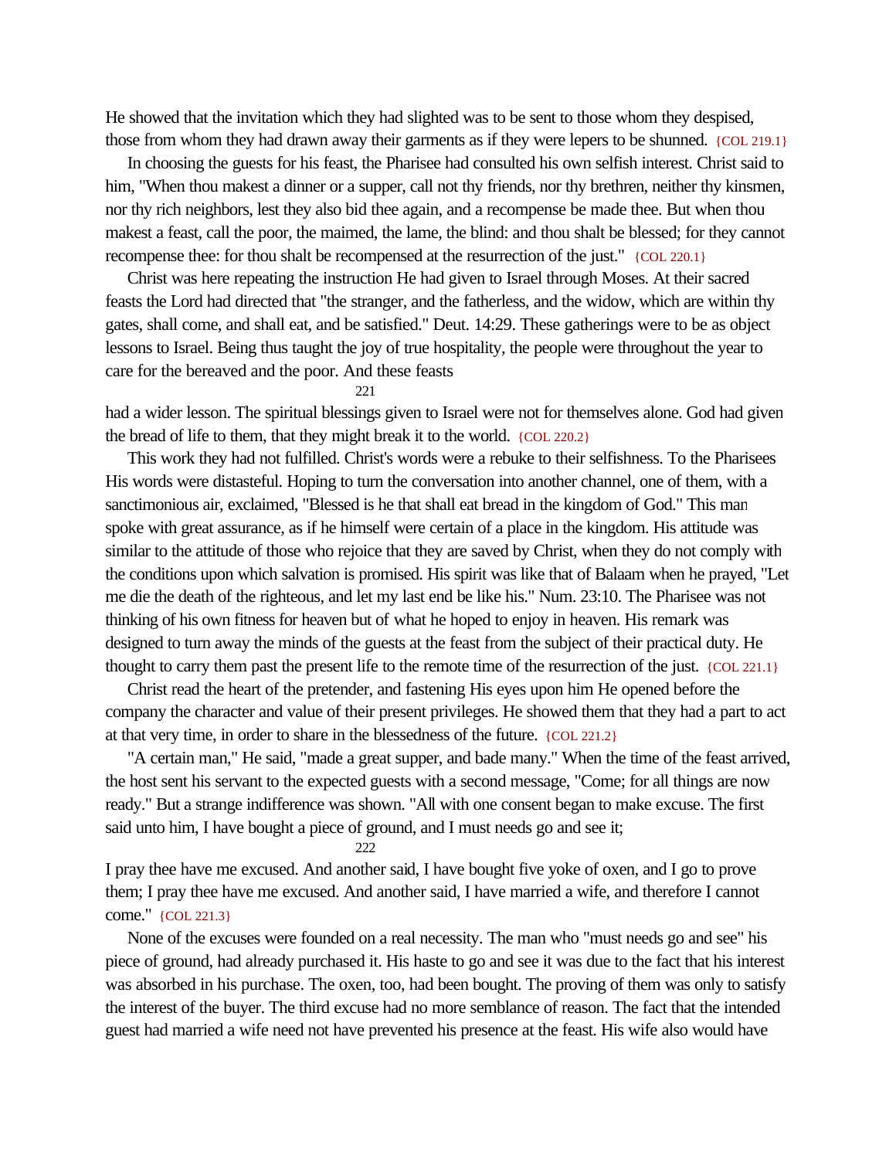He showed that the invitation which they had slighted was to be sent to those whom they despised, those from whom they had drawn away their garments as if they were lepers to be shunned. {COL 219.1}

 In choosing the guests for his feast, the Pharisee had consulted his own selfish interest. Christ said to him, "When thou makest a dinner or a supper, call not thy friends, nor thy brethren, neither thy kinsmen, nor thy rich neighbors, lest they also bid thee again, and a recompense be made thee. But when thou makest a feast, call the poor, the maimed, the lame, the blind: and thou shalt be blessed; for they cannot recompense thee: for thou shalt be recompensed at the resurrection of the just." {COL 220.1}

 Christ was here repeating the instruction He had given to Israel through Moses. At their sacred feasts the Lord had directed that "the stranger, and the fatherless, and the widow, which are within thy gates, shall come, and shall eat, and be satisfied." Deut. 14:29. These gatherings were to be as object lessons to Israel. Being thus taught the joy of true hospitality, the people were throughout the year to care for the bereaved and the poor. And these feasts

221

had a wider lesson. The spiritual blessings given to Israel were not for themselves alone. God had given the bread of life to them, that they might break it to the world. {COL 220.2}

 This work they had not fulfilled. Christ's words were a rebuke to their selfishness. To the Pharisees His words were distasteful. Hoping to turn the conversation into another channel, one of them, with a sanctimonious air, exclaimed, "Blessed is he that shall eat bread in the kingdom of God." This man spoke with great assurance, as if he himself were certain of a place in the kingdom. His attitude was similar to the attitude of those who rejoice that they are saved by Christ, when they do not comply with the conditions upon which salvation is promised. His spirit was like that of Balaam when he prayed, "Let me die the death of the righteous, and let my last end be like his." Num. 23:10. The Pharisee was not thinking of his own fitness for heaven but of what he hoped to enjoy in heaven. His remark was designed to turn away the minds of the guests at the feast from the subject of their practical duty. He thought to carry them past the present life to the remote time of the resurrection of the just. {COL 221.1}

 Christ read the heart of the pretender, and fastening His eyes upon him He opened before the company the character and value of their present privileges. He showed them that they had a part to act at that very time, in order to share in the blessedness of the future. {COL 221.2}

 "A certain man," He said, "made a great supper, and bade many." When the time of the feast arrived, the host sent his servant to the expected guests with a second message, "Come; for all things are now ready." But a strange indifference was shown. "All with one consent began to make excuse. The first said unto him, I have bought a piece of ground, and I must needs go and see it;

#### <u>222</u>

I pray thee have me excused. And another said, I have bought five yoke of oxen, and I go to prove them; I pray thee have me excused. And another said, I have married a wife, and therefore I cannot come." {COL 221.3}

 None of the excuses were founded on a real necessity. The man who "must needs go and see" his piece of ground, had already purchased it. His haste to go and see it was due to the fact that his interest was absorbed in his purchase. The oxen, too, had been bought. The proving of them was only to satisfy the interest of the buyer. The third excuse had no more semblance of reason. The fact that the intended guest had married a wife need not have prevented his presence at the feast. His wife also would have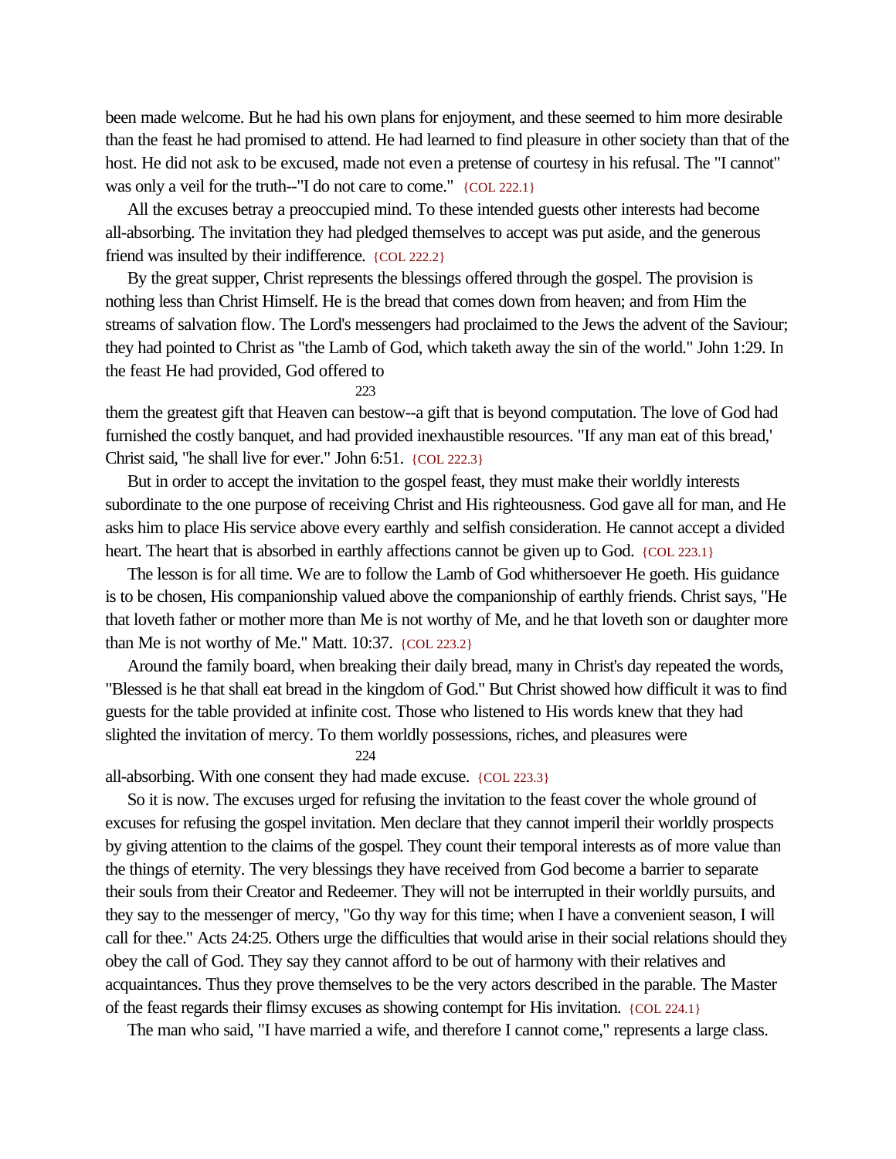been made welcome. But he had his own plans for enjoyment, and these seemed to him more desirable than the feast he had promised to attend. He had learned to find pleasure in other society than that of the host. He did not ask to be excused, made not even a pretense of courtesy in his refusal. The "I cannot" was only a veil for the truth--"I do not care to come." {COL 222.1}

 All the excuses betray a preoccupied mind. To these intended guests other interests had become all-absorbing. The invitation they had pledged themselves to accept was put aside, and the generous friend was insulted by their indifference. {COL 222.2}

 By the great supper, Christ represents the blessings offered through the gospel. The provision is nothing less than Christ Himself. He is the bread that comes down from heaven; and from Him the streams of salvation flow. The Lord's messengers had proclaimed to the Jews the advent of the Saviour; they had pointed to Christ as "the Lamb of God, which taketh away the sin of the world." John 1:29. In the feast He had provided, God offered to

223

them the greatest gift that Heaven can bestow--a gift that is beyond computation. The love of God had furnished the costly banquet, and had provided inexhaustible resources. "If any man eat of this bread," Christ said, "he shall live for ever." John 6:51. {COL 222.3}

 But in order to accept the invitation to the gospel feast, they must make their worldly interests subordinate to the one purpose of receiving Christ and His righteousness. God gave all for man, and He asks him to place His service above every earthly and selfish consideration. He cannot accept a divided heart. The heart that is absorbed in earthly affections cannot be given up to God.  $\{COL\ 223.1\}$ 

 The lesson is for all time. We are to follow the Lamb of God whithersoever He goeth. His guidance is to be chosen, His companionship valued above the companionship of earthly friends. Christ says, "He that loveth father or mother more than Me is not worthy of Me, and he that loveth son or daughter more than Me is not worthy of Me." Matt.  $10:37$ .  $\{COL 223.2\}$ 

 Around the family board, when breaking their daily bread, many in Christ's day repeated the words, "Blessed is he that shall eat bread in the kingdom of God." But Christ showed how difficult it was to find guests for the table provided at infinite cost. Those who listened to His words knew that they had slighted the invitation of mercy. To them worldly possessions, riches, and pleasures were

#### 224

all-absorbing. With one consent they had made excuse. {COL 223.3}

 So it is now. The excuses urged for refusing the invitation to the feast cover the whole ground of excuses for refusing the gospel invitation. Men declare that they cannot imperil their worldly prospects by giving attention to the claims of the gospel. They count their temporal interests as of more value than the things of eternity. The very blessings they have received from God become a barrier to separate their souls from their Creator and Redeemer. They will not be interrupted in their worldly pursuits, and they say to the messenger of mercy, "Go thy way for this time; when I have a convenient season, I will call for thee." Acts 24:25. Others urge the difficulties that would arise in their social relations should they obey the call of God. They say they cannot afford to be out of harmony with their relatives and acquaintances. Thus they prove themselves to be the very actors described in the parable. The Master of the feast regards their flimsy excuses as showing contempt for His invitation. {COL 224.1}

The man who said, "I have married a wife, and therefore I cannot come," represents a large class.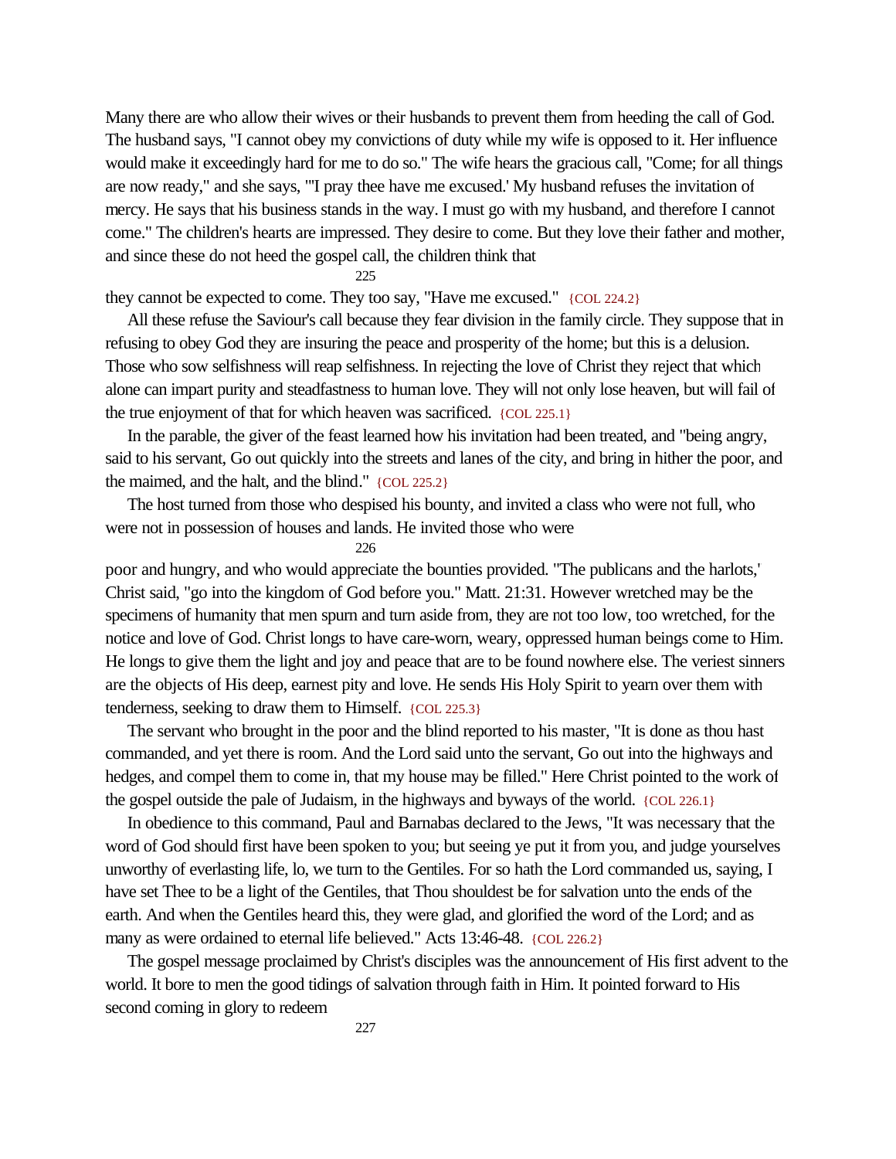Many there are who allow their wives or their husbands to prevent them from heeding the call of God. The husband says, "I cannot obey my convictions of duty while my wife is opposed to it. Her influence would make it exceedingly hard for me to do so." The wife hears the gracious call, "Come; for all things are now ready," and she says, "'I pray thee have me excused.' My husband refuses the invitation of mercy. He says that his business stands in the way. I must go with my husband, and therefore I cannot come." The children's hearts are impressed. They desire to come. But they love their father and mother, and since these do not heed the gospel call, the children think that

<u>225</u>

they cannot be expected to come. They too say, "Have me excused." {COL 224.2}

 All these refuse the Saviour's call because they fear division in the family circle. They suppose that in refusing to obey God they are insuring the peace and prosperity of the home; but this is a delusion. Those who sow selfishness will reap selfishness. In rejecting the love of Christ they reject that which alone can impart purity and steadfastness to human love. They will not only lose heaven, but will fail of the true enjoyment of that for which heaven was sacrificed. {COL 225.1}

 In the parable, the giver of the feast learned how his invitation had been treated, and "being angry, said to his servant, Go out quickly into the streets and lanes of the city, and bring in hither the poor, and the maimed, and the halt, and the blind." {COL 225.2}

 The host turned from those who despised his bounty, and invited a class who were not full, who were not in possession of houses and lands. He invited those who were

<u>226</u>

poor and hungry, and who would appreciate the bounties provided. "The publicans and the harlots," Christ said, "go into the kingdom of God before you." Matt. 21:31. However wretched may be the specimens of humanity that men spurn and turn aside from, they are not too low, too wretched, for the notice and love of God. Christ longs to have care-worn, weary, oppressed human beings come to Him. He longs to give them the light and joy and peace that are to be found nowhere else. The veriest sinners are the objects of His deep, earnest pity and love. He sends His Holy Spirit to yearn over them with tenderness, seeking to draw them to Himself. {COL 225.3}

 The servant who brought in the poor and the blind reported to his master, "It is done as thou hast commanded, and yet there is room. And the Lord said unto the servant, Go out into the highways and hedges, and compel them to come in, that my house may be filled." Here Christ pointed to the work of the gospel outside the pale of Judaism, in the highways and byways of the world. {COL 226.1}

 In obedience to this command, Paul and Barnabas declared to the Jews, "It was necessary that the word of God should first have been spoken to you; but seeing ye put it from you, and judge yourselves unworthy of everlasting life, lo, we turn to the Gentiles. For so hath the Lord commanded us, saying, I have set Thee to be a light of the Gentiles, that Thou shouldest be for salvation unto the ends of the earth. And when the Gentiles heard this, they were glad, and glorified the word of the Lord; and as many as were ordained to eternal life believed." Acts 13:46-48. {COL 226.2}

 The gospel message proclaimed by Christ's disciples was the announcement of His first advent to the world. It bore to men the good tidings of salvation through faith in Him. It pointed forward to His second coming in glory to redeem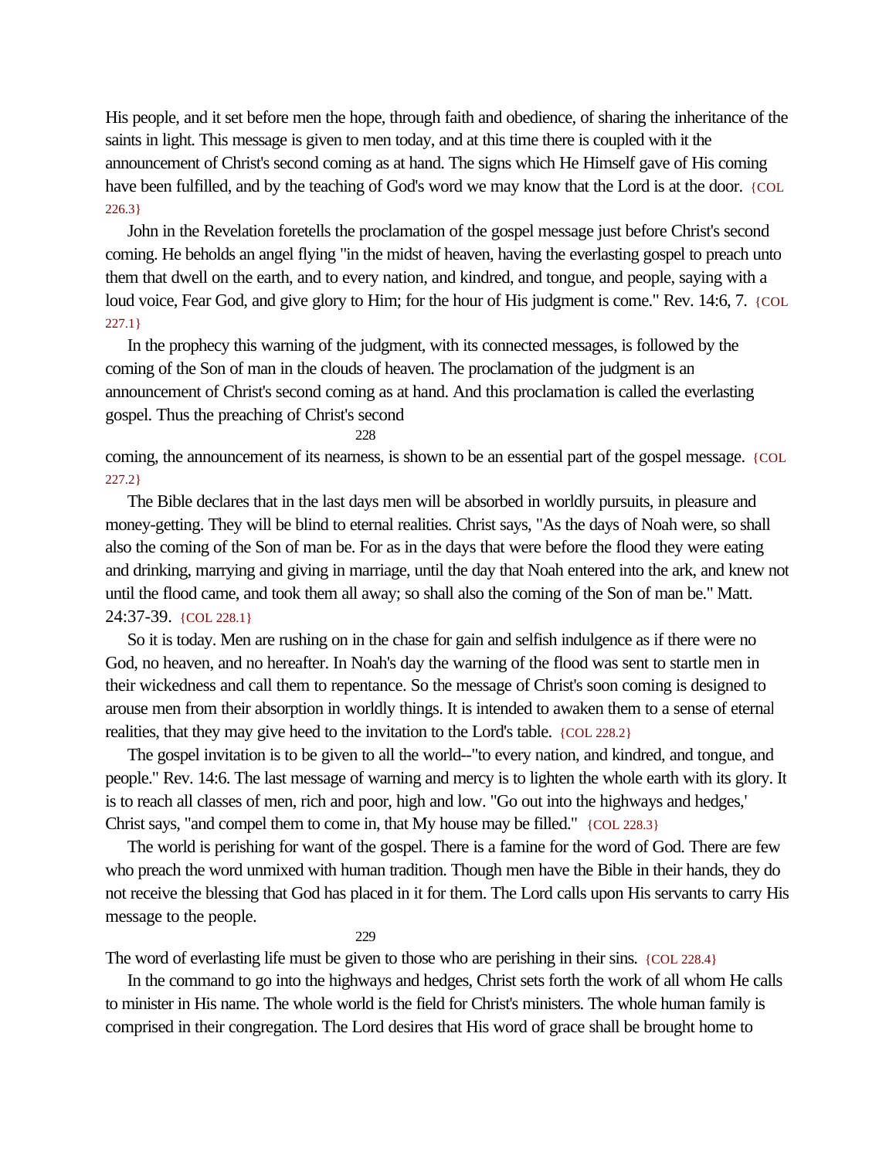His people, and it set before men the hope, through faith and obedience, of sharing the inheritance of the saints in light. This message is given to men today, and at this time there is coupled with it the announcement of Christ's second coming as at hand. The signs which He Himself gave of His coming have been fulfilled, and by the teaching of God's word we may know that the Lord is at the door. {COL} 226.3}

 John in the Revelation foretells the proclamation of the gospel message just before Christ's second coming. He beholds an angel flying "in the midst of heaven, having the everlasting gospel to preach unto them that dwell on the earth, and to every nation, and kindred, and tongue, and people, saying with a loud voice, Fear God, and give glory to Him; for the hour of His judgment is come." Rev. 14:6, 7. {COL} 227.1}

 In the prophecy this warning of the judgment, with its connected messages, is followed by the coming of the Son of man in the clouds of heaven. The proclamation of the judgment is an announcement of Christ's second coming as at hand. And this proclamation is called the everlasting gospel. Thus the preaching of Christ's second

228

coming, the announcement of its nearness, is shown to be an essential part of the gospel message. {COL 227.2}

 The Bible declares that in the last days men will be absorbed in worldly pursuits, in pleasure and money-getting. They will be blind to eternal realities. Christ says, "As the days of Noah were, so shall also the coming of the Son of man be. For as in the days that were before the flood they were eating and drinking, marrying and giving in marriage, until the day that Noah entered into the ark, and knew not until the flood came, and took them all away; so shall also the coming of the Son of man be." Matt. 24:37-39. {COL 228.1}

 So it is today. Men are rushing on in the chase for gain and selfish indulgence as if there were no God, no heaven, and no hereafter. In Noah's day the warning of the flood was sent to startle men in their wickedness and call them to repentance. So the message of Christ's soon coming is designed to arouse men from their absorption in worldly things. It is intended to awaken them to a sense of eternal realities, that they may give heed to the invitation to the Lord's table. {COL 228.2}

 The gospel invitation is to be given to all the world--"to every nation, and kindred, and tongue, and people." Rev. 14:6. The last message of warning and mercy is to lighten the whole earth with its glory. It is to reach all classes of men, rich and poor, high and low. "Go out into the highways and hedges," Christ says, "and compel them to come in, that My house may be filled." {COL 228.3}

 The world is perishing for want of the gospel. There is a famine for the word of God. There are few who preach the word unmixed with human tradition. Though men have the Bible in their hands, they do not receive the blessing that God has placed in it for them. The Lord calls upon His servants to carry His message to the people.

229

The word of everlasting life must be given to those who are perishing in their sins. {COL 228.4}

 In the command to go into the highways and hedges, Christ sets forth the work of all whom He calls to minister in His name. The whole world is the field for Christ's ministers. The whole human family is comprised in their congregation. The Lord desires that His word of grace shall be brought home to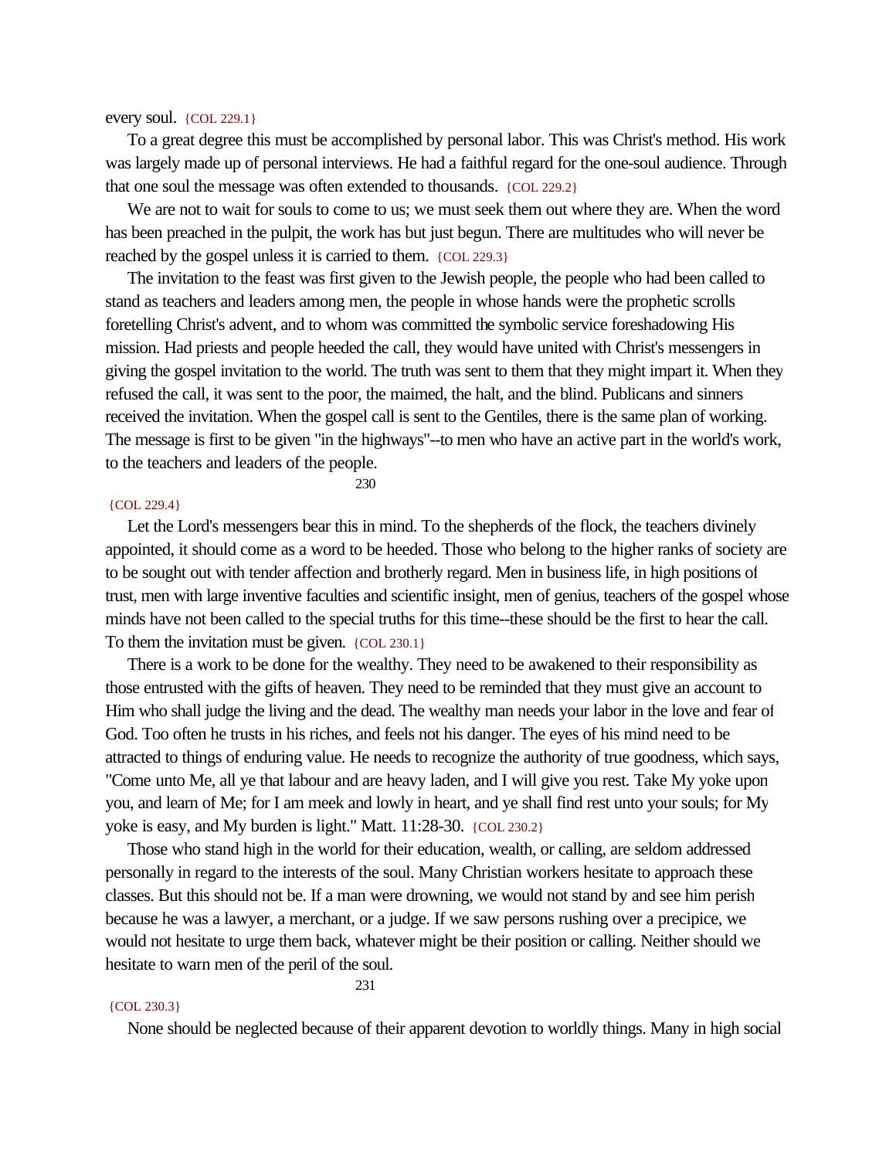every soul. {COL 229.1}

 To a great degree this must be accomplished by personal labor. This was Christ's method. His work was largely made up of personal interviews. He had a faithful regard for the one-soul audience. Through that one soul the message was often extended to thousands. {COL 229.2}

 We are not to wait for souls to come to us; we must seek them out where they are. When the word has been preached in the pulpit, the work has but just begun. There are multitudes who will never be reached by the gospel unless it is carried to them. {COL 229.3}

 The invitation to the feast was first given to the Jewish people, the people who had been called to stand as teachers and leaders among men, the people in whose hands were the prophetic scrolls foretelling Christ's advent, and to whom was committed the symbolic service foreshadowing His mission. Had priests and people heeded the call, they would have united with Christ's messengers in giving the gospel invitation to the world. The truth was sent to them that they might impart it. When they refused the call, it was sent to the poor, the maimed, the halt, and the blind. Publicans and sinners received the invitation. When the gospel call is sent to the Gentiles, there is the same plan of working. The message is first to be given "in the highways"--to men who have an active part in the world's work, to the teachers and leaders of the people.

#### {COL 229.4}

230

 Let the Lord's messengers bear this in mind. To the shepherds of the flock, the teachers divinely appointed, it should come as a word to be heeded. Those who belong to the higher ranks of society are to be sought out with tender affection and brotherly regard. Men in business life, in high positions of trust, men with large inventive faculties and scientific insight, men of genius, teachers of the gospel whose minds have not been called to the special truths for this time--these should be the first to hear the call. To them the invitation must be given. {COL 230.1}

 There is a work to be done for the wealthy. They need to be awakened to their responsibility as those entrusted with the gifts of heaven. They need to be reminded that they must give an account to Him who shall judge the living and the dead. The wealthy man needs your labor in the love and fear of God. Too often he trusts in his riches, and feels not his danger. The eyes of his mind need to be attracted to things of enduring value. He needs to recognize the authority of true goodness, which says, "Come unto Me, all ye that labour and are heavy laden, and I will give you rest. Take My yoke upon you, and learn of Me; for I am meek and lowly in heart, and ye shall find rest unto your souls; for My yoke is easy, and My burden is light." Matt. 11:28-30. {COL 230.2}

 Those who stand high in the world for their education, wealth, or calling, are seldom addressed personally in regard to the interests of the soul. Many Christian workers hesitate to approach these classes. But this should not be. If a man were drowning, we would not stand by and see him perish because he was a lawyer, a merchant, or a judge. If we saw persons rushing over a precipice, we would not hesitate to urge them back, whatever might be their position or calling. Neither should we hesitate to warn men of the peril of the soul.

#### {COL 230.3}

231

None should be neglected because of their apparent devotion to worldly things. Many in high social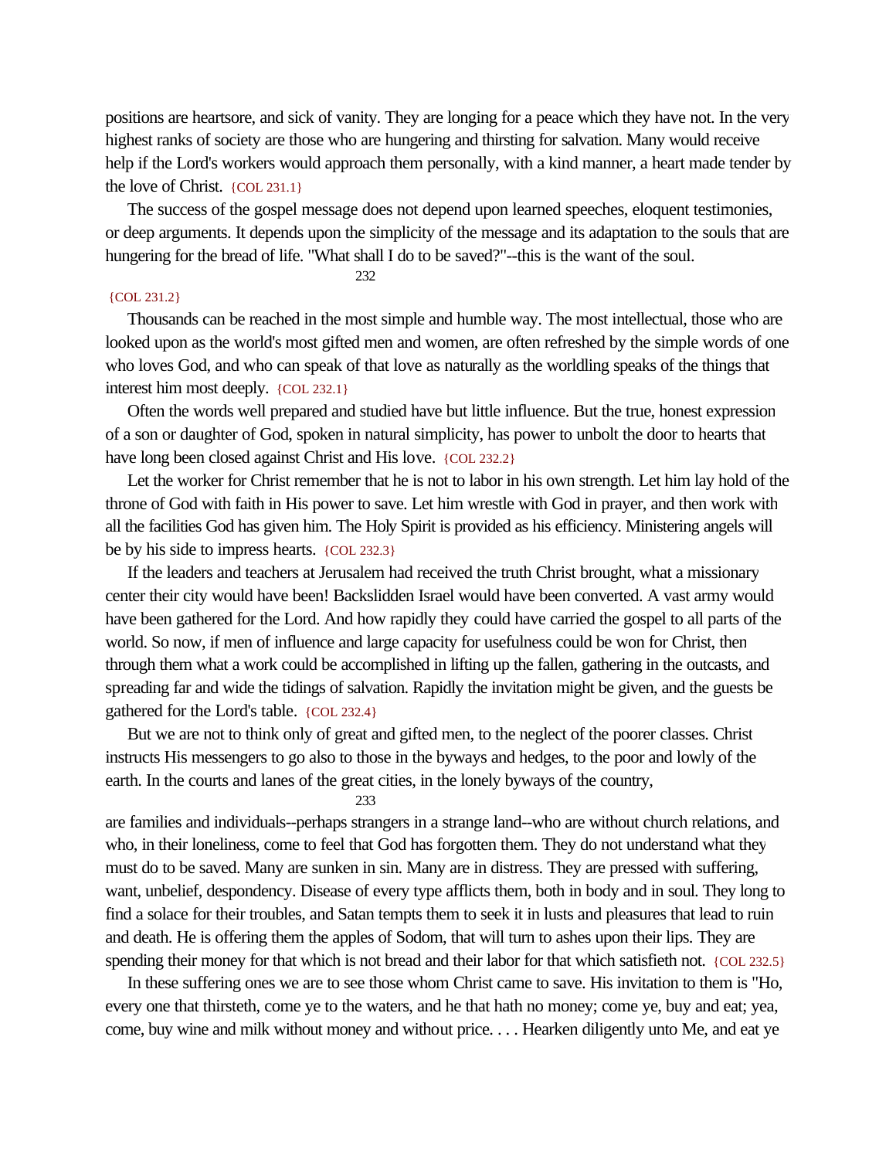positions are heartsore, and sick of vanity. They are longing for a peace which they have not. In the very highest ranks of society are those who are hungering and thirsting for salvation. Many would receive help if the Lord's workers would approach them personally, with a kind manner, a heart made tender by the love of Christ.  $\{COL\ 231.1\}$ 

 The success of the gospel message does not depend upon learned speeches, eloquent testimonies, or deep arguments. It depends upon the simplicity of the message and its adaptation to the souls that are hungering for the bread of life. "What shall I do to be saved?"--this is the want of the soul.

### 232

# {COL 231.2}

 Thousands can be reached in the most simple and humble way. The most intellectual, those who are looked upon as the world's most gifted men and women, are often refreshed by the simple words of one who loves God, and who can speak of that love as naturally as the worldling speaks of the things that interest him most deeply. {COL 232.1}

 Often the words well prepared and studied have but little influence. But the true, honest expression of a son or daughter of God, spoken in natural simplicity, has power to unbolt the door to hearts that have long been closed against Christ and His love. {COL 232.2}

Let the worker for Christ remember that he is not to labor in his own strength. Let him lay hold of the throne of God with faith in His power to save. Let him wrestle with God in prayer, and then work with all the facilities God has given him. The Holy Spirit is provided as his efficiency. Ministering angels will be by his side to impress hearts. {COL 232.3}

 If the leaders and teachers at Jerusalem had received the truth Christ brought, what a missionary center their city would have been! Backslidden Israel would have been converted. A vast army would have been gathered for the Lord. And how rapidly they could have carried the gospel to all parts of the world. So now, if men of influence and large capacity for usefulness could be won for Christ, then through them what a work could be accomplished in lifting up the fallen, gathering in the outcasts, and spreading far and wide the tidings of salvation. Rapidly the invitation might be given, and the guests be gathered for the Lord's table. {COL 232.4}

 But we are not to think only of great and gifted men, to the neglect of the poorer classes. Christ instructs His messengers to go also to those in the byways and hedges, to the poor and lowly of the earth. In the courts and lanes of the great cities, in the lonely byways of the country,

#### 233

are families and individuals--perhaps strangers in a strange land--who are without church relations, and who, in their loneliness, come to feel that God has forgotten them. They do not understand what they must do to be saved. Many are sunken in sin. Many are in distress. They are pressed with suffering, want, unbelief, despondency. Disease of every type afflicts them, both in body and in soul. They long to find a solace for their troubles, and Satan tempts them to seek it in lusts and pleasures that lead to ruin and death. He is offering them the apples of Sodom, that will turn to ashes upon their lips. They are spending their money for that which is not bread and their labor for that which satisfieth not. {COL 232.5}

 In these suffering ones we are to see those whom Christ came to save. His invitation to them is "Ho, every one that thirsteth, come ye to the waters, and he that hath no money; come ye, buy and eat; yea, come, buy wine and milk without money and without price. . . . Hearken diligently unto Me, and eat ye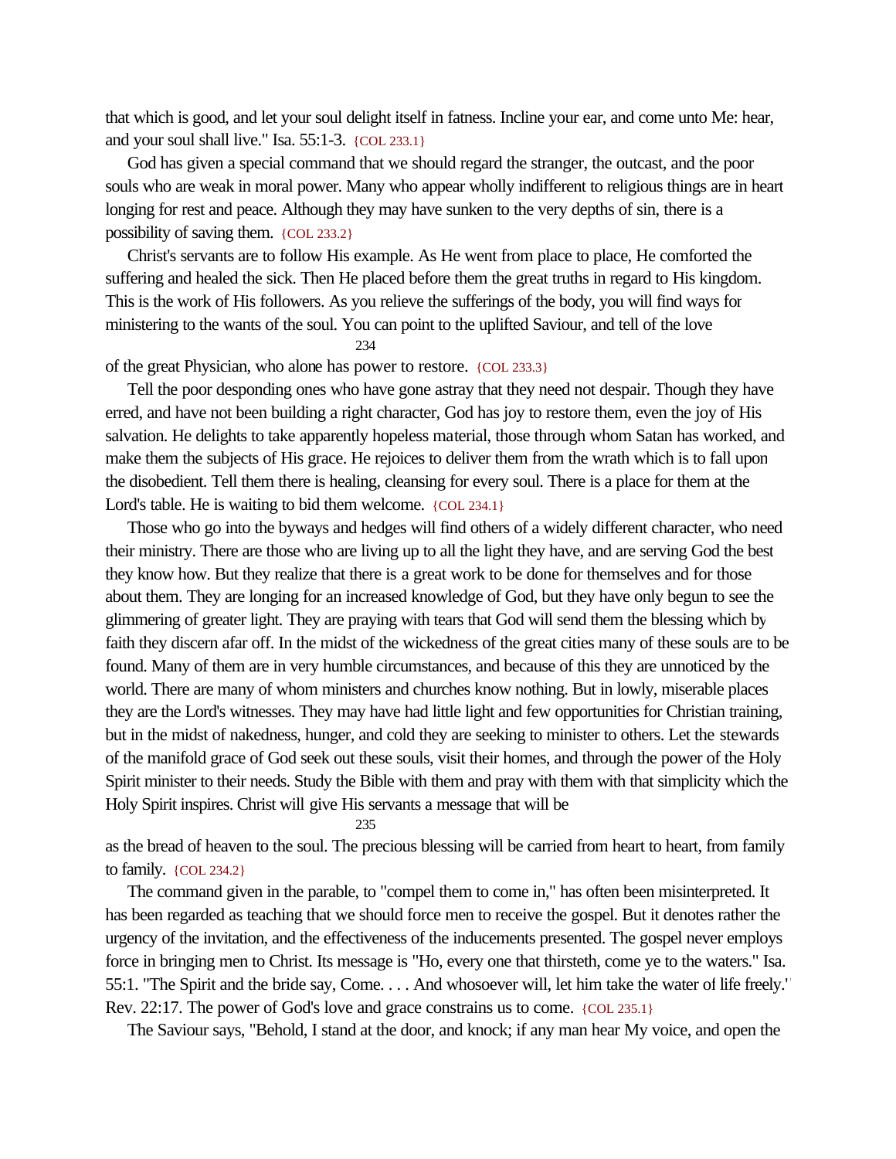that which is good, and let your soul delight itself in fatness. Incline your ear, and come unto Me: hear, and your soul shall live." Isa. 55:1-3. {COL 233.1}

 God has given a special command that we should regard the stranger, the outcast, and the poor souls who are weak in moral power. Many who appear wholly indifferent to religious things are in heart longing for rest and peace. Although they may have sunken to the very depths of sin, there is a possibility of saving them. {COL 233.2}

 Christ's servants are to follow His example. As He went from place to place, He comforted the suffering and healed the sick. Then He placed before them the great truths in regard to His kingdom. This is the work of His followers. As you relieve the sufferings of the body, you will find ways for ministering to the wants of the soul. You can point to the uplifted Saviour, and tell of the love 234

of the great Physician, who alone has power to restore. {COL 233.3}

 Tell the poor desponding ones who have gone astray that they need not despair. Though they have erred, and have not been building a right character, God has joy to restore them, even the joy of His salvation. He delights to take apparently hopeless material, those through whom Satan has worked, and make them the subjects of His grace. He rejoices to deliver them from the wrath which is to fall upon the disobedient. Tell them there is healing, cleansing for every soul. There is a place for them at the Lord's table. He is waiting to bid them welcome. {COL 234.1}

 Those who go into the byways and hedges will find others of a widely different character, who need their ministry. There are those who are living up to all the light they have, and are serving God the best they know how. But they realize that there is a great work to be done for themselves and for those about them. They are longing for an increased knowledge of God, but they have only begun to see the glimmering of greater light. They are praying with tears that God will send them the blessing which by faith they discern afar off. In the midst of the wickedness of the great cities many of these souls are to be found. Many of them are in very humble circumstances, and because of this they are unnoticed by the world. There are many of whom ministers and churches know nothing. But in lowly, miserable places they are the Lord's witnesses. They may have had little light and few opportunities for Christian training, but in the midst of nakedness, hunger, and cold they are seeking to minister to others. Let the stewards of the manifold grace of God seek out these souls, visit their homes, and through the power of the Holy Spirit minister to their needs. Study the Bible with them and pray with them with that simplicity which the Holy Spirit inspires. Christ will give His servants a message that will be

# <u>235</u>

as the bread of heaven to the soul. The precious blessing will be carried from heart to heart, from family to family. {COL 234.2}

 The command given in the parable, to "compel them to come in," has often been misinterpreted. It has been regarded as teaching that we should force men to receive the gospel. But it denotes rather the urgency of the invitation, and the effectiveness of the inducements presented. The gospel never employs force in bringing men to Christ. Its message is "Ho, every one that thirsteth, come ye to the waters." Isa. 55:1. "The Spirit and the bride say, Come. . . . And whosoever will, let him take the water of life freely." Rev. 22:17. The power of God's love and grace constrains us to come. {COL 235.1}

The Saviour says, "Behold, I stand at the door, and knock; if any man hear My voice, and open the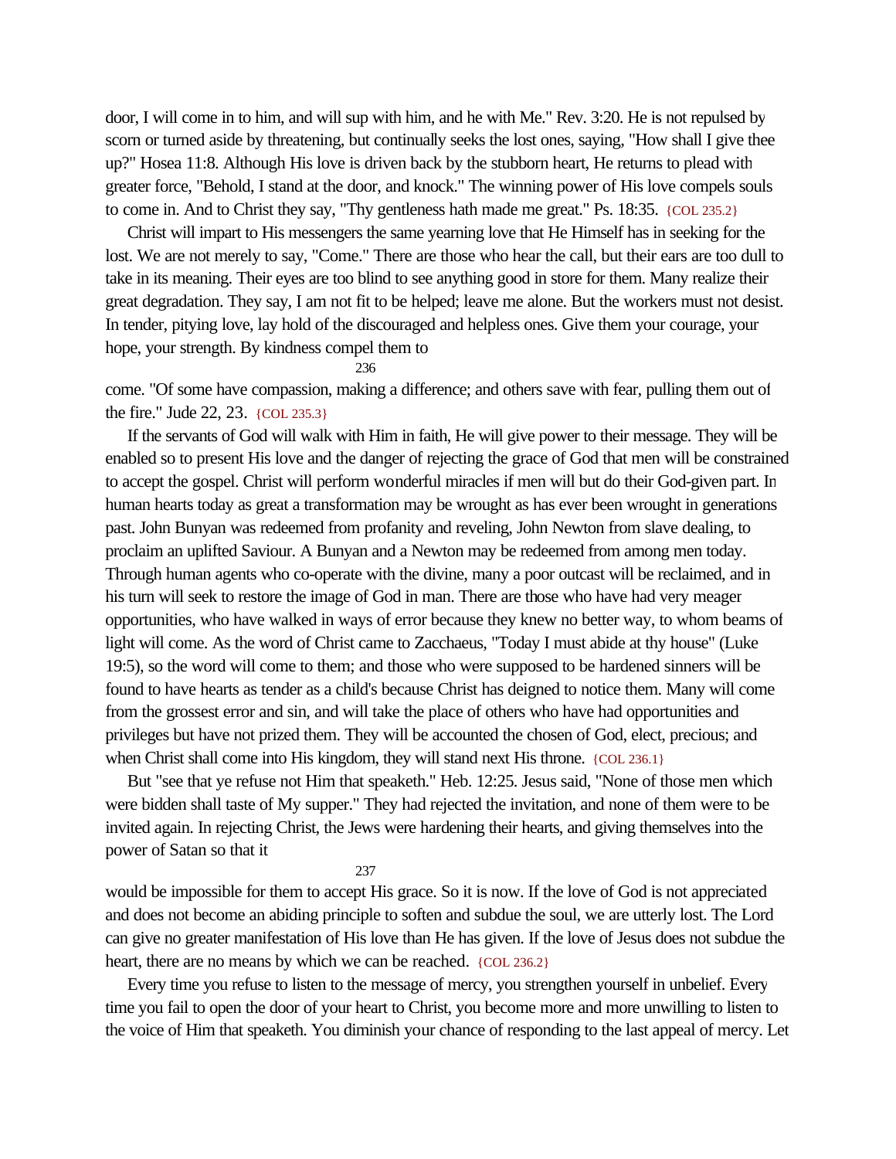door, I will come in to him, and will sup with him, and he with Me." Rev. 3:20. He is not repulsed by scorn or turned aside by threatening, but continually seeks the lost ones, saying, "How shall I give thee up?" Hosea 11:8. Although His love is driven back by the stubborn heart, He returns to plead with greater force, "Behold, I stand at the door, and knock." The winning power of His love compels souls to come in. And to Christ they say, "Thy gentleness hath made me great." Ps. 18:35. {COL 235.2}

 Christ will impart to His messengers the same yearning love that He Himself has in seeking for the lost. We are not merely to say, "Come." There are those who hear the call, but their ears are too dull to take in its meaning. Their eyes are too blind to see anything good in store for them. Many realize their great degradation. They say, I am not fit to be helped; leave me alone. But the workers must not desist. In tender, pitying love, lay hold of the discouraged and helpless ones. Give them your courage, your hope, your strength. By kindness compel them to

# 236

come. "Of some have compassion, making a difference; and others save with fear, pulling them out of the fire." Jude 22, 23. {COL 235.3}

 If the servants of God will walk with Him in faith, He will give power to their message. They will be enabled so to present His love and the danger of rejecting the grace of God that men will be constrained to accept the gospel. Christ will perform wonderful miracles if men will but do their God-given part. In human hearts today as great a transformation may be wrought as has ever been wrought in generations past. John Bunyan was redeemed from profanity and reveling, John Newton from slave dealing, to proclaim an uplifted Saviour. A Bunyan and a Newton may be redeemed from among men today. Through human agents who co-operate with the divine, many a poor outcast will be reclaimed, and in his turn will seek to restore the image of God in man. There are those who have had very meager opportunities, who have walked in ways of error because they knew no better way, to whom beams of light will come. As the word of Christ came to Zacchaeus, "Today I must abide at thy house" (Luke 19:5), so the word will come to them; and those who were supposed to be hardened sinners will be found to have hearts as tender as a child's because Christ has deigned to notice them. Many will come from the grossest error and sin, and will take the place of others who have had opportunities and privileges but have not prized them. They will be accounted the chosen of God, elect, precious; and when Christ shall come into His kingdom, they will stand next His throne. {COL 236.1}

 But "see that ye refuse not Him that speaketh." Heb. 12:25. Jesus said, "None of those men which were bidden shall taste of My supper." They had rejected the invitation, and none of them were to be invited again. In rejecting Christ, the Jews were hardening their hearts, and giving themselves into the power of Satan so that it

## 237

would be impossible for them to accept His grace. So it is now. If the love of God is not appreciated and does not become an abiding principle to soften and subdue the soul, we are utterly lost. The Lord can give no greater manifestation of His love than He has given. If the love of Jesus does not subdue the heart, there are no means by which we can be reached. {COL 236.2}

 Every time you refuse to listen to the message of mercy, you strengthen yourself in unbelief. Every time you fail to open the door of your heart to Christ, you become more and more unwilling to listen to the voice of Him that speaketh. You diminish your chance of responding to the last appeal of mercy. Let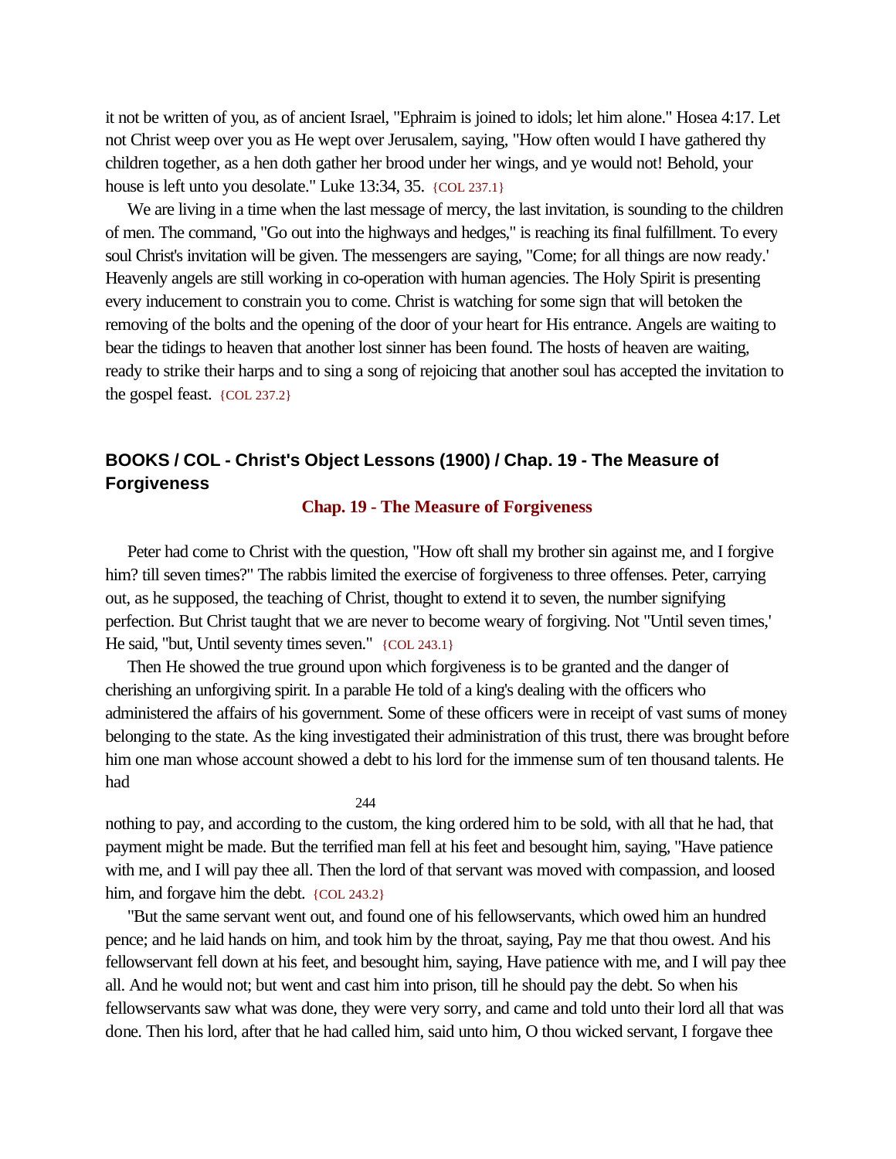it not be written of you, as of ancient Israel, "Ephraim is joined to idols; let him alone." Hosea 4:17. Let not Christ weep over you as He wept over Jerusalem, saying, "How often would I have gathered thy children together, as a hen doth gather her brood under her wings, and ye would not! Behold, your house is left unto you desolate." Luke 13:34, 35. {COL 237.1}

 We are living in a time when the last message of mercy, the last invitation, is sounding to the children of men. The command, "Go out into the highways and hedges," is reaching its final fulfillment. To every soul Christ's invitation will be given. The messengers are saying, "Come; for all things are now ready." Heavenly angels are still working in co-operation with human agencies. The Holy Spirit is presenting every inducement to constrain you to come. Christ is watching for some sign that will betoken the removing of the bolts and the opening of the door of your heart for His entrance. Angels are waiting to bear the tidings to heaven that another lost sinner has been found. The hosts of heaven are waiting, ready to strike their harps and to sing a song of rejoicing that another soul has accepted the invitation to the gospel feast. {COL 237.2}

# **BOOKS / COL - Christ's Object Lessons (1900) / Chap. 19 - The Measure of Forgiveness**

**Chap. 19 - The Measure of Forgiveness**

 Peter had come to Christ with the question, "How oft shall my brother sin against me, and I forgive him? till seven times?" The rabbis limited the exercise of forgiveness to three offenses. Peter, carrying out, as he supposed, the teaching of Christ, thought to extend it to seven, the number signifying perfection. But Christ taught that we are never to become weary of forgiving. Not "Until seven times," He said, "but, Until seventy times seven." {COL 243.1}

 Then He showed the true ground upon which forgiveness is to be granted and the danger of cherishing an unforgiving spirit. In a parable He told of a king's dealing with the officers who administered the affairs of his government. Some of these officers were in receipt of vast sums of money belonging to the state. As the king investigated their administration of this trust, there was brought before him one man whose account showed a debt to his lord for the immense sum of ten thousand talents. He had

244 and 244

nothing to pay, and according to the custom, the king ordered him to be sold, with all that he had, that payment might be made. But the terrified man fell at his feet and besought him, saying, "Have patience with me, and I will pay thee all. Then the lord of that servant was moved with compassion, and loosed him, and forgave him the debt. {COL 243.2}

 "But the same servant went out, and found one of his fellowservants, which owed him an hundred pence; and he laid hands on him, and took him by the throat, saying, Pay me that thou owest. And his fellowservant fell down at his feet, and besought him, saying, Have patience with me, and I will pay thee all. And he would not; but went and cast him into prison, till he should pay the debt. So when his fellowservants saw what was done, they were very sorry, and came and told unto their lord all that was done. Then his lord, after that he had called him, said unto him, O thou wicked servant, I forgave thee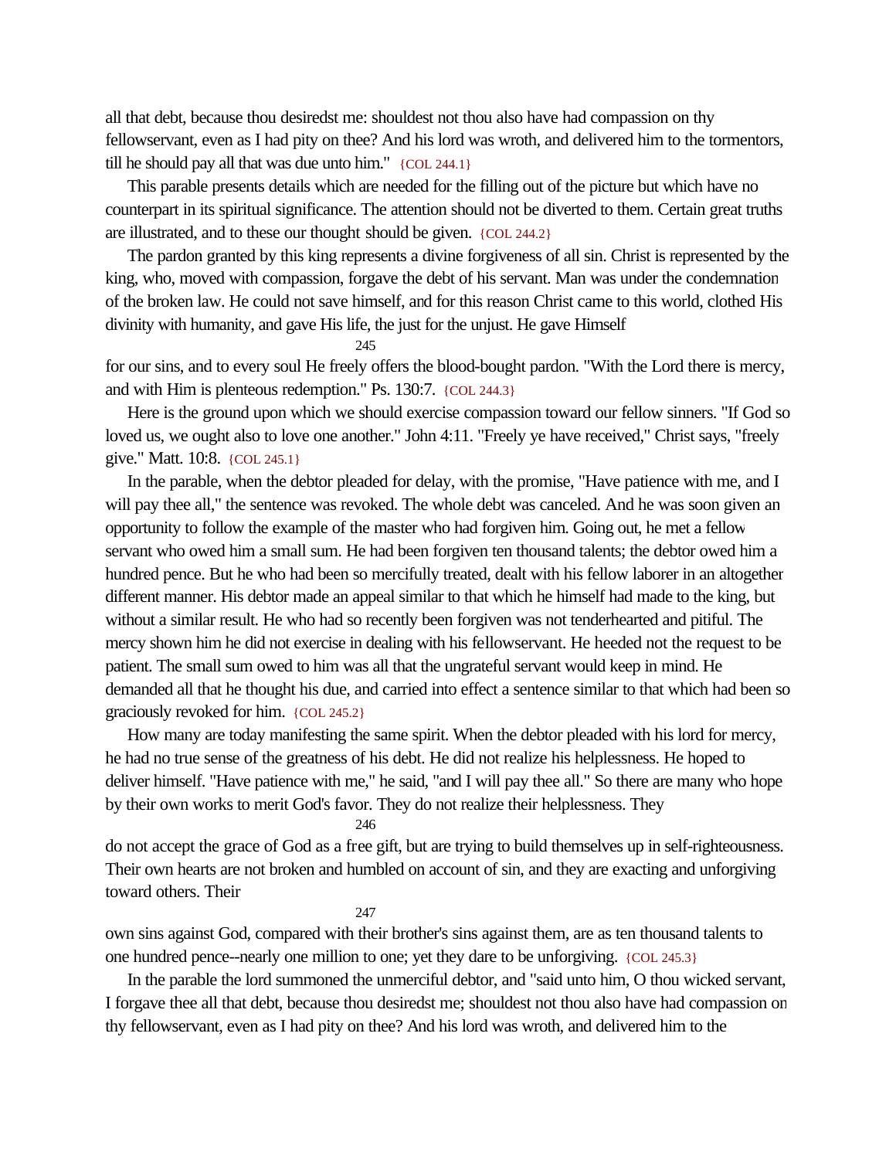all that debt, because thou desiredst me: shouldest not thou also have had compassion on thy fellowservant, even as I had pity on thee? And his lord was wroth, and delivered him to the tormentors, till he should pay all that was due unto him."  ${COL}$  244.1}

 This parable presents details which are needed for the filling out of the picture but which have no counterpart in its spiritual significance. The attention should not be diverted to them. Certain great truths are illustrated, and to these our thought should be given. {COL 244.2}

 The pardon granted by this king represents a divine forgiveness of all sin. Christ is represented by the king, who, moved with compassion, forgave the debt of his servant. Man was under the condemnation of the broken law. He could not save himself, and for this reason Christ came to this world, clothed His divinity with humanity, and gave His life, the just for the unjust. He gave Himself

$$
245\,
$$

for our sins, and to every soul He freely offers the blood-bought pardon. "With the Lord there is mercy, and with Him is plenteous redemption." Ps. 130:7. {COL 244.3}

 Here is the ground upon which we should exercise compassion toward our fellow sinners. "If God so loved us, we ought also to love one another." John 4:11. "Freely ye have received," Christ says, "freely give." Matt. 10:8. {COL 245.1}

 In the parable, when the debtor pleaded for delay, with the promise, "Have patience with me, and I will pay thee all," the sentence was revoked. The whole debt was canceled. And he was soon given an opportunity to follow the example of the master who had forgiven him. Going out, he met a fellow servant who owed him a small sum. He had been forgiven ten thousand talents; the debtor owed him a hundred pence. But he who had been so mercifully treated, dealt with his fellow laborer in an altogether different manner. His debtor made an appeal similar to that which he himself had made to the king, but without a similar result. He who had so recently been forgiven was not tenderhearted and pitiful. The mercy shown him he did not exercise in dealing with his fellowservant. He heeded not the request to be patient. The small sum owed to him was all that the ungrateful servant would keep in mind. He demanded all that he thought his due, and carried into effect a sentence similar to that which had been so graciously revoked for him. {COL 245.2}

 How many are today manifesting the same spirit. When the debtor pleaded with his lord for mercy, he had no true sense of the greatness of his debt. He did not realize his helplessness. He hoped to deliver himself. "Have patience with me," he said, "and I will pay thee all." So there are many who hope by their own works to merit God's favor. They do not realize their helplessness. They

### 246

do not accept the grace of God as a free gift, but are trying to build themselves up in self-righteousness. Their own hearts are not broken and humbled on account of sin, and they are exacting and unforgiving toward others. Their

247

own sins against God, compared with their brother's sins against them, are as ten thousand talents to one hundred pence--nearly one million to one; yet they dare to be unforgiving. {COL 245.3}

 In the parable the lord summoned the unmerciful debtor, and "said unto him, O thou wicked servant, I forgave thee all that debt, because thou desiredst me; shouldest not thou also have had compassion on thy fellowservant, even as I had pity on thee? And his lord was wroth, and delivered him to the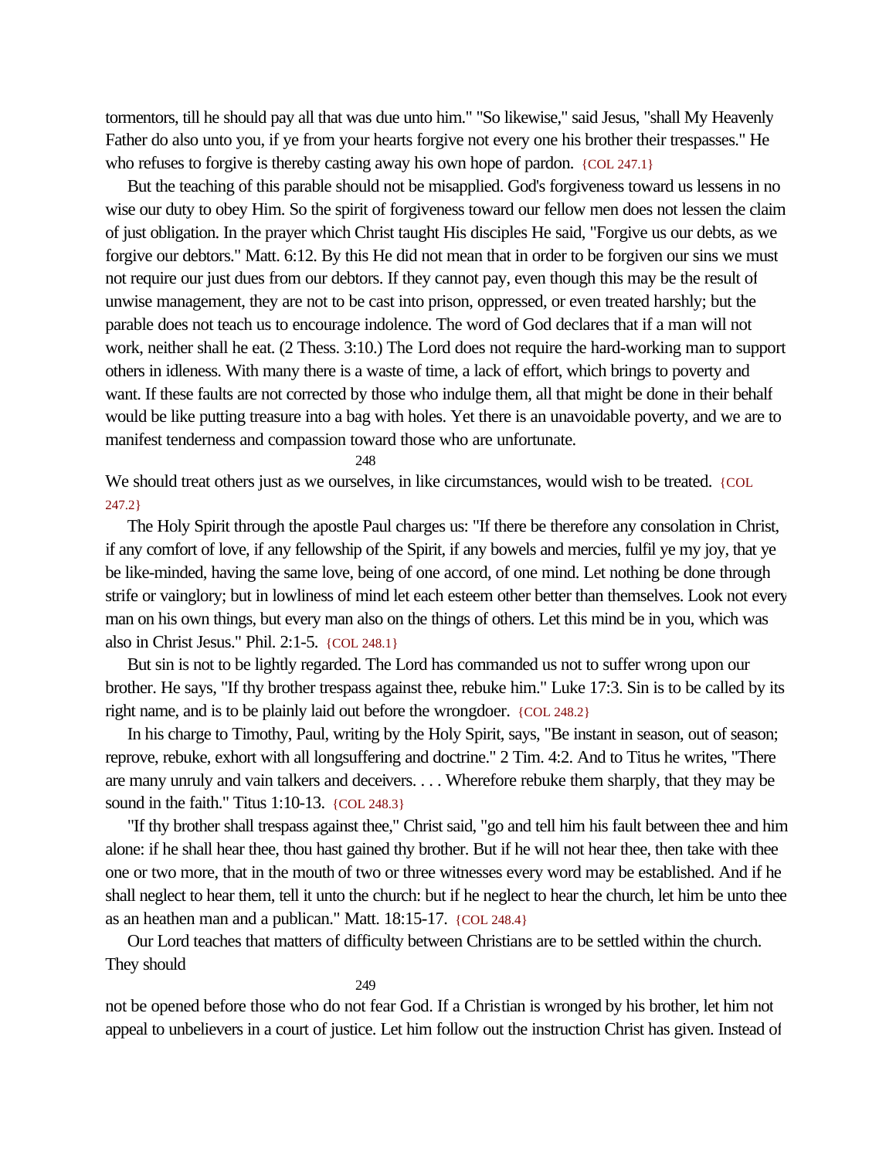tormentors, till he should pay all that was due unto him." "So likewise," said Jesus, "shall My Heavenly Father do also unto you, if ye from your hearts forgive not every one his brother their trespasses." He who refuses to forgive is thereby casting away his own hope of pardon. {COL 247.1}

 But the teaching of this parable should not be misapplied. God's forgiveness toward us lessens in no wise our duty to obey Him. So the spirit of forgiveness toward our fellow men does not lessen the claim of just obligation. In the prayer which Christ taught His disciples He said, "Forgive us our debts, as we forgive our debtors." Matt. 6:12. By this He did not mean that in order to be forgiven our sins we must not require our just dues from our debtors. If they cannot pay, even though this may be the result of unwise management, they are not to be cast into prison, oppressed, or even treated harshly; but the parable does not teach us to encourage indolence. The word of God declares that if a man will not work, neither shall he eat. (2 Thess. 3:10.) The Lord does not require the hard-working man to support others in idleness. With many there is a waste of time, a lack of effort, which brings to poverty and want. If these faults are not corrected by those who indulge them, all that might be done in their behalf would be like putting treasure into a bag with holes. Yet there is an unavoidable poverty, and we are to manifest tenderness and compassion toward those who are unfortunate.

248

We should treat others just as we ourselves, in like circumstances, would wish to be treated. {COL} 247.2}

 The Holy Spirit through the apostle Paul charges us: "If there be therefore any consolation in Christ, if any comfort of love, if any fellowship of the Spirit, if any bowels and mercies, fulfil ye my joy, that ye be like-minded, having the same love, being of one accord, of one mind. Let nothing be done through strife or vainglory; but in lowliness of mind let each esteem other better than themselves. Look not every man on his own things, but every man also on the things of others. Let this mind be in you, which was also in Christ Jesus." Phil. 2:1-5. {COL 248.1}

 But sin is not to be lightly regarded. The Lord has commanded us not to suffer wrong upon our brother. He says, "If thy brother trespass against thee, rebuke him." Luke 17:3. Sin is to be called by its right name, and is to be plainly laid out before the wrongdoer. {COL 248.2}

 In his charge to Timothy, Paul, writing by the Holy Spirit, says, "Be instant in season, out of season; reprove, rebuke, exhort with all longsuffering and doctrine." 2 Tim. 4:2. And to Titus he writes, "There are many unruly and vain talkers and deceivers. . . . Wherefore rebuke them sharply, that they may be sound in the faith." Titus 1:10-13. {COL 248.3}

 "If thy brother shall trespass against thee," Christ said, "go and tell him his fault between thee and him alone: if he shall hear thee, thou hast gained thy brother. But if he will not hear thee, then take with thee one or two more, that in the mouth of two or three witnesses every word may be established. And if he shall neglect to hear them, tell it unto the church: but if he neglect to hear the church, let him be unto thee as an heathen man and a publican." Matt. 18:15-17. {COL 248.4}

 Our Lord teaches that matters of difficulty between Christians are to be settled within the church. They should

249

not be opened before those who do not fear God. If a Christian is wronged by his brother, let him not appeal to unbelievers in a court of justice. Let him follow out the instruction Christ has given. Instead of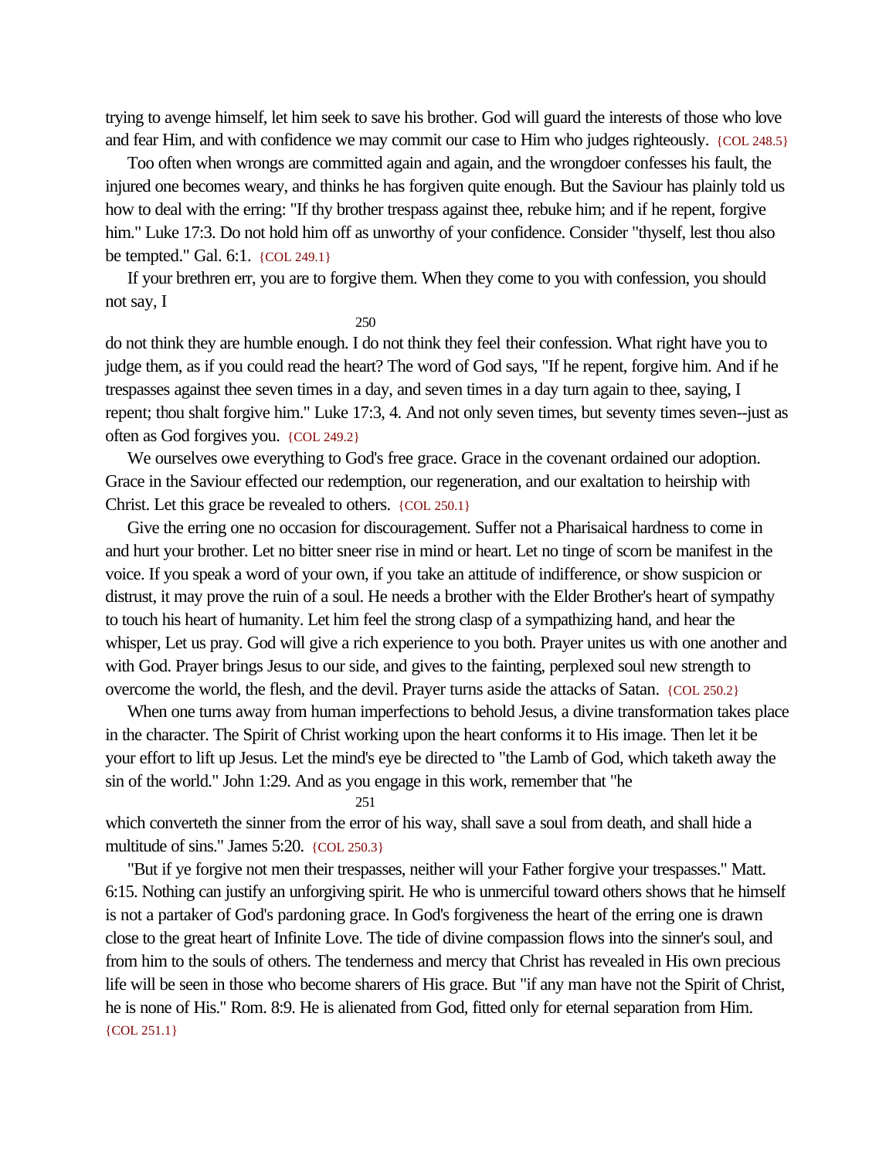trying to avenge himself, let him seek to save his brother. God will guard the interests of those who love and fear Him, and with confidence we may commit our case to Him who judges righteously. {COL 248.5}

 Too often when wrongs are committed again and again, and the wrongdoer confesses his fault, the injured one becomes weary, and thinks he has forgiven quite enough. But the Saviour has plainly told us how to deal with the erring: "If thy brother trespass against thee, rebuke him; and if he repent, forgive him." Luke 17:3. Do not hold him off as unworthy of your confidence. Consider "thyself, lest thou also be tempted." Gal. 6:1. {COL 249.1}

 If your brethren err, you are to forgive them. When they come to you with confession, you should not say, I

250

do not think they are humble enough. I do not think they feel their confession. What right have you to judge them, as if you could read the heart? The word of God says, "If he repent, forgive him. And if he trespasses against thee seven times in a day, and seven times in a day turn again to thee, saying, I repent; thou shalt forgive him." Luke 17:3, 4. And not only seven times, but seventy times seven--just as often as God forgives you. {COL 249.2}

 We ourselves owe everything to God's free grace. Grace in the covenant ordained our adoption. Grace in the Saviour effected our redemption, our regeneration, and our exaltation to heirship with Christ. Let this grace be revealed to others. {COL 250.1}

 Give the erring one no occasion for discouragement. Suffer not a Pharisaical hardness to come in and hurt your brother. Let no bitter sneer rise in mind or heart. Let no tinge of scorn be manifest in the voice. If you speak a word of your own, if you take an attitude of indifference, or show suspicion or distrust, it may prove the ruin of a soul. He needs a brother with the Elder Brother's heart of sympathy to touch his heart of humanity. Let him feel the strong clasp of a sympathizing hand, and hear the whisper, Let us pray. God will give a rich experience to you both. Prayer unites us with one another and with God. Prayer brings Jesus to our side, and gives to the fainting, perplexed soul new strength to overcome the world, the flesh, and the devil. Prayer turns aside the attacks of Satan. {COL 250.2}

 When one turns away from human imperfections to behold Jesus, a divine transformation takes place in the character. The Spirit of Christ working upon the heart conforms it to His image. Then let it be your effort to lift up Jesus. Let the mind's eye be directed to "the Lamb of God, which taketh away the sin of the world." John 1:29. And as you engage in this work, remember that "he

#### 251

which converteth the sinner from the error of his way, shall save a soul from death, and shall hide a multitude of sins." James 5:20. {COL 250.3}

 "But if ye forgive not men their trespasses, neither will your Father forgive your trespasses." Matt. 6:15. Nothing can justify an unforgiving spirit. He who is unmerciful toward others shows that he himself is not a partaker of God's pardoning grace. In God's forgiveness the heart of the erring one is drawn close to the great heart of Infinite Love. The tide of divine compassion flows into the sinner's soul, and from him to the souls of others. The tenderness and mercy that Christ has revealed in His own precious life will be seen in those who become sharers of His grace. But "if any man have not the Spirit of Christ, he is none of His." Rom. 8:9. He is alienated from God, fitted only for eternal separation from Him. {COL 251.1}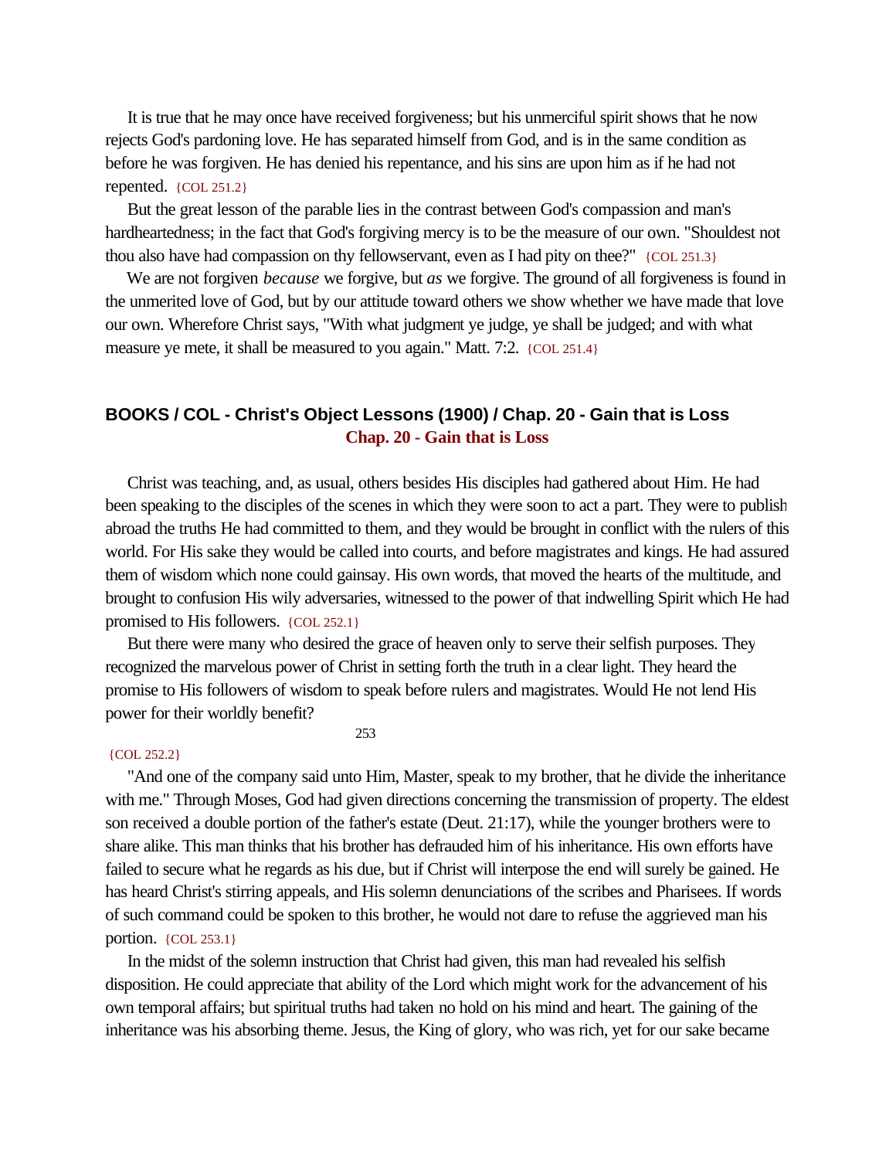It is true that he may once have received forgiveness; but his unmerciful spirit shows that he now rejects God's pardoning love. He has separated himself from God, and is in the same condition as before he was forgiven. He has denied his repentance, and his sins are upon him as if he had not repented.  $\{COL\ 251.2\}$ 

 But the great lesson of the parable lies in the contrast between God's compassion and man's hardheartedness; in the fact that God's forgiving mercy is to be the measure of our own. "Shouldest not thou also have had compassion on thy fellowservant, even as I had pity on thee?" {COL 251.3}

 We are not forgiven *because* we forgive, but *as* we forgive. The ground of all forgiveness is found in the unmerited love of God, but by our attitude toward others we show whether we have made that love our own. Wherefore Christ says, "With what judgment ye judge, ye shall be judged; and with what measure ye mete, it shall be measured to you again." Matt. 7:2. {COL 251.4}

# **BOOKS / COL - Christ's Object Lessons (1900) / Chap. 20 - Gain that is Loss Chap. 20 - Gain that is Loss**

 Christ was teaching, and, as usual, others besides His disciples had gathered about Him. He had been speaking to the disciples of the scenes in which they were soon to act a part. They were to publish abroad the truths He had committed to them, and they would be brought in conflict with the rulers of this world. For His sake they would be called into courts, and before magistrates and kings. He had assured them of wisdom which none could gainsay. His own words, that moved the hearts of the multitude, and brought to confusion His wily adversaries, witnessed to the power of that indwelling Spirit which He had promised to His followers. {COL 252.1}

 But there were many who desired the grace of heaven only to serve their selfish purposes. They recognized the marvelous power of Christ in setting forth the truth in a clear light. They heard the promise to His followers of wisdom to speak before rulers and magistrates. Would He not lend His power for their worldly benefit?

#### {COL 252.2}

253

 "And one of the company said unto Him, Master, speak to my brother, that he divide the inheritance with me." Through Moses, God had given directions concerning the transmission of property. The eldest son received a double portion of the father's estate (Deut. 21:17), while the younger brothers were to share alike. This man thinks that his brother has defrauded him of his inheritance. His own efforts have failed to secure what he regards as his due, but if Christ will interpose the end will surely be gained. He has heard Christ's stirring appeals, and His solemn denunciations of the scribes and Pharisees. If words of such command could be spoken to this brother, he would not dare to refuse the aggrieved man his portion. {COL 253.1}

 In the midst of the solemn instruction that Christ had given, this man had revealed his selfish disposition. He could appreciate that ability of the Lord which might work for the advancement of his own temporal affairs; but spiritual truths had taken no hold on his mind and heart. The gaining of the inheritance was his absorbing theme. Jesus, the King of glory, who was rich, yet for our sake became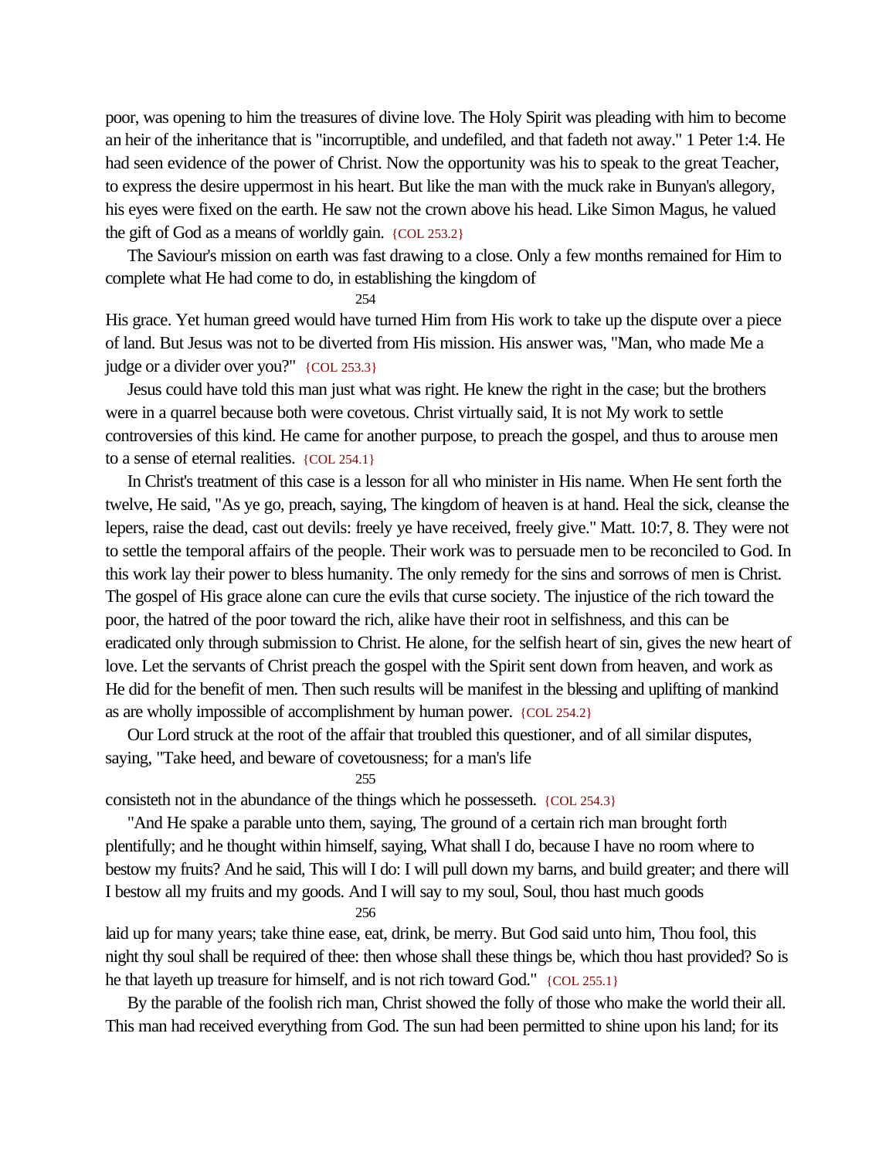poor, was opening to him the treasures of divine love. The Holy Spirit was pleading with him to become an heir of the inheritance that is "incorruptible, and undefiled, and that fadeth not away." 1 Peter 1:4. He had seen evidence of the power of Christ. Now the opportunity was his to speak to the great Teacher, to express the desire uppermost in his heart. But like the man with the muck rake in Bunyan's allegory, his eyes were fixed on the earth. He saw not the crown above his head. Like Simon Magus, he valued the gift of God as a means of worldly gain. {COL 253.2}

 The Saviour's mission on earth was fast drawing to a close. Only a few months remained for Him to complete what He had come to do, in establishing the kingdom of

254

His grace. Yet human greed would have turned Him from His work to take up the dispute over a piece of land. But Jesus was not to be diverted from His mission. His answer was, "Man, who made Me a judge or a divider over you?" {COL 253.3}

 Jesus could have told this man just what was right. He knew the right in the case; but the brothers were in a quarrel because both were covetous. Christ virtually said, It is not My work to settle controversies of this kind. He came for another purpose, to preach the gospel, and thus to arouse men to a sense of eternal realities. {COL 254.1}

 In Christ's treatment of this case is a lesson for all who minister in His name. When He sent forth the twelve, He said, "As ye go, preach, saying, The kingdom of heaven is at hand. Heal the sick, cleanse the lepers, raise the dead, cast out devils: freely ye have received, freely give." Matt. 10:7, 8. They were not to settle the temporal affairs of the people. Their work was to persuade men to be reconciled to God. In this work lay their power to bless humanity. The only remedy for the sins and sorrows of men is Christ. The gospel of His grace alone can cure the evils that curse society. The injustice of the rich toward the poor, the hatred of the poor toward the rich, alike have their root in selfishness, and this can be eradicated only through submission to Christ. He alone, for the selfish heart of sin, gives the new heart of love. Let the servants of Christ preach the gospel with the Spirit sent down from heaven, and work as He did for the benefit of men. Then such results will be manifest in the blessing and uplifting of mankind as are wholly impossible of accomplishment by human power. {COL 254.2}

 Our Lord struck at the root of the affair that troubled this questioner, and of all similar disputes, saying, "Take heed, and beware of covetousness; for a man's life

<u>255</u>

consisteth not in the abundance of the things which he possesseth. {COL 254.3}

 "And He spake a parable unto them, saying, The ground of a certain rich man brought forth plentifully; and he thought within himself, saying, What shall I do, because I have no room where to bestow my fruits? And he said, This will I do: I will pull down my barns, and build greater; and there will I bestow all my fruits and my goods. And I will say to my soul, Soul, thou hast much goods 256

laid up for many years; take thine ease, eat, drink, be merry. But God said unto him, Thou fool, this night thy soul shall be required of thee: then whose shall these things be, which thou hast provided? So is he that layeth up treasure for himself, and is not rich toward God." {COL 255.1}

 By the parable of the foolish rich man, Christ showed the folly of those who make the world their all. This man had received everything from God. The sun had been permitted to shine upon his land; for its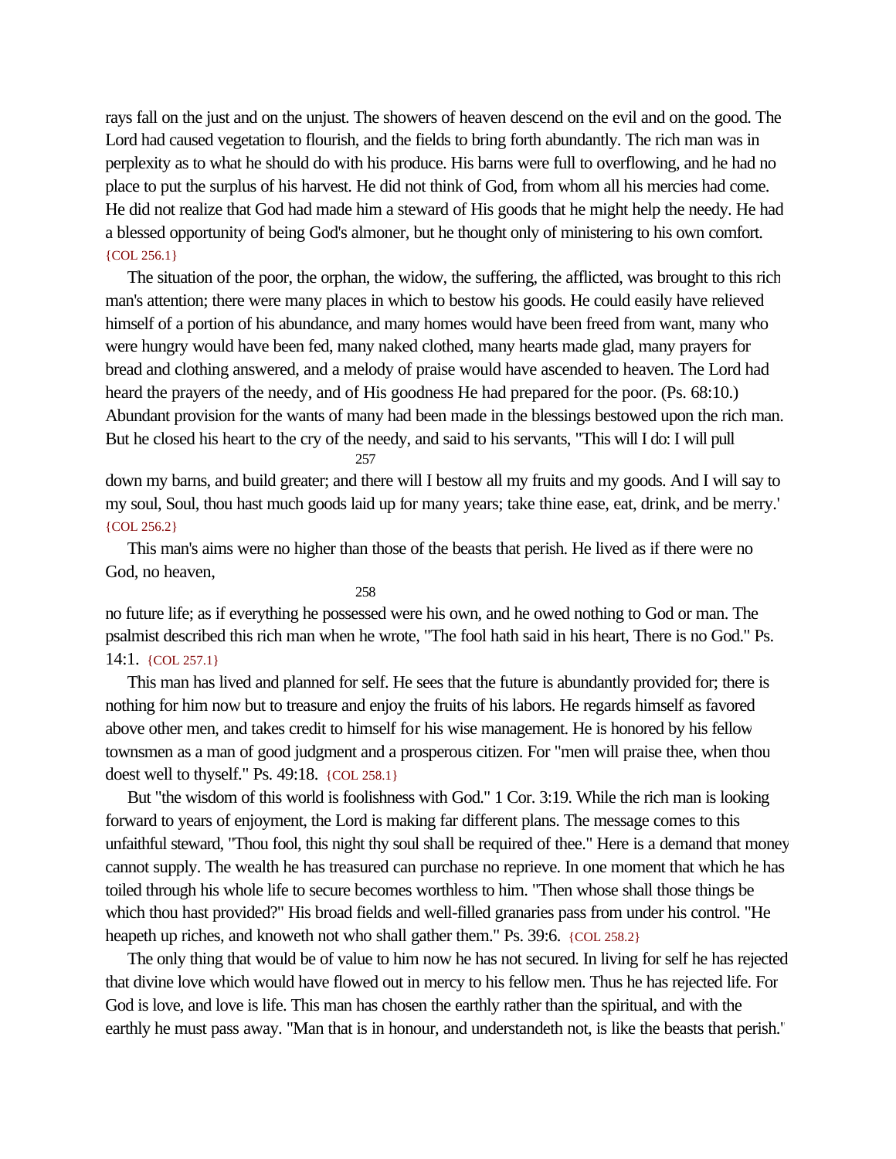rays fall on the just and on the unjust. The showers of heaven descend on the evil and on the good. The Lord had caused vegetation to flourish, and the fields to bring forth abundantly. The rich man was in perplexity as to what he should do with his produce. His barns were full to overflowing, and he had no place to put the surplus of his harvest. He did not think of God, from whom all his mercies had come. He did not realize that God had made him a steward of His goods that he might help the needy. He had a blessed opportunity of being God's almoner, but he thought only of ministering to his own comfort. {COL 256.1}

 The situation of the poor, the orphan, the widow, the suffering, the afflicted, was brought to this rich man's attention; there were many places in which to bestow his goods. He could easily have relieved himself of a portion of his abundance, and many homes would have been freed from want, many who were hungry would have been fed, many naked clothed, many hearts made glad, many prayers for bread and clothing answered, and a melody of praise would have ascended to heaven. The Lord had heard the prayers of the needy, and of His goodness He had prepared for the poor. (Ps. 68:10.) Abundant provision for the wants of many had been made in the blessings bestowed upon the rich man. But he closed his heart to the cry of the needy, and said to his servants, "This will I do: I will pull

257

down my barns, and build greater; and there will I bestow all my fruits and my goods. And I will say to my soul, Soul, thou hast much goods laid up for many years; take thine ease, eat, drink, and be merry." {COL 256.2}

 This man's aims were no higher than those of the beasts that perish. He lived as if there were no God, no heaven,

258

no future life; as if everything he possessed were his own, and he owed nothing to God or man. The psalmist described this rich man when he wrote, "The fool hath said in his heart, There is no God." Ps. 14:1. {COL 257.1}

 This man has lived and planned for self. He sees that the future is abundantly provided for; there is nothing for him now but to treasure and enjoy the fruits of his labors. He regards himself as favored above other men, and takes credit to himself for his wise management. He is honored by his fellow townsmen as a man of good judgment and a prosperous citizen. For "men will praise thee, when thou doest well to thyself." Ps. 49:18. {COL 258.1}

 But "the wisdom of this world is foolishness with God." 1 Cor. 3:19. While the rich man is looking forward to years of enjoyment, the Lord is making far different plans. The message comes to this unfaithful steward, "Thou fool, this night thy soul shall be required of thee." Here is a demand that money cannot supply. The wealth he has treasured can purchase no reprieve. In one moment that which he has toiled through his whole life to secure becomes worthless to him. "Then whose shall those things be which thou hast provided?" His broad fields and well-filled granaries pass from under his control. "He heapeth up riches, and knoweth not who shall gather them." Ps. 39:6. {COL 258.2}

 The only thing that would be of value to him now he has not secured. In living for self he has rejected that divine love which would have flowed out in mercy to his fellow men. Thus he has rejected life. For God is love, and love is life. This man has chosen the earthly rather than the spiritual, and with the earthly he must pass away. "Man that is in honour, and understandeth not, is like the beasts that perish."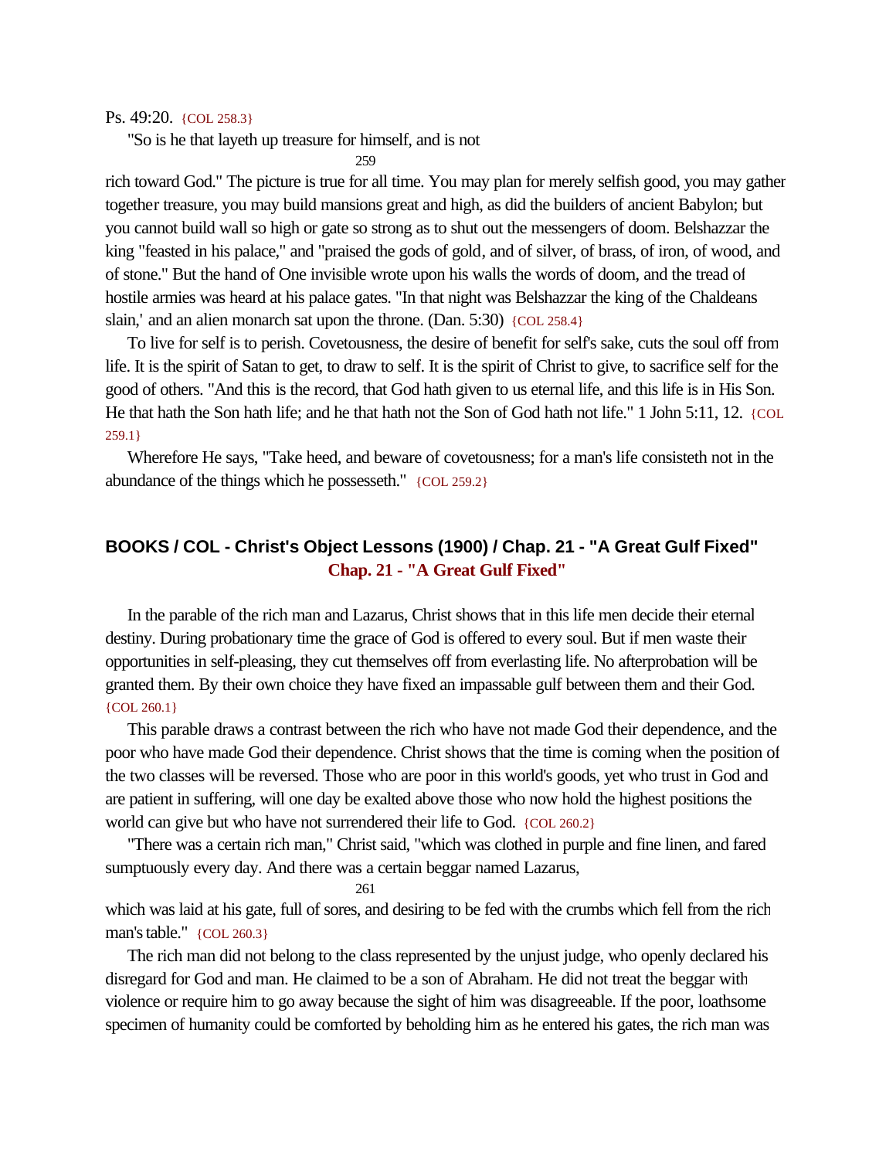Ps. 49:20. {COL 258.3}

"So is he that layeth up treasure for himself, and is not

259

rich toward God." The picture is true for all time. You may plan for merely selfish good, you may gather together treasure, you may build mansions great and high, as did the builders of ancient Babylon; but you cannot build wall so high or gate so strong as to shut out the messengers of doom. Belshazzar the king "feasted in his palace," and "praised the gods of gold, and of silver, of brass, of iron, of wood, and of stone." But the hand of One invisible wrote upon his walls the words of doom, and the tread of hostile armies was heard at his palace gates. "In that night was Belshazzar the king of the Chaldeans slain,' and an alien monarch sat upon the throne. (Dan. 5:30) {COL 258.4}

 To live for self is to perish. Covetousness, the desire of benefit for self's sake, cuts the soul off from life. It is the spirit of Satan to get, to draw to self. It is the spirit of Christ to give, to sacrifice self for the good of others. "And this is the record, that God hath given to us eternal life, and this life is in His Son. He that hath the Son hath life; and he that hath not the Son of God hath not life." 1 John 5:11, 12. {COL 259.1}

 Wherefore He says, "Take heed, and beware of covetousness; for a man's life consisteth not in the abundance of the things which he possesseth." {COL 259.2}

# **BOOKS / COL - Christ's Object Lessons (1900) / Chap. 21 - "A Great Gulf Fixed" Chap. 21 - "A Great Gulf Fixed"**

 In the parable of the rich man and Lazarus, Christ shows that in this life men decide their eternal destiny. During probationary time the grace of God is offered to every soul. But if men waste their opportunities in self-pleasing, they cut themselves off from everlasting life. No afterprobation will be granted them. By their own choice they have fixed an impassable gulf between them and their God. {COL 260.1}

 This parable draws a contrast between the rich who have not made God their dependence, and the poor who have made God their dependence. Christ shows that the time is coming when the position of the two classes will be reversed. Those who are poor in this world's goods, yet who trust in God and are patient in suffering, will one day be exalted above those who now hold the highest positions the world can give but who have not surrendered their life to God. {COL 260.2}

 "There was a certain rich man," Christ said, "which was clothed in purple and fine linen, and fared sumptuously every day. And there was a certain beggar named Lazarus,

 261 which was laid at his gate, full of sores, and desiring to be fed with the crumbs which fell from the rich

man's table." {COL 260.3}

 The rich man did not belong to the class represented by the unjust judge, who openly declared his disregard for God and man. He claimed to be a son of Abraham. He did not treat the beggar with violence or require him to go away because the sight of him was disagreeable. If the poor, loathsome specimen of humanity could be comforted by beholding him as he entered his gates, the rich man was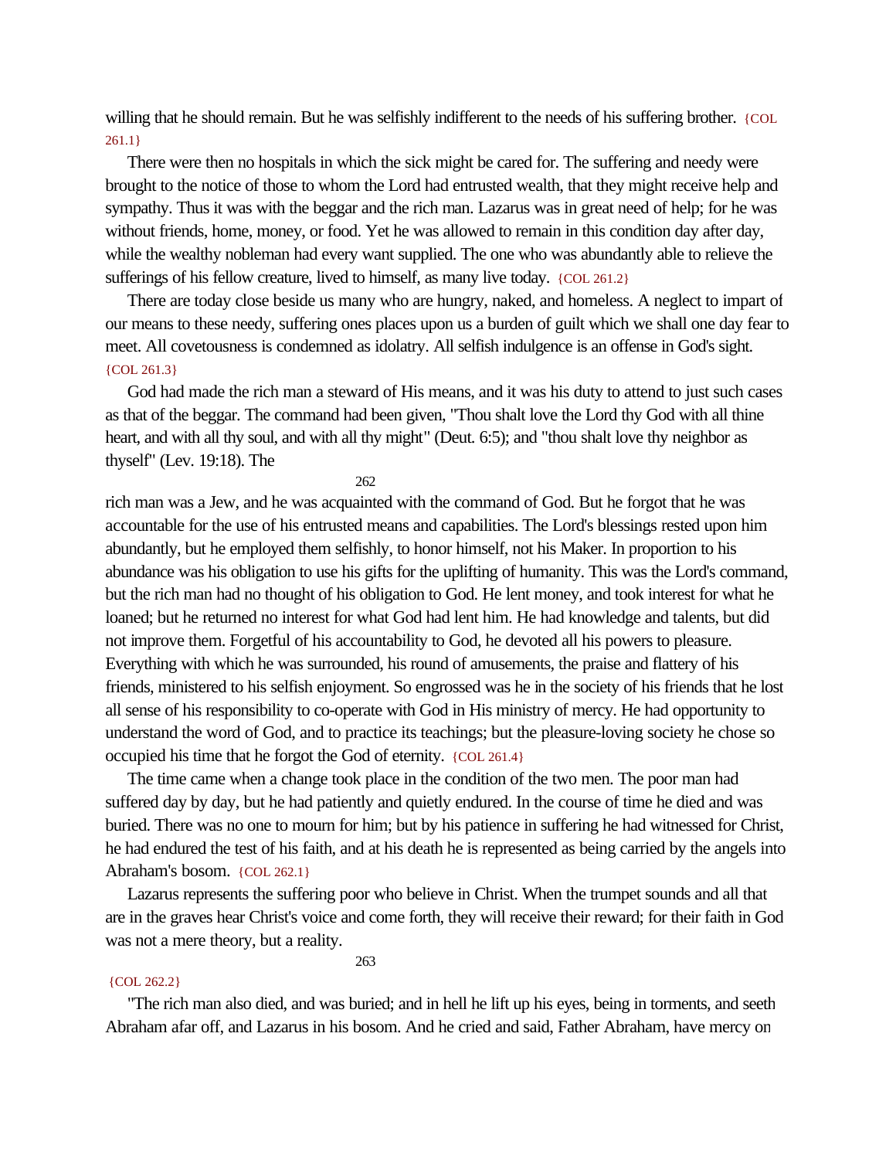willing that he should remain. But he was selfishly indifferent to the needs of his suffering brother. {COL 261.1}

 There were then no hospitals in which the sick might be cared for. The suffering and needy were brought to the notice of those to whom the Lord had entrusted wealth, that they might receive help and sympathy. Thus it was with the beggar and the rich man. Lazarus was in great need of help; for he was without friends, home, money, or food. Yet he was allowed to remain in this condition day after day, while the wealthy nobleman had every want supplied. The one who was abundantly able to relieve the sufferings of his fellow creature, lived to himself, as many live today. {COL 261.2}

 There are today close beside us many who are hungry, naked, and homeless. A neglect to impart of our means to these needy, suffering ones places upon us a burden of guilt which we shall one day fear to meet. All covetousness is condemned as idolatry. All selfish indulgence is an offense in God's sight. {COL 261.3}

 God had made the rich man a steward of His means, and it was his duty to attend to just such cases as that of the beggar. The command had been given, "Thou shalt love the Lord thy God with all thine heart, and with all thy soul, and with all thy might" (Deut. 6:5); and "thou shalt love thy neighbor as thyself" (Lev. 19:18). The

262

rich man was a Jew, and he was acquainted with the command of God. But he forgot that he was accountable for the use of his entrusted means and capabilities. The Lord's blessings rested upon him abundantly, but he employed them selfishly, to honor himself, not his Maker. In proportion to his abundance was his obligation to use his gifts for the uplifting of humanity. This was the Lord's command, but the rich man had no thought of his obligation to God. He lent money, and took interest for what he loaned; but he returned no interest for what God had lent him. He had knowledge and talents, but did not improve them. Forgetful of his accountability to God, he devoted all his powers to pleasure. Everything with which he was surrounded, his round of amusements, the praise and flattery of his friends, ministered to his selfish enjoyment. So engrossed was he in the society of his friends that he lost all sense of his responsibility to co-operate with God in His ministry of mercy. He had opportunity to understand the word of God, and to practice its teachings; but the pleasure-loving society he chose so occupied his time that he forgot the God of eternity. {COL 261.4}

 The time came when a change took place in the condition of the two men. The poor man had suffered day by day, but he had patiently and quietly endured. In the course of time he died and was buried. There was no one to mourn for him; but by his patience in suffering he had witnessed for Christ, he had endured the test of his faith, and at his death he is represented as being carried by the angels into Abraham's bosom. {COL 262.1}

 Lazarus represents the suffering poor who believe in Christ. When the trumpet sounds and all that are in the graves hear Christ's voice and come forth, they will receive their reward; for their faith in God was not a mere theory, but a reality.

263

# {COL 262.2}

 "The rich man also died, and was buried; and in hell he lift up his eyes, being in torments, and seeth Abraham afar off, and Lazarus in his bosom. And he cried and said, Father Abraham, have mercy on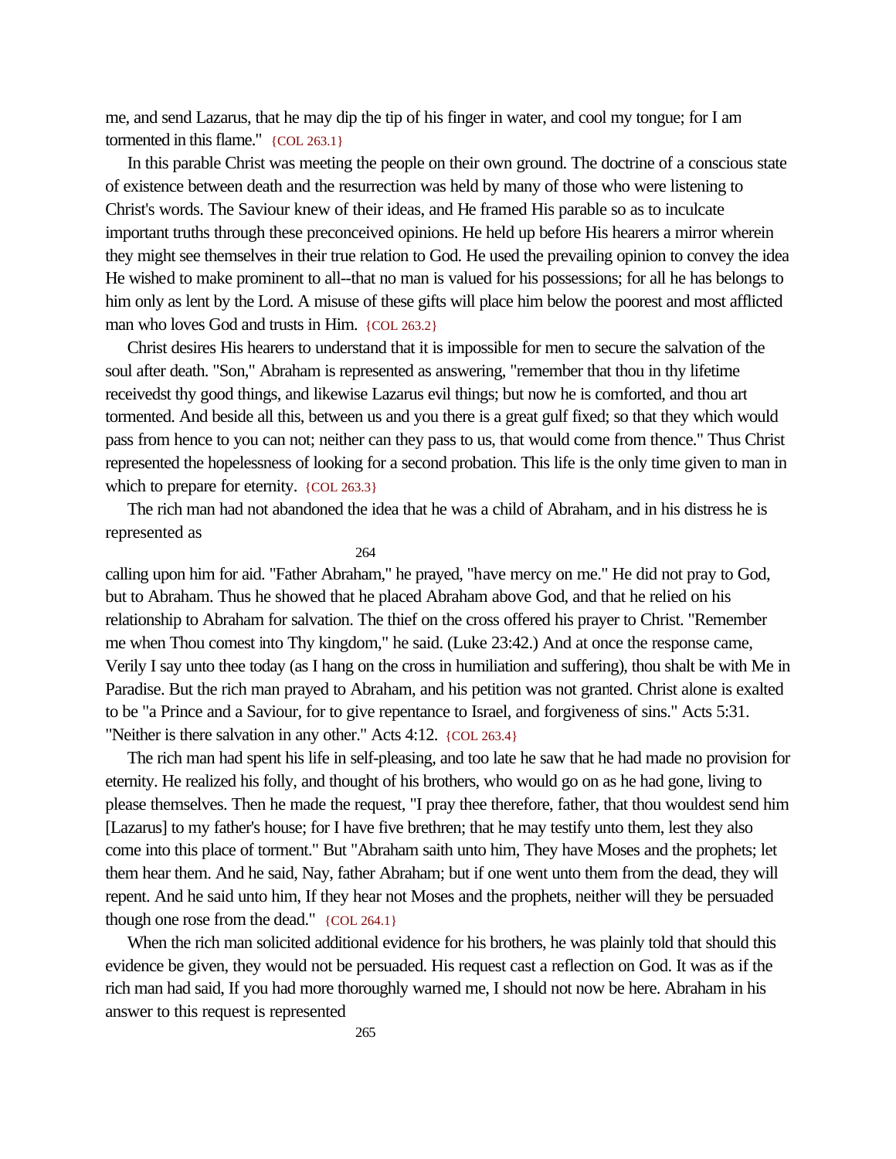me, and send Lazarus, that he may dip the tip of his finger in water, and cool my tongue; for I am tormented in this flame." {COL 263.1}

 In this parable Christ was meeting the people on their own ground. The doctrine of a conscious state of existence between death and the resurrection was held by many of those who were listening to Christ's words. The Saviour knew of their ideas, and He framed His parable so as to inculcate important truths through these preconceived opinions. He held up before His hearers a mirror wherein they might see themselves in their true relation to God. He used the prevailing opinion to convey the idea He wished to make prominent to all--that no man is valued for his possessions; for all he has belongs to him only as lent by the Lord. A misuse of these gifts will place him below the poorest and most afflicted man who loves God and trusts in Him. {COL 263.2}

 Christ desires His hearers to understand that it is impossible for men to secure the salvation of the soul after death. "Son," Abraham is represented as answering, "remember that thou in thy lifetime receivedst thy good things, and likewise Lazarus evil things; but now he is comforted, and thou art tormented. And beside all this, between us and you there is a great gulf fixed; so that they which would pass from hence to you can not; neither can they pass to us, that would come from thence." Thus Christ represented the hopelessness of looking for a second probation. This life is the only time given to man in which to prepare for eternity. {COL 263.3}

 The rich man had not abandoned the idea that he was a child of Abraham, and in his distress he is represented as

#### 264

calling upon him for aid. "Father Abraham," he prayed, "have mercy on me." He did not pray to God, but to Abraham. Thus he showed that he placed Abraham above God, and that he relied on his relationship to Abraham for salvation. The thief on the cross offered his prayer to Christ. "Remember me when Thou comest into Thy kingdom," he said. (Luke 23:42.) And at once the response came, Verily I say unto thee today (as I hang on the cross in humiliation and suffering), thou shalt be with Me in Paradise. But the rich man prayed to Abraham, and his petition was not granted. Christ alone is exalted to be "a Prince and a Saviour, for to give repentance to Israel, and forgiveness of sins." Acts 5:31. "Neither is there salvation in any other." Acts 4:12. {COL 263.4}

 The rich man had spent his life in self-pleasing, and too late he saw that he had made no provision for eternity. He realized his folly, and thought of his brothers, who would go on as he had gone, living to please themselves. Then he made the request, "I pray thee therefore, father, that thou wouldest send him [Lazarus] to my father's house; for I have five brethren; that he may testify unto them, lest they also come into this place of torment." But "Abraham saith unto him, They have Moses and the prophets; let them hear them. And he said, Nay, father Abraham; but if one went unto them from the dead, they will repent. And he said unto him, If they hear not Moses and the prophets, neither will they be persuaded though one rose from the dead." {COL 264.1}

 When the rich man solicited additional evidence for his brothers, he was plainly told that should this evidence be given, they would not be persuaded. His request cast a reflection on God. It was as if the rich man had said, If you had more thoroughly warned me, I should not now be here. Abraham in his answer to this request is represented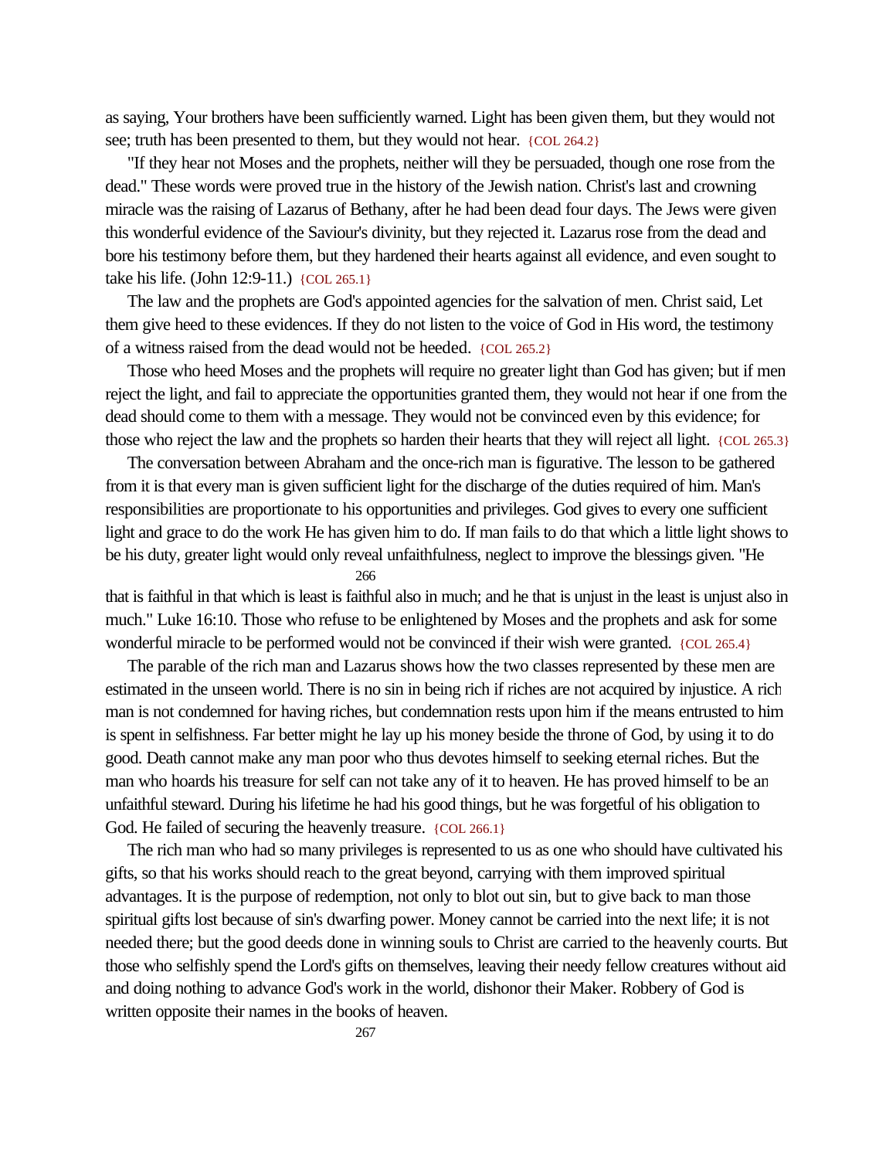as saying, Your brothers have been sufficiently warned. Light has been given them, but they would not see; truth has been presented to them, but they would not hear. {COL 264.2}

 "If they hear not Moses and the prophets, neither will they be persuaded, though one rose from the dead." These words were proved true in the history of the Jewish nation. Christ's last and crowning miracle was the raising of Lazarus of Bethany, after he had been dead four days. The Jews were given this wonderful evidence of the Saviour's divinity, but they rejected it. Lazarus rose from the dead and bore his testimony before them, but they hardened their hearts against all evidence, and even sought to take his life. (John 12:9-11.) {COL 265.1}

 The law and the prophets are God's appointed agencies for the salvation of men. Christ said, Let them give heed to these evidences. If they do not listen to the voice of God in His word, the testimony of a witness raised from the dead would not be heeded. {COL 265.2}

 Those who heed Moses and the prophets will require no greater light than God has given; but if men reject the light, and fail to appreciate the opportunities granted them, they would not hear if one from the dead should come to them with a message. They would not be convinced even by this evidence; for those who reject the law and the prophets so harden their hearts that they will reject all light. {COL 265.3}

 The conversation between Abraham and the once-rich man is figurative. The lesson to be gathered from it is that every man is given sufficient light for the discharge of the duties required of him. Man's responsibilities are proportionate to his opportunities and privileges. God gives to every one sufficient light and grace to do the work He has given him to do. If man fails to do that which a little light shows to be his duty, greater light would only reveal unfaithfulness, neglect to improve the blessings given. "He 266

that is faithful in that which is least is faithful also in much; and he that is unjust in the least is unjust also in much." Luke 16:10. Those who refuse to be enlightened by Moses and the prophets and ask for some wonderful miracle to be performed would not be convinced if their wish were granted. {COL 265.4}

 The parable of the rich man and Lazarus shows how the two classes represented by these men are estimated in the unseen world. There is no sin in being rich if riches are not acquired by injustice. A rich man is not condemned for having riches, but condemnation rests upon him if the means entrusted to him is spent in selfishness. Far better might he lay up his money beside the throne of God, by using it to do good. Death cannot make any man poor who thus devotes himself to seeking eternal riches. But the man who hoards his treasure for self can not take any of it to heaven. He has proved himself to be an unfaithful steward. During his lifetime he had his good things, but he was forgetful of his obligation to God. He failed of securing the heavenly treasure. {COL 266.1}

 The rich man who had so many privileges is represented to us as one who should have cultivated his gifts, so that his works should reach to the great beyond, carrying with them improved spiritual advantages. It is the purpose of redemption, not only to blot out sin, but to give back to man those spiritual gifts lost because of sin's dwarfing power. Money cannot be carried into the next life; it is not needed there; but the good deeds done in winning souls to Christ are carried to the heavenly courts. But those who selfishly spend the Lord's gifts on themselves, leaving their needy fellow creatures without aid and doing nothing to advance God's work in the world, dishonor their Maker. Robbery of God is written opposite their names in the books of heaven.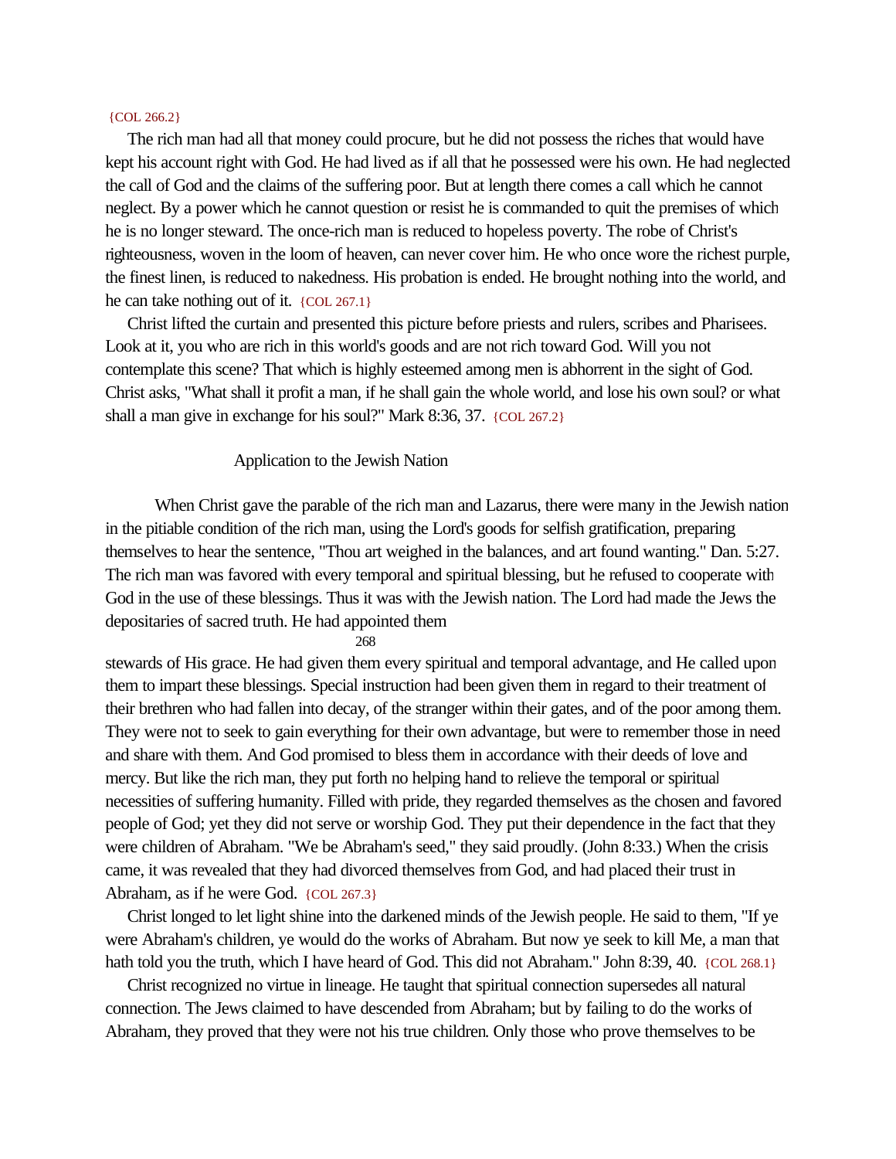# {COL 266.2}

 The rich man had all that money could procure, but he did not possess the riches that would have kept his account right with God. He had lived as if all that he possessed were his own. He had neglected the call of God and the claims of the suffering poor. But at length there comes a call which he cannot neglect. By a power which he cannot question or resist he is commanded to quit the premises of which he is no longer steward. The once-rich man is reduced to hopeless poverty. The robe of Christ's righteousness, woven in the loom of heaven, can never cover him. He who once wore the richest purple, the finest linen, is reduced to nakedness. His probation is ended. He brought nothing into the world, and he can take nothing out of it.  $\{COL\ 267.1\}$ 

 Christ lifted the curtain and presented this picture before priests and rulers, scribes and Pharisees. Look at it, you who are rich in this world's goods and are not rich toward God. Will you not contemplate this scene? That which is highly esteemed among men is abhorrent in the sight of God. Christ asks, "What shall it profit a man, if he shall gain the whole world, and lose his own soul? or what shall a man give in exchange for his soul?" Mark 8:36, 37. {COL 267.2}

# Application to the Jewish Nation

 When Christ gave the parable of the rich man and Lazarus, there were many in the Jewish nation in the pitiable condition of the rich man, using the Lord's goods for selfish gratification, preparing themselves to hear the sentence, "Thou art weighed in the balances, and art found wanting." Dan. 5:27. The rich man was favored with every temporal and spiritual blessing, but he refused to cooperate with God in the use of these blessings. Thus it was with the Jewish nation. The Lord had made the Jews the depositaries of sacred truth. He had appointed them

#### 268

stewards of His grace. He had given them every spiritual and temporal advantage, and He called upon them to impart these blessings. Special instruction had been given them in regard to their treatment of their brethren who had fallen into decay, of the stranger within their gates, and of the poor among them. They were not to seek to gain everything for their own advantage, but were to remember those in need and share with them. And God promised to bless them in accordance with their deeds of love and mercy. But like the rich man, they put forth no helping hand to relieve the temporal or spiritual necessities of suffering humanity. Filled with pride, they regarded themselves as the chosen and favored people of God; yet they did not serve or worship God. They put their dependence in the fact that they were children of Abraham. "We be Abraham's seed," they said proudly. (John 8:33.) When the crisis came, it was revealed that they had divorced themselves from God, and had placed their trust in Abraham, as if he were God. {COL 267.3}

 Christ longed to let light shine into the darkened minds of the Jewish people. He said to them, "If ye were Abraham's children, ye would do the works of Abraham. But now ye seek to kill Me, a man that hath told you the truth, which I have heard of God. This did not Abraham." John 8:39, 40. {COL 268.1}

 Christ recognized no virtue in lineage. He taught that spiritual connection supersedes all natural connection. The Jews claimed to have descended from Abraham; but by failing to do the works of Abraham, they proved that they were not his true children. Only those who prove themselves to be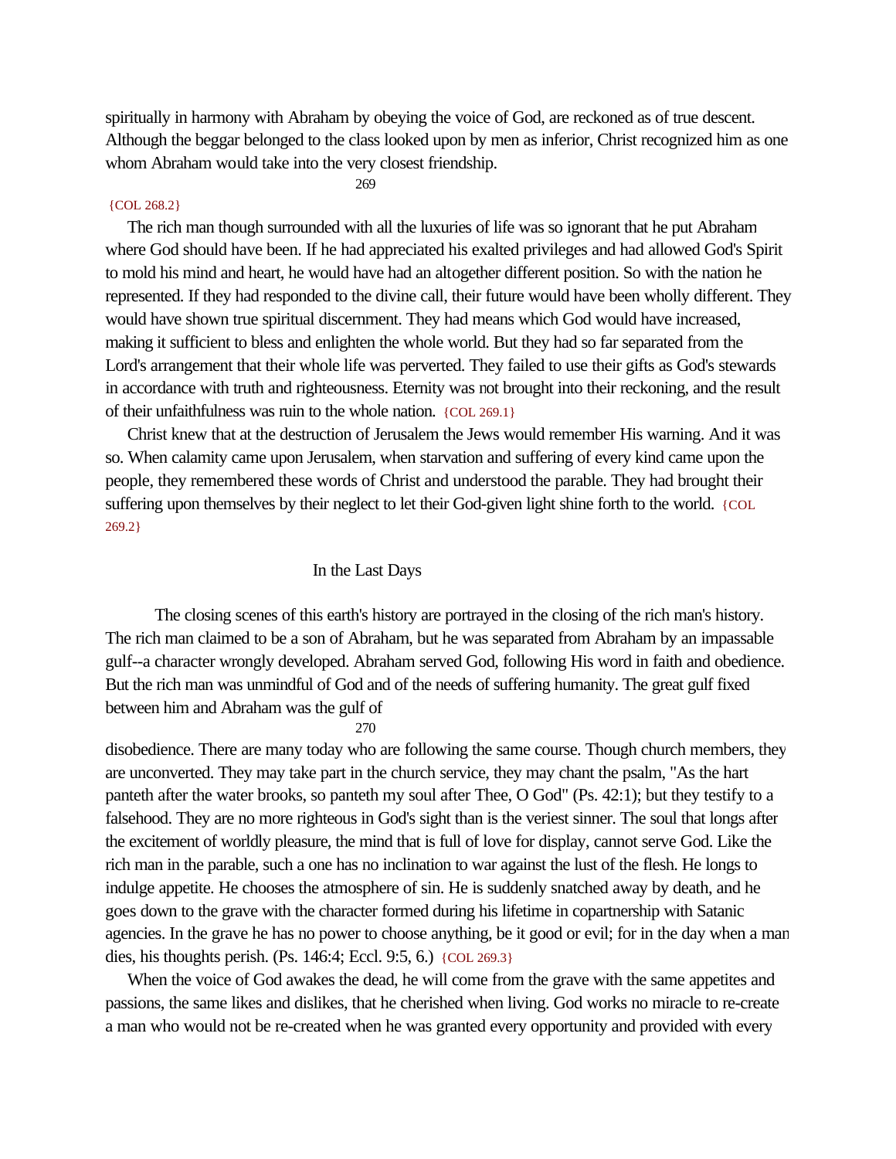spiritually in harmony with Abraham by obeying the voice of God, are reckoned as of true descent. Although the beggar belonged to the class looked upon by men as inferior, Christ recognized him as one whom Abraham would take into the very closest friendship.

269

# {COL 268.2}

 The rich man though surrounded with all the luxuries of life was so ignorant that he put Abraham where God should have been. If he had appreciated his exalted privileges and had allowed God's Spirit to mold his mind and heart, he would have had an altogether different position. So with the nation he represented. If they had responded to the divine call, their future would have been wholly different. They would have shown true spiritual discernment. They had means which God would have increased, making it sufficient to bless and enlighten the whole world. But they had so far separated from the Lord's arrangement that their whole life was perverted. They failed to use their gifts as God's stewards in accordance with truth and righteousness. Eternity was not brought into their reckoning, and the result of their unfaithfulness was ruin to the whole nation. {COL 269.1}

 Christ knew that at the destruction of Jerusalem the Jews would remember His warning. And it was so. When calamity came upon Jerusalem, when starvation and suffering of every kind came upon the people, they remembered these words of Christ and understood the parable. They had brought their suffering upon themselves by their neglect to let their God-given light shine forth to the world. {COL 269.2}

# In the Last Days

 The closing scenes of this earth's history are portrayed in the closing of the rich man's history. The rich man claimed to be a son of Abraham, but he was separated from Abraham by an impassable gulf--a character wrongly developed. Abraham served God, following His word in faith and obedience. But the rich man was unmindful of God and of the needs of suffering humanity. The great gulf fixed between him and Abraham was the gulf of

### 270

disobedience. There are many today who are following the same course. Though church members, they are unconverted. They may take part in the church service, they may chant the psalm, "As the hart panteth after the water brooks, so panteth my soul after Thee, O God" (Ps. 42:1); but they testify to a falsehood. They are no more righteous in God's sight than is the veriest sinner. The soul that longs after the excitement of worldly pleasure, the mind that is full of love for display, cannot serve God. Like the rich man in the parable, such a one has no inclination to war against the lust of the flesh. He longs to indulge appetite. He chooses the atmosphere of sin. He is suddenly snatched away by death, and he goes down to the grave with the character formed during his lifetime in copartnership with Satanic agencies. In the grave he has no power to choose anything, be it good or evil; for in the day when a man dies, his thoughts perish. (Ps. 146:4; Eccl. 9:5, 6.) {COL 269.3}

When the voice of God awakes the dead, he will come from the grave with the same appetites and passions, the same likes and dislikes, that he cherished when living. God works no miracle to re-create a man who would not be re-created when he was granted every opportunity and provided with every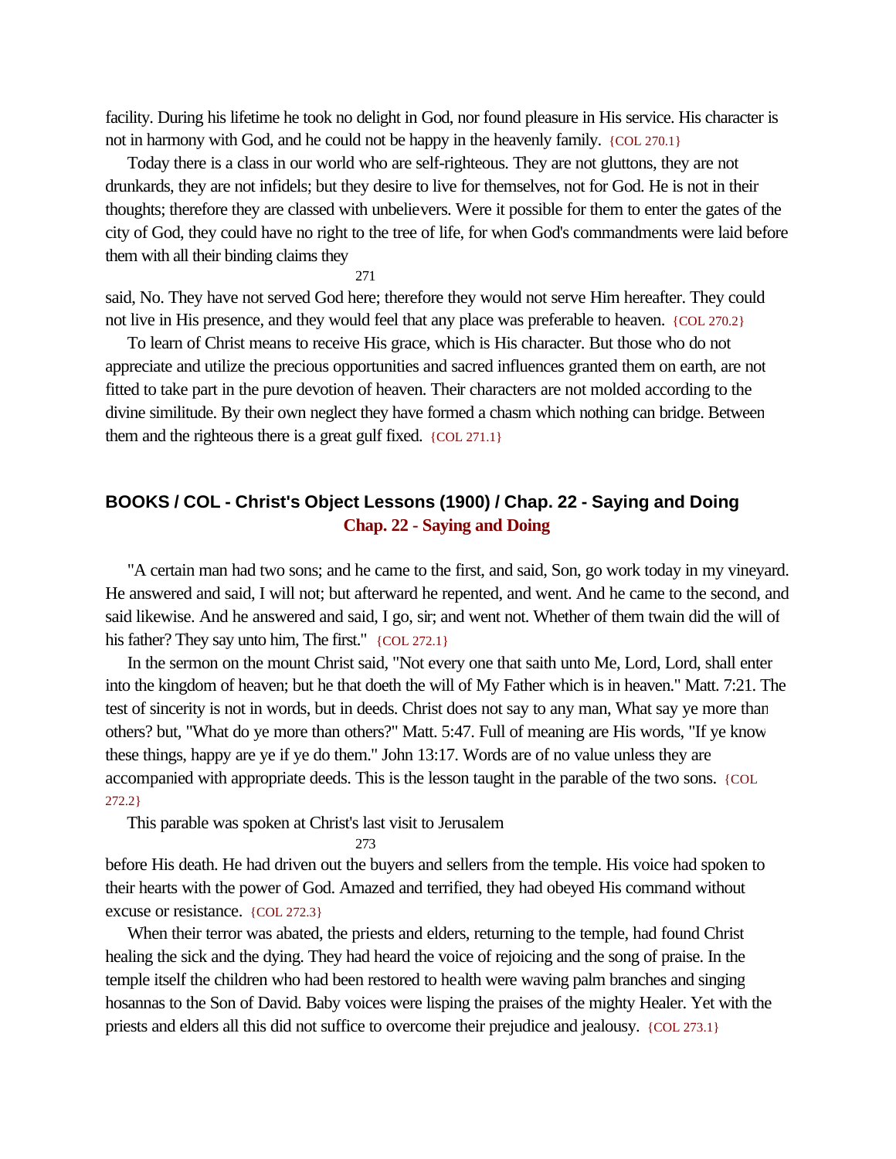facility. During his lifetime he took no delight in God, nor found pleasure in His service. His character is not in harmony with God, and he could not be happy in the heavenly family. {COL 270.1}

 Today there is a class in our world who are self-righteous. They are not gluttons, they are not drunkards, they are not infidels; but they desire to live for themselves, not for God. He is not in their thoughts; therefore they are classed with unbelievers. Were it possible for them to enter the gates of the city of God, they could have no right to the tree of life, for when God's commandments were laid before them with all their binding claims they

271

said, No. They have not served God here; therefore they would not serve Him hereafter. They could not live in His presence, and they would feel that any place was preferable to heaven. {COL 270.2}

 To learn of Christ means to receive His grace, which is His character. But those who do not appreciate and utilize the precious opportunities and sacred influences granted them on earth, are not fitted to take part in the pure devotion of heaven. Their characters are not molded according to the divine similitude. By their own neglect they have formed a chasm which nothing can bridge. Between them and the righteous there is a great gulf fixed.  $\{COL\ 271.1\}$ 

# **BOOKS / COL - Christ's Object Lessons (1900) / Chap. 22 - Saying and Doing Chap. 22 - Saying and Doing**

 "A certain man had two sons; and he came to the first, and said, Son, go work today in my vineyard. He answered and said, I will not; but afterward he repented, and went. And he came to the second, and said likewise. And he answered and said, I go, sir; and went not. Whether of them twain did the will of his father? They say unto him, The first." {COL 272.1}

 In the sermon on the mount Christ said, "Not every one that saith unto Me, Lord, Lord, shall enter into the kingdom of heaven; but he that doeth the will of My Father which is in heaven." Matt. 7:21. The test of sincerity is not in words, but in deeds. Christ does not say to any man, What say ye more than others? but, "What do ye more than others?" Matt. 5:47. Full of meaning are His words, "If ye know these things, happy are ye if ye do them." John 13:17. Words are of no value unless they are accompanied with appropriate deeds. This is the lesson taught in the parable of the two sons. {COL 272.2}

This parable was spoken at Christ's last visit to Jerusalem

273

before His death. He had driven out the buyers and sellers from the temple. His voice had spoken to their hearts with the power of God. Amazed and terrified, they had obeyed His command without excuse or resistance. {COL 272.3}

 When their terror was abated, the priests and elders, returning to the temple, had found Christ healing the sick and the dying. They had heard the voice of rejoicing and the song of praise. In the temple itself the children who had been restored to health were waving palm branches and singing hosannas to the Son of David. Baby voices were lisping the praises of the mighty Healer. Yet with the priests and elders all this did not suffice to overcome their prejudice and jealousy. {COL 273.1}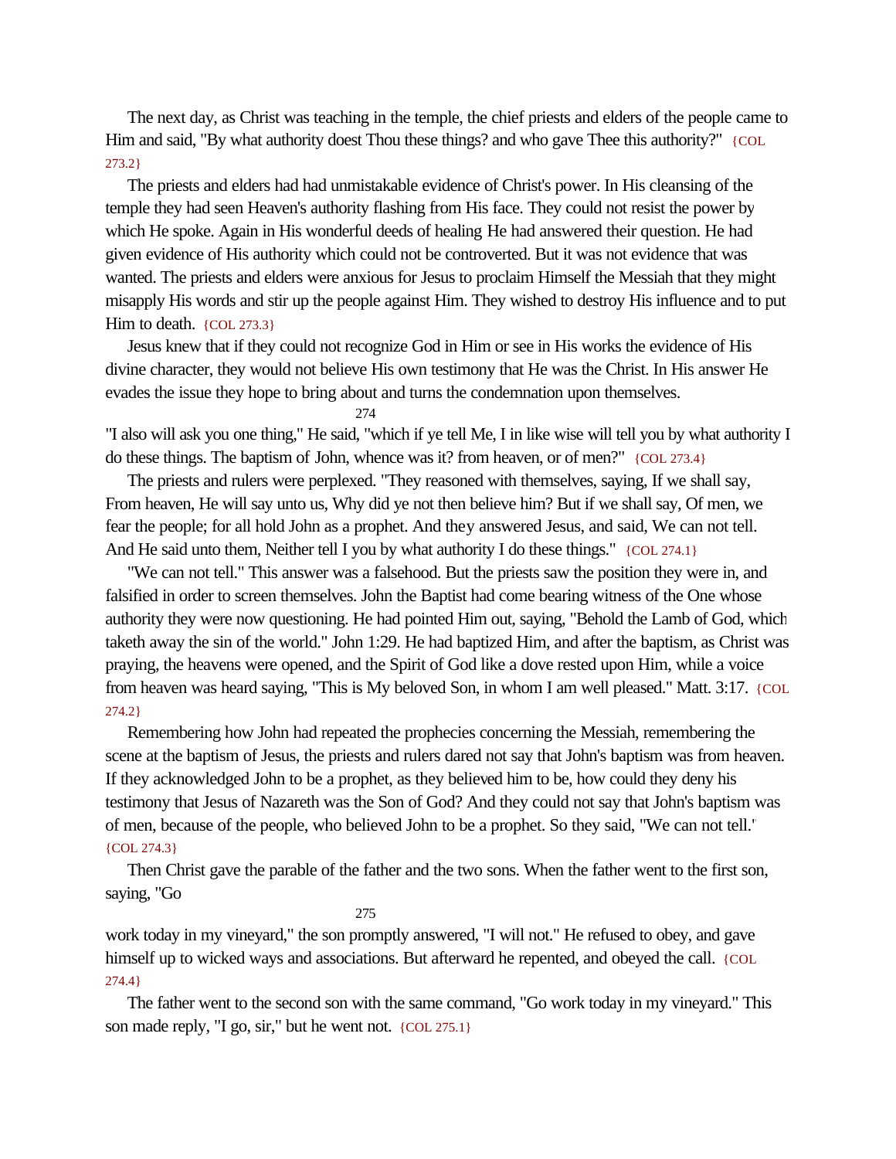The next day, as Christ was teaching in the temple, the chief priests and elders of the people came to Him and said, "By what authority doest Thou these things? and who gave Thee this authority?" {COL 273.2}

 The priests and elders had had unmistakable evidence of Christ's power. In His cleansing of the temple they had seen Heaven's authority flashing from His face. They could not resist the power by which He spoke. Again in His wonderful deeds of healing He had answered their question. He had given evidence of His authority which could not be controverted. But it was not evidence that was wanted. The priests and elders were anxious for Jesus to proclaim Himself the Messiah that they might misapply His words and stir up the people against Him. They wished to destroy His influence and to put Him to death. {COL 273.3}

 Jesus knew that if they could not recognize God in Him or see in His works the evidence of His divine character, they would not believe His own testimony that He was the Christ. In His answer He evades the issue they hope to bring about and turns the condemnation upon themselves.

274

"I also will ask you one thing," He said, "which if ye tell Me, I in like wise will tell you by what authority I do these things. The baptism of John, whence was it? from heaven, or of men?" {COL 273.4}

 The priests and rulers were perplexed. "They reasoned with themselves, saying, If we shall say, From heaven, He will say unto us, Why did ye not then believe him? But if we shall say, Of men, we fear the people; for all hold John as a prophet. And they answered Jesus, and said, We can not tell. And He said unto them, Neither tell I you by what authority I do these things." {COL 274.1}

 "We can not tell." This answer was a falsehood. But the priests saw the position they were in, and falsified in order to screen themselves. John the Baptist had come bearing witness of the One whose authority they were now questioning. He had pointed Him out, saying, "Behold the Lamb of God, which taketh away the sin of the world." John 1:29. He had baptized Him, and after the baptism, as Christ was praying, the heavens were opened, and the Spirit of God like a dove rested upon Him, while a voice from heaven was heard saying, "This is My beloved Son, in whom I am well pleased." Matt. 3:17. {COL 274.2}

 Remembering how John had repeated the prophecies concerning the Messiah, remembering the scene at the baptism of Jesus, the priests and rulers dared not say that John's baptism was from heaven. If they acknowledged John to be a prophet, as they believed him to be, how could they deny his testimony that Jesus of Nazareth was the Son of God? And they could not say that John's baptism was of men, because of the people, who believed John to be a prophet. So they said, "We can not tell." {COL 274.3}

 Then Christ gave the parable of the father and the two sons. When the father went to the first son, saying, "Go

<u>275</u>

work today in my vineyard," the son promptly answered, "I will not." He refused to obey, and gave himself up to wicked ways and associations. But afterward he repented, and obeyed the call. {COL} 274.4}

 The father went to the second son with the same command, "Go work today in my vineyard." This son made reply, "I go, sir," but he went not. {COL 275.1}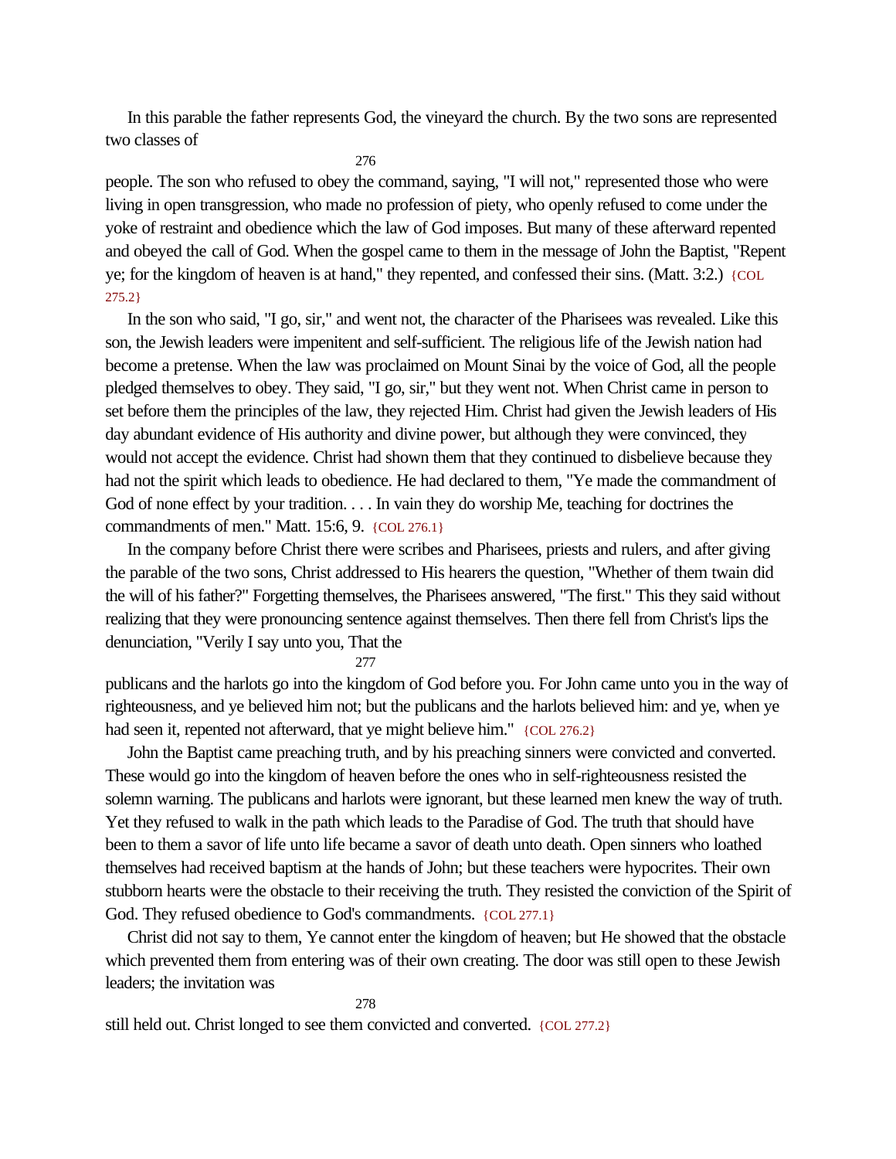In this parable the father represents God, the vineyard the church. By the two sons are represented two classes of

276

people. The son who refused to obey the command, saying, "I will not," represented those who were living in open transgression, who made no profession of piety, who openly refused to come under the yoke of restraint and obedience which the law of God imposes. But many of these afterward repented and obeyed the call of God. When the gospel came to them in the message of John the Baptist, "Repent ye; for the kingdom of heaven is at hand," they repented, and confessed their sins. (Matt. 3:2.) {COL 275.2}

 In the son who said, "I go, sir," and went not, the character of the Pharisees was revealed. Like this son, the Jewish leaders were impenitent and self-sufficient. The religious life of the Jewish nation had become a pretense. When the law was proclaimed on Mount Sinai by the voice of God, all the people pledged themselves to obey. They said, "I go, sir," but they went not. When Christ came in person to set before them the principles of the law, they rejected Him. Christ had given the Jewish leaders of His day abundant evidence of His authority and divine power, but although they were convinced, they would not accept the evidence. Christ had shown them that they continued to disbelieve because they had not the spirit which leads to obedience. He had declared to them, "Ye made the commandment of God of none effect by your tradition. . . . In vain they do worship Me, teaching for doctrines the commandments of men." Matt. 15:6, 9. {COL 276.1}

 In the company before Christ there were scribes and Pharisees, priests and rulers, and after giving the parable of the two sons, Christ addressed to His hearers the question, "Whether of them twain did the will of his father?" Forgetting themselves, the Pharisees answered, "The first." This they said without realizing that they were pronouncing sentence against themselves. Then there fell from Christ's lips the denunciation, "Verily I say unto you, That the

<u>277</u>

publicans and the harlots go into the kingdom of God before you. For John came unto you in the way of righteousness, and ye believed him not; but the publicans and the harlots believed him: and ye, when ye had seen it, repented not afterward, that ye might believe him." {COL 276.2}

 John the Baptist came preaching truth, and by his preaching sinners were convicted and converted. These would go into the kingdom of heaven before the ones who in self-righteousness resisted the solemn warning. The publicans and harlots were ignorant, but these learned men knew the way of truth. Yet they refused to walk in the path which leads to the Paradise of God. The truth that should have been to them a savor of life unto life became a savor of death unto death. Open sinners who loathed themselves had received baptism at the hands of John; but these teachers were hypocrites. Their own stubborn hearts were the obstacle to their receiving the truth. They resisted the conviction of the Spirit of God. They refused obedience to God's commandments. {COL 277.1}

 Christ did not say to them, Ye cannot enter the kingdom of heaven; but He showed that the obstacle which prevented them from entering was of their own creating. The door was still open to these Jewish leaders; the invitation was

still held out. Christ longed to see them convicted and converted. {COL 277.2}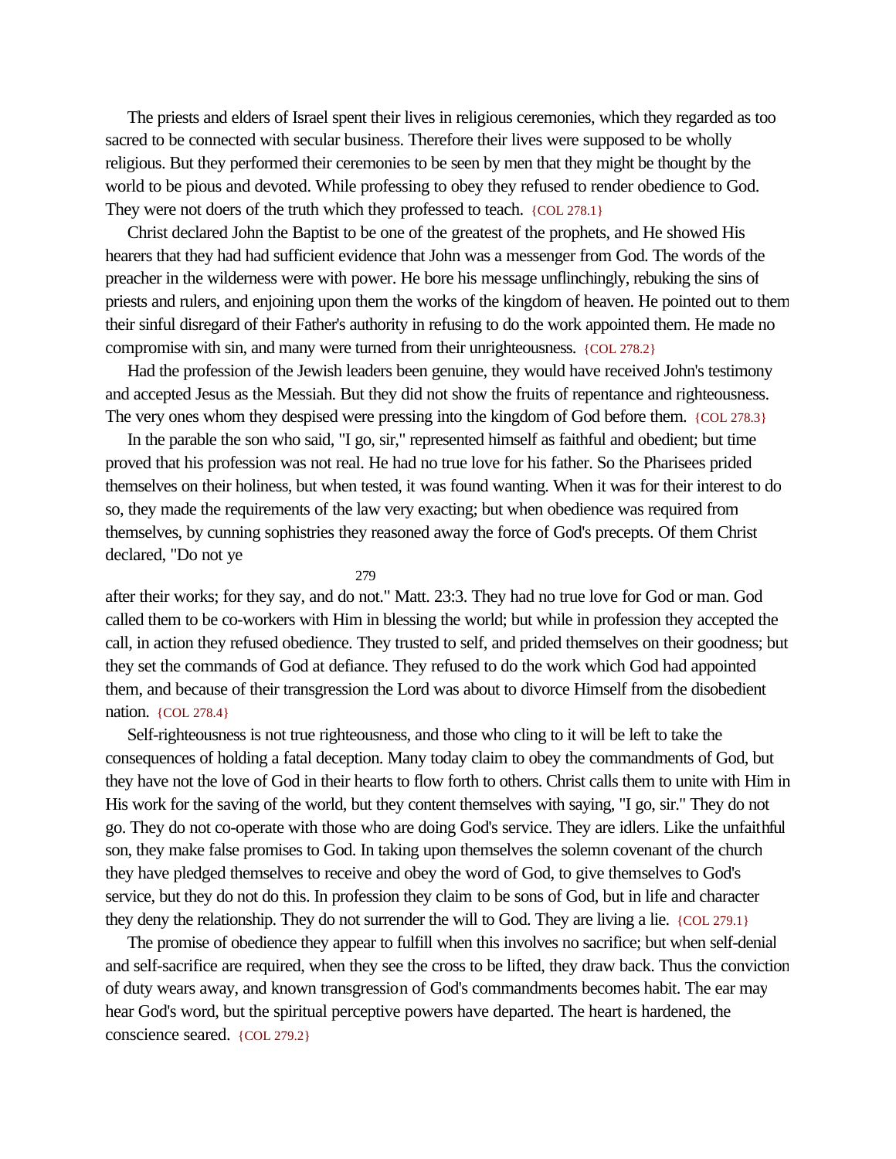The priests and elders of Israel spent their lives in religious ceremonies, which they regarded as too sacred to be connected with secular business. Therefore their lives were supposed to be wholly religious. But they performed their ceremonies to be seen by men that they might be thought by the world to be pious and devoted. While professing to obey they refused to render obedience to God. They were not doers of the truth which they professed to teach. {COL 278.1}

 Christ declared John the Baptist to be one of the greatest of the prophets, and He showed His hearers that they had had sufficient evidence that John was a messenger from God. The words of the preacher in the wilderness were with power. He bore his message unflinchingly, rebuking the sins of priests and rulers, and enjoining upon them the works of the kingdom of heaven. He pointed out to them their sinful disregard of their Father's authority in refusing to do the work appointed them. He made no compromise with sin, and many were turned from their unrighteousness. {COL 278.2}

 Had the profession of the Jewish leaders been genuine, they would have received John's testimony and accepted Jesus as the Messiah. But they did not show the fruits of repentance and righteousness. The very ones whom they despised were pressing into the kingdom of God before them. {COL 278.3}

 In the parable the son who said, "I go, sir," represented himself as faithful and obedient; but time proved that his profession was not real. He had no true love for his father. So the Pharisees prided themselves on their holiness, but when tested, it was found wanting. When it was for their interest to do so, they made the requirements of the law very exacting; but when obedience was required from themselves, by cunning sophistries they reasoned away the force of God's precepts. Of them Christ declared, "Do not ye

279

after their works; for they say, and do not." Matt. 23:3. They had no true love for God or man. God called them to be co-workers with Him in blessing the world; but while in profession they accepted the call, in action they refused obedience. They trusted to self, and prided themselves on their goodness; but they set the commands of God at defiance. They refused to do the work which God had appointed them, and because of their transgression the Lord was about to divorce Himself from the disobedient nation. {COL 278.4}

 Self-righteousness is not true righteousness, and those who cling to it will be left to take the consequences of holding a fatal deception. Many today claim to obey the commandments of God, but they have not the love of God in their hearts to flow forth to others. Christ calls them to unite with Him in His work for the saving of the world, but they content themselves with saying, "I go, sir." They do not go. They do not co-operate with those who are doing God's service. They are idlers. Like the unfaithful son, they make false promises to God. In taking upon themselves the solemn covenant of the church they have pledged themselves to receive and obey the word of God, to give themselves to God's service, but they do not do this. In profession they claim to be sons of God, but in life and character they deny the relationship. They do not surrender the will to God. They are living a lie. {COL 279.1}

 The promise of obedience they appear to fulfill when this involves no sacrifice; but when self-denial and self-sacrifice are required, when they see the cross to be lifted, they draw back. Thus the conviction of duty wears away, and known transgression of God's commandments becomes habit. The ear may hear God's word, but the spiritual perceptive powers have departed. The heart is hardened, the conscience seared. {COL 279.2}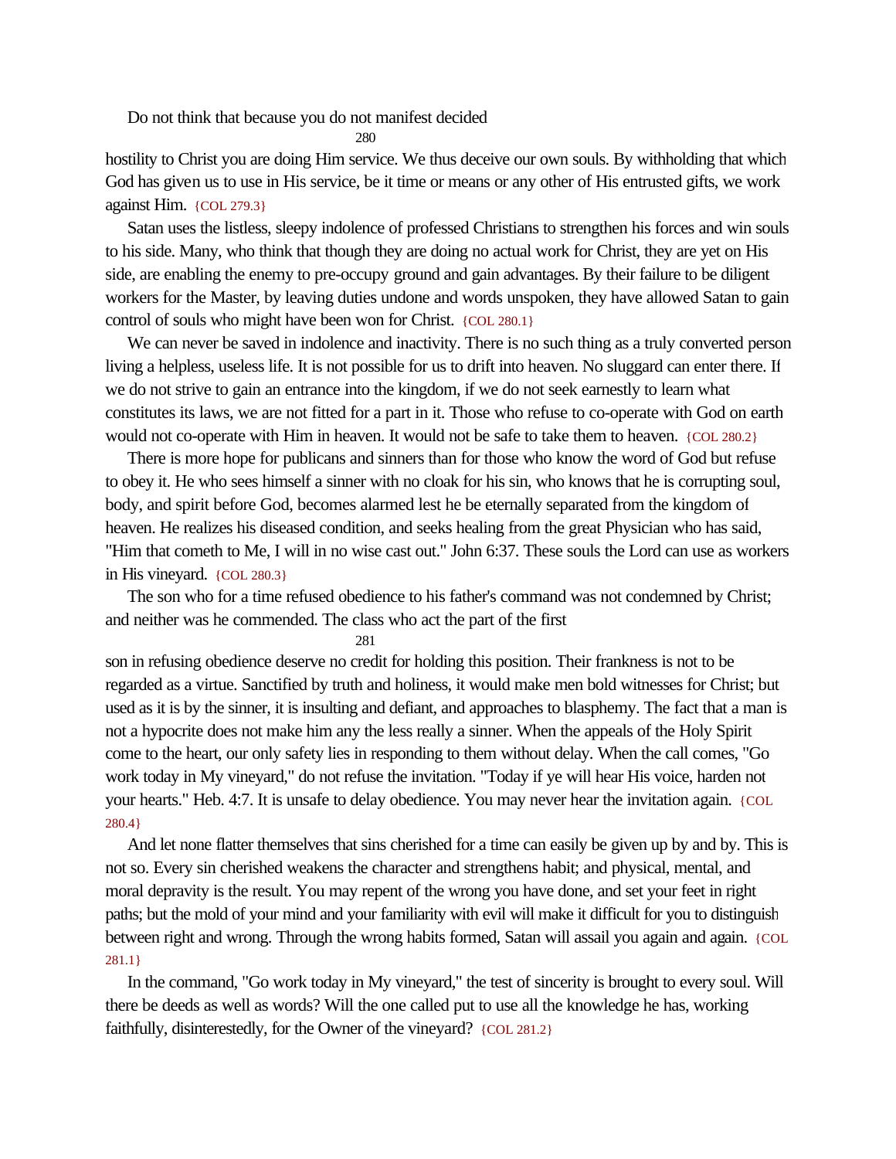Do not think that because you do not manifest decided

280

hostility to Christ you are doing Him service. We thus deceive our own souls. By withholding that which God has given us to use in His service, be it time or means or any other of His entrusted gifts, we work against Him. {COL 279.3}

 Satan uses the listless, sleepy indolence of professed Christians to strengthen his forces and win souls to his side. Many, who think that though they are doing no actual work for Christ, they are yet on His side, are enabling the enemy to pre-occupy ground and gain advantages. By their failure to be diligent workers for the Master, by leaving duties undone and words unspoken, they have allowed Satan to gain control of souls who might have been won for Christ. {COL 280.1}

 We can never be saved in indolence and inactivity. There is no such thing as a truly converted person living a helpless, useless life. It is not possible for us to drift into heaven. No sluggard can enter there. If we do not strive to gain an entrance into the kingdom, if we do not seek earnestly to learn what constitutes its laws, we are not fitted for a part in it. Those who refuse to co-operate with God on earth would not co-operate with Him in heaven. It would not be safe to take them to heaven. {COL 280.2}

 There is more hope for publicans and sinners than for those who know the word of God but refuse to obey it. He who sees himself a sinner with no cloak for his sin, who knows that he is corrupting soul, body, and spirit before God, becomes alarmed lest he be eternally separated from the kingdom of heaven. He realizes his diseased condition, and seeks healing from the great Physician who has said, "Him that cometh to Me, I will in no wise cast out." John 6:37. These souls the Lord can use as workers in His vineyard. {COL 280.3}

 The son who for a time refused obedience to his father's command was not condemned by Christ; and neither was he commended. The class who act the part of the first

281

son in refusing obedience deserve no credit for holding this position. Their frankness is not to be regarded as a virtue. Sanctified by truth and holiness, it would make men bold witnesses for Christ; but used as it is by the sinner, it is insulting and defiant, and approaches to blasphemy. The fact that a man is not a hypocrite does not make him any the less really a sinner. When the appeals of the Holy Spirit come to the heart, our only safety lies in responding to them without delay. When the call comes, "Go work today in My vineyard," do not refuse the invitation. "Today if ye will hear His voice, harden not your hearts." Heb. 4:7. It is unsafe to delay obedience. You may never hear the invitation again. {COL 280.4}

 And let none flatter themselves that sins cherished for a time can easily be given up by and by. This is not so. Every sin cherished weakens the character and strengthens habit; and physical, mental, and moral depravity is the result. You may repent of the wrong you have done, and set your feet in right paths; but the mold of your mind and your familiarity with evil will make it difficult for you to distinguish between right and wrong. Through the wrong habits formed, Satan will assail you again and again. {COL 281.1}

 In the command, "Go work today in My vineyard," the test of sincerity is brought to every soul. Will there be deeds as well as words? Will the one called put to use all the knowledge he has, working faithfully, disinterestedly, for the Owner of the vineyard? {COL 281.2}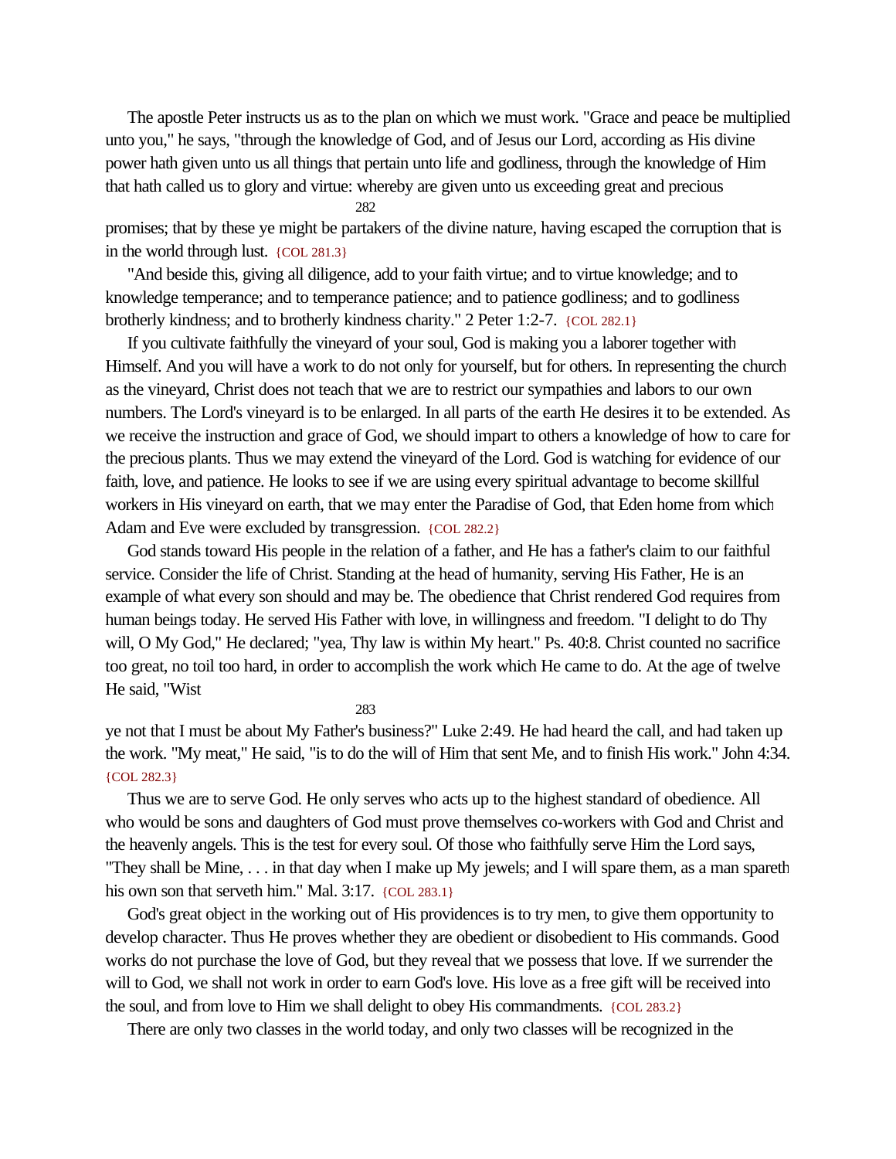The apostle Peter instructs us as to the plan on which we must work. "Grace and peace be multiplied unto you," he says, "through the knowledge of God, and of Jesus our Lord, according as His divine power hath given unto us all things that pertain unto life and godliness, through the knowledge of Him that hath called us to glory and virtue: whereby are given unto us exceeding great and precious

#### 282

promises; that by these ye might be partakers of the divine nature, having escaped the corruption that is in the world through lust. {COL 281.3}

 "And beside this, giving all diligence, add to your faith virtue; and to virtue knowledge; and to knowledge temperance; and to temperance patience; and to patience godliness; and to godliness brotherly kindness; and to brotherly kindness charity." 2 Peter 1:2-7. {COL 282.1}

 If you cultivate faithfully the vineyard of your soul, God is making you a laborer together with Himself. And you will have a work to do not only for yourself, but for others. In representing the church as the vineyard, Christ does not teach that we are to restrict our sympathies and labors to our own numbers. The Lord's vineyard is to be enlarged. In all parts of the earth He desires it to be extended. As we receive the instruction and grace of God, we should impart to others a knowledge of how to care for the precious plants. Thus we may extend the vineyard of the Lord. God is watching for evidence of our faith, love, and patience. He looks to see if we are using every spiritual advantage to become skillful workers in His vineyard on earth, that we may enter the Paradise of God, that Eden home from which Adam and Eve were excluded by transgression. {COL 282.2}

 God stands toward His people in the relation of a father, and He has a father's claim to our faithful service. Consider the life of Christ. Standing at the head of humanity, serving His Father, He is an example of what every son should and may be. The obedience that Christ rendered God requires from human beings today. He served His Father with love, in willingness and freedom. "I delight to do Thy will, O My God," He declared; "yea, Thy law is within My heart." Ps. 40:8. Christ counted no sacrifice too great, no toil too hard, in order to accomplish the work which He came to do. At the age of twelve He said, "Wist

#### 283

ye not that I must be about My Father's business?" Luke 2:49. He had heard the call, and had taken up the work. "My meat," He said, "is to do the will of Him that sent Me, and to finish His work." John 4:34. {COL 282.3}

 Thus we are to serve God. He only serves who acts up to the highest standard of obedience. All who would be sons and daughters of God must prove themselves co-workers with God and Christ and the heavenly angels. This is the test for every soul. Of those who faithfully serve Him the Lord says, "They shall be Mine, . . . in that day when I make up My jewels; and I will spare them, as a man spareth his own son that serveth him." Mal. 3:17. {COL 283.1}

 God's great object in the working out of His providences is to try men, to give them opportunity to develop character. Thus He proves whether they are obedient or disobedient to His commands. Good works do not purchase the love of God, but they reveal that we possess that love. If we surrender the will to God, we shall not work in order to earn God's love. His love as a free gift will be received into the soul, and from love to Him we shall delight to obey His commandments. {COL 283.2}

There are only two classes in the world today, and only two classes will be recognized in the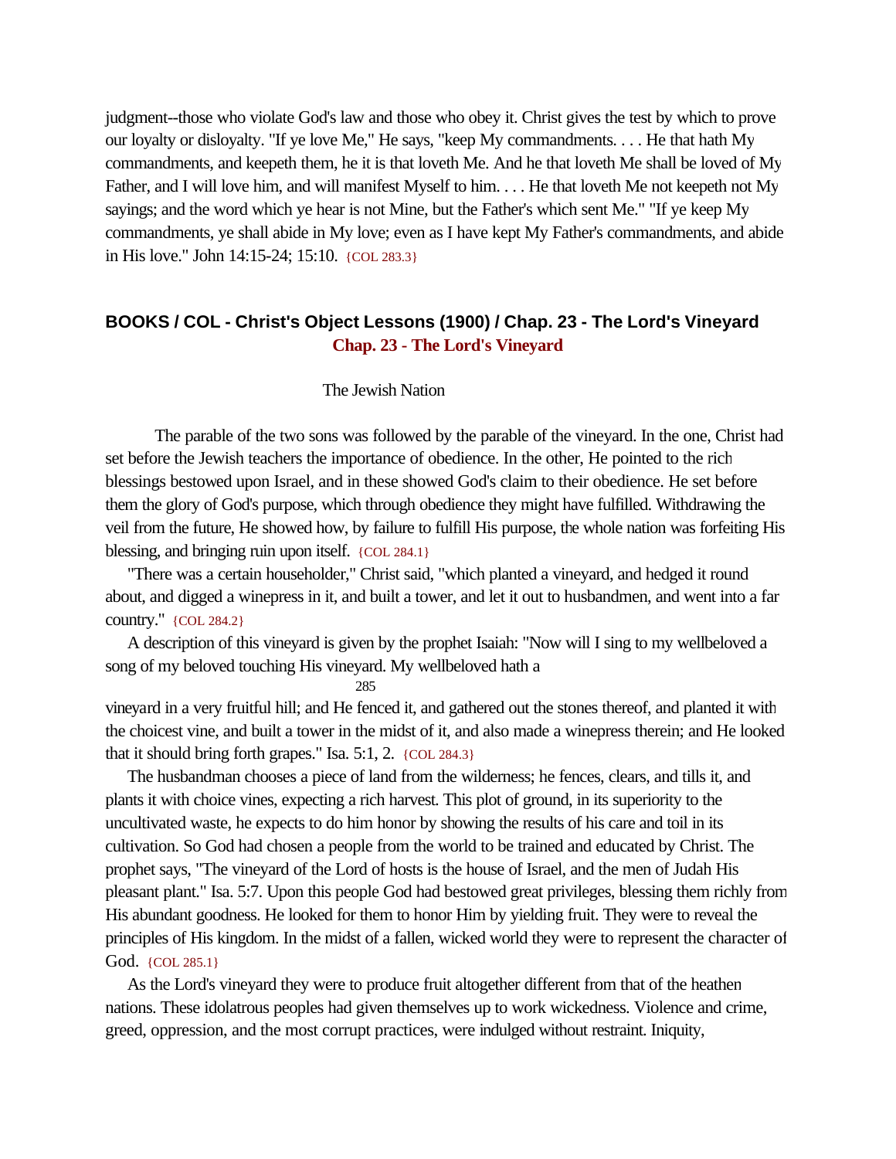judgment--those who violate God's law and those who obey it. Christ gives the test by which to prove our loyalty or disloyalty. "If ye love Me," He says, "keep My commandments. . . . He that hath My commandments, and keepeth them, he it is that loveth Me. And he that loveth Me shall be loved of My Father, and I will love him, and will manifest Myself to him. . . . He that loveth Me not keepeth not My sayings; and the word which ye hear is not Mine, but the Father's which sent Me." "If ye keep My commandments, ye shall abide in My love; even as I have kept My Father's commandments, and abide in His love." John 14:15-24; 15:10. {COL 283.3}

# **BOOKS / COL - Christ's Object Lessons (1900) / Chap. 23 - The Lord's Vineyard Chap. 23 - The Lord's Vineyard**

## The Jewish Nation

 The parable of the two sons was followed by the parable of the vineyard. In the one, Christ had set before the Jewish teachers the importance of obedience. In the other, He pointed to the rich blessings bestowed upon Israel, and in these showed God's claim to their obedience. He set before them the glory of God's purpose, which through obedience they might have fulfilled. Withdrawing the veil from the future, He showed how, by failure to fulfill His purpose, the whole nation was forfeiting His blessing, and bringing ruin upon itself. {COL 284.1}

 "There was a certain householder," Christ said, "which planted a vineyard, and hedged it round about, and digged a winepress in it, and built a tower, and let it out to husbandmen, and went into a far country." {COL 284.2}

 A description of this vineyard is given by the prophet Isaiah: "Now will I sing to my wellbeloved a song of my beloved touching His vineyard. My wellbeloved hath a

285

vineyard in a very fruitful hill; and He fenced it, and gathered out the stones thereof, and planted it with the choicest vine, and built a tower in the midst of it, and also made a winepress therein; and He looked that it should bring forth grapes." Isa.  $5:1, 2$ . {COL 284.3}

 The husbandman chooses a piece of land from the wilderness; he fences, clears, and tills it, and plants it with choice vines, expecting a rich harvest. This plot of ground, in its superiority to the uncultivated waste, he expects to do him honor by showing the results of his care and toil in its cultivation. So God had chosen a people from the world to be trained and educated by Christ. The prophet says, "The vineyard of the Lord of hosts is the house of Israel, and the men of Judah His pleasant plant." Isa. 5:7. Upon this people God had bestowed great privileges, blessing them richly from His abundant goodness. He looked for them to honor Him by yielding fruit. They were to reveal the principles of His kingdom. In the midst of a fallen, wicked world they were to represent the character of God. {COL 285.1}

 As the Lord's vineyard they were to produce fruit altogether different from that of the heathen nations. These idolatrous peoples had given themselves up to work wickedness. Violence and crime, greed, oppression, and the most corrupt practices, were indulged without restraint. Iniquity,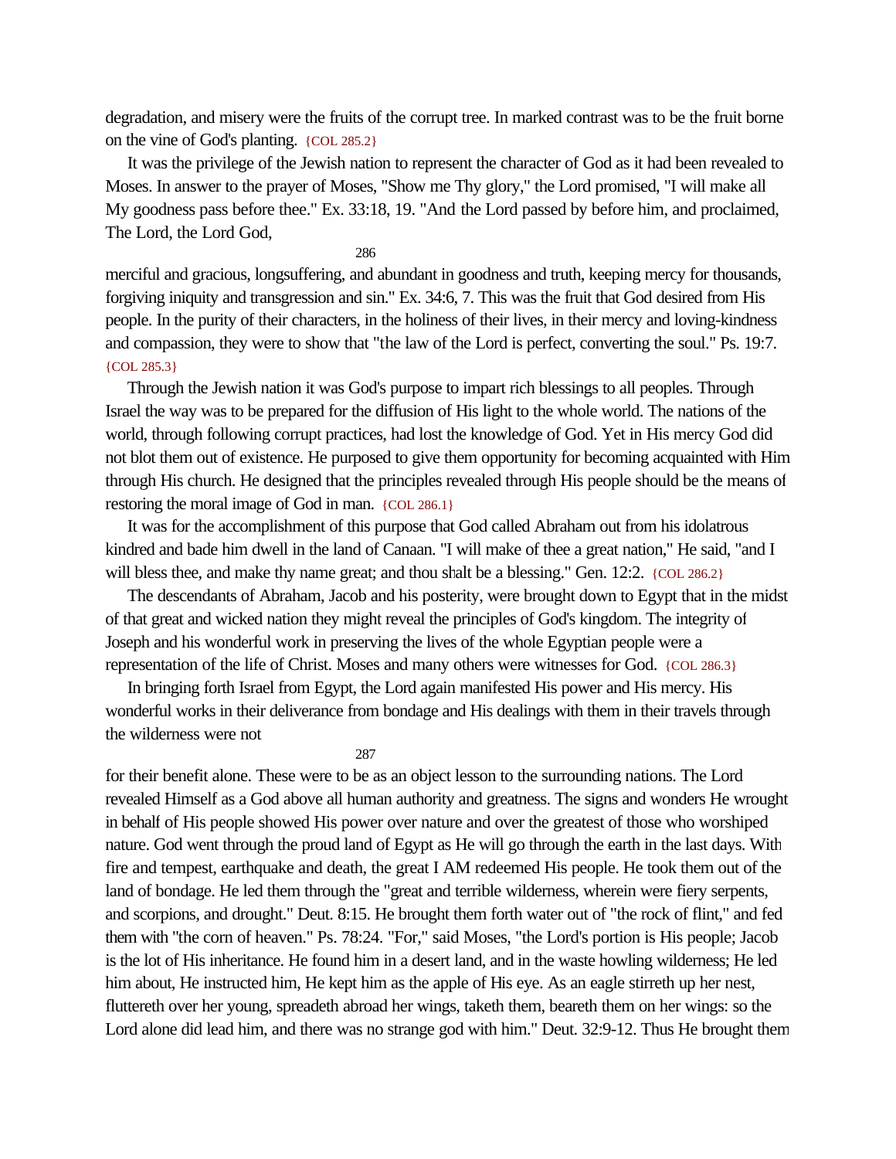degradation, and misery were the fruits of the corrupt tree. In marked contrast was to be the fruit borne on the vine of God's planting. {COL 285.2}

 It was the privilege of the Jewish nation to represent the character of God as it had been revealed to Moses. In answer to the prayer of Moses, "Show me Thy glory," the Lord promised, "I will make all My goodness pass before thee." Ex. 33:18, 19. "And the Lord passed by before him, and proclaimed, The Lord, the Lord God,

#### 286

merciful and gracious, longsuffering, and abundant in goodness and truth, keeping mercy for thousands, forgiving iniquity and transgression and sin." Ex. 34:6, 7. This was the fruit that God desired from His people. In the purity of their characters, in the holiness of their lives, in their mercy and loving-kindness and compassion, they were to show that "the law of the Lord is perfect, converting the soul." Ps. 19:7. {COL 285.3}

 Through the Jewish nation it was God's purpose to impart rich blessings to all peoples. Through Israel the way was to be prepared for the diffusion of His light to the whole world. The nations of the world, through following corrupt practices, had lost the knowledge of God. Yet in His mercy God did not blot them out of existence. He purposed to give them opportunity for becoming acquainted with Him through His church. He designed that the principles revealed through His people should be the means of restoring the moral image of God in man. {COL 286.1}

 It was for the accomplishment of this purpose that God called Abraham out from his idolatrous kindred and bade him dwell in the land of Canaan. "I will make of thee a great nation," He said, "and I will bless thee, and make thy name great; and thou shalt be a blessing." Gen. 12:2. {COL 286.2}

 The descendants of Abraham, Jacob and his posterity, were brought down to Egypt that in the midst of that great and wicked nation they might reveal the principles of God's kingdom. The integrity of Joseph and his wonderful work in preserving the lives of the whole Egyptian people were a representation of the life of Christ. Moses and many others were witnesses for God. {COL 286.3}

 In bringing forth Israel from Egypt, the Lord again manifested His power and His mercy. His wonderful works in their deliverance from bondage and His dealings with them in their travels through the wilderness were not

287

for their benefit alone. These were to be as an object lesson to the surrounding nations. The Lord revealed Himself as a God above all human authority and greatness. The signs and wonders He wrought in behalf of His people showed His power over nature and over the greatest of those who worshiped nature. God went through the proud land of Egypt as He will go through the earth in the last days. With fire and tempest, earthquake and death, the great I AM redeemed His people. He took them out of the land of bondage. He led them through the "great and terrible wilderness, wherein were fiery serpents, and scorpions, and drought." Deut. 8:15. He brought them forth water out of "the rock of flint," and fed them with "the corn of heaven." Ps. 78:24. "For," said Moses, "the Lord's portion is His people; Jacob is the lot of His inheritance. He found him in a desert land, and in the waste howling wilderness; He led him about, He instructed him, He kept him as the apple of His eye. As an eagle stirreth up her nest, fluttereth over her young, spreadeth abroad her wings, taketh them, beareth them on her wings: so the Lord alone did lead him, and there was no strange god with him." Deut. 32:9-12. Thus He brought them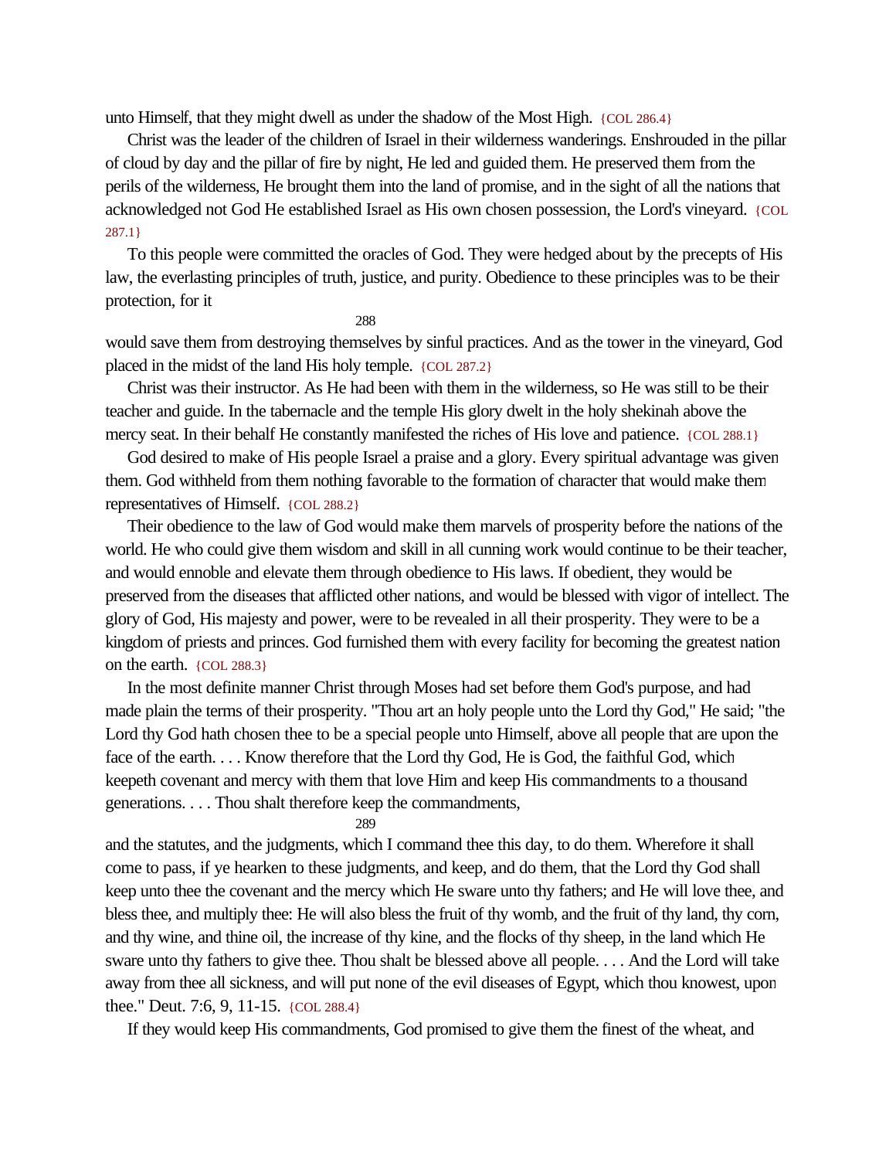unto Himself, that they might dwell as under the shadow of the Most High. {COL 286.4}

 Christ was the leader of the children of Israel in their wilderness wanderings. Enshrouded in the pillar of cloud by day and the pillar of fire by night, He led and guided them. He preserved them from the perils of the wilderness, He brought them into the land of promise, and in the sight of all the nations that acknowledged not God He established Israel as His own chosen possession, the Lord's vineyard. {COL 287.1}

 To this people were committed the oracles of God. They were hedged about by the precepts of His law, the everlasting principles of truth, justice, and purity. Obedience to these principles was to be their protection, for it

288

would save them from destroying themselves by sinful practices. And as the tower in the vineyard, God placed in the midst of the land His holy temple. {COL 287.2}

 Christ was their instructor. As He had been with them in the wilderness, so He was still to be their teacher and guide. In the tabernacle and the temple His glory dwelt in the holy shekinah above the mercy seat. In their behalf He constantly manifested the riches of His love and patience. {COL 288.1}

 God desired to make of His people Israel a praise and a glory. Every spiritual advantage was given them. God withheld from them nothing favorable to the formation of character that would make them representatives of Himself. {COL 288.2}

 Their obedience to the law of God would make them marvels of prosperity before the nations of the world. He who could give them wisdom and skill in all cunning work would continue to be their teacher, and would ennoble and elevate them through obedience to His laws. If obedient, they would be preserved from the diseases that afflicted other nations, and would be blessed with vigor of intellect. The glory of God, His majesty and power, were to be revealed in all their prosperity. They were to be a kingdom of priests and princes. God furnished them with every facility for becoming the greatest nation on the earth. {COL 288.3}

 In the most definite manner Christ through Moses had set before them God's purpose, and had made plain the terms of their prosperity. "Thou art an holy people unto the Lord thy God," He said; "the Lord thy God hath chosen thee to be a special people unto Himself, above all people that are upon the face of the earth. . . . Know therefore that the Lord thy God, He is God, the faithful God, which keepeth covenant and mercy with them that love Him and keep His commandments to a thousand generations. . . . Thou shalt therefore keep the commandments,

#### 289

and the statutes, and the judgments, which I command thee this day, to do them. Wherefore it shall come to pass, if ye hearken to these judgments, and keep, and do them, that the Lord thy God shall keep unto thee the covenant and the mercy which He sware unto thy fathers; and He will love thee, and bless thee, and multiply thee: He will also bless the fruit of thy womb, and the fruit of thy land, thy corn, and thy wine, and thine oil, the increase of thy kine, and the flocks of thy sheep, in the land which He sware unto thy fathers to give thee. Thou shalt be blessed above all people. . . . And the Lord will take away from thee all sickness, and will put none of the evil diseases of Egypt, which thou knowest, upon thee." Deut. 7:6, 9, 11-15. {COL 288.4}

If they would keep His commandments, God promised to give them the finest of the wheat, and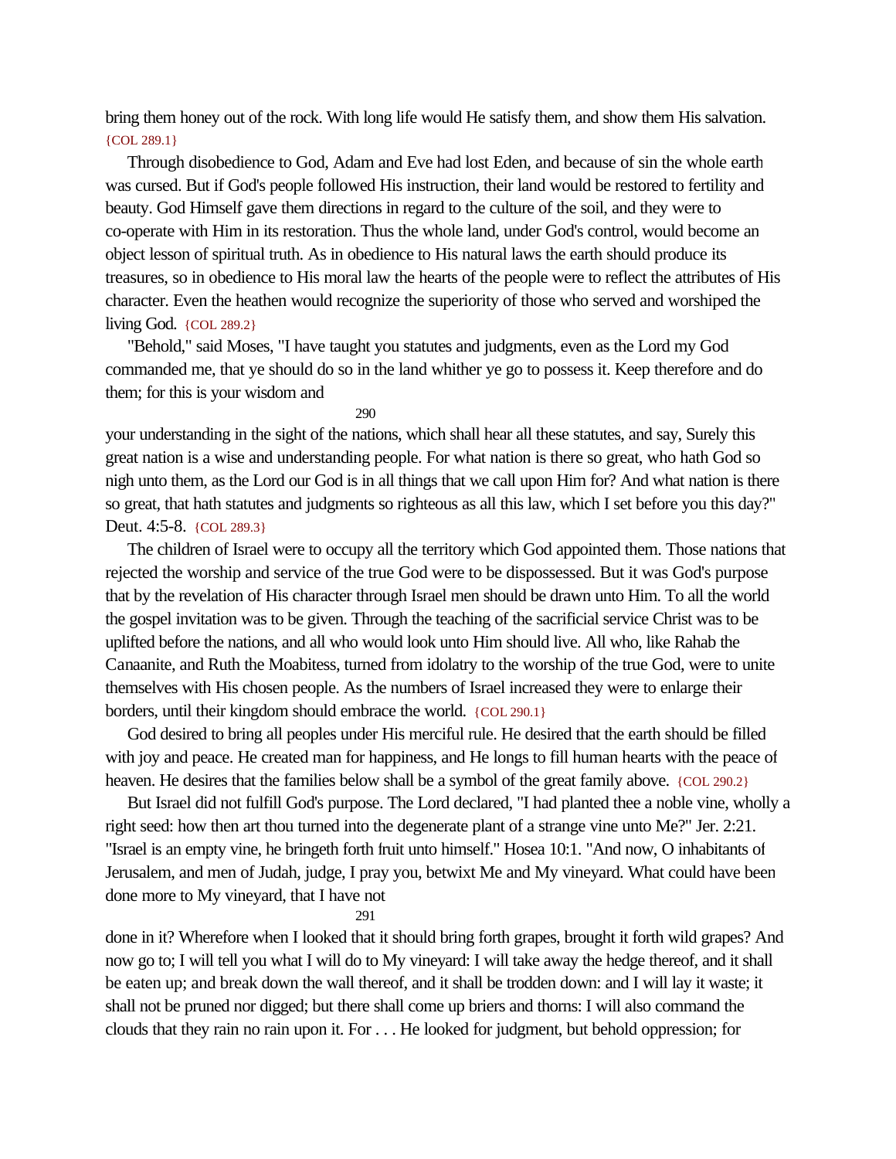bring them honey out of the rock. With long life would He satisfy them, and show them His salvation. {COL 289.1}

 Through disobedience to God, Adam and Eve had lost Eden, and because of sin the whole earth was cursed. But if God's people followed His instruction, their land would be restored to fertility and beauty. God Himself gave them directions in regard to the culture of the soil, and they were to co-operate with Him in its restoration. Thus the whole land, under God's control, would become an object lesson of spiritual truth. As in obedience to His natural laws the earth should produce its treasures, so in obedience to His moral law the hearts of the people were to reflect the attributes of His character. Even the heathen would recognize the superiority of those who served and worshiped the living God.  $\{COL\ 289.2\}$ 

 "Behold," said Moses, "I have taught you statutes and judgments, even as the Lord my God commanded me, that ye should do so in the land whither ye go to possess it. Keep therefore and do them; for this is your wisdom and

290

your understanding in the sight of the nations, which shall hear all these statutes, and say, Surely this great nation is a wise and understanding people. For what nation is there so great, who hath God so nigh unto them, as the Lord our God is in all things that we call upon Him for? And what nation is there so great, that hath statutes and judgments so righteous as all this law, which I set before you this day?" Deut. 4:5-8. {COL 289.3}

 The children of Israel were to occupy all the territory which God appointed them. Those nations that rejected the worship and service of the true God were to be dispossessed. But it was God's purpose that by the revelation of His character through Israel men should be drawn unto Him. To all the world the gospel invitation was to be given. Through the teaching of the sacrificial service Christ was to be uplifted before the nations, and all who would look unto Him should live. All who, like Rahab the Canaanite, and Ruth the Moabitess, turned from idolatry to the worship of the true God, were to unite themselves with His chosen people. As the numbers of Israel increased they were to enlarge their borders, until their kingdom should embrace the world. {COL 290.1}

 God desired to bring all peoples under His merciful rule. He desired that the earth should be filled with joy and peace. He created man for happiness, and He longs to fill human hearts with the peace of heaven. He desires that the families below shall be a symbol of the great family above. {COL 290.2}

 But Israel did not fulfill God's purpose. The Lord declared, "I had planted thee a noble vine, wholly a right seed: how then art thou turned into the degenerate plant of a strange vine unto Me?" Jer. 2:21. "Israel is an empty vine, he bringeth forth fruit unto himself." Hosea 10:1. "And now, O inhabitants of Jerusalem, and men of Judah, judge, I pray you, betwixt Me and My vineyard. What could have been done more to My vineyard, that I have not

291

done in it? Wherefore when I looked that it should bring forth grapes, brought it forth wild grapes? And now go to; I will tell you what I will do to My vineyard: I will take away the hedge thereof, and it shall be eaten up; and break down the wall thereof, and it shall be trodden down: and I will lay it waste; it shall not be pruned nor digged; but there shall come up briers and thorns: I will also command the clouds that they rain no rain upon it. For . . . He looked for judgment, but behold oppression; for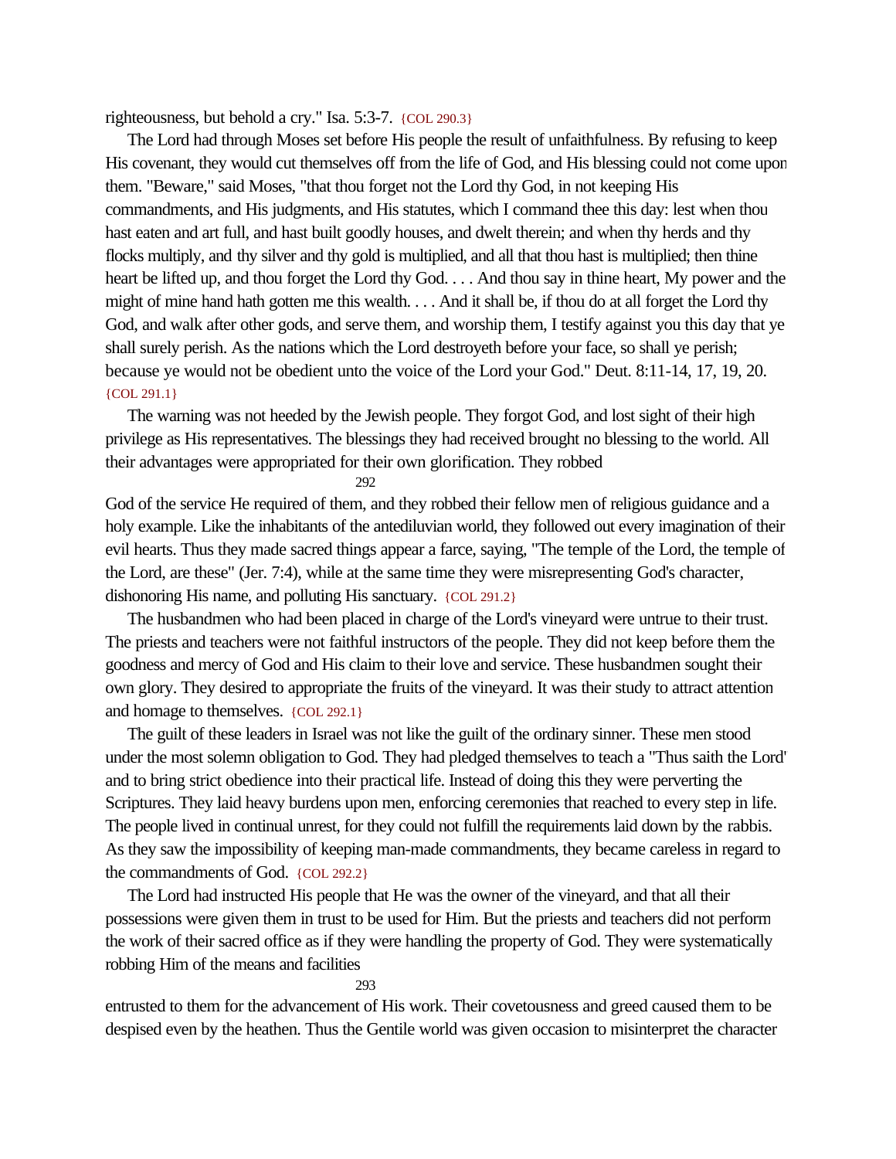righteousness, but behold a cry." Isa. 5:3-7. {COL 290.3}

 The Lord had through Moses set before His people the result of unfaithfulness. By refusing to keep His covenant, they would cut themselves off from the life of God, and His blessing could not come upon them. "Beware," said Moses, "that thou forget not the Lord thy God, in not keeping His commandments, and His judgments, and His statutes, which I command thee this day: lest when thou hast eaten and art full, and hast built goodly houses, and dwelt therein; and when thy herds and thy flocks multiply, and thy silver and thy gold is multiplied, and all that thou hast is multiplied; then thine heart be lifted up, and thou forget the Lord thy God. . . . And thou say in thine heart, My power and the might of mine hand hath gotten me this wealth. . . . And it shall be, if thou do at all forget the Lord thy God, and walk after other gods, and serve them, and worship them, I testify against you this day that ye shall surely perish. As the nations which the Lord destroyeth before your face, so shall ye perish; because ye would not be obedient unto the voice of the Lord your God." Deut. 8:11-14, 17, 19, 20. {COL 291.1}

 The warning was not heeded by the Jewish people. They forgot God, and lost sight of their high privilege as His representatives. The blessings they had received brought no blessing to the world. All their advantages were appropriated for their own glorification. They robbed

292

God of the service He required of them, and they robbed their fellow men of religious guidance and a holy example. Like the inhabitants of the antediluvian world, they followed out every imagination of their evil hearts. Thus they made sacred things appear a farce, saying, "The temple of the Lord, the temple of the Lord, are these" (Jer. 7:4), while at the same time they were misrepresenting God's character, dishonoring His name, and polluting His sanctuary. {COL 291.2}

 The husbandmen who had been placed in charge of the Lord's vineyard were untrue to their trust. The priests and teachers were not faithful instructors of the people. They did not keep before them the goodness and mercy of God and His claim to their love and service. These husbandmen sought their own glory. They desired to appropriate the fruits of the vineyard. It was their study to attract attention and homage to themselves. {COL 292.1}

 The guilt of these leaders in Israel was not like the guilt of the ordinary sinner. These men stood under the most solemn obligation to God. They had pledged themselves to teach a "Thus saith the Lord" and to bring strict obedience into their practical life. Instead of doing this they were perverting the Scriptures. They laid heavy burdens upon men, enforcing ceremonies that reached to every step in life. The people lived in continual unrest, for they could not fulfill the requirements laid down by the rabbis. As they saw the impossibility of keeping man-made commandments, they became careless in regard to the commandments of God. {COL 292.2}

 The Lord had instructed His people that He was the owner of the vineyard, and that all their possessions were given them in trust to be used for Him. But the priests and teachers did not perform the work of their sacred office as if they were handling the property of God. They were systematically robbing Him of the means and facilities

#### 293

entrusted to them for the advancement of His work. Their covetousness and greed caused them to be despised even by the heathen. Thus the Gentile world was given occasion to misinterpret the character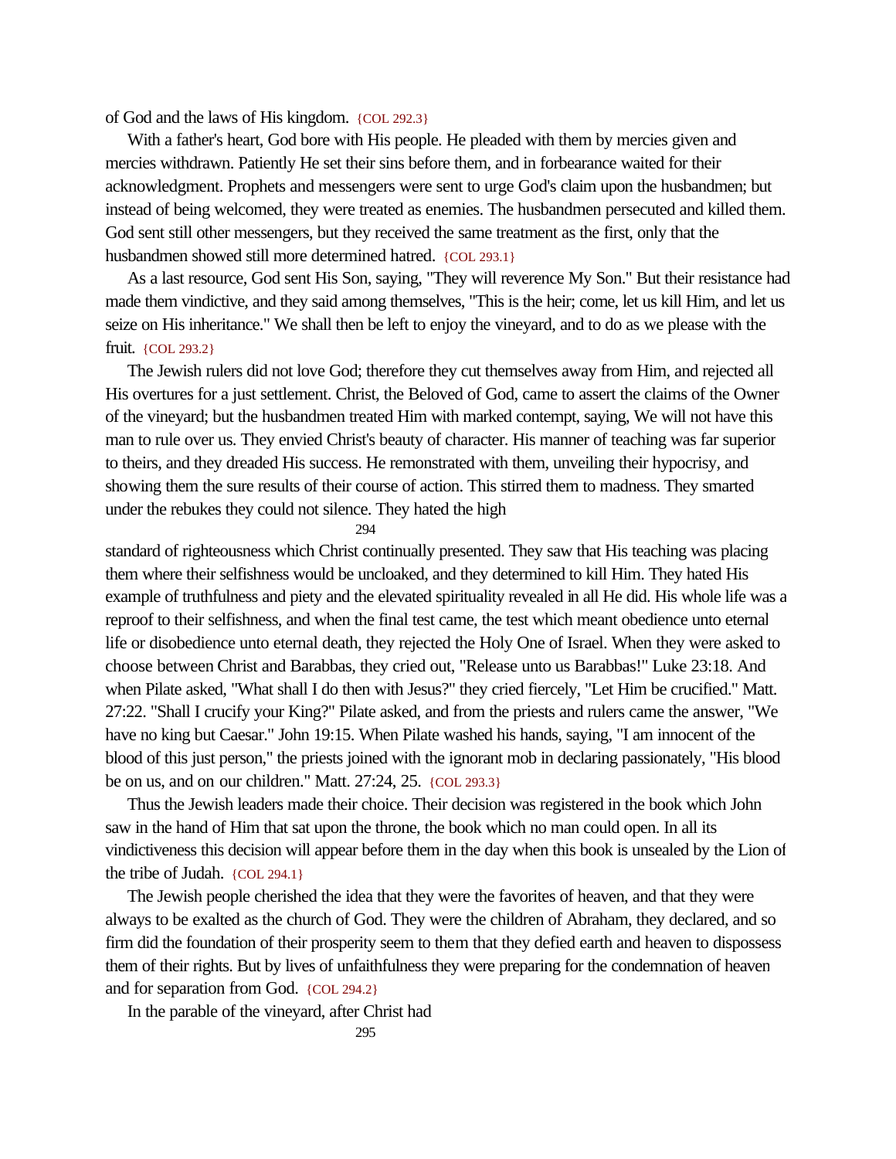of God and the laws of His kingdom. {COL 292.3}

 With a father's heart, God bore with His people. He pleaded with them by mercies given and mercies withdrawn. Patiently He set their sins before them, and in forbearance waited for their acknowledgment. Prophets and messengers were sent to urge God's claim upon the husbandmen; but instead of being welcomed, they were treated as enemies. The husbandmen persecuted and killed them. God sent still other messengers, but they received the same treatment as the first, only that the husbandmen showed still more determined hatred. {COL 293.1}

 As a last resource, God sent His Son, saying, "They will reverence My Son." But their resistance had made them vindictive, and they said among themselves, "This is the heir; come, let us kill Him, and let us seize on His inheritance." We shall then be left to enjoy the vineyard, and to do as we please with the fruit. {COL 293.2}

 The Jewish rulers did not love God; therefore they cut themselves away from Him, and rejected all His overtures for a just settlement. Christ, the Beloved of God, came to assert the claims of the Owner of the vineyard; but the husbandmen treated Him with marked contempt, saying, We will not have this man to rule over us. They envied Christ's beauty of character. His manner of teaching was far superior to theirs, and they dreaded His success. He remonstrated with them, unveiling their hypocrisy, and showing them the sure results of their course of action. This stirred them to madness. They smarted under the rebukes they could not silence. They hated the high

294

standard of righteousness which Christ continually presented. They saw that His teaching was placing them where their selfishness would be uncloaked, and they determined to kill Him. They hated His example of truthfulness and piety and the elevated spirituality revealed in all He did. His whole life was a reproof to their selfishness, and when the final test came, the test which meant obedience unto eternal life or disobedience unto eternal death, they rejected the Holy One of Israel. When they were asked to choose between Christ and Barabbas, they cried out, "Release unto us Barabbas!" Luke 23:18. And when Pilate asked, "What shall I do then with Jesus?" they cried fiercely, "Let Him be crucified." Matt. 27:22. "Shall I crucify your King?" Pilate asked, and from the priests and rulers came the answer, "We have no king but Caesar." John 19:15. When Pilate washed his hands, saying, "I am innocent of the blood of this just person," the priests joined with the ignorant mob in declaring passionately, "His blood be on us, and on our children." Matt. 27:24, 25. {COL 293.3}

 Thus the Jewish leaders made their choice. Their decision was registered in the book which John saw in the hand of Him that sat upon the throne, the book which no man could open. In all its vindictiveness this decision will appear before them in the day when this book is unsealed by the Lion of the tribe of Judah.  $\{COL\ 294.1\}$ 

 The Jewish people cherished the idea that they were the favorites of heaven, and that they were always to be exalted as the church of God. They were the children of Abraham, they declared, and so firm did the foundation of their prosperity seem to them that they defied earth and heaven to dispossess them of their rights. But by lives of unfaithfulness they were preparing for the condemnation of heaven and for separation from God. {COL 294.2}

In the parable of the vineyard, after Christ had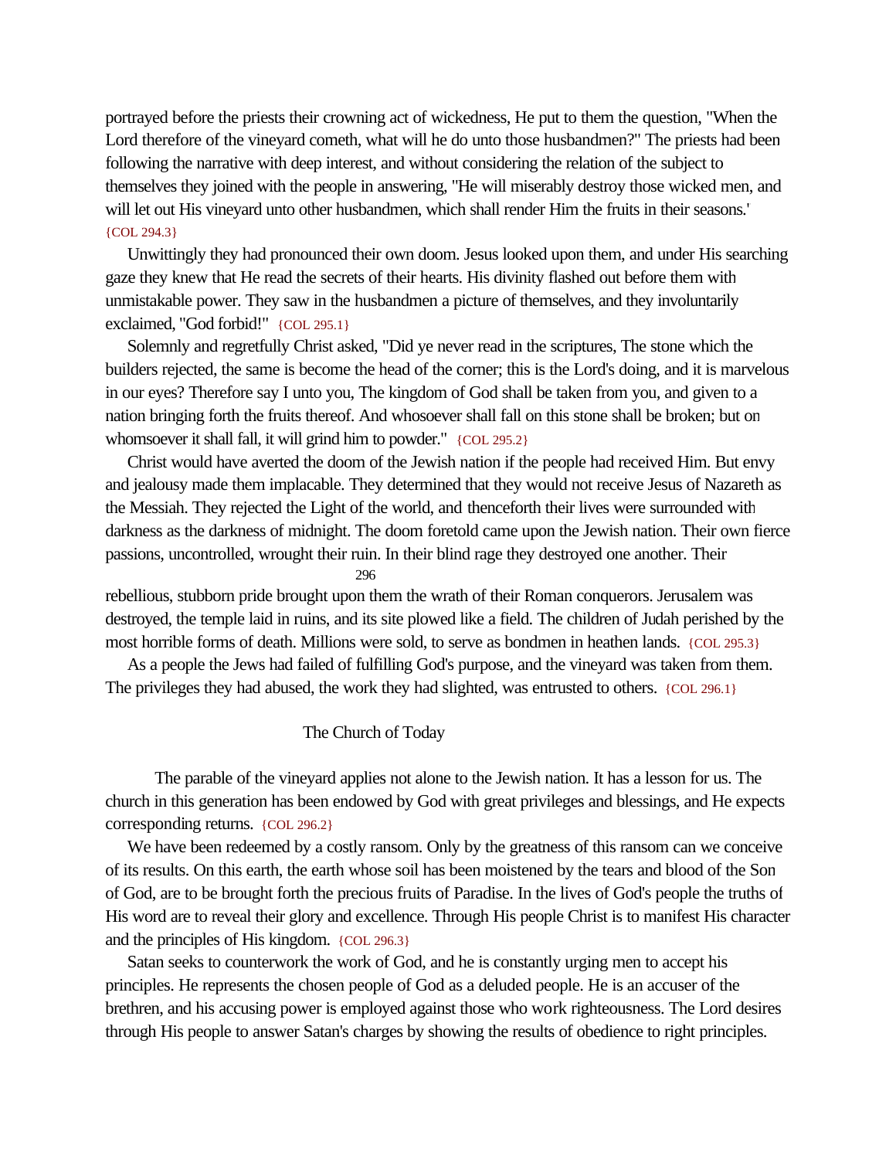portrayed before the priests their crowning act of wickedness, He put to them the question, "When the Lord therefore of the vineyard cometh, what will he do unto those husbandmen?" The priests had been following the narrative with deep interest, and without considering the relation of the subject to themselves they joined with the people in answering, "He will miserably destroy those wicked men, and will let out His vineyard unto other husbandmen, which shall render Him the fruits in their seasons." {COL 294.3}

 Unwittingly they had pronounced their own doom. Jesus looked upon them, and under His searching gaze they knew that He read the secrets of their hearts. His divinity flashed out before them with unmistakable power. They saw in the husbandmen a picture of themselves, and they involuntarily exclaimed, "God forbid!" {COL 295.1}

 Solemnly and regretfully Christ asked, "Did ye never read in the scriptures, The stone which the builders rejected, the same is become the head of the corner; this is the Lord's doing, and it is marvelous in our eyes? Therefore say I unto you, The kingdom of God shall be taken from you, and given to a nation bringing forth the fruits thereof. And whosoever shall fall on this stone shall be broken; but on whomsoever it shall fall, it will grind him to powder." {COL 295.2}

 Christ would have averted the doom of the Jewish nation if the people had received Him. But envy and jealousy made them implacable. They determined that they would not receive Jesus of Nazareth as the Messiah. They rejected the Light of the world, and thenceforth their lives were surrounded with darkness as the darkness of midnight. The doom foretold came upon the Jewish nation. Their own fierce passions, uncontrolled, wrought their ruin. In their blind rage they destroyed one another. Their 296

rebellious, stubborn pride brought upon them the wrath of their Roman conquerors. Jerusalem was destroyed, the temple laid in ruins, and its site plowed like a field. The children of Judah perished by the most horrible forms of death. Millions were sold, to serve as bondmen in heathen lands. {COL 295.3}

 As a people the Jews had failed of fulfilling God's purpose, and the vineyard was taken from them. The privileges they had abused, the work they had slighted, was entrusted to others. {COL 296.1}

## The Church of Today

 The parable of the vineyard applies not alone to the Jewish nation. It has a lesson for us. The church in this generation has been endowed by God with great privileges and blessings, and He expects corresponding returns. {COL 296.2}

We have been redeemed by a costly ransom. Only by the greatness of this ransom can we conceive of its results. On this earth, the earth whose soil has been moistened by the tears and blood of the Son of God, are to be brought forth the precious fruits of Paradise. In the lives of God's people the truths of His word are to reveal their glory and excellence. Through His people Christ is to manifest His character and the principles of His kingdom. {COL 296.3}

 Satan seeks to counterwork the work of God, and he is constantly urging men to accept his principles. He represents the chosen people of God as a deluded people. He is an accuser of the brethren, and his accusing power is employed against those who work righteousness. The Lord desires through His people to answer Satan's charges by showing the results of obedience to right principles.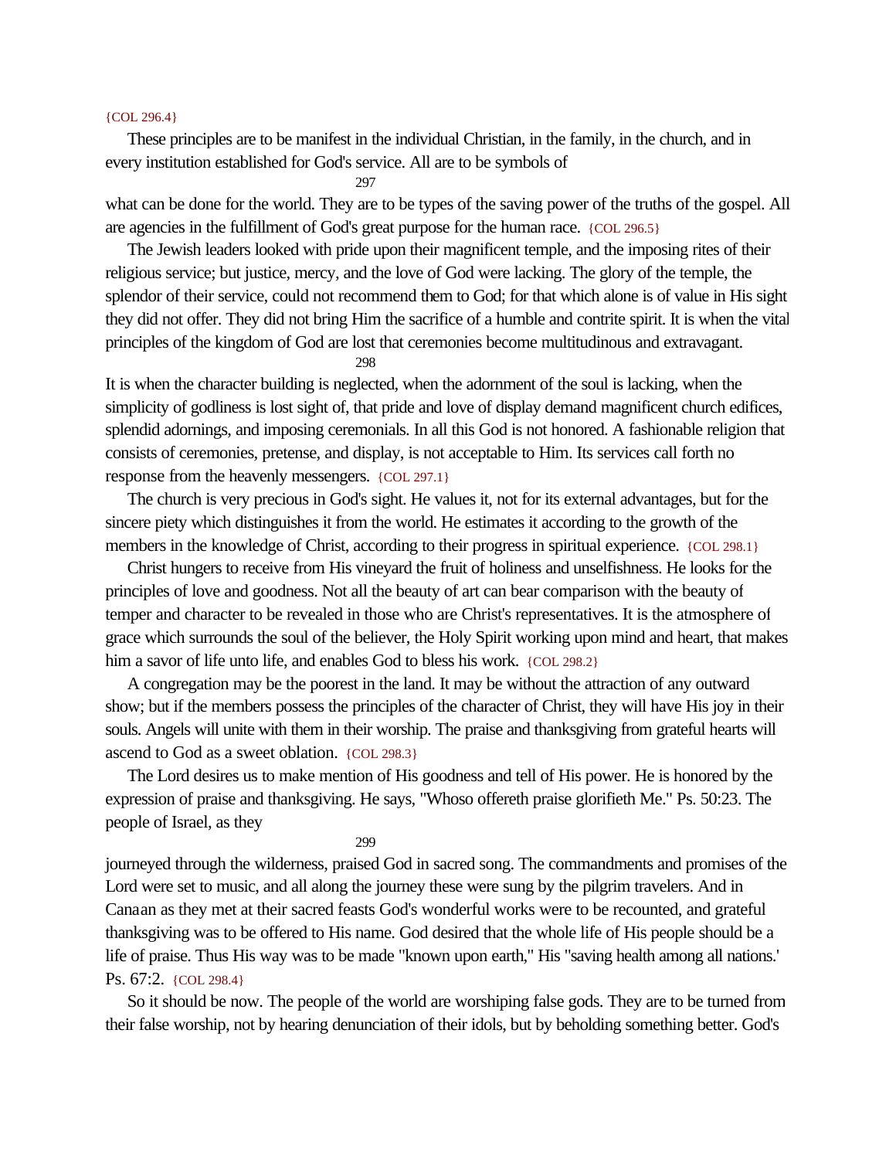### {COL 296.4}

 These principles are to be manifest in the individual Christian, in the family, in the church, and in every institution established for God's service. All are to be symbols of

297

what can be done for the world. They are to be types of the saving power of the truths of the gospel. All are agencies in the fulfillment of God's great purpose for the human race. {COL 296.5}

 The Jewish leaders looked with pride upon their magnificent temple, and the imposing rites of their religious service; but justice, mercy, and the love of God were lacking. The glory of the temple, the splendor of their service, could not recommend them to God; for that which alone is of value in His sight they did not offer. They did not bring Him the sacrifice of a humble and contrite spirit. It is when the vital principles of the kingdom of God are lost that ceremonies become multitudinous and extravagant.

298

It is when the character building is neglected, when the adornment of the soul is lacking, when the simplicity of godliness is lost sight of, that pride and love of display demand magnificent church edifices, splendid adornings, and imposing ceremonials. In all this God is not honored. A fashionable religion that consists of ceremonies, pretense, and display, is not acceptable to Him. Its services call forth no response from the heavenly messengers. {COL 297.1}

 The church is very precious in God's sight. He values it, not for its external advantages, but for the sincere piety which distinguishes it from the world. He estimates it according to the growth of the members in the knowledge of Christ, according to their progress in spiritual experience. {COL 298.1}

 Christ hungers to receive from His vineyard the fruit of holiness and unselfishness. He looks for the principles of love and goodness. Not all the beauty of art can bear comparison with the beauty of temper and character to be revealed in those who are Christ's representatives. It is the atmosphere of grace which surrounds the soul of the believer, the Holy Spirit working upon mind and heart, that makes him a savor of life unto life, and enables God to bless his work. {COL 298.2}

 A congregation may be the poorest in the land. It may be without the attraction of any outward show; but if the members possess the principles of the character of Christ, they will have His joy in their souls. Angels will unite with them in their worship. The praise and thanksgiving from grateful hearts will ascend to God as a sweet oblation. {COL 298.3}

 The Lord desires us to make mention of His goodness and tell of His power. He is honored by the expression of praise and thanksgiving. He says, "Whoso offereth praise glorifieth Me." Ps. 50:23. The people of Israel, as they

#### 299

journeyed through the wilderness, praised God in sacred song. The commandments and promises of the Lord were set to music, and all along the journey these were sung by the pilgrim travelers. And in Canaan as they met at their sacred feasts God's wonderful works were to be recounted, and grateful thanksgiving was to be offered to His name. God desired that the whole life of His people should be a life of praise. Thus His way was to be made "known upon earth," His "saving health among all nations." Ps. 67:2. {COL 298.4}

 So it should be now. The people of the world are worshiping false gods. They are to be turned from their false worship, not by hearing denunciation of their idols, but by beholding something better. God's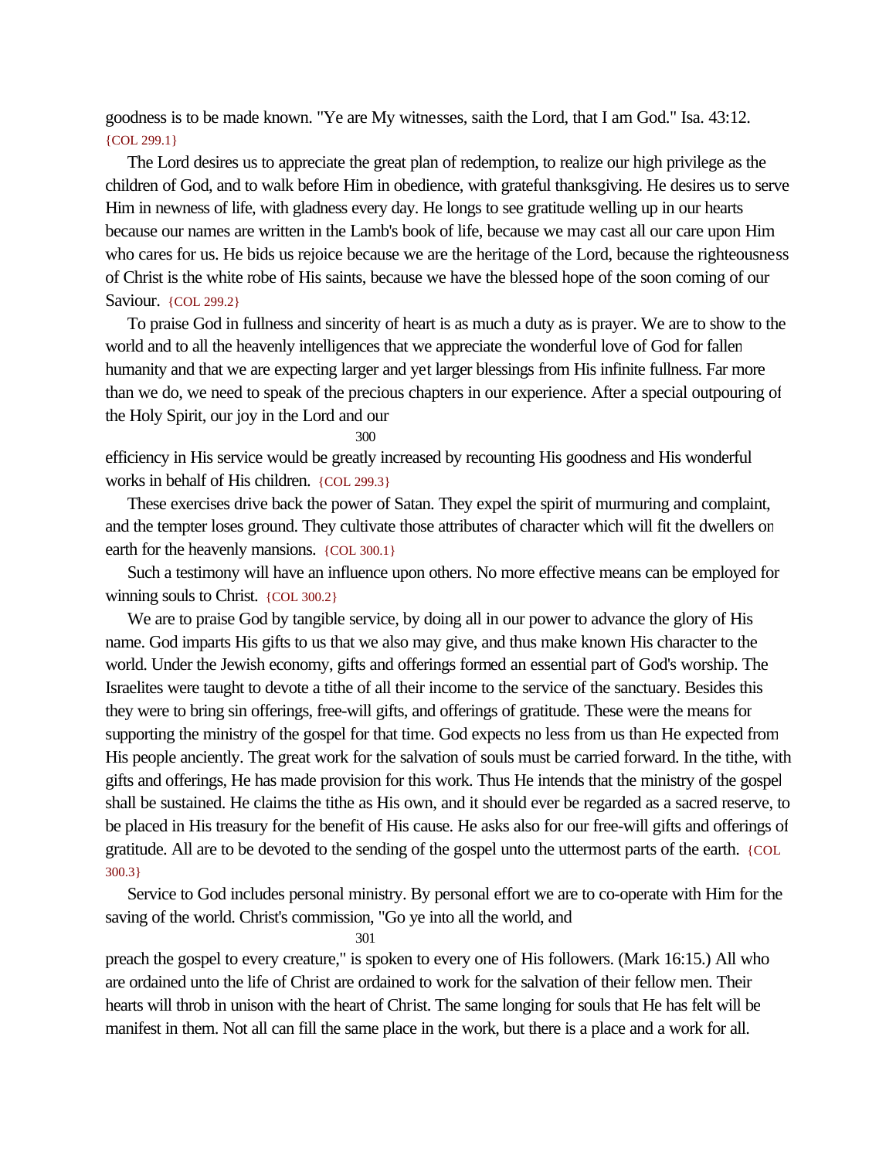goodness is to be made known. "Ye are My witnesses, saith the Lord, that I am God." Isa. 43:12. {COL 299.1}

 The Lord desires us to appreciate the great plan of redemption, to realize our high privilege as the children of God, and to walk before Him in obedience, with grateful thanksgiving. He desires us to serve Him in newness of life, with gladness every day. He longs to see gratitude welling up in our hearts because our names are written in the Lamb's book of life, because we may cast all our care upon Him who cares for us. He bids us rejoice because we are the heritage of the Lord, because the righteousness of Christ is the white robe of His saints, because we have the blessed hope of the soon coming of our Saviour. {COL 299.2}

 To praise God in fullness and sincerity of heart is as much a duty as is prayer. We are to show to the world and to all the heavenly intelligences that we appreciate the wonderful love of God for fallen humanity and that we are expecting larger and yet larger blessings from His infinite fullness. Far more than we do, we need to speak of the precious chapters in our experience. After a special outpouring of the Holy Spirit, our joy in the Lord and our

300

efficiency in His service would be greatly increased by recounting His goodness and His wonderful works in behalf of His children. {COL 299.3}

 These exercises drive back the power of Satan. They expel the spirit of murmuring and complaint, and the tempter loses ground. They cultivate those attributes of character which will fit the dwellers on earth for the heavenly mansions. {COL 300.1}

 Such a testimony will have an influence upon others. No more effective means can be employed for winning souls to Christ. {COL 300.2}

 We are to praise God by tangible service, by doing all in our power to advance the glory of His name. God imparts His gifts to us that we also may give, and thus make known His character to the world. Under the Jewish economy, gifts and offerings formed an essential part of God's worship. The Israelites were taught to devote a tithe of all their income to the service of the sanctuary. Besides this they were to bring sin offerings, free-will gifts, and offerings of gratitude. These were the means for supporting the ministry of the gospel for that time. God expects no less from us than He expected from His people anciently. The great work for the salvation of souls must be carried forward. In the tithe, with gifts and offerings, He has made provision for this work. Thus He intends that the ministry of the gospel shall be sustained. He claims the tithe as His own, and it should ever be regarded as a sacred reserve, to be placed in His treasury for the benefit of His cause. He asks also for our free-will gifts and offerings of gratitude. All are to be devoted to the sending of the gospel unto the uttermost parts of the earth. {COL 300.3}

 Service to God includes personal ministry. By personal effort we are to co-operate with Him for the saving of the world. Christ's commission, "Go ye into all the world, and

#### 301

preach the gospel to every creature," is spoken to every one of His followers. (Mark 16:15.) All who are ordained unto the life of Christ are ordained to work for the salvation of their fellow men. Their hearts will throb in unison with the heart of Christ. The same longing for souls that He has felt will be manifest in them. Not all can fill the same place in the work, but there is a place and a work for all.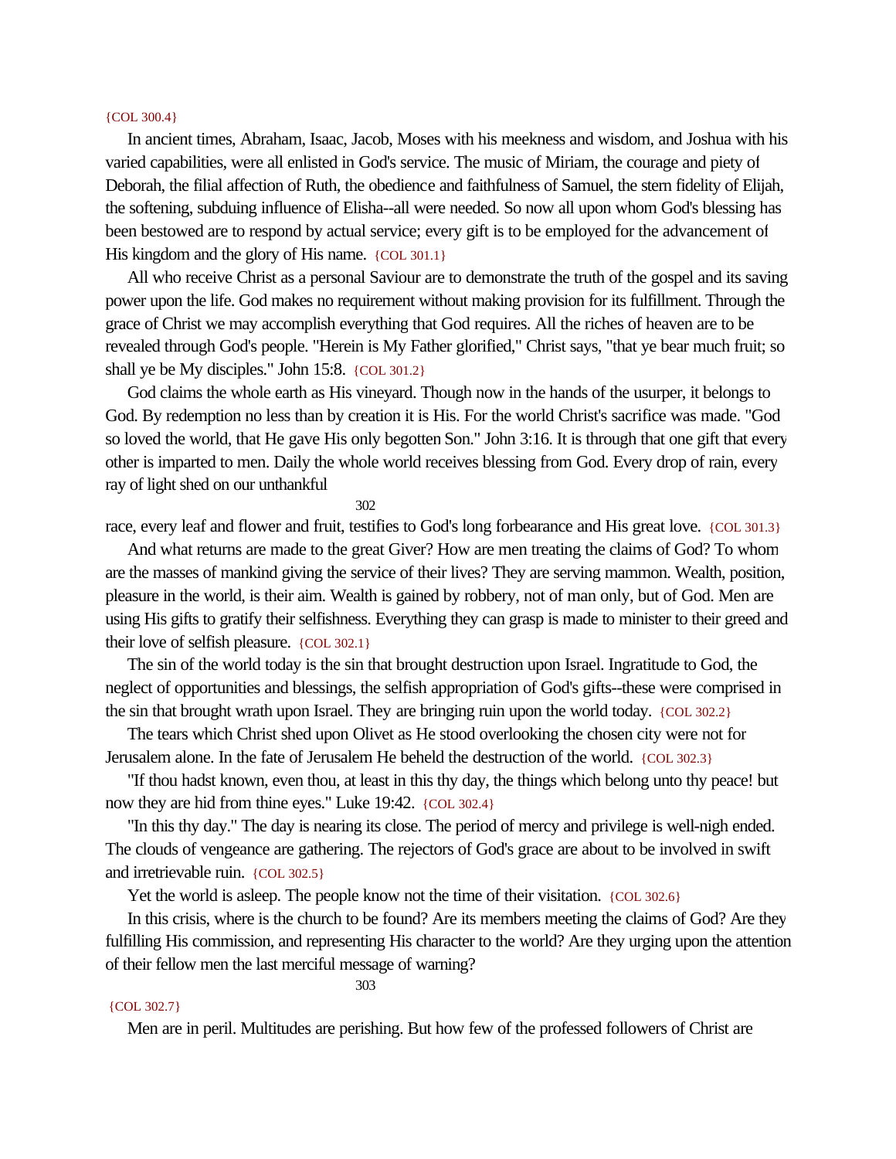#### {COL 300.4}

 In ancient times, Abraham, Isaac, Jacob, Moses with his meekness and wisdom, and Joshua with his varied capabilities, were all enlisted in God's service. The music of Miriam, the courage and piety of Deborah, the filial affection of Ruth, the obedience and faithfulness of Samuel, the stern fidelity of Elijah, the softening, subduing influence of Elisha--all were needed. So now all upon whom God's blessing has been bestowed are to respond by actual service; every gift is to be employed for the advancement of His kingdom and the glory of His name. {COL 301.1}

 All who receive Christ as a personal Saviour are to demonstrate the truth of the gospel and its saving power upon the life. God makes no requirement without making provision for its fulfillment. Through the grace of Christ we may accomplish everything that God requires. All the riches of heaven are to be revealed through God's people. "Herein is My Father glorified," Christ says, "that ye bear much fruit; so shall ye be My disciples." John 15:8. {COL 301.2}

 God claims the whole earth as His vineyard. Though now in the hands of the usurper, it belongs to God. By redemption no less than by creation it is His. For the world Christ's sacrifice was made. "God so loved the world, that He gave His only begotten Son." John 3:16. It is through that one gift that every other is imparted to men. Daily the whole world receives blessing from God. Every drop of rain, every ray of light shed on our unthankful

#### 302

race, every leaf and flower and fruit, testifies to God's long forbearance and His great love. {COL 301.3}

 And what returns are made to the great Giver? How are men treating the claims of God? To whom are the masses of mankind giving the service of their lives? They are serving mammon. Wealth, position, pleasure in the world, is their aim. Wealth is gained by robbery, not of man only, but of God. Men are using His gifts to gratify their selfishness. Everything they can grasp is made to minister to their greed and their love of selfish pleasure. {COL 302.1}

 The sin of the world today is the sin that brought destruction upon Israel. Ingratitude to God, the neglect of opportunities and blessings, the selfish appropriation of God's gifts--these were comprised in the sin that brought wrath upon Israel. They are bringing ruin upon the world today. {COL 302.2}

 The tears which Christ shed upon Olivet as He stood overlooking the chosen city were not for Jerusalem alone. In the fate of Jerusalem He beheld the destruction of the world. {COL 302.3}

 "If thou hadst known, even thou, at least in this thy day, the things which belong unto thy peace! but now they are hid from thine eyes." Luke 19:42. {COL 302.4}

 "In this thy day." The day is nearing its close. The period of mercy and privilege is well-nigh ended. The clouds of vengeance are gathering. The rejectors of God's grace are about to be involved in swift and irretrievable ruin. {COL 302.5}

Yet the world is asleep. The people know not the time of their visitation. {COL 302.6}

 In this crisis, where is the church to be found? Are its members meeting the claims of God? Are they fulfilling His commission, and representing His character to the world? Are they urging upon the attention of their fellow men the last merciful message of warning?

#### {COL 302.7}

303

Men are in peril. Multitudes are perishing. But how few of the professed followers of Christ are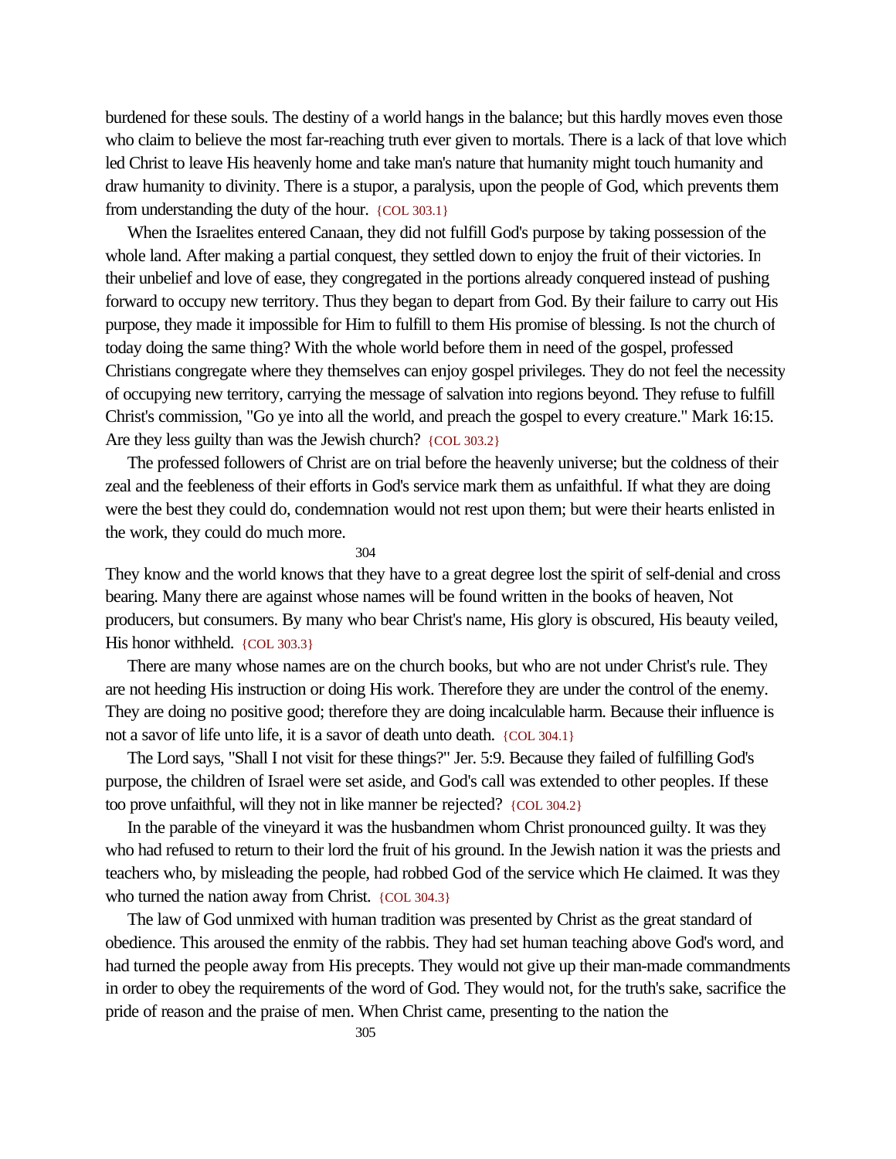burdened for these souls. The destiny of a world hangs in the balance; but this hardly moves even those who claim to believe the most far-reaching truth ever given to mortals. There is a lack of that love which led Christ to leave His heavenly home and take man's nature that humanity might touch humanity and draw humanity to divinity. There is a stupor, a paralysis, upon the people of God, which prevents them from understanding the duty of the hour. {COL 303.1}

 When the Israelites entered Canaan, they did not fulfill God's purpose by taking possession of the whole land. After making a partial conquest, they settled down to enjoy the fruit of their victories. In their unbelief and love of ease, they congregated in the portions already conquered instead of pushing forward to occupy new territory. Thus they began to depart from God. By their failure to carry out His purpose, they made it impossible for Him to fulfill to them His promise of blessing. Is not the church of today doing the same thing? With the whole world before them in need of the gospel, professed Christians congregate where they themselves can enjoy gospel privileges. They do not feel the necessity of occupying new territory, carrying the message of salvation into regions beyond. They refuse to fulfill Christ's commission, "Go ye into all the world, and preach the gospel to every creature." Mark 16:15. Are they less guilty than was the Jewish church? {COL 303.2}

 The professed followers of Christ are on trial before the heavenly universe; but the coldness of their zeal and the feebleness of their efforts in God's service mark them as unfaithful. If what they are doing were the best they could do, condemnation would not rest upon them; but were their hearts enlisted in the work, they could do much more.

304

They know and the world knows that they have to a great degree lost the spirit of self-denial and cross bearing. Many there are against whose names will be found written in the books of heaven, Not producers, but consumers. By many who bear Christ's name, His glory is obscured, His beauty veiled, His honor withheld. {COL 303.3}

 There are many whose names are on the church books, but who are not under Christ's rule. They are not heeding His instruction or doing His work. Therefore they are under the control of the enemy. They are doing no positive good; therefore they are doing incalculable harm. Because their influence is not a savor of life unto life, it is a savor of death unto death. {COL 304.1}

 The Lord says, "Shall I not visit for these things?" Jer. 5:9. Because they failed of fulfilling God's purpose, the children of Israel were set aside, and God's call was extended to other peoples. If these too prove unfaithful, will they not in like manner be rejected? {COL 304.2}

 In the parable of the vineyard it was the husbandmen whom Christ pronounced guilty. It was they who had refused to return to their lord the fruit of his ground. In the Jewish nation it was the priests and teachers who, by misleading the people, had robbed God of the service which He claimed. It was they who turned the nation away from Christ. {COL 304.3}

 The law of God unmixed with human tradition was presented by Christ as the great standard of obedience. This aroused the enmity of the rabbis. They had set human teaching above God's word, and had turned the people away from His precepts. They would not give up their man-made commandments in order to obey the requirements of the word of God. They would not, for the truth's sake, sacrifice the pride of reason and the praise of men. When Christ came, presenting to the nation the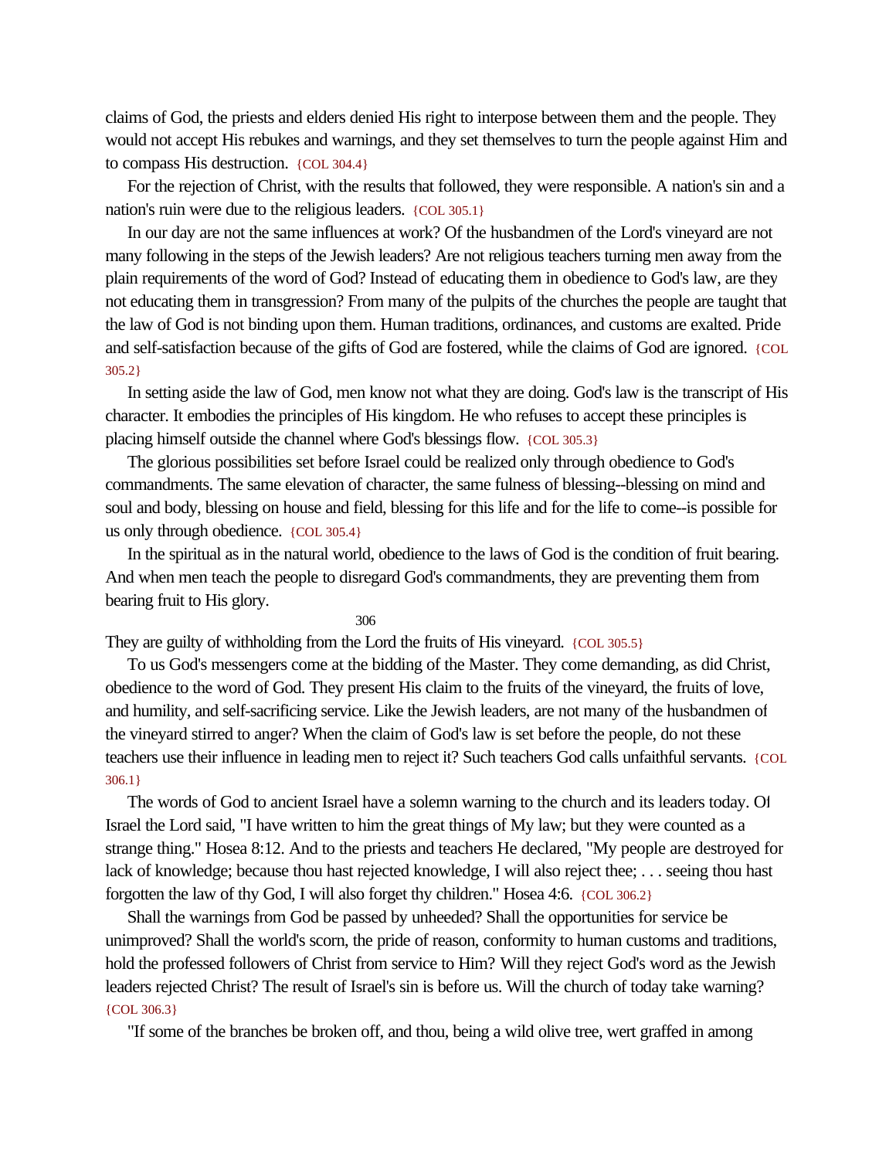claims of God, the priests and elders denied His right to interpose between them and the people. They would not accept His rebukes and warnings, and they set themselves to turn the people against Him and to compass His destruction. {COL 304.4}

 For the rejection of Christ, with the results that followed, they were responsible. A nation's sin and a nation's ruin were due to the religious leaders. {COL 305.1}

 In our day are not the same influences at work? Of the husbandmen of the Lord's vineyard are not many following in the steps of the Jewish leaders? Are not religious teachers turning men away from the plain requirements of the word of God? Instead of educating them in obedience to God's law, are they not educating them in transgression? From many of the pulpits of the churches the people are taught that the law of God is not binding upon them. Human traditions, ordinances, and customs are exalted. Pride and self-satisfaction because of the gifts of God are fostered, while the claims of God are ignored. {COL 305.2}

 In setting aside the law of God, men know not what they are doing. God's law is the transcript of His character. It embodies the principles of His kingdom. He who refuses to accept these principles is placing himself outside the channel where God's blessings flow. {COL 305.3}

 The glorious possibilities set before Israel could be realized only through obedience to God's commandments. The same elevation of character, the same fulness of blessing--blessing on mind and soul and body, blessing on house and field, blessing for this life and for the life to come--is possible for us only through obedience. {COL 305.4}

 In the spiritual as in the natural world, obedience to the laws of God is the condition of fruit bearing. And when men teach the people to disregard God's commandments, they are preventing them from bearing fruit to His glory.

#### 306

They are guilty of withholding from the Lord the fruits of His vineyard. {COL 305.5}

 To us God's messengers come at the bidding of the Master. They come demanding, as did Christ, obedience to the word of God. They present His claim to the fruits of the vineyard, the fruits of love, and humility, and self-sacrificing service. Like the Jewish leaders, are not many of the husbandmen of the vineyard stirred to anger? When the claim of God's law is set before the people, do not these teachers use their influence in leading men to reject it? Such teachers God calls unfaithful servants. {COL 306.1}

 The words of God to ancient Israel have a solemn warning to the church and its leaders today. Of Israel the Lord said, "I have written to him the great things of My law; but they were counted as a strange thing." Hosea 8:12. And to the priests and teachers He declared, "My people are destroyed for lack of knowledge; because thou hast rejected knowledge, I will also reject thee; . . . seeing thou hast forgotten the law of thy God, I will also forget thy children." Hosea 4:6. {COL 306.2}

 Shall the warnings from God be passed by unheeded? Shall the opportunities for service be unimproved? Shall the world's scorn, the pride of reason, conformity to human customs and traditions, hold the professed followers of Christ from service to Him? Will they reject God's word as the Jewish leaders rejected Christ? The result of Israel's sin is before us. Will the church of today take warning? {COL 306.3}

"If some of the branches be broken off, and thou, being a wild olive tree, wert graffed in among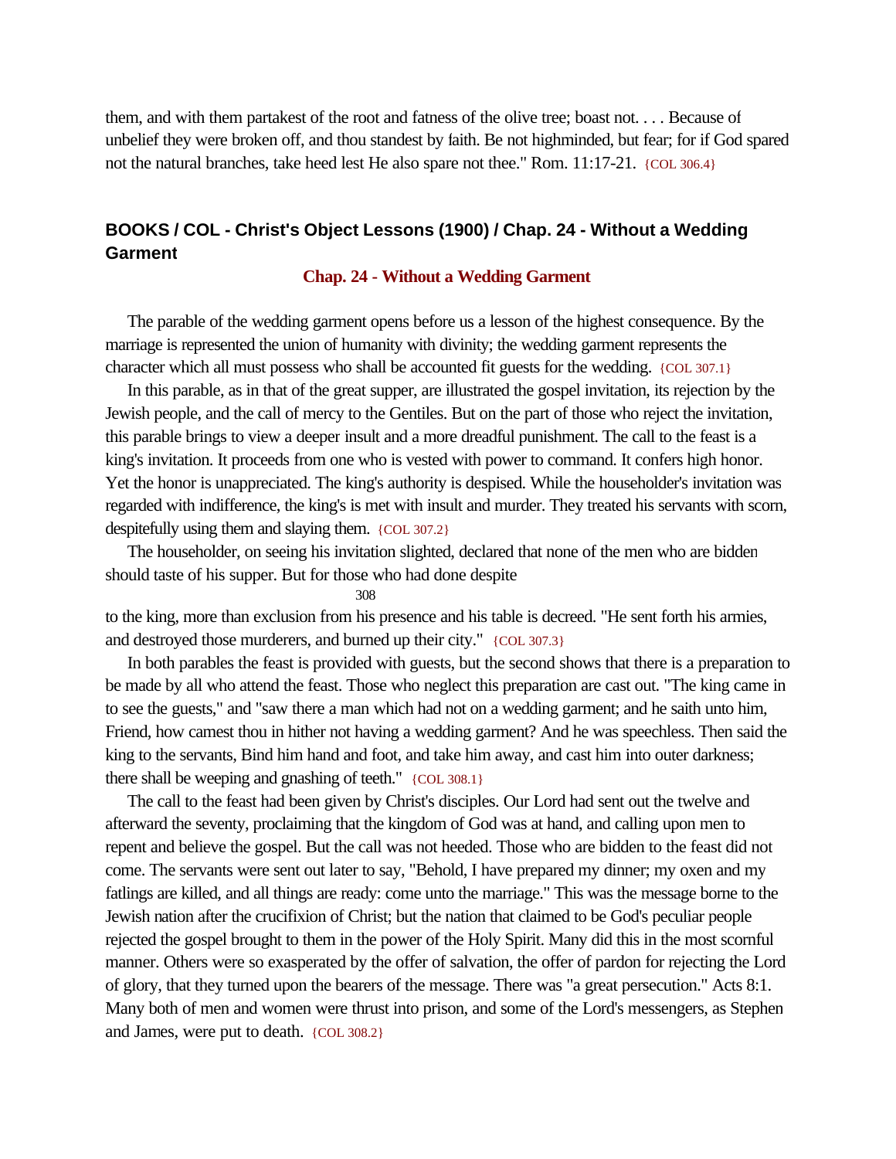them, and with them partakest of the root and fatness of the olive tree; boast not. . . . Because of unbelief they were broken off, and thou standest by faith. Be not highminded, but fear; for if God spared not the natural branches, take heed lest He also spare not thee." Rom. 11:17-21. {COL 306.4}

# **BOOKS / COL - Christ's Object Lessons (1900) / Chap. 24 - Without a Wedding Garment**

# **Chap. 24 - Without a Wedding Garment**

 The parable of the wedding garment opens before us a lesson of the highest consequence. By the marriage is represented the union of humanity with divinity; the wedding garment represents the character which all must possess who shall be accounted fit guests for the wedding. {COL 307.1}

 In this parable, as in that of the great supper, are illustrated the gospel invitation, its rejection by the Jewish people, and the call of mercy to the Gentiles. But on the part of those who reject the invitation, this parable brings to view a deeper insult and a more dreadful punishment. The call to the feast is a king's invitation. It proceeds from one who is vested with power to command. It confers high honor. Yet the honor is unappreciated. The king's authority is despised. While the householder's invitation was regarded with indifference, the king's is met with insult and murder. They treated his servants with scorn, despitefully using them and slaying them. {COL 307.2}

 The householder, on seeing his invitation slighted, declared that none of the men who are bidden should taste of his supper. But for those who had done despite

308

to the king, more than exclusion from his presence and his table is decreed. "He sent forth his armies, and destroyed those murderers, and burned up their city." {COL 307.3}

 In both parables the feast is provided with guests, but the second shows that there is a preparation to be made by all who attend the feast. Those who neglect this preparation are cast out. "The king came in to see the guests," and "saw there a man which had not on a wedding garment; and he saith unto him, Friend, how camest thou in hither not having a wedding garment? And he was speechless. Then said the king to the servants, Bind him hand and foot, and take him away, and cast him into outer darkness; there shall be weeping and gnashing of teeth." {COL 308.1}

 The call to the feast had been given by Christ's disciples. Our Lord had sent out the twelve and afterward the seventy, proclaiming that the kingdom of God was at hand, and calling upon men to repent and believe the gospel. But the call was not heeded. Those who are bidden to the feast did not come. The servants were sent out later to say, "Behold, I have prepared my dinner; my oxen and my fatlings are killed, and all things are ready: come unto the marriage." This was the message borne to the Jewish nation after the crucifixion of Christ; but the nation that claimed to be God's peculiar people rejected the gospel brought to them in the power of the Holy Spirit. Many did this in the most scornful manner. Others were so exasperated by the offer of salvation, the offer of pardon for rejecting the Lord of glory, that they turned upon the bearers of the message. There was "a great persecution." Acts 8:1. Many both of men and women were thrust into prison, and some of the Lord's messengers, as Stephen and James, were put to death. {COL 308.2}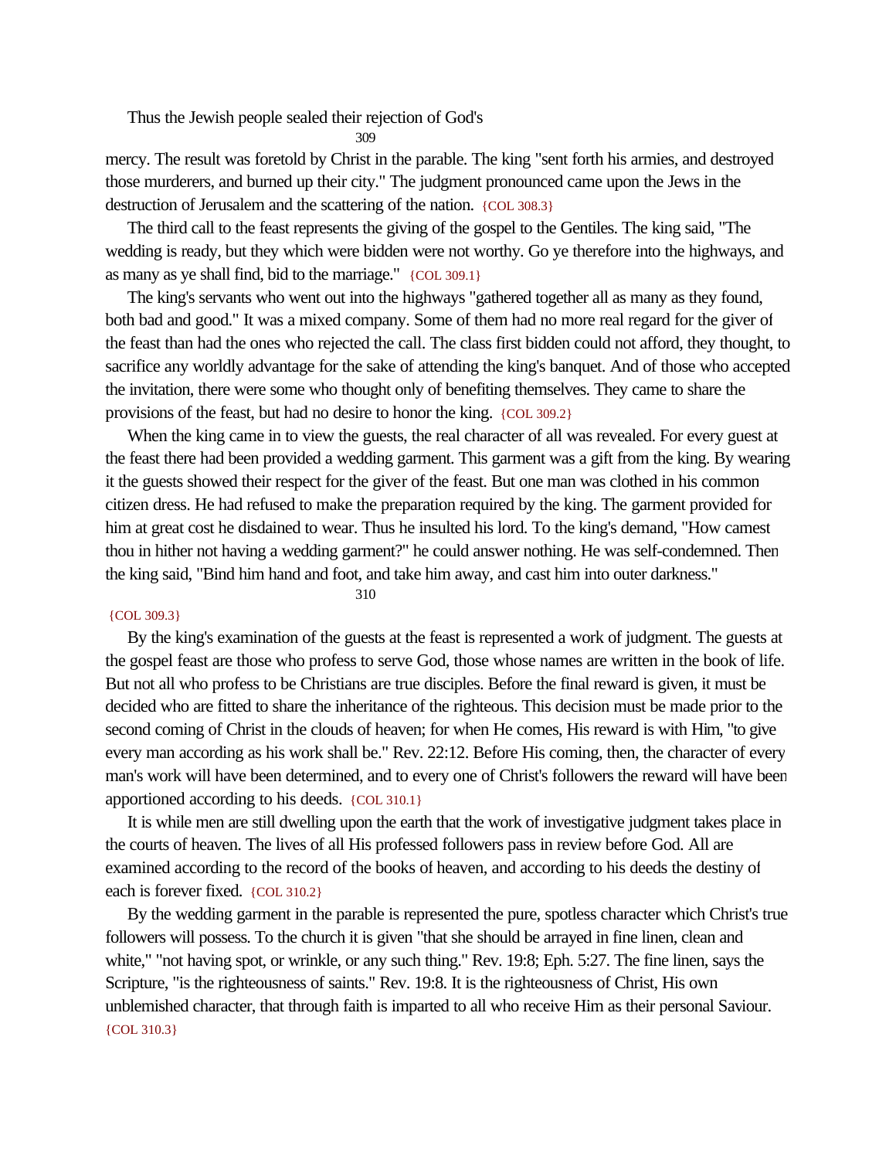Thus the Jewish people sealed their rejection of God's

309

mercy. The result was foretold by Christ in the parable. The king "sent forth his armies, and destroyed those murderers, and burned up their city." The judgment pronounced came upon the Jews in the destruction of Jerusalem and the scattering of the nation. {COL 308.3}

 The third call to the feast represents the giving of the gospel to the Gentiles. The king said, "The wedding is ready, but they which were bidden were not worthy. Go ye therefore into the highways, and as many as ye shall find, bid to the marriage." {COL 309.1}

 The king's servants who went out into the highways "gathered together all as many as they found, both bad and good." It was a mixed company. Some of them had no more real regard for the giver of the feast than had the ones who rejected the call. The class first bidden could not afford, they thought, to sacrifice any worldly advantage for the sake of attending the king's banquet. And of those who accepted the invitation, there were some who thought only of benefiting themselves. They came to share the provisions of the feast, but had no desire to honor the king. {COL 309.2}

When the king came in to view the guests, the real character of all was revealed. For every guest at the feast there had been provided a wedding garment. This garment was a gift from the king. By wearing it the guests showed their respect for the giver of the feast. But one man was clothed in his common citizen dress. He had refused to make the preparation required by the king. The garment provided for him at great cost he disdained to wear. Thus he insulted his lord. To the king's demand, "How camest thou in hither not having a wedding garment?" he could answer nothing. He was self-condemned. Then the king said, "Bind him hand and foot, and take him away, and cast him into outer darkness."

310

### {COL 309.3}

 By the king's examination of the guests at the feast is represented a work of judgment. The guests at the gospel feast are those who profess to serve God, those whose names are written in the book of life. But not all who profess to be Christians are true disciples. Before the final reward is given, it must be decided who are fitted to share the inheritance of the righteous. This decision must be made prior to the second coming of Christ in the clouds of heaven; for when He comes, His reward is with Him, "to give every man according as his work shall be." Rev. 22:12. Before His coming, then, the character of every man's work will have been determined, and to every one of Christ's followers the reward will have been apportioned according to his deeds. {COL 310.1}

 It is while men are still dwelling upon the earth that the work of investigative judgment takes place in the courts of heaven. The lives of all His professed followers pass in review before God. All are examined according to the record of the books of heaven, and according to his deeds the destiny of each is forever fixed. {COL 310.2}

 By the wedding garment in the parable is represented the pure, spotless character which Christ's true followers will possess. To the church it is given "that she should be arrayed in fine linen, clean and white," "not having spot, or wrinkle, or any such thing." Rev. 19:8; Eph. 5:27. The fine linen, says the Scripture, "is the righteousness of saints." Rev. 19:8. It is the righteousness of Christ, His own unblemished character, that through faith is imparted to all who receive Him as their personal Saviour. {COL 310.3}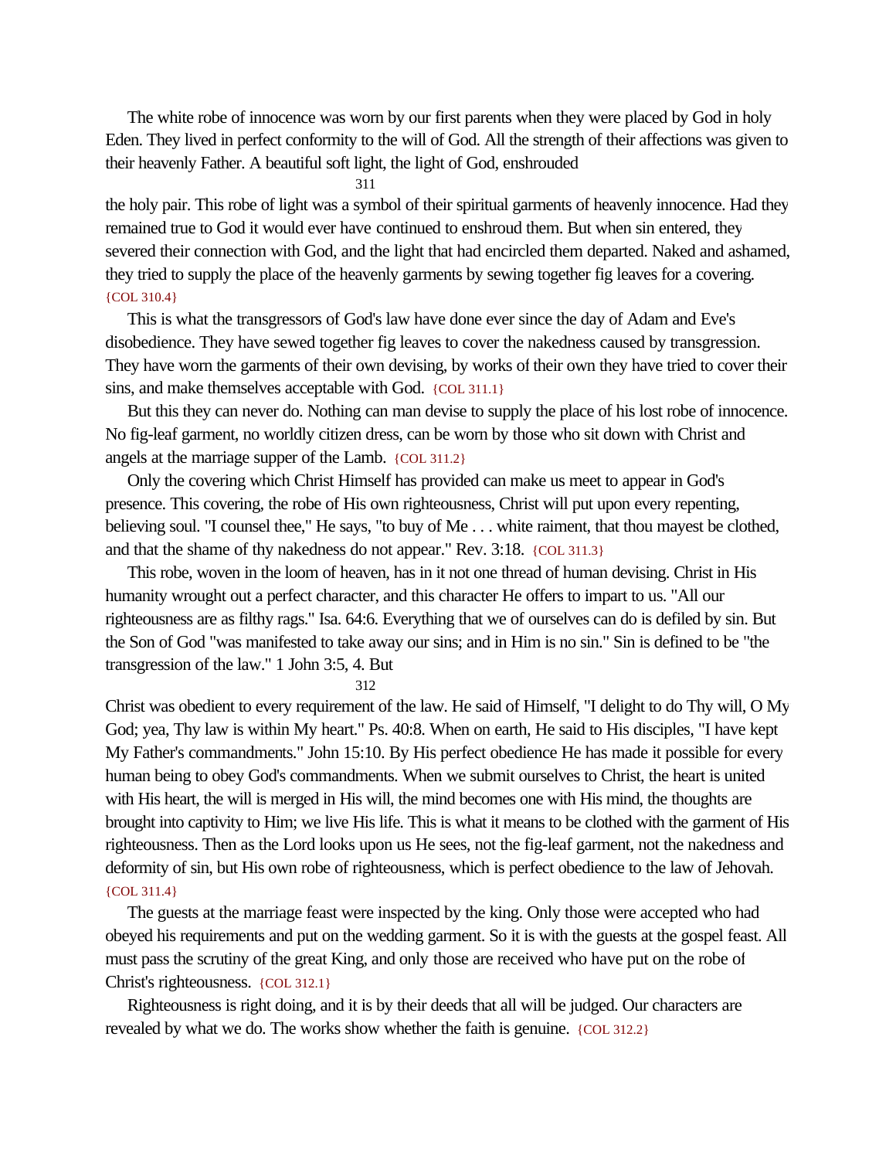The white robe of innocence was worn by our first parents when they were placed by God in holy Eden. They lived in perfect conformity to the will of God. All the strength of their affections was given to their heavenly Father. A beautiful soft light, the light of God, enshrouded

311

the holy pair. This robe of light was a symbol of their spiritual garments of heavenly innocence. Had they remained true to God it would ever have continued to enshroud them. But when sin entered, they severed their connection with God, and the light that had encircled them departed. Naked and ashamed, they tried to supply the place of the heavenly garments by sewing together fig leaves for a covering. {COL 310.4}

 This is what the transgressors of God's law have done ever since the day of Adam and Eve's disobedience. They have sewed together fig leaves to cover the nakedness caused by transgression. They have worn the garments of their own devising, by works of their own they have tried to cover their sins, and make themselves acceptable with God. {COL 311.1}

 But this they can never do. Nothing can man devise to supply the place of his lost robe of innocence. No fig-leaf garment, no worldly citizen dress, can be worn by those who sit down with Christ and angels at the marriage supper of the Lamb. {COL 311.2}

 Only the covering which Christ Himself has provided can make us meet to appear in God's presence. This covering, the robe of His own righteousness, Christ will put upon every repenting, believing soul. "I counsel thee," He says, "to buy of Me . . . white raiment, that thou mayest be clothed, and that the shame of thy nakedness do not appear." Rev. 3:18. {COL 311.3}

 This robe, woven in the loom of heaven, has in it not one thread of human devising. Christ in His humanity wrought out a perfect character, and this character He offers to impart to us. "All our righteousness are as filthy rags." Isa. 64:6. Everything that we of ourselves can do is defiled by sin. But the Son of God "was manifested to take away our sins; and in Him is no sin." Sin is defined to be "the transgression of the law." 1 John 3:5, 4. But

312

Christ was obedient to every requirement of the law. He said of Himself, "I delight to do Thy will, O My God; yea, Thy law is within My heart." Ps. 40:8. When on earth, He said to His disciples, "I have kept My Father's commandments." John 15:10. By His perfect obedience He has made it possible for every human being to obey God's commandments. When we submit ourselves to Christ, the heart is united with His heart, the will is merged in His will, the mind becomes one with His mind, the thoughts are brought into captivity to Him; we live His life. This is what it means to be clothed with the garment of His righteousness. Then as the Lord looks upon us He sees, not the fig-leaf garment, not the nakedness and deformity of sin, but His own robe of righteousness, which is perfect obedience to the law of Jehovah. {COL 311.4}

 The guests at the marriage feast were inspected by the king. Only those were accepted who had obeyed his requirements and put on the wedding garment. So it is with the guests at the gospel feast. All must pass the scrutiny of the great King, and only those are received who have put on the robe of Christ's righteousness. {COL 312.1}

 Righteousness is right doing, and it is by their deeds that all will be judged. Our characters are revealed by what we do. The works show whether the faith is genuine. {COL 312.2}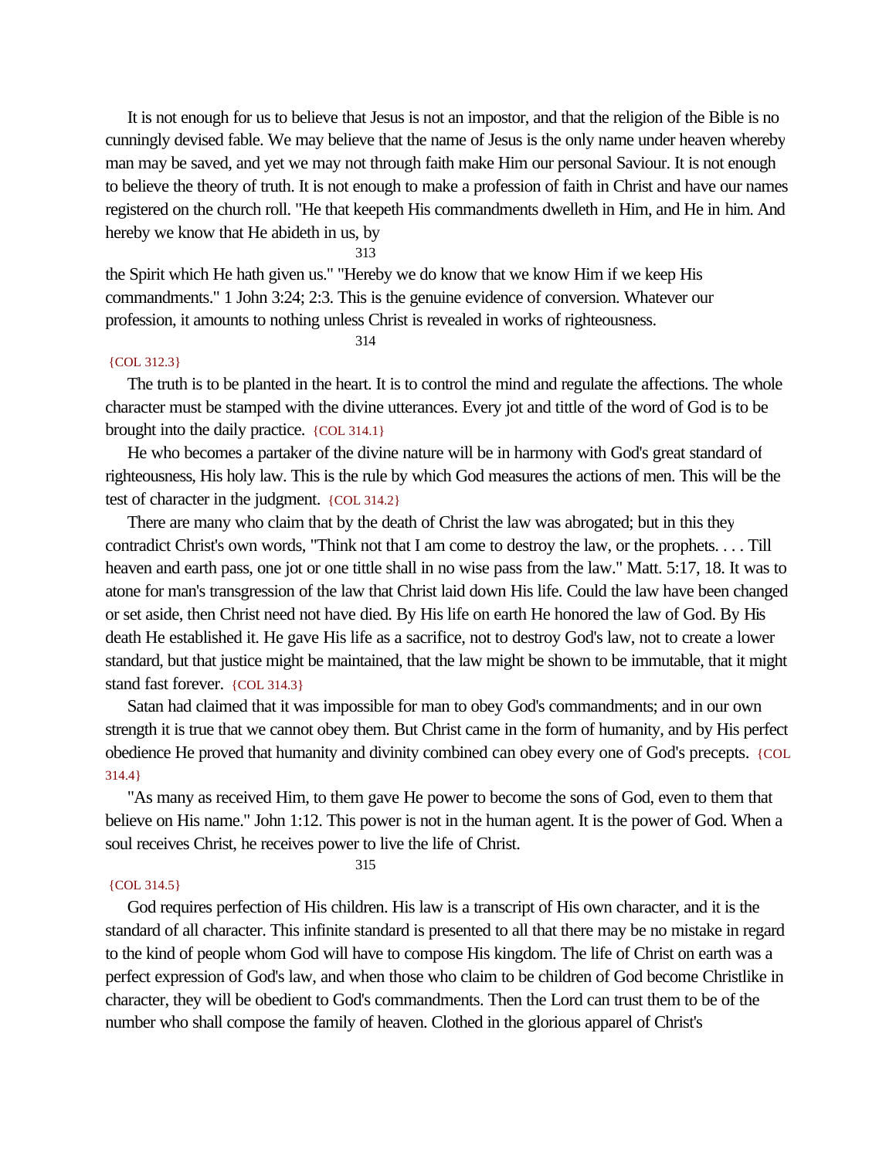It is not enough for us to believe that Jesus is not an impostor, and that the religion of the Bible is no cunningly devised fable. We may believe that the name of Jesus is the only name under heaven whereby man may be saved, and yet we may not through faith make Him our personal Saviour. It is not enough to believe the theory of truth. It is not enough to make a profession of faith in Christ and have our names registered on the church roll. "He that keepeth His commandments dwelleth in Him, and He in him. And hereby we know that He abideth in us, by

313

the Spirit which He hath given us." "Hereby we do know that we know Him if we keep His commandments." 1 John 3:24; 2:3. This is the genuine evidence of conversion. Whatever our profession, it amounts to nothing unless Christ is revealed in works of righteousness.

## {COL 312.3}

314

 The truth is to be planted in the heart. It is to control the mind and regulate the affections. The whole character must be stamped with the divine utterances. Every jot and tittle of the word of God is to be brought into the daily practice. {COL 314.1}

 He who becomes a partaker of the divine nature will be in harmony with God's great standard of righteousness, His holy law. This is the rule by which God measures the actions of men. This will be the test of character in the judgment. {COL 314.2}

 There are many who claim that by the death of Christ the law was abrogated; but in this they contradict Christ's own words, "Think not that I am come to destroy the law, or the prophets. . . . Till heaven and earth pass, one jot or one tittle shall in no wise pass from the law." Matt. 5:17, 18. It was to atone for man's transgression of the law that Christ laid down His life. Could the law have been changed or set aside, then Christ need not have died. By His life on earth He honored the law of God. By His death He established it. He gave His life as a sacrifice, not to destroy God's law, not to create a lower standard, but that justice might be maintained, that the law might be shown to be immutable, that it might stand fast forever. {COL 314.3}

 Satan had claimed that it was impossible for man to obey God's commandments; and in our own strength it is true that we cannot obey them. But Christ came in the form of humanity, and by His perfect obedience He proved that humanity and divinity combined can obey every one of God's precepts. {COL 314.4}

 "As many as received Him, to them gave He power to become the sons of God, even to them that believe on His name." John 1:12. This power is not in the human agent. It is the power of God. When a soul receives Christ, he receives power to live the life of Christ.

## {COL 314.5}

315

 God requires perfection of His children. His law is a transcript of His own character, and it is the standard of all character. This infinite standard is presented to all that there may be no mistake in regard to the kind of people whom God will have to compose His kingdom. The life of Christ on earth was a perfect expression of God's law, and when those who claim to be children of God become Christlike in character, they will be obedient to God's commandments. Then the Lord can trust them to be of the number who shall compose the family of heaven. Clothed in the glorious apparel of Christ's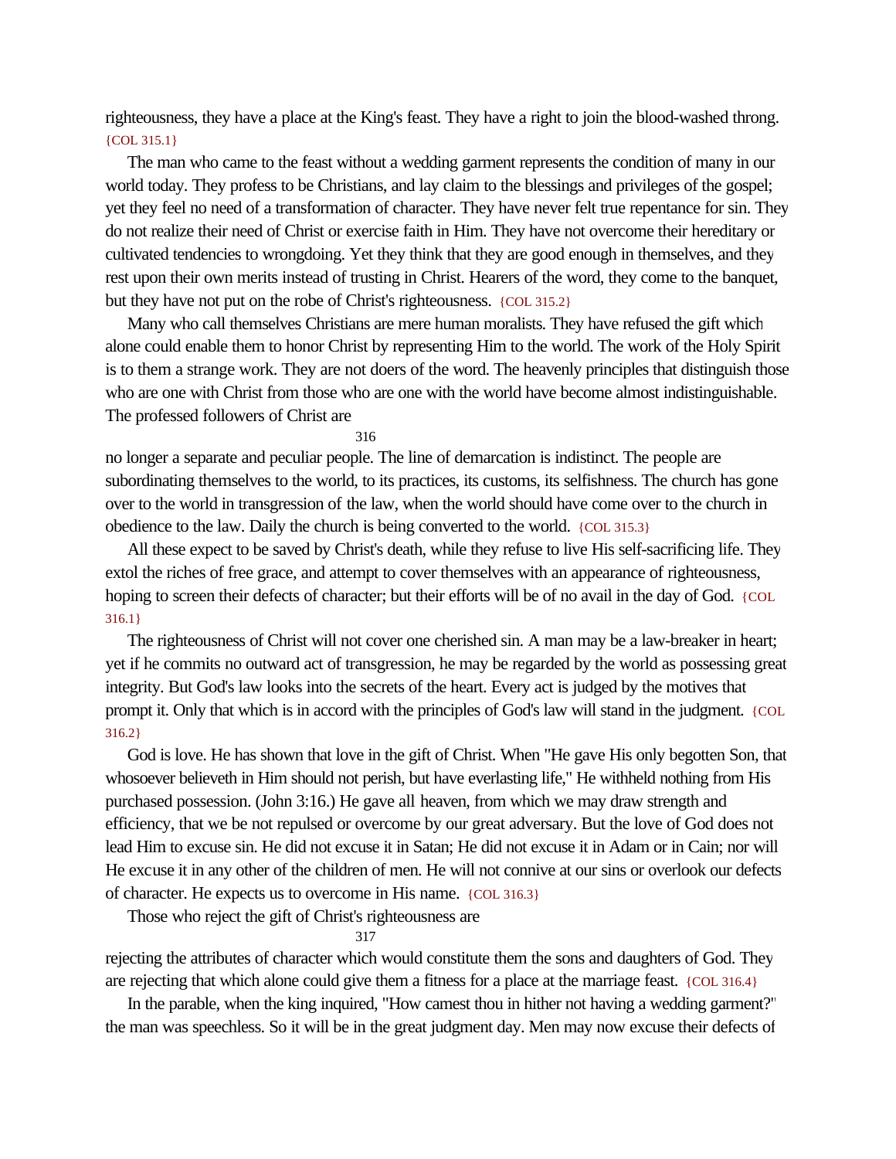righteousness, they have a place at the King's feast. They have a right to join the blood-washed throng. {COL 315.1}

 The man who came to the feast without a wedding garment represents the condition of many in our world today. They profess to be Christians, and lay claim to the blessings and privileges of the gospel; yet they feel no need of a transformation of character. They have never felt true repentance for sin. They do not realize their need of Christ or exercise faith in Him. They have not overcome their hereditary or cultivated tendencies to wrongdoing. Yet they think that they are good enough in themselves, and they rest upon their own merits instead of trusting in Christ. Hearers of the word, they come to the banquet, but they have not put on the robe of Christ's righteousness. {COL 315.2}

 Many who call themselves Christians are mere human moralists. They have refused the gift which alone could enable them to honor Christ by representing Him to the world. The work of the Holy Spirit is to them a strange work. They are not doers of the word. The heavenly principles that distinguish those who are one with Christ from those who are one with the world have become almost indistinguishable. The professed followers of Christ are

316

no longer a separate and peculiar people. The line of demarcation is indistinct. The people are subordinating themselves to the world, to its practices, its customs, its selfishness. The church has gone over to the world in transgression of the law, when the world should have come over to the church in obedience to the law. Daily the church is being converted to the world. {COL 315.3}

 All these expect to be saved by Christ's death, while they refuse to live His self-sacrificing life. They extol the riches of free grace, and attempt to cover themselves with an appearance of righteousness, hoping to screen their defects of character; but their efforts will be of no avail in the day of God. {COL} 316.1}

 The righteousness of Christ will not cover one cherished sin. A man may be a law-breaker in heart; yet if he commits no outward act of transgression, he may be regarded by the world as possessing great integrity. But God's law looks into the secrets of the heart. Every act is judged by the motives that prompt it. Only that which is in accord with the principles of God's law will stand in the judgment. {COL 316.2}

 God is love. He has shown that love in the gift of Christ. When "He gave His only begotten Son, that whosoever believeth in Him should not perish, but have everlasting life," He withheld nothing from His purchased possession. (John 3:16.) He gave all heaven, from which we may draw strength and efficiency, that we be not repulsed or overcome by our great adversary. But the love of God does not lead Him to excuse sin. He did not excuse it in Satan; He did not excuse it in Adam or in Cain; nor will He excuse it in any other of the children of men. He will not connive at our sins or overlook our defects of character. He expects us to overcome in His name. {COL 316.3}

Those who reject the gift of Christ's righteousness are

317

rejecting the attributes of character which would constitute them the sons and daughters of God. They are rejecting that which alone could give them a fitness for a place at the marriage feast. {COL 316.4}

 In the parable, when the king inquired, "How camest thou in hither not having a wedding garment?" the man was speechless. So it will be in the great judgment day. Men may now excuse their defects of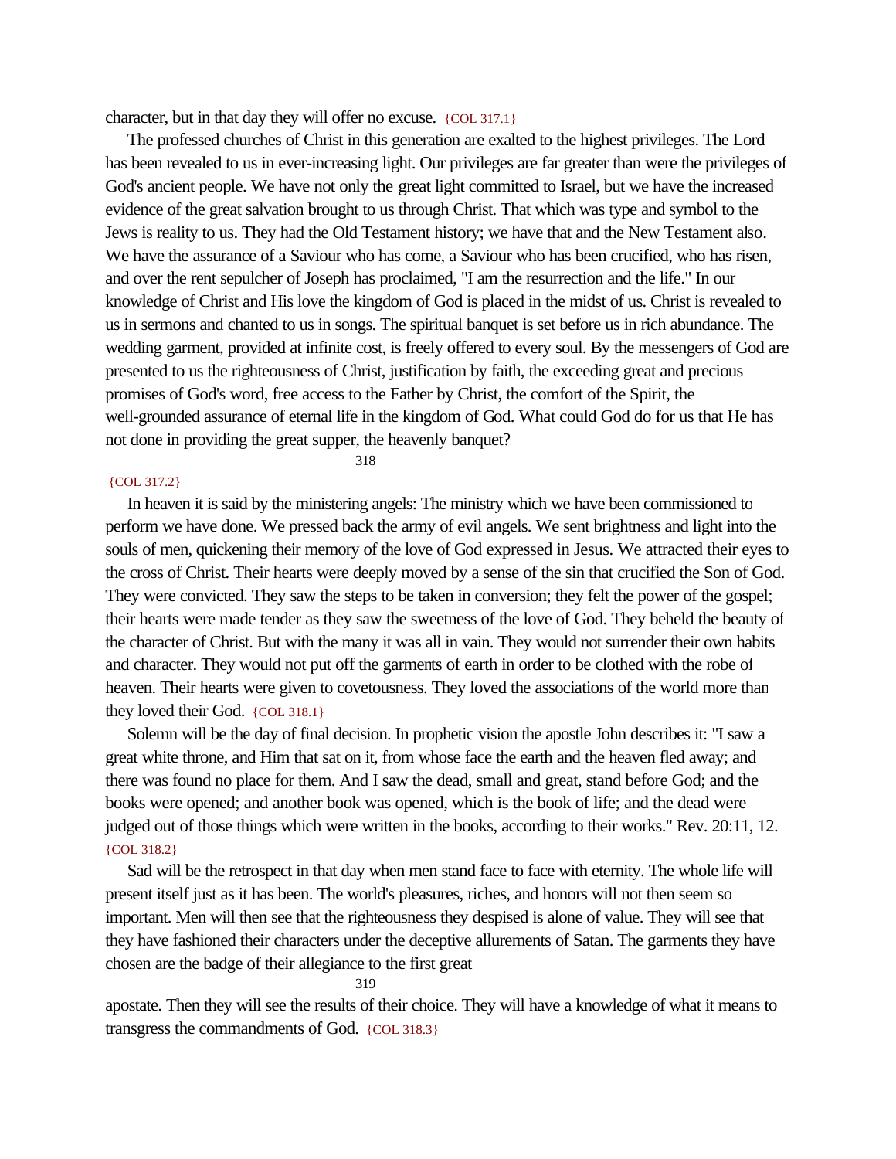character, but in that day they will offer no excuse. {COL 317.1}

 The professed churches of Christ in this generation are exalted to the highest privileges. The Lord has been revealed to us in ever-increasing light. Our privileges are far greater than were the privileges of God's ancient people. We have not only the great light committed to Israel, but we have the increased evidence of the great salvation brought to us through Christ. That which was type and symbol to the Jews is reality to us. They had the Old Testament history; we have that and the New Testament also. We have the assurance of a Saviour who has come, a Saviour who has been crucified, who has risen, and over the rent sepulcher of Joseph has proclaimed, "I am the resurrection and the life." In our knowledge of Christ and His love the kingdom of God is placed in the midst of us. Christ is revealed to us in sermons and chanted to us in songs. The spiritual banquet is set before us in rich abundance. The wedding garment, provided at infinite cost, is freely offered to every soul. By the messengers of God are presented to us the righteousness of Christ, justification by faith, the exceeding great and precious promises of God's word, free access to the Father by Christ, the comfort of the Spirit, the well-grounded assurance of eternal life in the kingdom of God. What could God do for us that He has not done in providing the great supper, the heavenly banquet?

## {COL 317.2}

319

318

 In heaven it is said by the ministering angels: The ministry which we have been commissioned to perform we have done. We pressed back the army of evil angels. We sent brightness and light into the souls of men, quickening their memory of the love of God expressed in Jesus. We attracted their eyes to the cross of Christ. Their hearts were deeply moved by a sense of the sin that crucified the Son of God. They were convicted. They saw the steps to be taken in conversion; they felt the power of the gospel; their hearts were made tender as they saw the sweetness of the love of God. They beheld the beauty of the character of Christ. But with the many it was all in vain. They would not surrender their own habits and character. They would not put off the garments of earth in order to be clothed with the robe of heaven. Their hearts were given to covetousness. They loved the associations of the world more than they loved their God. {COL 318.1}

 Solemn will be the day of final decision. In prophetic vision the apostle John describes it: "I saw a great white throne, and Him that sat on it, from whose face the earth and the heaven fled away; and there was found no place for them. And I saw the dead, small and great, stand before God; and the books were opened; and another book was opened, which is the book of life; and the dead were judged out of those things which were written in the books, according to their works." Rev. 20:11, 12. {COL 318.2}

 Sad will be the retrospect in that day when men stand face to face with eternity. The whole life will present itself just as it has been. The world's pleasures, riches, and honors will not then seem so important. Men will then see that the righteousness they despised is alone of value. They will see that they have fashioned their characters under the deceptive allurements of Satan. The garments they have chosen are the badge of their allegiance to the first great

apostate. Then they will see the results of their choice. They will have a knowledge of what it means to transgress the commandments of God. {COL 318.3}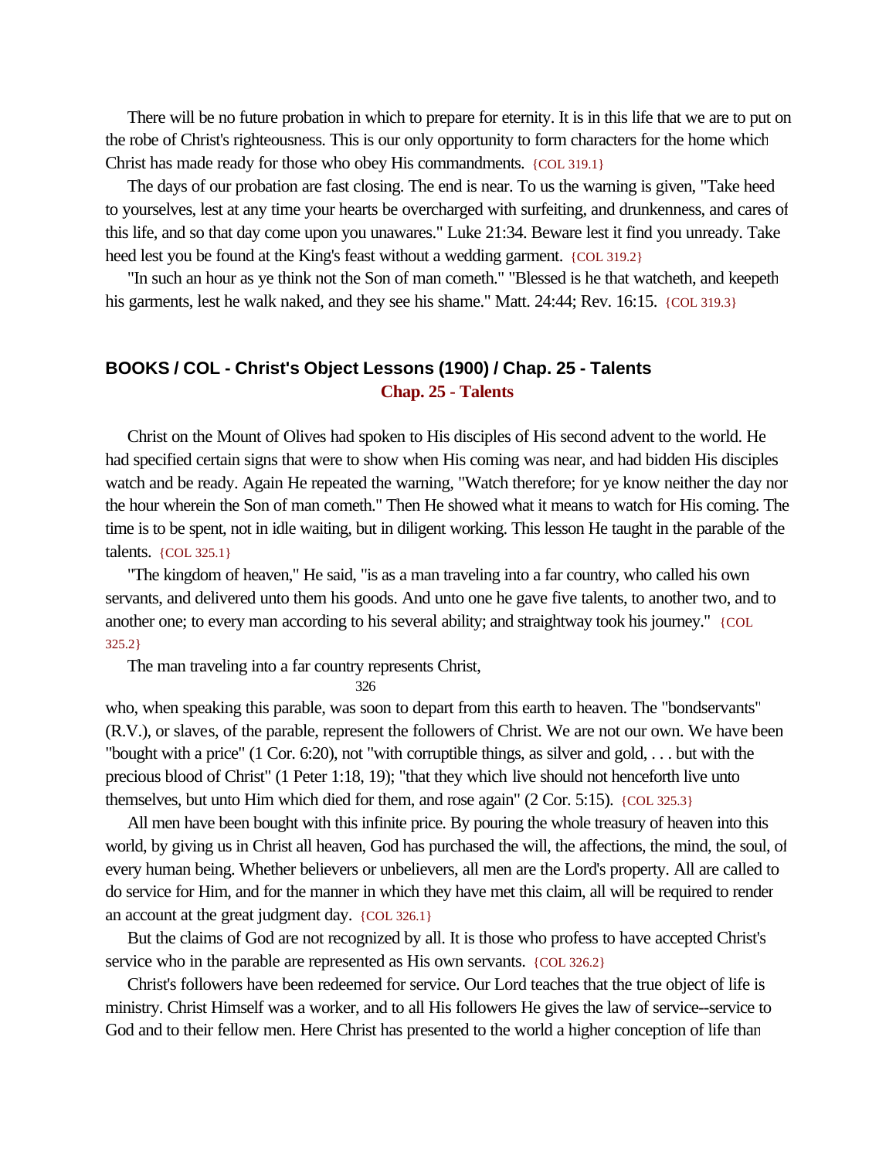There will be no future probation in which to prepare for eternity. It is in this life that we are to put on the robe of Christ's righteousness. This is our only opportunity to form characters for the home which Christ has made ready for those who obey His commandments. {COL 319.1}

 The days of our probation are fast closing. The end is near. To us the warning is given, "Take heed to yourselves, lest at any time your hearts be overcharged with surfeiting, and drunkenness, and cares of this life, and so that day come upon you unawares." Luke 21:34. Beware lest it find you unready. Take heed lest you be found at the King's feast without a wedding garment. {COL 319.2}

 "In such an hour as ye think not the Son of man cometh." "Blessed is he that watcheth, and keepeth his garments, lest he walk naked, and they see his shame." Matt. 24:44; Rev. 16:15. {COL 319.3}

# **BOOKS / COL - Christ's Object Lessons (1900) / Chap. 25 - Talents Chap. 25 - Talents**

 Christ on the Mount of Olives had spoken to His disciples of His second advent to the world. He had specified certain signs that were to show when His coming was near, and had bidden His disciples watch and be ready. Again He repeated the warning, "Watch therefore; for ye know neither the day nor the hour wherein the Son of man cometh." Then He showed what it means to watch for His coming. The time is to be spent, not in idle waiting, but in diligent working. This lesson He taught in the parable of the talents.  $\{COL\ 325.1\}$ 

 "The kingdom of heaven," He said, "is as a man traveling into a far country, who called his own servants, and delivered unto them his goods. And unto one he gave five talents, to another two, and to another one; to every man according to his several ability; and straightway took his journey." {COL 325.2}

The man traveling into a far country represents Christ,

326

who, when speaking this parable, was soon to depart from this earth to heaven. The "bondservants" (R.V.), or slaves, of the parable, represent the followers of Christ. We are not our own. We have been "bought with a price" (1 Cor. 6:20), not "with corruptible things, as silver and gold, . . . but with the precious blood of Christ" (1 Peter 1:18, 19); "that they which live should not henceforth live unto themselves, but unto Him which died for them, and rose again" (2 Cor. 5:15).  $\{COL 325.3\}$ 

 All men have been bought with this infinite price. By pouring the whole treasury of heaven into this world, by giving us in Christ all heaven, God has purchased the will, the affections, the mind, the soul, of every human being. Whether believers or unbelievers, all men are the Lord's property. All are called to do service for Him, and for the manner in which they have met this claim, all will be required to render an account at the great judgment day. {COL 326.1}

 But the claims of God are not recognized by all. It is those who profess to have accepted Christ's service who in the parable are represented as His own servants. {COL 326.2}

 Christ's followers have been redeemed for service. Our Lord teaches that the true object of life is ministry. Christ Himself was a worker, and to all His followers He gives the law of service--service to God and to their fellow men. Here Christ has presented to the world a higher conception of life than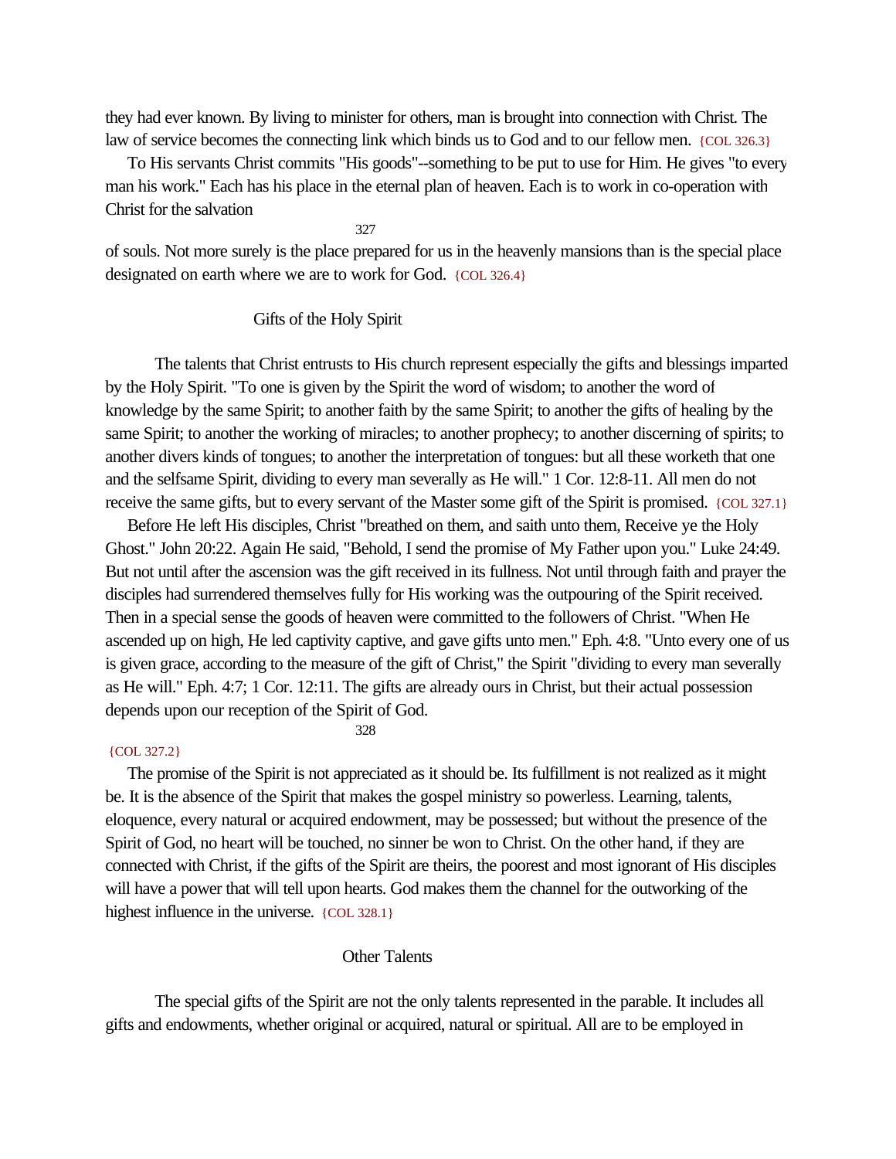they had ever known. By living to minister for others, man is brought into connection with Christ. The law of service becomes the connecting link which binds us to God and to our fellow men. {COL 326.3}

 To His servants Christ commits "His goods"--something to be put to use for Him. He gives "to every man his work." Each has his place in the eternal plan of heaven. Each is to work in co-operation with Christ for the salvation

## 327

of souls. Not more surely is the place prepared for us in the heavenly mansions than is the special place designated on earth where we are to work for God. {COL 326.4}

## Gifts of the Holy Spirit

 The talents that Christ entrusts to His church represent especially the gifts and blessings imparted by the Holy Spirit. "To one is given by the Spirit the word of wisdom; to another the word of knowledge by the same Spirit; to another faith by the same Spirit; to another the gifts of healing by the same Spirit; to another the working of miracles; to another prophecy; to another discerning of spirits; to another divers kinds of tongues; to another the interpretation of tongues: but all these worketh that one and the selfsame Spirit, dividing to every man severally as He will." 1 Cor. 12:8-11. All men do not receive the same gifts, but to every servant of the Master some gift of the Spirit is promised. {COL 327.1}

 Before He left His disciples, Christ "breathed on them, and saith unto them, Receive ye the Holy Ghost." John 20:22. Again He said, "Behold, I send the promise of My Father upon you." Luke 24:49. But not until after the ascension was the gift received in its fullness. Not until through faith and prayer the disciples had surrendered themselves fully for His working was the outpouring of the Spirit received. Then in a special sense the goods of heaven were committed to the followers of Christ. "When He ascended up on high, He led captivity captive, and gave gifts unto men." Eph. 4:8. "Unto every one of us is given grace, according to the measure of the gift of Christ," the Spirit "dividing to every man severally as He will." Eph. 4:7; 1 Cor. 12:11. The gifts are already ours in Christ, but their actual possession depends upon our reception of the Spirit of God.

#### {COL 327.2}

328

 The promise of the Spirit is not appreciated as it should be. Its fulfillment is not realized as it might be. It is the absence of the Spirit that makes the gospel ministry so powerless. Learning, talents, eloquence, every natural or acquired endowment, may be possessed; but without the presence of the Spirit of God, no heart will be touched, no sinner be won to Christ. On the other hand, if they are connected with Christ, if the gifts of the Spirit are theirs, the poorest and most ignorant of His disciples will have a power that will tell upon hearts. God makes them the channel for the outworking of the highest influence in the universe. {COL 328.1}

# Other Talents

 The special gifts of the Spirit are not the only talents represented in the parable. It includes all gifts and endowments, whether original or acquired, natural or spiritual. All are to be employed in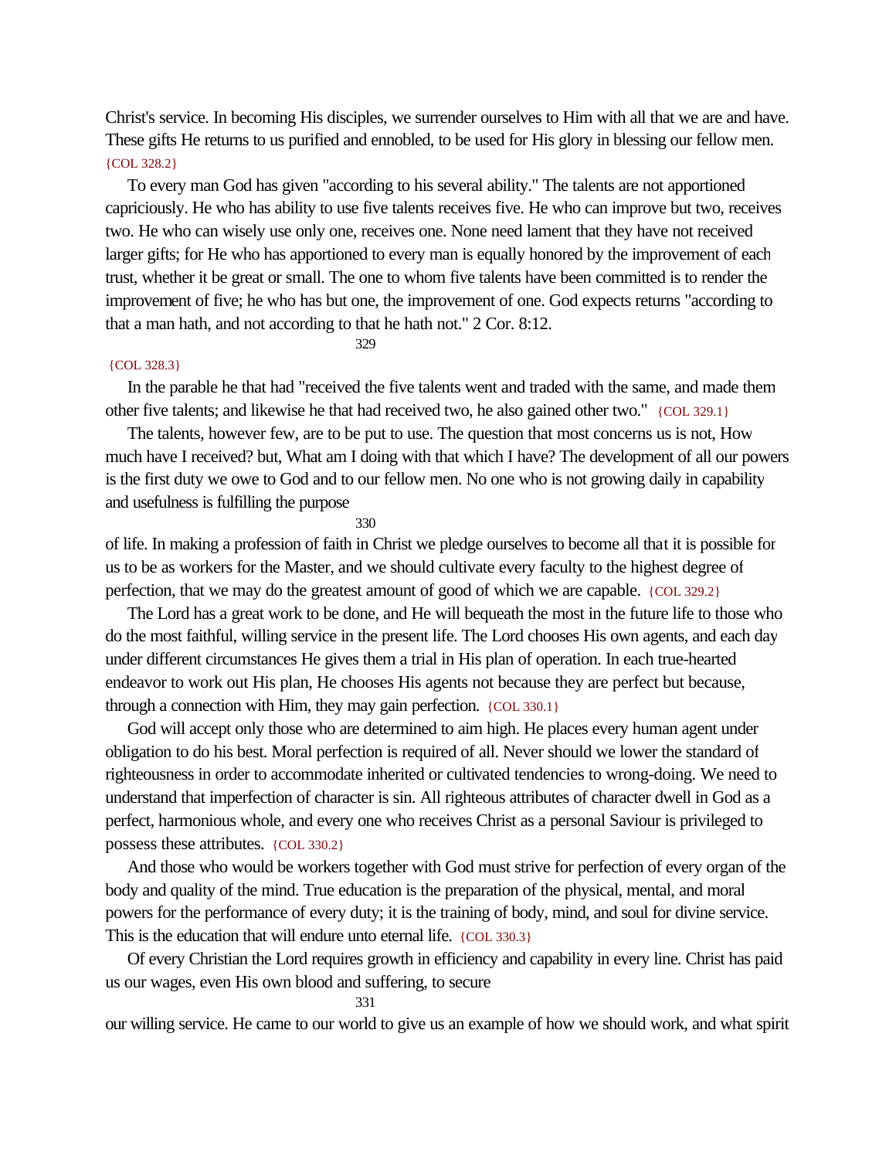Christ's service. In becoming His disciples, we surrender ourselves to Him with all that we are and have. These gifts He returns to us purified and ennobled, to be used for His glory in blessing our fellow men. {COL 328.2}

 To every man God has given "according to his several ability." The talents are not apportioned capriciously. He who has ability to use five talents receives five. He who can improve but two, receives two. He who can wisely use only one, receives one. None need lament that they have not received larger gifts; for He who has apportioned to every man is equally honored by the improvement of each trust, whether it be great or small. The one to whom five talents have been committed is to render the improvement of five; he who has but one, the improvement of one. God expects returns "according to that a man hath, and not according to that he hath not." 2 Cor. 8:12.

### {COL 328.3}

329

 In the parable he that had "received the five talents went and traded with the same, and made them other five talents; and likewise he that had received two, he also gained other two." {COL 329.1}

 The talents, however few, are to be put to use. The question that most concerns us is not, How much have I received? but, What am I doing with that which I have? The development of all our powers is the first duty we owe to God and to our fellow men. No one who is not growing daily in capability and usefulness is fulfilling the purpose

330

of life. In making a profession of faith in Christ we pledge ourselves to become all that it is possible for us to be as workers for the Master, and we should cultivate every faculty to the highest degree of perfection, that we may do the greatest amount of good of which we are capable. {COL 329.2}

 The Lord has a great work to be done, and He will bequeath the most in the future life to those who do the most faithful, willing service in the present life. The Lord chooses His own agents, and each day under different circumstances He gives them a trial in His plan of operation. In each true-hearted endeavor to work out His plan, He chooses His agents not because they are perfect but because, through a connection with Him, they may gain perfection. {COL 330.1}

 God will accept only those who are determined to aim high. He places every human agent under obligation to do his best. Moral perfection is required of all. Never should we lower the standard of righteousness in order to accommodate inherited or cultivated tendencies to wrong-doing. We need to understand that imperfection of character is sin. All righteous attributes of character dwell in God as a perfect, harmonious whole, and every one who receives Christ as a personal Saviour is privileged to possess these attributes. {COL 330.2}

 And those who would be workers together with God must strive for perfection of every organ of the body and quality of the mind. True education is the preparation of the physical, mental, and moral powers for the performance of every duty; it is the training of body, mind, and soul for divine service. This is the education that will endure unto eternal life. {COL 330.3}

 Of every Christian the Lord requires growth in efficiency and capability in every line. Christ has paid us our wages, even His own blood and suffering, to secure

331

our willing service. He came to our world to give us an example of how we should work, and what spirit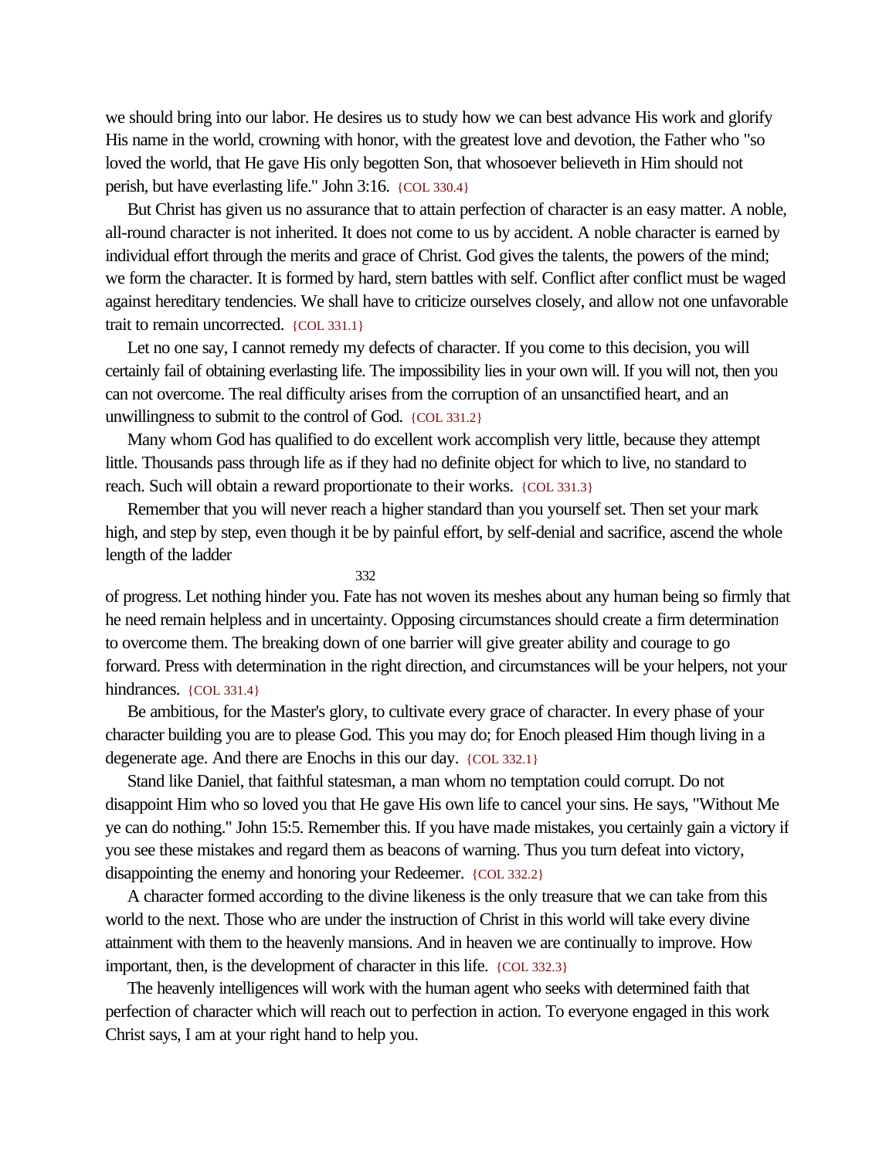we should bring into our labor. He desires us to study how we can best advance His work and glorify His name in the world, crowning with honor, with the greatest love and devotion, the Father who "so loved the world, that He gave His only begotten Son, that whosoever believeth in Him should not perish, but have everlasting life." John 3:16. {COL 330.4}

 But Christ has given us no assurance that to attain perfection of character is an easy matter. A noble, all-round character is not inherited. It does not come to us by accident. A noble character is earned by individual effort through the merits and grace of Christ. God gives the talents, the powers of the mind; we form the character. It is formed by hard, stern battles with self. Conflict after conflict must be waged against hereditary tendencies. We shall have to criticize ourselves closely, and allow not one unfavorable trait to remain uncorrected. {COL 331.1}

 Let no one say, I cannot remedy my defects of character. If you come to this decision, you will certainly fail of obtaining everlasting life. The impossibility lies in your own will. If you will not, then you can not overcome. The real difficulty arises from the corruption of an unsanctified heart, and an unwillingness to submit to the control of God. {COL 331.2}

 Many whom God has qualified to do excellent work accomplish very little, because they attempt little. Thousands pass through life as if they had no definite object for which to live, no standard to reach. Such will obtain a reward proportionate to their works. {COL 331.3}

 Remember that you will never reach a higher standard than you yourself set. Then set your mark high, and step by step, even though it be by painful effort, by self-denial and sacrifice, ascend the whole length of the ladder

332

of progress. Let nothing hinder you. Fate has not woven its meshes about any human being so firmly that he need remain helpless and in uncertainty. Opposing circumstances should create a firm determination to overcome them. The breaking down of one barrier will give greater ability and courage to go forward. Press with determination in the right direction, and circumstances will be your helpers, not your hindrances. {COL 331.4}

 Be ambitious, for the Master's glory, to cultivate every grace of character. In every phase of your character building you are to please God. This you may do; for Enoch pleased Him though living in a degenerate age. And there are Enochs in this our day. {COL 332.1}

 Stand like Daniel, that faithful statesman, a man whom no temptation could corrupt. Do not disappoint Him who so loved you that He gave His own life to cancel your sins. He says, "Without Me ye can do nothing." John 15:5. Remember this. If you have made mistakes, you certainly gain a victory if you see these mistakes and regard them as beacons of warning. Thus you turn defeat into victory, disappointing the enemy and honoring your Redeemer. {COL 332.2}

 A character formed according to the divine likeness is the only treasure that we can take from this world to the next. Those who are under the instruction of Christ in this world will take every divine attainment with them to the heavenly mansions. And in heaven we are continually to improve. How important, then, is the development of character in this life. {COL 332.3}

 The heavenly intelligences will work with the human agent who seeks with determined faith that perfection of character which will reach out to perfection in action. To everyone engaged in this work Christ says, I am at your right hand to help you.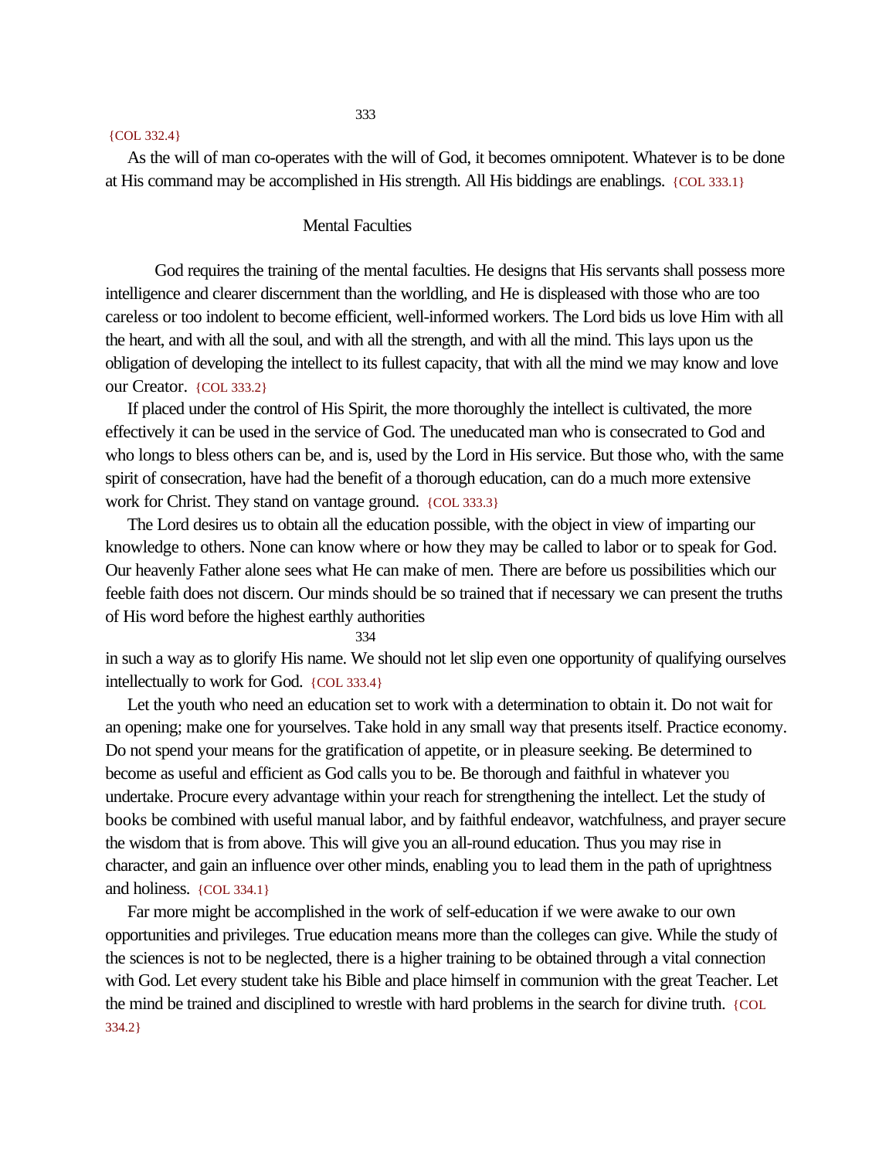## {COL 332.4}

 As the will of man co-operates with the will of God, it becomes omnipotent. Whatever is to be done at His command may be accomplished in His strength. All His biddings are enablings. {COL 333.1}

# Mental Faculties

 God requires the training of the mental faculties. He designs that His servants shall possess more intelligence and clearer discernment than the worldling, and He is displeased with those who are too careless or too indolent to become efficient, well-informed workers. The Lord bids us love Him with all the heart, and with all the soul, and with all the strength, and with all the mind. This lays upon us the obligation of developing the intellect to its fullest capacity, that with all the mind we may know and love our Creator. {COL 333.2}

 If placed under the control of His Spirit, the more thoroughly the intellect is cultivated, the more effectively it can be used in the service of God. The uneducated man who is consecrated to God and who longs to bless others can be, and is, used by the Lord in His service. But those who, with the same spirit of consecration, have had the benefit of a thorough education, can do a much more extensive work for Christ. They stand on vantage ground. {COL 333.3}

 The Lord desires us to obtain all the education possible, with the object in view of imparting our knowledge to others. None can know where or how they may be called to labor or to speak for God. Our heavenly Father alone sees what He can make of men. There are before us possibilities which our feeble faith does not discern. Our minds should be so trained that if necessary we can present the truths of His word before the highest earthly authorities

### 334

in such a way as to glorify His name. We should not let slip even one opportunity of qualifying ourselves intellectually to work for God. {COL 333.4}

 Let the youth who need an education set to work with a determination to obtain it. Do not wait for an opening; make one for yourselves. Take hold in any small way that presents itself. Practice economy. Do not spend your means for the gratification of appetite, or in pleasure seeking. Be determined to become as useful and efficient as God calls you to be. Be thorough and faithful in whatever you undertake. Procure every advantage within your reach for strengthening the intellect. Let the study of books be combined with useful manual labor, and by faithful endeavor, watchfulness, and prayer secure the wisdom that is from above. This will give you an all-round education. Thus you may rise in character, and gain an influence over other minds, enabling you to lead them in the path of uprightness and holiness. {COL 334.1}

 Far more might be accomplished in the work of self-education if we were awake to our own opportunities and privileges. True education means more than the colleges can give. While the study of the sciences is not to be neglected, there is a higher training to be obtained through a vital connection with God. Let every student take his Bible and place himself in communion with the great Teacher. Let the mind be trained and disciplined to wrestle with hard problems in the search for divine truth. {COL 334.2}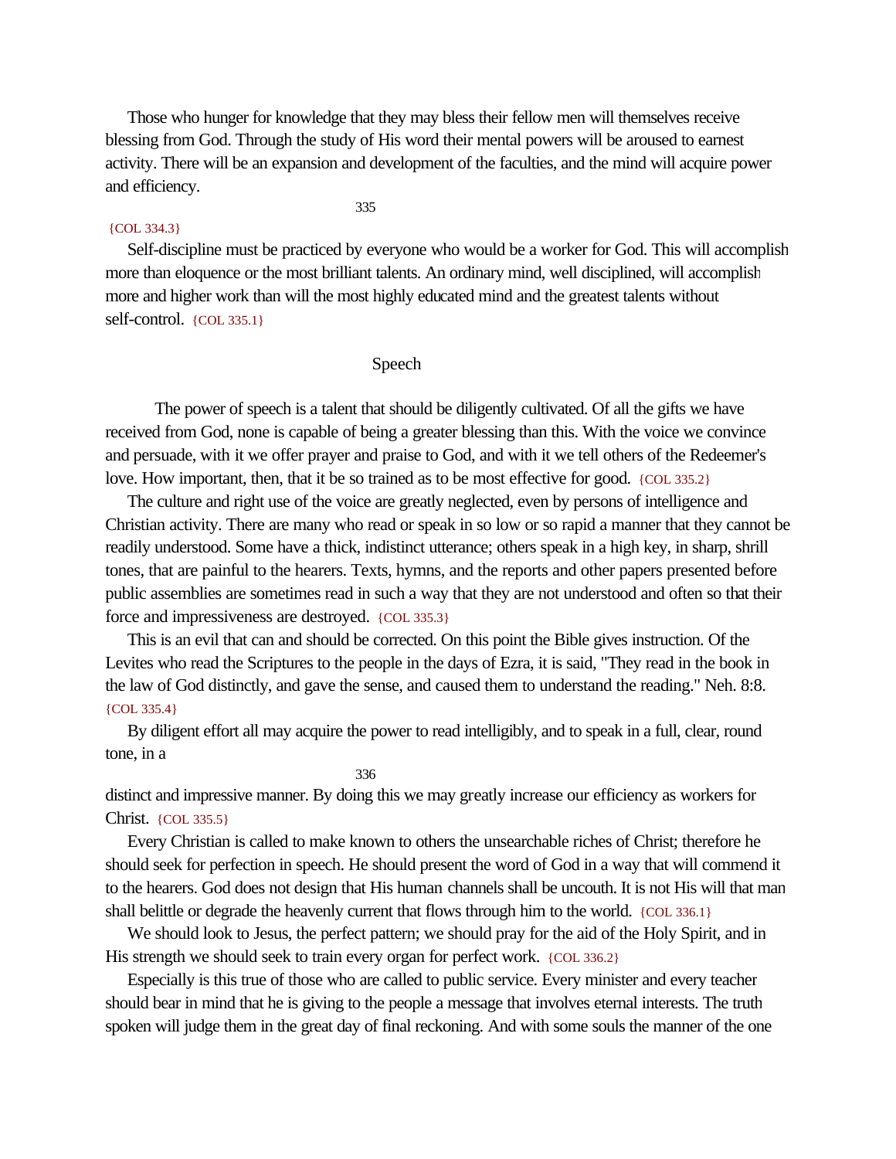Those who hunger for knowledge that they may bless their fellow men will themselves receive blessing from God. Through the study of His word their mental powers will be aroused to earnest activity. There will be an expansion and development of the faculties, and the mind will acquire power and efficiency.

#### {COL 334.3}

 Self-discipline must be practiced by everyone who would be a worker for God. This will accomplish more than eloquence or the most brilliant talents. An ordinary mind, well disciplined, will accomplish more and higher work than will the most highly educated mind and the greatest talents without self-control. {COL 335.1}

# Speech

 The power of speech is a talent that should be diligently cultivated. Of all the gifts we have received from God, none is capable of being a greater blessing than this. With the voice we convince and persuade, with it we offer prayer and praise to God, and with it we tell others of the Redeemer's love. How important, then, that it be so trained as to be most effective for good. {COL 335.2}

 The culture and right use of the voice are greatly neglected, even by persons of intelligence and Christian activity. There are many who read or speak in so low or so rapid a manner that they cannot be readily understood. Some have a thick, indistinct utterance; others speak in a high key, in sharp, shrill tones, that are painful to the hearers. Texts, hymns, and the reports and other papers presented before public assemblies are sometimes read in such a way that they are not understood and often so that their force and impressiveness are destroyed. {COL 335.3}

 This is an evil that can and should be corrected. On this point the Bible gives instruction. Of the Levites who read the Scriptures to the people in the days of Ezra, it is said, "They read in the book in the law of God distinctly, and gave the sense, and caused them to understand the reading." Neh. 8:8. {COL 335.4}

 By diligent effort all may acquire the power to read intelligibly, and to speak in a full, clear, round tone, in a

336

distinct and impressive manner. By doing this we may greatly increase our efficiency as workers for Christ. {COL 335.5}

 Every Christian is called to make known to others the unsearchable riches of Christ; therefore he should seek for perfection in speech. He should present the word of God in a way that will commend it to the hearers. God does not design that His human channels shall be uncouth. It is not His will that man shall belittle or degrade the heavenly current that flows through him to the world.  $\{COL\ 336.1\}$ 

 We should look to Jesus, the perfect pattern; we should pray for the aid of the Holy Spirit, and in His strength we should seek to train every organ for perfect work. {COL 336.2}

 Especially is this true of those who are called to public service. Every minister and every teacher should bear in mind that he is giving to the people a message that involves eternal interests. The truth spoken will judge them in the great day of final reckoning. And with some souls the manner of the one

335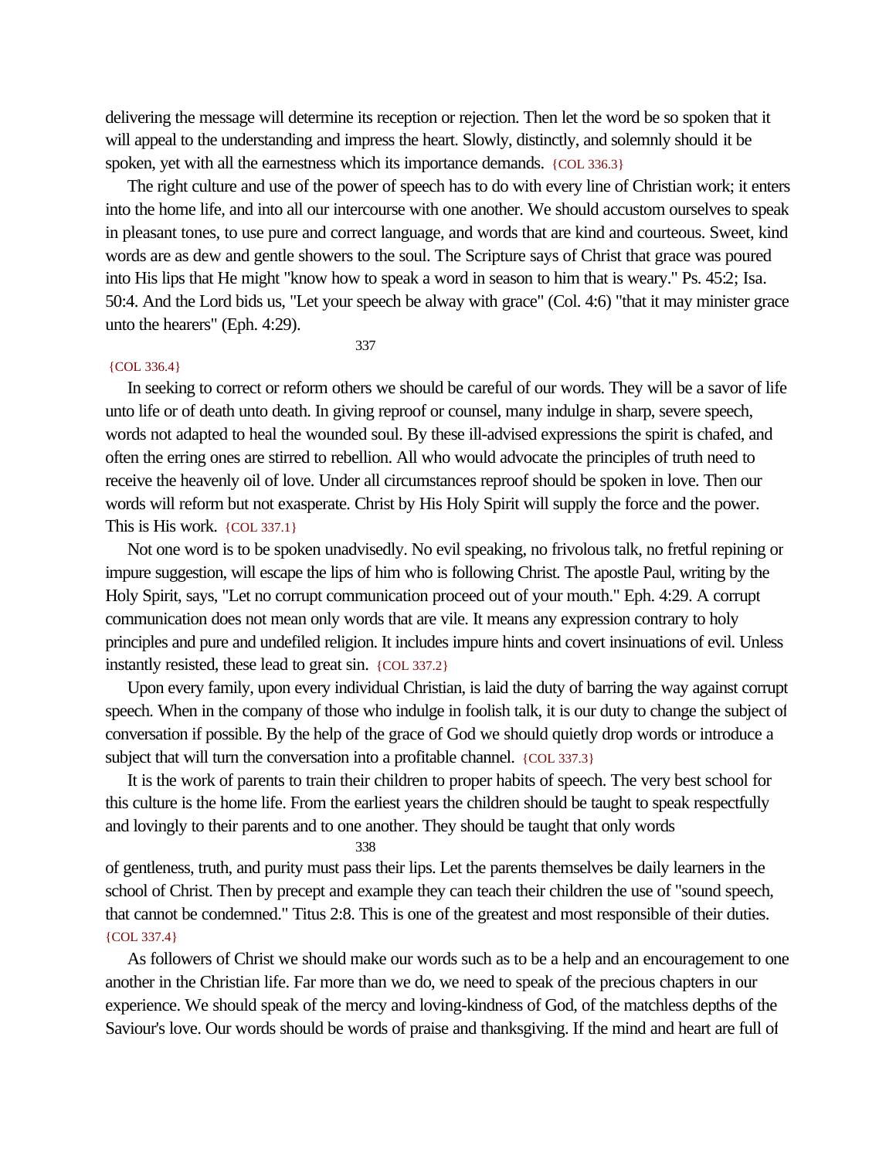delivering the message will determine its reception or rejection. Then let the word be so spoken that it will appeal to the understanding and impress the heart. Slowly, distinctly, and solemnly should it be spoken, yet with all the earnestness which its importance demands. {COL 336.3}

 The right culture and use of the power of speech has to do with every line of Christian work; it enters into the home life, and into all our intercourse with one another. We should accustom ourselves to speak in pleasant tones, to use pure and correct language, and words that are kind and courteous. Sweet, kind words are as dew and gentle showers to the soul. The Scripture says of Christ that grace was poured into His lips that He might "know how to speak a word in season to him that is weary." Ps. 45:2; Isa. 50:4. And the Lord bids us, "Let your speech be alway with grace" (Col. 4:6) "that it may minister grace unto the hearers" (Eph. 4:29).

# 337

#### {COL 336.4}

 In seeking to correct or reform others we should be careful of our words. They will be a savor of life unto life or of death unto death. In giving reproof or counsel, many indulge in sharp, severe speech, words not adapted to heal the wounded soul. By these ill-advised expressions the spirit is chafed, and often the erring ones are stirred to rebellion. All who would advocate the principles of truth need to receive the heavenly oil of love. Under all circumstances reproof should be spoken in love. Then our words will reform but not exasperate. Christ by His Holy Spirit will supply the force and the power. This is His work. {COL 337.1}

 Not one word is to be spoken unadvisedly. No evil speaking, no frivolous talk, no fretful repining or impure suggestion, will escape the lips of him who is following Christ. The apostle Paul, writing by the Holy Spirit, says, "Let no corrupt communication proceed out of your mouth." Eph. 4:29. A corrupt communication does not mean only words that are vile. It means any expression contrary to holy principles and pure and undefiled religion. It includes impure hints and covert insinuations of evil. Unless instantly resisted, these lead to great sin. {COL 337.2}

 Upon every family, upon every individual Christian, is laid the duty of barring the way against corrupt speech. When in the company of those who indulge in foolish talk, it is our duty to change the subject of conversation if possible. By the help of the grace of God we should quietly drop words or introduce a subject that will turn the conversation into a profitable channel. {COL 337.3}

 It is the work of parents to train their children to proper habits of speech. The very best school for this culture is the home life. From the earliest years the children should be taught to speak respectfully and lovingly to their parents and to one another. They should be taught that only words

#### 338

of gentleness, truth, and purity must pass their lips. Let the parents themselves be daily learners in the school of Christ. Then by precept and example they can teach their children the use of "sound speech, that cannot be condemned." Titus 2:8. This is one of the greatest and most responsible of their duties. {COL 337.4}

 As followers of Christ we should make our words such as to be a help and an encouragement to one another in the Christian life. Far more than we do, we need to speak of the precious chapters in our experience. We should speak of the mercy and loving-kindness of God, of the matchless depths of the Saviour's love. Our words should be words of praise and thanksgiving. If the mind and heart are full of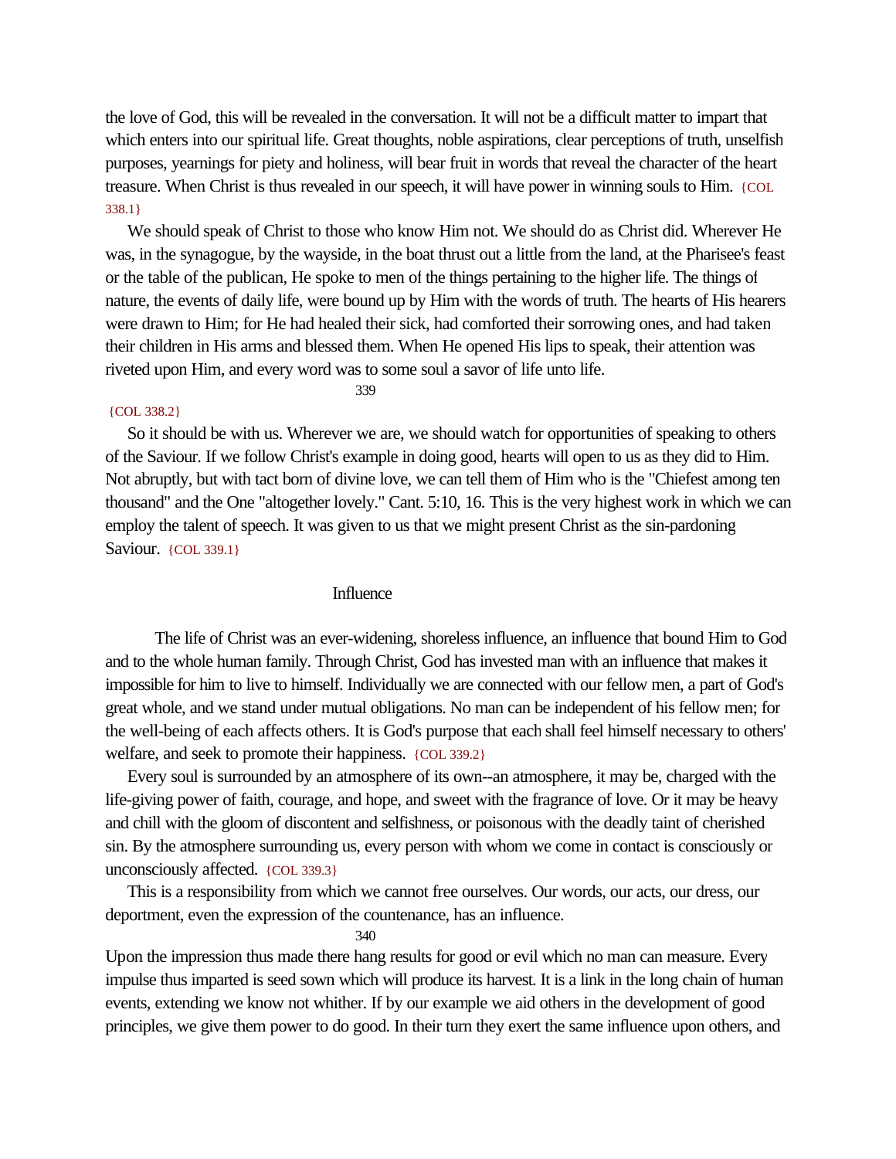the love of God, this will be revealed in the conversation. It will not be a difficult matter to impart that which enters into our spiritual life. Great thoughts, noble aspirations, clear perceptions of truth, unselfish purposes, yearnings for piety and holiness, will bear fruit in words that reveal the character of the heart treasure. When Christ is thus revealed in our speech, it will have power in winning souls to Him. {COL 338.1}

 We should speak of Christ to those who know Him not. We should do as Christ did. Wherever He was, in the synagogue, by the wayside, in the boat thrust out a little from the land, at the Pharisee's feast or the table of the publican, He spoke to men of the things pertaining to the higher life. The things of nature, the events of daily life, were bound up by Him with the words of truth. The hearts of His hearers were drawn to Him; for He had healed their sick, had comforted their sorrowing ones, and had taken their children in His arms and blessed them. When He opened His lips to speak, their attention was riveted upon Him, and every word was to some soul a savor of life unto life.

## {COL 338.2}

339

 So it should be with us. Wherever we are, we should watch for opportunities of speaking to others of the Saviour. If we follow Christ's example in doing good, hearts will open to us as they did to Him. Not abruptly, but with tact born of divine love, we can tell them of Him who is the "Chiefest among ten thousand" and the One "altogether lovely." Cant. 5:10, 16. This is the very highest work in which we can employ the talent of speech. It was given to us that we might present Christ as the sin-pardoning Saviour. {COL 339.1}

### Influence

 The life of Christ was an ever-widening, shoreless influence, an influence that bound Him to God and to the whole human family. Through Christ, God has invested man with an influence that makes it impossible for him to live to himself. Individually we are connected with our fellow men, a part of God's great whole, and we stand under mutual obligations. No man can be independent of his fellow men; for the well-being of each affects others. It is God's purpose that each shall feel himself necessary to others' welfare, and seek to promote their happiness. {COL 339.2}

 Every soul is surrounded by an atmosphere of its own--an atmosphere, it may be, charged with the life-giving power of faith, courage, and hope, and sweet with the fragrance of love. Or it may be heavy and chill with the gloom of discontent and selfishness, or poisonous with the deadly taint of cherished sin. By the atmosphere surrounding us, every person with whom we come in contact is consciously or unconsciously affected. {COL 339.3}

 This is a responsibility from which we cannot free ourselves. Our words, our acts, our dress, our deportment, even the expression of the countenance, has an influence.

$$
340\,
$$

Upon the impression thus made there hang results for good or evil which no man can measure. Every impulse thus imparted is seed sown which will produce its harvest. It is a link in the long chain of human events, extending we know not whither. If by our example we aid others in the development of good principles, we give them power to do good. In their turn they exert the same influence upon others, and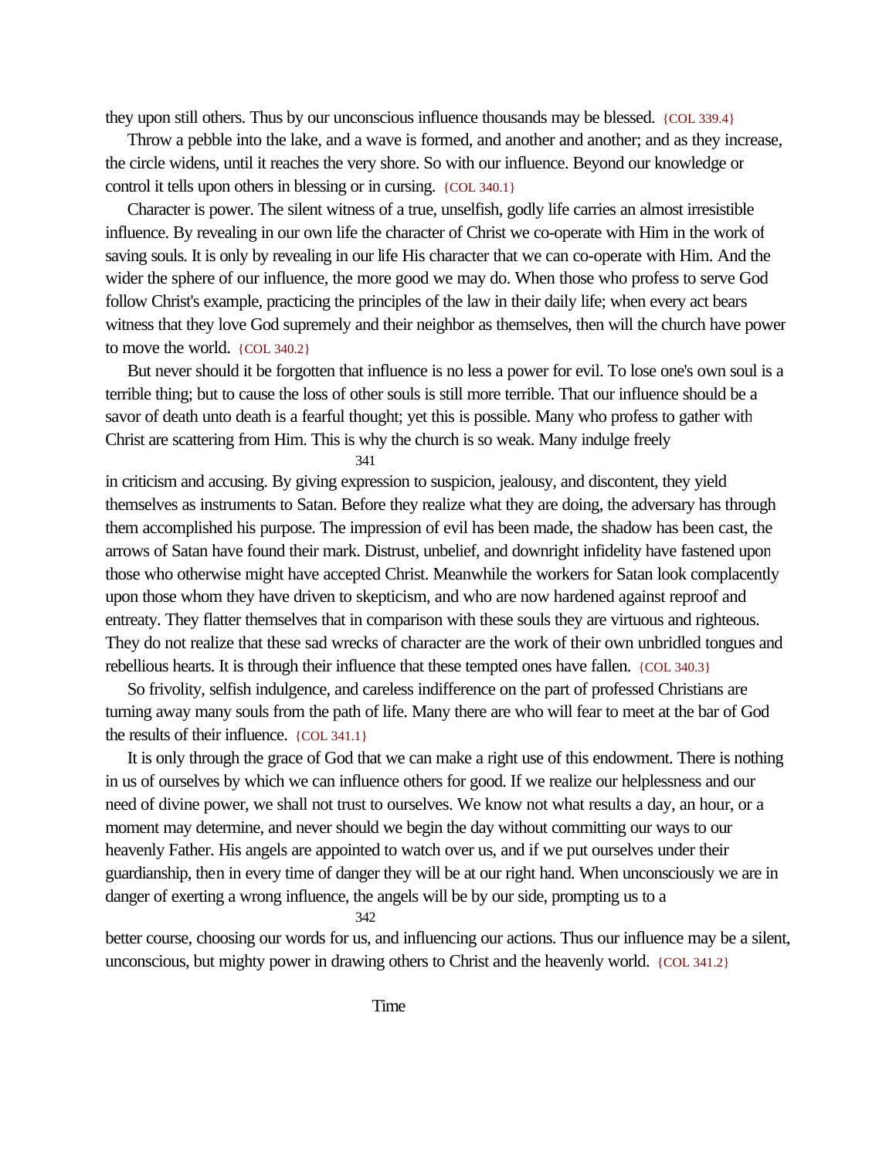they upon still others. Thus by our unconscious influence thousands may be blessed. {COL 339.4}

 Throw a pebble into the lake, and a wave is formed, and another and another; and as they increase, the circle widens, until it reaches the very shore. So with our influence. Beyond our knowledge or control it tells upon others in blessing or in cursing. {COL 340.1}

 Character is power. The silent witness of a true, unselfish, godly life carries an almost irresistible influence. By revealing in our own life the character of Christ we co-operate with Him in the work of saving souls. It is only by revealing in our life His character that we can co-operate with Him. And the wider the sphere of our influence, the more good we may do. When those who profess to serve God follow Christ's example, practicing the principles of the law in their daily life; when every act bears witness that they love God supremely and their neighbor as themselves, then will the church have power to move the world. {COL 340.2}

 But never should it be forgotten that influence is no less a power for evil. To lose one's own soul is a terrible thing; but to cause the loss of other souls is still more terrible. That our influence should be a savor of death unto death is a fearful thought; yet this is possible. Many who profess to gather with Christ are scattering from Him. This is why the church is so weak. Many indulge freely

341

in criticism and accusing. By giving expression to suspicion, jealousy, and discontent, they yield themselves as instruments to Satan. Before they realize what they are doing, the adversary has through them accomplished his purpose. The impression of evil has been made, the shadow has been cast, the arrows of Satan have found their mark. Distrust, unbelief, and downright infidelity have fastened upon those who otherwise might have accepted Christ. Meanwhile the workers for Satan look complacently upon those whom they have driven to skepticism, and who are now hardened against reproof and entreaty. They flatter themselves that in comparison with these souls they are virtuous and righteous. They do not realize that these sad wrecks of character are the work of their own unbridled tongues and rebellious hearts. It is through their influence that these tempted ones have fallen. {COL 340.3}

 So frivolity, selfish indulgence, and careless indifference on the part of professed Christians are turning away many souls from the path of life. Many there are who will fear to meet at the bar of God the results of their influence. {COL 341.1}

 It is only through the grace of God that we can make a right use of this endowment. There is nothing in us of ourselves by which we can influence others for good. If we realize our helplessness and our need of divine power, we shall not trust to ourselves. We know not what results a day, an hour, or a moment may determine, and never should we begin the day without committing our ways to our heavenly Father. His angels are appointed to watch over us, and if we put ourselves under their guardianship, then in every time of danger they will be at our right hand. When unconsciously we are in danger of exerting a wrong influence, the angels will be by our side, prompting us to a

342

better course, choosing our words for us, and influencing our actions. Thus our influence may be a silent, unconscious, but mighty power in drawing others to Christ and the heavenly world. {COL 341.2}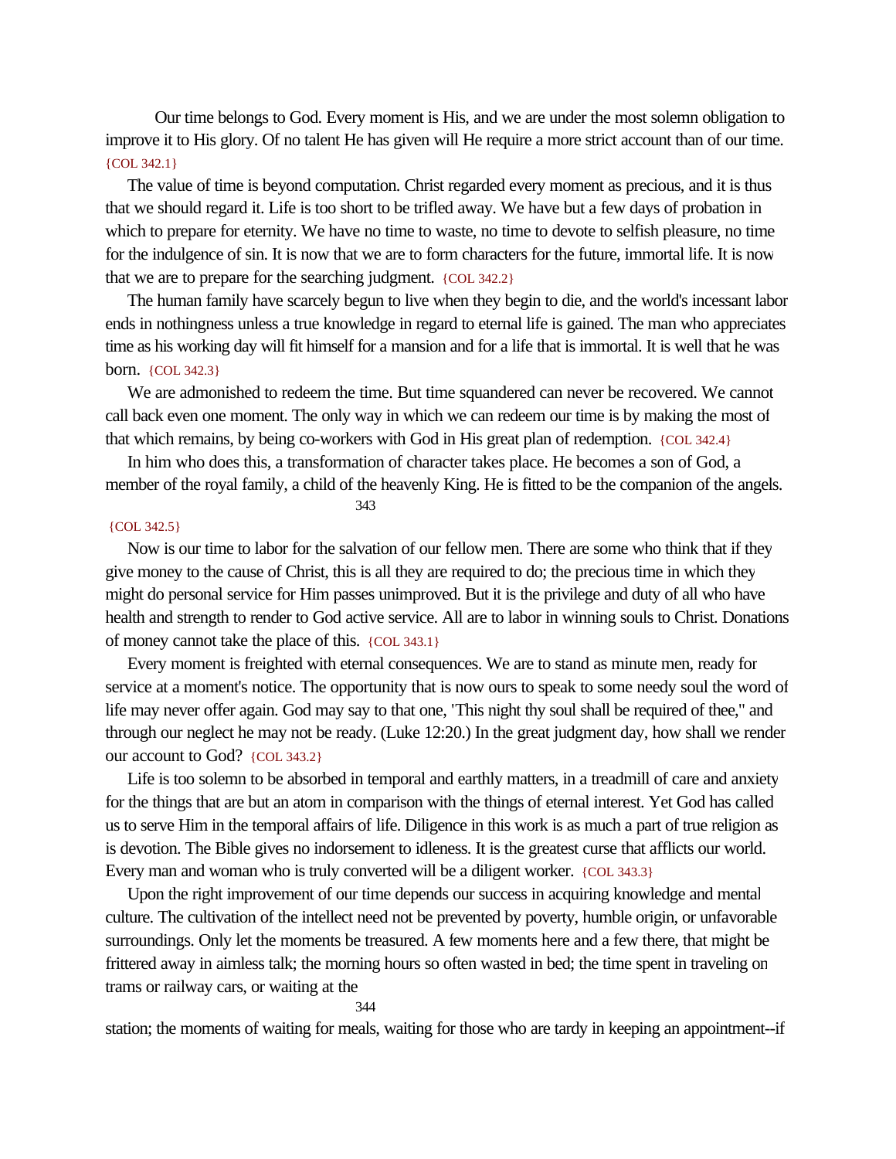Our time belongs to God. Every moment is His, and we are under the most solemn obligation to improve it to His glory. Of no talent He has given will He require a more strict account than of our time. {COL 342.1}

 The value of time is beyond computation. Christ regarded every moment as precious, and it is thus that we should regard it. Life is too short to be trifled away. We have but a few days of probation in which to prepare for eternity. We have no time to waste, no time to devote to selfish pleasure, no time for the indulgence of sin. It is now that we are to form characters for the future, immortal life. It is now that we are to prepare for the searching judgment. {COL 342.2}

 The human family have scarcely begun to live when they begin to die, and the world's incessant labor ends in nothingness unless a true knowledge in regard to eternal life is gained. The man who appreciates time as his working day will fit himself for a mansion and for a life that is immortal. It is well that he was born.  ${COL}$  342.3}

 We are admonished to redeem the time. But time squandered can never be recovered. We cannot call back even one moment. The only way in which we can redeem our time is by making the most of that which remains, by being co-workers with God in His great plan of redemption. {COL 342.4}

 In him who does this, a transformation of character takes place. He becomes a son of God, a member of the royal family, a child of the heavenly King. He is fitted to be the companion of the angels.

#### {COL 342.5}

343

 Now is our time to labor for the salvation of our fellow men. There are some who think that if they give money to the cause of Christ, this is all they are required to do; the precious time in which they might do personal service for Him passes unimproved. But it is the privilege and duty of all who have health and strength to render to God active service. All are to labor in winning souls to Christ. Donations of money cannot take the place of this. {COL 343.1}

 Every moment is freighted with eternal consequences. We are to stand as minute men, ready for service at a moment's notice. The opportunity that is now ours to speak to some needy soul the word of life may never offer again. God may say to that one, "This night thy soul shall be required of thee," and through our neglect he may not be ready. (Luke 12:20.) In the great judgment day, how shall we render our account to God? {COL 343.2}

 Life is too solemn to be absorbed in temporal and earthly matters, in a treadmill of care and anxiety for the things that are but an atom in comparison with the things of eternal interest. Yet God has called us to serve Him in the temporal affairs of life. Diligence in this work is as much a part of true religion as is devotion. The Bible gives no indorsement to idleness. It is the greatest curse that afflicts our world. Every man and woman who is truly converted will be a diligent worker. {COL 343.3}

 Upon the right improvement of our time depends our success in acquiring knowledge and mental culture. The cultivation of the intellect need not be prevented by poverty, humble origin, or unfavorable surroundings. Only let the moments be treasured. A few moments here and a few there, that might be frittered away in aimless talk; the morning hours so often wasted in bed; the time spent in traveling on trams or railway cars, or waiting at the

## 344

station; the moments of waiting for meals, waiting for those who are tardy in keeping an appointment--if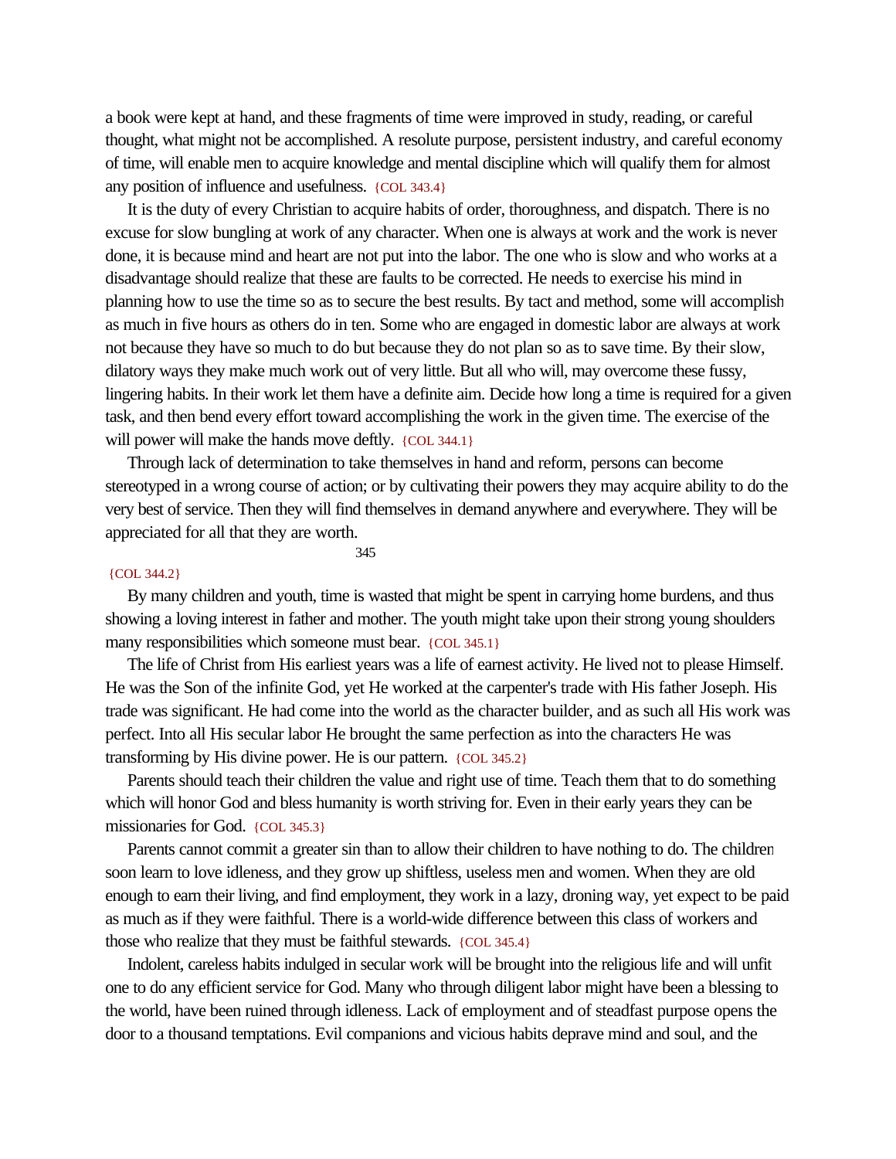a book were kept at hand, and these fragments of time were improved in study, reading, or careful thought, what might not be accomplished. A resolute purpose, persistent industry, and careful economy of time, will enable men to acquire knowledge and mental discipline which will qualify them for almost any position of influence and usefulness. {COL 343.4}

 It is the duty of every Christian to acquire habits of order, thoroughness, and dispatch. There is no excuse for slow bungling at work of any character. When one is always at work and the work is never done, it is because mind and heart are not put into the labor. The one who is slow and who works at a disadvantage should realize that these are faults to be corrected. He needs to exercise his mind in planning how to use the time so as to secure the best results. By tact and method, some will accomplish as much in five hours as others do in ten. Some who are engaged in domestic labor are always at work not because they have so much to do but because they do not plan so as to save time. By their slow, dilatory ways they make much work out of very little. But all who will, may overcome these fussy, lingering habits. In their work let them have a definite aim. Decide how long a time is required for a given task, and then bend every effort toward accomplishing the work in the given time. The exercise of the will power will make the hands move deftly. {COL 344.1}

 Through lack of determination to take themselves in hand and reform, persons can become stereotyped in a wrong course of action; or by cultivating their powers they may acquire ability to do the very best of service. Then they will find themselves in demand anywhere and everywhere. They will be appreciated for all that they are worth.

## {COL 344.2}

345

 By many children and youth, time is wasted that might be spent in carrying home burdens, and thus showing a loving interest in father and mother. The youth might take upon their strong young shoulders many responsibilities which someone must bear. {COL 345.1}

 The life of Christ from His earliest years was a life of earnest activity. He lived not to please Himself. He was the Son of the infinite God, yet He worked at the carpenter's trade with His father Joseph. His trade was significant. He had come into the world as the character builder, and as such all His work was perfect. Into all His secular labor He brought the same perfection as into the characters He was transforming by His divine power. He is our pattern. {COL 345.2}

 Parents should teach their children the value and right use of time. Teach them that to do something which will honor God and bless humanity is worth striving for. Even in their early years they can be missionaries for God. {COL 345.3}

 Parents cannot commit a greater sin than to allow their children to have nothing to do. The children soon learn to love idleness, and they grow up shiftless, useless men and women. When they are old enough to earn their living, and find employment, they work in a lazy, droning way, yet expect to be paid as much as if they were faithful. There is a world-wide difference between this class of workers and those who realize that they must be faithful stewards. {COL 345.4}

 Indolent, careless habits indulged in secular work will be brought into the religious life and will unfit one to do any efficient service for God. Many who through diligent labor might have been a blessing to the world, have been ruined through idleness. Lack of employment and of steadfast purpose opens the door to a thousand temptations. Evil companions and vicious habits deprave mind and soul, and the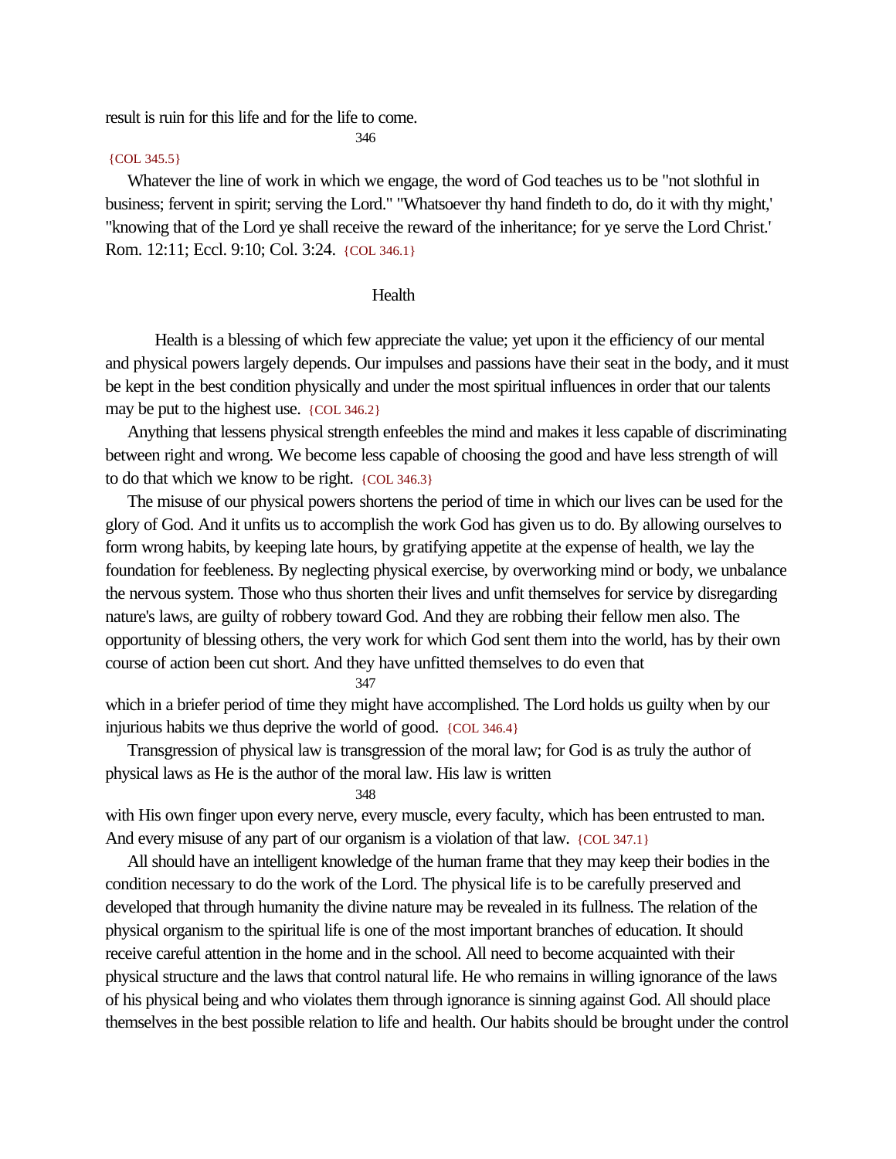result is ruin for this life and for the life to come.

346

## {COL 345.5}

 Whatever the line of work in which we engage, the word of God teaches us to be "not slothful in business; fervent in spirit; serving the Lord." "Whatsoever thy hand findeth to do, do it with thy might," "knowing that of the Lord ye shall receive the reward of the inheritance; for ye serve the Lord Christ." Rom. 12:11; Eccl. 9:10; Col. 3:24. {COL 346.1}

# **Health**

 Health is a blessing of which few appreciate the value; yet upon it the efficiency of our mental and physical powers largely depends. Our impulses and passions have their seat in the body, and it must be kept in the best condition physically and under the most spiritual influences in order that our talents may be put to the highest use. {COL 346.2}

 Anything that lessens physical strength enfeebles the mind and makes it less capable of discriminating between right and wrong. We become less capable of choosing the good and have less strength of will to do that which we know to be right. {COL 346.3}

 The misuse of our physical powers shortens the period of time in which our lives can be used for the glory of God. And it unfits us to accomplish the work God has given us to do. By allowing ourselves to form wrong habits, by keeping late hours, by gratifying appetite at the expense of health, we lay the foundation for feebleness. By neglecting physical exercise, by overworking mind or body, we unbalance the nervous system. Those who thus shorten their lives and unfit themselves for service by disregarding nature's laws, are guilty of robbery toward God. And they are robbing their fellow men also. The opportunity of blessing others, the very work for which God sent them into the world, has by their own course of action been cut short. And they have unfitted themselves to do even that

347

which in a briefer period of time they might have accomplished. The Lord holds us guilty when by our injurious habits we thus deprive the world of good. {COL 346.4}

 Transgression of physical law is transgression of the moral law; for God is as truly the author of physical laws as He is the author of the moral law. His law is written

## 348

with His own finger upon every nerve, every muscle, every faculty, which has been entrusted to man. And every misuse of any part of our organism is a violation of that law. {COL 347.1}

 All should have an intelligent knowledge of the human frame that they may keep their bodies in the condition necessary to do the work of the Lord. The physical life is to be carefully preserved and developed that through humanity the divine nature may be revealed in its fullness. The relation of the physical organism to the spiritual life is one of the most important branches of education. It should receive careful attention in the home and in the school. All need to become acquainted with their physical structure and the laws that control natural life. He who remains in willing ignorance of the laws of his physical being and who violates them through ignorance is sinning against God. All should place themselves in the best possible relation to life and health. Our habits should be brought under the control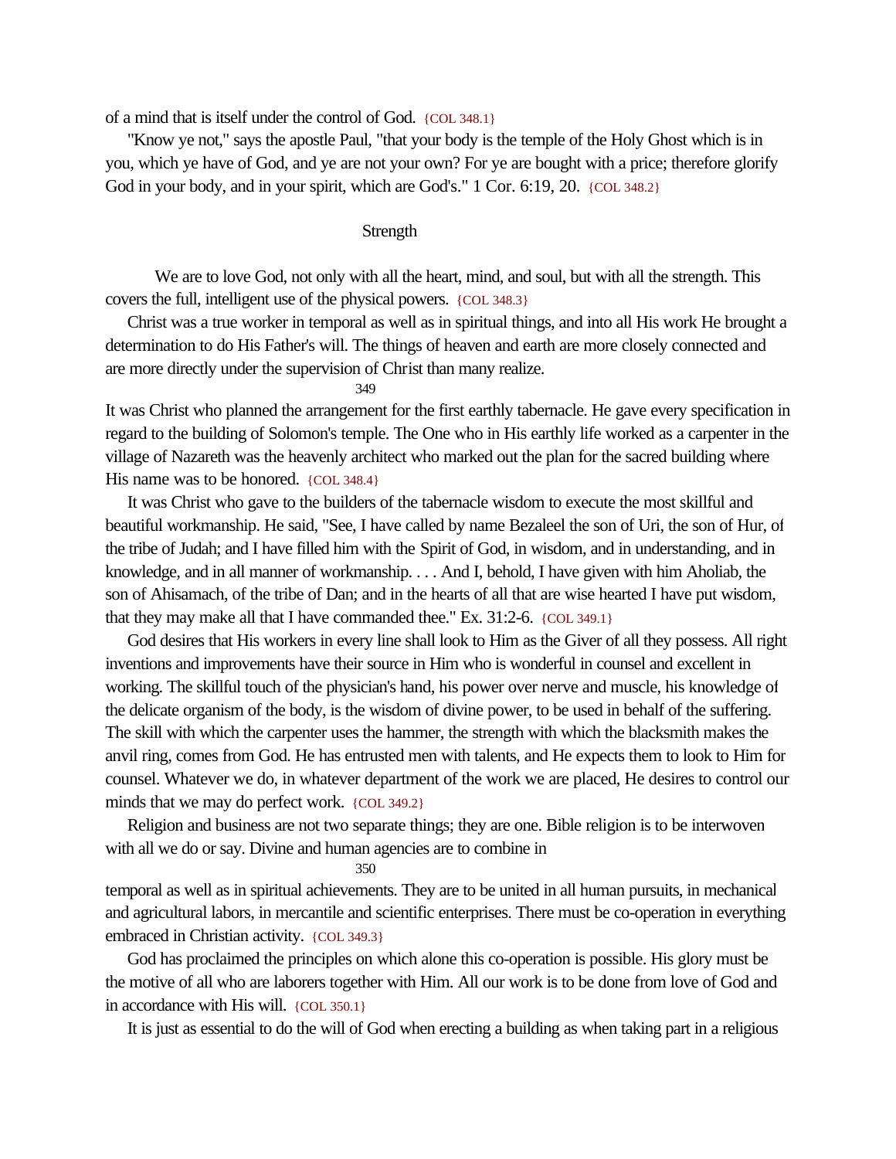of a mind that is itself under the control of God. {COL 348.1}

 "Know ye not," says the apostle Paul, "that your body is the temple of the Holy Ghost which is in you, which ye have of God, and ye are not your own? For ye are bought with a price; therefore glorify God in your body, and in your spirit, which are God's." 1 Cor. 6:19, 20. {COL 348.2}

## **Strength**

 We are to love God, not only with all the heart, mind, and soul, but with all the strength. This covers the full, intelligent use of the physical powers. {COL 348.3}

 Christ was a true worker in temporal as well as in spiritual things, and into all His work He brought a determination to do His Father's will. The things of heaven and earth are more closely connected and are more directly under the supervision of Christ than many realize.

#### 349

It was Christ who planned the arrangement for the first earthly tabernacle. He gave every specification in regard to the building of Solomon's temple. The One who in His earthly life worked as a carpenter in the village of Nazareth was the heavenly architect who marked out the plan for the sacred building where His name was to be honored. {COL 348.4}

 It was Christ who gave to the builders of the tabernacle wisdom to execute the most skillful and beautiful workmanship. He said, "See, I have called by name Bezaleel the son of Uri, the son of Hur, of the tribe of Judah; and I have filled him with the Spirit of God, in wisdom, and in understanding, and in knowledge, and in all manner of workmanship. . . . And I, behold, I have given with him Aholiab, the son of Ahisamach, of the tribe of Dan; and in the hearts of all that are wise hearted I have put wisdom, that they may make all that I have commanded thee." Ex. 31:2-6. {COL 349.1}

 God desires that His workers in every line shall look to Him as the Giver of all they possess. All right inventions and improvements have their source in Him who is wonderful in counsel and excellent in working. The skillful touch of the physician's hand, his power over nerve and muscle, his knowledge of the delicate organism of the body, is the wisdom of divine power, to be used in behalf of the suffering. The skill with which the carpenter uses the hammer, the strength with which the blacksmith makes the anvil ring, comes from God. He has entrusted men with talents, and He expects them to look to Him for counsel. Whatever we do, in whatever department of the work we are placed, He desires to control our minds that we may do perfect work. {COL 349.2}

 Religion and business are not two separate things; they are one. Bible religion is to be interwoven with all we do or say. Divine and human agencies are to combine in

350

temporal as well as in spiritual achievements. They are to be united in all human pursuits, in mechanical and agricultural labors, in mercantile and scientific enterprises. There must be co-operation in everything embraced in Christian activity. {COL 349.3}

 God has proclaimed the principles on which alone this co-operation is possible. His glory must be the motive of all who are laborers together with Him. All our work is to be done from love of God and in accordance with His will. {COL 350.1}

It is just as essential to do the will of God when erecting a building as when taking part in a religious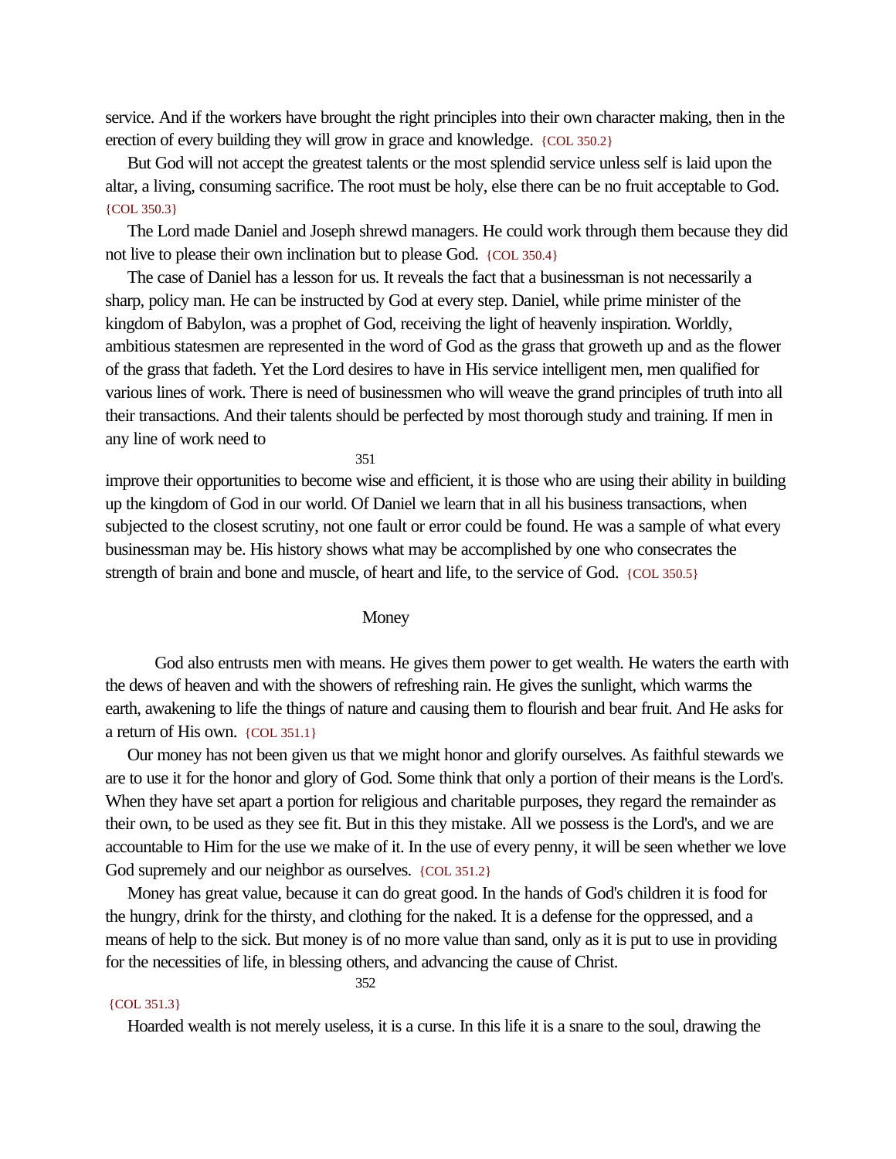service. And if the workers have brought the right principles into their own character making, then in the erection of every building they will grow in grace and knowledge. {COL 350.2}

 But God will not accept the greatest talents or the most splendid service unless self is laid upon the altar, a living, consuming sacrifice. The root must be holy, else there can be no fruit acceptable to God. {COL 350.3}

 The Lord made Daniel and Joseph shrewd managers. He could work through them because they did not live to please their own inclination but to please God. {COL 350.4}

 The case of Daniel has a lesson for us. It reveals the fact that a businessman is not necessarily a sharp, policy man. He can be instructed by God at every step. Daniel, while prime minister of the kingdom of Babylon, was a prophet of God, receiving the light of heavenly inspiration. Worldly, ambitious statesmen are represented in the word of God as the grass that groweth up and as the flower of the grass that fadeth. Yet the Lord desires to have in His service intelligent men, men qualified for various lines of work. There is need of businessmen who will weave the grand principles of truth into all their transactions. And their talents should be perfected by most thorough study and training. If men in any line of work need to

351

improve their opportunities to become wise and efficient, it is those who are using their ability in building up the kingdom of God in our world. Of Daniel we learn that in all his business transactions, when subjected to the closest scrutiny, not one fault or error could be found. He was a sample of what every businessman may be. His history shows what may be accomplished by one who consecrates the strength of brain and bone and muscle, of heart and life, to the service of God. {COL 350.5}

### Money

 God also entrusts men with means. He gives them power to get wealth. He waters the earth with the dews of heaven and with the showers of refreshing rain. He gives the sunlight, which warms the earth, awakening to life the things of nature and causing them to flourish and bear fruit. And He asks for a return of His own. {COL 351.1}

 Our money has not been given us that we might honor and glorify ourselves. As faithful stewards we are to use it for the honor and glory of God. Some think that only a portion of their means is the Lord's. When they have set apart a portion for religious and charitable purposes, they regard the remainder as their own, to be used as they see fit. But in this they mistake. All we possess is the Lord's, and we are accountable to Him for the use we make of it. In the use of every penny, it will be seen whether we love God supremely and our neighbor as ourselves. {COL 351.2}

 Money has great value, because it can do great good. In the hands of God's children it is food for the hungry, drink for the thirsty, and clothing for the naked. It is a defense for the oppressed, and a means of help to the sick. But money is of no more value than sand, only as it is put to use in providing for the necessities of life, in blessing others, and advancing the cause of Christ.

### {COL 351.3}

352

Hoarded wealth is not merely useless, it is a curse. In this life it is a snare to the soul, drawing the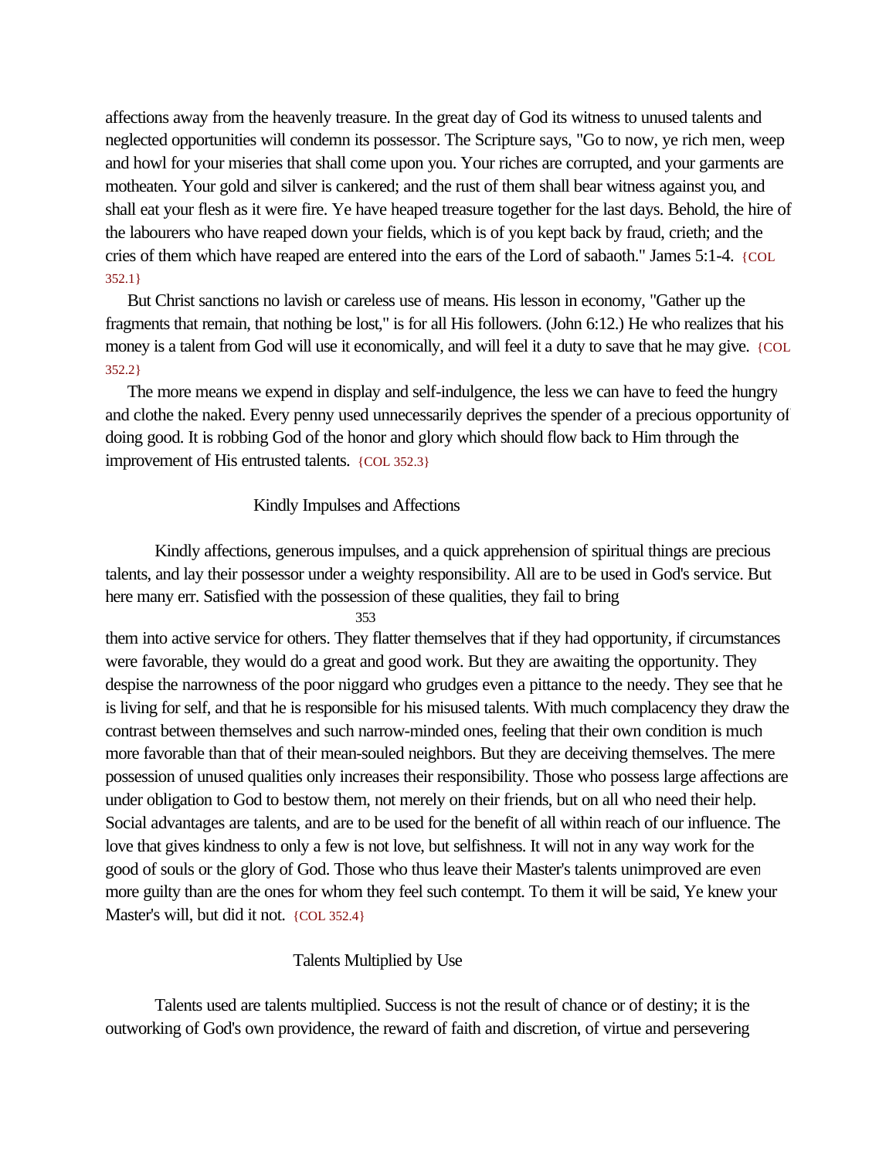affections away from the heavenly treasure. In the great day of God its witness to unused talents and neglected opportunities will condemn its possessor. The Scripture says, "Go to now, ye rich men, weep and howl for your miseries that shall come upon you. Your riches are corrupted, and your garments are motheaten. Your gold and silver is cankered; and the rust of them shall bear witness against you, and shall eat your flesh as it were fire. Ye have heaped treasure together for the last days. Behold, the hire of the labourers who have reaped down your fields, which is of you kept back by fraud, crieth; and the cries of them which have reaped are entered into the ears of the Lord of sabaoth." James 5:1-4. {COL 352.1}

 But Christ sanctions no lavish or careless use of means. His lesson in economy, "Gather up the fragments that remain, that nothing be lost," is for all His followers. (John 6:12.) He who realizes that his money is a talent from God will use it economically, and will feel it a duty to save that he may give. {COL 352.2}

 The more means we expend in display and self-indulgence, the less we can have to feed the hungry and clothe the naked. Every penny used unnecessarily deprives the spender of a precious opportunity of doing good. It is robbing God of the honor and glory which should flow back to Him through the improvement of His entrusted talents. {COL 352.3}

## Kindly Impulses and Affections

 Kindly affections, generous impulses, and a quick apprehension of spiritual things are precious talents, and lay their possessor under a weighty responsibility. All are to be used in God's service. But here many err. Satisfied with the possession of these qualities, they fail to bring

### 353

them into active service for others. They flatter themselves that if they had opportunity, if circumstances were favorable, they would do a great and good work. But they are awaiting the opportunity. They despise the narrowness of the poor niggard who grudges even a pittance to the needy. They see that he is living for self, and that he is responsible for his misused talents. With much complacency they draw the contrast between themselves and such narrow-minded ones, feeling that their own condition is much more favorable than that of their mean-souled neighbors. But they are deceiving themselves. The mere possession of unused qualities only increases their responsibility. Those who possess large affections are under obligation to God to bestow them, not merely on their friends, but on all who need their help. Social advantages are talents, and are to be used for the benefit of all within reach of our influence. The love that gives kindness to only a few is not love, but selfishness. It will not in any way work for the good of souls or the glory of God. Those who thus leave their Master's talents unimproved are even more guilty than are the ones for whom they feel such contempt. To them it will be said, Ye knew your Master's will, but did it not. {COL 352.4}

### Talents Multiplied by Use

 Talents used are talents multiplied. Success is not the result of chance or of destiny; it is the outworking of God's own providence, the reward of faith and discretion, of virtue and persevering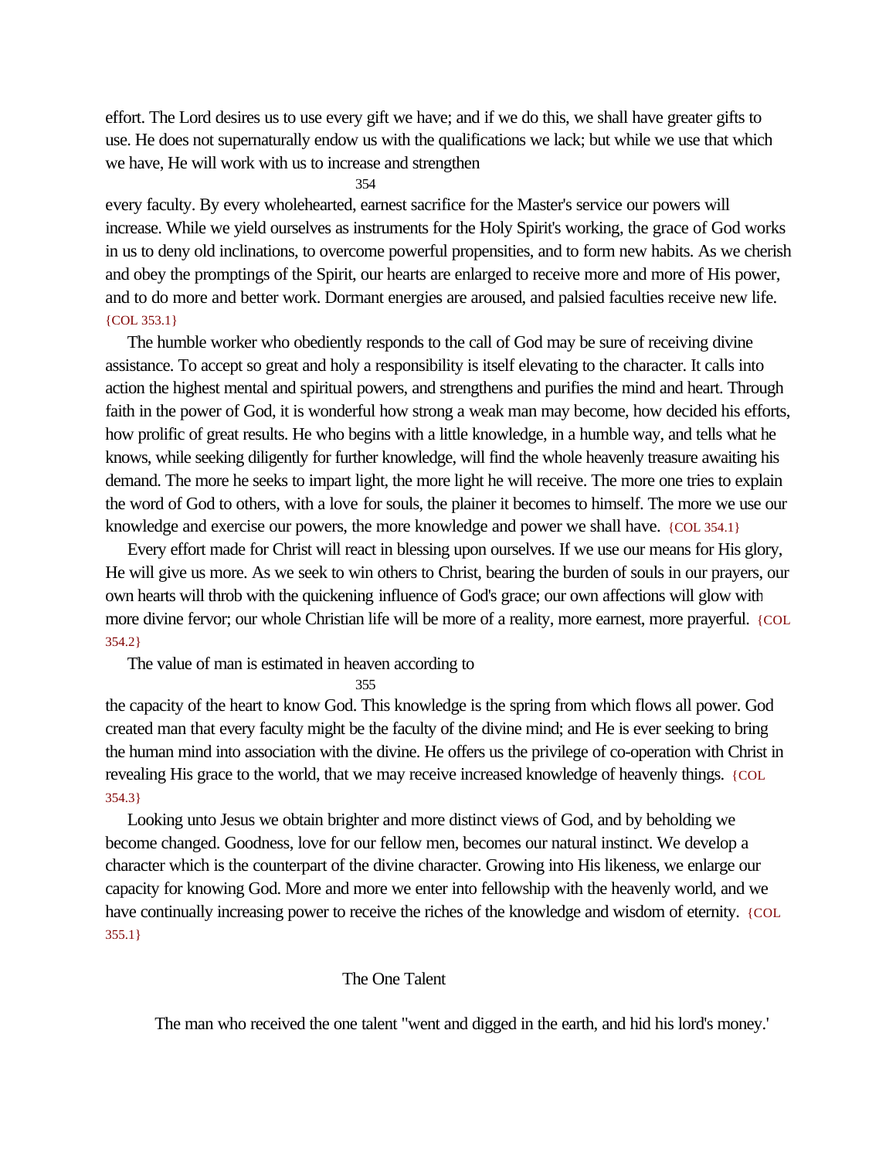effort. The Lord desires us to use every gift we have; and if we do this, we shall have greater gifts to use. He does not supernaturally endow us with the qualifications we lack; but while we use that which we have, He will work with us to increase and strengthen

354

every faculty. By every wholehearted, earnest sacrifice for the Master's service our powers will increase. While we yield ourselves as instruments for the Holy Spirit's working, the grace of God works in us to deny old inclinations, to overcome powerful propensities, and to form new habits. As we cherish and obey the promptings of the Spirit, our hearts are enlarged to receive more and more of His power, and to do more and better work. Dormant energies are aroused, and palsied faculties receive new life. {COL 353.1}

 The humble worker who obediently responds to the call of God may be sure of receiving divine assistance. To accept so great and holy a responsibility is itself elevating to the character. It calls into action the highest mental and spiritual powers, and strengthens and purifies the mind and heart. Through faith in the power of God, it is wonderful how strong a weak man may become, how decided his efforts, how prolific of great results. He who begins with a little knowledge, in a humble way, and tells what he knows, while seeking diligently for further knowledge, will find the whole heavenly treasure awaiting his demand. The more he seeks to impart light, the more light he will receive. The more one tries to explain the word of God to others, with a love for souls, the plainer it becomes to himself. The more we use our knowledge and exercise our powers, the more knowledge and power we shall have. {COL 354.1}

 Every effort made for Christ will react in blessing upon ourselves. If we use our means for His glory, He will give us more. As we seek to win others to Christ, bearing the burden of souls in our prayers, our own hearts will throb with the quickening influence of God's grace; our own affections will glow with more divine fervor; our whole Christian life will be more of a reality, more earnest, more prayerful. {COL} 354.2}

The value of man is estimated in heaven according to

355

the capacity of the heart to know God. This knowledge is the spring from which flows all power. God created man that every faculty might be the faculty of the divine mind; and He is ever seeking to bring the human mind into association with the divine. He offers us the privilege of co-operation with Christ in revealing His grace to the world, that we may receive increased knowledge of heavenly things. {COL 354.3}

 Looking unto Jesus we obtain brighter and more distinct views of God, and by beholding we become changed. Goodness, love for our fellow men, becomes our natural instinct. We develop a character which is the counterpart of the divine character. Growing into His likeness, we enlarge our capacity for knowing God. More and more we enter into fellowship with the heavenly world, and we have continually increasing power to receive the riches of the knowledge and wisdom of eternity. {COL 355.1}

## The One Talent

The man who received the one talent "went and digged in the earth, and hid his lord's money."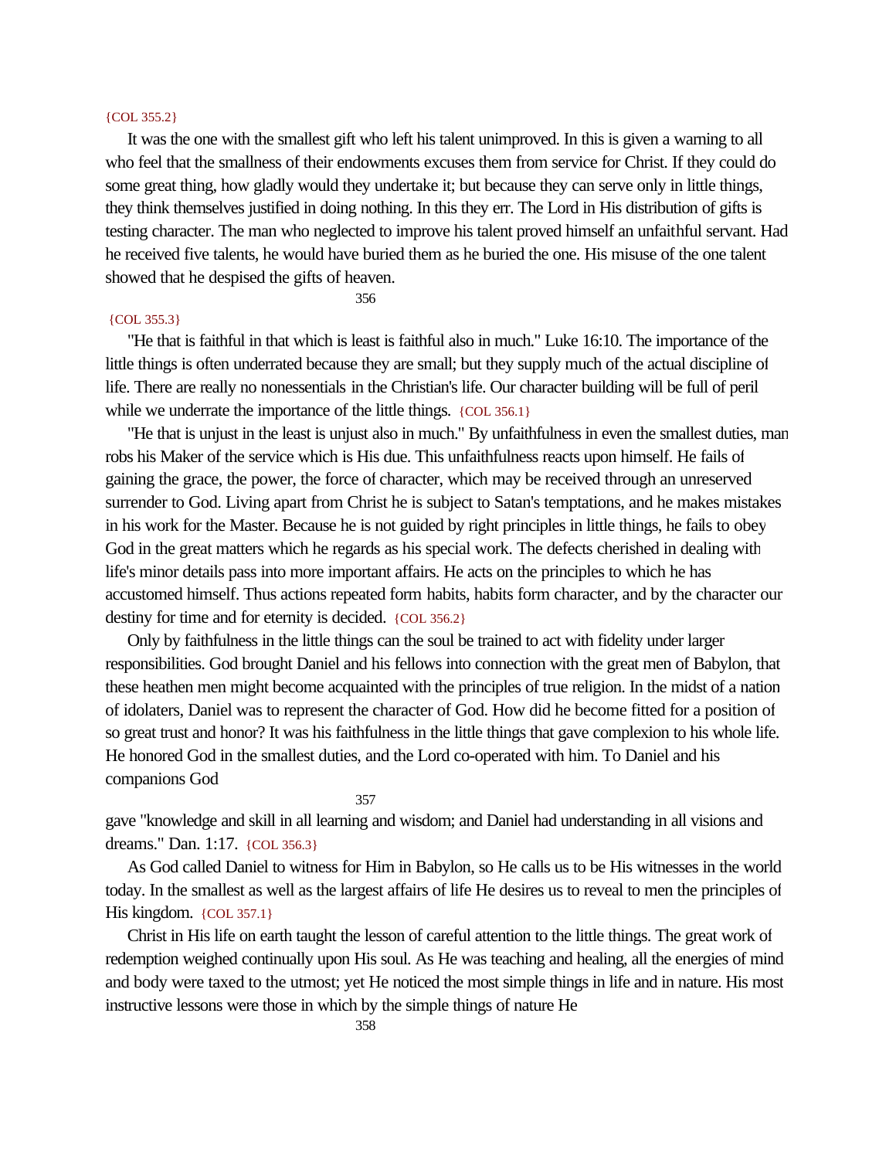### {COL 355.2}

 It was the one with the smallest gift who left his talent unimproved. In this is given a warning to all who feel that the smallness of their endowments excuses them from service for Christ. If they could do some great thing, how gladly would they undertake it; but because they can serve only in little things, they think themselves justified in doing nothing. In this they err. The Lord in His distribution of gifts is testing character. The man who neglected to improve his talent proved himself an unfaithful servant. Had he received five talents, he would have buried them as he buried the one. His misuse of the one talent showed that he despised the gifts of heaven.

356

### {COL 355.3}

 "He that is faithful in that which is least is faithful also in much." Luke 16:10. The importance of the little things is often underrated because they are small; but they supply much of the actual discipline of life. There are really no nonessentials in the Christian's life. Our character building will be full of peril while we underrate the importance of the little things. {COL 356.1}}

 "He that is unjust in the least is unjust also in much." By unfaithfulness in even the smallest duties, man robs his Maker of the service which is His due. This unfaithfulness reacts upon himself. He fails of gaining the grace, the power, the force of character, which may be received through an unreserved surrender to God. Living apart from Christ he is subject to Satan's temptations, and he makes mistakes in his work for the Master. Because he is not guided by right principles in little things, he fails to obey God in the great matters which he regards as his special work. The defects cherished in dealing with life's minor details pass into more important affairs. He acts on the principles to which he has accustomed himself. Thus actions repeated form habits, habits form character, and by the character our destiny for time and for eternity is decided. {COL 356.2}

 Only by faithfulness in the little things can the soul be trained to act with fidelity under larger responsibilities. God brought Daniel and his fellows into connection with the great men of Babylon, that these heathen men might become acquainted with the principles of true religion. In the midst of a nation of idolaters, Daniel was to represent the character of God. How did he become fitted for a position of so great trust and honor? It was his faithfulness in the little things that gave complexion to his whole life. He honored God in the smallest duties, and the Lord co-operated with him. To Daniel and his companions God

357

gave "knowledge and skill in all learning and wisdom; and Daniel had understanding in all visions and dreams." Dan. 1:17. {COL 356.3}

 As God called Daniel to witness for Him in Babylon, so He calls us to be His witnesses in the world today. In the smallest as well as the largest affairs of life He desires us to reveal to men the principles of His kingdom. {COL 357.1}

 Christ in His life on earth taught the lesson of careful attention to the little things. The great work of redemption weighed continually upon His soul. As He was teaching and healing, all the energies of mind and body were taxed to the utmost; yet He noticed the most simple things in life and in nature. His most instructive lessons were those in which by the simple things of nature He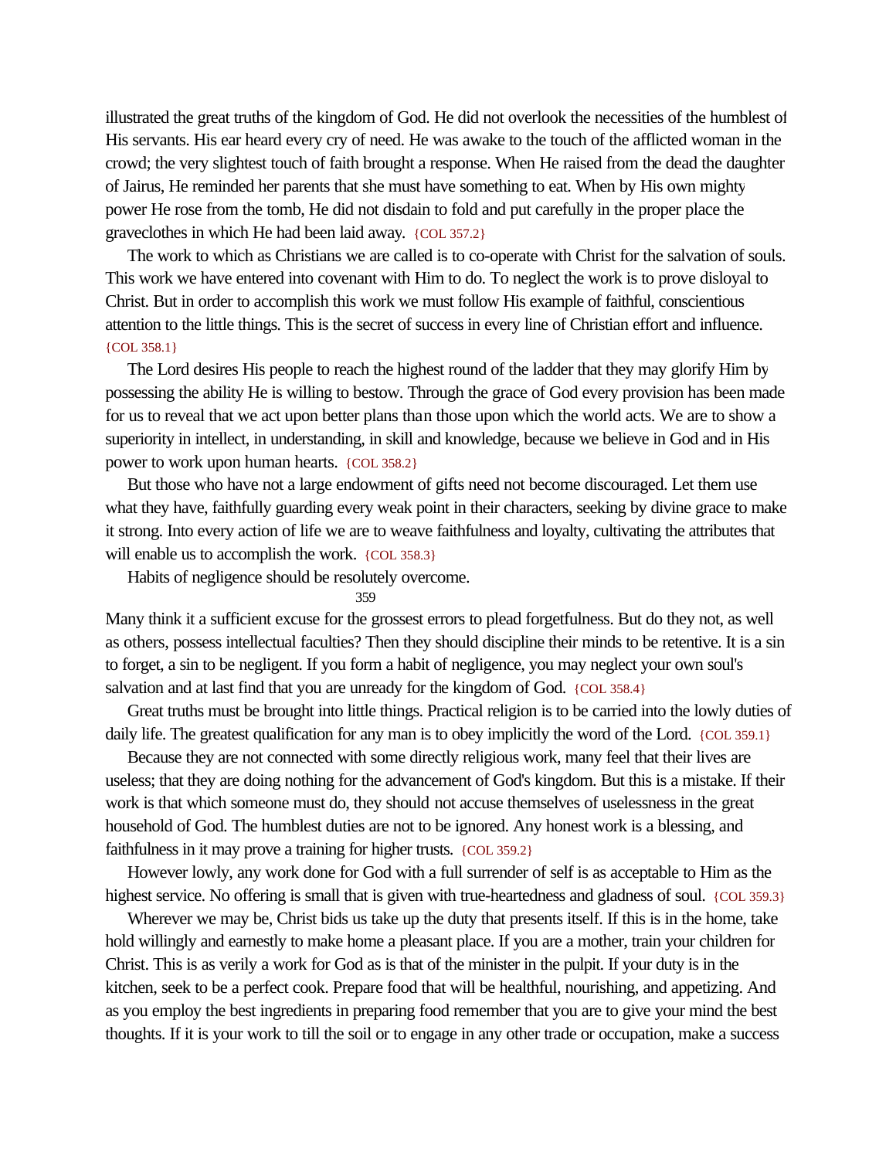illustrated the great truths of the kingdom of God. He did not overlook the necessities of the humblest of His servants. His ear heard every cry of need. He was awake to the touch of the afflicted woman in the crowd; the very slightest touch of faith brought a response. When He raised from the dead the daughter of Jairus, He reminded her parents that she must have something to eat. When by His own mighty power He rose from the tomb, He did not disdain to fold and put carefully in the proper place the graveclothes in which He had been laid away. {COL 357.2}

 The work to which as Christians we are called is to co-operate with Christ for the salvation of souls. This work we have entered into covenant with Him to do. To neglect the work is to prove disloyal to Christ. But in order to accomplish this work we must follow His example of faithful, conscientious attention to the little things. This is the secret of success in every line of Christian effort and influence. {COL 358.1}

 The Lord desires His people to reach the highest round of the ladder that they may glorify Him by possessing the ability He is willing to bestow. Through the grace of God every provision has been made for us to reveal that we act upon better plans than those upon which the world acts. We are to show a superiority in intellect, in understanding, in skill and knowledge, because we believe in God and in His power to work upon human hearts. {COL 358.2}

 But those who have not a large endowment of gifts need not become discouraged. Let them use what they have, faithfully guarding every weak point in their characters, seeking by divine grace to make it strong. Into every action of life we are to weave faithfulness and loyalty, cultivating the attributes that will enable us to accomplish the work. {COL 358.3}

Habits of negligence should be resolutely overcome.

359

Many think it a sufficient excuse for the grossest errors to plead forgetfulness. But do they not, as well as others, possess intellectual faculties? Then they should discipline their minds to be retentive. It is a sin to forget, a sin to be negligent. If you form a habit of negligence, you may neglect your own soul's salvation and at last find that you are unready for the kingdom of God. {COL 358.4}

 Great truths must be brought into little things. Practical religion is to be carried into the lowly duties of daily life. The greatest qualification for any man is to obey implicitly the word of the Lord. {COL 359.1}

 Because they are not connected with some directly religious work, many feel that their lives are useless; that they are doing nothing for the advancement of God's kingdom. But this is a mistake. If their work is that which someone must do, they should not accuse themselves of uselessness in the great household of God. The humblest duties are not to be ignored. Any honest work is a blessing, and faithfulness in it may prove a training for higher trusts. {COL 359.2}

 However lowly, any work done for God with a full surrender of self is as acceptable to Him as the highest service. No offering is small that is given with true-heartedness and gladness of soul. {COL 359.3}

 Wherever we may be, Christ bids us take up the duty that presents itself. If this is in the home, take hold willingly and earnestly to make home a pleasant place. If you are a mother, train your children for Christ. This is as verily a work for God as is that of the minister in the pulpit. If your duty is in the kitchen, seek to be a perfect cook. Prepare food that will be healthful, nourishing, and appetizing. And as you employ the best ingredients in preparing food remember that you are to give your mind the best thoughts. If it is your work to till the soil or to engage in any other trade or occupation, make a success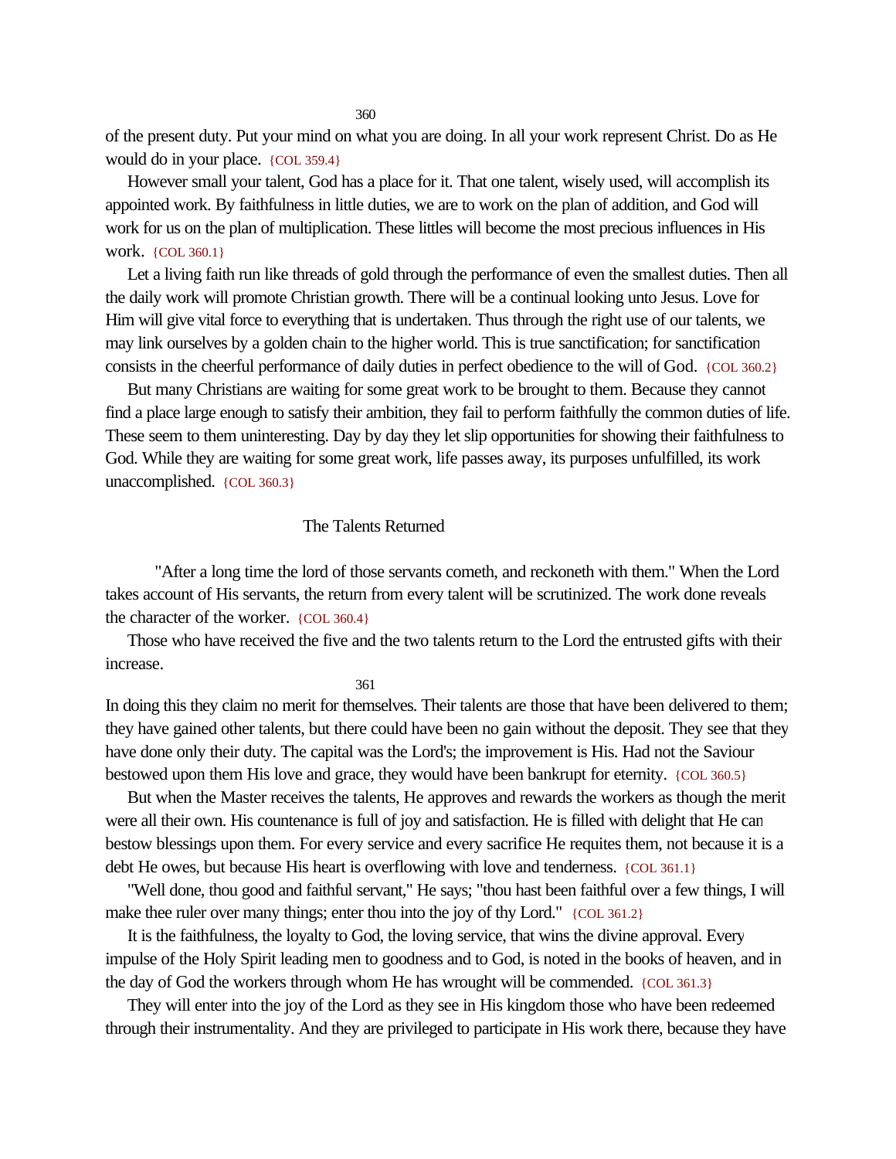of the present duty. Put your mind on what you are doing. In all your work represent Christ. Do as He would do in your place. {COL 359.4}

 However small your talent, God has a place for it. That one talent, wisely used, will accomplish its appointed work. By faithfulness in little duties, we are to work on the plan of addition, and God will work for us on the plan of multiplication. These littles will become the most precious influences in His work. {COL 360.1}

Let a living faith run like threads of gold through the performance of even the smallest duties. Then all the daily work will promote Christian growth. There will be a continual looking unto Jesus. Love for Him will give vital force to everything that is undertaken. Thus through the right use of our talents, we may link ourselves by a golden chain to the higher world. This is true sanctification; for sanctification consists in the cheerful performance of daily duties in perfect obedience to the will of God. {COL 360.2}

 But many Christians are waiting for some great work to be brought to them. Because they cannot find a place large enough to satisfy their ambition, they fail to perform faithfully the common duties of life. These seem to them uninteresting. Day by day they let slip opportunities for showing their faithfulness to God. While they are waiting for some great work, life passes away, its purposes unfulfilled, its work unaccomplished. {COL 360.3}

### The Talents Returned

 "After a long time the lord of those servants cometh, and reckoneth with them." When the Lord takes account of His servants, the return from every talent will be scrutinized. The work done reveals the character of the worker. {COL 360.4}

 Those who have received the five and the two talents return to the Lord the entrusted gifts with their increase.

361

In doing this they claim no merit for themselves. Their talents are those that have been delivered to them; they have gained other talents, but there could have been no gain without the deposit. They see that they have done only their duty. The capital was the Lord's; the improvement is His. Had not the Saviour bestowed upon them His love and grace, they would have been bankrupt for eternity. {COL 360.5}

 But when the Master receives the talents, He approves and rewards the workers as though the merit were all their own. His countenance is full of joy and satisfaction. He is filled with delight that He can bestow blessings upon them. For every service and every sacrifice He requites them, not because it is a debt He owes, but because His heart is overflowing with love and tenderness. {COL 361.1}

 "Well done, thou good and faithful servant," He says; "thou hast been faithful over a few things, I will make thee ruler over many things; enter thou into the joy of thy Lord." {COL 361.2}

 It is the faithfulness, the loyalty to God, the loving service, that wins the divine approval. Every impulse of the Holy Spirit leading men to goodness and to God, is noted in the books of heaven, and in the day of God the workers through whom He has wrought will be commended. {COL 361.3}

 They will enter into the joy of the Lord as they see in His kingdom those who have been redeemed through their instrumentality. And they are privileged to participate in His work there, because they have

360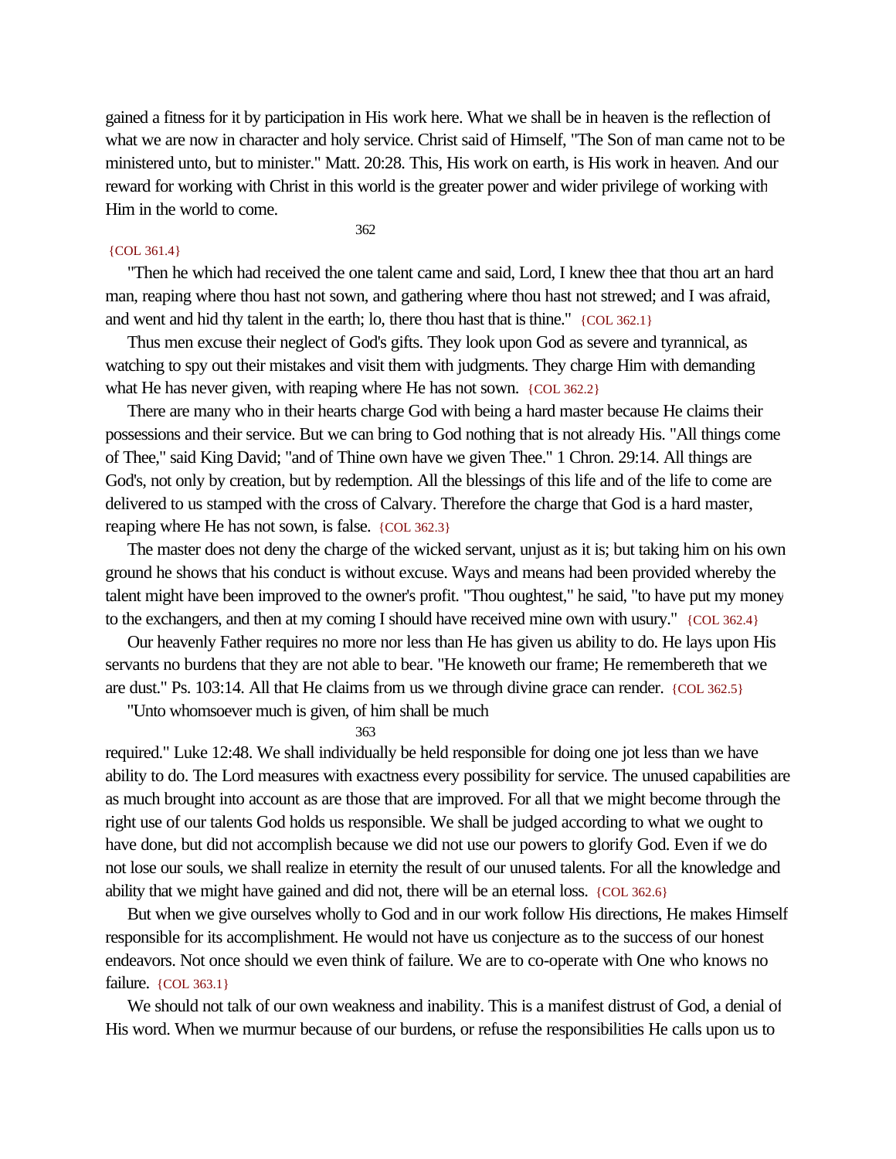gained a fitness for it by participation in His work here. What we shall be in heaven is the reflection of what we are now in character and holy service. Christ said of Himself, "The Son of man came not to be ministered unto, but to minister." Matt. 20:28. This, His work on earth, is His work in heaven. And our reward for working with Christ in this world is the greater power and wider privilege of working with Him in the world to come.

362

### {COL 361.4}

 "Then he which had received the one talent came and said, Lord, I knew thee that thou art an hard man, reaping where thou hast not sown, and gathering where thou hast not strewed; and I was afraid, and went and hid thy talent in the earth; lo, there thou hast that is thine."  $\{COL\ 362.1\}$ 

 Thus men excuse their neglect of God's gifts. They look upon God as severe and tyrannical, as watching to spy out their mistakes and visit them with judgments. They charge Him with demanding what He has never given, with reaping where He has not sown. {COL 362.2}

 There are many who in their hearts charge God with being a hard master because He claims their possessions and their service. But we can bring to God nothing that is not already His. "All things come of Thee," said King David; "and of Thine own have we given Thee." 1 Chron. 29:14. All things are God's, not only by creation, but by redemption. All the blessings of this life and of the life to come are delivered to us stamped with the cross of Calvary. Therefore the charge that God is a hard master, reaping where He has not sown, is false. {COL 362.3}

 The master does not deny the charge of the wicked servant, unjust as it is; but taking him on his own ground he shows that his conduct is without excuse. Ways and means had been provided whereby the talent might have been improved to the owner's profit. "Thou oughtest," he said, "to have put my money to the exchangers, and then at my coming I should have received mine own with usury." {COL 362.4}

 Our heavenly Father requires no more nor less than He has given us ability to do. He lays upon His servants no burdens that they are not able to bear. "He knoweth our frame; He remembereth that we are dust." Ps. 103:14. All that He claims from us we through divine grace can render. {COL 362.5}

"Unto whomsoever much is given, of him shall be much

363

required." Luke 12:48. We shall individually be held responsible for doing one jot less than we have ability to do. The Lord measures with exactness every possibility for service. The unused capabilities are as much brought into account as are those that are improved. For all that we might become through the right use of our talents God holds us responsible. We shall be judged according to what we ought to have done, but did not accomplish because we did not use our powers to glorify God. Even if we do not lose our souls, we shall realize in eternity the result of our unused talents. For all the knowledge and ability that we might have gained and did not, there will be an eternal loss. {COL 362.6}

 But when we give ourselves wholly to God and in our work follow His directions, He makes Himself responsible for its accomplishment. He would not have us conjecture as to the success of our honest endeavors. Not once should we even think of failure. We are to co-operate with One who knows no failure. {COL 363.1}

 We should not talk of our own weakness and inability. This is a manifest distrust of God, a denial of His word. When we murmur because of our burdens, or refuse the responsibilities He calls upon us to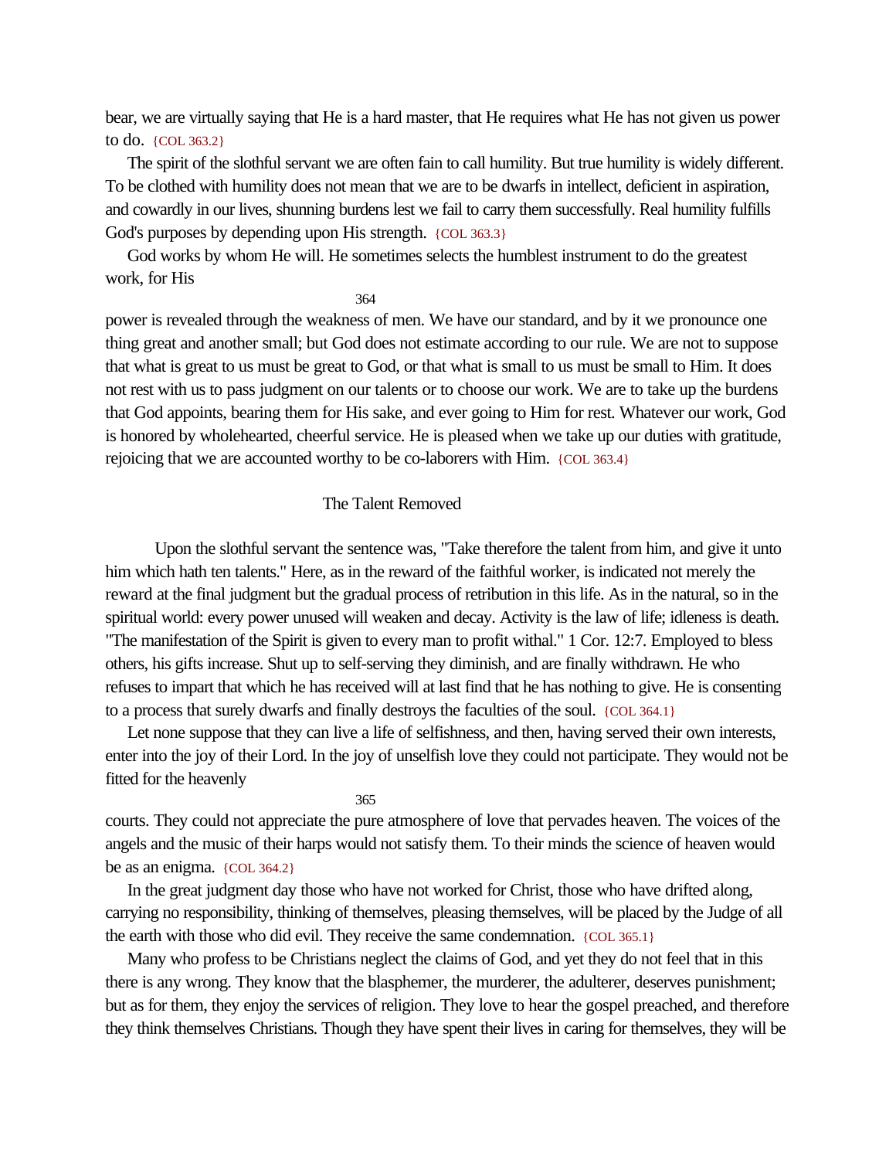bear, we are virtually saying that He is a hard master, that He requires what He has not given us power to do. {COL 363.2}

 The spirit of the slothful servant we are often fain to call humility. But true humility is widely different. To be clothed with humility does not mean that we are to be dwarfs in intellect, deficient in aspiration, and cowardly in our lives, shunning burdens lest we fail to carry them successfully. Real humility fulfills God's purposes by depending upon His strength. {COL 363.3}

 God works by whom He will. He sometimes selects the humblest instrument to do the greatest work, for His

364

power is revealed through the weakness of men. We have our standard, and by it we pronounce one thing great and another small; but God does not estimate according to our rule. We are not to suppose that what is great to us must be great to God, or that what is small to us must be small to Him. It does not rest with us to pass judgment on our talents or to choose our work. We are to take up the burdens that God appoints, bearing them for His sake, and ever going to Him for rest. Whatever our work, God is honored by wholehearted, cheerful service. He is pleased when we take up our duties with gratitude, rejoicing that we are accounted worthy to be co-laborers with Him. {COL 363.4}

## The Talent Removed

 Upon the slothful servant the sentence was, "Take therefore the talent from him, and give it unto him which hath ten talents." Here, as in the reward of the faithful worker, is indicated not merely the reward at the final judgment but the gradual process of retribution in this life. As in the natural, so in the spiritual world: every power unused will weaken and decay. Activity is the law of life; idleness is death. "The manifestation of the Spirit is given to every man to profit withal." 1 Cor. 12:7. Employed to bless others, his gifts increase. Shut up to self-serving they diminish, and are finally withdrawn. He who refuses to impart that which he has received will at last find that he has nothing to give. He is consenting to a process that surely dwarfs and finally destroys the faculties of the soul. {COL 364.1}

 Let none suppose that they can live a life of selfishness, and then, having served their own interests, enter into the joy of their Lord. In the joy of unselfish love they could not participate. They would not be fitted for the heavenly

365

courts. They could not appreciate the pure atmosphere of love that pervades heaven. The voices of the angels and the music of their harps would not satisfy them. To their minds the science of heaven would be as an enigma. {COL 364.2}

 In the great judgment day those who have not worked for Christ, those who have drifted along, carrying no responsibility, thinking of themselves, pleasing themselves, will be placed by the Judge of all the earth with those who did evil. They receive the same condemnation. {COL 365.1}

 Many who profess to be Christians neglect the claims of God, and yet they do not feel that in this there is any wrong. They know that the blasphemer, the murderer, the adulterer, deserves punishment; but as for them, they enjoy the services of religion. They love to hear the gospel preached, and therefore they think themselves Christians. Though they have spent their lives in caring for themselves, they will be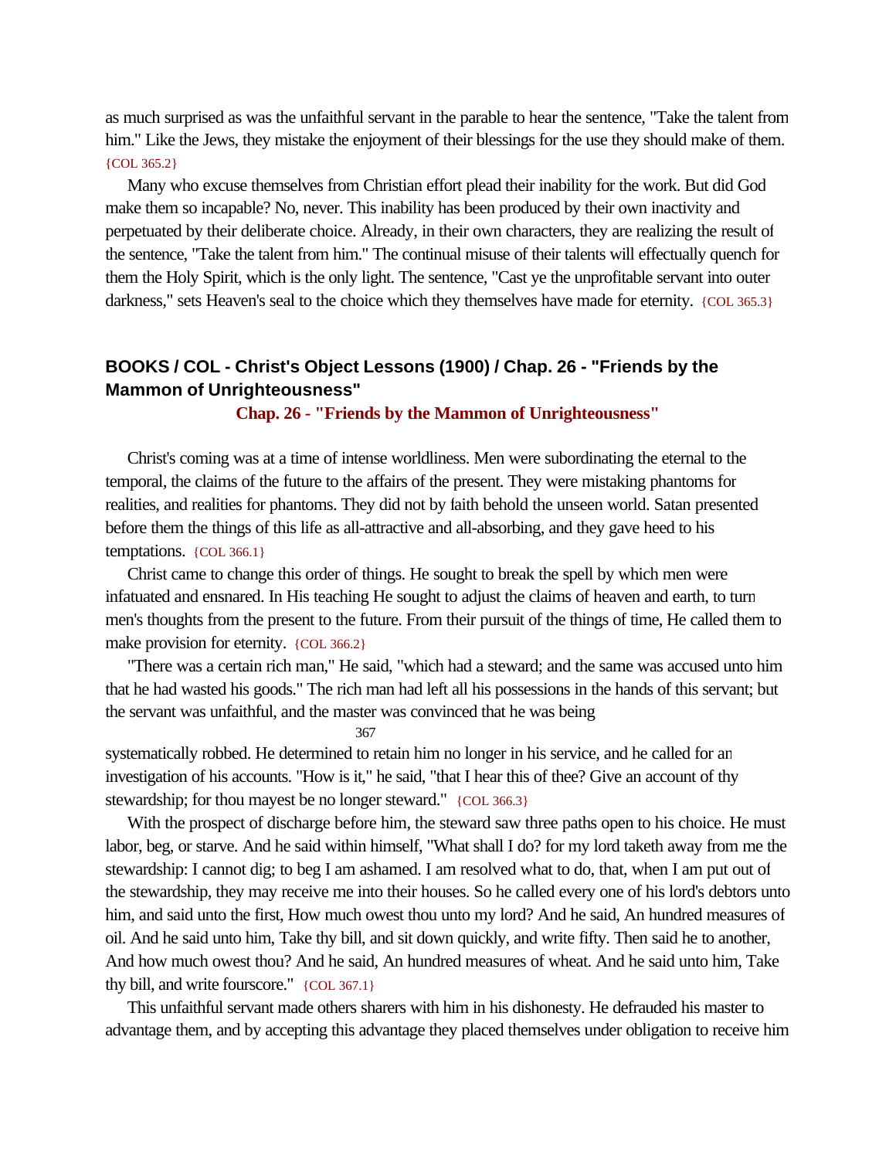as much surprised as was the unfaithful servant in the parable to hear the sentence, "Take the talent from him." Like the Jews, they mistake the enjoyment of their blessings for the use they should make of them. {COL 365.2}

 Many who excuse themselves from Christian effort plead their inability for the work. But did God make them so incapable? No, never. This inability has been produced by their own inactivity and perpetuated by their deliberate choice. Already, in their own characters, they are realizing the result of the sentence, "Take the talent from him." The continual misuse of their talents will effectually quench for them the Holy Spirit, which is the only light. The sentence, "Cast ye the unprofitable servant into outer darkness," sets Heaven's seal to the choice which they themselves have made for eternity. {COL 365.3}

## **BOOKS / COL - Christ's Object Lessons (1900) / Chap. 26 - "Friends by the Mammon of Unrighteousness"**

**Chap. 26 - "Friends by the Mammon of Unrighteousness"**

 Christ's coming was at a time of intense worldliness. Men were subordinating the eternal to the temporal, the claims of the future to the affairs of the present. They were mistaking phantoms for realities, and realities for phantoms. They did not by faith behold the unseen world. Satan presented before them the things of this life as all-attractive and all-absorbing, and they gave heed to his temptations. {COL 366.1}

 Christ came to change this order of things. He sought to break the spell by which men were infatuated and ensnared. In His teaching He sought to adjust the claims of heaven and earth, to turn men's thoughts from the present to the future. From their pursuit of the things of time, He called them to make provision for eternity. {COL 366.2}

 "There was a certain rich man," He said, "which had a steward; and the same was accused unto him that he had wasted his goods." The rich man had left all his possessions in the hands of this servant; but the servant was unfaithful, and the master was convinced that he was being

367

systematically robbed. He determined to retain him no longer in his service, and he called for an investigation of his accounts. "How is it," he said, "that I hear this of thee? Give an account of thy stewardship; for thou mayest be no longer steward." {COL 366.3}

 With the prospect of discharge before him, the steward saw three paths open to his choice. He must labor, beg, or starve. And he said within himself, "What shall I do? for my lord taketh away from me the stewardship: I cannot dig; to beg I am ashamed. I am resolved what to do, that, when I am put out of the stewardship, they may receive me into their houses. So he called every one of his lord's debtors unto him, and said unto the first, How much owest thou unto my lord? And he said, An hundred measures of oil. And he said unto him, Take thy bill, and sit down quickly, and write fifty. Then said he to another, And how much owest thou? And he said, An hundred measures of wheat. And he said unto him, Take thy bill, and write fourscore." {COL 367.1}

 This unfaithful servant made others sharers with him in his dishonesty. He defrauded his master to advantage them, and by accepting this advantage they placed themselves under obligation to receive him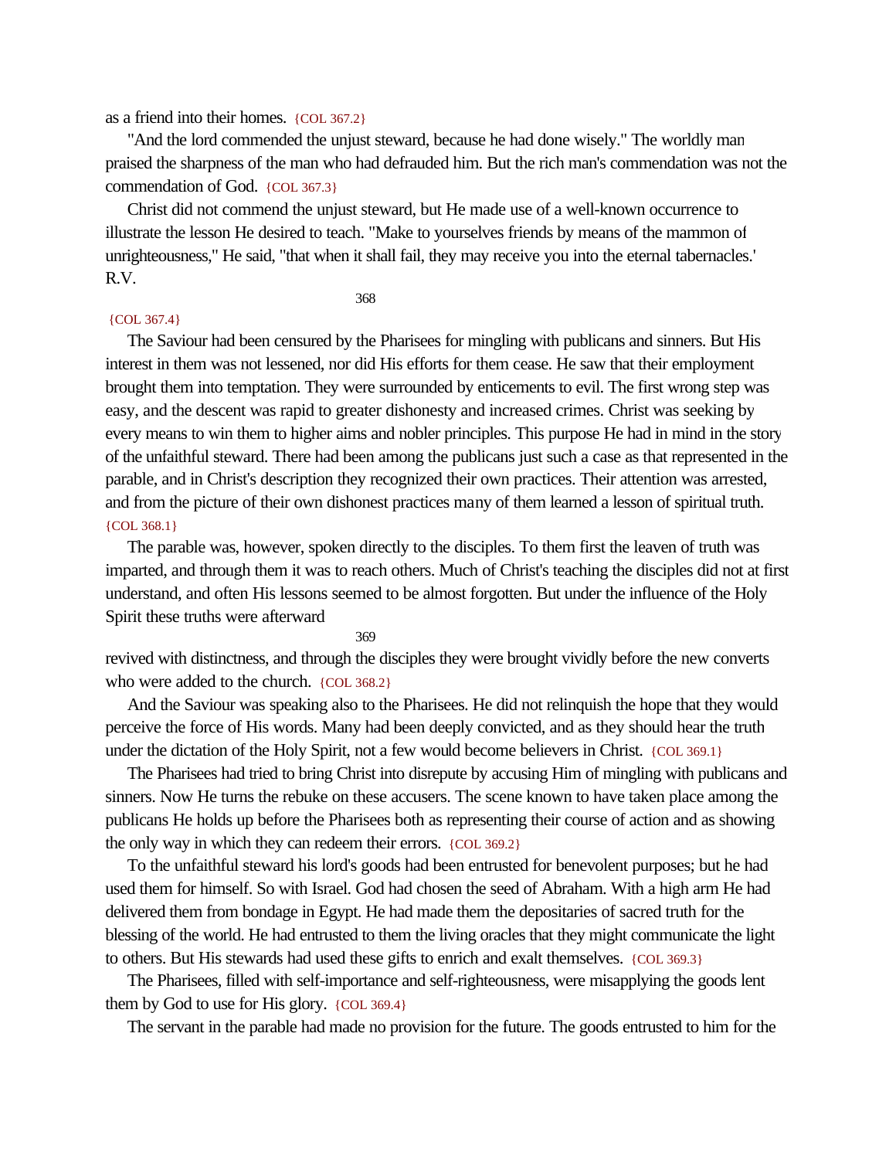as a friend into their homes. {COL 367.2}

 "And the lord commended the unjust steward, because he had done wisely." The worldly man praised the sharpness of the man who had defrauded him. But the rich man's commendation was not the commendation of God. {COL 367.3}

 Christ did not commend the unjust steward, but He made use of a well-known occurrence to illustrate the lesson He desired to teach. "Make to yourselves friends by means of the mammon of unrighteousness," He said, "that when it shall fail, they may receive you into the eternal tabernacles." R.V.

368

### {COL 367.4}

 The Saviour had been censured by the Pharisees for mingling with publicans and sinners. But His interest in them was not lessened, nor did His efforts for them cease. He saw that their employment brought them into temptation. They were surrounded by enticements to evil. The first wrong step was easy, and the descent was rapid to greater dishonesty and increased crimes. Christ was seeking by every means to win them to higher aims and nobler principles. This purpose He had in mind in the story of the unfaithful steward. There had been among the publicans just such a case as that represented in the parable, and in Christ's description they recognized their own practices. Their attention was arrested, and from the picture of their own dishonest practices many of them learned a lesson of spiritual truth. {COL 368.1}

 The parable was, however, spoken directly to the disciples. To them first the leaven of truth was imparted, and through them it was to reach others. Much of Christ's teaching the disciples did not at first understand, and often His lessons seemed to be almost forgotten. But under the influence of the Holy Spirit these truths were afterward

369

revived with distinctness, and through the disciples they were brought vividly before the new converts who were added to the church. {COL 368.2}

 And the Saviour was speaking also to the Pharisees. He did not relinquish the hope that they would perceive the force of His words. Many had been deeply convicted, and as they should hear the truth under the dictation of the Holy Spirit, not a few would become believers in Christ. {COL 369.1}

 The Pharisees had tried to bring Christ into disrepute by accusing Him of mingling with publicans and sinners. Now He turns the rebuke on these accusers. The scene known to have taken place among the publicans He holds up before the Pharisees both as representing their course of action and as showing the only way in which they can redeem their errors. {COL 369.2}

 To the unfaithful steward his lord's goods had been entrusted for benevolent purposes; but he had used them for himself. So with Israel. God had chosen the seed of Abraham. With a high arm He had delivered them from bondage in Egypt. He had made them the depositaries of sacred truth for the blessing of the world. He had entrusted to them the living oracles that they might communicate the light to others. But His stewards had used these gifts to enrich and exalt themselves. {COL 369.3}

 The Pharisees, filled with self-importance and self-righteousness, were misapplying the goods lent them by God to use for His glory. {COL 369.4}

The servant in the parable had made no provision for the future. The goods entrusted to him for the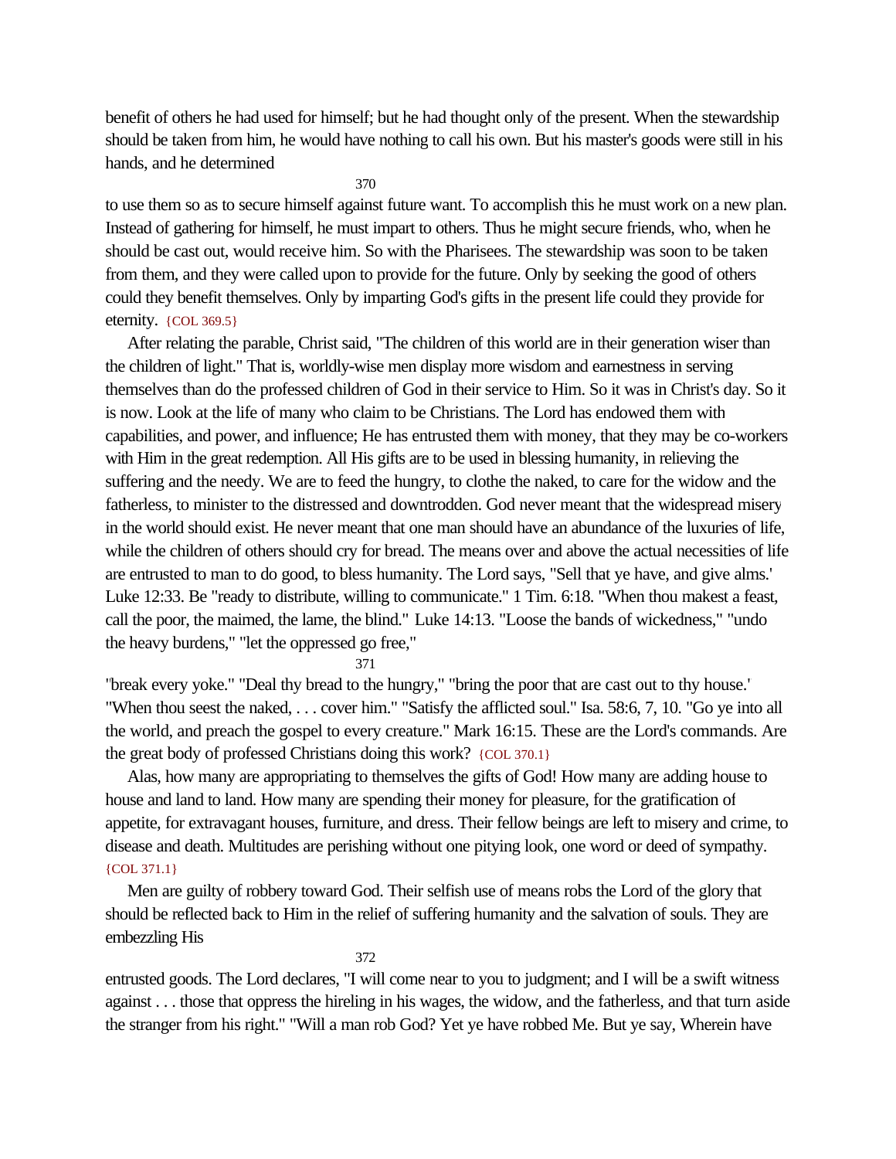benefit of others he had used for himself; but he had thought only of the present. When the stewardship should be taken from him, he would have nothing to call his own. But his master's goods were still in his hands, and he determined

370

to use them so as to secure himself against future want. To accomplish this he must work on a new plan. Instead of gathering for himself, he must impart to others. Thus he might secure friends, who, when he should be cast out, would receive him. So with the Pharisees. The stewardship was soon to be taken from them, and they were called upon to provide for the future. Only by seeking the good of others could they benefit themselves. Only by imparting God's gifts in the present life could they provide for eternity. {COL 369.5}

 After relating the parable, Christ said, "The children of this world are in their generation wiser than the children of light." That is, worldly-wise men display more wisdom and earnestness in serving themselves than do the professed children of God in their service to Him. So it was in Christ's day. So it is now. Look at the life of many who claim to be Christians. The Lord has endowed them with capabilities, and power, and influence; He has entrusted them with money, that they may be co-workers with Him in the great redemption. All His gifts are to be used in blessing humanity, in relieving the suffering and the needy. We are to feed the hungry, to clothe the naked, to care for the widow and the fatherless, to minister to the distressed and downtrodden. God never meant that the widespread misery in the world should exist. He never meant that one man should have an abundance of the luxuries of life, while the children of others should cry for bread. The means over and above the actual necessities of life are entrusted to man to do good, to bless humanity. The Lord says, "Sell that ye have, and give alms." Luke 12:33. Be "ready to distribute, willing to communicate." 1 Tim. 6:18. "When thou makest a feast, call the poor, the maimed, the lame, the blind." Luke 14:13. "Loose the bands of wickedness," "undo the heavy burdens," "let the oppressed go free,"

371

"break every yoke." "Deal thy bread to the hungry," "bring the poor that are cast out to thy house." "When thou seest the naked, . . . cover him." "Satisfy the afflicted soul." Isa. 58:6, 7, 10. "Go ye into all the world, and preach the gospel to every creature." Mark 16:15. These are the Lord's commands. Are the great body of professed Christians doing this work? {COL 370.1}

 Alas, how many are appropriating to themselves the gifts of God! How many are adding house to house and land to land. How many are spending their money for pleasure, for the gratification of appetite, for extravagant houses, furniture, and dress. Their fellow beings are left to misery and crime, to disease and death. Multitudes are perishing without one pitying look, one word or deed of sympathy. {COL 371.1}

 Men are guilty of robbery toward God. Their selfish use of means robs the Lord of the glory that should be reflected back to Him in the relief of suffering humanity and the salvation of souls. They are embezzling His

372

entrusted goods. The Lord declares, "I will come near to you to judgment; and I will be a swift witness against . . . those that oppress the hireling in his wages, the widow, and the fatherless, and that turn aside the stranger from his right." "Will a man rob God? Yet ye have robbed Me. But ye say, Wherein have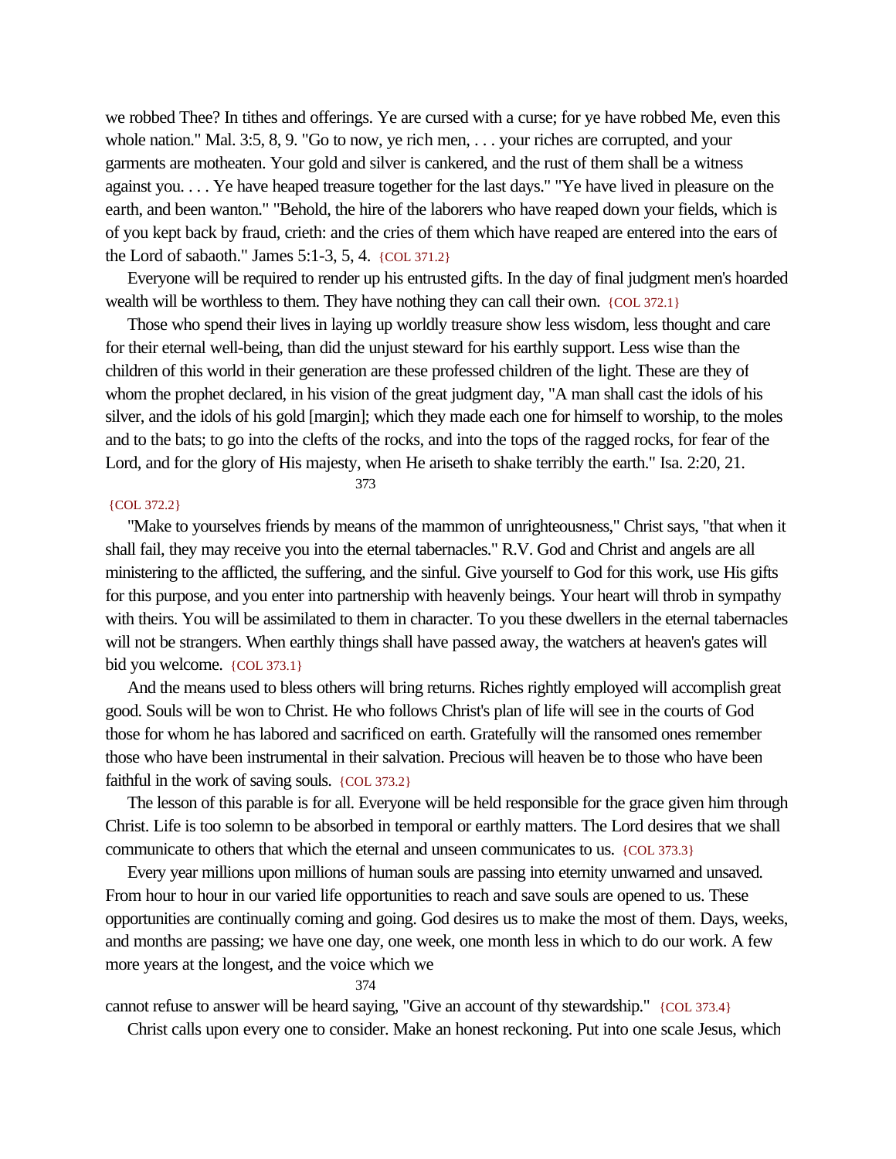we robbed Thee? In tithes and offerings. Ye are cursed with a curse; for ye have robbed Me, even this whole nation." Mal. 3:5, 8, 9. "Go to now, ye rich men, . . . your riches are corrupted, and your garments are motheaten. Your gold and silver is cankered, and the rust of them shall be a witness against you. . . . Ye have heaped treasure together for the last days." "Ye have lived in pleasure on the earth, and been wanton." "Behold, the hire of the laborers who have reaped down your fields, which is of you kept back by fraud, crieth: and the cries of them which have reaped are entered into the ears of the Lord of sabaoth." James 5:1-3, 5, 4. {COL 371.2}

 Everyone will be required to render up his entrusted gifts. In the day of final judgment men's hoarded wealth will be worthless to them. They have nothing they can call their own. {COL 372.1}

 Those who spend their lives in laying up worldly treasure show less wisdom, less thought and care for their eternal well-being, than did the unjust steward for his earthly support. Less wise than the children of this world in their generation are these professed children of the light. These are they of whom the prophet declared, in his vision of the great judgment day, "A man shall cast the idols of his silver, and the idols of his gold [margin]; which they made each one for himself to worship, to the moles and to the bats; to go into the clefts of the rocks, and into the tops of the ragged rocks, for fear of the Lord, and for the glory of His majesty, when He ariseth to shake terribly the earth." Isa. 2:20, 21.

### {COL 372.2}

373

 "Make to yourselves friends by means of the mammon of unrighteousness," Christ says, "that when it shall fail, they may receive you into the eternal tabernacles." R.V. God and Christ and angels are all ministering to the afflicted, the suffering, and the sinful. Give yourself to God for this work, use His gifts for this purpose, and you enter into partnership with heavenly beings. Your heart will throb in sympathy with theirs. You will be assimilated to them in character. To you these dwellers in the eternal tabernacles will not be strangers. When earthly things shall have passed away, the watchers at heaven's gates will bid you welcome. {COL 373.1}

 And the means used to bless others will bring returns. Riches rightly employed will accomplish great good. Souls will be won to Christ. He who follows Christ's plan of life will see in the courts of God those for whom he has labored and sacrificed on earth. Gratefully will the ransomed ones remember those who have been instrumental in their salvation. Precious will heaven be to those who have been faithful in the work of saving souls. {COL 373.2}

 The lesson of this parable is for all. Everyone will be held responsible for the grace given him through Christ. Life is too solemn to be absorbed in temporal or earthly matters. The Lord desires that we shall communicate to others that which the eternal and unseen communicates to us. {COL 373.3}

 Every year millions upon millions of human souls are passing into eternity unwarned and unsaved. From hour to hour in our varied life opportunities to reach and save souls are opened to us. These opportunities are continually coming and going. God desires us to make the most of them. Days, weeks, and months are passing; we have one day, one week, one month less in which to do our work. A few more years at the longest, and the voice which we

374

cannot refuse to answer will be heard saying, "Give an account of thy stewardship." {COL 373.4}

Christ calls upon every one to consider. Make an honest reckoning. Put into one scale Jesus, which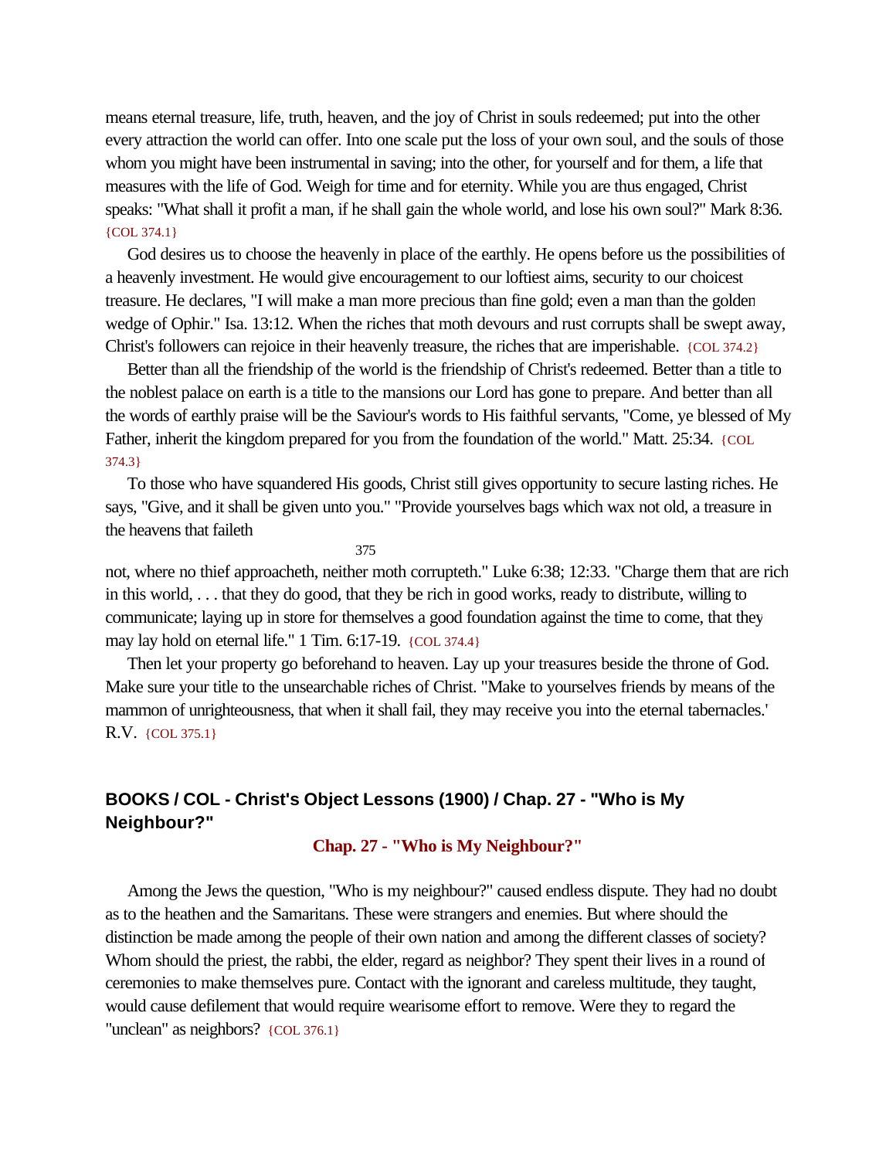means eternal treasure, life, truth, heaven, and the joy of Christ in souls redeemed; put into the other every attraction the world can offer. Into one scale put the loss of your own soul, and the souls of those whom you might have been instrumental in saving; into the other, for yourself and for them, a life that measures with the life of God. Weigh for time and for eternity. While you are thus engaged, Christ speaks: "What shall it profit a man, if he shall gain the whole world, and lose his own soul?" Mark 8:36. {COL 374.1}

 God desires us to choose the heavenly in place of the earthly. He opens before us the possibilities of a heavenly investment. He would give encouragement to our loftiest aims, security to our choicest treasure. He declares, "I will make a man more precious than fine gold; even a man than the golden wedge of Ophir." Isa. 13:12. When the riches that moth devours and rust corrupts shall be swept away, Christ's followers can rejoice in their heavenly treasure, the riches that are imperishable. {COL 374.2}

 Better than all the friendship of the world is the friendship of Christ's redeemed. Better than a title to the noblest palace on earth is a title to the mansions our Lord has gone to prepare. And better than all the words of earthly praise will be the Saviour's words to His faithful servants, "Come, ye blessed of My Father, inherit the kingdom prepared for you from the foundation of the world." Matt. 25:34. {COL 374.3}

 To those who have squandered His goods, Christ still gives opportunity to secure lasting riches. He says, "Give, and it shall be given unto you." "Provide yourselves bags which wax not old, a treasure in the heavens that faileth

375

not, where no thief approacheth, neither moth corrupteth." Luke 6:38; 12:33. "Charge them that are rich in this world, . . . that they do good, that they be rich in good works, ready to distribute, willing to communicate; laying up in store for themselves a good foundation against the time to come, that they may lay hold on eternal life." 1 Tim. 6:17-19. {COL 374.4}

 Then let your property go beforehand to heaven. Lay up your treasures beside the throne of God. Make sure your title to the unsearchable riches of Christ. "Make to yourselves friends by means of the mammon of unrighteousness, that when it shall fail, they may receive you into the eternal tabernacles." R.V. {COL 375.1}

# **BOOKS / COL - Christ's Object Lessons (1900) / Chap. 27 - "Who is My Neighbour?"**

### **Chap. 27 - "Who is My Neighbour?"**

 Among the Jews the question, "Who is my neighbour?" caused endless dispute. They had no doubt as to the heathen and the Samaritans. These were strangers and enemies. But where should the distinction be made among the people of their own nation and among the different classes of society? Whom should the priest, the rabbi, the elder, regard as neighbor? They spent their lives in a round of ceremonies to make themselves pure. Contact with the ignorant and careless multitude, they taught, would cause defilement that would require wearisome effort to remove. Were they to regard the "unclean" as neighbors? {COL 376.1}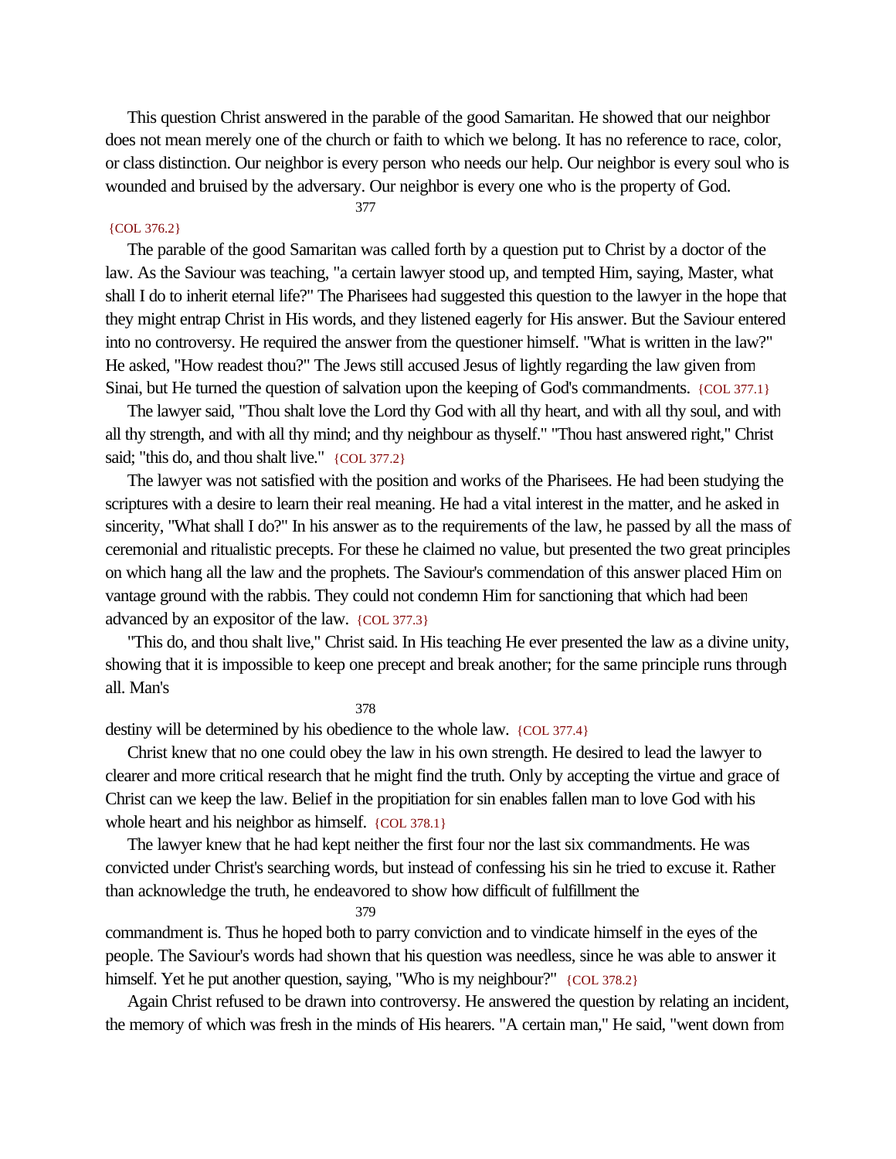This question Christ answered in the parable of the good Samaritan. He showed that our neighbor does not mean merely one of the church or faith to which we belong. It has no reference to race, color, or class distinction. Our neighbor is every person who needs our help. Our neighbor is every soul who is wounded and bruised by the adversary. Our neighbor is every one who is the property of God.

#### 377

### {COL 376.2}

 The parable of the good Samaritan was called forth by a question put to Christ by a doctor of the law. As the Saviour was teaching, "a certain lawyer stood up, and tempted Him, saying, Master, what shall I do to inherit eternal life?" The Pharisees had suggested this question to the lawyer in the hope that they might entrap Christ in His words, and they listened eagerly for His answer. But the Saviour entered into no controversy. He required the answer from the questioner himself. "What is written in the law?" He asked, "How readest thou?" The Jews still accused Jesus of lightly regarding the law given from Sinai, but He turned the question of salvation upon the keeping of God's commandments. {COL 377.1}

 The lawyer said, "Thou shalt love the Lord thy God with all thy heart, and with all thy soul, and with all thy strength, and with all thy mind; and thy neighbour as thyself." "Thou hast answered right," Christ said; "this do, and thou shalt live." {COL 377.2}

 The lawyer was not satisfied with the position and works of the Pharisees. He had been studying the scriptures with a desire to learn their real meaning. He had a vital interest in the matter, and he asked in sincerity, "What shall I do?" In his answer as to the requirements of the law, he passed by all the mass of ceremonial and ritualistic precepts. For these he claimed no value, but presented the two great principles on which hang all the law and the prophets. The Saviour's commendation of this answer placed Him on vantage ground with the rabbis. They could not condemn Him for sanctioning that which had been advanced by an expositor of the law. {COL 377.3}

 "This do, and thou shalt live," Christ said. In His teaching He ever presented the law as a divine unity, showing that it is impossible to keep one precept and break another; for the same principle runs through all. Man's

378

destiny will be determined by his obedience to the whole law. {COL 377.4}

 Christ knew that no one could obey the law in his own strength. He desired to lead the lawyer to clearer and more critical research that he might find the truth. Only by accepting the virtue and grace of Christ can we keep the law. Belief in the propitiation for sin enables fallen man to love God with his whole heart and his neighbor as himself. {COL 378.1}

 The lawyer knew that he had kept neither the first four nor the last six commandments. He was convicted under Christ's searching words, but instead of confessing his sin he tried to excuse it. Rather than acknowledge the truth, he endeavored to show how difficult of fulfillment the 379

commandment is. Thus he hoped both to parry conviction and to vindicate himself in the eyes of the people. The Saviour's words had shown that his question was needless, since he was able to answer it himself. Yet he put another question, saying, "Who is my neighbour?" {COL 378.2}

 Again Christ refused to be drawn into controversy. He answered the question by relating an incident, the memory of which was fresh in the minds of His hearers. "A certain man," He said, "went down from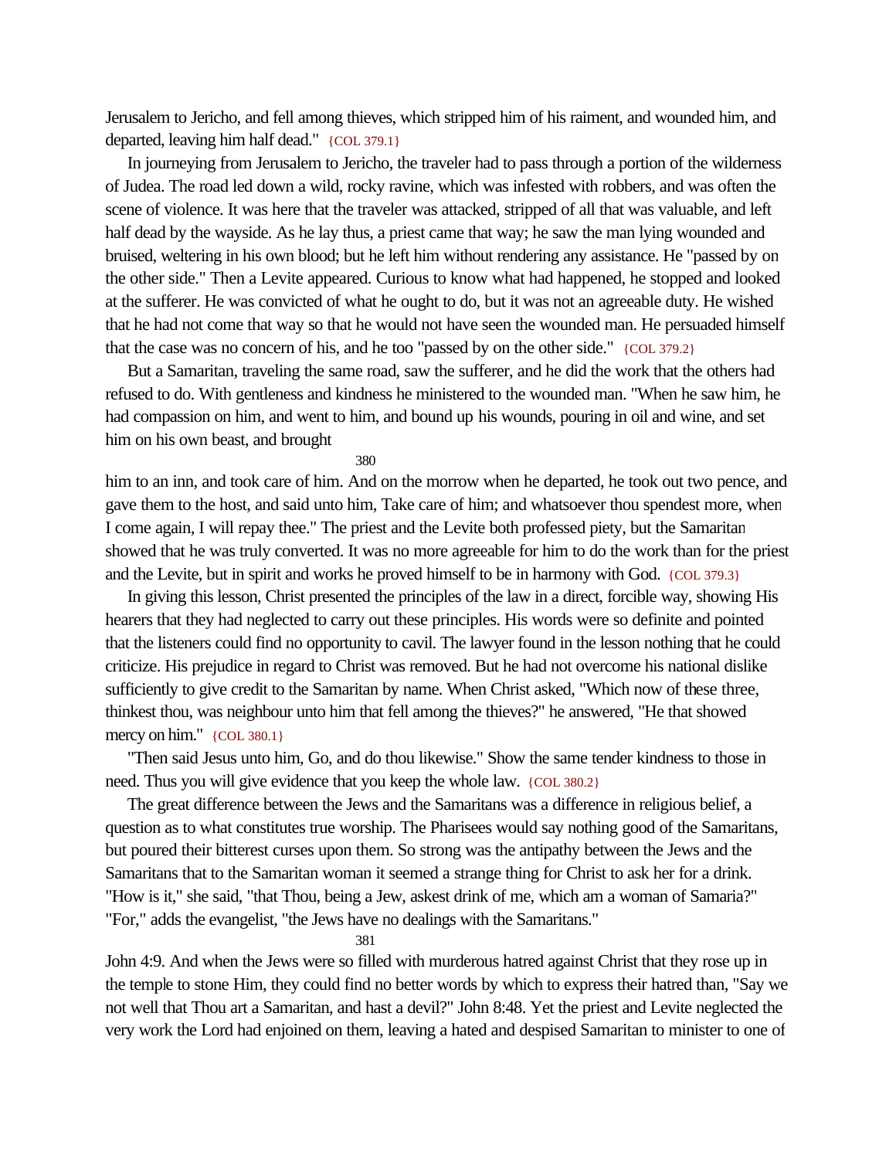Jerusalem to Jericho, and fell among thieves, which stripped him of his raiment, and wounded him, and departed, leaving him half dead." {COL 379.1}

 In journeying from Jerusalem to Jericho, the traveler had to pass through a portion of the wilderness of Judea. The road led down a wild, rocky ravine, which was infested with robbers, and was often the scene of violence. It was here that the traveler was attacked, stripped of all that was valuable, and left half dead by the wayside. As he lay thus, a priest came that way; he saw the man lying wounded and bruised, weltering in his own blood; but he left him without rendering any assistance. He "passed by on the other side." Then a Levite appeared. Curious to know what had happened, he stopped and looked at the sufferer. He was convicted of what he ought to do, but it was not an agreeable duty. He wished that he had not come that way so that he would not have seen the wounded man. He persuaded himself that the case was no concern of his, and he too "passed by on the other side." {COL 379.2}

 But a Samaritan, traveling the same road, saw the sufferer, and he did the work that the others had refused to do. With gentleness and kindness he ministered to the wounded man. "When he saw him, he had compassion on him, and went to him, and bound up his wounds, pouring in oil and wine, and set him on his own beast, and brought

380

him to an inn, and took care of him. And on the morrow when he departed, he took out two pence, and gave them to the host, and said unto him, Take care of him; and whatsoever thou spendest more, when I come again, I will repay thee." The priest and the Levite both professed piety, but the Samaritan showed that he was truly converted. It was no more agreeable for him to do the work than for the priest and the Levite, but in spirit and works he proved himself to be in harmony with God. {COL 379.3}

 In giving this lesson, Christ presented the principles of the law in a direct, forcible way, showing His hearers that they had neglected to carry out these principles. His words were so definite and pointed that the listeners could find no opportunity to cavil. The lawyer found in the lesson nothing that he could criticize. His prejudice in regard to Christ was removed. But he had not overcome his national dislike sufficiently to give credit to the Samaritan by name. When Christ asked, "Which now of these three, thinkest thou, was neighbour unto him that fell among the thieves?" he answered, "He that showed mercy on him." {COL 380.1}

 "Then said Jesus unto him, Go, and do thou likewise." Show the same tender kindness to those in need. Thus you will give evidence that you keep the whole law. {COL 380.2}

 The great difference between the Jews and the Samaritans was a difference in religious belief, a question as to what constitutes true worship. The Pharisees would say nothing good of the Samaritans, but poured their bitterest curses upon them. So strong was the antipathy between the Jews and the Samaritans that to the Samaritan woman it seemed a strange thing for Christ to ask her for a drink. "How is it," she said, "that Thou, being a Jew, askest drink of me, which am a woman of Samaria?" "For," adds the evangelist, "the Jews have no dealings with the Samaritans."

381

John 4:9. And when the Jews were so filled with murderous hatred against Christ that they rose up in the temple to stone Him, they could find no better words by which to express their hatred than, "Say we not well that Thou art a Samaritan, and hast a devil?" John 8:48. Yet the priest and Levite neglected the very work the Lord had enjoined on them, leaving a hated and despised Samaritan to minister to one of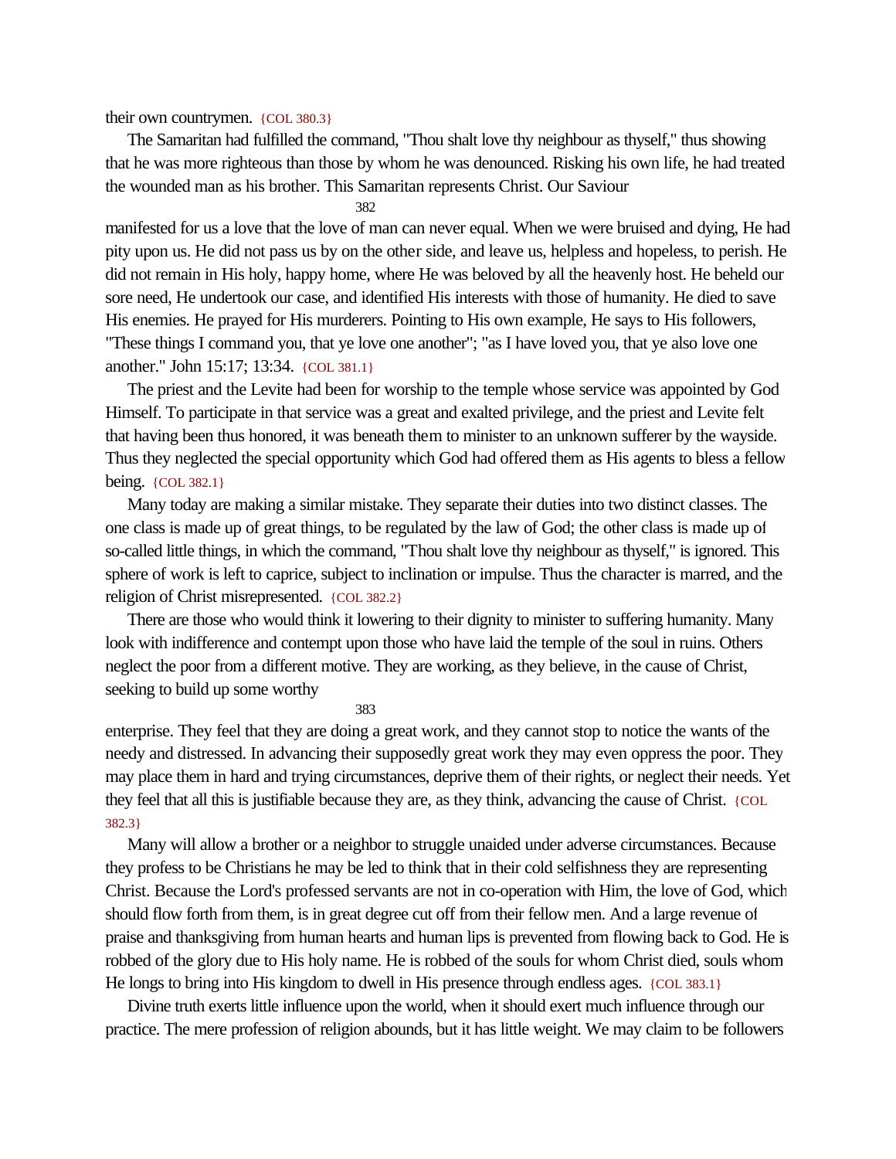their own countrymen. {COL 380.3}

 The Samaritan had fulfilled the command, "Thou shalt love thy neighbour as thyself," thus showing that he was more righteous than those by whom he was denounced. Risking his own life, he had treated the wounded man as his brother. This Samaritan represents Christ. Our Saviour

382

manifested for us a love that the love of man can never equal. When we were bruised and dying, He had pity upon us. He did not pass us by on the other side, and leave us, helpless and hopeless, to perish. He did not remain in His holy, happy home, where He was beloved by all the heavenly host. He beheld our sore need, He undertook our case, and identified His interests with those of humanity. He died to save His enemies. He prayed for His murderers. Pointing to His own example, He says to His followers, "These things I command you, that ye love one another"; "as I have loved you, that ye also love one another." John 15:17; 13:34. {COL 381.1}

 The priest and the Levite had been for worship to the temple whose service was appointed by God Himself. To participate in that service was a great and exalted privilege, and the priest and Levite felt that having been thus honored, it was beneath them to minister to an unknown sufferer by the wayside. Thus they neglected the special opportunity which God had offered them as His agents to bless a fellow being. {COL 382.1}

 Many today are making a similar mistake. They separate their duties into two distinct classes. The one class is made up of great things, to be regulated by the law of God; the other class is made up of so-called little things, in which the command, "Thou shalt love thy neighbour as thyself," is ignored. This sphere of work is left to caprice, subject to inclination or impulse. Thus the character is marred, and the religion of Christ misrepresented. {COL 382.2}

 There are those who would think it lowering to their dignity to minister to suffering humanity. Many look with indifference and contempt upon those who have laid the temple of the soul in ruins. Others neglect the poor from a different motive. They are working, as they believe, in the cause of Christ, seeking to build up some worthy

383

enterprise. They feel that they are doing a great work, and they cannot stop to notice the wants of the needy and distressed. In advancing their supposedly great work they may even oppress the poor. They may place them in hard and trying circumstances, deprive them of their rights, or neglect their needs. Yet they feel that all this is justifiable because they are, as they think, advancing the cause of Christ. {COL 382.3}

 Many will allow a brother or a neighbor to struggle unaided under adverse circumstances. Because they profess to be Christians he may be led to think that in their cold selfishness they are representing Christ. Because the Lord's professed servants are not in co-operation with Him, the love of God, which should flow forth from them, is in great degree cut off from their fellow men. And a large revenue of praise and thanksgiving from human hearts and human lips is prevented from flowing back to God. He is robbed of the glory due to His holy name. He is robbed of the souls for whom Christ died, souls whom He longs to bring into His kingdom to dwell in His presence through endless ages. {COL 383.1}

 Divine truth exerts little influence upon the world, when it should exert much influence through our practice. The mere profession of religion abounds, but it has little weight. We may claim to be followers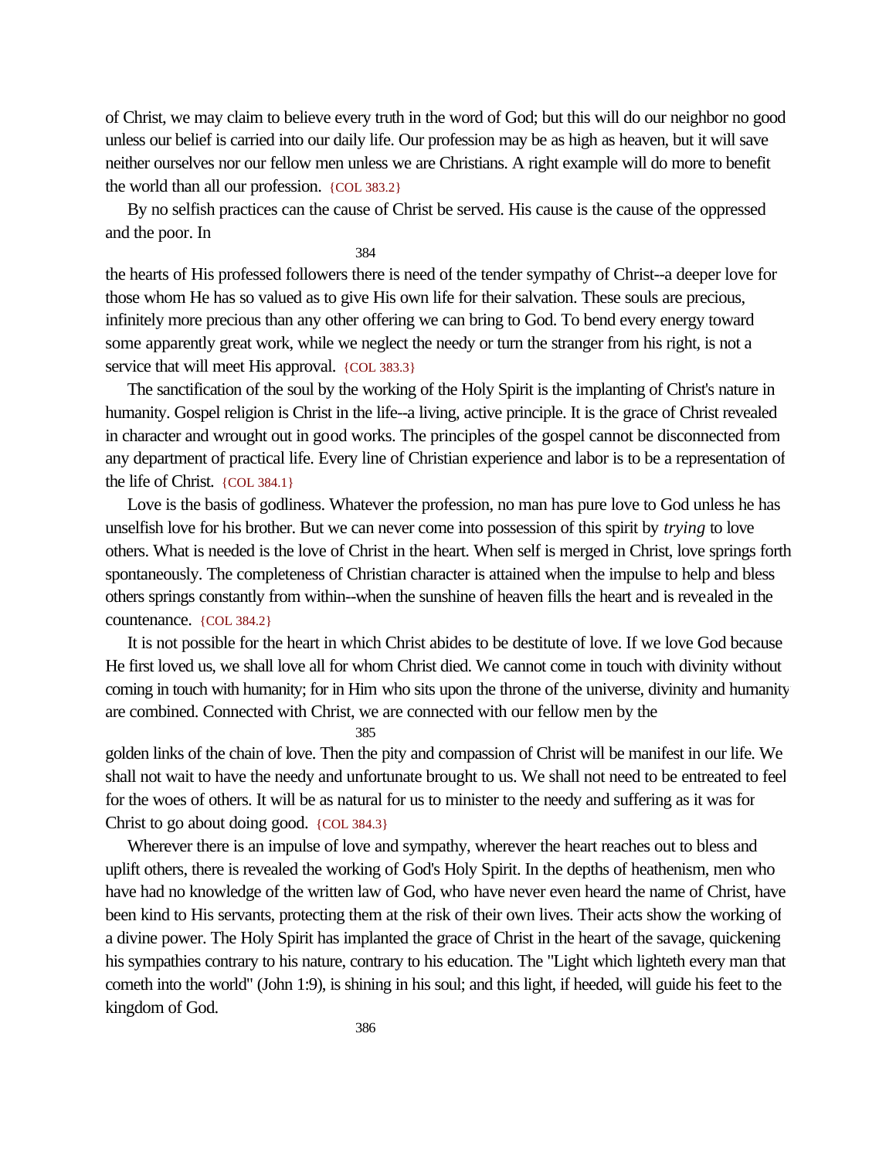of Christ, we may claim to believe every truth in the word of God; but this will do our neighbor no good unless our belief is carried into our daily life. Our profession may be as high as heaven, but it will save neither ourselves nor our fellow men unless we are Christians. A right example will do more to benefit the world than all our profession. {COL 383.2}

 By no selfish practices can the cause of Christ be served. His cause is the cause of the oppressed and the poor. In

384

the hearts of His professed followers there is need of the tender sympathy of Christ--a deeper love for those whom He has so valued as to give His own life for their salvation. These souls are precious, infinitely more precious than any other offering we can bring to God. To bend every energy toward some apparently great work, while we neglect the needy or turn the stranger from his right, is not a service that will meet His approval. {COL 383.3}

 The sanctification of the soul by the working of the Holy Spirit is the implanting of Christ's nature in humanity. Gospel religion is Christ in the life--a living, active principle. It is the grace of Christ revealed in character and wrought out in good works. The principles of the gospel cannot be disconnected from any department of practical life. Every line of Christian experience and labor is to be a representation of the life of Christ. {COL 384.1}

 Love is the basis of godliness. Whatever the profession, no man has pure love to God unless he has unselfish love for his brother. But we can never come into possession of this spirit by *trying* to love others. What is needed is the love of Christ in the heart. When self is merged in Christ, love springs forth spontaneously. The completeness of Christian character is attained when the impulse to help and bless others springs constantly from within--when the sunshine of heaven fills the heart and is revealed in the countenance. {COL 384.2}

 It is not possible for the heart in which Christ abides to be destitute of love. If we love God because He first loved us, we shall love all for whom Christ died. We cannot come in touch with divinity without coming in touch with humanity; for in Him who sits upon the throne of the universe, divinity and humanity are combined. Connected with Christ, we are connected with our fellow men by the

385

golden links of the chain of love. Then the pity and compassion of Christ will be manifest in our life. We shall not wait to have the needy and unfortunate brought to us. We shall not need to be entreated to feel for the woes of others. It will be as natural for us to minister to the needy and suffering as it was for Christ to go about doing good. {COL 384.3}

 Wherever there is an impulse of love and sympathy, wherever the heart reaches out to bless and uplift others, there is revealed the working of God's Holy Spirit. In the depths of heathenism, men who have had no knowledge of the written law of God, who have never even heard the name of Christ, have been kind to His servants, protecting them at the risk of their own lives. Their acts show the working of a divine power. The Holy Spirit has implanted the grace of Christ in the heart of the savage, quickening his sympathies contrary to his nature, contrary to his education. The "Light which lighteth every man that cometh into the world" (John 1:9), is shining in his soul; and this light, if heeded, will guide his feet to the kingdom of God.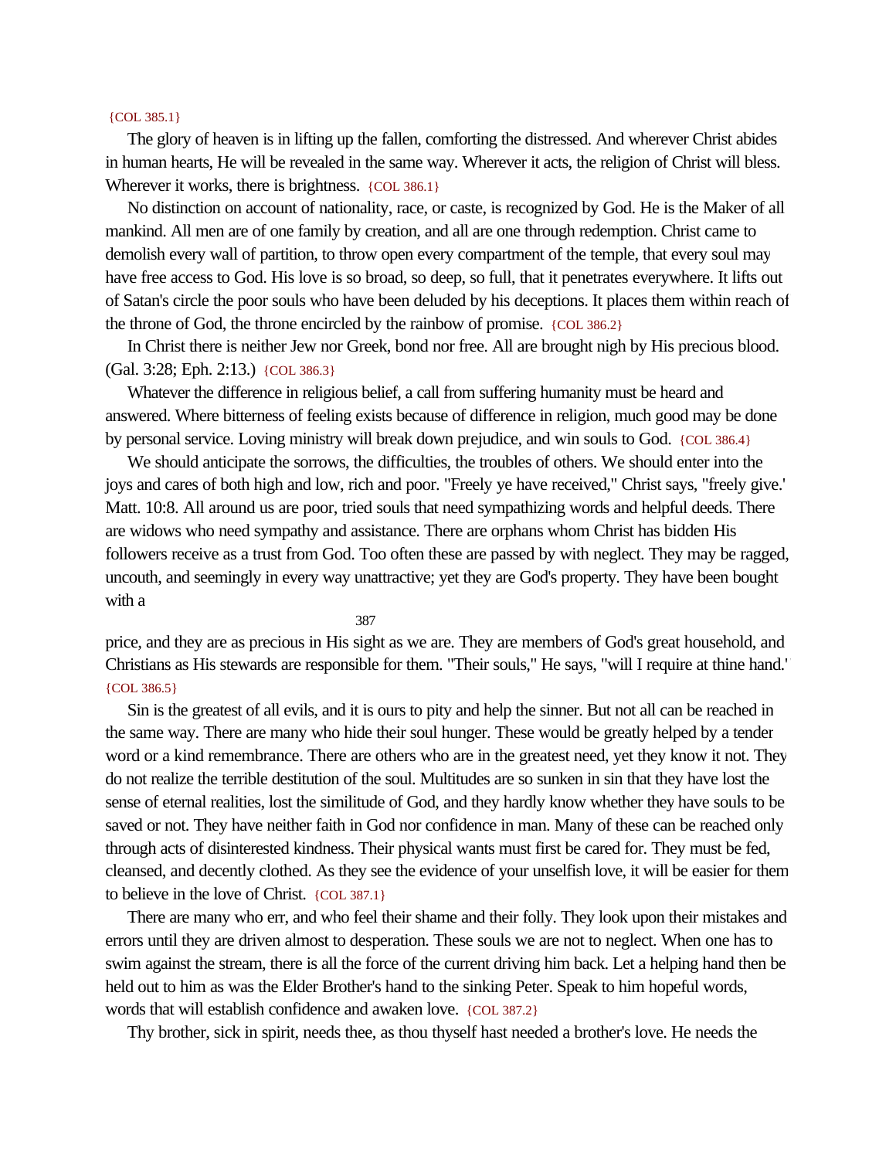### {COL 385.1}

 The glory of heaven is in lifting up the fallen, comforting the distressed. And wherever Christ abides in human hearts, He will be revealed in the same way. Wherever it acts, the religion of Christ will bless. Wherever it works, there is brightness. {COL 386.1}

 No distinction on account of nationality, race, or caste, is recognized by God. He is the Maker of all mankind. All men are of one family by creation, and all are one through redemption. Christ came to demolish every wall of partition, to throw open every compartment of the temple, that every soul may have free access to God. His love is so broad, so deep, so full, that it penetrates everywhere. It lifts out of Satan's circle the poor souls who have been deluded by his deceptions. It places them within reach of the throne of God, the throne encircled by the rainbow of promise. {COL 386.2}

 In Christ there is neither Jew nor Greek, bond nor free. All are brought nigh by His precious blood. (Gal. 3:28; Eph. 2:13.) {COL 386.3}

 Whatever the difference in religious belief, a call from suffering humanity must be heard and answered. Where bitterness of feeling exists because of difference in religion, much good may be done by personal service. Loving ministry will break down prejudice, and win souls to God. {COL 386.4}

 We should anticipate the sorrows, the difficulties, the troubles of others. We should enter into the joys and cares of both high and low, rich and poor. "Freely ye have received," Christ says, "freely give." Matt. 10:8. All around us are poor, tried souls that need sympathizing words and helpful deeds. There are widows who need sympathy and assistance. There are orphans whom Christ has bidden His followers receive as a trust from God. Too often these are passed by with neglect. They may be ragged, uncouth, and seemingly in every way unattractive; yet they are God's property. They have been bought with a

#### 387

price, and they are as precious in His sight as we are. They are members of God's great household, and Christians as His stewards are responsible for them. "Their souls," He says, "will I require at thine hand." {COL 386.5}

 Sin is the greatest of all evils, and it is ours to pity and help the sinner. But not all can be reached in the same way. There are many who hide their soul hunger. These would be greatly helped by a tender word or a kind remembrance. There are others who are in the greatest need, yet they know it not. They do not realize the terrible destitution of the soul. Multitudes are so sunken in sin that they have lost the sense of eternal realities, lost the similitude of God, and they hardly know whether they have souls to be saved or not. They have neither faith in God nor confidence in man. Many of these can be reached only through acts of disinterested kindness. Their physical wants must first be cared for. They must be fed, cleansed, and decently clothed. As they see the evidence of your unselfish love, it will be easier for them to believe in the love of Christ. {COL 387.1}

 There are many who err, and who feel their shame and their folly. They look upon their mistakes and errors until they are driven almost to desperation. These souls we are not to neglect. When one has to swim against the stream, there is all the force of the current driving him back. Let a helping hand then be held out to him as was the Elder Brother's hand to the sinking Peter. Speak to him hopeful words, words that will establish confidence and awaken love. {COL 387.2}

Thy brother, sick in spirit, needs thee, as thou thyself hast needed a brother's love. He needs the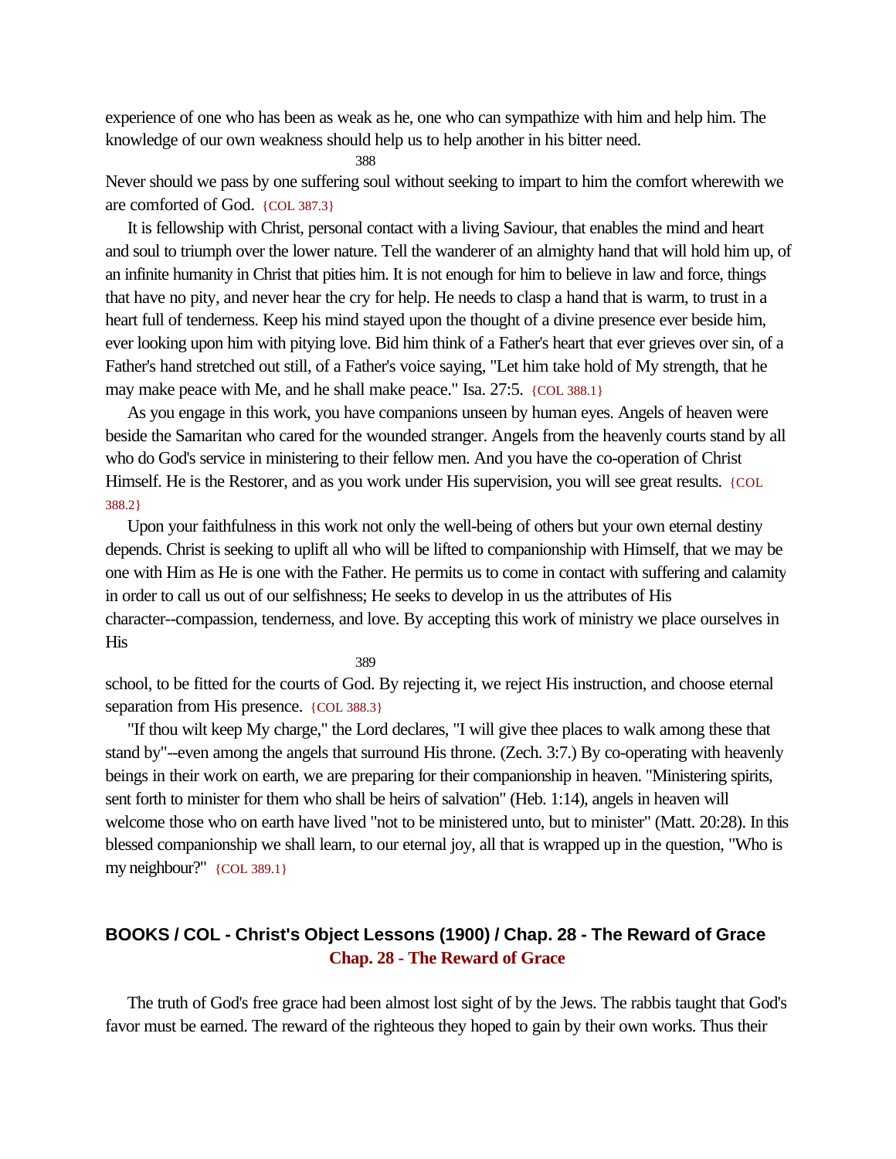experience of one who has been as weak as he, one who can sympathize with him and help him. The knowledge of our own weakness should help us to help another in his bitter need.

388

Never should we pass by one suffering soul without seeking to impart to him the comfort wherewith we are comforted of God. {COL 387.3}

 It is fellowship with Christ, personal contact with a living Saviour, that enables the mind and heart and soul to triumph over the lower nature. Tell the wanderer of an almighty hand that will hold him up, of an infinite humanity in Christ that pities him. It is not enough for him to believe in law and force, things that have no pity, and never hear the cry for help. He needs to clasp a hand that is warm, to trust in a heart full of tenderness. Keep his mind stayed upon the thought of a divine presence ever beside him, ever looking upon him with pitying love. Bid him think of a Father's heart that ever grieves over sin, of a Father's hand stretched out still, of a Father's voice saying, "Let him take hold of My strength, that he may make peace with Me, and he shall make peace." Isa. 27:5. {COL 388.1}

 As you engage in this work, you have companions unseen by human eyes. Angels of heaven were beside the Samaritan who cared for the wounded stranger. Angels from the heavenly courts stand by all who do God's service in ministering to their fellow men. And you have the co-operation of Christ Himself. He is the Restorer, and as you work under His supervision, you will see great results. {COL} 388.2}

 Upon your faithfulness in this work not only the well-being of others but your own eternal destiny depends. Christ is seeking to uplift all who will be lifted to companionship with Himself, that we may be one with Him as He is one with the Father. He permits us to come in contact with suffering and calamity in order to call us out of our selfishness; He seeks to develop in us the attributes of His character--compassion, tenderness, and love. By accepting this work of ministry we place ourselves in His

389

school, to be fitted for the courts of God. By rejecting it, we reject His instruction, and choose eternal separation from His presence. {COL 388.3}

 "If thou wilt keep My charge," the Lord declares, "I will give thee places to walk among these that stand by"--even among the angels that surround His throne. (Zech. 3:7.) By co-operating with heavenly beings in their work on earth, we are preparing for their companionship in heaven. "Ministering spirits, sent forth to minister for them who shall be heirs of salvation" (Heb. 1:14), angels in heaven will welcome those who on earth have lived "not to be ministered unto, but to minister" (Matt. 20:28). In this blessed companionship we shall learn, to our eternal joy, all that is wrapped up in the question, "Who is my neighbour?" {COL 389.1}

# **BOOKS / COL - Christ's Object Lessons (1900) / Chap. 28 - The Reward of Grace Chap. 28 - The Reward of Grace**

 The truth of God's free grace had been almost lost sight of by the Jews. The rabbis taught that God's favor must be earned. The reward of the righteous they hoped to gain by their own works. Thus their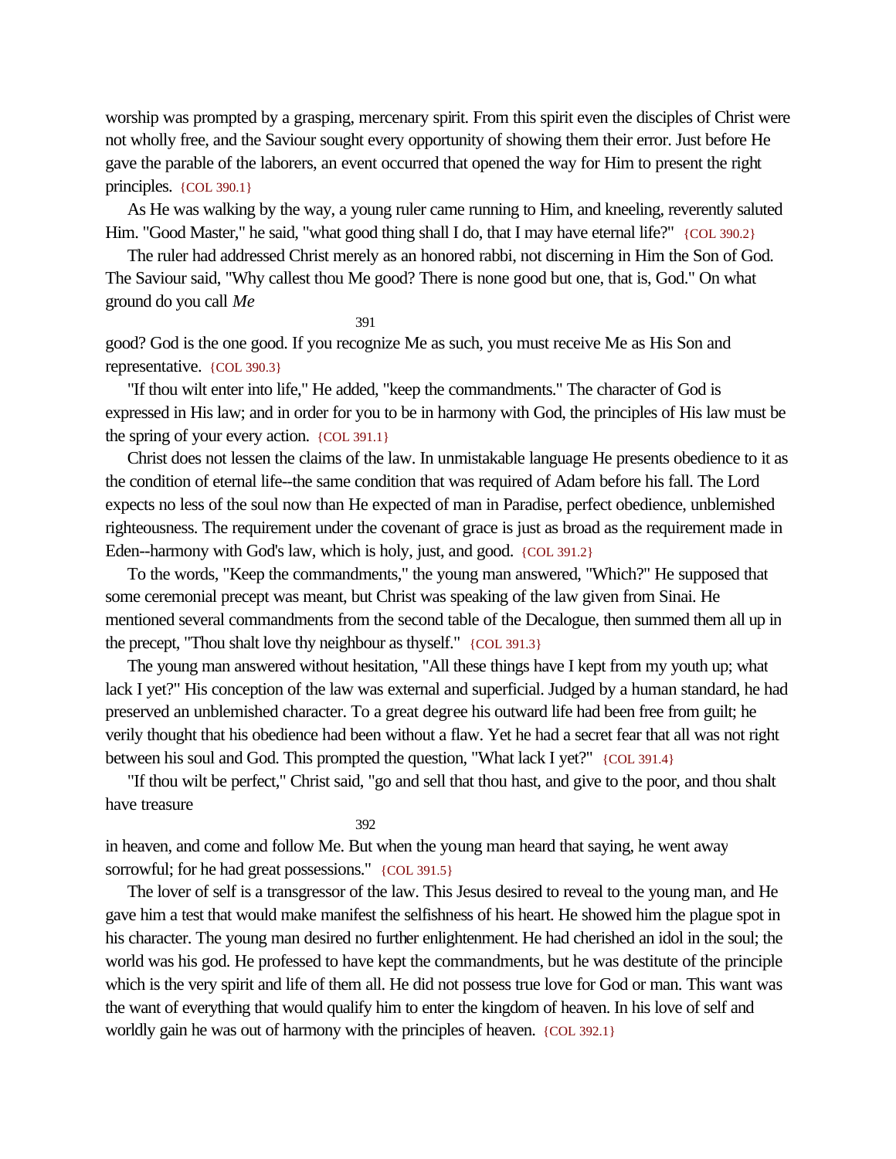worship was prompted by a grasping, mercenary spirit. From this spirit even the disciples of Christ were not wholly free, and the Saviour sought every opportunity of showing them their error. Just before He gave the parable of the laborers, an event occurred that opened the way for Him to present the right principles. {COL 390.1}

 As He was walking by the way, a young ruler came running to Him, and kneeling, reverently saluted Him. "Good Master," he said, "what good thing shall I do, that I may have eternal life?" {COL 390.2}

 The ruler had addressed Christ merely as an honored rabbi, not discerning in Him the Son of God. The Saviour said, "Why callest thou Me good? There is none good but one, that is, God." On what ground do you call *Me*

391

good? God is the one good. If you recognize Me as such, you must receive Me as His Son and representative. {COL 390.3}

 "If thou wilt enter into life," He added, "keep the commandments." The character of God is expressed in His law; and in order for you to be in harmony with God, the principles of His law must be the spring of your every action. {COL 391.1}

 Christ does not lessen the claims of the law. In unmistakable language He presents obedience to it as the condition of eternal life--the same condition that was required of Adam before his fall. The Lord expects no less of the soul now than He expected of man in Paradise, perfect obedience, unblemished righteousness. The requirement under the covenant of grace is just as broad as the requirement made in Eden--harmony with God's law, which is holy, just, and good. {COL 391.2}

 To the words, "Keep the commandments," the young man answered, "Which?" He supposed that some ceremonial precept was meant, but Christ was speaking of the law given from Sinai. He mentioned several commandments from the second table of the Decalogue, then summed them all up in the precept, "Thou shalt love thy neighbour as thyself." {COL 391.3}

 The young man answered without hesitation, "All these things have I kept from my youth up; what lack I yet?" His conception of the law was external and superficial. Judged by a human standard, he had preserved an unblemished character. To a great degree his outward life had been free from guilt; he verily thought that his obedience had been without a flaw. Yet he had a secret fear that all was not right between his soul and God. This prompted the question, "What lack I yet?" {COL 391.4}

 "If thou wilt be perfect," Christ said, "go and sell that thou hast, and give to the poor, and thou shalt have treasure

392

in heaven, and come and follow Me. But when the young man heard that saying, he went away sorrowful; for he had great possessions." {COL 391.5}

 The lover of self is a transgressor of the law. This Jesus desired to reveal to the young man, and He gave him a test that would make manifest the selfishness of his heart. He showed him the plague spot in his character. The young man desired no further enlightenment. He had cherished an idol in the soul; the world was his god. He professed to have kept the commandments, but he was destitute of the principle which is the very spirit and life of them all. He did not possess true love for God or man. This want was the want of everything that would qualify him to enter the kingdom of heaven. In his love of self and worldly gain he was out of harmony with the principles of heaven. {COL 392.1}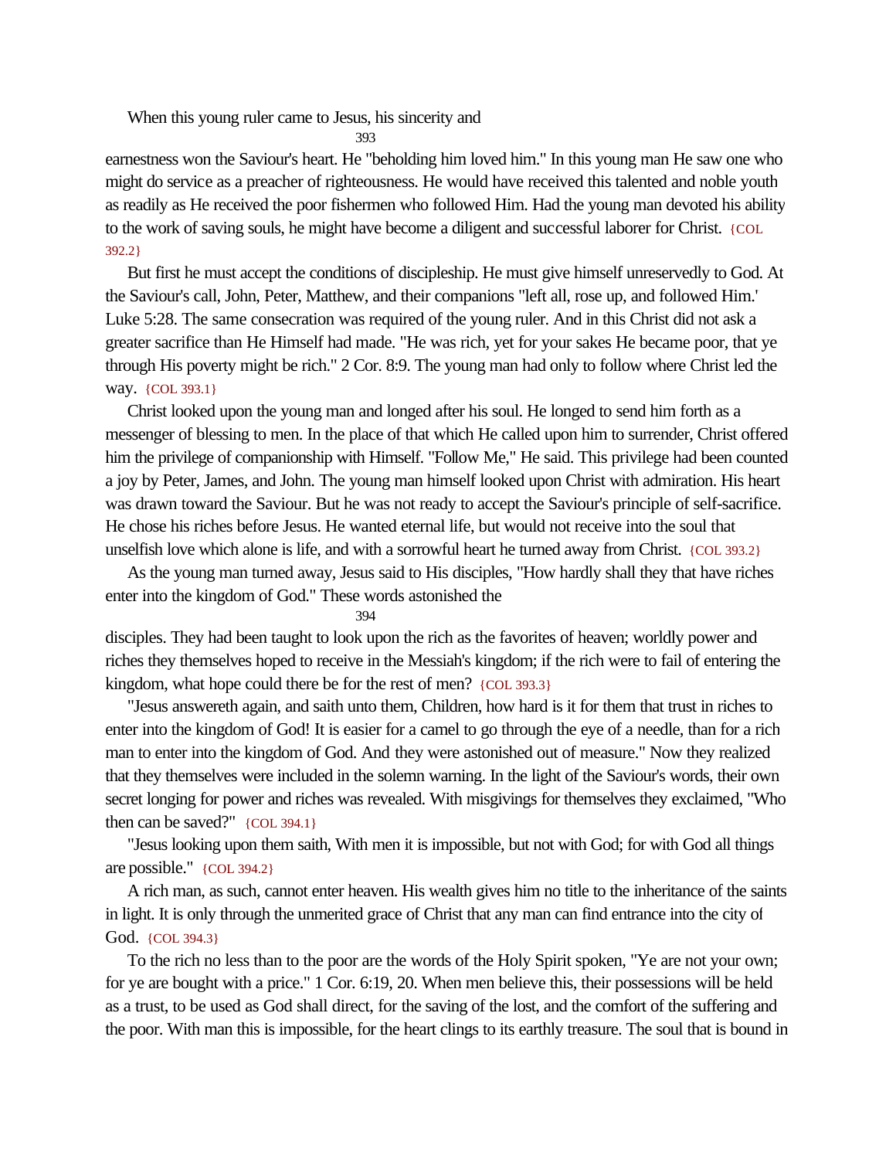When this young ruler came to Jesus, his sincerity and

393

earnestness won the Saviour's heart. He "beholding him loved him." In this young man He saw one who might do service as a preacher of righteousness. He would have received this talented and noble youth as readily as He received the poor fishermen who followed Him. Had the young man devoted his ability to the work of saving souls, he might have become a diligent and successful laborer for Christ. {COL 392.2}

 But first he must accept the conditions of discipleship. He must give himself unreservedly to God. At the Saviour's call, John, Peter, Matthew, and their companions "left all, rose up, and followed Him." Luke 5:28. The same consecration was required of the young ruler. And in this Christ did not ask a greater sacrifice than He Himself had made. "He was rich, yet for your sakes He became poor, that ye through His poverty might be rich." 2 Cor. 8:9. The young man had only to follow where Christ led the way. {COL 393.1}

 Christ looked upon the young man and longed after his soul. He longed to send him forth as a messenger of blessing to men. In the place of that which He called upon him to surrender, Christ offered him the privilege of companionship with Himself. "Follow Me," He said. This privilege had been counted a joy by Peter, James, and John. The young man himself looked upon Christ with admiration. His heart was drawn toward the Saviour. But he was not ready to accept the Saviour's principle of self-sacrifice. He chose his riches before Jesus. He wanted eternal life, but would not receive into the soul that unselfish love which alone is life, and with a sorrowful heart he turned away from Christ. {COL 393.2}

 As the young man turned away, Jesus said to His disciples, "How hardly shall they that have riches enter into the kingdom of God." These words astonished the

394

disciples. They had been taught to look upon the rich as the favorites of heaven; worldly power and riches they themselves hoped to receive in the Messiah's kingdom; if the rich were to fail of entering the kingdom, what hope could there be for the rest of men? {COL 393.3}

 "Jesus answereth again, and saith unto them, Children, how hard is it for them that trust in riches to enter into the kingdom of God! It is easier for a camel to go through the eye of a needle, than for a rich man to enter into the kingdom of God. And they were astonished out of measure." Now they realized that they themselves were included in the solemn warning. In the light of the Saviour's words, their own secret longing for power and riches was revealed. With misgivings for themselves they exclaimed, "Who then can be saved?" {COL 394.1}

 "Jesus looking upon them saith, With men it is impossible, but not with God; for with God all things are possible." {COL 394.2}

 A rich man, as such, cannot enter heaven. His wealth gives him no title to the inheritance of the saints in light. It is only through the unmerited grace of Christ that any man can find entrance into the city of God. {COL 394.3}

 To the rich no less than to the poor are the words of the Holy Spirit spoken, "Ye are not your own; for ye are bought with a price." 1 Cor. 6:19, 20. When men believe this, their possessions will be held as a trust, to be used as God shall direct, for the saving of the lost, and the comfort of the suffering and the poor. With man this is impossible, for the heart clings to its earthly treasure. The soul that is bound in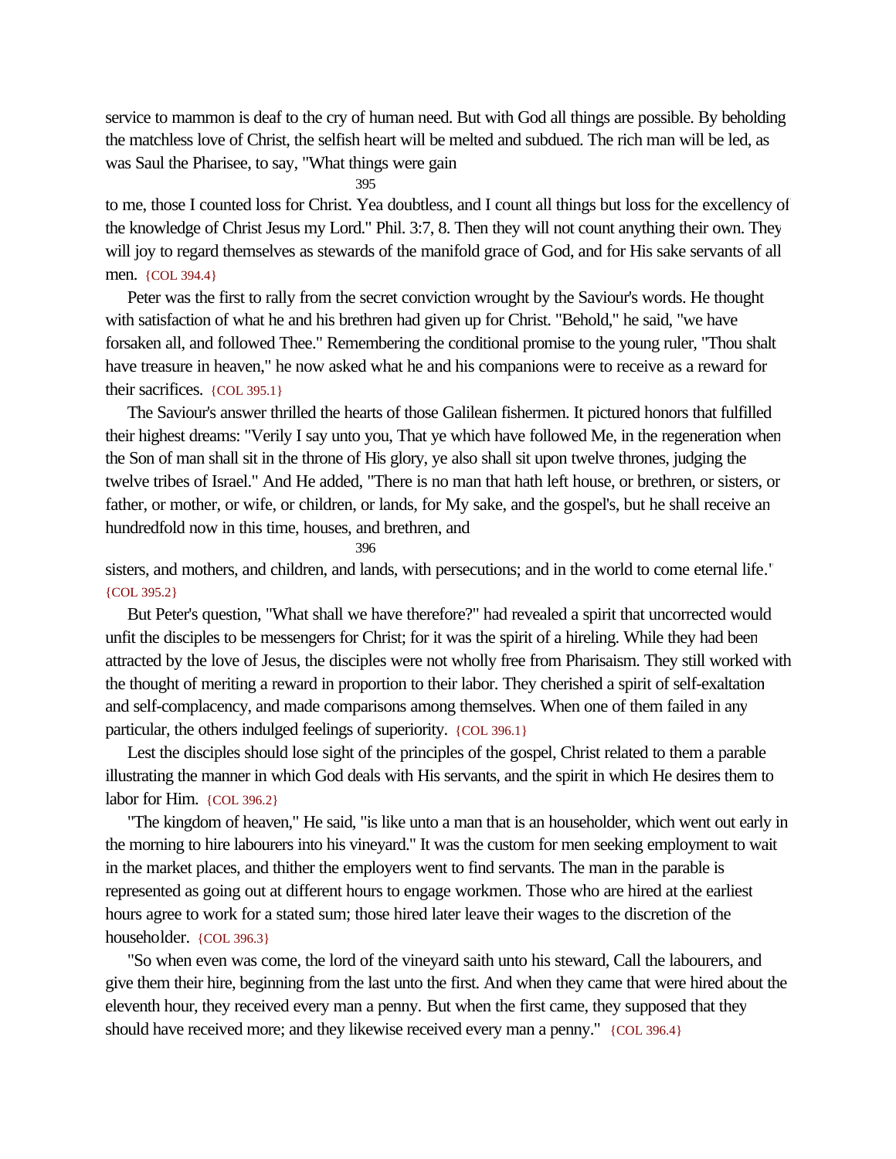service to mammon is deaf to the cry of human need. But with God all things are possible. By beholding the matchless love of Christ, the selfish heart will be melted and subdued. The rich man will be led, as was Saul the Pharisee, to say, "What things were gain

395

to me, those I counted loss for Christ. Yea doubtless, and I count all things but loss for the excellency of the knowledge of Christ Jesus my Lord." Phil. 3:7, 8. Then they will not count anything their own. They will joy to regard themselves as stewards of the manifold grace of God, and for His sake servants of all men. {COL 394.4}

 Peter was the first to rally from the secret conviction wrought by the Saviour's words. He thought with satisfaction of what he and his brethren had given up for Christ. "Behold," he said, "we have forsaken all, and followed Thee." Remembering the conditional promise to the young ruler, "Thou shalt have treasure in heaven," he now asked what he and his companions were to receive as a reward for their sacrifices. {COL 395.1}

 The Saviour's answer thrilled the hearts of those Galilean fishermen. It pictured honors that fulfilled their highest dreams: "Verily I say unto you, That ye which have followed Me, in the regeneration when the Son of man shall sit in the throne of His glory, ye also shall sit upon twelve thrones, judging the twelve tribes of Israel." And He added, "There is no man that hath left house, or brethren, or sisters, or father, or mother, or wife, or children, or lands, for My sake, and the gospel's, but he shall receive an hundredfold now in this time, houses, and brethren, and

396

sisters, and mothers, and children, and lands, with persecutions; and in the world to come eternal life." {COL 395.2}

 But Peter's question, "What shall we have therefore?" had revealed a spirit that uncorrected would unfit the disciples to be messengers for Christ; for it was the spirit of a hireling. While they had been attracted by the love of Jesus, the disciples were not wholly free from Pharisaism. They still worked with the thought of meriting a reward in proportion to their labor. They cherished a spirit of self-exaltation and self-complacency, and made comparisons among themselves. When one of them failed in any particular, the others indulged feelings of superiority. {COL 396.1}

 Lest the disciples should lose sight of the principles of the gospel, Christ related to them a parable illustrating the manner in which God deals with His servants, and the spirit in which He desires them to labor for Him. {COL 396.2}

 "The kingdom of heaven," He said, "is like unto a man that is an householder, which went out early in the morning to hire labourers into his vineyard." It was the custom for men seeking employment to wait in the market places, and thither the employers went to find servants. The man in the parable is represented as going out at different hours to engage workmen. Those who are hired at the earliest hours agree to work for a stated sum; those hired later leave their wages to the discretion of the householder. {COL 396.3}

 "So when even was come, the lord of the vineyard saith unto his steward, Call the labourers, and give them their hire, beginning from the last unto the first. And when they came that were hired about the eleventh hour, they received every man a penny. But when the first came, they supposed that they should have received more; and they likewise received every man a penny." {COL 396.4}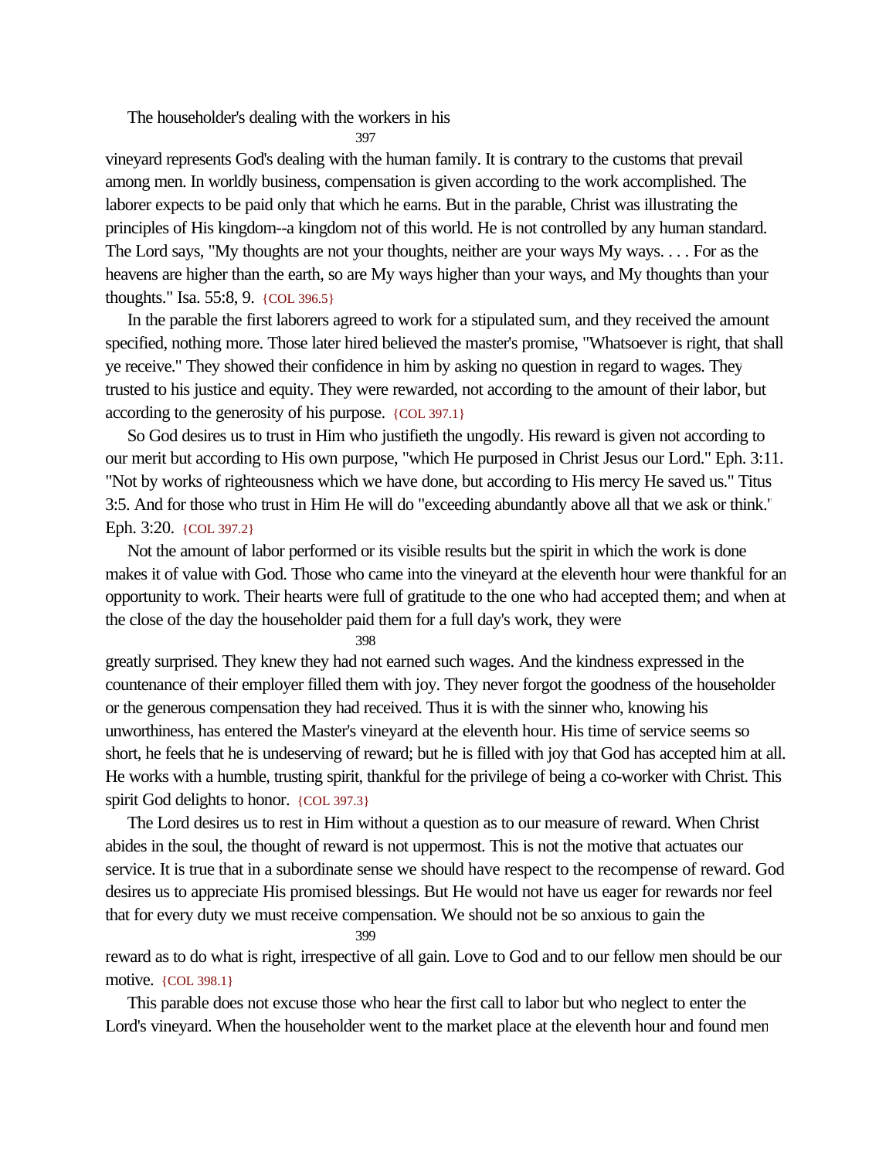The householder's dealing with the workers in his

397

vineyard represents God's dealing with the human family. It is contrary to the customs that prevail among men. In worldly business, compensation is given according to the work accomplished. The laborer expects to be paid only that which he earns. But in the parable, Christ was illustrating the principles of His kingdom--a kingdom not of this world. He is not controlled by any human standard. The Lord says, "My thoughts are not your thoughts, neither are your ways My ways. . . . For as the heavens are higher than the earth, so are My ways higher than your ways, and My thoughts than your thoughts." Isa. 55:8, 9. {COL 396.5}

 In the parable the first laborers agreed to work for a stipulated sum, and they received the amount specified, nothing more. Those later hired believed the master's promise, "Whatsoever is right, that shall ye receive." They showed their confidence in him by asking no question in regard to wages. They trusted to his justice and equity. They were rewarded, not according to the amount of their labor, but according to the generosity of his purpose. {COL 397.1}

 So God desires us to trust in Him who justifieth the ungodly. His reward is given not according to our merit but according to His own purpose, "which He purposed in Christ Jesus our Lord." Eph. 3:11. "Not by works of righteousness which we have done, but according to His mercy He saved us." Titus 3:5. And for those who trust in Him He will do "exceeding abundantly above all that we ask or think." Eph. 3:20. {COL 397.2}

 Not the amount of labor performed or its visible results but the spirit in which the work is done makes it of value with God. Those who came into the vineyard at the eleventh hour were thankful for an opportunity to work. Their hearts were full of gratitude to the one who had accepted them; and when at the close of the day the householder paid them for a full day's work, they were

398

greatly surprised. They knew they had not earned such wages. And the kindness expressed in the countenance of their employer filled them with joy. They never forgot the goodness of the householder or the generous compensation they had received. Thus it is with the sinner who, knowing his unworthiness, has entered the Master's vineyard at the eleventh hour. His time of service seems so short, he feels that he is undeserving of reward; but he is filled with joy that God has accepted him at all. He works with a humble, trusting spirit, thankful for the privilege of being a co-worker with Christ. This spirit God delights to honor. {COL 397.3}

 The Lord desires us to rest in Him without a question as to our measure of reward. When Christ abides in the soul, the thought of reward is not uppermost. This is not the motive that actuates our service. It is true that in a subordinate sense we should have respect to the recompense of reward. God desires us to appreciate His promised blessings. But He would not have us eager for rewards nor feel that for every duty we must receive compensation. We should not be so anxious to gain the 399

reward as to do what is right, irrespective of all gain. Love to God and to our fellow men should be our motive. {COL 398.1}

 This parable does not excuse those who hear the first call to labor but who neglect to enter the Lord's vineyard. When the householder went to the market place at the eleventh hour and found men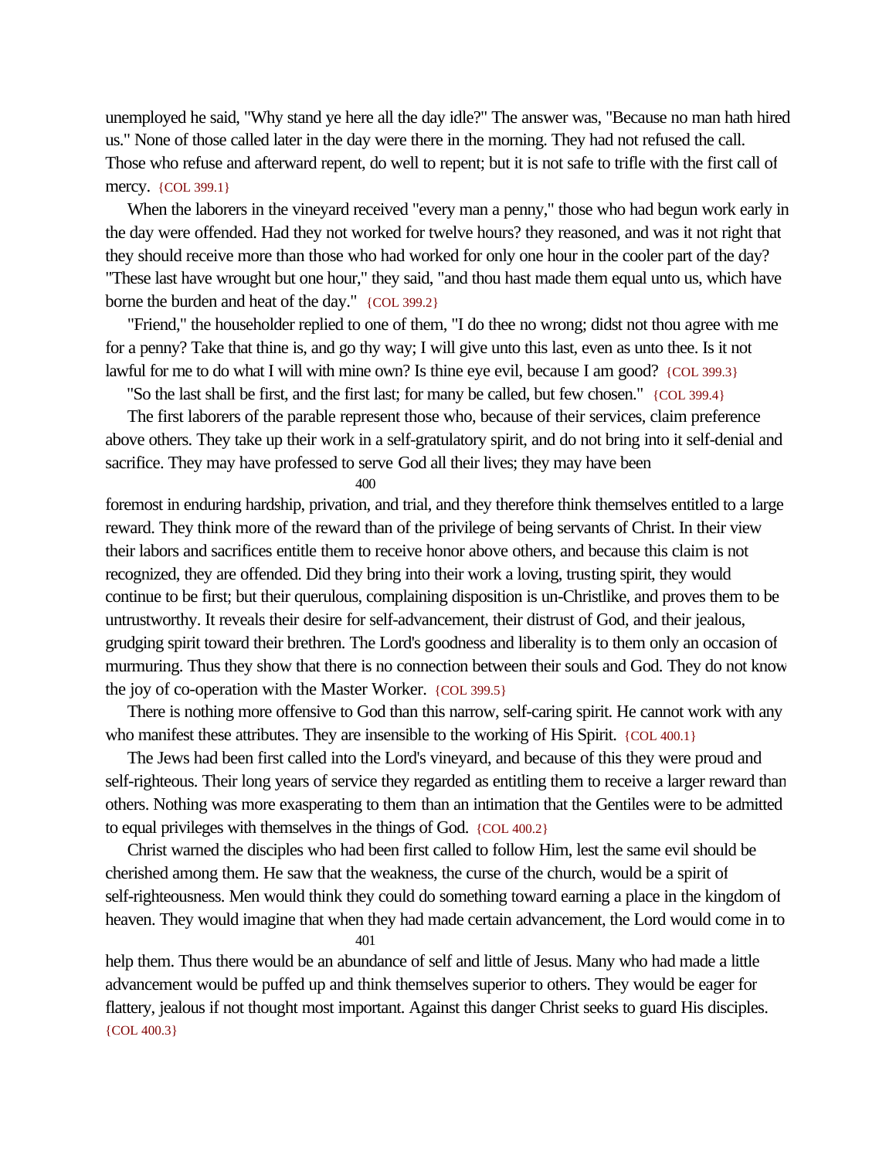unemployed he said, "Why stand ye here all the day idle?" The answer was, "Because no man hath hired us." None of those called later in the day were there in the morning. They had not refused the call. Those who refuse and afterward repent, do well to repent; but it is not safe to trifle with the first call of mercy. {COL 399.1}

 When the laborers in the vineyard received "every man a penny," those who had begun work early in the day were offended. Had they not worked for twelve hours? they reasoned, and was it not right that they should receive more than those who had worked for only one hour in the cooler part of the day? "These last have wrought but one hour," they said, "and thou hast made them equal unto us, which have borne the burden and heat of the day." {COL 399.2}

 "Friend," the householder replied to one of them, "I do thee no wrong; didst not thou agree with me for a penny? Take that thine is, and go thy way; I will give unto this last, even as unto thee. Is it not lawful for me to do what I will with mine own? Is thine eye evil, because I am good? {COL 399.3}

"So the last shall be first, and the first last; for many be called, but few chosen." {COL 399.4}

 The first laborers of the parable represent those who, because of their services, claim preference above others. They take up their work in a self-gratulatory spirit, and do not bring into it self-denial and sacrifice. They may have professed to serve God all their lives; they may have been

400

foremost in enduring hardship, privation, and trial, and they therefore think themselves entitled to a large reward. They think more of the reward than of the privilege of being servants of Christ. In their view their labors and sacrifices entitle them to receive honor above others, and because this claim is not recognized, they are offended. Did they bring into their work a loving, trusting spirit, they would continue to be first; but their querulous, complaining disposition is un-Christlike, and proves them to be untrustworthy. It reveals their desire for self-advancement, their distrust of God, and their jealous, grudging spirit toward their brethren. The Lord's goodness and liberality is to them only an occasion of murmuring. Thus they show that there is no connection between their souls and God. They do not know the joy of co-operation with the Master Worker. {COL 399.5}

 There is nothing more offensive to God than this narrow, self-caring spirit. He cannot work with any who manifest these attributes. They are insensible to the working of His Spirit. {COL 400.1}

 The Jews had been first called into the Lord's vineyard, and because of this they were proud and self-righteous. Their long years of service they regarded as entitling them to receive a larger reward than others. Nothing was more exasperating to them than an intimation that the Gentiles were to be admitted to equal privileges with themselves in the things of God. {COL 400.2}

 Christ warned the disciples who had been first called to follow Him, lest the same evil should be cherished among them. He saw that the weakness, the curse of the church, would be a spirit of self-righteousness. Men would think they could do something toward earning a place in the kingdom of heaven. They would imagine that when they had made certain advancement, the Lord would come in to 401

help them. Thus there would be an abundance of self and little of Jesus. Many who had made a little advancement would be puffed up and think themselves superior to others. They would be eager for flattery, jealous if not thought most important. Against this danger Christ seeks to guard His disciples. {COL 400.3}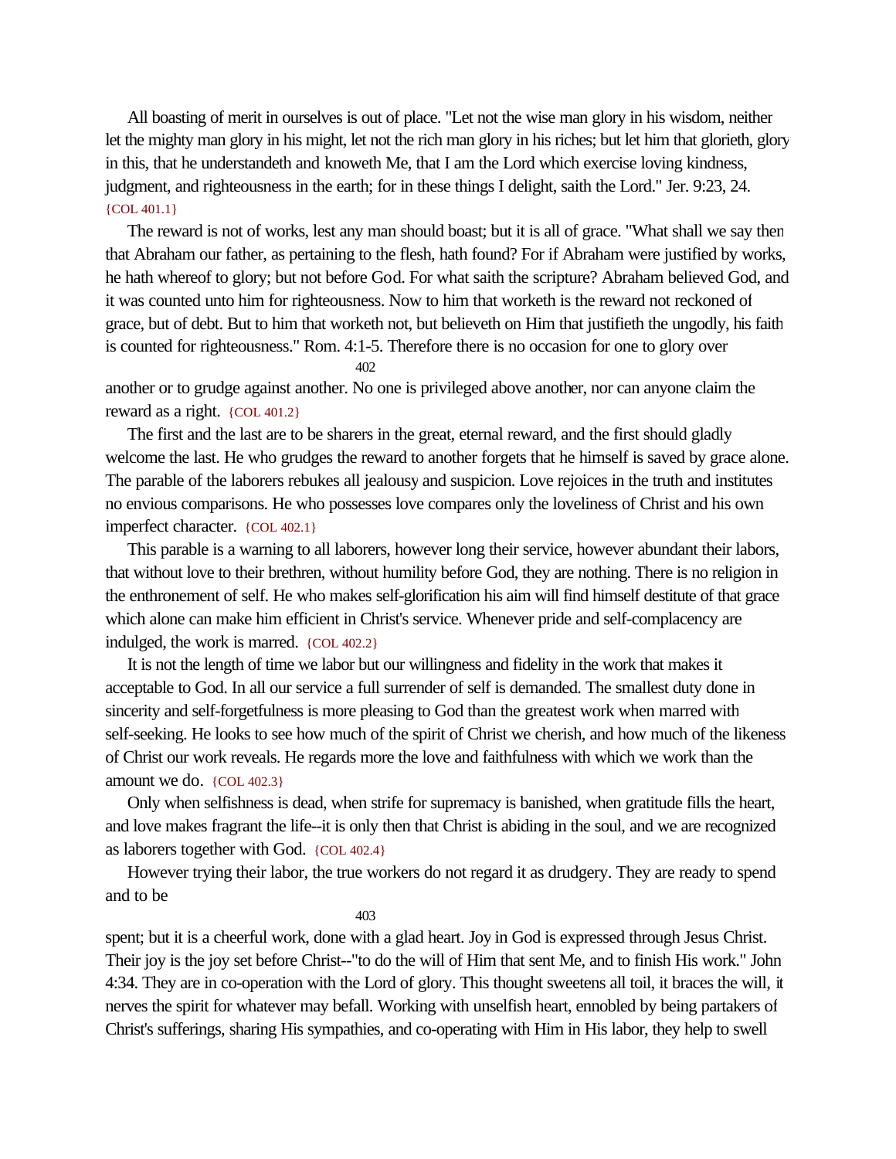All boasting of merit in ourselves is out of place. "Let not the wise man glory in his wisdom, neither let the mighty man glory in his might, let not the rich man glory in his riches; but let him that glorieth, glory in this, that he understandeth and knoweth Me, that I am the Lord which exercise loving kindness, judgment, and righteousness in the earth; for in these things I delight, saith the Lord." Jer. 9:23, 24. {COL 401.1}

 The reward is not of works, lest any man should boast; but it is all of grace. "What shall we say then that Abraham our father, as pertaining to the flesh, hath found? For if Abraham were justified by works, he hath whereof to glory; but not before God. For what saith the scripture? Abraham believed God, and it was counted unto him for righteousness. Now to him that worketh is the reward not reckoned of grace, but of debt. But to him that worketh not, but believeth on Him that justifieth the ungodly, his faith is counted for righteousness." Rom. 4:1-5. Therefore there is no occasion for one to glory over 402

another or to grudge against another. No one is privileged above another, nor can anyone claim the reward as a right. {COL 401.2}

 The first and the last are to be sharers in the great, eternal reward, and the first should gladly welcome the last. He who grudges the reward to another forgets that he himself is saved by grace alone. The parable of the laborers rebukes all jealousy and suspicion. Love rejoices in the truth and institutes no envious comparisons. He who possesses love compares only the loveliness of Christ and his own imperfect character. {COL 402.1}

 This parable is a warning to all laborers, however long their service, however abundant their labors, that without love to their brethren, without humility before God, they are nothing. There is no religion in the enthronement of self. He who makes self-glorification his aim will find himself destitute of that grace which alone can make him efficient in Christ's service. Whenever pride and self-complacency are indulged, the work is marred. {COL 402.2}

 It is not the length of time we labor but our willingness and fidelity in the work that makes it acceptable to God. In all our service a full surrender of self is demanded. The smallest duty done in sincerity and self-forgetfulness is more pleasing to God than the greatest work when marred with self-seeking. He looks to see how much of the spirit of Christ we cherish, and how much of the likeness of Christ our work reveals. He regards more the love and faithfulness with which we work than the amount we do. {COL 402.3}

 Only when selfishness is dead, when strife for supremacy is banished, when gratitude fills the heart, and love makes fragrant the life--it is only then that Christ is abiding in the soul, and we are recognized as laborers together with God. {COL 402.4}

 However trying their labor, the true workers do not regard it as drudgery. They are ready to spend and to be

403

spent; but it is a cheerful work, done with a glad heart. Joy in God is expressed through Jesus Christ. Their joy is the joy set before Christ--"to do the will of Him that sent Me, and to finish His work." John 4:34. They are in co-operation with the Lord of glory. This thought sweetens all toil, it braces the will, it nerves the spirit for whatever may befall. Working with unselfish heart, ennobled by being partakers of Christ's sufferings, sharing His sympathies, and co-operating with Him in His labor, they help to swell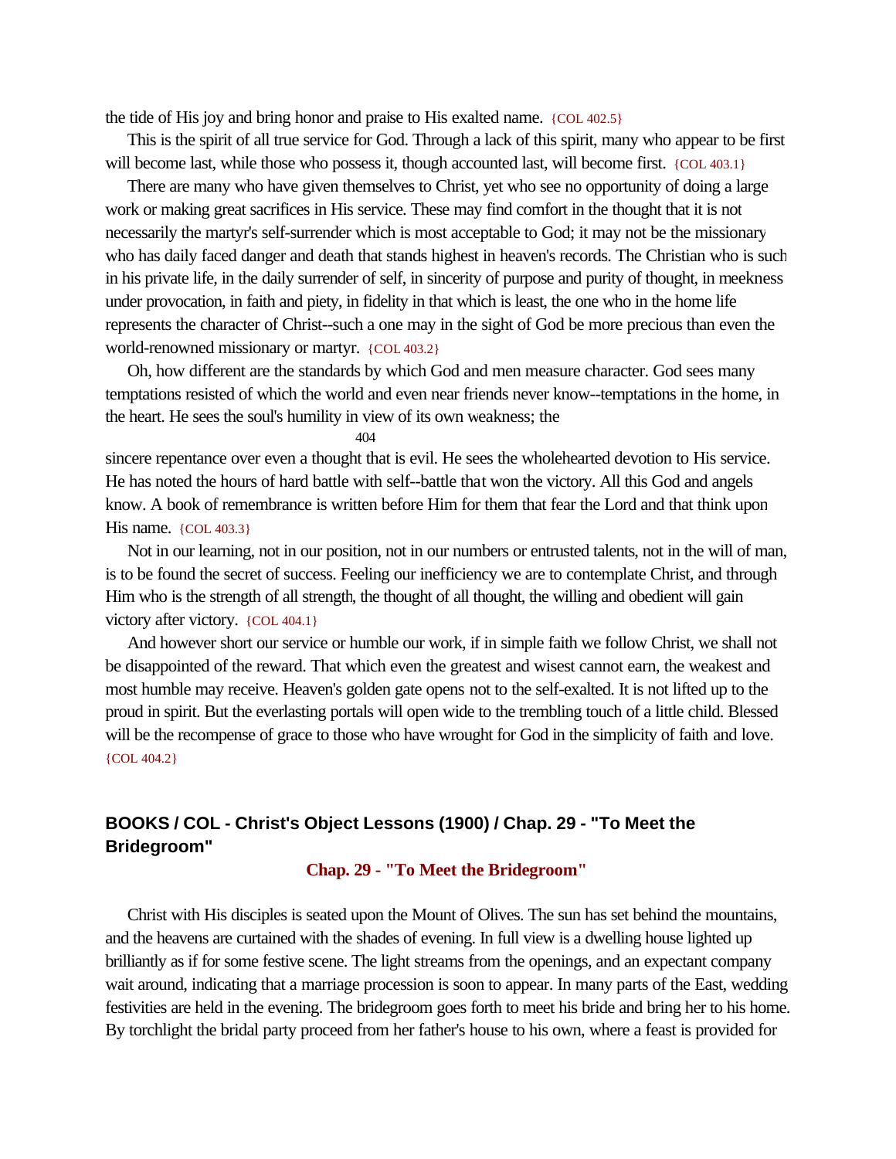the tide of His joy and bring honor and praise to His exalted name. {COL 402.5}

 This is the spirit of all true service for God. Through a lack of this spirit, many who appear to be first will become last, while those who possess it, though accounted last, will become first. {COL 403.1}}

 There are many who have given themselves to Christ, yet who see no opportunity of doing a large work or making great sacrifices in His service. These may find comfort in the thought that it is not necessarily the martyr's self-surrender which is most acceptable to God; it may not be the missionary who has daily faced danger and death that stands highest in heaven's records. The Christian who is such in his private life, in the daily surrender of self, in sincerity of purpose and purity of thought, in meekness under provocation, in faith and piety, in fidelity in that which is least, the one who in the home life represents the character of Christ--such a one may in the sight of God be more precious than even the world-renowned missionary or martyr. {COL 403.2}

 Oh, how different are the standards by which God and men measure character. God sees many temptations resisted of which the world and even near friends never know--temptations in the home, in the heart. He sees the soul's humility in view of its own weakness; the

404

sincere repentance over even a thought that is evil. He sees the wholehearted devotion to His service. He has noted the hours of hard battle with self--battle that won the victory. All this God and angels know. A book of remembrance is written before Him for them that fear the Lord and that think upon His name. {COL 403.3}

 Not in our learning, not in our position, not in our numbers or entrusted talents, not in the will of man, is to be found the secret of success. Feeling our inefficiency we are to contemplate Christ, and through Him who is the strength of all strength, the thought of all thought, the willing and obedient will gain victory after victory. {COL 404.1}

 And however short our service or humble our work, if in simple faith we follow Christ, we shall not be disappointed of the reward. That which even the greatest and wisest cannot earn, the weakest and most humble may receive. Heaven's golden gate opens not to the self-exalted. It is not lifted up to the proud in spirit. But the everlasting portals will open wide to the trembling touch of a little child. Blessed will be the recompense of grace to those who have wrought for God in the simplicity of faith and love. {COL 404.2}

# **BOOKS / COL - Christ's Object Lessons (1900) / Chap. 29 - "To Meet the Bridegroom"**

## **Chap. 29 - "To Meet the Bridegroom"**

 Christ with His disciples is seated upon the Mount of Olives. The sun has set behind the mountains, and the heavens are curtained with the shades of evening. In full view is a dwelling house lighted up brilliantly as if for some festive scene. The light streams from the openings, and an expectant company wait around, indicating that a marriage procession is soon to appear. In many parts of the East, wedding festivities are held in the evening. The bridegroom goes forth to meet his bride and bring her to his home. By torchlight the bridal party proceed from her father's house to his own, where a feast is provided for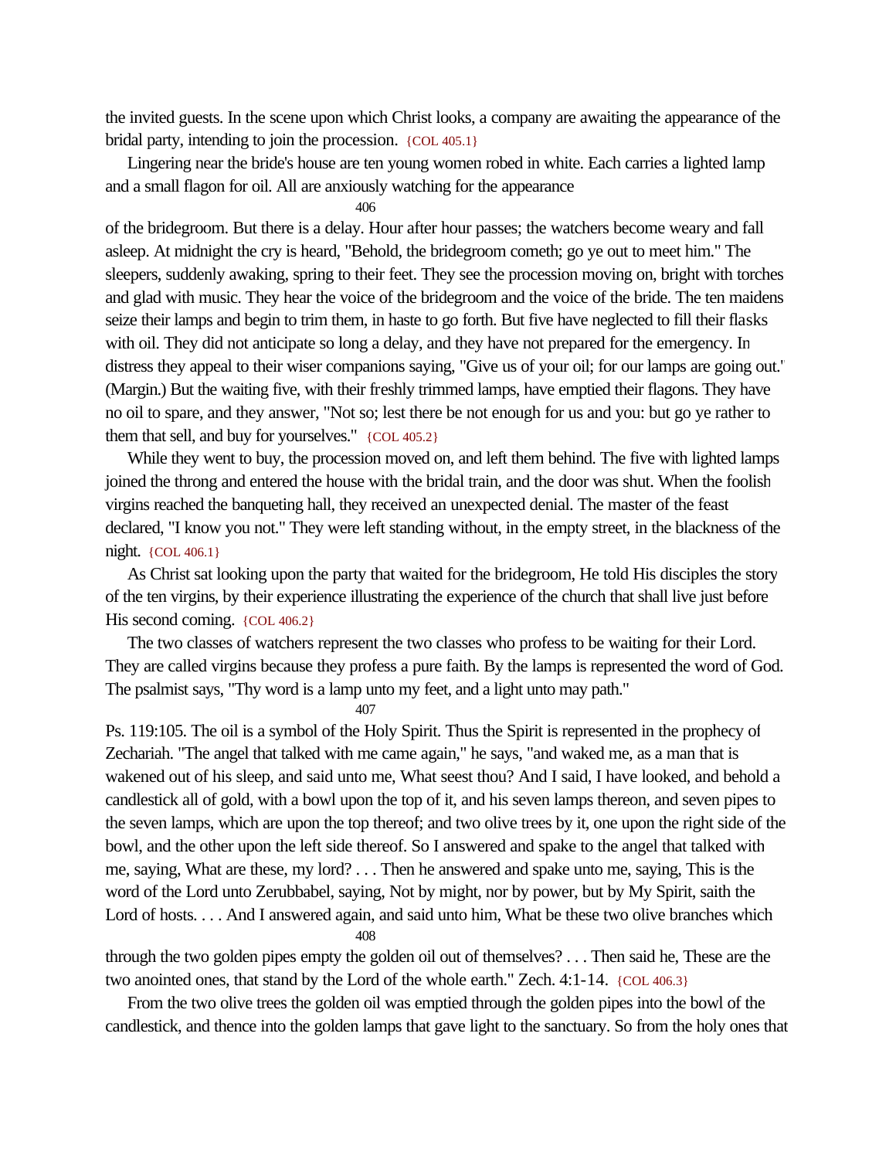the invited guests. In the scene upon which Christ looks, a company are awaiting the appearance of the bridal party, intending to join the procession. {COL 405.1}

 Lingering near the bride's house are ten young women robed in white. Each carries a lighted lamp and a small flagon for oil. All are anxiously watching for the appearance

#### 406

of the bridegroom. But there is a delay. Hour after hour passes; the watchers become weary and fall asleep. At midnight the cry is heard, "Behold, the bridegroom cometh; go ye out to meet him." The sleepers, suddenly awaking, spring to their feet. They see the procession moving on, bright with torches and glad with music. They hear the voice of the bridegroom and the voice of the bride. The ten maidens seize their lamps and begin to trim them, in haste to go forth. But five have neglected to fill their flasks with oil. They did not anticipate so long a delay, and they have not prepared for the emergency. In distress they appeal to their wiser companions saying, "Give us of your oil; for our lamps are going out." (Margin.) But the waiting five, with their freshly trimmed lamps, have emptied their flagons. They have no oil to spare, and they answer, "Not so; lest there be not enough for us and you: but go ye rather to them that sell, and buy for yourselves." {COL 405.2}

 While they went to buy, the procession moved on, and left them behind. The five with lighted lamps joined the throng and entered the house with the bridal train, and the door was shut. When the foolish virgins reached the banqueting hall, they received an unexpected denial. The master of the feast declared, "I know you not." They were left standing without, in the empty street, in the blackness of the night.  ${COL 406.1}$ 

 As Christ sat looking upon the party that waited for the bridegroom, He told His disciples the story of the ten virgins, by their experience illustrating the experience of the church that shall live just before His second coming. {COL 406.2}

 The two classes of watchers represent the two classes who profess to be waiting for their Lord. They are called virgins because they profess a pure faith. By the lamps is represented the word of God. The psalmist says, "Thy word is a lamp unto my feet, and a light unto may path."

407

Ps. 119:105. The oil is a symbol of the Holy Spirit. Thus the Spirit is represented in the prophecy of Zechariah. "The angel that talked with me came again," he says, "and waked me, as a man that is wakened out of his sleep, and said unto me, What seest thou? And I said, I have looked, and behold a candlestick all of gold, with a bowl upon the top of it, and his seven lamps thereon, and seven pipes to the seven lamps, which are upon the top thereof; and two olive trees by it, one upon the right side of the bowl, and the other upon the left side thereof. So I answered and spake to the angel that talked with me, saying, What are these, my lord? . . . Then he answered and spake unto me, saying, This is the word of the Lord unto Zerubbabel, saying, Not by might, nor by power, but by My Spirit, saith the Lord of hosts. . . . And I answered again, and said unto him, What be these two olive branches which 408

through the two golden pipes empty the golden oil out of themselves? . . . Then said he, These are the two anointed ones, that stand by the Lord of the whole earth." Zech. 4:1-14. {COL 406.3}

 From the two olive trees the golden oil was emptied through the golden pipes into the bowl of the candlestick, and thence into the golden lamps that gave light to the sanctuary. So from the holy ones that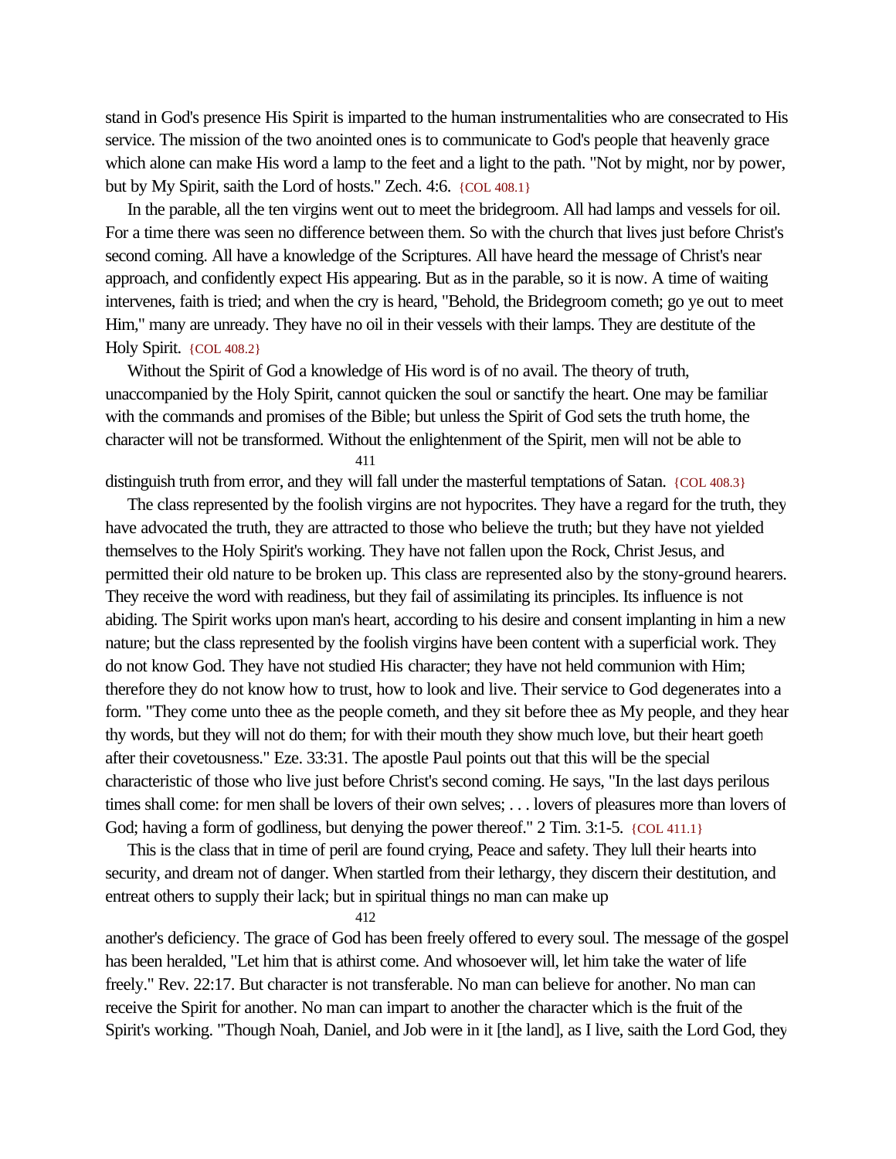stand in God's presence His Spirit is imparted to the human instrumentalities who are consecrated to His service. The mission of the two anointed ones is to communicate to God's people that heavenly grace which alone can make His word a lamp to the feet and a light to the path. "Not by might, nor by power, but by My Spirit, saith the Lord of hosts." Zech. 4:6. {COL 408.1}

 In the parable, all the ten virgins went out to meet the bridegroom. All had lamps and vessels for oil. For a time there was seen no difference between them. So with the church that lives just before Christ's second coming. All have a knowledge of the Scriptures. All have heard the message of Christ's near approach, and confidently expect His appearing. But as in the parable, so it is now. A time of waiting intervenes, faith is tried; and when the cry is heard, "Behold, the Bridegroom cometh; go ye out to meet Him," many are unready. They have no oil in their vessels with their lamps. They are destitute of the Holy Spirit. {COL 408.2}

 Without the Spirit of God a knowledge of His word is of no avail. The theory of truth, unaccompanied by the Holy Spirit, cannot quicken the soul or sanctify the heart. One may be familiar with the commands and promises of the Bible; but unless the Spirit of God sets the truth home, the character will not be transformed. Without the enlightenment of the Spirit, men will not be able to 411

distinguish truth from error, and they will fall under the masterful temptations of Satan. {COL 408.3}

 The class represented by the foolish virgins are not hypocrites. They have a regard for the truth, they have advocated the truth, they are attracted to those who believe the truth; but they have not yielded themselves to the Holy Spirit's working. They have not fallen upon the Rock, Christ Jesus, and permitted their old nature to be broken up. This class are represented also by the stony-ground hearers. They receive the word with readiness, but they fail of assimilating its principles. Its influence is not abiding. The Spirit works upon man's heart, according to his desire and consent implanting in him a new nature; but the class represented by the foolish virgins have been content with a superficial work. They do not know God. They have not studied His character; they have not held communion with Him; therefore they do not know how to trust, how to look and live. Their service to God degenerates into a form. "They come unto thee as the people cometh, and they sit before thee as My people, and they hear thy words, but they will not do them; for with their mouth they show much love, but their heart goeth after their covetousness." Eze. 33:31. The apostle Paul points out that this will be the special characteristic of those who live just before Christ's second coming. He says, "In the last days perilous times shall come: for men shall be lovers of their own selves; . . . lovers of pleasures more than lovers of God; having a form of godliness, but denying the power thereof." 2 Tim. 3:1-5. {COL 411.1}

 This is the class that in time of peril are found crying, Peace and safety. They lull their hearts into security, and dream not of danger. When startled from their lethargy, they discern their destitution, and entreat others to supply their lack; but in spiritual things no man can make up

412

another's deficiency. The grace of God has been freely offered to every soul. The message of the gospel has been heralded, "Let him that is athirst come. And whosoever will, let him take the water of life freely." Rev. 22:17. But character is not transferable. No man can believe for another. No man can receive the Spirit for another. No man can impart to another the character which is the fruit of the Spirit's working. "Though Noah, Daniel, and Job were in it [the land], as I live, saith the Lord God, they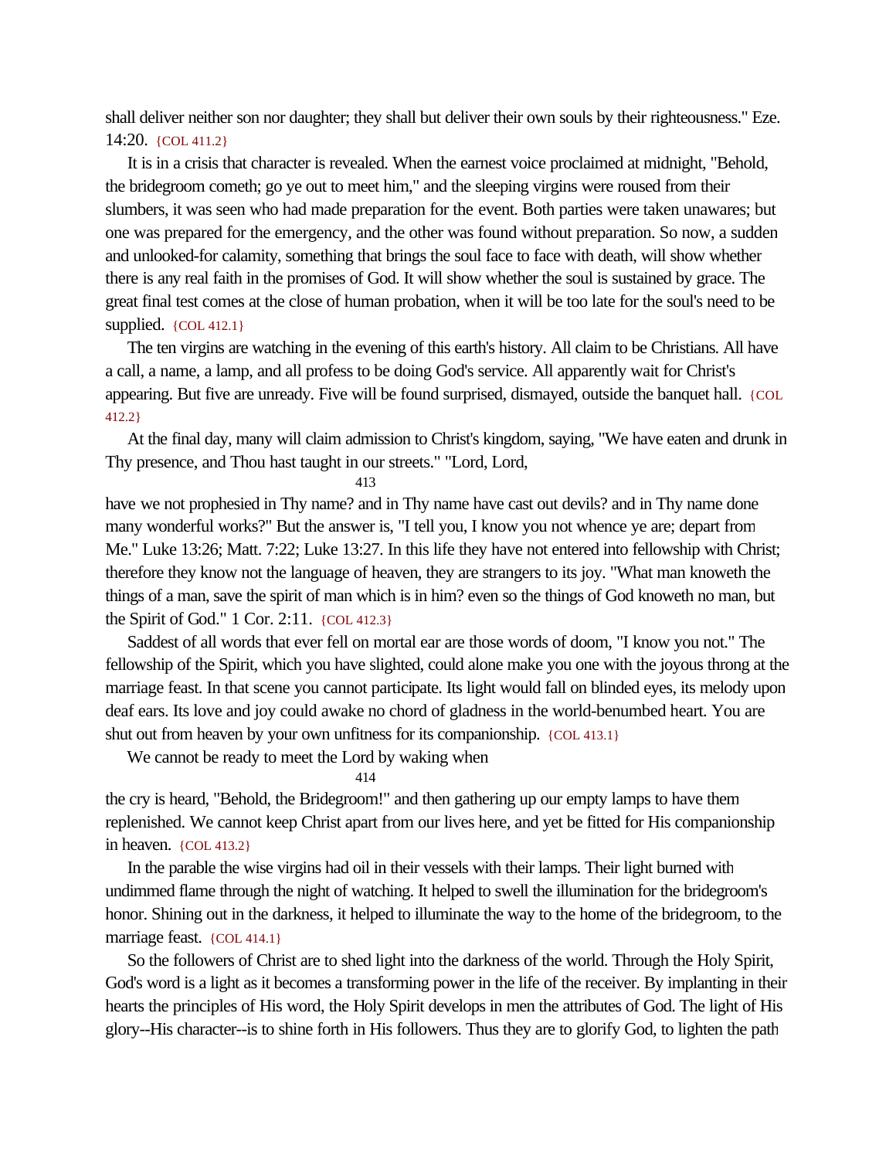shall deliver neither son nor daughter; they shall but deliver their own souls by their righteousness." Eze. 14:20. {COL 411.2}

 It is in a crisis that character is revealed. When the earnest voice proclaimed at midnight, "Behold, the bridegroom cometh; go ye out to meet him," and the sleeping virgins were roused from their slumbers, it was seen who had made preparation for the event. Both parties were taken unawares; but one was prepared for the emergency, and the other was found without preparation. So now, a sudden and unlooked-for calamity, something that brings the soul face to face with death, will show whether there is any real faith in the promises of God. It will show whether the soul is sustained by grace. The great final test comes at the close of human probation, when it will be too late for the soul's need to be supplied.  $\{COL\ 412.1\}$ 

 The ten virgins are watching in the evening of this earth's history. All claim to be Christians. All have a call, a name, a lamp, and all profess to be doing God's service. All apparently wait for Christ's appearing. But five are unready. Five will be found surprised, dismayed, outside the banquet hall. {COL 412.2}

 At the final day, many will claim admission to Christ's kingdom, saying, "We have eaten and drunk in Thy presence, and Thou hast taught in our streets." "Lord, Lord,

413

have we not prophesied in Thy name? and in Thy name have cast out devils? and in Thy name done many wonderful works?" But the answer is, "I tell you, I know you not whence ye are; depart from Me." Luke 13:26; Matt. 7:22; Luke 13:27. In this life they have not entered into fellowship with Christ; therefore they know not the language of heaven, they are strangers to its joy. "What man knoweth the things of a man, save the spirit of man which is in him? even so the things of God knoweth no man, but the Spirit of God." 1 Cor. 2:11. {COL 412.3}

 Saddest of all words that ever fell on mortal ear are those words of doom, "I know you not." The fellowship of the Spirit, which you have slighted, could alone make you one with the joyous throng at the marriage feast. In that scene you cannot participate. Its light would fall on blinded eyes, its melody upon deaf ears. Its love and joy could awake no chord of gladness in the world-benumbed heart. You are shut out from heaven by your own unfitness for its companionship. {COL 413.1}

We cannot be ready to meet the Lord by waking when

414

the cry is heard, "Behold, the Bridegroom!" and then gathering up our empty lamps to have them replenished. We cannot keep Christ apart from our lives here, and yet be fitted for His companionship in heaven. {COL 413.2}

 In the parable the wise virgins had oil in their vessels with their lamps. Their light burned with undimmed flame through the night of watching. It helped to swell the illumination for the bridegroom's honor. Shining out in the darkness, it helped to illuminate the way to the home of the bridegroom, to the marriage feast. {COL 414.1}

 So the followers of Christ are to shed light into the darkness of the world. Through the Holy Spirit, God's word is a light as it becomes a transforming power in the life of the receiver. By implanting in their hearts the principles of His word, the Holy Spirit develops in men the attributes of God. The light of His glory--His character--is to shine forth in His followers. Thus they are to glorify God, to lighten the path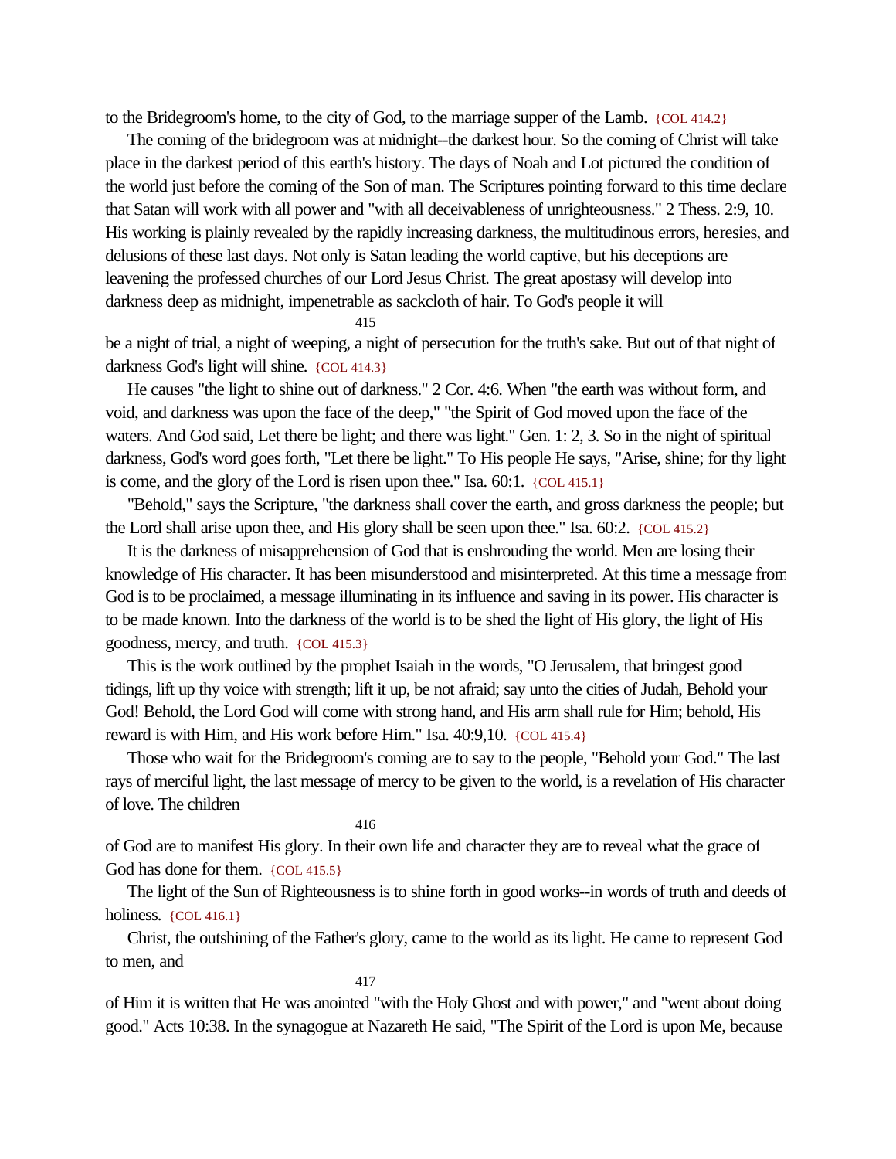to the Bridegroom's home, to the city of God, to the marriage supper of the Lamb. {COL 414.2}

 The coming of the bridegroom was at midnight--the darkest hour. So the coming of Christ will take place in the darkest period of this earth's history. The days of Noah and Lot pictured the condition of the world just before the coming of the Son of man. The Scriptures pointing forward to this time declare that Satan will work with all power and "with all deceivableness of unrighteousness." 2 Thess. 2:9, 10. His working is plainly revealed by the rapidly increasing darkness, the multitudinous errors, heresies, and delusions of these last days. Not only is Satan leading the world captive, but his deceptions are leavening the professed churches of our Lord Jesus Christ. The great apostasy will develop into darkness deep as midnight, impenetrable as sackcloth of hair. To God's people it will

415

be a night of trial, a night of weeping, a night of persecution for the truth's sake. But out of that night of darkness God's light will shine. {COL 414.3}

 He causes "the light to shine out of darkness." 2 Cor. 4:6. When "the earth was without form, and void, and darkness was upon the face of the deep," "the Spirit of God moved upon the face of the waters. And God said, Let there be light; and there was light." Gen. 1: 2, 3. So in the night of spiritual darkness, God's word goes forth, "Let there be light." To His people He says, "Arise, shine; for thy light is come, and the glory of the Lord is risen upon thee." Isa. 60:1. {COL 415.1}

 "Behold," says the Scripture, "the darkness shall cover the earth, and gross darkness the people; but the Lord shall arise upon thee, and His glory shall be seen upon thee." Isa.  $60:2.$  {COL 415.2}

 It is the darkness of misapprehension of God that is enshrouding the world. Men are losing their knowledge of His character. It has been misunderstood and misinterpreted. At this time a message from God is to be proclaimed, a message illuminating in its influence and saving in its power. His character is to be made known. Into the darkness of the world is to be shed the light of His glory, the light of His goodness, mercy, and truth. {COL 415.3}

 This is the work outlined by the prophet Isaiah in the words, "O Jerusalem, that bringest good tidings, lift up thy voice with strength; lift it up, be not afraid; say unto the cities of Judah, Behold your God! Behold, the Lord God will come with strong hand, and His arm shall rule for Him; behold, His reward is with Him, and His work before Him." Isa. 40:9,10. {COL 415.4}

 Those who wait for the Bridegroom's coming are to say to the people, "Behold your God." The last rays of merciful light, the last message of mercy to be given to the world, is a revelation of His character of love. The children

416

of God are to manifest His glory. In their own life and character they are to reveal what the grace of God has done for them. {COL 415.5}

 The light of the Sun of Righteousness is to shine forth in good works--in words of truth and deeds of holiness. {COL 416.1}

 Christ, the outshining of the Father's glory, came to the world as its light. He came to represent God to men, and

417

of Him it is written that He was anointed "with the Holy Ghost and with power," and "went about doing good." Acts 10:38. In the synagogue at Nazareth He said, "The Spirit of the Lord is upon Me, because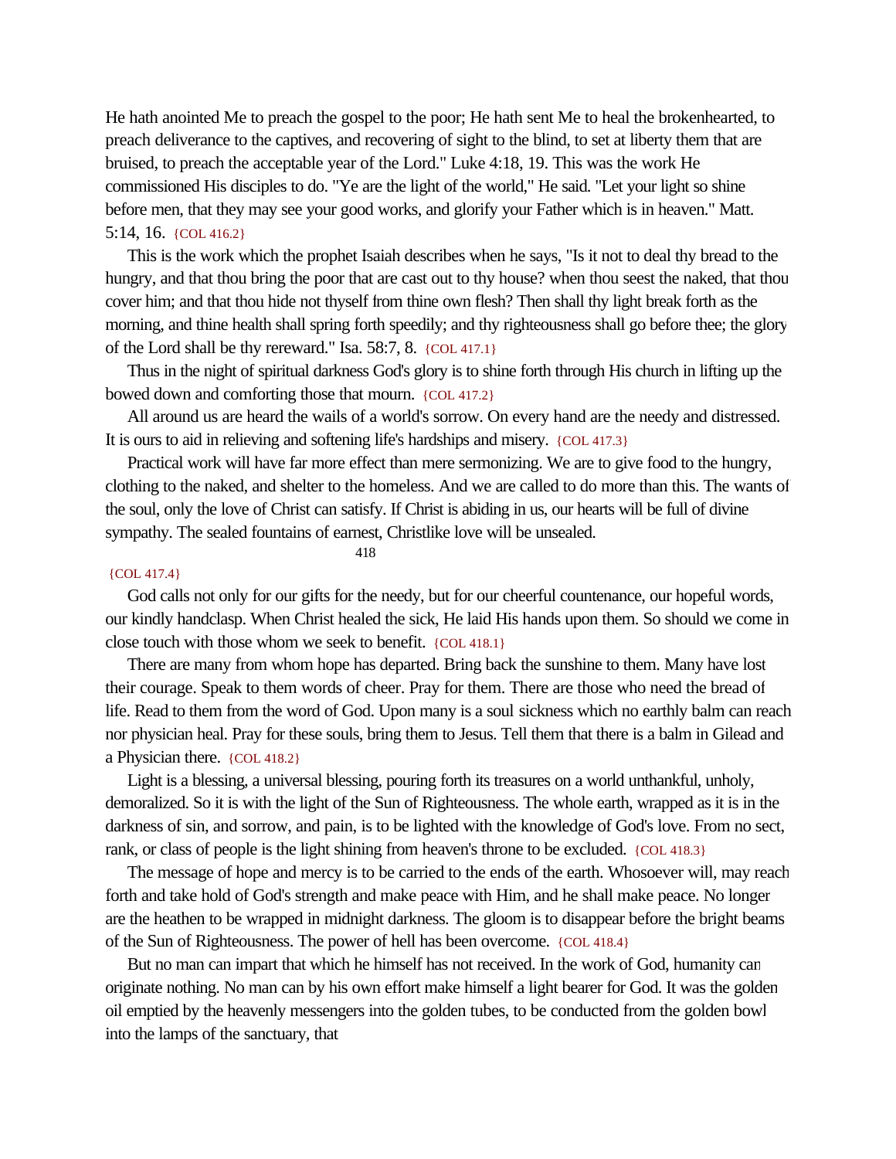He hath anointed Me to preach the gospel to the poor; He hath sent Me to heal the brokenhearted, to preach deliverance to the captives, and recovering of sight to the blind, to set at liberty them that are bruised, to preach the acceptable year of the Lord." Luke 4:18, 19. This was the work He commissioned His disciples to do. "Ye are the light of the world," He said. "Let your light so shine before men, that they may see your good works, and glorify your Father which is in heaven." Matt. 5:14, 16. {COL 416.2}

 This is the work which the prophet Isaiah describes when he says, "Is it not to deal thy bread to the hungry, and that thou bring the poor that are cast out to thy house? when thou seest the naked, that thou cover him; and that thou hide not thyself from thine own flesh? Then shall thy light break forth as the morning, and thine health shall spring forth speedily; and thy righteousness shall go before thee; the glory of the Lord shall be thy rereward." Isa. 58:7, 8. {COL 417.1}

 Thus in the night of spiritual darkness God's glory is to shine forth through His church in lifting up the bowed down and comforting those that mourn. {COL 417.2}

 All around us are heard the wails of a world's sorrow. On every hand are the needy and distressed. It is ours to aid in relieving and softening life's hardships and misery. {COL 417.3}

 Practical work will have far more effect than mere sermonizing. We are to give food to the hungry, clothing to the naked, and shelter to the homeless. And we are called to do more than this. The wants of the soul, only the love of Christ can satisfy. If Christ is abiding in us, our hearts will be full of divine sympathy. The sealed fountains of earnest, Christlike love will be unsealed.

### {COL 417.4}

418

 God calls not only for our gifts for the needy, but for our cheerful countenance, our hopeful words, our kindly handclasp. When Christ healed the sick, He laid His hands upon them. So should we come in close touch with those whom we seek to benefit.  ${COL}$  418.1}

 There are many from whom hope has departed. Bring back the sunshine to them. Many have lost their courage. Speak to them words of cheer. Pray for them. There are those who need the bread of life. Read to them from the word of God. Upon many is a soul sickness which no earthly balm can reach nor physician heal. Pray for these souls, bring them to Jesus. Tell them that there is a balm in Gilead and a Physician there. {COL 418.2}

 Light is a blessing, a universal blessing, pouring forth its treasures on a world unthankful, unholy, demoralized. So it is with the light of the Sun of Righteousness. The whole earth, wrapped as it is in the darkness of sin, and sorrow, and pain, is to be lighted with the knowledge of God's love. From no sect, rank, or class of people is the light shining from heaven's throne to be excluded. {COL 418.3}

 The message of hope and mercy is to be carried to the ends of the earth. Whosoever will, may reach forth and take hold of God's strength and make peace with Him, and he shall make peace. No longer are the heathen to be wrapped in midnight darkness. The gloom is to disappear before the bright beams of the Sun of Righteousness. The power of hell has been overcome. {COL 418.4}

 But no man can impart that which he himself has not received. In the work of God, humanity can originate nothing. No man can by his own effort make himself a light bearer for God. It was the golden oil emptied by the heavenly messengers into the golden tubes, to be conducted from the golden bowl into the lamps of the sanctuary, that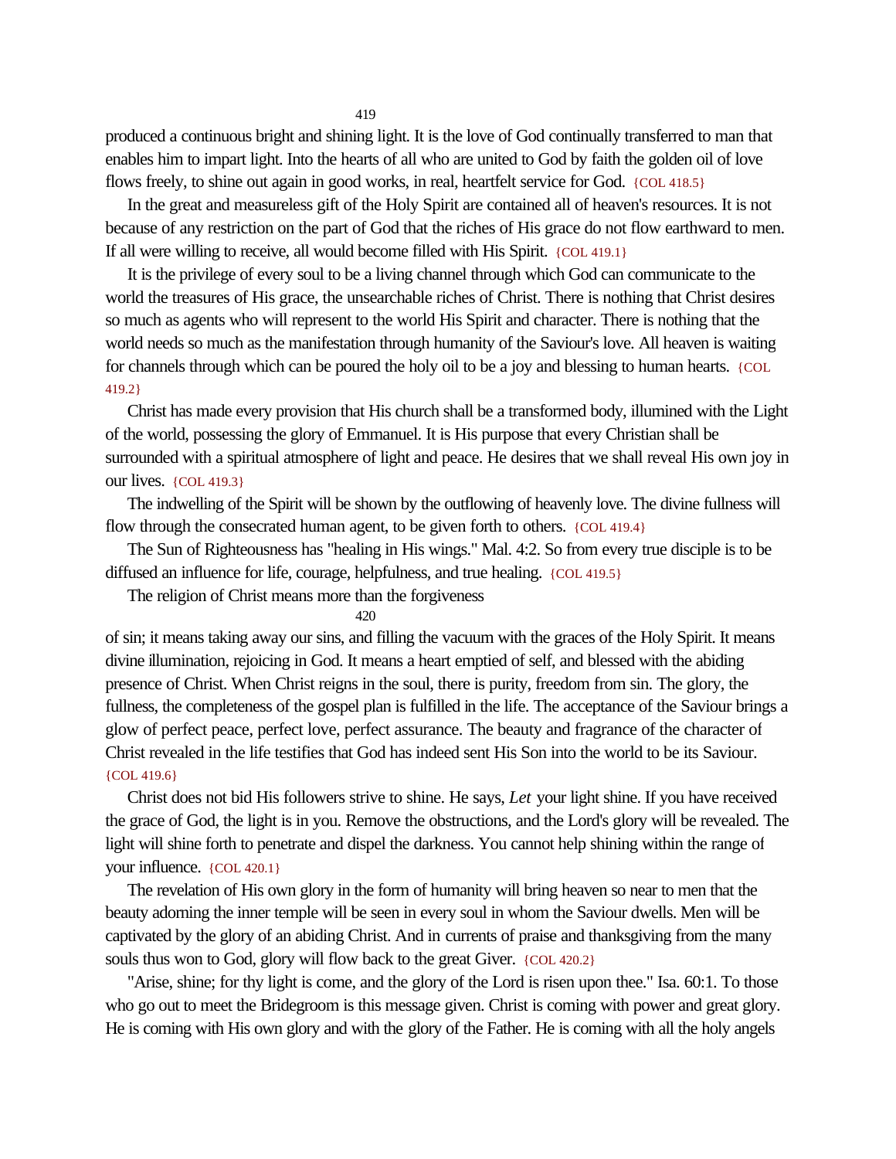produced a continuous bright and shining light. It is the love of God continually transferred to man that enables him to impart light. Into the hearts of all who are united to God by faith the golden oil of love flows freely, to shine out again in good works, in real, heartfelt service for God. {COL 418.5}

 In the great and measureless gift of the Holy Spirit are contained all of heaven's resources. It is not because of any restriction on the part of God that the riches of His grace do not flow earthward to men. If all were willing to receive, all would become filled with His Spirit. {COL 419.1}

 It is the privilege of every soul to be a living channel through which God can communicate to the world the treasures of His grace, the unsearchable riches of Christ. There is nothing that Christ desires so much as agents who will represent to the world His Spirit and character. There is nothing that the world needs so much as the manifestation through humanity of the Saviour's love. All heaven is waiting for channels through which can be poured the holy oil to be a joy and blessing to human hearts. {COL 419.2}

 Christ has made every provision that His church shall be a transformed body, illumined with the Light of the world, possessing the glory of Emmanuel. It is His purpose that every Christian shall be surrounded with a spiritual atmosphere of light and peace. He desires that we shall reveal His own joy in our lives. {COL 419.3}

 The indwelling of the Spirit will be shown by the outflowing of heavenly love. The divine fullness will flow through the consecrated human agent, to be given forth to others. {COL 419.4}

 The Sun of Righteousness has "healing in His wings." Mal. 4:2. So from every true disciple is to be diffused an influence for life, courage, helpfulness, and true healing. {COL 419.5}

The religion of Christ means more than the forgiveness

### 420

of sin; it means taking away our sins, and filling the vacuum with the graces of the Holy Spirit. It means divine illumination, rejoicing in God. It means a heart emptied of self, and blessed with the abiding presence of Christ. When Christ reigns in the soul, there is purity, freedom from sin. The glory, the fullness, the completeness of the gospel plan is fulfilled in the life. The acceptance of the Saviour brings a glow of perfect peace, perfect love, perfect assurance. The beauty and fragrance of the character of Christ revealed in the life testifies that God has indeed sent His Son into the world to be its Saviour. {COL 419.6}

 Christ does not bid His followers strive to shine. He says, *Let* your light shine. If you have received the grace of God, the light is in you. Remove the obstructions, and the Lord's glory will be revealed. The light will shine forth to penetrate and dispel the darkness. You cannot help shining within the range of your influence. {COL 420.1}

 The revelation of His own glory in the form of humanity will bring heaven so near to men that the beauty adorning the inner temple will be seen in every soul in whom the Saviour dwells. Men will be captivated by the glory of an abiding Christ. And in currents of praise and thanksgiving from the many souls thus won to God, glory will flow back to the great Giver. {COL 420.2}

 "Arise, shine; for thy light is come, and the glory of the Lord is risen upon thee." Isa. 60:1. To those who go out to meet the Bridegroom is this message given. Christ is coming with power and great glory. He is coming with His own glory and with the glory of the Father. He is coming with all the holy angels